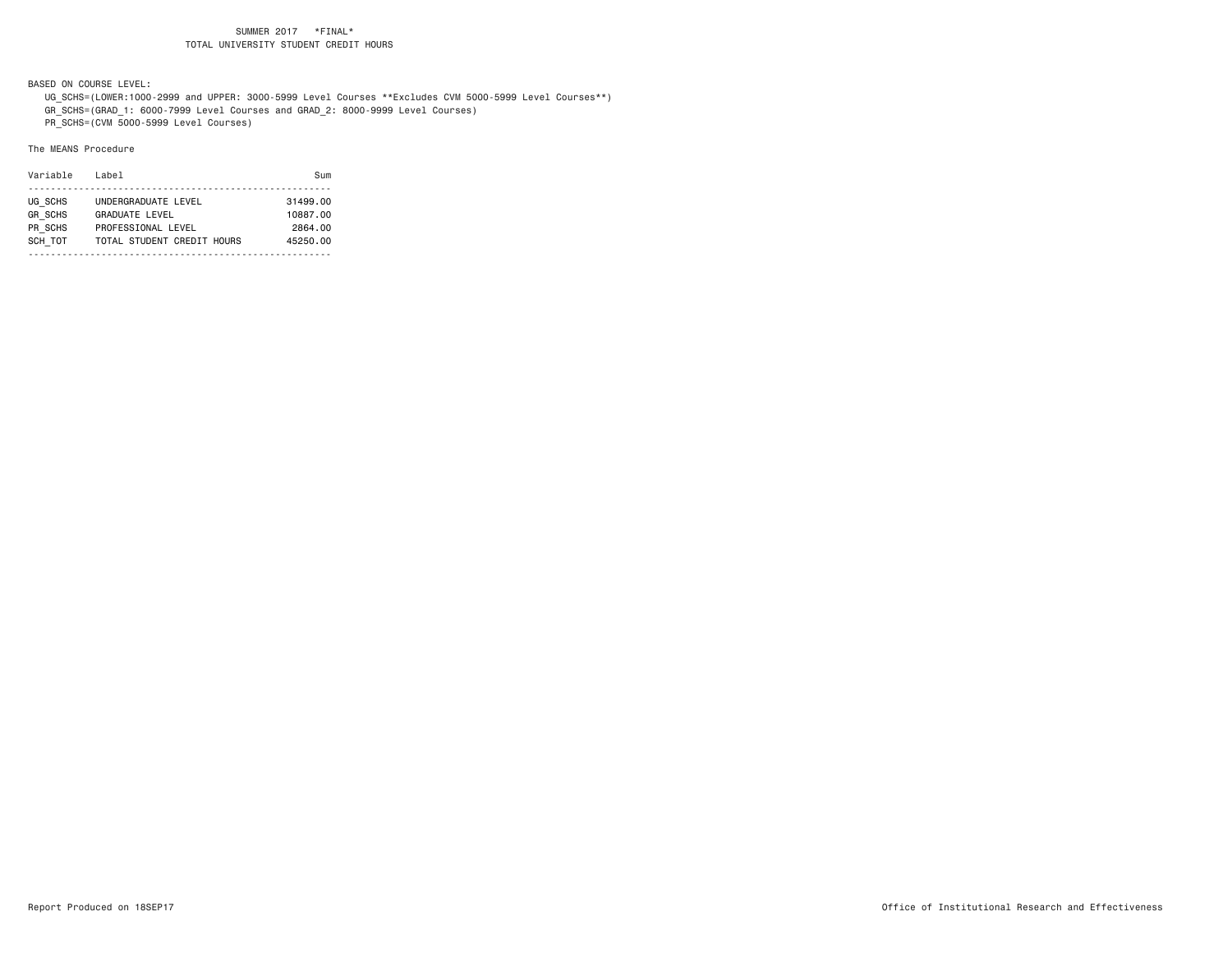BASED ON COURSE LEVEL:

 UG\_SCHS=(LOWER:1000-2999 and UPPER: 3000-5999 Level Courses \*\*Excludes CVM 5000-5999 Level Courses\*\*) GR\_SCHS=(GRAD\_1: 6000-7999 Level Courses and GRAD\_2: 8000-9999 Level Courses)

PR\_SCHS=(CVM 5000-5999 Level Courses)

| Variable       | Label                      | Sum      |
|----------------|----------------------------|----------|
|                |                            |          |
| UG SCHS        | UNDERGRADUATE LEVEL        | 31499.00 |
| <b>GR SCHS</b> | <b>GRADUATE LEVEL</b>      | 10887.00 |
| PR SCHS        | PROFESSIONAL LEVEL         | 2864.00  |
| SCH TOT        | TOTAL STUDENT CREDIT HOURS | 45250.00 |
|                |                            |          |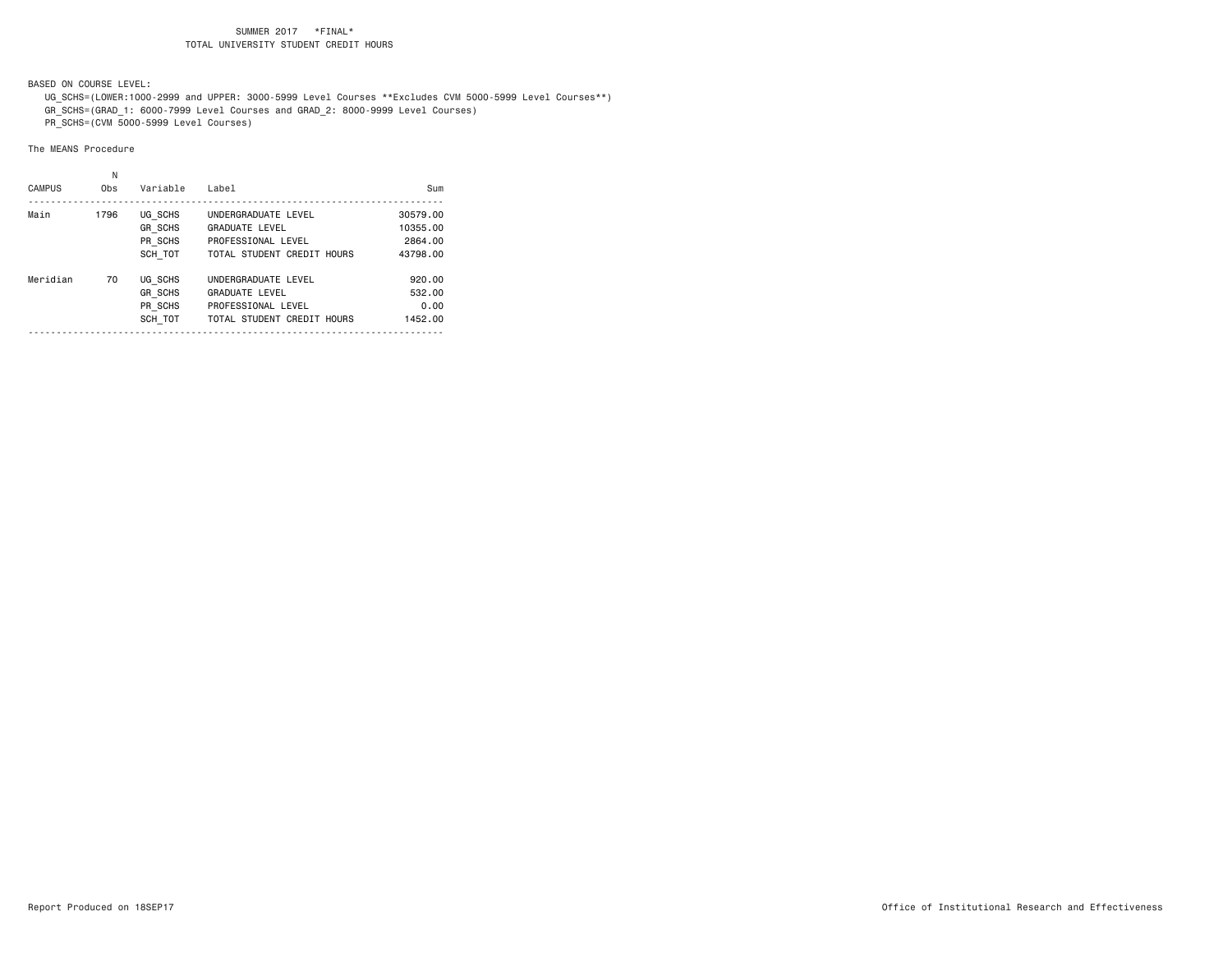BASED ON COURSE LEVEL:

 UG\_SCHS=(LOWER:1000-2999 and UPPER: 3000-5999 Level Courses \*\*Excludes CVM 5000-5999 Level Courses\*\*) GR\_SCHS=(GRAD\_1: 6000-7999 Level Courses and GRAD\_2: 8000-9999 Level Courses)

PR\_SCHS=(CVM 5000-5999 Level Courses)

| <b>CAMPUS</b> | Ν<br>Obs | Variable       | Label                      | Sum      |
|---------------|----------|----------------|----------------------------|----------|
|               |          |                |                            |          |
| Main          | 1796     | UG SCHS        | UNDERGRADUATE LEVEL        | 30579.00 |
|               |          | <b>GR SCHS</b> | <b>GRADUATE LEVEL</b>      | 10355,00 |
|               |          | PR SCHS        | PROFESSIONAL LEVEL         | 2864.00  |
|               |          | SCH TOT        | TOTAL STUDENT CREDIT HOURS | 43798.00 |
| Meridian      | 70       | UG SCHS        | UNDERGRADUATE LEVEL        | 920.00   |
|               |          | <b>GR SCHS</b> | <b>GRADUATE LEVEL</b>      | 532.00   |
|               |          | PR SCHS        | PROFESSIONAL LEVEL         | 0.00     |
|               |          | SCH TOT        | TOTAL STUDENT CREDIT HOURS | 1452.00  |
|               |          |                |                            |          |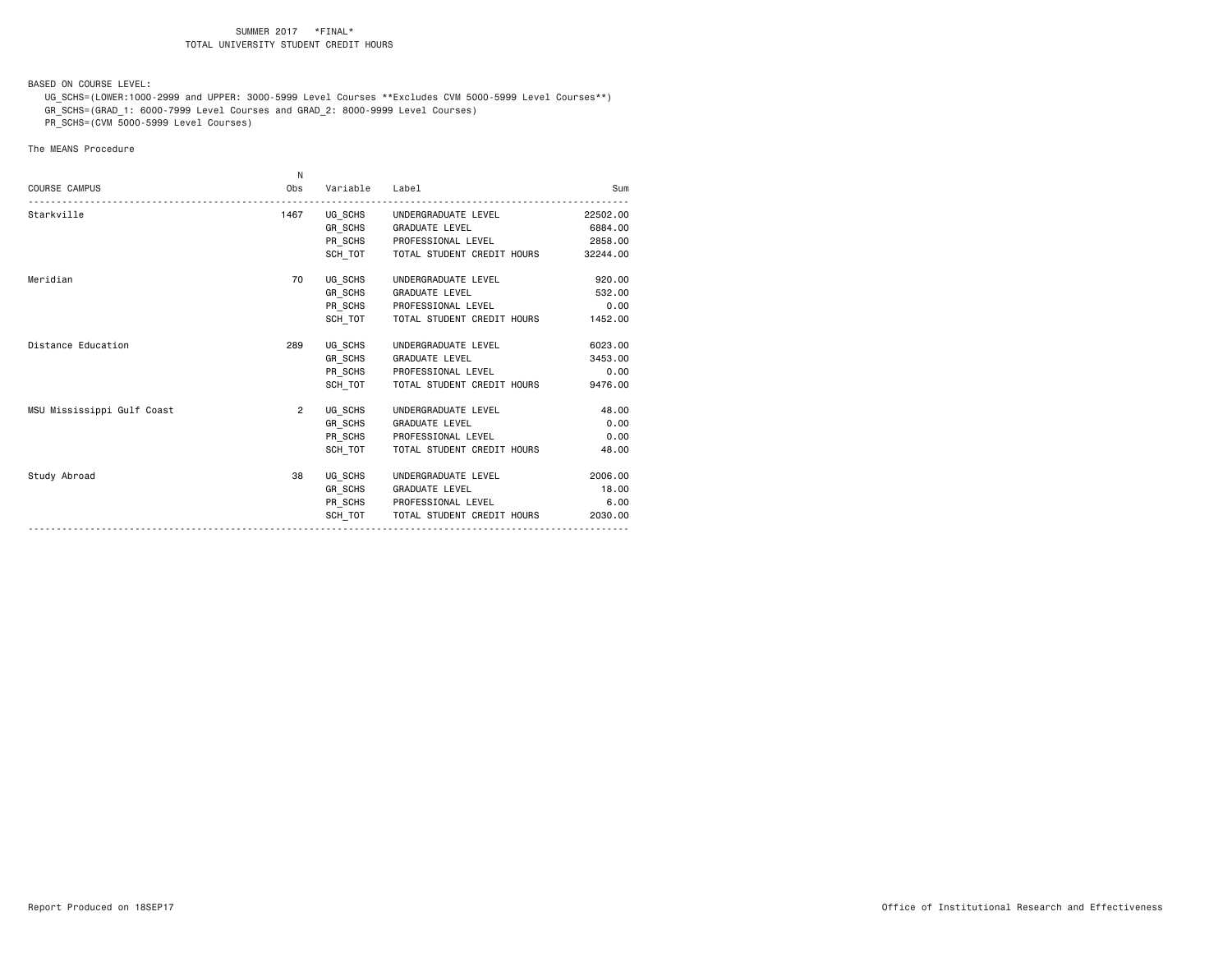BASED ON COURSE LEVEL:

 UG\_SCHS=(LOWER:1000-2999 and UPPER: 3000-5999 Level Courses \*\*Excludes CVM 5000-5999 Level Courses\*\*) GR\_SCHS=(GRAD\_1: 6000-7999 Level Courses and GRAD\_2: 8000-9999 Level Courses)

PR\_SCHS=(CVM 5000-5999 Level Courses)

|                            | N              |          |                             |          |
|----------------------------|----------------|----------|-----------------------------|----------|
| <b>COURSE CAMPUS</b>       | Obs            | Variable | Label                       | Sum      |
| Starkville                 | 1467           |          | UG SCHS UNDERGRADUATE LEVEL | 22502.00 |
|                            |                |          | GR_SCHS GRADUATE LEVEL      | 6884.00  |
|                            |                |          | PR SCHS PROFESSIONAL LEVEL  | 2858.00  |
|                            |                | SCH TOT  | TOTAL STUDENT CREDIT HOURS  | 32244.00 |
| Meridian                   | 70             |          | UG_SCHS UNDERGRADUATE LEVEL | 920.00   |
|                            |                |          | GR SCHS GRADUATE LEVEL      | 532.00   |
|                            |                |          | PR_SCHS PROFESSIONAL LEVEL  | 0.00     |
|                            |                | SCH TOT  | TOTAL STUDENT CREDIT HOURS  | 1452.00  |
| Distance Education         | 289            |          | UG SCHS UNDERGRADUATE LEVEL | 6023,00  |
|                            |                |          | GR SCHS GRADUATE LEVEL      | 3453.00  |
|                            |                |          | PR SCHS PROFESSIONAL LEVEL  | 0.00     |
|                            |                | SCH TOT  | TOTAL STUDENT CREDIT HOURS  | 9476.00  |
| MSU Mississippi Gulf Coast | $\overline{2}$ |          | UG SCHS UNDERGRADUATE LEVEL | 48.00    |
|                            |                |          | GR_SCHS GRADUATE LEVEL      | 0.00     |
|                            |                |          | PR_SCHS PROFESSIONAL LEVEL  | 0.00     |
|                            |                | SCH TOT  | TOTAL STUDENT CREDIT HOURS  | 48.00    |
| Study Abroad               | 38             |          | UG_SCHS UNDERGRADUATE LEVEL | 2006.00  |
|                            |                |          | GR_SCHS GRADUATE LEVEL      | 18.00    |
|                            |                |          | PR_SCHS PROFESSIONAL LEVEL  | 6.00     |
|                            |                | SCH TOT  | TOTAL STUDENT CREDIT HOURS  | 2030.00  |
|                            |                |          |                             |          |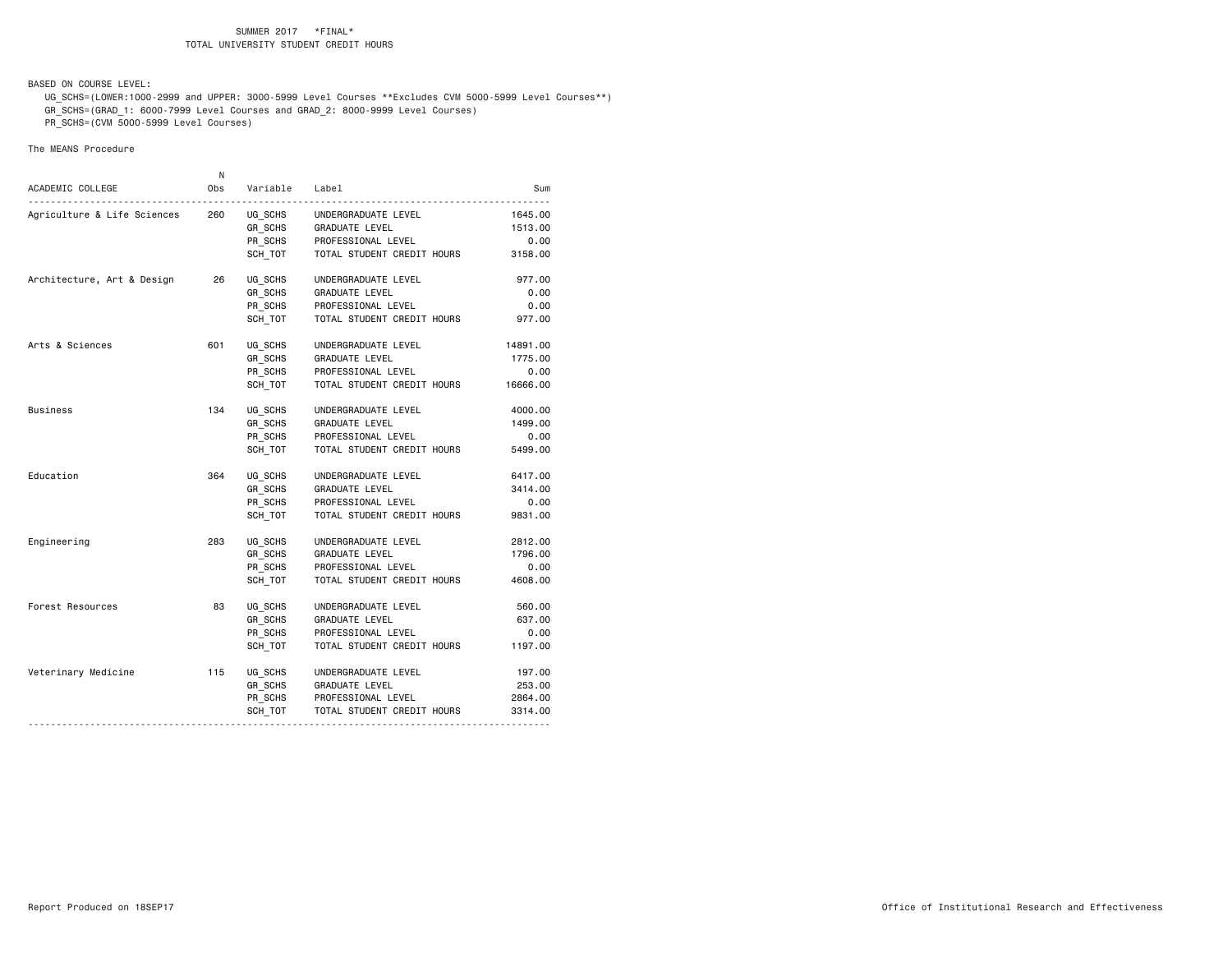BASED ON COURSE LEVEL:

 UG\_SCHS=(LOWER:1000-2999 and UPPER: 3000-5999 Level Courses \*\*Excludes CVM 5000-5999 Level Courses\*\*) GR\_SCHS=(GRAD\_1: 6000-7999 Level Courses and GRAD\_2: 8000-9999 Level Courses)

PR\_SCHS=(CVM 5000-5999 Level Courses)

|                             | N   |                        |                            |          |
|-----------------------------|-----|------------------------|----------------------------|----------|
| ACADEMIC COLLEGE            | Obs | Variable               | Label                      | Sum      |
| Agriculture & Life Sciences | 260 | UG SCHS                | UNDERGRADUATE LEVEL        | 1645.00  |
|                             |     | GR_SCHS                | GRADUATE LEVEL             | 1513.00  |
|                             |     | PR_SCHS                | PROFESSIONAL LEVEL         | 0.00     |
|                             |     | SCH_TOT                | TOTAL STUDENT CREDIT HOURS | 3158.00  |
| Architecture, Art & Design  | 26  | UG SCHS                | UNDERGRADUATE LEVEL        | 977.00   |
|                             |     | GR_SCHS                | GRADUATE LEVEL             | 0.00     |
|                             |     | PR SCHS                | PROFESSIONAL LEVEL         | 0.00     |
|                             |     | SCH TOT                | TOTAL STUDENT CREDIT HOURS | 977.00   |
| Arts & Sciences             | 601 | UG SCHS                | UNDERGRADUATE LEVEL        | 14891.00 |
|                             |     | $GR$ <sub>_</sub> SCHS | GRADUATE LEVEL             | 1775.00  |
|                             |     | PR SCHS                | PROFESSIONAL LEVEL         | 0.00     |
|                             |     | SCH TOT                | TOTAL STUDENT CREDIT HOURS | 16666.00 |
| Business                    | 134 | UG SCHS                | UNDERGRADUATE LEVEL        | 4000.00  |
|                             |     | GR SCHS                | GRADUATE LEVEL             | 1499.00  |
|                             |     | PR_SCHS                | PROFESSIONAL LEVEL         | 0.00     |
|                             |     | SCH TOT                | TOTAL STUDENT CREDIT HOURS | 5499.00  |
| Education                   | 364 | UG SCHS                | UNDERGRADUATE LEVEL        | 6417.00  |
|                             |     | GR_SCHS                | <b>GRADUATE LEVEL</b>      | 3414.00  |
|                             |     | PR_SCHS                | PROFESSIONAL LEVEL         | 0.00     |
|                             |     | SCH TOT                | TOTAL STUDENT CREDIT HOURS | 9831.00  |
| Engineering                 | 283 | UG SCHS                | UNDERGRADUATE LEVEL        | 2812.00  |
|                             |     | GR_SCHS                | GRADUATE LEVEL             | 1796.00  |
|                             |     | PR SCHS                | PROFESSIONAL LEVEL         | 0.00     |
|                             |     | SCH TOT                | TOTAL STUDENT CREDIT HOURS | 4608.00  |
| Forest Resources            | 83  | UG SCHS                | UNDERGRADUATE LEVEL        | 560.00   |
|                             |     | GR SCHS                | GRADUATE LEVEL             | 637.00   |
|                             |     | PR SCHS                | PROFESSIONAL LEVEL         | 0.00     |
|                             |     | SCH TOT                | TOTAL STUDENT CREDIT HOURS | 1197.00  |
| Veterinary Medicine         | 115 | UG SCHS                | UNDERGRADUATE LEVEL        | 197.00   |
|                             |     | GR_SCHS                | GRADUATE LEVEL             | 253.00   |
|                             |     | PR_SCHS                | PROFESSIONAL LEVEL         | 2864.00  |
|                             |     | SCH TOT                | TOTAL STUDENT CREDIT HOURS | 3314.00  |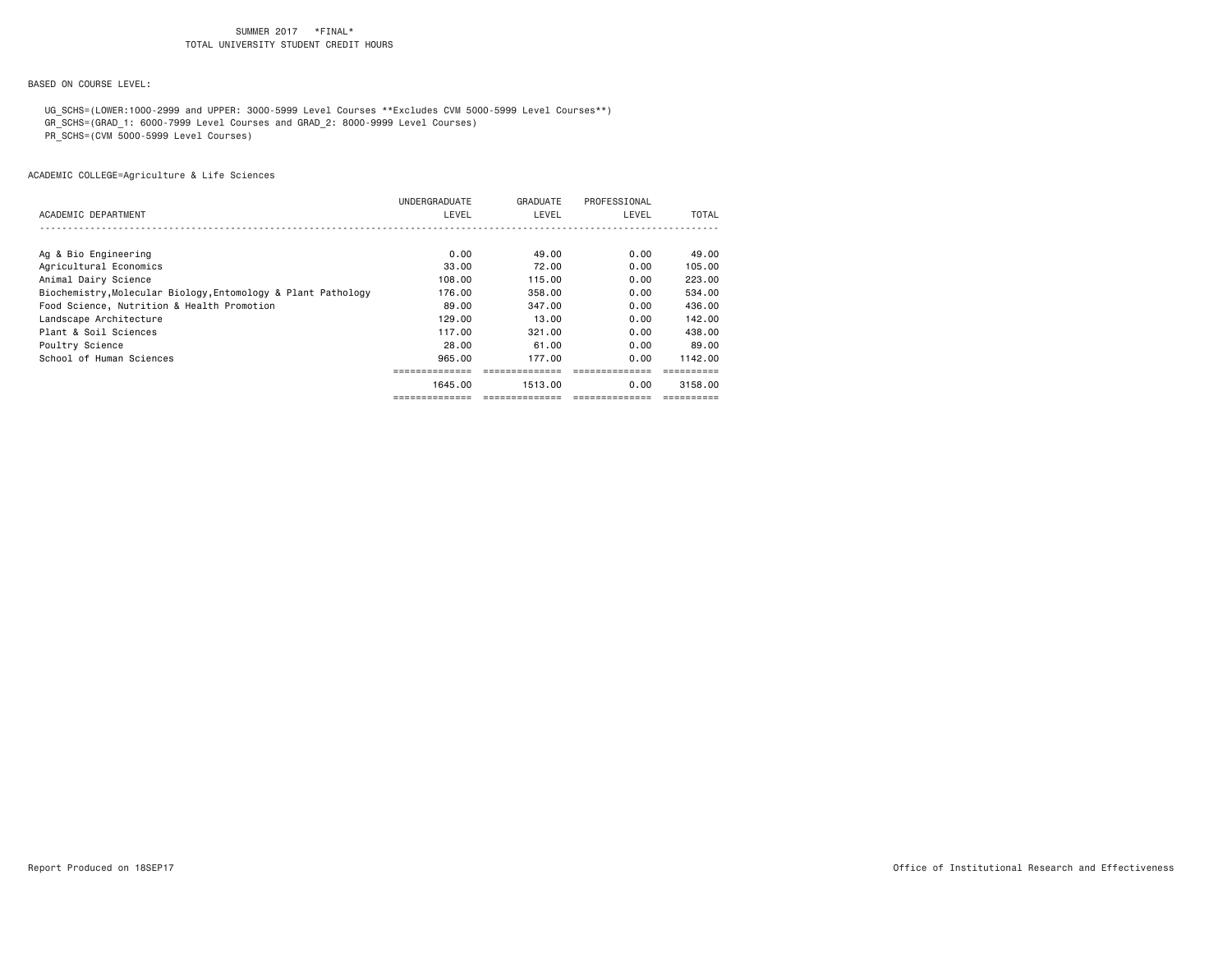BASED ON COURSE LEVEL:

UG\_SCHS=(LOWER:1000-2999 and UPPER: 3000-5999 Level Courses \*\*Excludes CVM 5000-5999 Level Courses\*\*)

GR\_SCHS=(GRAD\_1: 6000-7999 Level Courses and GRAD\_2: 8000-9999 Level Courses)

PR\_SCHS=(CVM 5000-5999 Level Courses)

|                                                               | UNDERGRADUATE | GRADUATE | PROFESSIONAL |              |
|---------------------------------------------------------------|---------------|----------|--------------|--------------|
| ACADEMIC DEPARTMENT                                           | LEVEL         | LEVEL    | LEVEL        | <b>TOTAL</b> |
|                                                               |               |          |              |              |
| Ag & Bio Engineering                                          | 0.00          | 49.00    | 0.00         | 49.00        |
| Agricultural Economics                                        | 33.00         | 72.00    | 0.00         | 105.00       |
| Animal Dairy Science                                          | 108.00        | 115,00   | 0.00         | 223,00       |
| Biochemistry, Molecular Biology, Entomology & Plant Pathology | 176.00        | 358,00   | 0.00         | 534.00       |
| Food Science, Nutrition & Health Promotion                    | 89.00         | 347,00   | 0.00         | 436.00       |
| Landscape Architecture                                        | 129.00        | 13.00    | 0.00         | 142.00       |
| Plant & Soil Sciences                                         | 117,00        | 321,00   | 0.00         | 438,00       |
| Poultry Science                                               | 28.00         | 61.00    | 0.00         | 89.00        |
| School of Human Sciences                                      | 965,00        | 177.00   | 0.00         | 1142.00      |
|                                                               |               |          |              |              |
|                                                               | 1645.00       | 1513.00  | 0.00         | 3158.00      |
|                                                               |               |          |              |              |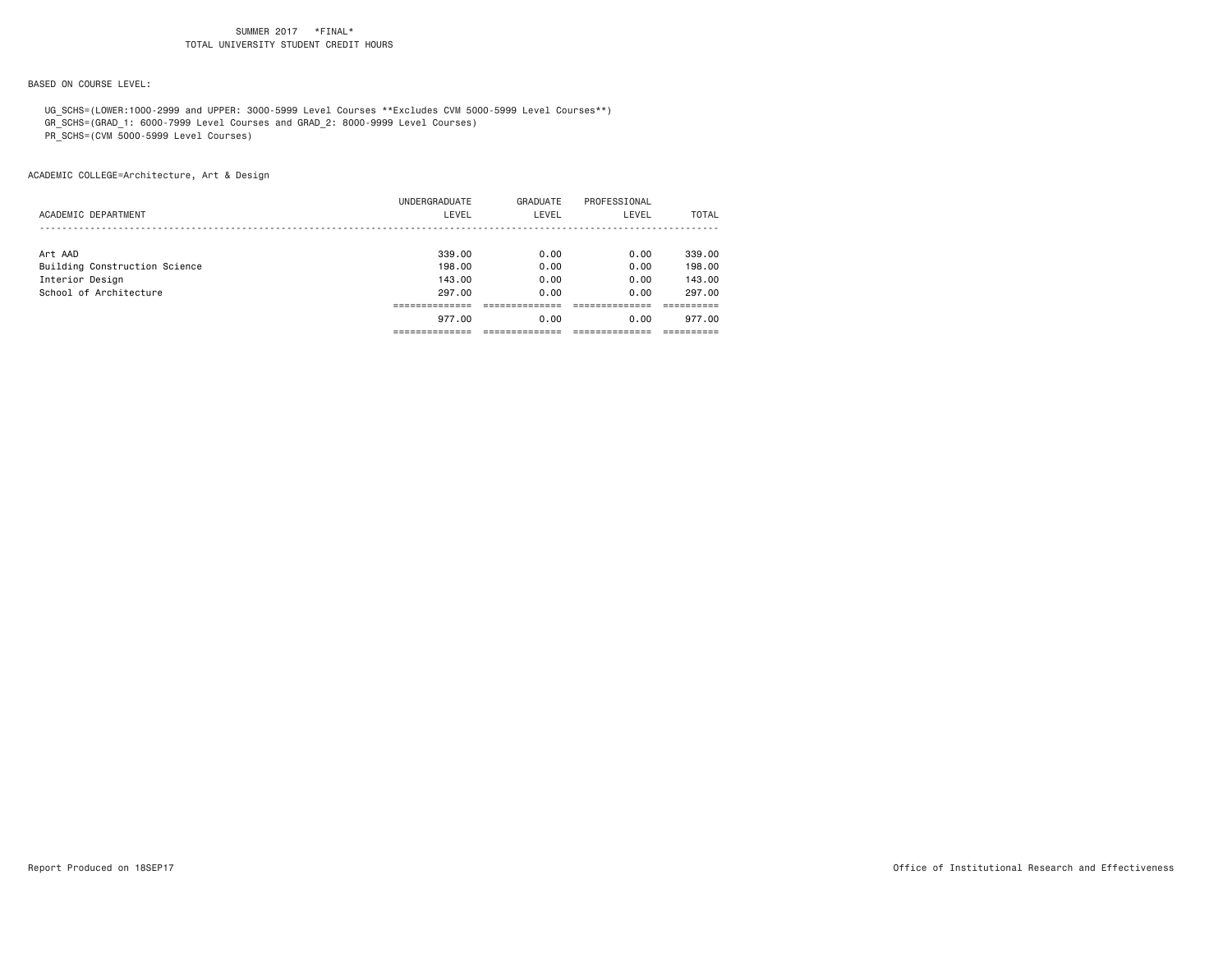BASED ON COURSE LEVEL:

UG\_SCHS=(LOWER:1000-2999 and UPPER: 3000-5999 Level Courses \*\*Excludes CVM 5000-5999 Level Courses\*\*)

GR\_SCHS=(GRAD\_1: 6000-7999 Level Courses and GRAD\_2: 8000-9999 Level Courses)

PR\_SCHS=(CVM 5000-5999 Level Courses)

|                               | UNDERGRADUATE | GRADUATE | PROFESSIONAL |              |
|-------------------------------|---------------|----------|--------------|--------------|
| ACADEMIC DEPARTMENT           | LEVEL         | LEVEL    | LEVEL        | <b>TOTAL</b> |
|                               |               |          |              |              |
| Art AAD                       | 339,00        | 0.00     | 0.00         | 339,00       |
| Building Construction Science | 198,00        | 0.00     | 0.00         | 198.00       |
| Interior Design               | 143,00        | 0.00     | 0.00         | 143.00       |
| School of Architecture        | 297.00        | 0.00     | 0.00         | 297.00       |
|                               |               |          |              |              |
|                               | 977.00        | 0.00     | 0.00         | 977.00       |
|                               |               |          |              |              |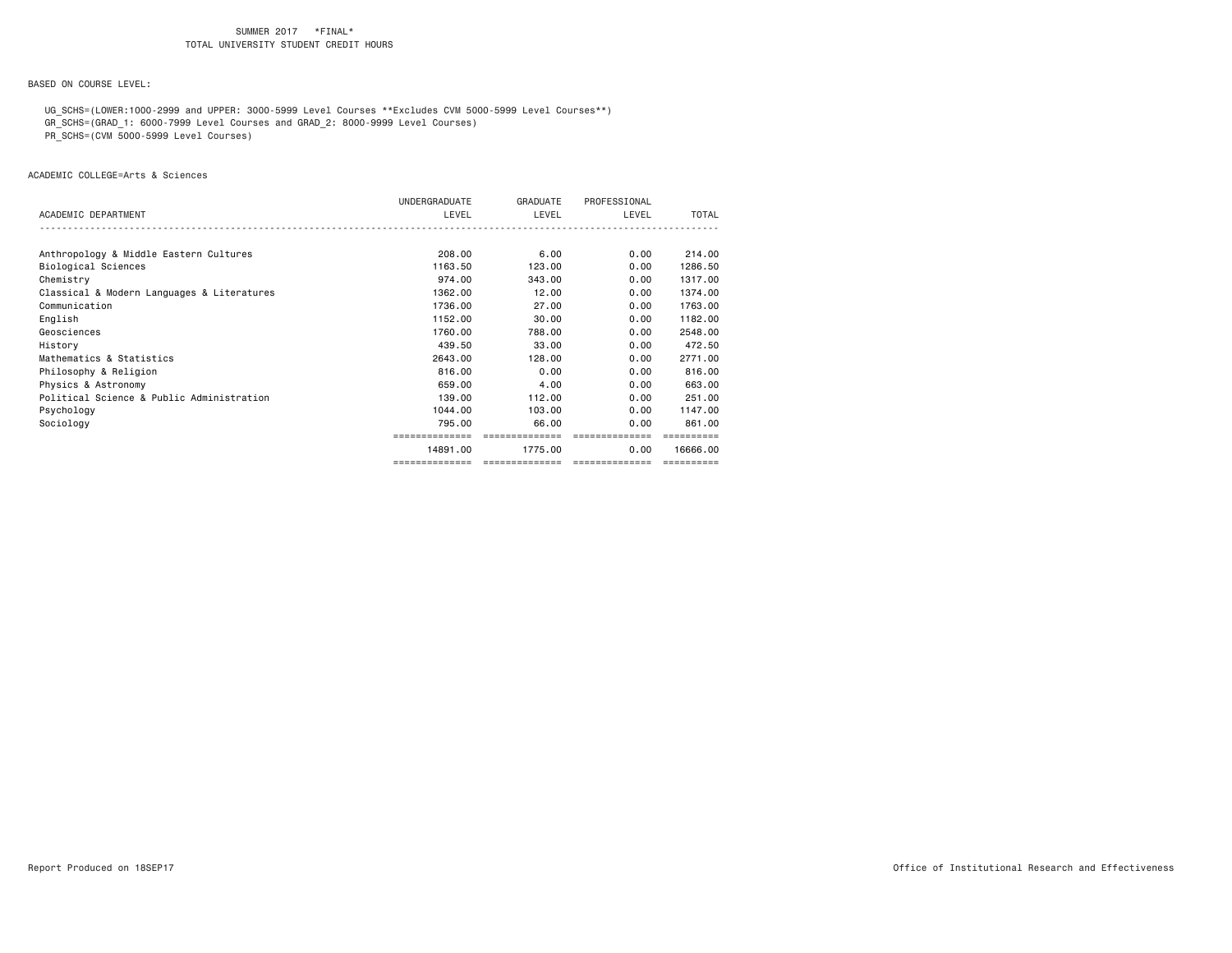BASED ON COURSE LEVEL:

UG\_SCHS=(LOWER:1000-2999 and UPPER: 3000-5999 Level Courses \*\*Excludes CVM 5000-5999 Level Courses\*\*)

GR\_SCHS=(GRAD\_1: 6000-7999 Level Courses and GRAD\_2: 8000-9999 Level Courses)

PR\_SCHS=(CVM 5000-5999 Level Courses)

ACADEMIC COLLEGE=Arts & Sciences

|                                            | UNDERGRADUATE  | GRADUATE        | PROFESSIONAL    |             |
|--------------------------------------------|----------------|-----------------|-----------------|-------------|
| ACADEMIC DEPARTMENT                        | LEVEL          | LEVEL           | LEVEL           | TOTAL       |
|                                            |                |                 |                 |             |
| Anthropology & Middle Eastern Cultures     | 208,00         | 6.00            | 0.00            | 214.00      |
| Biological Sciences                        | 1163.50        | 123,00          | 0.00            | 1286.50     |
| Chemistry                                  | 974.00         | 343,00          | 0.00            | 1317,00     |
| Classical & Modern Languages & Literatures | 1362.00        | 12.00           | 0.00            | 1374.00     |
| Communication                              | 1736.00        | 27.00           | 0.00            | 1763.00     |
| English                                    | 1152.00        | 30.00           | 0.00            | 1182.00     |
| Geosciences                                | 1760.00        | 788.00          | 0.00            | 2548.00     |
| History                                    | 439.50         | 33,00           | 0.00            | 472.50      |
| Mathematics & Statistics                   | 2643.00        | 128,00          | 0.00            | 2771.00     |
| Philosophy & Religion                      | 816,00         | 0.00            | 0.00            | 816,00      |
| Physics & Astronomy                        | 659,00         | 4.00            | 0.00            | 663,00      |
| Political Science & Public Administration  | 139,00         | 112,00          | 0.00            | 251,00      |
| Psychology                                 | 1044.00        | 103,00          | 0.00            | 1147.00     |
| Sociology                                  | 795.00         | 66.00           | 0.00            | 861,00      |
|                                            |                | ==============  | ==============  |             |
|                                            | 14891.00       | 1775.00         | 0.00            | 16666,00    |
|                                            | ============== | --------------- | --------------- | ----------- |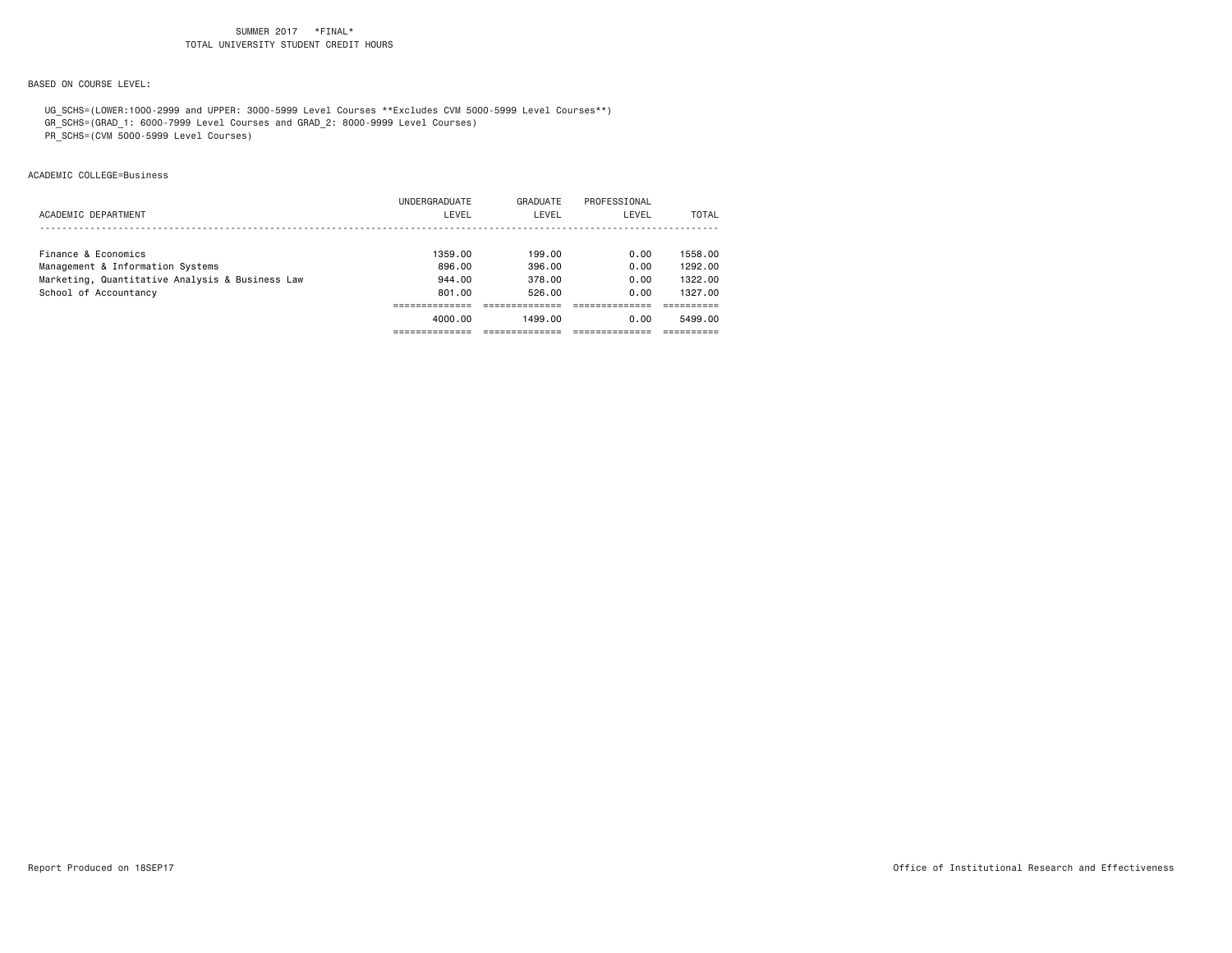BASED ON COURSE LEVEL:

 UG\_SCHS=(LOWER:1000-2999 and UPPER: 3000-5999 Level Courses \*\*Excludes CVM 5000-5999 Level Courses\*\*) GR\_SCHS=(GRAD\_1: 6000-7999 Level Courses and GRAD\_2: 8000-9999 Level Courses)

PR\_SCHS=(CVM 5000-5999 Level Courses)

ACADEMIC COLLEGE=Business

|                                                 | 4000.00              | 1499.00  | 0.00         | 5499.00 |
|-------------------------------------------------|----------------------|----------|--------------|---------|
|                                                 |                      |          |              |         |
| School of Accountancy                           | 801.00               | 526.00   | 0.00         | 1327.00 |
| Marketing, Quantitative Analysis & Business Law | 944.00               | 378.00   | 0.00         | 1322.00 |
| Management & Information Systems                | 896,00               | 396,00   | 0.00         | 1292.00 |
| Finance & Economics                             | 1359.00              | 199.00   | 0.00         | 1558.00 |
|                                                 |                      |          |              |         |
| ACADEMIC DEPARTMENT                             | LEVEL                | LEVEL    | LEVEL        | TOTAL   |
|                                                 | <b>UNDERGRADUATE</b> | GRADUATE | PROFESSIONAL |         |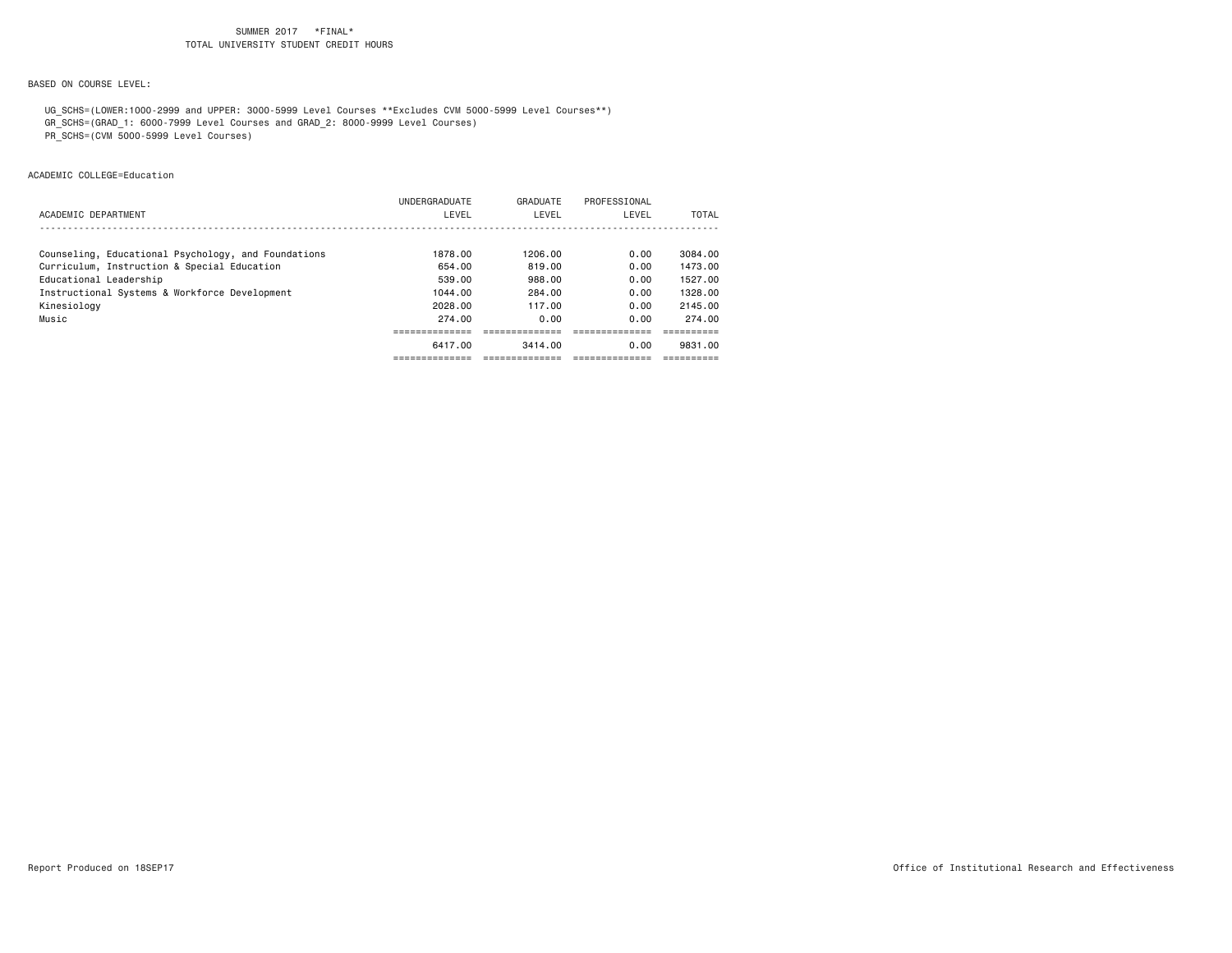BASED ON COURSE LEVEL:

 UG\_SCHS=(LOWER:1000-2999 and UPPER: 3000-5999 Level Courses \*\*Excludes CVM 5000-5999 Level Courses\*\*) GR\_SCHS=(GRAD\_1: 6000-7999 Level Courses and GRAD\_2: 8000-9999 Level Courses)

PR\_SCHS=(CVM 5000-5999 Level Courses)

ACADEMIC COLLEGE=Education

|                                                     | 6417.00       | 3414.00  | 0.00         | 9831.00 |
|-----------------------------------------------------|---------------|----------|--------------|---------|
|                                                     |               |          |              |         |
| Music                                               | 274.00        | 0.00     | 0.00         | 274.00  |
| Kinesiology                                         | 2028.00       | 117.00   | 0.00         | 2145.00 |
| Instructional Systems & Workforce Development       | 1044.00       | 284.00   | 0.00         | 1328.00 |
| Educational Leadership                              | 539.00        | 988.00   | 0.00         | 1527.00 |
| Curriculum, Instruction & Special Education         | 654.00        | 819.00   | 0.00         | 1473.00 |
| Counseling, Educational Psychology, and Foundations | 1878.00       | 1206.00  | 0.00         | 3084.00 |
|                                                     |               |          |              |         |
| ACADEMIC DEPARTMENT                                 | LEVEL         | LEVEL    | LEVEL        | TOTAL   |
|                                                     | UNDERGRADUATE | GRADUATE | PROFESSIONAL |         |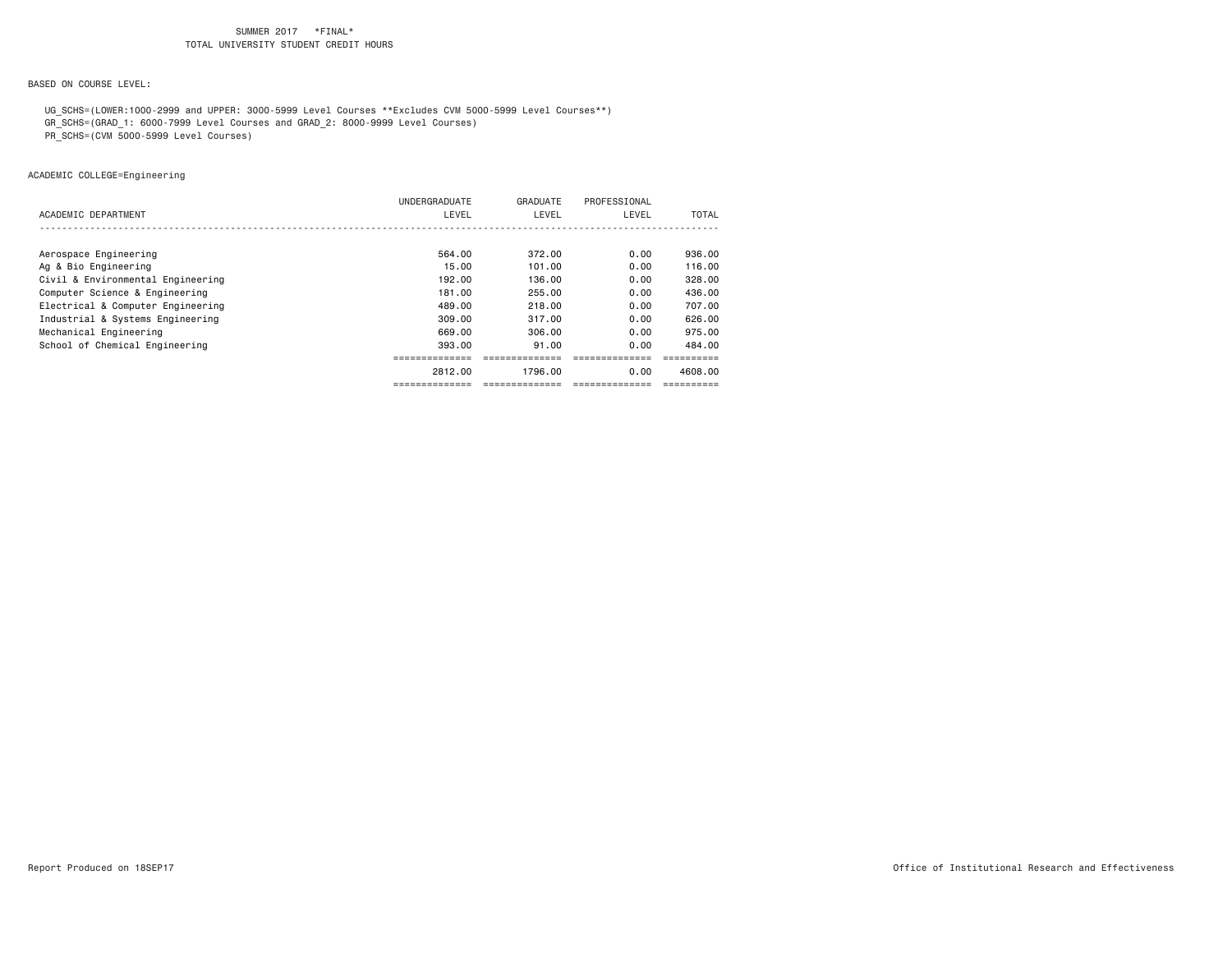BASED ON COURSE LEVEL:

UG\_SCHS=(LOWER:1000-2999 and UPPER: 3000-5999 Level Courses \*\*Excludes CVM 5000-5999 Level Courses\*\*)

GR\_SCHS=(GRAD\_1: 6000-7999 Level Courses and GRAD\_2: 8000-9999 Level Courses)

PR\_SCHS=(CVM 5000-5999 Level Courses)

ACADEMIC COLLEGE=Engineering

|                                   | UNDERGRADUATE | GRADUATE | PROFESSIONAL |         |
|-----------------------------------|---------------|----------|--------------|---------|
| ACADEMIC DEPARTMENT               | LEVEL         | LEVEL    | LEVEL        | TOTAL   |
|                                   |               |          |              |         |
|                                   |               |          |              |         |
| Aerospace Engineering             | 564.00        | 372.00   | 0.00         | 936.00  |
| Ag & Bio Engineering              | 15.00         | 101.00   | 0.00         | 116,00  |
| Civil & Environmental Engineering | 192.00        | 136.00   | 0.00         | 328,00  |
| Computer Science & Engineering    | 181.00        | 255,00   | 0.00         | 436,00  |
| Electrical & Computer Engineering | 489.00        | 218.00   | 0.00         | 707.00  |
| Industrial & Systems Engineering  | 309,00        | 317.00   | 0.00         | 626,00  |
| Mechanical Engineering            | 669.00        | 306.00   | 0.00         | 975.00  |
| School of Chemical Engineering    | 393.00        | 91.00    | 0.00         | 484.00  |
|                                   |               |          |              |         |
|                                   | 2812.00       | 1796.00  | 0.00         | 4608.00 |
|                                   |               |          |              |         |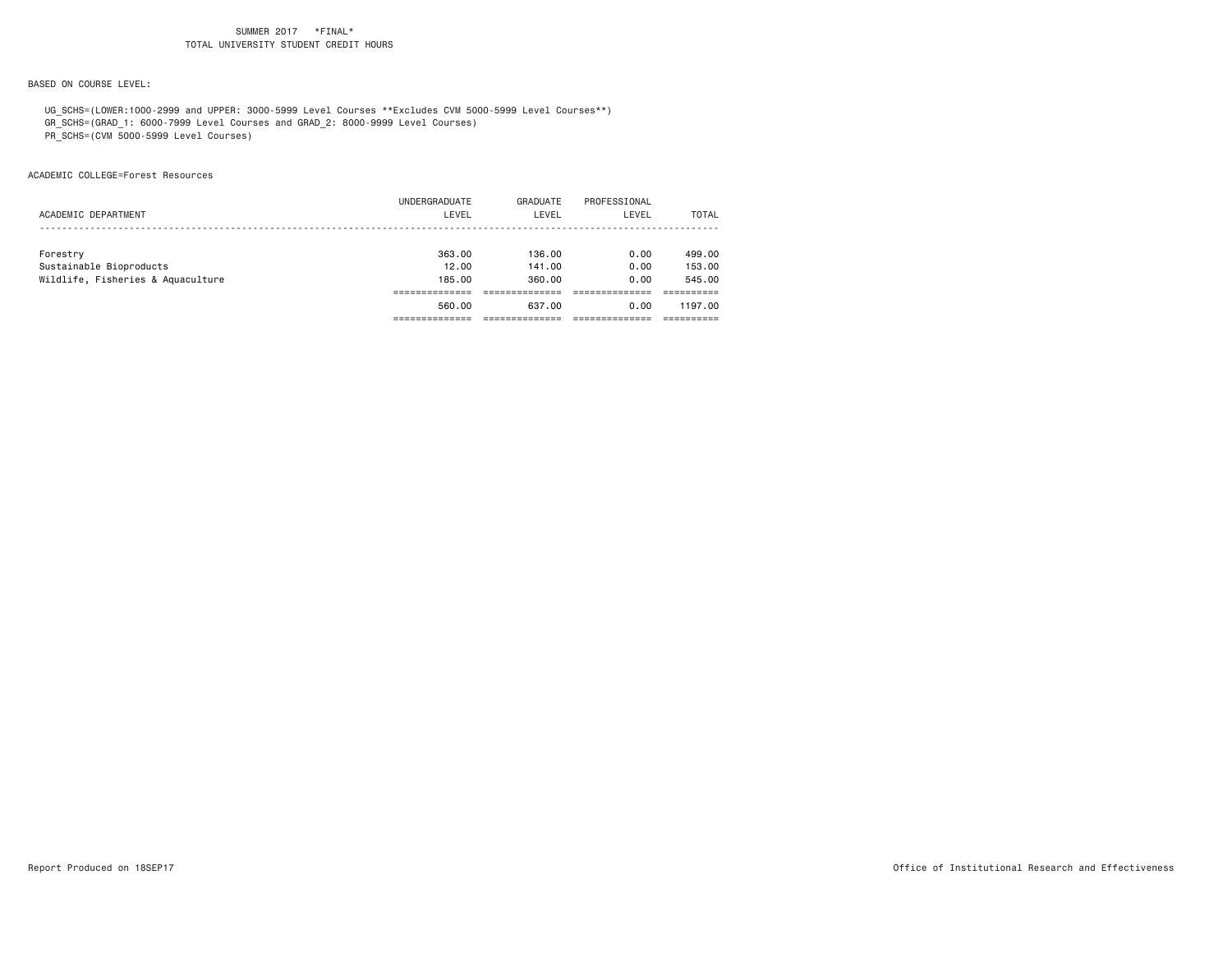BASED ON COURSE LEVEL:

UG\_SCHS=(LOWER:1000-2999 and UPPER: 3000-5999 Level Courses \*\*Excludes CVM 5000-5999 Level Courses\*\*)

GR\_SCHS=(GRAD\_1: 6000-7999 Level Courses and GRAD\_2: 8000-9999 Level Courses)

PR\_SCHS=(CVM 5000-5999 Level Courses)

ACADEMIC COLLEGE=Forest Resources

|                                   | 560.00        | 637.00   | 0.00         | 1197.00 |
|-----------------------------------|---------------|----------|--------------|---------|
|                                   |               |          |              |         |
| Wildlife, Fisheries & Aquaculture | 185.00        | 360.00   | 0.00         | 545.00  |
| Sustainable Bioproducts           | 12.00         | 141.00   | 0.00         | 153,00  |
| Forestry                          | 363,00        | 136.00   | 0.00         | 499,00  |
|                                   |               |          |              |         |
| ACADEMIC DEPARTMENT               | LEVEL         | LEVEL    | LEVEL        | TOTAL   |
|                                   | UNDERGRADUATE | GRADUATE | PROFESSIONAL |         |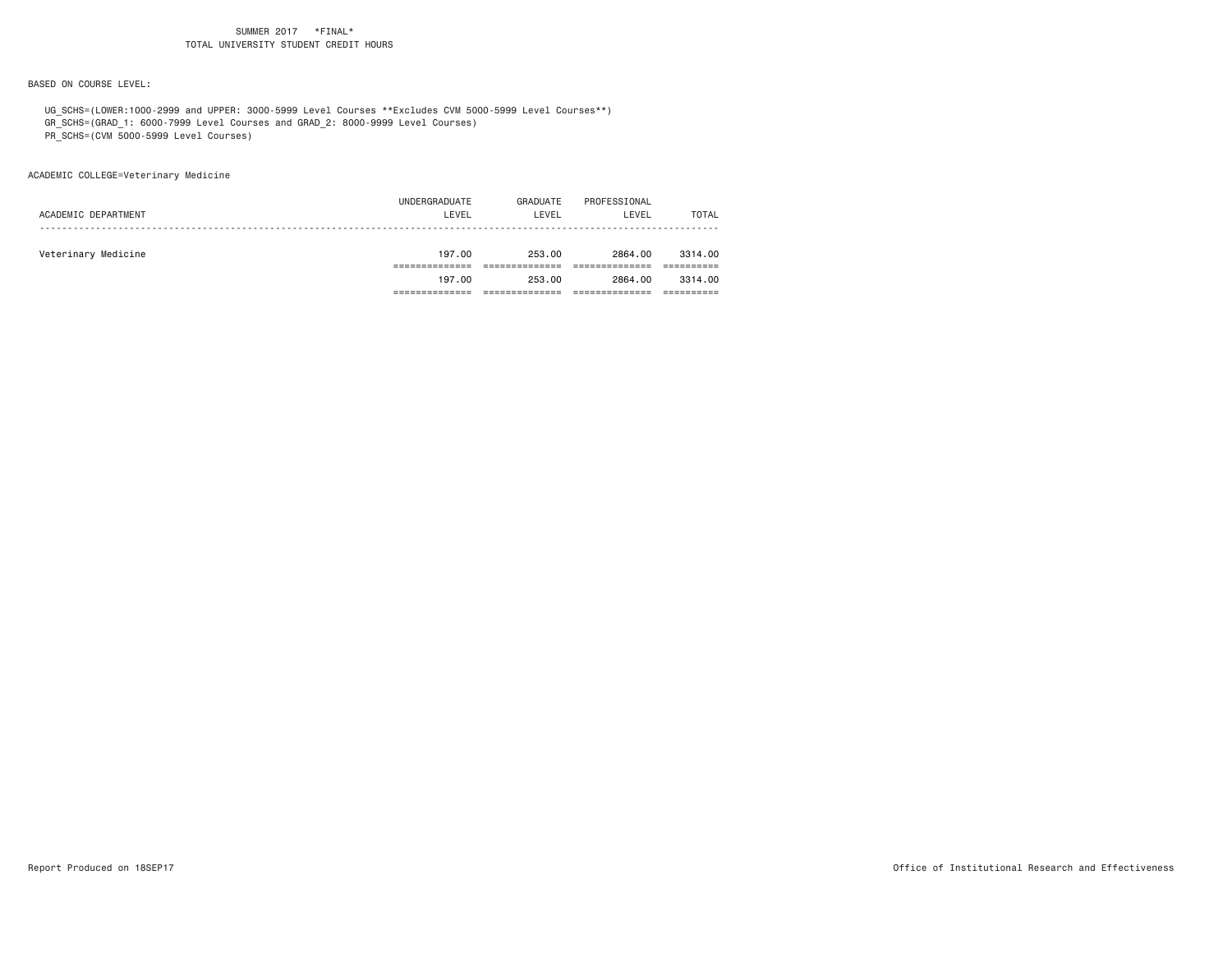BASED ON COURSE LEVEL:

UG\_SCHS=(LOWER:1000-2999 and UPPER: 3000-5999 Level Courses \*\*Excludes CVM 5000-5999 Level Courses\*\*)

GR\_SCHS=(GRAD\_1: 6000-7999 Level Courses and GRAD\_2: 8000-9999 Level Courses)

PR\_SCHS=(CVM 5000-5999 Level Courses)

ACADEMIC COLLEGE=Veterinary Medicine

|                     | UNDERGRADUATE | GRADUATE | PROFESSIONAL |         |
|---------------------|---------------|----------|--------------|---------|
| ACADEMIC DEPARTMENT | LEVEL         | LEVEL    | LEVEL        | TOTAL   |
|                     |               |          |              |         |
| Veterinary Medicine | 197.00        | 253,00   | 2864.00      | 3314.00 |
|                     |               |          |              |         |
|                     | 197.00        | 253.00   | 2864.00      | 3314.00 |
|                     |               |          |              |         |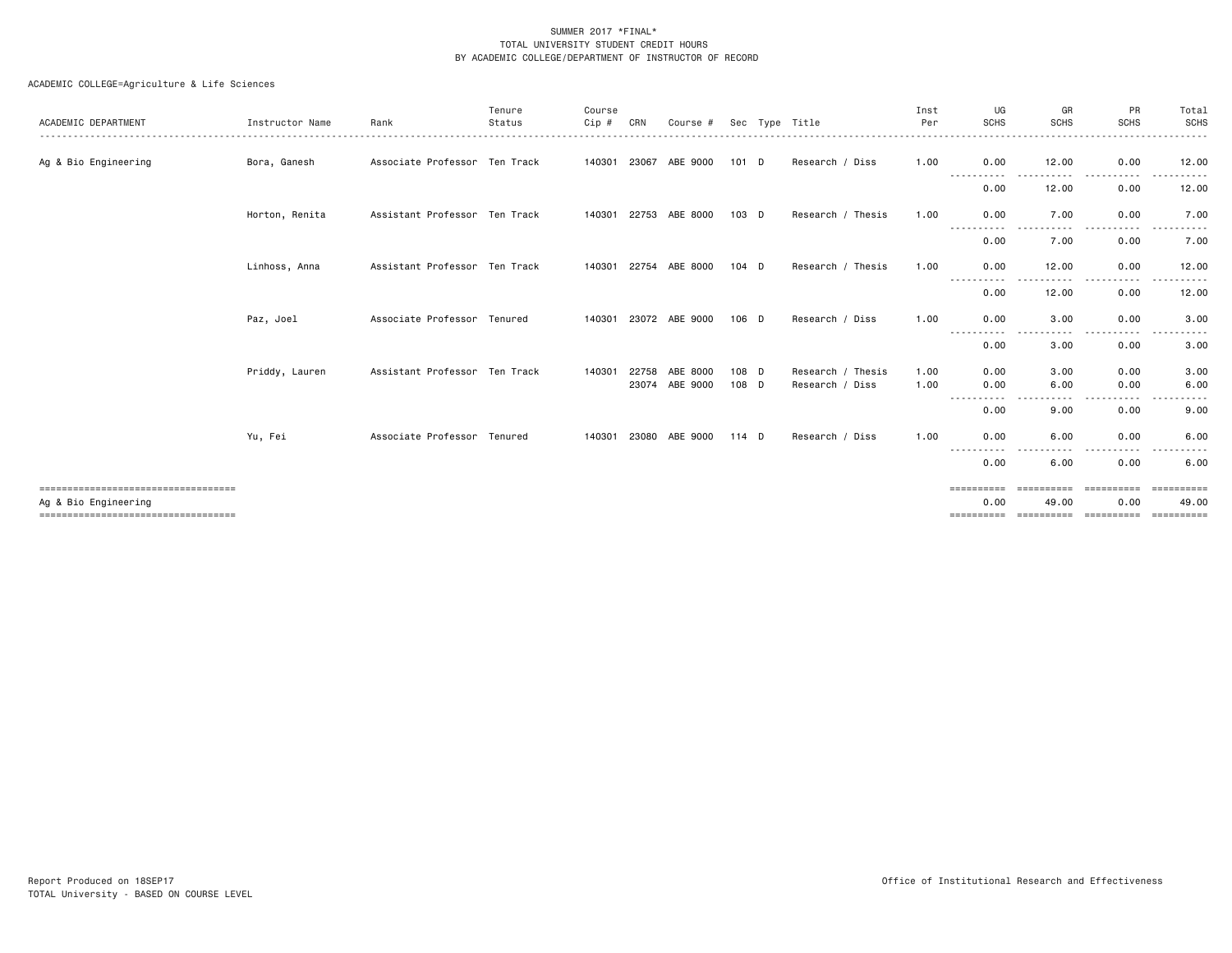| ACADEMIC DEPARTMENT                                                                                    | Instructor Name | Rank                          | Tenure<br>Status | Course<br>Cip # | CRN            | Course #              |                | Sec Type Title                       | Inst<br>Per  | UG<br><b>SCHS</b>    | GR<br><b>SCHS</b>                 | PR<br><b>SCHS</b><br><u>.</u>      | Total<br>SCHS<br>.                |
|--------------------------------------------------------------------------------------------------------|-----------------|-------------------------------|------------------|-----------------|----------------|-----------------------|----------------|--------------------------------------|--------------|----------------------|-----------------------------------|------------------------------------|-----------------------------------|
| Ag & Bio Engineering                                                                                   | Bora, Ganesh    | Associate Professor Ten Track |                  | 140301 23067    |                | ABE 9000              | 101 D          | Research / Diss                      | 1.00         | 0.00                 | 12.00                             | 0.00<br>.                          | 12.00                             |
|                                                                                                        |                 |                               |                  |                 |                |                       |                |                                      |              | $\cdots$<br>0.00     | -----<br>12.00                    | 0.00                               | 12.00                             |
|                                                                                                        | Horton, Renita  | Assistant Professor Ten Track |                  | 140301 22753    |                | ABE 8000              | 103 D          | Research / Thesis                    | 1.00         | 0.00<br>$- - -$      | 7.00                              | 0.00<br>. <b>.</b> .               | 7.00                              |
|                                                                                                        |                 |                               |                  |                 |                |                       |                |                                      |              | 0.00                 | 7.00                              | 0.00                               | 7.00                              |
|                                                                                                        | Linhoss, Anna   | Assistant Professor Ten Track |                  | 140301 22754    |                | ABE 8000              | $104$ D        | Research / Thesis                    | 1.00         | 0.00<br>. <b>.</b> . | 12.00<br>.                        | 0.00<br>. <u>.</u> .               | 12.00                             |
|                                                                                                        |                 |                               |                  |                 |                |                       |                |                                      |              | 0.00                 | 12.00                             | 0.00                               | 12.00                             |
|                                                                                                        | Paz, Joel       | Associate Professor Tenured   |                  |                 |                | 140301 23072 ABE 9000 | 106 D          | Research / Diss                      | 1.00         | 0.00<br>----         | 3.00<br>$\frac{1}{2}$             | 0.00<br>.                          | 3.00                              |
|                                                                                                        |                 |                               |                  |                 |                |                       |                |                                      |              | 0.00                 | 3.00                              | 0.00                               | 3.00                              |
|                                                                                                        | Priddy, Lauren  | Assistant Professor Ten Track |                  | 140301          | 22758<br>23074 | ABE 8000<br>ABE 9000  | 108 D<br>108 D | Research / Thesis<br>Research / Diss | 1.00<br>1.00 | 0.00<br>0.00         | 3.00<br>6.00                      | 0.00<br>0.00                       | 3.00<br>6.00                      |
|                                                                                                        |                 |                               |                  |                 |                |                       |                |                                      |              | $- - -$<br>0.00      | 9.00                              | 0.00                               | 9.00                              |
|                                                                                                        | Yu, Fei         | Associate Professor Tenured   |                  | 140301          | 23080          | ABE 9000              | 114 D          | Research / Diss                      | 1.00         | 0.00                 | 6.00                              | 0.00                               | 6.00                              |
|                                                                                                        |                 |                               |                  |                 |                |                       |                |                                      |              | 0.00                 | 6.00                              | 0.00                               | 6.00                              |
| ======================================<br>Ag & Bio Engineering<br>==================================== |                 |                               |                  |                 |                |                       |                |                                      |              | 0.00<br>==========   | ==========<br>49.00<br>========== | -----------<br>0.00<br>----------- | ==========<br>49,00<br>========== |
|                                                                                                        |                 |                               |                  |                 |                |                       |                |                                      |              |                      |                                   |                                    |                                   |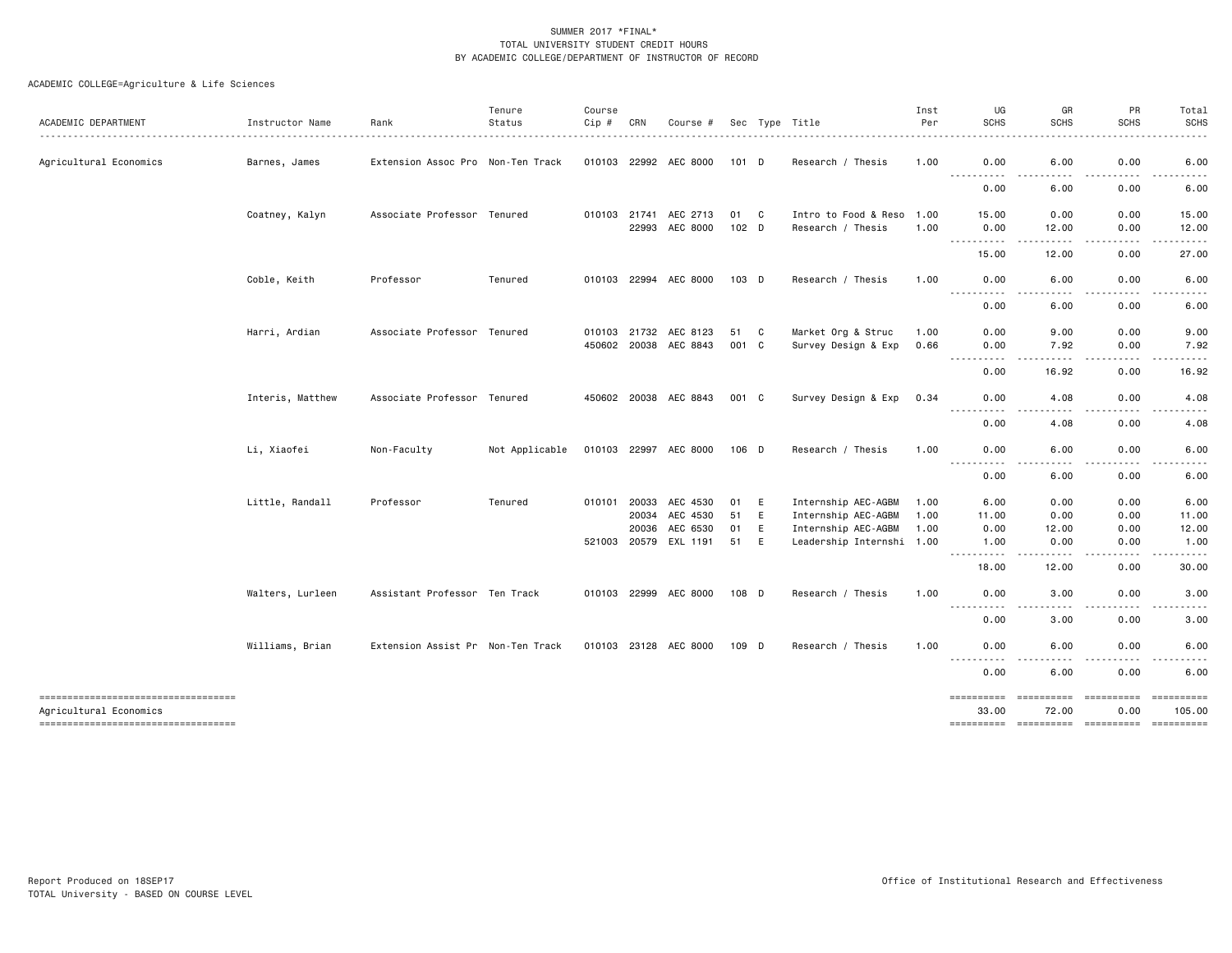|                                                              |                  |                                   | Tenure         | Course       |       |                       |       |   |                           | Inst | UG                                                                                                                                                                                                                                                                                        | GR                                             | PR            | Total       |
|--------------------------------------------------------------|------------------|-----------------------------------|----------------|--------------|-------|-----------------------|-------|---|---------------------------|------|-------------------------------------------------------------------------------------------------------------------------------------------------------------------------------------------------------------------------------------------------------------------------------------------|------------------------------------------------|---------------|-------------|
| ACADEMIC DEPARTMENT                                          | Instructor Name  | Rank                              | Status         | Cip #        | CRN   | Course #              |       |   | Sec Type Title            | Per  | <b>SCHS</b>                                                                                                                                                                                                                                                                               | <b>SCHS</b>                                    | <b>SCHS</b>   | <b>SCHS</b> |
| Agricultural Economics                                       | Barnes, James    | Extension Assoc Pro Non-Ten Track |                |              |       | 010103 22992 AEC 8000 | 101 D |   | Research / Thesis         | 1.00 | 0.00                                                                                                                                                                                                                                                                                      | 6.00<br>$\sim$ $\sim$ $\sim$ $\sim$<br>د د د د | 0.00          | 6.00        |
|                                                              |                  |                                   |                |              |       |                       |       |   |                           |      | ----------<br>0.00                                                                                                                                                                                                                                                                        | 6.00                                           | .<br>0.00     | 6.00        |
|                                                              | Coatney, Kalyn   | Associate Professor Tenured       |                |              |       | 010103 21741 AEC 2713 | 01 C  |   | Intro to Food & Reso      | 1.00 | 15.00                                                                                                                                                                                                                                                                                     | 0.00                                           | 0.00          | 15.00       |
|                                                              |                  |                                   |                |              | 22993 | AEC 8000              | 102 D |   | Research / Thesis         | 1.00 | 0.00<br>$- - - - -$                                                                                                                                                                                                                                                                       | 12.00<br><u>.</u>                              | 0.00<br>.     | 12.00<br>.  |
|                                                              |                  |                                   |                |              |       |                       |       |   |                           |      | 15.00                                                                                                                                                                                                                                                                                     | 12.00                                          | 0.00          | 27.00       |
|                                                              | Coble, Keith     | Professor                         | Tenured        |              |       | 010103 22994 AEC 8000 | 103 D |   | Research / Thesis         | 1.00 | 0.00<br><u>.</u>                                                                                                                                                                                                                                                                          | 6.00<br>. <b>.</b>                             | 0.00<br>.     | 6.00        |
|                                                              |                  |                                   |                |              |       |                       |       |   |                           |      | 0.00                                                                                                                                                                                                                                                                                      | 6.00                                           | 0.00          | 6.00        |
|                                                              | Harri, Ardian    | Associate Professor Tenured       |                | 010103 21732 |       | AEC 8123              | 51    | C | Market Org & Struc        | 1.00 | 0.00                                                                                                                                                                                                                                                                                      | 9.00                                           | 0.00          | 9.00        |
|                                                              |                  |                                   |                |              |       | 450602 20038 AEC 8843 | 001 C |   | Survey Design & Exp       | 0.66 | 0.00<br>د د د د<br>$\frac{1}{2} \left( \frac{1}{2} \right) \left( \frac{1}{2} \right) \left( \frac{1}{2} \right) \left( \frac{1}{2} \right) \left( \frac{1}{2} \right)$                                                                                                                   | 7.92<br><u>.</u>                               | 0.00<br>----- | 7.92        |
|                                                              |                  |                                   |                |              |       |                       |       |   |                           |      | 0.00                                                                                                                                                                                                                                                                                      | 16.92                                          | 0.00          | 16.92       |
|                                                              | Interis, Matthew | Associate Professor Tenured       |                |              |       | 450602 20038 AEC 8843 | 001 C |   | Survey Design & Exp       | 0.34 | 0.00<br>.                                                                                                                                                                                                                                                                                 | 4.08<br>. <u>.</u> .                           | 0.00          | 4.08        |
|                                                              |                  |                                   |                |              |       |                       |       |   |                           |      | 0.00                                                                                                                                                                                                                                                                                      | 4.08                                           | 0.00          | 4.08        |
|                                                              | Li, Xiaofei      | Non-Faculty                       | Not Applicable |              |       | 010103 22997 AEC 8000 | 106 D |   | Research / Thesis         | 1.00 | 0.00<br>$\frac{1}{2}$<br>.                                                                                                                                                                                                                                                                | 6.00                                           | 0.00          | 6.00        |
|                                                              |                  |                                   |                |              |       |                       |       |   |                           |      | 0.00                                                                                                                                                                                                                                                                                      | 6.00                                           | 0.00          | 6.00        |
|                                                              | Little, Randall  | Professor                         | Tenured        | 010101 20033 |       | AEC 4530              | 01    | E | Internship AEC-AGBM       | 1.00 | 6.00                                                                                                                                                                                                                                                                                      | 0.00                                           | 0.00          | 6.00        |
|                                                              |                  |                                   |                |              | 20034 | AEC 4530              | 51    | E | Internship AEC-AGBM       | 1.00 | 11.00                                                                                                                                                                                                                                                                                     | 0.00                                           | 0.00          | 11.00       |
|                                                              |                  |                                   |                |              | 20036 | AEC 6530              | 01    | Ε | Internship AEC-AGBM       | 1.00 | 0.00                                                                                                                                                                                                                                                                                      | 12.00                                          | 0.00          | 12.00       |
|                                                              |                  |                                   |                |              |       | 521003 20579 EXL 1191 | 51    | E | Leadership Internshi 1.00 |      | 1.00<br>$\frac{1}{2} \left( \frac{1}{2} \right) \left( \frac{1}{2} \right) \left( \frac{1}{2} \right) \left( \frac{1}{2} \right) \left( \frac{1}{2} \right)$<br>$\frac{1}{2} \left( \frac{1}{2} \right) \left( \frac{1}{2} \right) \left( \frac{1}{2} \right) \left( \frac{1}{2} \right)$ | 0.00<br>-----                                  | 0.00<br>.     | 1.00        |
|                                                              |                  |                                   |                |              |       |                       |       |   |                           |      | 18.00                                                                                                                                                                                                                                                                                     | 12.00                                          | 0.00          | 30.00       |
|                                                              | Walters, Lurleen | Assistant Professor Ten Track     |                |              |       | 010103 22999 AEC 8000 | 108 D |   | Research / Thesis         | 1.00 | 0.00<br>----                                                                                                                                                                                                                                                                              | 3.00                                           | 0.00          | 3.00        |
|                                                              |                  |                                   |                |              |       |                       |       |   |                           |      | 0.00                                                                                                                                                                                                                                                                                      | 3.00                                           | 0.00          | 3.00        |
|                                                              | Williams, Brian  | Extension Assist Pr Non-Ten Track |                |              |       | 010103 23128 AEC 8000 | 109 D |   | Research / Thesis         | 1.00 | 0.00<br>$\cdots$                                                                                                                                                                                                                                                                          | 6.00                                           | 0.00          | 6.00        |
|                                                              |                  |                                   |                |              |       |                       |       |   |                           |      | 0.00                                                                                                                                                                                                                                                                                      | 6.00                                           | 0.00          | 6.00        |
| -----------------------------------                          |                  |                                   |                |              |       |                       |       |   |                           |      | ==========                                                                                                                                                                                                                                                                                |                                                |               | ==========  |
| Agricultural Economics<br>---------------------------------- |                  |                                   |                |              |       |                       |       |   |                           |      | 33.00<br>==========                                                                                                                                                                                                                                                                       | 72.00<br>========== ==========                 | 0.00          | 105.00      |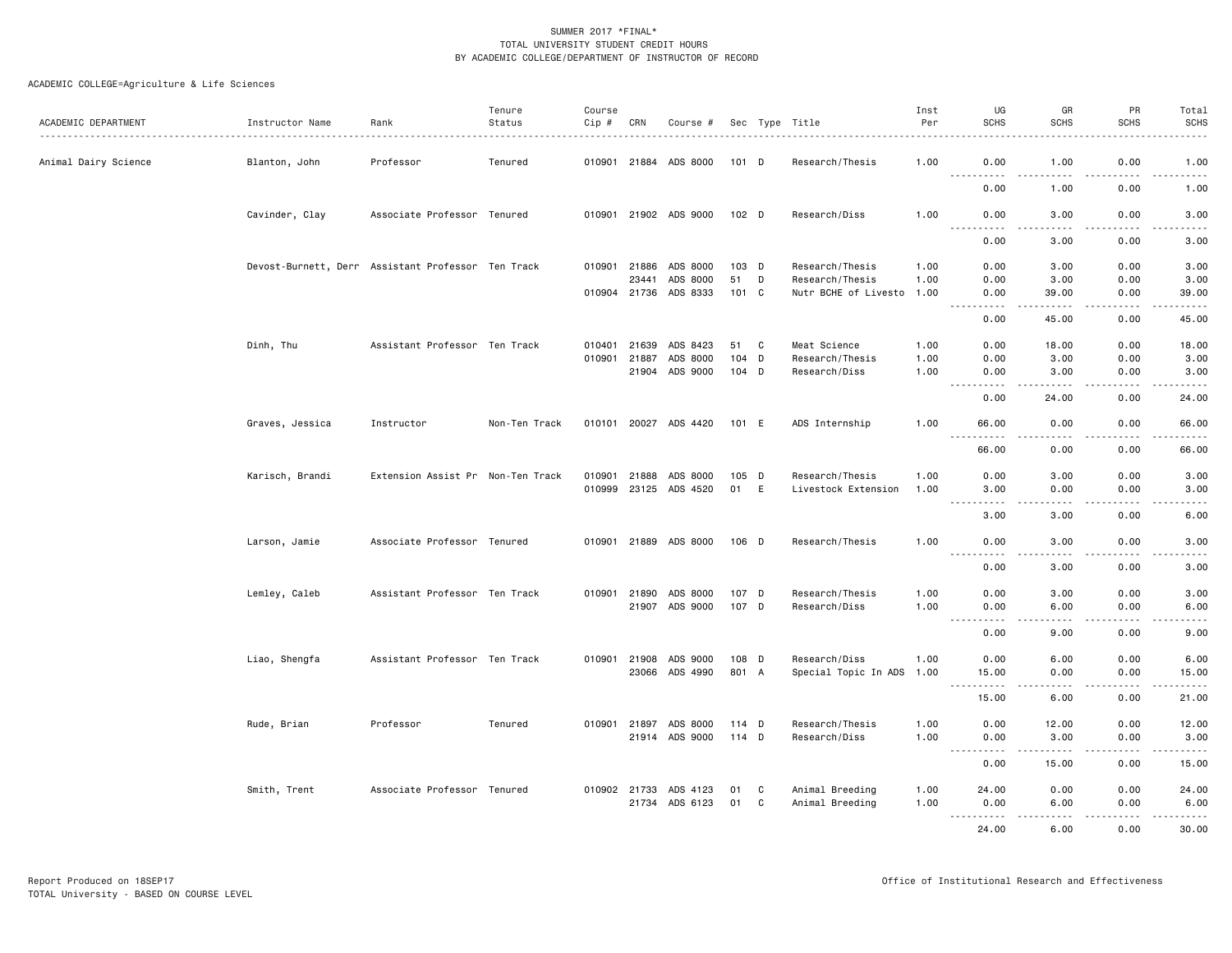| ACADEMIC DEPARTMENT  | Instructor Name                                    | Rank                              | Tenure<br>Status | Course<br>Cip # | CRN          | Course #              |                  |   | Sec Type Title<br>.       | Inst<br>Per | UG<br><b>SCHS</b>                                                                                            | GR<br><b>SCHS</b>                                                                                                                                             | PR<br><b>SCHS</b> | Total<br><b>SCHS</b>  |
|----------------------|----------------------------------------------------|-----------------------------------|------------------|-----------------|--------------|-----------------------|------------------|---|---------------------------|-------------|--------------------------------------------------------------------------------------------------------------|---------------------------------------------------------------------------------------------------------------------------------------------------------------|-------------------|-----------------------|
| Animal Dairy Science | Blanton, John                                      | Professor                         | Tenured          |                 |              | 010901 21884 ADS 8000 | 101 D            |   | Research/Thesis           | 1.00        | 0.00                                                                                                         | 1.00                                                                                                                                                          | 0.00              | 1.00                  |
|                      |                                                    |                                   |                  |                 |              |                       |                  |   |                           |             | $\sim$ $\sim$ $\sim$<br>0.00                                                                                 | 1.00                                                                                                                                                          | 0.00              | -----<br>1.00         |
|                      | Cavinder, Clay                                     | Associate Professor Tenured       |                  |                 |              | 010901 21902 ADS 9000 | 102 <sub>D</sub> |   | Research/Diss             | 1.00        | 0.00                                                                                                         | 3.00                                                                                                                                                          | 0.00              | 3.00                  |
|                      |                                                    |                                   |                  |                 |              |                       |                  |   |                           |             | 0.00                                                                                                         | $- - - -$<br>3.00                                                                                                                                             | $- - - -$<br>0.00 | .<br>3.00             |
|                      | Devost-Burnett, Derr Assistant Professor Ten Track |                                   |                  | 010901 21886    |              | ADS 8000              | 103 D            |   | Research/Thesis           | 1.00        | 0.00                                                                                                         | 3.00                                                                                                                                                          | 0.00              | 3.00                  |
|                      |                                                    |                                   |                  |                 | 23441        | ADS 8000              | 51               | D | Research/Thesis           | 1.00        | 0.00                                                                                                         | 3.00                                                                                                                                                          | 0.00              | 3.00                  |
|                      |                                                    |                                   |                  |                 | 010904 21736 | ADS 8333              | 101 C            |   | Nutr BCHE of Livesto      | 1.00        | 0.00<br>. <b>.</b><br>$  -$                                                                                  | 39,00<br>$\frac{1}{2} \left( \frac{1}{2} \right) \left( \frac{1}{2} \right) \left( \frac{1}{2} \right) \left( \frac{1}{2} \right) \left( \frac{1}{2} \right)$ | 0.00<br>.         | 39.00<br>عام ما ما ما |
|                      |                                                    |                                   |                  |                 |              |                       |                  |   |                           |             | 0.00                                                                                                         | 45.00                                                                                                                                                         | 0.00              | 45.00                 |
|                      | Dinh, Thu                                          | Assistant Professor Ten Track     |                  | 010401 21639    |              | ADS 8423              | 51               | C | Meat Science              | 1.00        | 0.00                                                                                                         | 18.00                                                                                                                                                         | 0.00              | 18.00                 |
|                      |                                                    |                                   |                  | 010901 21887    |              | ADS 8000              | 104              | D | Research/Thesis           | 1.00        | 0.00                                                                                                         | 3.00                                                                                                                                                          | 0.00              | 3.00                  |
|                      |                                                    |                                   |                  |                 | 21904        | ADS 9000              | 104 D            |   | Research/Diss             | 1.00        | 0.00<br>.                                                                                                    | 3.00<br>$\frac{1}{2} \left( \frac{1}{2} \right) \left( \frac{1}{2} \right) \left( \frac{1}{2} \right) \left( \frac{1}{2} \right) \left( \frac{1}{2} \right)$  | 0.00<br>.         | 3.00<br>.             |
|                      |                                                    |                                   |                  |                 |              |                       |                  |   |                           |             | 0.00                                                                                                         | 24.00                                                                                                                                                         | 0.00              | 24.00                 |
|                      | Graves, Jessica                                    | Instructor                        | Non-Ten Track    |                 |              | 010101 20027 ADS 4420 | 101 E            |   | ADS Internship            | 1.00        | 66.00                                                                                                        | 0.00                                                                                                                                                          | 0.00              | 66.00                 |
|                      |                                                    |                                   |                  |                 |              |                       |                  |   |                           |             | 66.00                                                                                                        | 0.00                                                                                                                                                          | 0.00              | 66.00                 |
|                      | Karisch, Brandi                                    | Extension Assist Pr Non-Ten Track |                  | 010901          | 21888        | ADS 8000              | 105 D            |   | Research/Thesis           | 1.00        | 0.00                                                                                                         | 3.00                                                                                                                                                          | 0.00              | 3.00                  |
|                      |                                                    |                                   |                  | 010999          | 23125        | ADS 4520              | 01               | E | Livestock Extension       | 1.00        | 3.00<br>.                                                                                                    | 0.00<br>$\frac{1}{2}$                                                                                                                                         | 0.00<br>$- - - -$ | 3.00<br>.             |
|                      |                                                    |                                   |                  |                 |              |                       |                  |   |                           |             | 3.00                                                                                                         | 3.00                                                                                                                                                          | 0.00              | 6.00                  |
|                      | Larson, Jamie                                      | Associate Professor Tenured       |                  |                 |              | 010901 21889 ADS 8000 | 106 D            |   | Research/Thesis           | 1.00        | 0.00                                                                                                         | 3.00                                                                                                                                                          | 0.00              | 3.00                  |
|                      |                                                    |                                   |                  |                 |              |                       |                  |   |                           |             | $\sim$ $\sim$ $\sim$<br>.<br>0.00                                                                            | 3.00                                                                                                                                                          | 0.00              | 3.00                  |
|                      | Lemley, Caleb                                      | Assistant Professor Ten Track     |                  | 010901 21890    |              | ADS 8000              | 107 D            |   | Research/Thesis           | 1.00        | 0.00                                                                                                         | 3.00                                                                                                                                                          | 0.00              | 3.00                  |
|                      |                                                    |                                   |                  |                 | 21907        | ADS 9000              | 107 D            |   | Research/Diss             | 1.00        | 0.00                                                                                                         | 6.00                                                                                                                                                          | 0.00              | 6.00                  |
|                      |                                                    |                                   |                  |                 |              |                       |                  |   |                           |             | 0.00                                                                                                         | 9.00                                                                                                                                                          | 0.00              | 9.00                  |
|                      | Liao, Shengfa                                      | Assistant Professor Ten Track     |                  |                 | 010901 21908 | ADS 9000              | 108 D            |   | Research/Diss             | 1.00        | 0.00                                                                                                         | 6.00                                                                                                                                                          | 0.00              | 6.00                  |
|                      |                                                    |                                   |                  |                 |              | 23066 ADS 4990        | 801 A            |   | Special Topic In ADS 1.00 |             | 15.00<br>.<br>$\frac{1}{2} \left( \frac{1}{2} \right) \left( \frac{1}{2} \right) \left( \frac{1}{2} \right)$ | 0.00<br>.                                                                                                                                                     | 0.00<br>.         | 15.00<br>.            |
|                      |                                                    |                                   |                  |                 |              |                       |                  |   |                           |             | 15.00                                                                                                        | 6.00                                                                                                                                                          | 0.00              | 21.00                 |
|                      | Rude, Brian                                        | Professor                         | Tenured          | 010901          | 21897        | ADS 8000              | 114 D            |   | Research/Thesis           | 1.00        | 0.00                                                                                                         | 12.00                                                                                                                                                         | 0.00              | 12.00                 |
|                      |                                                    |                                   |                  |                 |              | 21914 ADS 9000        | $114$ D          |   | Research/Diss             | 1.00        | 0.00                                                                                                         | 3.00                                                                                                                                                          | 0.00              | 3.00                  |
|                      |                                                    |                                   |                  |                 |              |                       |                  |   |                           |             | $\frac{1}{2}$<br>$- - - - - -$<br>0.00                                                                       | .<br>15.00                                                                                                                                                    | .<br>0.00         | .<br>15.00            |
|                      | Smith, Trent                                       | Associate Professor Tenured       |                  | 010902 21733    |              | ADS 4123              | 01               | C | Animal Breeding           | 1.00        | 24.00                                                                                                        | 0.00                                                                                                                                                          | 0.00              | 24.00                 |
|                      |                                                    |                                   |                  |                 | 21734        | ADS 6123              | 01               | C | Animal Breeding           | 1.00        | 0.00<br><u>.</u>                                                                                             | 6.00<br>.                                                                                                                                                     | 0.00<br>.         | 6.00<br>.             |
|                      |                                                    |                                   |                  |                 |              |                       |                  |   |                           |             | 24.00                                                                                                        | 6.00                                                                                                                                                          | 0.00              | 30.00                 |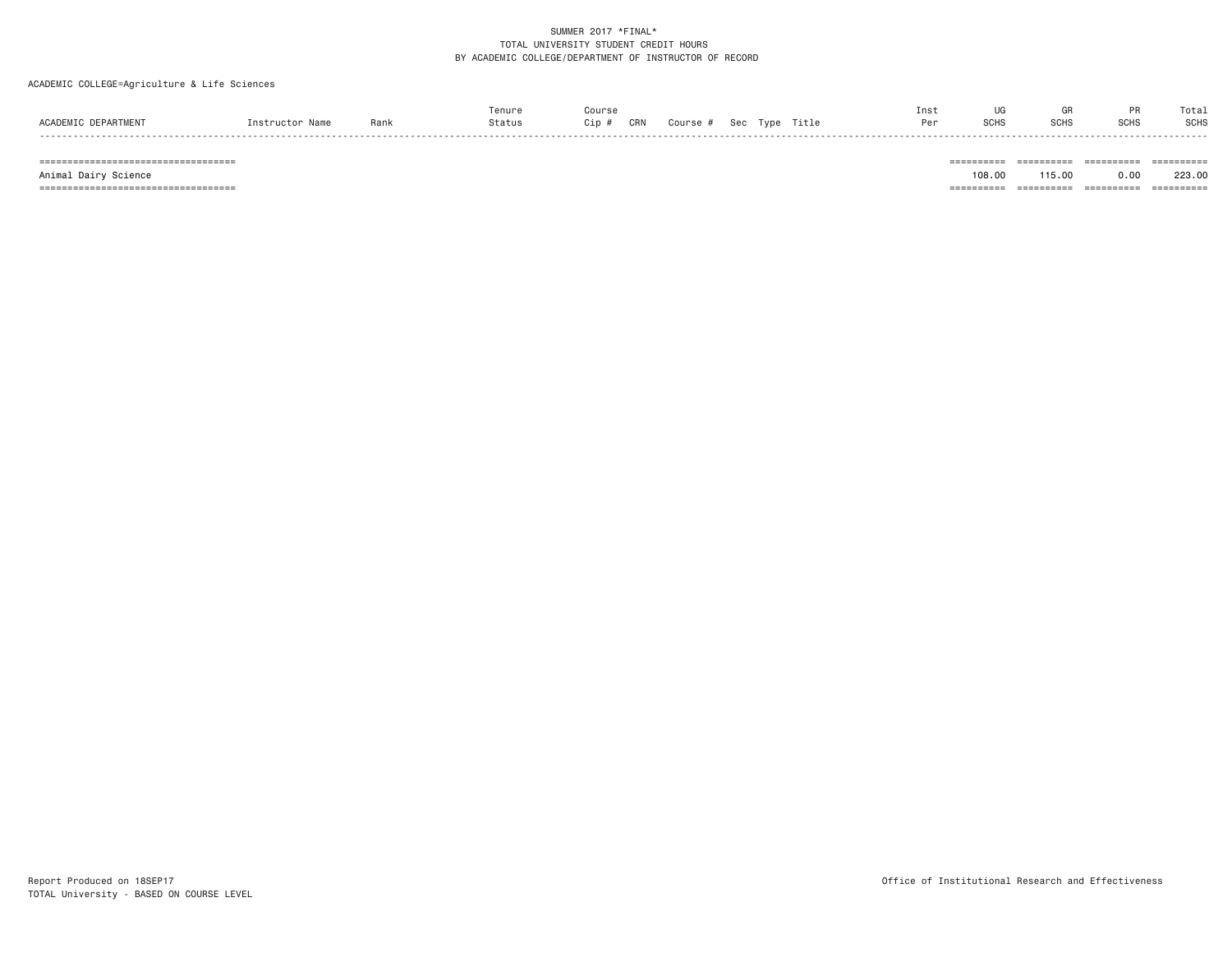### ACADEMIC COLLEGE=Agriculture & Life Sciences

|                     |                 |      | Tenure | Course       |                         |  | Inst |      |      |             | Total       |
|---------------------|-----------------|------|--------|--------------|-------------------------|--|------|------|------|-------------|-------------|
| ACADEMIC DEPARTMENT | Instructor Name | Rank | Status | Cip #<br>CRN | Course # Sec Type Title |  | Per  | SCH: | SCHS | <b>SCHS</b> | <b>SCHS</b> |
|                     |                 |      |        |              |                         |  |      |      |      |             |             |

 =================================== ========== ========== ========== ========== Animal Dairy Science 208.00 223.00 223.00 =================================== ========== ========== ========== ==========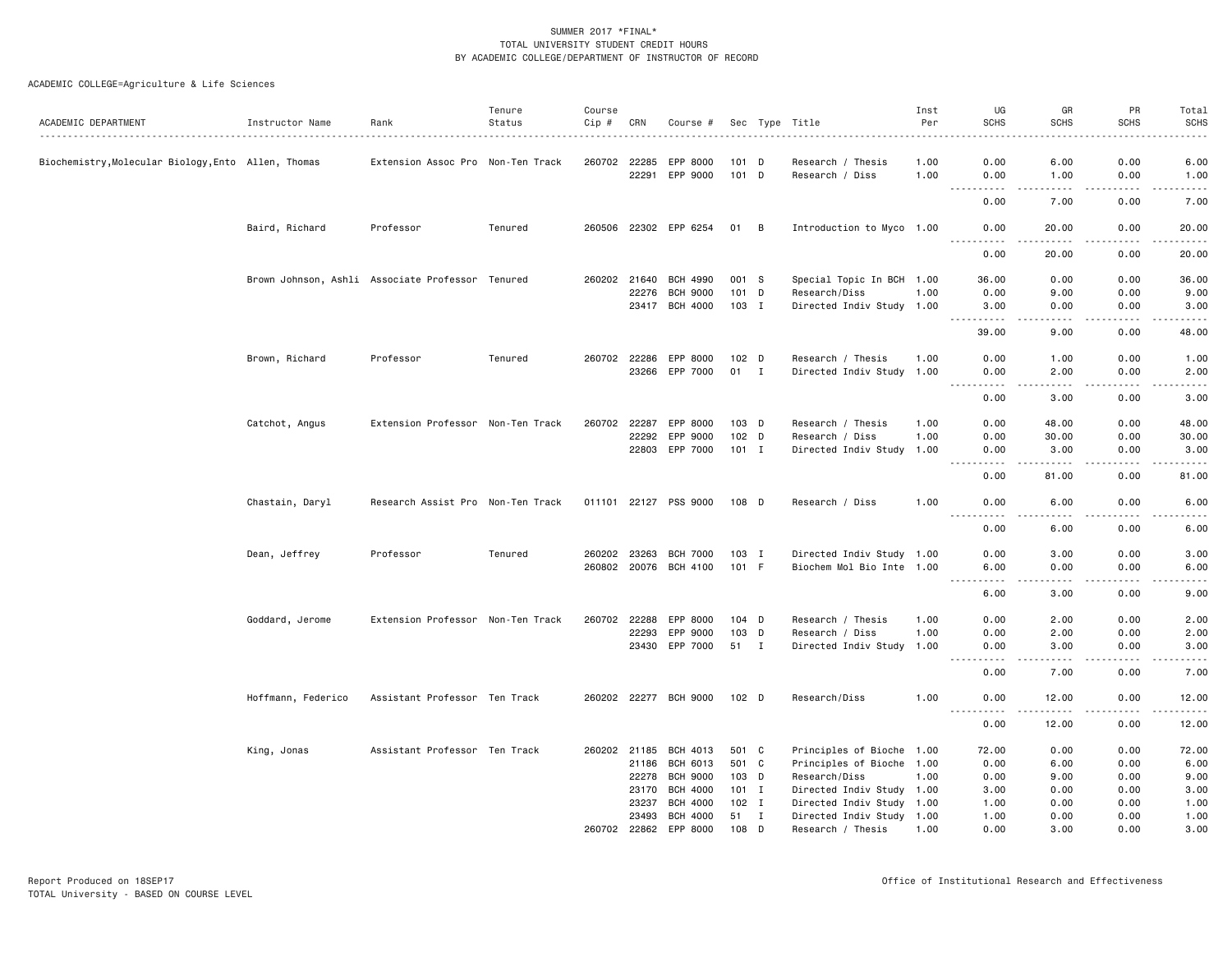| ACADEMIC DEPARTMENT                                 | Instructor Name    | Rank                                             | Tenure<br>Status | Course<br>Cip # | CRN                   | Course #              |                  |              | Sec Type Title                       | Inst<br>Per  | UG<br><b>SCHS</b>                                                                                           | GR<br><b>SCHS</b>                                                                                                                                            | PR<br><b>SCHS</b> | Total<br><b>SCHS</b>                                                                                                              |
|-----------------------------------------------------|--------------------|--------------------------------------------------|------------------|-----------------|-----------------------|-----------------------|------------------|--------------|--------------------------------------|--------------|-------------------------------------------------------------------------------------------------------------|--------------------------------------------------------------------------------------------------------------------------------------------------------------|-------------------|-----------------------------------------------------------------------------------------------------------------------------------|
| Biochemistry, Molecular Biology, Ento Allen, Thomas |                    | Extension Assoc Pro Non-Ten Track                |                  |                 | 260702 22285<br>22291 | EPP 8000<br>EPP 9000  | $101$ D<br>101 D |              | Research / Thesis<br>Research / Diss | 1.00<br>1.00 | 0.00<br>0.00                                                                                                | 6.00<br>1.00                                                                                                                                                 | 0.00<br>0.00      | 6.00<br>1.00                                                                                                                      |
|                                                     |                    |                                                  |                  |                 |                       |                       |                  |              |                                      |              | .<br>0.00                                                                                                   | .<br>7.00                                                                                                                                                    | .<br>0.00         | $\sim$ $\sim$ $\sim$ $\sim$ $\sim$<br>7.00                                                                                        |
|                                                     | Baird, Richard     | Professor                                        | Tenured          |                 |                       | 260506 22302 EPP 6254 | 01 B             |              | Introduction to Myco 1.00            |              | 0.00                                                                                                        | 20.00                                                                                                                                                        | 0.00              | 20.00                                                                                                                             |
|                                                     |                    |                                                  |                  |                 |                       |                       |                  |              |                                      |              | $\cdots$<br>0.00                                                                                            | 20.00                                                                                                                                                        | 0.00              | 20.00                                                                                                                             |
|                                                     |                    | Brown Johnson, Ashli Associate Professor Tenured |                  |                 | 260202 21640          | <b>BCH 4990</b>       | 001 S            |              | Special Topic In BCH 1.00            |              | 36.00                                                                                                       | 0.00                                                                                                                                                         | 0.00              | 36.00                                                                                                                             |
|                                                     |                    |                                                  |                  |                 | 22276                 | <b>BCH 9000</b>       | 101 D            |              | Research/Diss                        | 1.00         | 0.00                                                                                                        | 9.00                                                                                                                                                         | 0.00              | 9.00                                                                                                                              |
|                                                     |                    |                                                  |                  |                 |                       | 23417 BCH 4000        | 103 I            |              | Directed Indiv Study 1.00            |              | 3.00<br>$\frac{1}{2} \left( \frac{1}{2} \right) \left( \frac{1}{2} \right) \left( \frac{1}{2} \right)$<br>. | 0.00<br>.                                                                                                                                                    | 0.00<br>.         | 3.00<br>.                                                                                                                         |
|                                                     |                    |                                                  |                  |                 |                       |                       |                  |              |                                      |              | 39.00                                                                                                       | 9.00                                                                                                                                                         | 0.00              | 48.00                                                                                                                             |
|                                                     | Brown, Richard     | Professor                                        | Tenured          |                 | 260702 22286          | EPP 8000              | $102$ D          |              | Research / Thesis                    | 1.00         | 0.00                                                                                                        | 1.00                                                                                                                                                         | 0.00              | 1.00                                                                                                                              |
|                                                     |                    |                                                  |                  |                 |                       | 23266 EPP 7000        | 01 I             |              | Directed Indiv Study 1.00            |              | 0.00                                                                                                        | 2.00                                                                                                                                                         | 0.00              | 2.00                                                                                                                              |
|                                                     |                    |                                                  |                  |                 |                       |                       |                  |              |                                      |              | -----<br>0.00                                                                                               | .<br>3.00                                                                                                                                                    | .<br>0.00         | .<br>3.00                                                                                                                         |
|                                                     | Catchot, Angus     | Extension Professor Non-Ten Track                |                  | 260702          | 22287                 | EPP 8000              | 103 D            |              | Research / Thesis                    | 1.00         | 0.00                                                                                                        | 48.00                                                                                                                                                        | 0.00              | 48.00                                                                                                                             |
|                                                     |                    |                                                  |                  |                 | 22292                 | EPP 9000              | 102 <sub>D</sub> |              | Research / Diss                      | 1.00         | 0.00                                                                                                        | 30.00                                                                                                                                                        | 0.00              | 30.00                                                                                                                             |
|                                                     |                    |                                                  |                  |                 |                       | 22803 EPP 7000        | $101$ I          |              | Directed Indiv Study 1.00            |              | 0.00<br>.                                                                                                   | 3.00<br>$\frac{1}{2} \left( \frac{1}{2} \right) \left( \frac{1}{2} \right) \left( \frac{1}{2} \right) \left( \frac{1}{2} \right) \left( \frac{1}{2} \right)$ | 0.00<br>.         | 3.00<br>.                                                                                                                         |
|                                                     |                    |                                                  |                  |                 |                       |                       |                  |              |                                      |              | 0.00                                                                                                        | 81.00                                                                                                                                                        | 0.00              | 81.00                                                                                                                             |
|                                                     | Chastain, Daryl    | Research Assist Pro Non-Ten Track                |                  |                 |                       | 011101 22127 PSS 9000 | 108 D            |              | Research / Diss                      | 1.00         | 0.00                                                                                                        | 6.00                                                                                                                                                         | 0.00              | 6.00                                                                                                                              |
|                                                     |                    |                                                  |                  |                 |                       |                       |                  |              |                                      |              | 0.00                                                                                                        | 6.00                                                                                                                                                         | 0.00              | 6.00                                                                                                                              |
|                                                     | Dean, Jeffrey      | Professor                                        | Tenured          |                 | 260202 23263          | <b>BCH 7000</b>       | 103 I            |              | Directed Indiv Study 1.00            |              | 0.00                                                                                                        | 3.00                                                                                                                                                         | 0.00              | 3.00                                                                                                                              |
|                                                     |                    |                                                  |                  |                 |                       | 260802 20076 BCH 4100 | 101 F            |              | Biochem Mol Bio Inte 1.00            |              | 6.00                                                                                                        | 0.00                                                                                                                                                         | 0.00              | 6.00                                                                                                                              |
|                                                     |                    |                                                  |                  |                 |                       |                       |                  |              |                                      |              | .<br>6.00                                                                                                   | .<br>3.00                                                                                                                                                    | .<br>0.00         | $\frac{1}{2} \left( \frac{1}{2} \right) \left( \frac{1}{2} \right) \left( \frac{1}{2} \right) \left( \frac{1}{2} \right)$<br>9.00 |
|                                                     | Goddard, Jerome    | Extension Professor Non-Ten Track                |                  | 260702          | 22288                 | EPP 8000              | 104 D            |              | Research / Thesis                    | 1.00         | 0.00                                                                                                        | 2.00                                                                                                                                                         | 0.00              | 2.00                                                                                                                              |
|                                                     |                    |                                                  |                  |                 | 22293                 | EPP 9000              | 103 D            |              | Research / Diss                      | 1.00         | 0.00                                                                                                        | 2.00                                                                                                                                                         | 0.00              | 2.00                                                                                                                              |
|                                                     |                    |                                                  |                  |                 |                       | 23430 EPP 7000        | 51 I             |              | Directed Indiv Study 1.00            |              | 0.00                                                                                                        | 3.00<br>.                                                                                                                                                    | 0.00<br>-----     | 3.00                                                                                                                              |
|                                                     |                    |                                                  |                  |                 |                       |                       |                  |              |                                      |              | $\cdots$<br>0.00                                                                                            | 7.00                                                                                                                                                         | 0.00              | $\frac{1}{2} \left( \frac{1}{2} \right) \left( \frac{1}{2} \right) \left( \frac{1}{2} \right) \left( \frac{1}{2} \right)$<br>7.00 |
|                                                     | Hoffmann, Federico | Assistant Professor Ten Track                    |                  |                 |                       | 260202 22277 BCH 9000 | 102 D            |              | Research/Diss                        | 1.00         | 0.00                                                                                                        | 12.00<br>.                                                                                                                                                   | 0.00<br>.         | 12.00<br>.                                                                                                                        |
|                                                     |                    |                                                  |                  |                 |                       |                       |                  |              |                                      |              | $- - - -$<br>0.00                                                                                           | 12.00                                                                                                                                                        | 0.00              | 12.00                                                                                                                             |
|                                                     | King, Jonas        | Assistant Professor Ten Track                    |                  |                 | 260202 21185          | BCH 4013              | 501 C            |              | Principles of Bioche 1.00            |              | 72.00                                                                                                       | 0.00                                                                                                                                                         | 0.00              | 72.00                                                                                                                             |
|                                                     |                    |                                                  |                  |                 | 21186                 | <b>BCH 6013</b>       | 501 C            |              | Principles of Bioche 1.00            |              | 0.00                                                                                                        | 6.00                                                                                                                                                         | 0.00              | 6.00                                                                                                                              |
|                                                     |                    |                                                  |                  |                 | 22278                 | <b>BCH 9000</b>       | 103 D            |              | Research/Diss                        | 1.00         | 0.00                                                                                                        | 9.00                                                                                                                                                         | 0.00              | 9.00                                                                                                                              |
|                                                     |                    |                                                  |                  |                 | 23170                 | <b>BCH 4000</b>       | $101$ I          |              | Directed Indiv Study 1.00            |              | 3.00                                                                                                        | 0.00                                                                                                                                                         | 0.00              | 3.00                                                                                                                              |
|                                                     |                    |                                                  |                  |                 | 23237                 | <b>BCH 4000</b>       | 102 I            |              | Directed Indiv Study 1.00            |              | 1.00                                                                                                        | 0.00                                                                                                                                                         | 0.00              | 1.00                                                                                                                              |
|                                                     |                    |                                                  |                  |                 | 23493                 | <b>BCH 4000</b>       | 51               | $\mathbf{I}$ | Directed Indiv Study 1.00            |              | 1.00                                                                                                        | 0.00                                                                                                                                                         | 0.00              | 1.00                                                                                                                              |
|                                                     |                    |                                                  |                  |                 |                       | 260702 22862 EPP 8000 | 108              | D            | Research / Thesis                    | 1.00         | 0.00                                                                                                        | 3.00                                                                                                                                                         | 0.00              | 3.00                                                                                                                              |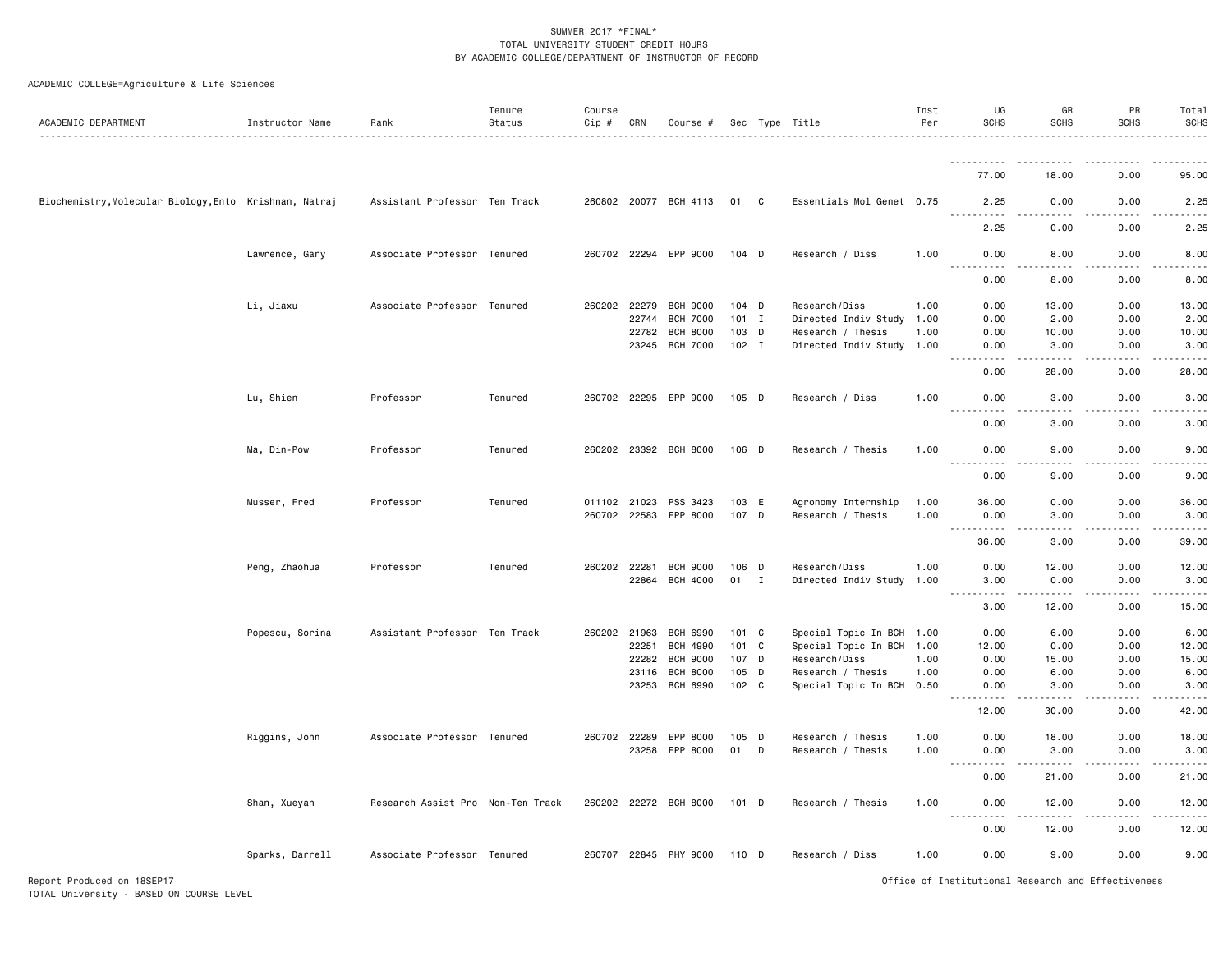| ACADEMIC DEPARTMENT                                    | Instructor Name | Rank                              | Tenure<br>Status | Course<br>Cip # | CRN   | Course #              |                  |             | Sec Type Title            | Inst<br>Per | UG<br><b>SCHS</b>                           | GR<br><b>SCHS</b>                   | PR<br><b>SCHS</b> | Total<br><b>SCHS</b><br>. |
|--------------------------------------------------------|-----------------|-----------------------------------|------------------|-----------------|-------|-----------------------|------------------|-------------|---------------------------|-------------|---------------------------------------------|-------------------------------------|-------------------|---------------------------|
|                                                        |                 |                                   |                  |                 |       |                       |                  |             |                           |             |                                             |                                     |                   |                           |
|                                                        |                 |                                   |                  |                 |       |                       |                  |             |                           |             | 77.00                                       | 18,00                               | 0.00              | 95.00                     |
| Biochemistry, Molecular Biology, Ento Krishnan, Natraj |                 | Assistant Professor Ten Track     |                  |                 |       | 260802 20077 BCH 4113 | 01 C             |             | Essentials Mol Genet 0.75 |             | 2.25<br><u>.</u>                            | 0.00<br>$   -$                      | 0.00<br>.         | 2.25<br>$\frac{1}{2}$     |
|                                                        |                 |                                   |                  |                 |       |                       |                  |             |                           |             | 2.25                                        | 0.00                                | 0.00              | 2.25                      |
|                                                        | Lawrence, Gary  | Associate Professor Tenured       |                  |                 |       | 260702 22294 EPP 9000 | $104$ D          |             | Research / Diss           | 1.00        | 0.00<br>$- - -$<br>.                        | 8.00<br>$\sim$ $\sim$ $\sim$ $\sim$ | 0.00<br>.         | 8.00<br>.                 |
|                                                        |                 |                                   |                  |                 |       |                       |                  |             |                           |             | 0.00                                        | 8.00                                | 0.00              | 8.00                      |
|                                                        | Li, Jiaxu       | Associate Professor Tenured       |                  | 260202          | 22279 | <b>BCH 9000</b>       | $104$ D          |             | Research/Diss             | 1.00        | 0.00                                        | 13.00                               | 0.00              | 13.00                     |
|                                                        |                 |                                   |                  |                 | 22744 | <b>BCH 7000</b>       | $101$ I          |             | Directed Indiv Study      | 1.00        | 0.00                                        | 2.00                                | 0.00              | 2.00                      |
|                                                        |                 |                                   |                  |                 | 22782 | <b>BCH 8000</b>       | 103 D            |             | Research / Thesis         | 1.00        | 0.00                                        | 10.00                               | 0.00              | 10.00                     |
|                                                        |                 |                                   |                  |                 | 23245 | <b>BCH 7000</b>       | 102 I            |             | Directed Indiv Study 1.00 |             | 0.00<br><b>.</b>                            | 3.00<br>.                           | 0.00<br>.         | 3.00<br>.                 |
|                                                        |                 |                                   |                  |                 |       |                       |                  |             |                           |             | 0.00                                        | 28.00                               | 0.00              | 28.00                     |
|                                                        | Lu, Shien       | Professor                         | Tenured          |                 |       | 260702 22295 EPP 9000 | 105 D            |             | Research / Diss           | 1.00        | 0.00<br>$\frac{1}{2}$<br>$\frac{1}{2}$      | 3.00<br>$- - -$                     | 0.00<br>.         | 3.00<br>والمتماد          |
|                                                        |                 |                                   |                  |                 |       |                       |                  |             |                           |             | 0.00                                        | 3.00                                | 0.00              | 3.00                      |
|                                                        | Ma, Din-Pow     | Professor                         | Tenured          |                 |       | 260202 23392 BCH 8000 | $106$ D          |             | Research / Thesis         | 1.00        | 0.00                                        | 9.00                                | 0.00              | 9.00                      |
|                                                        |                 |                                   |                  |                 |       |                       |                  |             |                           |             | 0.00                                        | 9.00                                | 0.00              | 9.00                      |
|                                                        | Musser, Fred    | Professor                         | Tenured          | 011102 21023    |       | PSS 3423              | 103 E            |             | Agronomy Internship       | 1.00        | 36.00                                       | 0.00                                | 0.00              | 36.00                     |
|                                                        |                 |                                   |                  | 260702 22583    |       | EPP 8000              | 107 D            |             | Research / Thesis         | 1.00        | 0.00                                        | 3.00                                | 0.00              | 3.00                      |
|                                                        |                 |                                   |                  |                 |       |                       |                  |             |                           |             | $\sim$ $\sim$ $\sim$<br>.                   | .                                   | .                 | .                         |
|                                                        |                 |                                   |                  |                 |       |                       |                  |             |                           |             | 36.00                                       | 3.00                                | 0.00              | 39.00                     |
|                                                        | Peng, Zhaohua   | Professor                         | Tenured          | 260202 22281    |       | <b>BCH 9000</b>       | 106 D            |             | Research/Diss             | 1.00        | 0.00                                        | 12.00                               | 0.00              | 12.00                     |
|                                                        |                 |                                   |                  |                 | 22864 | BCH 4000              | 01               | $\mathbf I$ | Directed Indiv Study 1.00 |             | 3.00<br>$- - - - -$<br>$\sim$ $\sim$ $\sim$ | 0.00<br>$\frac{1}{2}$               | 0.00<br>.         | 3.00<br>.                 |
|                                                        |                 |                                   |                  |                 |       |                       |                  |             |                           |             | 3.00                                        | 12.00                               | 0.00              | 15.00                     |
|                                                        | Popescu, Sorina | Assistant Professor Ten Track     |                  | 260202 21963    |       | BCH 6990              | 101 C            |             | Special Topic In BCH 1.00 |             | 0.00                                        | 6.00                                | 0.00              | 6.00                      |
|                                                        |                 |                                   |                  |                 | 22251 | BCH 4990              | 101 C            |             | Special Topic In BCH 1.00 |             | 12.00                                       | 0.00                                | 0.00              | 12.00                     |
|                                                        |                 |                                   |                  |                 | 22282 | <b>BCH 9000</b>       | 107 D            |             | Research/Diss             | 1.00        | 0.00                                        | 15.00                               | 0.00              | 15.00                     |
|                                                        |                 |                                   |                  |                 | 23116 | <b>BCH 8000</b>       | 105 D            |             | Research / Thesis         | 1.00        | 0.00                                        | 6.00                                | 0.00              | 6.00                      |
|                                                        |                 |                                   |                  |                 | 23253 | BCH 6990              | 102 <sub>c</sub> |             | Special Topic In BCH 0.50 |             | 0.00<br>.                                   | 3.00<br>$- - - - -$                 | 0.00<br>.         | 3.00<br>.                 |
|                                                        |                 |                                   |                  |                 |       |                       |                  |             |                           |             | 12.00                                       | 30.00                               | 0.00              | 42.00                     |
|                                                        | Riggins, John   | Associate Professor Tenured       |                  | 260702 22289    |       | EPP 8000              | 105              | D           | Research / Thesis         | 1.00        | 0.00                                        | 18.00                               | 0.00              | 18.00                     |
|                                                        |                 |                                   |                  |                 | 23258 | EPP 8000              | 01               | D           | Research / Thesis         | 1.00        | 0.00                                        | 3.00                                | 0.00              | 3.00<br>.                 |
|                                                        |                 |                                   |                  |                 |       |                       |                  |             |                           |             | 0.00                                        | 21.00                               | 0.00              | 21.00                     |
|                                                        | Shan, Xueyan    | Research Assist Pro Non-Ten Track |                  |                 |       | 260202 22272 BCH 8000 | 101 D            |             | Research / Thesis         | 1.00        | 0.00                                        | 12.00                               | 0.00              | 12.00<br>$    -$          |
|                                                        |                 |                                   |                  |                 |       |                       |                  |             |                           |             | 0.00                                        | 12.00                               | 0.00              | 12.00                     |
|                                                        | Sparks, Darrell | Associate Professor Tenured       |                  |                 |       | 260707 22845 PHY 9000 | 110 D            |             | Research / Diss           | 1.00        | 0.00                                        | 9.00                                | 0.00              | 9.00                      |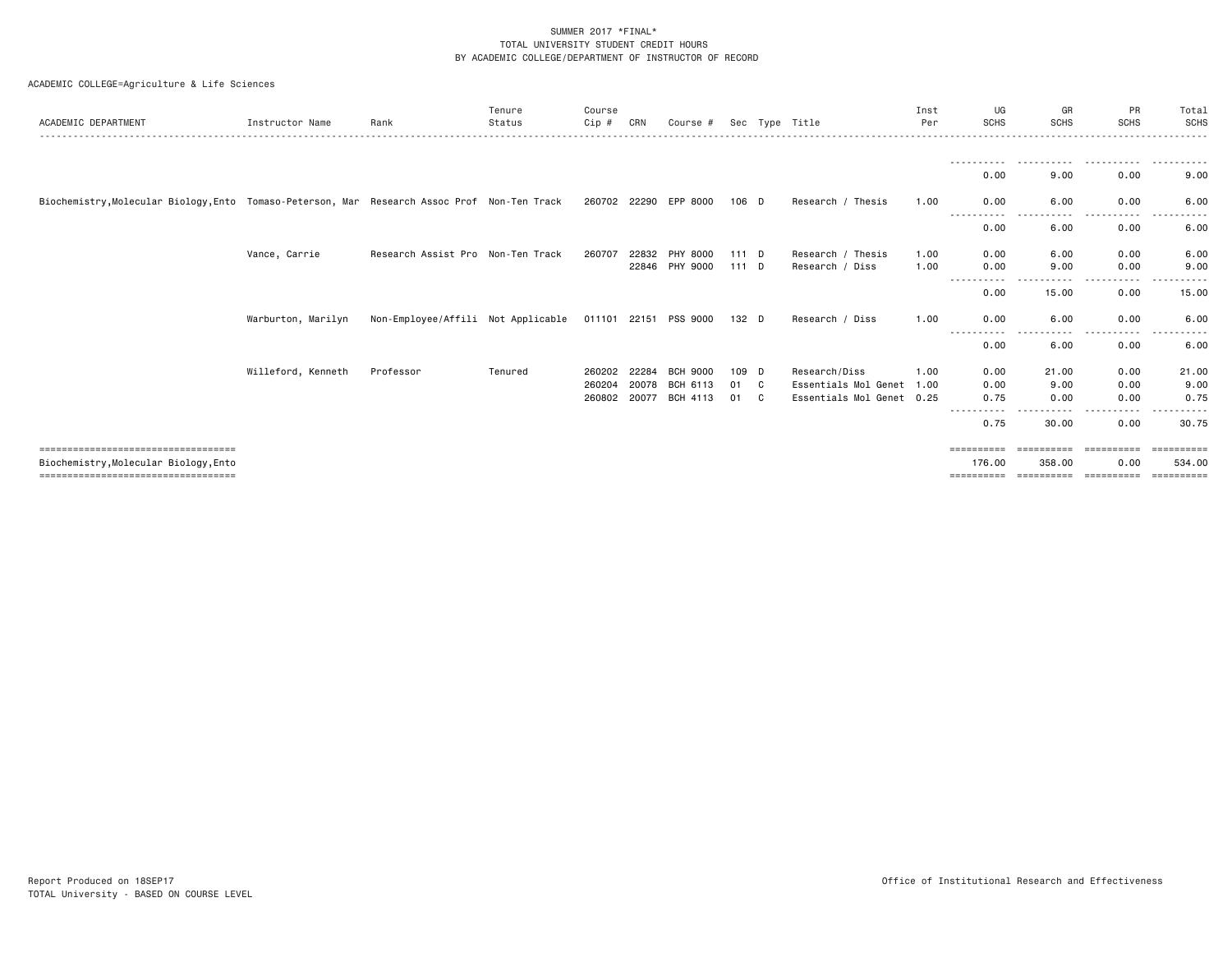|  | ACADEMIC COLLEGE=Agriculture & Life Sciences |  |  |  |
|--|----------------------------------------------|--|--|--|
|--|----------------------------------------------|--|--|--|

| ACADEMIC DEPARTMENT                                                                                                | Instructor Name    | Rank                               | Tenure<br>Status | Course<br>Cip# | CRN   | Course #              |       |    | Sec Type Title            | Inst<br>Per | UG<br><b>SCHS</b>    | GR<br><b>SCHS</b>     | <b>PR</b><br><b>SCHS</b>  | Total<br>SCHS        |
|--------------------------------------------------------------------------------------------------------------------|--------------------|------------------------------------|------------------|----------------|-------|-----------------------|-------|----|---------------------------|-------------|----------------------|-----------------------|---------------------------|----------------------|
|                                                                                                                    |                    |                                    |                  |                |       |                       |       |    |                           |             |                      |                       | .                         |                      |
|                                                                                                                    |                    |                                    |                  |                |       |                       |       |    |                           |             | 0.00                 | 9.00                  | 0.00                      | 9.00                 |
| Biochemistry, Molecular Biology, Ento Tomaso-Peterson, Mar Research Assoc Prof Non-Ten Track 260702 22290 EPP 8000 |                    |                                    |                  |                |       |                       | 106 D |    | Research / Thesis         | 1.00        | 0.00                 | 6.00                  | 0.00                      | 6.00                 |
|                                                                                                                    |                    |                                    |                  |                |       |                       |       |    |                           |             | $- - -$<br>0.00      | .<br>6.00             | $\cdots$<br>-----<br>0.00 | $\cdots$<br>6.00     |
|                                                                                                                    | Vance, Carrie      | Research Assist Pro Non-Ten Track  |                  | 260707         |       | 22832 PHY 8000        | 111D  |    | Research / Thesis         | 1.00        | 0.00                 | 6.00                  | 0.00                      | 6.00                 |
|                                                                                                                    |                    |                                    |                  |                |       | 22846 PHY 9000        | 111 D |    | Research / Diss           | 1.00        | 0.00                 | 9.00<br>$\cdots$      | 0.00                      | 9.00                 |
|                                                                                                                    |                    |                                    |                  |                |       |                       |       |    |                           |             | 0.00                 | 15.00                 | 0.00                      | 15.00                |
|                                                                                                                    | Warburton, Marilyn | Non-Employee/Affili Not Applicable |                  |                |       | 011101 22151 PSS 9000 | 132 D |    | Research / Diss           | 1.00        | 0.00                 | 6.00                  | 0.00                      | 6.00                 |
|                                                                                                                    |                    |                                    |                  |                |       |                       |       |    |                           |             | 0.00                 | 6.00                  | 0.00                      | 6.00                 |
|                                                                                                                    | Willeford, Kenneth | Professor                          | Tenured          | 260202         | 22284 | <b>BCH 9000</b>       | 109 D |    | Research/Diss             | 1.00        | 0.00                 | 21.00                 | 0.00                      | 21.00                |
|                                                                                                                    |                    |                                    |                  | 260204         | 20078 | BCH 6113              | 01    | C. | Essentials Mol Genet 1.00 |             | 0.00                 | 9.00                  | 0.00                      | 9.00                 |
|                                                                                                                    |                    |                                    |                  | 260802         | 20077 | BCH 4113              | 01    | C. | Essentials Mol Genet 0.25 |             | 0.75                 | 0.00                  | 0.00                      | 0.75                 |
|                                                                                                                    |                    |                                    |                  |                |       |                       |       |    |                           |             | 0.75                 | 30.00                 | 0.00                      | 30.75                |
| -------------------------------------<br>Biochemistry, Molecular Biology, Ento                                     |                    |                                    |                  |                |       |                       |       |    |                           |             | ==========<br>176.00 | -----------<br>358.00 | ==========<br>0.00        | ==========<br>534.00 |
| ====================================                                                                               |                    |                                    |                  |                |       |                       |       |    |                           |             | ==========           | ==========            | ==========                | ==========           |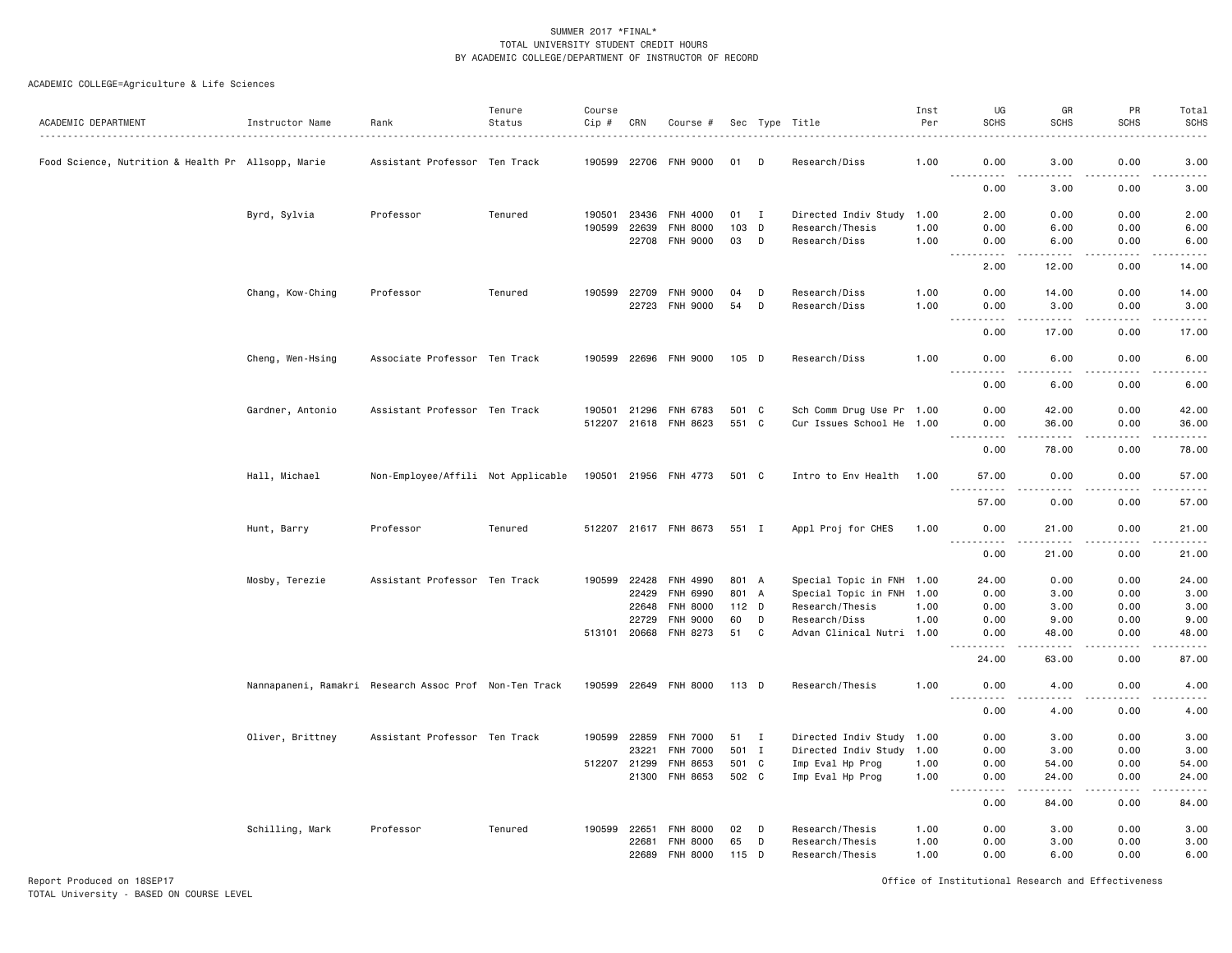ACADEMIC COLLEGE=Agriculture & Life Sciences

| ACADEMIC DEPARTMENT                                | Instructor Name  | Rank                                                   | Tenure<br>Status | Course<br>$Cip \#$ | CRN   | Course #              |         |                | Sec Type Title            | Inst<br>Per | UG<br><b>SCHS</b>                                                                                                                          | GR<br><b>SCHS</b>                                                                                                                                            | PR<br><b>SCHS</b>  | Total<br><b>SCHS</b> |
|----------------------------------------------------|------------------|--------------------------------------------------------|------------------|--------------------|-------|-----------------------|---------|----------------|---------------------------|-------------|--------------------------------------------------------------------------------------------------------------------------------------------|--------------------------------------------------------------------------------------------------------------------------------------------------------------|--------------------|----------------------|
|                                                    |                  |                                                        |                  |                    |       |                       |         |                |                           |             |                                                                                                                                            |                                                                                                                                                              |                    |                      |
| Food Science, Nutrition & Health Pr Allsopp, Marie |                  | Assistant Professor Ten Track                          |                  |                    |       | 190599 22706 FNH 9000 | 01      | D              | Research/Diss             | 1.00        | 0.00<br>$\frac{1}{2} \left( \frac{1}{2} \right) \left( \frac{1}{2} \right) \left( \frac{1}{2} \right) \left( \frac{1}{2} \right)$<br>----- | 3.00<br>.                                                                                                                                                    | 0.00               | 3.00                 |
|                                                    |                  |                                                        |                  |                    |       |                       |         |                |                           |             | 0.00                                                                                                                                       | 3.00                                                                                                                                                         | 0.00               | 3.00                 |
|                                                    | Byrd, Sylvia     | Professor                                              | Tenured          | 190501             | 23436 | FNH 4000              | 01      | $\blacksquare$ | Directed Indiv Study      | 1.00        | 2.00                                                                                                                                       | 0.00                                                                                                                                                         | 0.00               | 2.00                 |
|                                                    |                  |                                                        |                  | 190599             | 22639 | <b>FNH 8000</b>       | 103     | D              | Research/Thesis           | 1.00        | 0.00                                                                                                                                       | 6.00                                                                                                                                                         | 0.00               | 6.00                 |
|                                                    |                  |                                                        |                  |                    | 22708 | <b>FNH 9000</b>       | 03      | D              | Research/Diss             | 1.00        | 0.00<br>.<br>$\sim$ $\sim$ $\sim$                                                                                                          | 6.00<br>$\frac{1}{2} \left( \frac{1}{2} \right) \left( \frac{1}{2} \right) \left( \frac{1}{2} \right) \left( \frac{1}{2} \right) \left( \frac{1}{2} \right)$ | 0.00<br>.          | 6.00<br>الداعات      |
|                                                    |                  |                                                        |                  |                    |       |                       |         |                |                           |             | 2.00                                                                                                                                       | 12.00                                                                                                                                                        | 0.00               | 14.00                |
|                                                    | Chang, Kow-Ching | Professor                                              | Tenured          | 190599             | 22709 | <b>FNH 9000</b>       | 04      | D              | Research/Diss             | 1.00        | 0.00                                                                                                                                       | 14.00                                                                                                                                                        | 0.00               | 14.00                |
|                                                    |                  |                                                        |                  |                    |       | 22723 FNH 9000        | 54      | D              | Research/Diss             | 1.00        | 0.00<br>$  -$<br>.                                                                                                                         | 3.00<br>$\frac{1}{2} \left( \frac{1}{2} \right) \left( \frac{1}{2} \right) \left( \frac{1}{2} \right) \left( \frac{1}{2} \right) \left( \frac{1}{2} \right)$ | 0.00<br>.          | 3.00<br>.            |
|                                                    |                  |                                                        |                  |                    |       |                       |         |                |                           |             | 0.00                                                                                                                                       | 17.00                                                                                                                                                        | 0.00               | 17.00                |
|                                                    | Cheng, Wen-Hsing | Associate Professor Ten Track                          |                  |                    |       | 190599 22696 FNH 9000 | 105 D   |                | Research/Diss             | 1.00        | 0.00                                                                                                                                       | 6.00                                                                                                                                                         | 0.00               | 6.00                 |
|                                                    |                  |                                                        |                  |                    |       |                       |         |                |                           |             | 0.00                                                                                                                                       | 6.00                                                                                                                                                         | 0.00               | 6.00                 |
|                                                    | Gardner, Antonio | Assistant Professor Ten Track                          |                  | 190501             | 21296 | FNH 6783              | 501 C   |                | Sch Comm Drug Use Pr 1.00 |             | 0.00                                                                                                                                       | 42.00                                                                                                                                                        | 0.00               | 42.00                |
|                                                    |                  |                                                        |                  |                    |       | 512207 21618 FNH 8623 | 551 C   |                | Cur Issues School He 1.00 |             | 0.00<br>-----                                                                                                                              | 36.00<br>.                                                                                                                                                   | 0.00<br>-----      | 36.00<br>.           |
|                                                    |                  |                                                        |                  |                    |       |                       |         |                |                           |             | 0.00                                                                                                                                       | 78.00                                                                                                                                                        | 0.00               | 78.00                |
|                                                    | Hall, Michael    | Non-Employee/Affili Not Applicable                     |                  |                    |       | 190501 21956 FNH 4773 | 501 C   |                | Intro to Env Health       | 1.00        | 57.00<br>.<br>$\frac{1}{2}$                                                                                                                | 0.00<br>.                                                                                                                                                    | 0.00<br>. <b>.</b> | 57.00<br>.           |
|                                                    |                  |                                                        |                  |                    |       |                       |         |                |                           |             | 57.00                                                                                                                                      | 0.00                                                                                                                                                         | 0.00               | 57.00                |
|                                                    | Hunt, Barry      | Professor                                              | Tenured          |                    |       | 512207 21617 FNH 8673 | 551 I   |                | Appl Proj for CHES        | 1.00        | 0.00                                                                                                                                       | 21.00<br>.                                                                                                                                                   | 0.00               | 21.00                |
|                                                    |                  |                                                        |                  |                    |       |                       |         |                |                           |             | 0.00                                                                                                                                       | 21.00                                                                                                                                                        | 0.00               | 21.00                |
|                                                    | Mosby, Terezie   | Assistant Professor Ten Track                          |                  | 190599             | 22428 | FNH 4990              | 801 A   |                | Special Topic in FNH 1.00 |             | 24.00                                                                                                                                      | 0.00                                                                                                                                                         | 0.00               | 24.00                |
|                                                    |                  |                                                        |                  |                    | 22429 | <b>FNH 6990</b>       | 801 A   |                | Special Topic in FNH 1.00 |             | 0.00                                                                                                                                       | 3.00                                                                                                                                                         | 0.00               | 3.00                 |
|                                                    |                  |                                                        |                  |                    | 22648 | <b>FNH 8000</b>       | $112$ D |                | Research/Thesis           | 1.00        | 0.00                                                                                                                                       | 3.00                                                                                                                                                         | 0.00               | 3.00                 |
|                                                    |                  |                                                        |                  |                    | 22729 | <b>FNH 9000</b>       | 60      | $\mathsf D$    | Research/Diss             | 1.00        | 0.00                                                                                                                                       | 9.00                                                                                                                                                         | 0.00               | 9.00                 |
|                                                    |                  |                                                        |                  |                    |       | 513101 20668 FNH 8273 | 51      | C              | Advan Clinical Nutri 1.00 |             | 0.00<br>.                                                                                                                                  | 48.00<br>22222                                                                                                                                               | 0.00<br>.          | 48.00<br>.           |
|                                                    |                  |                                                        |                  |                    |       |                       |         |                |                           |             | 24.00                                                                                                                                      | 63.00                                                                                                                                                        | 0.00               | 87.00                |
|                                                    |                  | Nannapaneni, Ramakri Research Assoc Prof Non-Ten Track |                  |                    |       | 190599 22649 FNH 8000 | 113 D   |                | Research/Thesis           | 1.00        | 0.00                                                                                                                                       | 4.00                                                                                                                                                         | 0.00               | 4.00<br>----         |
|                                                    |                  |                                                        |                  |                    |       |                       |         |                |                           |             | 0.00                                                                                                                                       | 4.00                                                                                                                                                         | 0.00               | 4.00                 |
|                                                    | Oliver, Brittney | Assistant Professor Ten Track                          |                  | 190599             | 22859 | <b>FNH 7000</b>       | 51 I    |                | Directed Indiv Study 1.00 |             | 0.00                                                                                                                                       | 3.00                                                                                                                                                         | 0.00               | 3.00                 |
|                                                    |                  |                                                        |                  |                    | 23221 | <b>FNH 7000</b>       | 501 I   |                | Directed Indiv Study      | 1.00        | 0.00                                                                                                                                       | 3.00                                                                                                                                                         | 0.00               | 3.00                 |
|                                                    |                  |                                                        |                  | 512207             | 21299 | FNH 8653              | 501 C   |                | Imp Eval Hp Prog          | 1.00        | 0.00                                                                                                                                       | 54.00                                                                                                                                                        | 0.00               | 54.00                |
|                                                    |                  |                                                        |                  |                    |       | 21300 FNH 8653        | 502 C   |                | Imp Eval Hp Prog          | 1.00        | 0.00                                                                                                                                       | 24,00                                                                                                                                                        | 0.00               | 24.00                |
|                                                    |                  |                                                        |                  |                    |       |                       |         |                |                           |             | 0.00                                                                                                                                       | 84.00                                                                                                                                                        | 0.00               | 84.00                |
|                                                    | Schilling, Mark  | Professor                                              | Tenured          | 190599             | 22651 | <b>FNH 8000</b>       | 02      | D              | Research/Thesis           | 1.00        | 0.00                                                                                                                                       | 3.00                                                                                                                                                         | 0.00               | 3.00                 |
|                                                    |                  |                                                        |                  |                    | 22681 | <b>FNH 8000</b>       | 65      | D              | Research/Thesis           | 1.00        | 0.00                                                                                                                                       | 3.00                                                                                                                                                         | 0.00               | 3.00                 |
|                                                    |                  |                                                        |                  |                    | 22689 | <b>FNH 8000</b>       | 115     | D              | Research/Thesis           | 1.00        | 0.00                                                                                                                                       | 6.00                                                                                                                                                         | 0.00               | 6.00                 |

Report Produced on 18SEP17 Office of Institutional Research and Effectiveness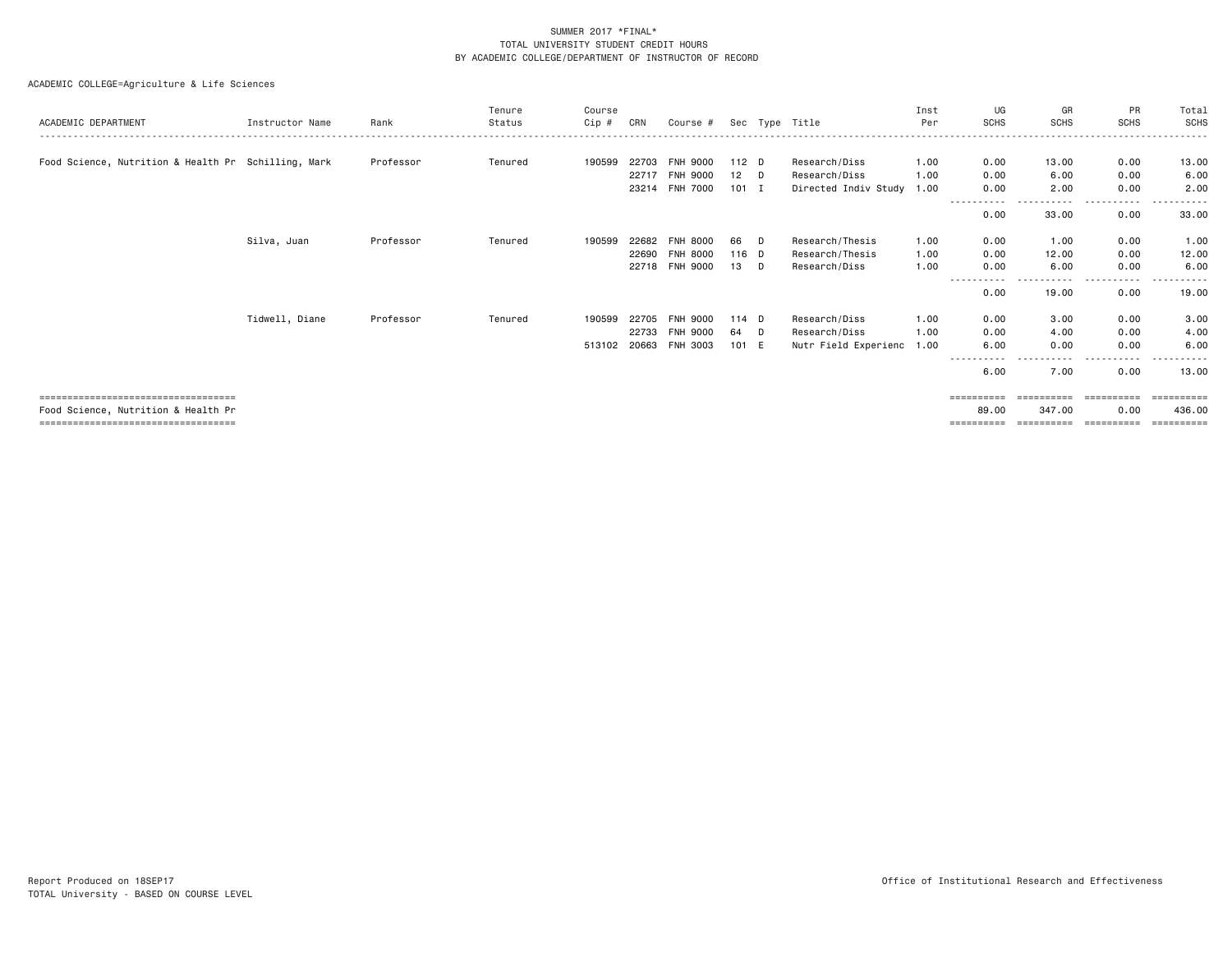| ACADEMIC DEPARTMENT                                 | Instructor Name | Rank      | Tenure<br>Status | Course<br>Cip # | CRN   | Course #        |                 |    | Sec Type Title            | Inst<br>Per | UG<br><b>SCHS</b>     | GR<br><b>SCHS</b> | PR<br><b>SCHS</b> | Total<br>SCHS |
|-----------------------------------------------------|-----------------|-----------|------------------|-----------------|-------|-----------------|-----------------|----|---------------------------|-------------|-----------------------|-------------------|-------------------|---------------|
|                                                     |                 |           |                  |                 |       |                 |                 |    |                           |             |                       |                   |                   |               |
| Food Science, Nutrition & Health Pr Schilling, Mark |                 | Professor | Tenured          | 190599          | 22703 | <b>FNH 9000</b> | 112 D           |    | Research/Diss             | 1.00        | 0.00                  | 13.00             | 0.00              | 13.00         |
|                                                     |                 |           |                  |                 | 22717 | <b>FNH 9000</b> | 12 <sup>2</sup> | D  | Research/Diss             | 1.00        | 0.00                  | 6.00              | 0.00              | 6.00          |
|                                                     |                 |           |                  |                 | 23214 | <b>FNH 7000</b> | $101$ I         |    | Directed Indiv Study 1.00 |             | 0.00                  | 2.00              | 0.00              | 2.00          |
|                                                     |                 |           |                  |                 |       |                 |                 |    |                           |             | -----<br>0.00         | .<br>33.00        | -----<br>0.00     | 33.00         |
|                                                     | Silva, Juan     | Professor | Tenured          | 190599          | 22682 | FNH 8000        | 66              | D  | Research/Thesis           | 1.00        | 0.00                  | 1.00              | 0.00              | 1.00          |
|                                                     |                 |           |                  |                 | 22690 | <b>FNH 8000</b> | 116 D           |    | Research/Thesis           | 1.00        | 0.00                  | 12.00             | 0.00              | 12.00         |
|                                                     |                 |           |                  |                 | 22718 | <b>FNH 9000</b> | 13 D            |    | Research/Diss             | 1.00        | 0.00                  | 6.00              | 0.00              | 6.00          |
|                                                     |                 |           |                  |                 |       |                 |                 |    |                           |             | 0.00                  | 19.00             | 0.00              | 19.00         |
|                                                     | Tidwell, Diane  | Professor | Tenured          | 190599          | 22705 | <b>FNH 9000</b> | 114 D           |    | Research/Diss             | 1.00        | 0.00                  | 3.00              | 0.00              | 3.00          |
|                                                     |                 |           |                  |                 | 22733 | <b>FNH 9000</b> | 64              | D. | Research/Diss             | 1.00        | 0.00                  | 4.00              | 0.00              | 4.00          |
|                                                     |                 |           |                  | 513102 20663    |       | <b>FNH 3003</b> | 101 E           |    | Nutr Field Experienc      | 1.00        | 6.00                  | 0.00              | 0.00              | 6.00          |
|                                                     |                 |           |                  |                 |       |                 |                 |    |                           |             | 6.00                  | 7.00              | 0.00              | 13.00         |
| ====================================                |                 |           |                  |                 |       |                 |                 |    |                           |             | $=$ = = = = = = = = = | ==========        | ==========        | ==========    |
| Food Science, Nutrition & Health Pr                 |                 |           |                  |                 |       |                 |                 |    |                           |             | 89.00                 | 347.00            | 0.00              | 436.00        |
| ====================================                |                 |           |                  |                 |       |                 |                 |    |                           |             | ==========            | ==========        | ==========        | ==========    |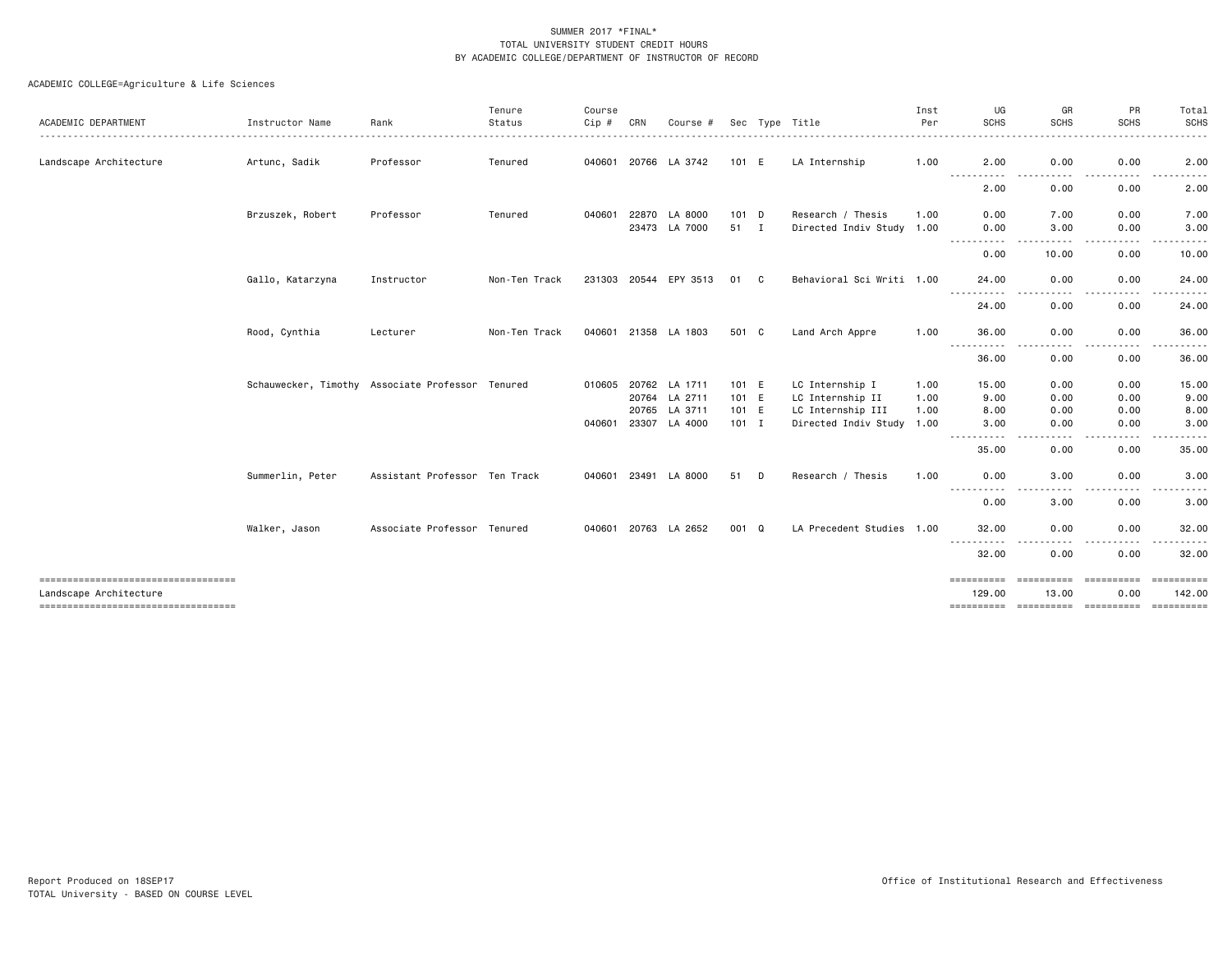| ACADEMIC DEPARTMENT                                          | Instructor Name  | Rank                                             | Tenure<br>Status | Course<br>$Cip \#$ | CRN            | Course #                 |                  |         | Sec Type Title                                 | Inst<br>Per  | UG<br><b>SCHS</b>                                                                                                                                                  | GR<br><b>SCHS</b>                                                                                                                 | <b>PR</b><br><b>SCHS</b>                                                                                    | Total<br><b>SCHS</b>            |
|--------------------------------------------------------------|------------------|--------------------------------------------------|------------------|--------------------|----------------|--------------------------|------------------|---------|------------------------------------------------|--------------|--------------------------------------------------------------------------------------------------------------------------------------------------------------------|-----------------------------------------------------------------------------------------------------------------------------------|-------------------------------------------------------------------------------------------------------------|---------------------------------|
| Landscape Architecture                                       | Artunc, Sadik    | Professor                                        | Tenured          |                    |                | 040601 20766 LA 3742     |                  | 101 E   | LA Internship                                  | 1.00         | 2.00<br>$\begin{array}{cccccccccccccc} \bullet & \bullet & \bullet & \bullet & \bullet & \bullet & \bullet \end{array}$                                            | 0.00<br>$\frac{1}{2} \left( \frac{1}{2} \right) \left( \frac{1}{2} \right) \left( \frac{1}{2} \right) \left( \frac{1}{2} \right)$ | 0.00<br>.                                                                                                   | 2.00<br>.                       |
|                                                              |                  |                                                  |                  |                    |                |                          |                  |         |                                                |              | .<br>2.00                                                                                                                                                          | 0.00                                                                                                                              | 0.00                                                                                                        | 2.00                            |
|                                                              | Brzuszek, Robert | Professor                                        | Tenured          | 040601             | 22870          | LA 8000<br>23473 LA 7000 | 51 I             | $101$ D | Research / Thesis<br>Directed Indiv Study 1.00 | 1.00         | 0.00<br>0.00                                                                                                                                                       | 7.00<br>3.00                                                                                                                      | 0.00<br>0.00                                                                                                | 7.00<br>3.00                    |
|                                                              |                  |                                                  |                  |                    |                |                          |                  |         |                                                |              | -----------<br>0.00                                                                                                                                                | .<br>10.00                                                                                                                        | .<br>$\frac{1}{2} \left( \frac{1}{2} \right) \left( \frac{1}{2} \right) \left( \frac{1}{2} \right)$<br>0.00 | .<br>10.00                      |
|                                                              | Gallo, Katarzyna | Instructor                                       | Non-Ten Track    |                    |                | 231303 20544 EPY 3513    | 01               | C.      | Behavioral Sci Writi 1.00                      |              | 24.00<br>-----------                                                                                                                                               | 0.00<br>$\frac{1}{2}$                                                                                                             | 0.00<br>.                                                                                                   | 24.00<br>.                      |
|                                                              |                  |                                                  |                  |                    |                |                          |                  |         |                                                |              | 24.00                                                                                                                                                              | 0.00                                                                                                                              | 0.00                                                                                                        | 24.00                           |
|                                                              | Rood, Cynthia    | Lecturer                                         | Non-Ten Track    |                    | 040601 21358   | LA 1803                  | 501 C            |         | Land Arch Appre                                | 1.00         | 36.00<br>$\frac{1}{2} \left( \frac{1}{2} \right) \left( \frac{1}{2} \right) \left( \frac{1}{2} \right) \left( \frac{1}{2} \right) \left( \frac{1}{2} \right)$<br>. | 0.00                                                                                                                              | 0.00<br>$- - - -$                                                                                           | 36.00<br>.                      |
|                                                              |                  |                                                  |                  |                    |                |                          |                  |         |                                                |              | 36.00                                                                                                                                                              | 0.00                                                                                                                              | 0.00                                                                                                        | 36.00                           |
|                                                              |                  | Schauwecker, Timothy Associate Professor Tenured |                  | 010605             | 20764          | 20762 LA 1711<br>LA 2711 | 101 E<br>101 E   |         | LC Internship I<br>LC Internship II            | 1.00<br>1.00 | 15.00<br>9.00                                                                                                                                                      | 0.00<br>0.00                                                                                                                      | 0.00<br>0.00                                                                                                | 15.00<br>9.00                   |
|                                                              |                  |                                                  |                  | 040601             | 20765<br>23307 | LA 3711<br>LA 4000       | 101 E<br>$101$ I |         | LC Internship III<br>Directed Indiv Study 1.00 | 1.00         | 8.00<br>3.00                                                                                                                                                       | 0.00<br>0.00                                                                                                                      | 0.00<br>0.00                                                                                                | 8.00<br>3.00                    |
|                                                              |                  |                                                  |                  |                    |                |                          |                  |         |                                                |              | $- - -$<br>35.00                                                                                                                                                   | 0.00                                                                                                                              | 0.00                                                                                                        | 35.00                           |
|                                                              | Summerlin, Peter | Assistant Professor Ten Track                    |                  |                    | 040601 23491   | LA 8000                  | 51               | - D     | Research / Thesis                              | 1.00         | 0.00<br>----------                                                                                                                                                 | 3.00                                                                                                                              | 0.00                                                                                                        | 3.00                            |
|                                                              |                  |                                                  |                  |                    |                |                          |                  |         |                                                |              | 0.00                                                                                                                                                               | 3.00                                                                                                                              | 0.00                                                                                                        | 3.00                            |
|                                                              | Walker, Jason    | Associate Professor Tenured                      |                  | 040601 20763       |                | LA 2652                  | 001 Q            |         | LA Precedent Studies 1.00                      |              | 32.00<br>----------                                                                                                                                                | 0.00                                                                                                                              | 0.00                                                                                                        | 32.00                           |
|                                                              |                  |                                                  |                  |                    |                |                          |                  |         |                                                |              | 32.00                                                                                                                                                              | 0.00                                                                                                                              | 0.00                                                                                                        | 32.00                           |
| Landscape Architecture<br>---------------------------------- |                  |                                                  |                  |                    |                |                          |                  |         |                                                |              | ==========<br>129.00                                                                                                                                               | eessessess<br>13.00<br>---------- ---------- ----------                                                                           | ===========<br>0.00                                                                                         | =======<br>142.00<br>========== |
|                                                              |                  |                                                  |                  |                    |                |                          |                  |         |                                                |              |                                                                                                                                                                    |                                                                                                                                   |                                                                                                             |                                 |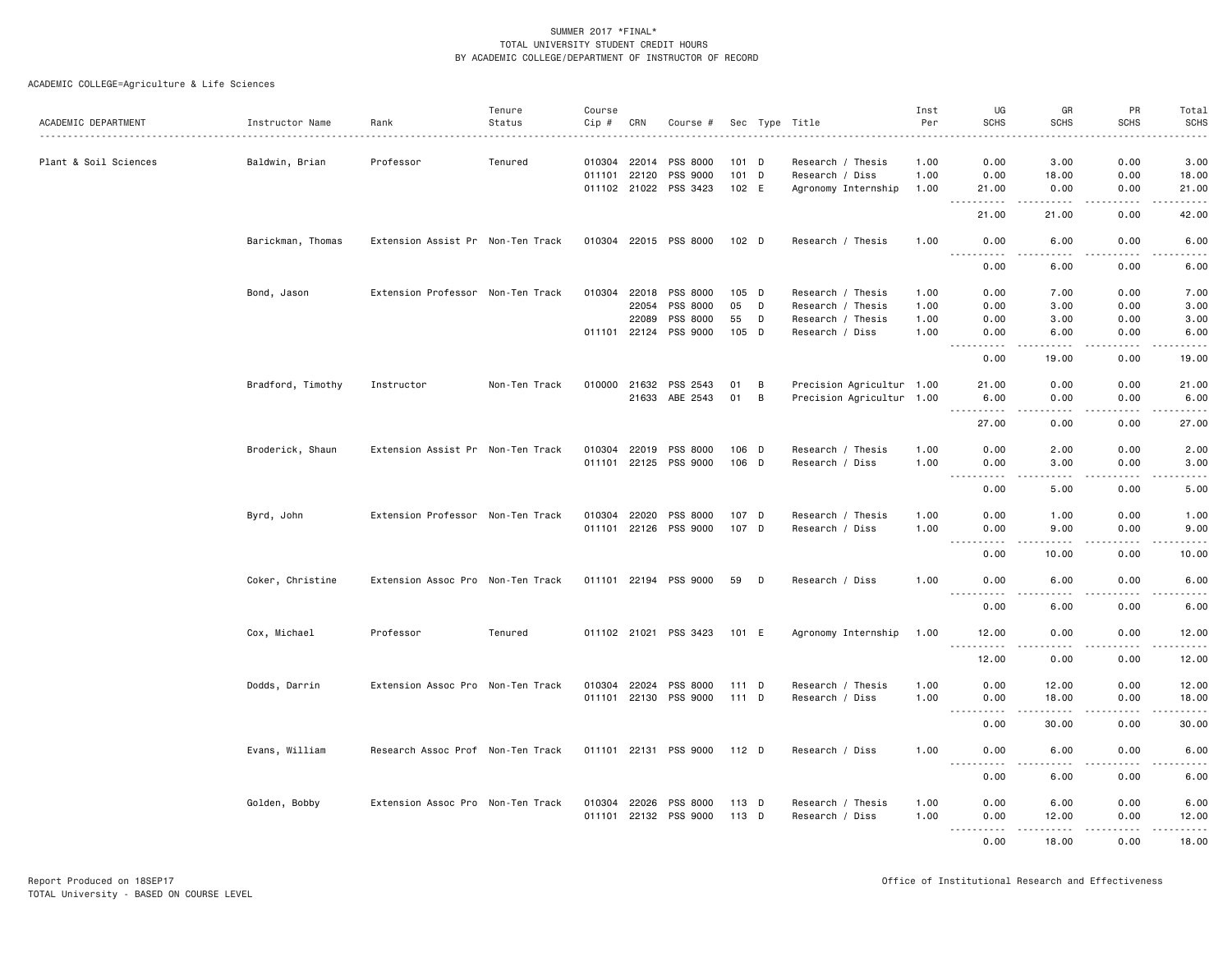| ACADEMIC DEPARTMENT   | Instructor Name   | Rank                              | Tenure<br>Status | Course<br>$Cip \#$           | CRN   | Course #              |                    |                | Sec Type Title                         | Inst<br>Per  | UG<br><b>SCHS</b>         | GR<br><b>SCHS</b> | PR<br><b>SCHS</b>                   | Total<br><b>SCHS</b>        |
|-----------------------|-------------------|-----------------------------------|------------------|------------------------------|-------|-----------------------|--------------------|----------------|----------------------------------------|--------------|---------------------------|-------------------|-------------------------------------|-----------------------------|
|                       |                   |                                   |                  |                              |       |                       |                    |                |                                        |              |                           |                   |                                     | $\sim$ $\sim$ $\sim$ $\sim$ |
| Plant & Soil Sciences | Baldwin, Brian    | Professor                         | Tenured          | 010304 22014                 |       | PSS 8000              | $101$ D<br>$101$ D |                | Research / Thesis                      | 1.00         | 0.00                      | 3.00              | 0.00<br>0.00                        | 3.00                        |
|                       |                   |                                   |                  | 011101 22120<br>011102 21022 |       | PSS 9000<br>PSS 3423  | 102 E              |                | Research / Diss<br>Agronomy Internship | 1.00<br>1.00 | 0.00<br>21.00             | 18.00<br>0.00     | 0.00                                | 18.00<br>21.00              |
|                       |                   |                                   |                  |                              |       |                       |                    |                |                                        |              | $\sim$ $\sim$ $\sim$<br>. | .                 | $- - - -$                           | .                           |
|                       |                   |                                   |                  |                              |       |                       |                    |                |                                        |              | 21.00                     | 21.00             | 0.00                                | 42.00                       |
|                       | Barickman, Thomas | Extension Assist Pr Non-Ten Track |                  |                              |       | 010304 22015 PSS 8000 | 102 <sub>D</sub>   |                | Research / Thesis                      | 1.00         | 0.00<br><u>.</u>          | 6.00<br>-----     | 0.00<br>$- - - - -$                 | 6.00<br>.                   |
|                       |                   |                                   |                  |                              |       |                       |                    |                |                                        |              | 0.00                      | 6.00              | 0.00                                | 6.00                        |
|                       | Bond, Jason       | Extension Professor Non-Ten Track |                  | 010304                       | 22018 | PSS 8000              | 105 D              |                | Research / Thesis                      | 1.00         | 0.00                      | 7.00              | 0.00                                | 7.00                        |
|                       |                   |                                   |                  |                              | 22054 | PSS 8000              | 05                 | D              | Research / Thesis                      | 1.00         | 0.00                      | 3.00              | 0.00                                | 3.00                        |
|                       |                   |                                   |                  |                              | 22089 | PSS 8000              | 55                 | D              | Research / Thesis                      | 1.00         | 0.00                      | 3.00              | 0.00                                | 3.00                        |
|                       |                   |                                   |                  |                              |       | 011101 22124 PSS 9000 | 105 D              |                | Research / Diss                        | 1.00         | 0.00<br>.                 | 6.00<br>-----     | 0.00<br>.                           | 6.00<br>.                   |
|                       |                   |                                   |                  |                              |       |                       |                    |                |                                        |              | 0.00                      | 19.00             | 0.00                                | 19.00                       |
|                       | Bradford, Timothy | Instructor                        | Non-Ten Track    | 010000 21632                 |       | PSS 2543              | 01                 | $\overline{B}$ | Precision Agricultur 1.00              |              | 21.00                     | 0.00              | 0.00                                | 21.00                       |
|                       |                   |                                   |                  |                              | 21633 | ABE 2543              | 01                 | B              | Precision Agricultur 1.00              |              | 6.00                      | 0.00              | 0.00                                | 6.00                        |
|                       |                   |                                   |                  |                              |       |                       |                    |                |                                        |              | .                         | .                 | .                                   | .                           |
|                       |                   |                                   |                  |                              |       |                       |                    |                |                                        |              | 27.00                     | 0.00              | 0.00                                | 27.00                       |
|                       | Broderick, Shaun  | Extension Assist Pr Non-Ten Track |                  | 010304 22019                 |       | PSS 8000              | 106 D              |                | Research / Thesis                      | 1.00         | 0.00                      | 2.00              | 0.00                                | 2.00                        |
|                       |                   |                                   |                  |                              |       | 011101 22125 PSS 9000 | 106 D              |                | Research / Diss                        | 1.00         | 0.00                      | 3.00              | 0.00                                | 3.00                        |
|                       |                   |                                   |                  |                              |       |                       |                    |                |                                        |              | <b></b><br>0.00           | .<br>5.00         | .<br>0.00                           | .<br>5.00                   |
|                       | Byrd, John        | Extension Professor Non-Ten Track |                  | 010304 22020                 |       | PSS 8000              | 107 D              |                | Research / Thesis                      | 1.00         | 0.00                      | 1.00              | 0.00                                | 1.00                        |
|                       |                   |                                   |                  | 011101 22126                 |       | PSS 9000              | 107 D              |                | Research / Diss                        | 1.00         | 0.00                      | 9.00              | 0.00                                | 9.00                        |
|                       |                   |                                   |                  |                              |       |                       |                    |                |                                        |              | -----------               | د د د د           | .                                   | .                           |
|                       |                   |                                   |                  |                              |       |                       |                    |                |                                        |              | 0.00                      | 10.00             | 0.00                                | 10.00                       |
|                       | Coker, Christine  | Extension Assoc Pro Non-Ten Track |                  |                              |       | 011101 22194 PSS 9000 | 59                 | D              | Research / Diss                        | 1.00         | 0.00                      | 6.00              | 0.00                                | 6.00                        |
|                       |                   |                                   |                  |                              |       |                       |                    |                |                                        |              | <u>.</u><br>0.00          | 6.00              | 0.00                                | 6.00                        |
|                       | Cox, Michael      | Professor                         | Tenured          |                              |       | 011102 21021 PSS 3423 | 101 E              |                | Agronomy Internship                    | 1.00         | 12.00                     | 0.00              | 0.00                                | 12.00                       |
|                       |                   |                                   |                  |                              |       |                       |                    |                |                                        |              | <u>.</u>                  | .                 | $\cdots$                            | .                           |
|                       |                   |                                   |                  |                              |       |                       |                    |                |                                        |              | 12.00                     | 0.00              | 0.00                                | 12.00                       |
|                       | Dodds, Darrin     | Extension Assoc Pro Non-Ten Track |                  | 010304 22024                 |       | PSS 8000              | $111$ D            |                | Research / Thesis                      | 1.00         | 0.00                      | 12.00             | 0.00                                | 12.00                       |
|                       |                   |                                   |                  | 011101 22130                 |       | PSS 9000              | 111 D              |                | Research / Diss                        | 1.00         | 0.00<br><u>.</u>          | 18.00<br>.        | 0.00<br>$\sim$ $\sim$ $\sim$ $\sim$ | 18.00<br>.                  |
|                       |                   |                                   |                  |                              |       |                       |                    |                |                                        |              | 0.00                      | 30.00             | 0.00                                | 30.00                       |
|                       | Evans, William    | Research Assoc Prof Non-Ten Track |                  |                              |       | 011101 22131 PSS 9000 | 112 D              |                | Research / Diss                        | 1.00         | 0.00                      | 6.00              | 0.00                                | 6.00                        |
|                       |                   |                                   |                  |                              |       |                       |                    |                |                                        |              | $   -$<br>.<br>0.00       | 6.00              | 0.00                                | 6.00                        |
|                       |                   |                                   |                  |                              |       |                       |                    |                |                                        |              |                           |                   |                                     |                             |
|                       | Golden, Bobby     | Extension Assoc Pro Non-Ten Track |                  | 010304                       | 22026 | PSS 8000              | 113 D              |                | Research / Thesis                      | 1.00         | 0.00                      | 6.00              | 0.00                                | 6.00                        |
|                       |                   |                                   |                  |                              |       | 011101 22132 PSS 9000 | 113 D              |                | Research / Diss                        | 1.00         | 0.00<br>.                 | 12.00<br>.        | 0.00<br>.                           | 12.00<br>.                  |
|                       |                   |                                   |                  |                              |       |                       |                    |                |                                        |              | 0.00                      | 18,00             | 0.00                                | 18,00                       |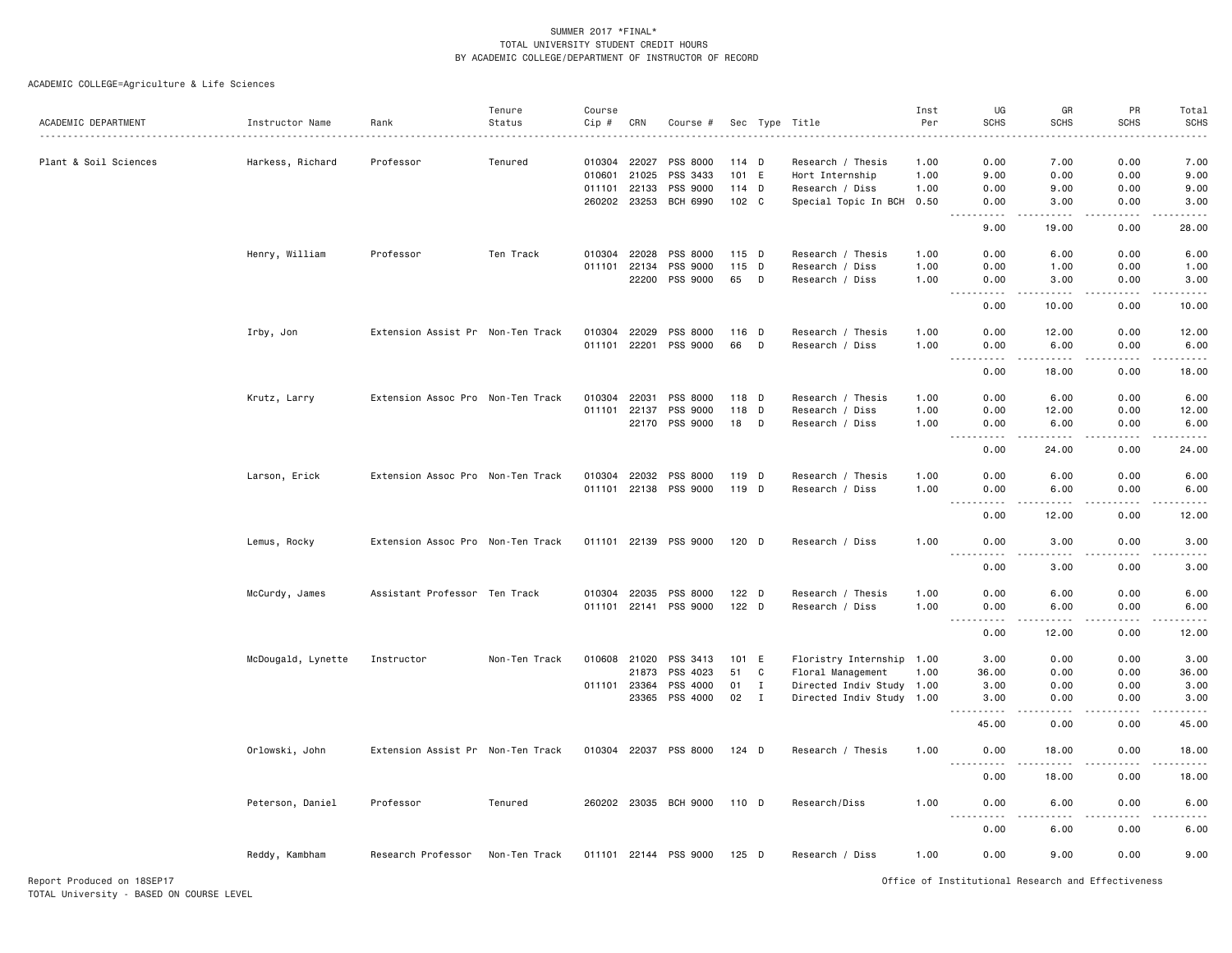ACADEMIC COLLEGE=Agriculture & Life Sciences

|                       |                    |                                   | Tenure        | Course       |       |                       |                  |              |                           | Inst | UG                                                                                                                                                                                   | GR                                                                                                                                                           | PR                                                                                                                                                           | Total              |
|-----------------------|--------------------|-----------------------------------|---------------|--------------|-------|-----------------------|------------------|--------------|---------------------------|------|--------------------------------------------------------------------------------------------------------------------------------------------------------------------------------------|--------------------------------------------------------------------------------------------------------------------------------------------------------------|--------------------------------------------------------------------------------------------------------------------------------------------------------------|--------------------|
| ACADEMIC DEPARTMENT   | Instructor Name    | Rank                              | Status        | Cip #        | CRN   | Course #              |                  |              | Sec Type Title            | Per  | <b>SCHS</b>                                                                                                                                                                          | <b>SCHS</b>                                                                                                                                                  | <b>SCHS</b>                                                                                                                                                  | <b>SCHS</b>        |
|                       |                    |                                   |               |              |       |                       |                  |              |                           |      |                                                                                                                                                                                      |                                                                                                                                                              |                                                                                                                                                              |                    |
| Plant & Soil Sciences | Harkess, Richard   | Professor                         | Tenured       | 010304       | 22027 | PSS 8000              | 114 D            |              | Research / Thesis         | 1.00 | 0.00                                                                                                                                                                                 | 7.00                                                                                                                                                         | 0.00                                                                                                                                                         | 7.00               |
|                       |                    |                                   |               | 010601       | 21025 | PSS 3433              | 101 E            |              | Hort Internship           | 1.00 | 9.00                                                                                                                                                                                 | 0.00                                                                                                                                                         | 0.00                                                                                                                                                         | 9.00               |
|                       |                    |                                   |               | 011101       | 22133 | PSS 9000              | 114 D            |              | Research / Diss           | 1.00 | 0.00                                                                                                                                                                                 | 9.00                                                                                                                                                         | 0.00                                                                                                                                                         | 9.00               |
|                       |                    |                                   |               | 260202 23253 |       | <b>BCH 6990</b>       | 102 <sub>c</sub> |              | Special Topic In BCH 0.50 |      | 0.00<br>.<br>$\frac{1}{2}$                                                                                                                                                           | 3.00<br>.                                                                                                                                                    | 0.00<br>. <b>.</b>                                                                                                                                           | 3.00<br>.          |
|                       |                    |                                   |               |              |       |                       |                  |              |                           |      | 9.00                                                                                                                                                                                 | 19.00                                                                                                                                                        | $\frac{1}{2}$<br>0.00                                                                                                                                        | 28.00              |
|                       | Henry, William     | Professor                         | Ten Track     | 010304       | 22028 | PSS 8000              | 115 D            |              | Research / Thesis         | 1.00 | 0.00                                                                                                                                                                                 | 6.00                                                                                                                                                         | 0.00                                                                                                                                                         | 6.00               |
|                       |                    |                                   |               | 011101       | 22134 | PSS 9000              | 115 D            |              | Research / Diss           | 1.00 | 0.00                                                                                                                                                                                 | 1.00                                                                                                                                                         | 0.00                                                                                                                                                         | 1.00               |
|                       |                    |                                   |               |              | 22200 | PSS 9000              | 65               | D            | Research / Diss           | 1.00 | 0.00<br>$\sim$ $\sim$ $\sim$                                                                                                                                                         | 3.00<br>$\frac{1}{2}$                                                                                                                                        | 0.00                                                                                                                                                         | 3.00               |
|                       |                    |                                   |               |              |       |                       |                  |              |                           |      | 0.00                                                                                                                                                                                 | 10.00                                                                                                                                                        | 0.00                                                                                                                                                         | 10.00              |
|                       | Irby, Jon          | Extension Assist Pr Non-Ten Track |               | 010304       | 22029 | PSS 8000              | 116 D            |              | Research / Thesis         | 1.00 | 0.00                                                                                                                                                                                 | 12.00                                                                                                                                                        | 0.00                                                                                                                                                         | 12.00              |
|                       |                    |                                   |               | 011101 22201 |       | PSS 9000              | 66               | D            | Research / Diss           | 1.00 | 0.00                                                                                                                                                                                 | 6.00                                                                                                                                                         | 0.00                                                                                                                                                         | 6.00               |
|                       |                    |                                   |               |              |       |                       |                  |              |                           |      | .<br>0.00                                                                                                                                                                            | .<br>18.00                                                                                                                                                   | .<br>0.00                                                                                                                                                    | والمستحدث<br>18.00 |
|                       |                    |                                   |               |              |       |                       |                  |              |                           |      |                                                                                                                                                                                      |                                                                                                                                                              |                                                                                                                                                              |                    |
|                       | Krutz, Larry       | Extension Assoc Pro Non-Ten Track |               | 010304       | 22031 | PSS 8000              | 118 D            |              | Research / Thesis         | 1.00 | 0.00                                                                                                                                                                                 | 6.00                                                                                                                                                         | 0.00                                                                                                                                                         | 6.00               |
|                       |                    |                                   |               | 011101       | 22137 | PSS 9000              | 118 D            |              | Research / Diss           | 1.00 | 0.00                                                                                                                                                                                 | 12.00                                                                                                                                                        | 0.00                                                                                                                                                         | 12.00              |
|                       |                    |                                   |               |              | 22170 | PSS 9000              | 18               | D            | Research / Diss           | 1.00 | 0.00<br>$\frac{1}{2}$<br>$\sim$ $\sim$                                                                                                                                               | 6.00<br>$\frac{1}{2}$                                                                                                                                        | 0.00<br>$- - - -$                                                                                                                                            | 6.00<br>.          |
|                       |                    |                                   |               |              |       |                       |                  |              |                           |      | 0.00                                                                                                                                                                                 | 24.00                                                                                                                                                        | 0.00                                                                                                                                                         | 24.00              |
|                       | Larson, Erick      | Extension Assoc Pro Non-Ten Track |               | 010304       | 22032 | PSS 8000              | $119$ D          |              | Research / Thesis         | 1.00 | 0.00                                                                                                                                                                                 | 6.00                                                                                                                                                         | 0.00                                                                                                                                                         | 6.00               |
|                       |                    |                                   |               | 011101 22138 |       | PSS 9000              | 119 D            |              | Research / Diss           | 1.00 | 0.00                                                                                                                                                                                 | 6.00                                                                                                                                                         | 0.00                                                                                                                                                         | 6.00               |
|                       |                    |                                   |               |              |       |                       |                  |              |                           |      | $\frac{1}{2} \left( \frac{1}{2} \right) \left( \frac{1}{2} \right) \left( \frac{1}{2} \right) \left( \frac{1}{2} \right) \left( \frac{1}{2} \right)$<br>$\sim$ $\sim$ $\sim$<br>0.00 | $\frac{1}{2} \left( \frac{1}{2} \right) \left( \frac{1}{2} \right) \left( \frac{1}{2} \right) \left( \frac{1}{2} \right) \left( \frac{1}{2} \right)$         | .<br>0.00                                                                                                                                                    | المتمامين          |
|                       |                    |                                   |               |              |       |                       |                  |              |                           |      |                                                                                                                                                                                      | 12.00                                                                                                                                                        |                                                                                                                                                              | 12.00              |
|                       | Lemus, Rocky       | Extension Assoc Pro Non-Ten Track |               | 011101 22139 |       | PSS 9000              | 120 D            |              | Research / Diss           | 1.00 | 0.00                                                                                                                                                                                 | 3.00                                                                                                                                                         | 0.00                                                                                                                                                         | 3.00               |
|                       |                    |                                   |               |              |       |                       |                  |              |                           |      | <b></b><br>0.00                                                                                                                                                                      | .<br>3.00                                                                                                                                                    | .<br>0.00                                                                                                                                                    | .<br>3.00          |
|                       |                    |                                   |               |              |       |                       |                  |              |                           |      |                                                                                                                                                                                      |                                                                                                                                                              |                                                                                                                                                              |                    |
|                       | McCurdy, James     | Assistant Professor Ten Track     |               | 010304       | 22035 | PSS 8000              | $122$ D          |              | Research / Thesis         | 1.00 | 0.00                                                                                                                                                                                 | 6.00                                                                                                                                                         | 0.00                                                                                                                                                         | 6.00               |
|                       |                    |                                   |               | 011101 22141 |       | PSS 9000              | $122$ D          |              | Research / Diss           | 1.00 | 0.00<br>2.2.2.2.2<br>$\sim$ $\sim$ $\sim$ $\sim$                                                                                                                                     | 6.00<br>$\frac{1}{2} \left( \frac{1}{2} \right) \left( \frac{1}{2} \right) \left( \frac{1}{2} \right) \left( \frac{1}{2} \right) \left( \frac{1}{2} \right)$ | 0.00<br>$\frac{1}{2} \left( \frac{1}{2} \right) \left( \frac{1}{2} \right) \left( \frac{1}{2} \right) \left( \frac{1}{2} \right) \left( \frac{1}{2} \right)$ | 6.00<br>.          |
|                       |                    |                                   |               |              |       |                       |                  |              |                           |      | 0.00                                                                                                                                                                                 | 12.00                                                                                                                                                        | 0.00                                                                                                                                                         | 12.00              |
|                       | McDougald, Lynette | Instructor                        | Non-Ten Track | 010608 21020 |       | PSS 3413              | 101 E            |              | Floristry Internship 1.00 |      | 3.00                                                                                                                                                                                 | 0.00                                                                                                                                                         | 0.00                                                                                                                                                         | 3.00               |
|                       |                    |                                   |               |              | 21873 | PSS 4023              | 51               | C.           | Floral Management         | 1.00 | 36.00                                                                                                                                                                                | 0.00                                                                                                                                                         | 0.00                                                                                                                                                         | 36.00              |
|                       |                    |                                   |               | 011101 23364 |       | PSS 4000              | 01               | $\mathbf{I}$ | Directed Indiv Study 1.00 |      | 3.00                                                                                                                                                                                 | 0.00                                                                                                                                                         | 0.00                                                                                                                                                         | 3.00               |
|                       |                    |                                   |               |              | 23365 | PSS 4000              | 02               | $\mathbf{I}$ | Directed Indiv Study 1.00 |      | 3.00                                                                                                                                                                                 | 0.00                                                                                                                                                         | 0.00                                                                                                                                                         | 3.00               |
|                       |                    |                                   |               |              |       |                       |                  |              |                           |      | .<br>45.00                                                                                                                                                                           | 0.00                                                                                                                                                         | 0.00                                                                                                                                                         | .<br>45.00         |
|                       | Orlowski, John     | Extension Assist Pr Non-Ten Track |               | 010304 22037 |       | PSS 8000              | 124 D            |              | Research / Thesis         | 1.00 | 0.00                                                                                                                                                                                 | 18.00                                                                                                                                                        | 0.00                                                                                                                                                         | 18.00              |
|                       |                    |                                   |               |              |       |                       |                  |              |                           |      | 0.00                                                                                                                                                                                 | 18.00                                                                                                                                                        | 0.00                                                                                                                                                         | 18.00              |
|                       | Peterson, Daniel   | Professor                         | Tenured       |              |       | 260202 23035 BCH 9000 | 110 D            |              | Research/Diss             | 1.00 | 0.00                                                                                                                                                                                 | 6.00                                                                                                                                                         | 0.00                                                                                                                                                         | 6.00               |
|                       |                    |                                   |               |              |       |                       |                  |              |                           |      | 0.00                                                                                                                                                                                 | 6.00                                                                                                                                                         | 0.00                                                                                                                                                         | 6.00               |
|                       | Reddy, Kambham     | Research Professor                | Non-Ten Track |              |       | 011101 22144 PSS 9000 | $125$ D          |              | Research / Diss           | 1.00 | 0.00                                                                                                                                                                                 | 9.00                                                                                                                                                         | 0.00                                                                                                                                                         | 9.00               |

Report Produced on 18SEP17 Office of Institutional Research and Effectiveness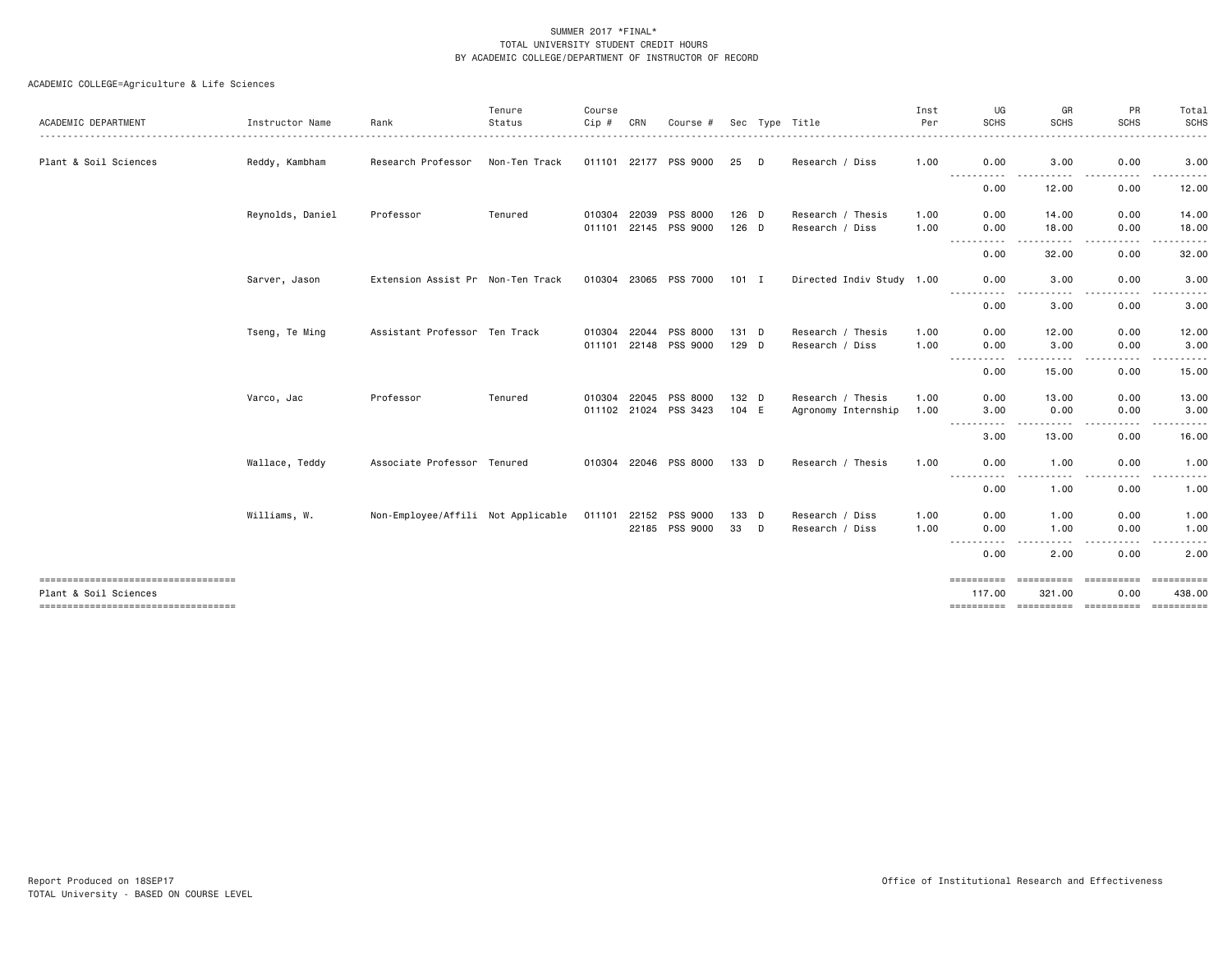| ACADEMIC DEPARTMENT                                         | Instructor Name  | Rank                               | Tenure<br>Status | Course<br>Cip # | CRN   | Course #              |         |   | Sec Type Title            | Inst<br>Per | UG<br><b>SCHS</b>                                                                                                                           | GR<br><b>SCHS</b> | PR<br><b>SCHS</b><br>$\frac{1}{2} \left( \frac{1}{2} \right) \left( \frac{1}{2} \right) \left( \frac{1}{2} \right) \left( \frac{1}{2} \right) \left( \frac{1}{2} \right)$ | Total<br><b>SCHS</b><br>.                                                                                                                                    |
|-------------------------------------------------------------|------------------|------------------------------------|------------------|-----------------|-------|-----------------------|---------|---|---------------------------|-------------|---------------------------------------------------------------------------------------------------------------------------------------------|-------------------|---------------------------------------------------------------------------------------------------------------------------------------------------------------------------|--------------------------------------------------------------------------------------------------------------------------------------------------------------|
| Plant & Soil Sciences                                       | Reddy, Kambham   | Research Professor                 | Non-Ten Track    | 011101 22177    |       | <b>PSS 9000</b>       | 25      | D | Research / Diss           | 1.00        | 0.00                                                                                                                                        | 3.00              | 0.00                                                                                                                                                                      | 3.00                                                                                                                                                         |
|                                                             |                  |                                    |                  |                 |       |                       |         |   |                           |             | $\frac{1}{2}$<br>.<br>0.00                                                                                                                  | 12.00             | 0.00                                                                                                                                                                      | -----<br>12.00                                                                                                                                               |
|                                                             | Reynolds, Daniel | Professor                          | Tenured          | 010304          | 22039 | PSS 8000              | $126$ D |   | Research / Thesis         | 1.00        | 0.00                                                                                                                                        | 14.00             | 0.00                                                                                                                                                                      | 14.00                                                                                                                                                        |
|                                                             |                  |                                    |                  | 011101          | 22145 | PSS 9000              | 126 D   |   | Research / Diss           | 1.00        | 0.00<br>------                                                                                                                              | 18.00             | 0.00<br>. <b>.</b>                                                                                                                                                        | 18.00<br>.                                                                                                                                                   |
|                                                             |                  |                                    |                  |                 |       |                       |         |   |                           |             | 0.00                                                                                                                                        | 32.00             | 0.00                                                                                                                                                                      | 32.00                                                                                                                                                        |
|                                                             | Sarver, Jason    | Extension Assist Pr Non-Ten Track  |                  |                 |       | 010304 23065 PSS 7000 | $101$ I |   | Directed Indiv Study 1.00 |             | 0.00                                                                                                                                        | 3.00              | 0.00                                                                                                                                                                      | 3.00                                                                                                                                                         |
|                                                             |                  |                                    |                  |                 |       |                       |         |   |                           |             | $\frac{1}{2}$<br>.<br>0.00                                                                                                                  | 3.00              | 0.00                                                                                                                                                                      | 3.00                                                                                                                                                         |
|                                                             | Tseng, Te Ming   | Assistant Professor Ten Track      |                  | 010304          | 22044 | <b>PSS 8000</b>       | 131 D   |   | Research / Thesis         | 1.00        | 0.00                                                                                                                                        | 12.00             | 0.00                                                                                                                                                                      | 12.00                                                                                                                                                        |
|                                                             |                  |                                    |                  | 011101          | 22148 | PSS 9000              | 129 D   |   | Research / Diss           | 1.00        | 0.00                                                                                                                                        | 3.00              | 0.00                                                                                                                                                                      | 3.00                                                                                                                                                         |
|                                                             |                  |                                    |                  |                 |       |                       |         |   |                           |             | $\frac{1}{2} \left( \frac{1}{2} \right) \left( \frac{1}{2} \right) \left( \frac{1}{2} \right) \left( \frac{1}{2} \right)$<br>------<br>0.00 | .<br>15.00        | . <b>.</b><br>0.00                                                                                                                                                        | .<br>15.00                                                                                                                                                   |
|                                                             | Varco, Jac       | Professor                          | Tenured          | 010304 22045    |       | PSS 8000              | 132 D   |   | Research / Thesis         | 1.00        | 0.00                                                                                                                                        | 13.00             | 0.00                                                                                                                                                                      | 13.00                                                                                                                                                        |
|                                                             |                  |                                    |                  |                 |       | 011102 21024 PSS 3423 | 104 E   |   | Agronomy Internship       | 1.00        | 3.00                                                                                                                                        | 0.00              | 0.00                                                                                                                                                                      | 3.00                                                                                                                                                         |
|                                                             |                  |                                    |                  |                 |       |                       |         |   |                           |             | ----------<br>3.00                                                                                                                          | .<br>13.00        | .<br>0.00                                                                                                                                                                 | 16.00                                                                                                                                                        |
|                                                             | Wallace, Teddy   | Associate Professor Tenured        |                  |                 |       | 010304 22046 PSS 8000 | 133 D   |   | Research / Thesis         | 1.00        | 0.00                                                                                                                                        | 1.00              | 0.00                                                                                                                                                                      | 1.00                                                                                                                                                         |
|                                                             |                  |                                    |                  |                 |       |                       |         |   |                           |             | ----------<br>0.00                                                                                                                          | .<br>1.00         | . <b>.</b><br>$- - -$<br>0.00                                                                                                                                             | .<br>1.00                                                                                                                                                    |
|                                                             | Williams, W.     | Non-Employee/Affili Not Applicable |                  | 011101          |       | 22152 PSS 9000        | 133 D   |   | Research / Diss           | 1.00        | 0.00                                                                                                                                        | 1.00              | 0.00                                                                                                                                                                      | 1.00                                                                                                                                                         |
|                                                             |                  |                                    |                  |                 |       | 22185 PSS 9000        | 33 D    |   | Research / Diss           | 1.00        | 0.00                                                                                                                                        | 1.00              | 0.00                                                                                                                                                                      | 1.00                                                                                                                                                         |
|                                                             |                  |                                    |                  |                 |       |                       |         |   |                           |             | ----------<br>0.00                                                                                                                          | .<br>2.00         | $\frac{1}{2} \left( \frac{1}{2} \right) \left( \frac{1}{2} \right) \left( \frac{1}{2} \right) \left( \frac{1}{2} \right)$<br>0.00                                         | $\frac{1}{2} \left( \frac{1}{2} \right) \left( \frac{1}{2} \right) \left( \frac{1}{2} \right) \left( \frac{1}{2} \right) \left( \frac{1}{2} \right)$<br>2.00 |
| ====================================                        |                  |                                    |                  |                 |       |                       |         |   |                           |             | ==========                                                                                                                                  |                   | EEEEEEEEE                                                                                                                                                                 |                                                                                                                                                              |
| Plant & Soil Sciences<br>---------------------------------- |                  |                                    |                  |                 |       |                       |         |   |                           |             | 117.00                                                                                                                                      | 321.00            | 0.00                                                                                                                                                                      | 438.00<br>==========                                                                                                                                         |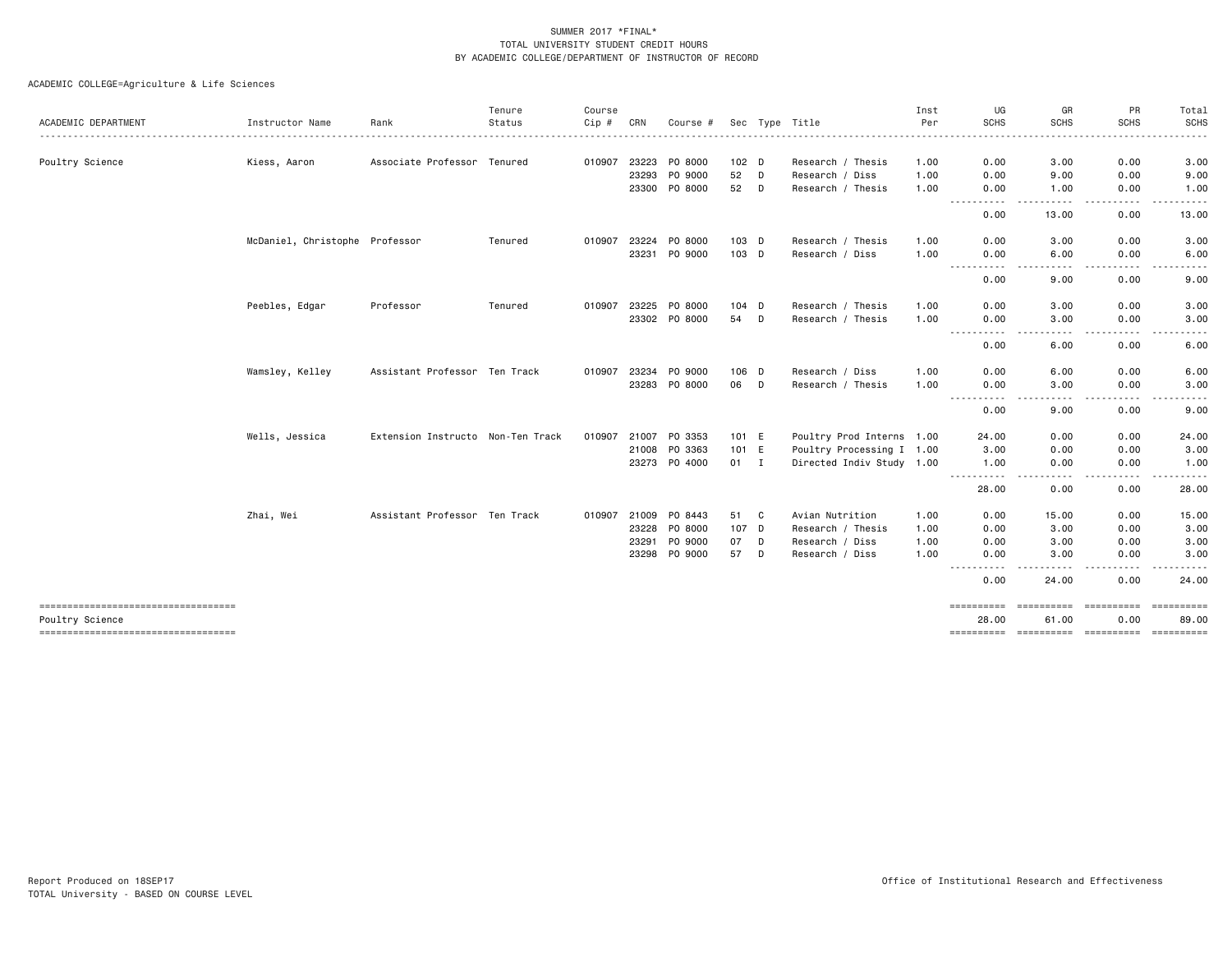|                                                        |                                |                                   | Tenure  | Course |       |               |             |   |                                      | Inst         | UG                                                                                                                                | GR                  | PR                                                                                                                                | Total                                                                                                                                                        |
|--------------------------------------------------------|--------------------------------|-----------------------------------|---------|--------|-------|---------------|-------------|---|--------------------------------------|--------------|-----------------------------------------------------------------------------------------------------------------------------------|---------------------|-----------------------------------------------------------------------------------------------------------------------------------|--------------------------------------------------------------------------------------------------------------------------------------------------------------|
| ACADEMIC DEPARTMENT                                    | Instructor Name                | Rank                              | Status  | Cip #  | CRN   | Course #      |             |   | Sec Type Title                       | Per          | <b>SCHS</b>                                                                                                                       | <b>SCHS</b>         | <b>SCHS</b>                                                                                                                       | SCHS                                                                                                                                                         |
|                                                        |                                | Associate Professor Tenured       |         |        | 23223 | PO 8000       |             |   |                                      |              |                                                                                                                                   |                     |                                                                                                                                   |                                                                                                                                                              |
| Poultry Science                                        | Kiess, Aaron                   |                                   |         | 010907 | 23293 | PO 9000       | 102 D<br>52 | D | Research / Thesis<br>Research / Diss | 1.00<br>1.00 | 0.00<br>0.00                                                                                                                      | 3.00<br>9.00        | 0.00<br>0.00                                                                                                                      | 3.00<br>9.00                                                                                                                                                 |
|                                                        |                                |                                   |         |        | 23300 | PO 8000       | 52          | D | Research / Thesis                    | 1.00         | 0.00                                                                                                                              | 1.00                | 0.00                                                                                                                              | 1.00                                                                                                                                                         |
|                                                        |                                |                                   |         |        |       |               |             |   |                                      |              | $\frac{1}{2}$<br>----                                                                                                             |                     | $\frac{1}{2} \left( \frac{1}{2} \right) \left( \frac{1}{2} \right) \left( \frac{1}{2} \right) \left( \frac{1}{2} \right)$         |                                                                                                                                                              |
|                                                        |                                |                                   |         |        |       |               |             |   |                                      |              | 0.00                                                                                                                              | 13.00               | 0.00                                                                                                                              | 13.00                                                                                                                                                        |
|                                                        | McDaniel, Christophe Professor |                                   | Tenured | 010907 | 23224 | PO 8000       | 103 D       |   | Research / Thesis                    | 1.00         | 0.00                                                                                                                              | 3.00                | 0.00                                                                                                                              | 3.00                                                                                                                                                         |
|                                                        |                                |                                   |         |        | 23231 | PO 9000       | 103 D       |   | Research / Diss                      | 1.00         | 0.00<br>.                                                                                                                         | 6.00<br>----        | 0.00<br>.                                                                                                                         | 6.00<br>-----                                                                                                                                                |
|                                                        |                                |                                   |         |        |       |               |             |   |                                      |              | 0.00                                                                                                                              | 9.00                | 0.00                                                                                                                              | 9.00                                                                                                                                                         |
|                                                        | Peebles, Edgar                 | Professor                         | Tenured | 010907 | 23225 | PO 8000       | 104 D       |   | Research / Thesis                    | 1.00         | 0.00                                                                                                                              | 3.00                | 0.00                                                                                                                              | 3.00                                                                                                                                                         |
|                                                        |                                |                                   |         |        |       | 23302 PO 8000 | 54          | D | Research / Thesis                    | 1.00         | 0.00<br>----------                                                                                                                | 3.00<br>$- - - -$   | 0.00<br>.                                                                                                                         | 3.00<br>-----                                                                                                                                                |
|                                                        |                                |                                   |         |        |       |               |             |   |                                      |              | 0.00                                                                                                                              | 6.00                | 0.00                                                                                                                              | 6.00                                                                                                                                                         |
|                                                        | Wamsley, Kelley                | Assistant Professor Ten Track     |         | 010907 | 23234 | PO 9000       | 106 D       |   | Research / Diss                      | 1.00         | 0.00                                                                                                                              | 6.00                | 0.00                                                                                                                              | 6.00                                                                                                                                                         |
|                                                        |                                |                                   |         |        |       | 23283 PO 8000 | 06 D        |   | Research / Thesis                    | 1.00         | 0.00<br>-----------                                                                                                               | 3.00<br>----        | 0.00<br>.                                                                                                                         | 3.00<br>.                                                                                                                                                    |
|                                                        |                                |                                   |         |        |       |               |             |   |                                      |              | 0.00                                                                                                                              | 9.00                | 0.00                                                                                                                              | 9.00                                                                                                                                                         |
|                                                        | Wells, Jessica                 | Extension Instructo Non-Ten Track |         | 010907 | 21007 | PO 3353       | 101 E       |   | Poultry Prod Interns 1.00            |              | 24.00                                                                                                                             | 0.00                | 0.00                                                                                                                              | 24.00                                                                                                                                                        |
|                                                        |                                |                                   |         |        | 21008 | PO 3363       | 101 E       |   | Poultry Processing I 1.00            |              | 3.00                                                                                                                              | 0.00                | 0.00                                                                                                                              | 3.00                                                                                                                                                         |
|                                                        |                                |                                   |         |        |       | 23273 PO 4000 | 01 I        |   | Directed Indiv Study 1.00            |              | 1.00<br>$\frac{1}{2} \left( \frac{1}{2} \right) \left( \frac{1}{2} \right) \left( \frac{1}{2} \right) \left( \frac{1}{2} \right)$ | 0.00<br>----        | 0.00<br>$\frac{1}{2} \left( \frac{1}{2} \right) \left( \frac{1}{2} \right) \left( \frac{1}{2} \right) \left( \frac{1}{2} \right)$ | 1.00<br>$\frac{1}{2} \left( \frac{1}{2} \right) \left( \frac{1}{2} \right) \left( \frac{1}{2} \right) \left( \frac{1}{2} \right) \left( \frac{1}{2} \right)$ |
|                                                        |                                |                                   |         |        |       |               |             |   |                                      |              | 28.00                                                                                                                             | 0.00                | 0.00                                                                                                                              | 28.00                                                                                                                                                        |
|                                                        | Zhai, Wei                      | Assistant Professor Ten Track     |         | 010907 | 21009 | PO 8443       | 51 C        |   | Avian Nutrition                      | 1.00         | 0.00                                                                                                                              | 15.00               | 0.00                                                                                                                              | 15.00                                                                                                                                                        |
|                                                        |                                |                                   |         |        | 23228 | PO 8000       | 107 D       |   | Research / Thesis                    | 1.00         | 0.00                                                                                                                              | 3.00                | 0.00                                                                                                                              | 3.00                                                                                                                                                         |
|                                                        |                                |                                   |         |        | 23291 | P0 9000       | 07          | D | Research / Diss                      | 1.00         | 0.00                                                                                                                              | 3.00                | 0.00                                                                                                                              | 3.00                                                                                                                                                         |
|                                                        |                                |                                   |         |        | 23298 | PO 9000       | 57          | D | Research / Diss                      | 1.00         | 0.00                                                                                                                              | 3.00                | 0.00<br>----                                                                                                                      | 3.00<br>-----                                                                                                                                                |
|                                                        |                                |                                   |         |        |       |               |             |   |                                      |              | 0.00                                                                                                                              | 24.00               | 0.00                                                                                                                              | 24,00                                                                                                                                                        |
| -----------------------------------<br>Poultry Science |                                |                                   |         |        |       |               |             |   |                                      |              | ==========<br>28.00                                                                                                               | ==========<br>61.00 | 0.00                                                                                                                              | 89.00                                                                                                                                                        |
| ======================================                 |                                |                                   |         |        |       |               |             |   |                                      |              | ==========                                                                                                                        | ==========          |                                                                                                                                   | ==========                                                                                                                                                   |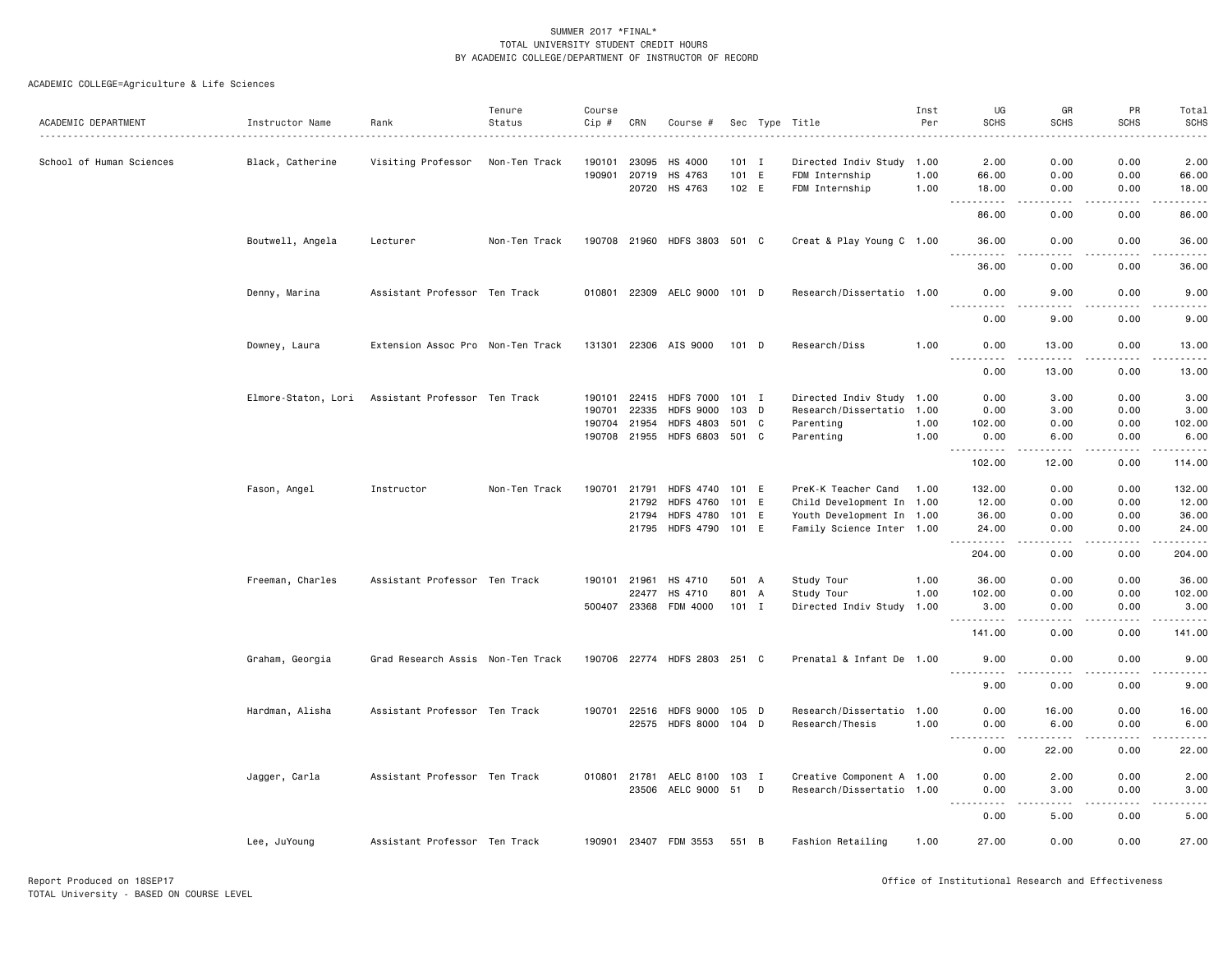| ACADEMIC DEPARTMENT      | Instructor Name  | Rank                                              | Tenure<br>Status | Course<br>Cip # | CRN          | Course #                     |         |   | Sec Type Title            | Inst<br>Per | UG<br><b>SCHS</b>                                                                                                                                            | GR<br><b>SCHS</b> | PR<br><b>SCHS</b>                        | Total<br><b>SCHS</b>     |
|--------------------------|------------------|---------------------------------------------------|------------------|-----------------|--------------|------------------------------|---------|---|---------------------------|-------------|--------------------------------------------------------------------------------------------------------------------------------------------------------------|-------------------|------------------------------------------|--------------------------|
| School of Human Sciences | Black, Catherine | Visiting Professor                                | Non-Ten Track    |                 | 190101 23095 | HS 4000                      | $101$ I |   | Directed Indiv Study 1.00 |             | 2.00                                                                                                                                                         | 0.00              | 0.00                                     | 2.00                     |
|                          |                  |                                                   |                  |                 | 190901 20719 | HS 4763                      | 101 E   |   | FDM Internship            | 1.00        | 66.00                                                                                                                                                        | 0.00              | 0.00                                     | 66.00                    |
|                          |                  |                                                   |                  |                 |              | 20720 HS 4763                | 102 E   |   | FDM Internship            | 1.00        | 18.00                                                                                                                                                        | 0.00              | 0.00                                     | 18.00                    |
|                          |                  |                                                   |                  |                 |              |                              |         |   |                           |             | .<br>86.00                                                                                                                                                   | .<br>0.00         | $\omega$ is $\omega$ in $\omega$<br>0.00 | .<br>86.00               |
|                          | Boutwell, Angela | Lecturer                                          | Non-Ten Track    |                 |              | 190708 21960 HDFS 3803 501 C |         |   | Creat & Play Young C 1.00 |             | 36.00<br>$\frac{1}{2}$                                                                                                                                       | 0.00              | 0.00                                     | 36.00                    |
|                          |                  |                                                   |                  |                 |              |                              |         |   |                           |             | 36.00                                                                                                                                                        | 0.00              | 0.00                                     | 36.00                    |
|                          | Denny, Marina    | Assistant Professor Ten Track                     |                  |                 |              | 010801 22309 AELC 9000 101 D |         |   | Research/Dissertatio 1.00 |             | 0.00<br>.                                                                                                                                                    | 9.00              | 0.00                                     | 9.00                     |
|                          |                  |                                                   |                  |                 |              |                              |         |   |                           |             | 0.00                                                                                                                                                         | 9.00              | 0.00                                     | 9.00                     |
|                          | Downey, Laura    | Extension Assoc Pro Non-Ten Track                 |                  |                 |              | 131301 22306 AIS 9000        | 101 D   |   | Research/Diss             | 1.00        | 0.00                                                                                                                                                         | 13.00             | 0.00                                     | 13.00                    |
|                          |                  |                                                   |                  |                 |              |                              |         |   |                           |             | <u>.</u><br>0.00                                                                                                                                             | .<br>13.00        | <b>.</b><br>0.00                         | .<br>13.00               |
|                          |                  | Elmore-Staton, Lori Assistant Professor Ten Track |                  |                 | 190101 22415 | HDFS 7000 101 I              |         |   | Directed Indiv Study 1.00 |             | 0.00                                                                                                                                                         | 3.00              | 0.00                                     | 3.00                     |
|                          |                  |                                                   |                  | 190701          | 22335        | <b>HDFS 9000</b>             | $103$ D |   | Research/Dissertatio      | 1.00        | 0.00                                                                                                                                                         | 3.00              | 0.00                                     | 3.00                     |
|                          |                  |                                                   |                  |                 | 190704 21954 | HDFS 4803 501 C              |         |   | Parenting                 | 1.00        | 102.00                                                                                                                                                       | 0.00              | 0.00                                     | 102.00                   |
|                          |                  |                                                   |                  |                 |              | 190708 21955 HDFS 6803 501 C |         |   | Parenting                 | 1.00        | 0.00<br>$\frac{1}{2} \left( \frac{1}{2} \right) \left( \frac{1}{2} \right) \left( \frac{1}{2} \right) \left( \frac{1}{2} \right) \left( \frac{1}{2} \right)$ | 6.00<br>.         | 0.00<br>.                                | 6.00                     |
|                          |                  |                                                   |                  |                 |              |                              |         |   |                           |             | 102.00                                                                                                                                                       | 12.00             | 0.00                                     | 114.00                   |
|                          | Fason, Angel     | Instructor                                        | Non-Ten Track    |                 | 190701 21791 | HDFS 4740 101 E              |         |   | PreK-K Teacher Cand       | 1.00        | 132.00                                                                                                                                                       | 0.00              | 0.00                                     | 132.00                   |
|                          |                  |                                                   |                  |                 | 21792        | <b>HDFS 4760</b>             | 101 E   |   | Child Development In 1.00 |             | 12.00                                                                                                                                                        | 0.00              | 0.00                                     | 12.00                    |
|                          |                  |                                                   |                  |                 | 21794        | <b>HDFS 4780</b>             | 101 E   |   | Youth Development In 1.00 |             | 36.00                                                                                                                                                        | 0.00              | 0.00                                     | 36.00                    |
|                          |                  |                                                   |                  |                 |              | 21795 HDFS 4790 101 E        |         |   | Family Science Inter 1.00 |             | 24.00<br>.<br>$  -$                                                                                                                                          | 0.00<br>.         | 0.00<br>-----                            | 24.00<br>$- - - - - - -$ |
|                          |                  |                                                   |                  |                 |              |                              |         |   |                           |             | 204.00                                                                                                                                                       | 0.00              | 0.00                                     | 204.00                   |
|                          | Freeman, Charles | Assistant Professor Ten Track                     |                  |                 | 190101 21961 | HS 4710                      | 501 A   |   | Study Tour                | 1.00        | 36.00                                                                                                                                                        | 0.00              | 0.00                                     | 36.00                    |
|                          |                  |                                                   |                  |                 | 22477        | HS 4710                      | 801 A   |   | Study Tour                | 1.00        | 102.00                                                                                                                                                       | 0.00              | 0.00                                     | 102.00                   |
|                          |                  |                                                   |                  |                 | 500407 23368 | FDM 4000                     | $101$ I |   | Directed Indiv Study 1.00 |             | 3.00<br>.                                                                                                                                                    | 0.00<br>.         | 0.00<br>.                                | 3.00<br>.                |
|                          |                  |                                                   |                  |                 |              |                              |         |   |                           |             | 141.00                                                                                                                                                       | 0.00              | 0.00                                     | 141.00                   |
|                          | Graham, Georgia  | Grad Research Assis Non-Ten Track                 |                  |                 |              | 190706 22774 HDFS 2803 251 C |         |   | Prenatal & Infant De 1.00 |             | 9.00<br><u>.</u>                                                                                                                                             | 0.00<br>.         | 0.00<br>.                                | 9.00<br>.                |
|                          |                  |                                                   |                  |                 |              |                              |         |   |                           |             | 9.00                                                                                                                                                         | 0.00              | 0.00                                     | 9.00                     |
|                          | Hardman, Alisha  | Assistant Professor Ten Track                     |                  |                 | 190701 22516 | HDFS 9000 105 D              |         |   | Research/Dissertatio 1.00 |             | 0.00                                                                                                                                                         | 16.00             | 0.00                                     | 16.00                    |
|                          |                  |                                                   |                  |                 | 22575        | HDFS 8000 104 D              |         |   | Research/Thesis           | 1.00        | 0.00                                                                                                                                                         | 6.00              | 0.00                                     | 6.00                     |
|                          |                  |                                                   |                  |                 |              |                              |         |   |                           |             | ----------                                                                                                                                                   | -----             | 0.00                                     | 22.00                    |
|                          |                  |                                                   |                  |                 |              |                              |         |   |                           |             | 0.00                                                                                                                                                         | 22.00             |                                          |                          |
|                          | Jagger, Carla    | Assistant Professor Ten Track                     |                  |                 |              | 010801 21781 AELC 8100 103 I |         |   | Creative Component A 1.00 |             | 0.00                                                                                                                                                         | 2.00              | 0.00                                     | 2.00                     |
|                          |                  |                                                   |                  |                 |              | 23506 AELC 9000 51           |         | D | Research/Dissertatio 1.00 |             | 0.00<br>----------                                                                                                                                           | 3.00<br>.         | 0.00<br>-----                            | 3.00<br>.                |
|                          |                  |                                                   |                  |                 |              |                              |         |   |                           |             | 0.00                                                                                                                                                         | 5.00              | 0.00                                     | 5.00                     |
|                          | Lee, JuYoung     | Assistant Professor Ten Track                     |                  |                 |              | 190901 23407 FDM 3553        | 551 B   |   | Fashion Retailing         | 1.00        | 27.00                                                                                                                                                        | 0.00              | 0.00                                     | 27.00                    |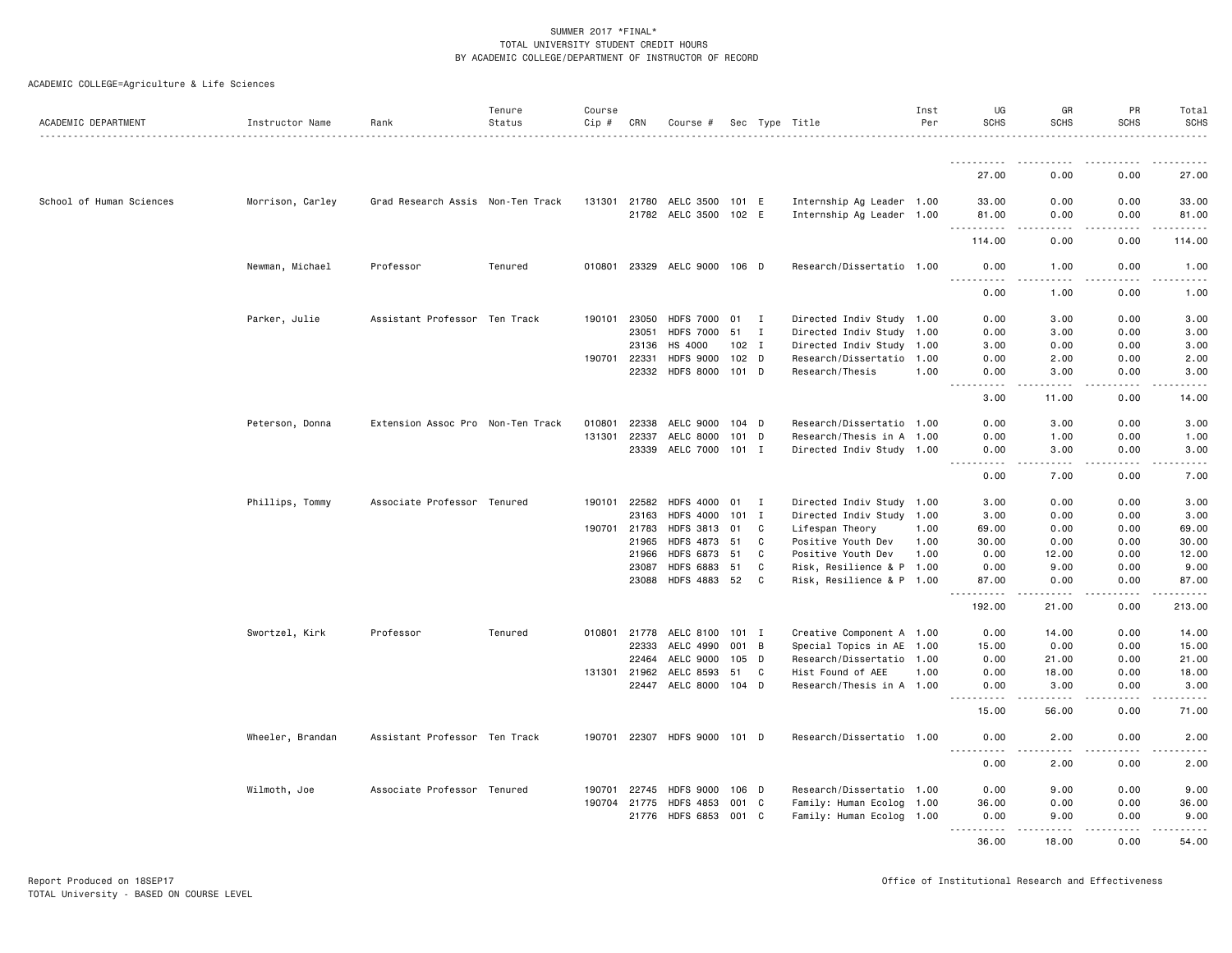| ACADEMIC DEPARTMENT      | Instructor Name  | Rank                              | Tenure<br>Status | Course<br>Cip # | CRN          | Course #               |                  |              | Sec Type Title            | Inst<br>Per | UG<br><b>SCHS</b>                                                                                                                                                                                                                                                                          | GR<br>SCHS                                                                                                                                                   | PR<br><b>SCHS</b>   | Total<br><b>SCHS</b> |
|--------------------------|------------------|-----------------------------------|------------------|-----------------|--------------|------------------------|------------------|--------------|---------------------------|-------------|--------------------------------------------------------------------------------------------------------------------------------------------------------------------------------------------------------------------------------------------------------------------------------------------|--------------------------------------------------------------------------------------------------------------------------------------------------------------|---------------------|----------------------|
|                          |                  |                                   |                  |                 |              |                        |                  |              |                           |             |                                                                                                                                                                                                                                                                                            |                                                                                                                                                              |                     |                      |
|                          |                  |                                   |                  |                 |              |                        |                  |              |                           |             | .<br>27.00                                                                                                                                                                                                                                                                                 | 0.00                                                                                                                                                         | 0.00                | 27.00                |
| School of Human Sciences | Morrison, Carley | Grad Research Assis Non-Ten Track |                  |                 |              | 131301 21780 AELC 3500 | 101 E            |              | Internship Ag Leader 1.00 |             | 33.00                                                                                                                                                                                                                                                                                      | 0.00                                                                                                                                                         | 0.00                | 33.00                |
|                          |                  |                                   |                  |                 |              | 21782 AELC 3500 102 E  |                  |              | Internship Ag Leader 1.00 |             | 81.00<br>.                                                                                                                                                                                                                                                                                 | 0.00<br>.                                                                                                                                                    | 0.00<br><u>.</u>    | 81.00<br>.           |
|                          |                  |                                   |                  |                 |              |                        |                  |              |                           |             | 114.00                                                                                                                                                                                                                                                                                     | 0.00                                                                                                                                                         | 0.00                | 114.00               |
|                          | Newman, Michael  | Professor                         | Tenured          |                 |              | 010801 23329 AELC 9000 | $106$ D          |              | Research/Dissertatio 1.00 |             | 0.00<br>.                                                                                                                                                                                                                                                                                  | 1.00<br>.                                                                                                                                                    | 0.00<br>.           | 1.00<br>$- - - - -$  |
|                          |                  |                                   |                  |                 |              |                        |                  |              |                           |             | 0.00                                                                                                                                                                                                                                                                                       | 1.00                                                                                                                                                         | 0.00                | 1.00                 |
|                          | Parker, Julie    | Assistant Professor Ten Track     |                  | 190101          | 23050        | <b>HDFS 7000</b>       | 01               | I            | Directed Indiv Study 1.00 |             | 0.00                                                                                                                                                                                                                                                                                       | 3,00                                                                                                                                                         | 0.00                | 3.00                 |
|                          |                  |                                   |                  |                 | 23051        | <b>HDFS 7000</b>       | 51               | I            | Directed Indiv Study 1.00 |             | 0.00                                                                                                                                                                                                                                                                                       | 3.00                                                                                                                                                         | 0.00                | 3.00                 |
|                          |                  |                                   |                  |                 | 23136        | HS 4000                | $102$ I          |              | Directed Indiv Study 1.00 |             | 3.00                                                                                                                                                                                                                                                                                       | 0.00                                                                                                                                                         | 0.00                | 3.00                 |
|                          |                  |                                   |                  |                 | 190701 22331 | <b>HDFS 9000</b>       | 102 <sub>D</sub> |              | Research/Dissertatio      | 1.00        | 0.00                                                                                                                                                                                                                                                                                       | 2.00                                                                                                                                                         | 0.00                | 2.00                 |
|                          |                  |                                   |                  |                 |              | 22332 HDFS 8000 101 D  |                  |              | Research/Thesis           | 1.00        | 0.00<br>.<br>$\sim$ $\sim$ $\sim$ $\sim$                                                                                                                                                                                                                                                   | 3.00<br>$\frac{1}{2} \left( \frac{1}{2} \right) \left( \frac{1}{2} \right) \left( \frac{1}{2} \right) \left( \frac{1}{2} \right) \left( \frac{1}{2} \right)$ | 0.00<br>-----       | 3.00                 |
|                          |                  |                                   |                  |                 |              |                        |                  |              |                           |             | 3.00                                                                                                                                                                                                                                                                                       | 11.00                                                                                                                                                        | 0.00                | 14.00                |
|                          | Peterson, Donna  | Extension Assoc Pro Non-Ten Track |                  | 010801          | 22338        | AELC 9000              | 104 D            |              | Research/Dissertatio 1.00 |             | 0.00                                                                                                                                                                                                                                                                                       | 3.00                                                                                                                                                         | 0.00                | 3.00                 |
|                          |                  |                                   |                  | 131301          | 22337        | AELC 8000              | 101 D            |              | Research/Thesis in A 1.00 |             | 0.00                                                                                                                                                                                                                                                                                       | 1.00                                                                                                                                                         | 0.00                | 1.00                 |
|                          |                  |                                   |                  |                 |              | 23339 AELC 7000 101 I  |                  |              | Directed Indiv Study 1.00 |             | 0.00<br>$\frac{1}{2}$<br>.                                                                                                                                                                                                                                                                 | 3.00                                                                                                                                                         | 0.00                | 3.00                 |
|                          |                  |                                   |                  |                 |              |                        |                  |              |                           |             | 0.00                                                                                                                                                                                                                                                                                       | 7.00                                                                                                                                                         | 0.00                | 7.00                 |
|                          | Phillips, Tommy  | Associate Professor Tenured       |                  |                 | 190101 22582 | <b>HDFS 4000</b>       | 01               | $\mathbf{I}$ | Directed Indiv Study 1.00 |             | 3.00                                                                                                                                                                                                                                                                                       | 0.00                                                                                                                                                         | 0.00                | 3.00                 |
|                          |                  |                                   |                  |                 | 23163        | <b>HDFS 4000</b>       | $101$ I          |              | Directed Indiv Study 1.00 |             | 3.00                                                                                                                                                                                                                                                                                       | 0.00                                                                                                                                                         | 0.00                | 3.00                 |
|                          |                  |                                   |                  |                 | 190701 21783 | <b>HDFS 3813</b>       | 01               | C            | Lifespan Theory           | 1.00        | 69.00                                                                                                                                                                                                                                                                                      | 0.00                                                                                                                                                         | 0.00                | 69.00                |
|                          |                  |                                   |                  |                 | 21965        | <b>HDFS 4873</b>       | 51               | C            | Positive Youth Dev        | 1.00        | 30.00                                                                                                                                                                                                                                                                                      | 0.00                                                                                                                                                         | 0.00                | 30.00                |
|                          |                  |                                   |                  |                 | 21966        | <b>HDFS 6873</b>       | 51               | C            | Positive Youth Dev        | 1.00        | 0.00                                                                                                                                                                                                                                                                                       | 12.00                                                                                                                                                        | 0.00                | 12.00                |
|                          |                  |                                   |                  |                 | 23087        | <b>HDFS 6883</b>       | 51               | C            | Risk, Resilience & P 1.00 |             | 0.00                                                                                                                                                                                                                                                                                       | 9.00                                                                                                                                                         | 0.00                | 9.00                 |
|                          |                  |                                   |                  |                 |              | 23088 HDFS 4883 52     |                  | C            | Risk, Resilience & P 1.00 |             | 87.00<br>$\frac{1}{2} \left( \frac{1}{2} \right) \left( \frac{1}{2} \right) \left( \frac{1}{2} \right) \left( \frac{1}{2} \right) \left( \frac{1}{2} \right)$<br>$\frac{1}{2} \left( \frac{1}{2} \right) \left( \frac{1}{2} \right) \left( \frac{1}{2} \right) \left( \frac{1}{2} \right)$ | 0.00                                                                                                                                                         | 0.00                | 87.00                |
|                          |                  |                                   |                  |                 |              |                        |                  |              |                           |             | 192.00                                                                                                                                                                                                                                                                                     | 21.00                                                                                                                                                        | 0.00                | 213.00               |
|                          | Swortzel, Kirk   | Professor                         | Tenured          |                 |              | 010801 21778 AELC 8100 | 101 I            |              | Creative Component A 1.00 |             | 0.00                                                                                                                                                                                                                                                                                       | 14.00                                                                                                                                                        | 0.00                | 14.00                |
|                          |                  |                                   |                  |                 | 22333        | AELC 4990              | 001 B            |              | Special Topics in AE      | 1.00        | 15.00                                                                                                                                                                                                                                                                                      | 0.00                                                                                                                                                         | 0.00                | 15.00                |
|                          |                  |                                   |                  |                 | 22464        | AELC 9000              | 105 D            |              | Research/Dissertatio 1.00 |             | 0.00                                                                                                                                                                                                                                                                                       | 21.00                                                                                                                                                        | 0.00                | 21.00                |
|                          |                  |                                   |                  |                 | 131301 21962 | AELC 8593              | 51               | C            | Hist Found of AEE         | 1.00        | 0.00                                                                                                                                                                                                                                                                                       | 18.00                                                                                                                                                        | 0.00                | 18.00                |
|                          |                  |                                   |                  |                 |              | 22447 AELC 8000 104 D  |                  |              | Research/Thesis in A 1.00 |             | 0.00<br>$- - - - -$<br>$\frac{1}{2} \left( \frac{1}{2} \right) \left( \frac{1}{2} \right) \left( \frac{1}{2} \right) \left( \frac{1}{2} \right)$                                                                                                                                           | 3.00<br>$\frac{1}{2}$                                                                                                                                        | 0.00<br>-----       | 3.00                 |
|                          |                  |                                   |                  |                 |              |                        |                  |              |                           |             | 15.00                                                                                                                                                                                                                                                                                      | 56.00                                                                                                                                                        | 0.00                | 71.00                |
|                          | Wheeler, Brandan | Assistant Professor Ten Track     |                  |                 |              | 190701 22307 HDFS 9000 | 101 D            |              | Research/Dissertatio 1.00 |             | 0.00<br>.                                                                                                                                                                                                                                                                                  | 2.00<br>.                                                                                                                                                    | 0.00                | 2.00<br>.            |
|                          |                  |                                   |                  |                 |              |                        |                  |              |                           |             | 0.00                                                                                                                                                                                                                                                                                       | 2.00                                                                                                                                                         | .<br>0.00           | 2.00                 |
|                          | Wilmoth, Joe     | Associate Professor Tenured       |                  |                 | 190701 22745 | <b>HDFS 9000</b>       | 106 D            |              | Research/Dissertatio 1.00 |             | 0.00                                                                                                                                                                                                                                                                                       | 9.00                                                                                                                                                         | 0.00                | 9.00                 |
|                          |                  |                                   |                  |                 | 190704 21775 | <b>HDFS 4853</b>       | 001 C            |              | Family: Human Ecolog 1.00 |             | 36.00                                                                                                                                                                                                                                                                                      | 0.00                                                                                                                                                         | 0.00                | 36.00                |
|                          |                  |                                   |                  |                 |              | 21776 HDFS 6853 001 C  |                  |              | Family: Human Ecolog 1.00 |             | 0.00<br><u>.</u>                                                                                                                                                                                                                                                                           | 9.00<br>$- - - - -$                                                                                                                                          | 0.00<br>$- - - - -$ | 9.00<br>.            |
|                          |                  |                                   |                  |                 |              |                        |                  |              |                           |             | 36.00                                                                                                                                                                                                                                                                                      | 18.00                                                                                                                                                        | 0.00                | 54.00                |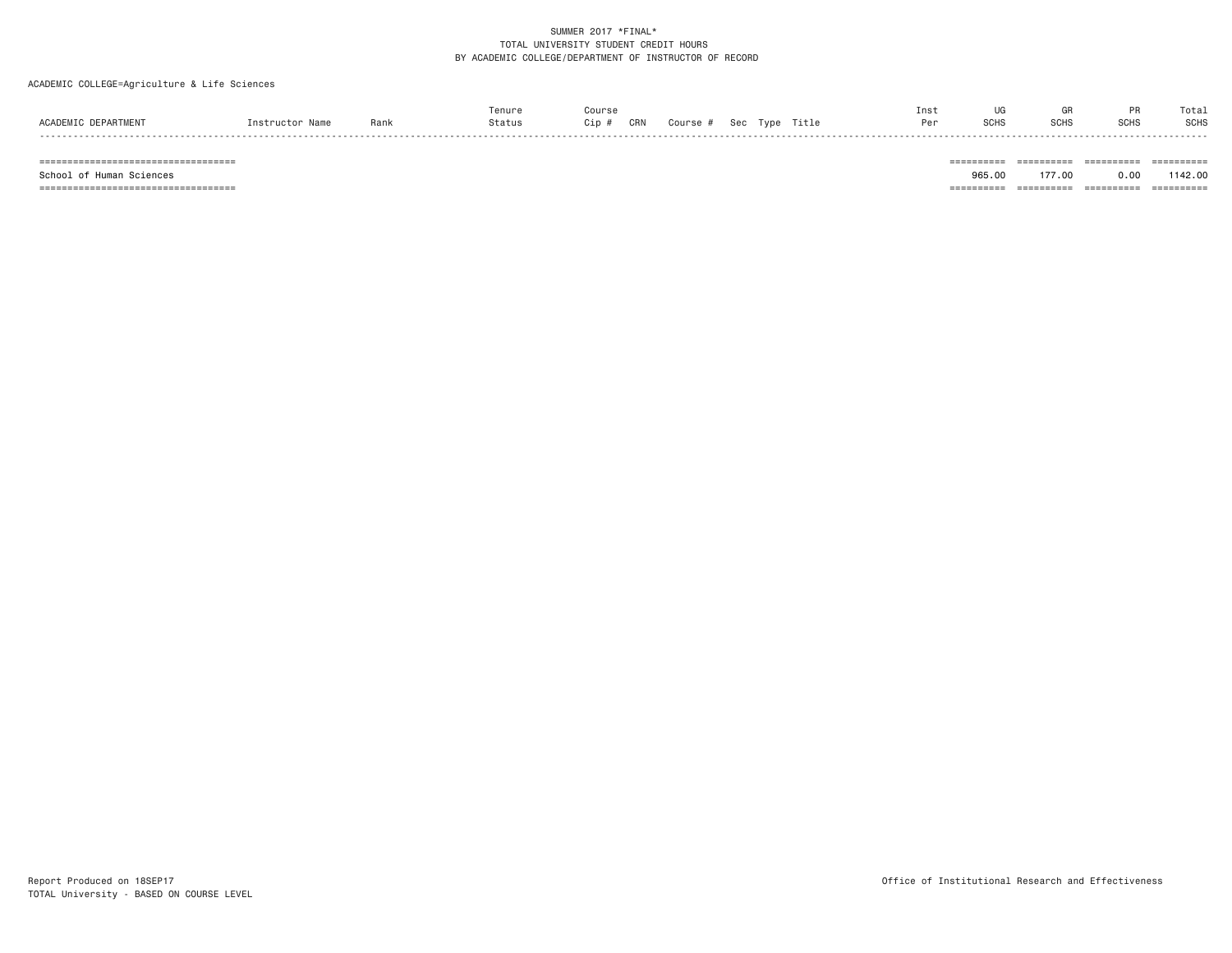### ACADEMIC COLLEGE=Agriculture & Life Sciences

| 0.000 | Rank | Tenure<br>Status | Course<br>Cip<br>CRN | Course | Sec<br>vpe | Title | Inst<br>Pe | <b>SCH</b> | <b>SCHS</b> | SCHS | Total<br><b>SCHS</b> |
|-------|------|------------------|----------------------|--------|------------|-------|------------|------------|-------------|------|----------------------|
| ----- |      |                  |                      |        |            |       |            |            |             |      | _________            |

 School of Human Sciences 965.00 177.00 0.00 1142.00=================================== ========== ========== ========== ==========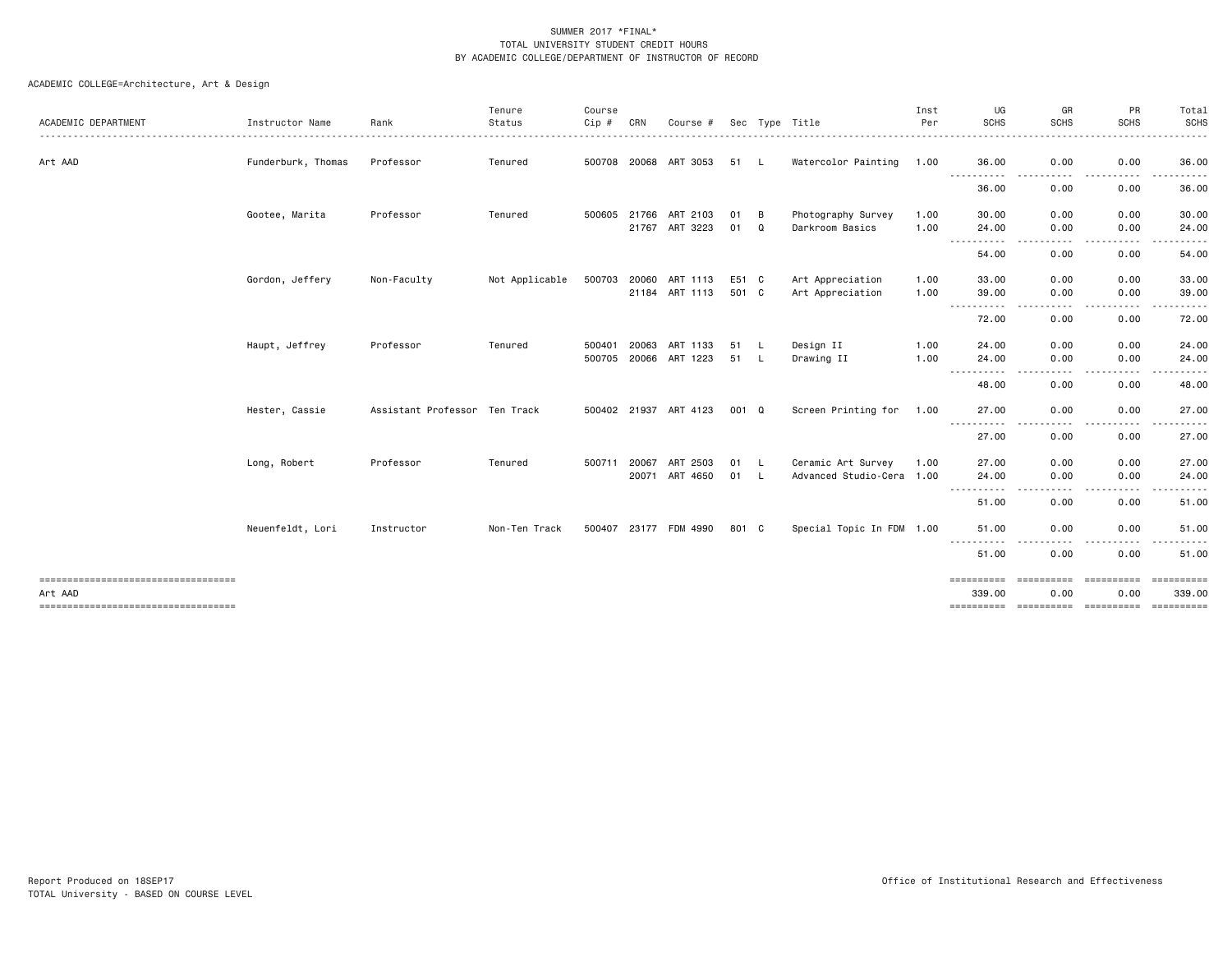| ACADEMIC DEPARTMENT                                                                    | Instructor Name    | Rank                          | Tenure<br>Status | Course<br>$Cip$ # | CRN            | Course #                   |                |          | Sec Type Title                                  | Inst<br>Per  | UG<br><b>SCHS</b>                                                                                                                       | GR<br><b>SCHS</b>                                                                                                                 | PR<br><b>SCHS</b>                                                                                                                          | Total<br>SCHS                                                                                                                                                 |
|----------------------------------------------------------------------------------------|--------------------|-------------------------------|------------------|-------------------|----------------|----------------------------|----------------|----------|-------------------------------------------------|--------------|-----------------------------------------------------------------------------------------------------------------------------------------|-----------------------------------------------------------------------------------------------------------------------------------|--------------------------------------------------------------------------------------------------------------------------------------------|---------------------------------------------------------------------------------------------------------------------------------------------------------------|
| Art AAD                                                                                | Funderburk, Thomas | Professor                     | Tenured          |                   | 500708 20068   | ART 3053                   | 51             | L.       | Watercolor Painting 1.00                        |              | 36.00                                                                                                                                   | 0.00                                                                                                                              | 0.00                                                                                                                                       | $\frac{1}{2} \left( \frac{1}{2} \right) \left( \frac{1}{2} \right) \left( \frac{1}{2} \right) \left( \frac{1}{2} \right) \left( \frac{1}{2} \right)$<br>36.00 |
|                                                                                        |                    |                               |                  |                   |                |                            |                |          |                                                 |              | ----------<br>36.00                                                                                                                     | $\frac{1}{2}$<br>0.00                                                                                                             | .<br>0.00                                                                                                                                  | .<br>36.00                                                                                                                                                    |
|                                                                                        | Gootee, Marita     | Professor                     | Tenured          | 500605            | 21766<br>21767 | ART 2103<br>ART 3223       | 01<br>01       | B<br>Q   | Photography Survey<br>Darkroom Basics           | 1.00<br>1.00 | 30.00<br>24.00                                                                                                                          | 0.00<br>0.00                                                                                                                      | 0.00<br>0.00                                                                                                                               | 30.00<br>24.00                                                                                                                                                |
|                                                                                        |                    |                               |                  |                   |                |                            |                |          |                                                 |              | ----------<br>54.00                                                                                                                     | $\frac{1}{2} \left( \frac{1}{2} \right) \left( \frac{1}{2} \right) \left( \frac{1}{2} \right) \left( \frac{1}{2} \right)$<br>0.00 | .<br>0.00                                                                                                                                  | .<br>54.00                                                                                                                                                    |
|                                                                                        | Gordon, Jeffery    | Non-Faculty                   | Not Applicable   | 500703            | 20060          | ART 1113<br>21184 ART 1113 | E51 C<br>501 C |          | Art Appreciation<br>Art Appreciation            | 1.00<br>1.00 | 33.00<br>39.00                                                                                                                          | 0.00<br>0.00                                                                                                                      | 0.00<br>0.00                                                                                                                               | 33.00<br>39.00                                                                                                                                                |
|                                                                                        |                    |                               |                  |                   |                |                            |                |          |                                                 |              | $\frac{1}{2} \left( \frac{1}{2} \right) \left( \frac{1}{2} \right) \left( \frac{1}{2} \right) \left( \frac{1}{2} \right)$<br>.<br>72.00 | $\frac{1}{2} \left( \frac{1}{2} \right) \left( \frac{1}{2} \right) \left( \frac{1}{2} \right) \left( \frac{1}{2} \right)$<br>0.00 | -----<br>$\frac{1}{2} \left( \frac{1}{2} \right) \left( \frac{1}{2} \right) \left( \frac{1}{2} \right) \left( \frac{1}{2} \right)$<br>0.00 | .<br>72.00                                                                                                                                                    |
|                                                                                        | Haupt, Jeffrey     | Professor                     | Tenured          | 500401<br>500705  | 20063<br>20066 | ART 1133<br>ART 1223       | 51<br>51       | L.       | Design II<br>Drawing II                         | 1.00<br>1.00 | 24.00<br>24.00                                                                                                                          | 0.00<br>0.00                                                                                                                      | 0.00<br>0.00                                                                                                                               | 24.00<br>24.00                                                                                                                                                |
|                                                                                        |                    |                               |                  |                   |                |                            |                |          |                                                 |              | -----------<br>48.00                                                                                                                    | .<br>0.00                                                                                                                         | . <b>.</b><br>0.00                                                                                                                         | .<br>48.00                                                                                                                                                    |
|                                                                                        | Hester, Cassie     | Assistant Professor Ten Track |                  |                   |                | 500402 21937 ART 4123      | 001 Q          |          | Screen Printing for                             | 1.00         | 27.00                                                                                                                                   | 0.00                                                                                                                              | 0.00                                                                                                                                       | 27.00                                                                                                                                                         |
|                                                                                        |                    |                               |                  |                   |                |                            |                |          |                                                 |              | .<br>27.00                                                                                                                              | $\frac{1}{2}$<br>0.00                                                                                                             | .<br>0.00                                                                                                                                  | . <u>.</u> .<br>27.00                                                                                                                                         |
|                                                                                        | Long, Robert       | Professor                     | Tenured          | 500711            | 20067<br>20071 | ART 2503<br>ART 4650       | 01<br>01       | └<br>- L | Ceramic Art Survey<br>Advanced Studio-Cera 1.00 | 1.00         | 27.00<br>24.00                                                                                                                          | 0.00<br>0.00                                                                                                                      | 0.00<br>0.00                                                                                                                               | 27.00<br>24.00                                                                                                                                                |
|                                                                                        |                    |                               |                  |                   |                |                            |                |          |                                                 |              | ----------<br>51.00                                                                                                                     | 0.00                                                                                                                              | .<br>0.00                                                                                                                                  | .<br>51.00                                                                                                                                                    |
|                                                                                        | Neuenfeldt, Lori   | Instructor                    | Non-Ten Track    | 500407            | 23177          | FDM 4990                   | 801 C          |          | Special Topic In FDM 1.00                       |              | 51.00                                                                                                                                   | 0.00                                                                                                                              | 0.00                                                                                                                                       | 51.00                                                                                                                                                         |
|                                                                                        |                    |                               |                  |                   |                |                            |                |          |                                                 |              | 51.00                                                                                                                                   | 0.00                                                                                                                              | $\frac{1}{2}$<br>0.00                                                                                                                      | .<br>51.00                                                                                                                                                    |
| ----------------------------------<br>Art AAD<br>===================================== |                    |                               |                  |                   |                |                            |                |          |                                                 |              | ==========<br>339.00                                                                                                                    | ==========<br>0.00                                                                                                                | ==========<br>0.00                                                                                                                         | ==========<br>339.00                                                                                                                                          |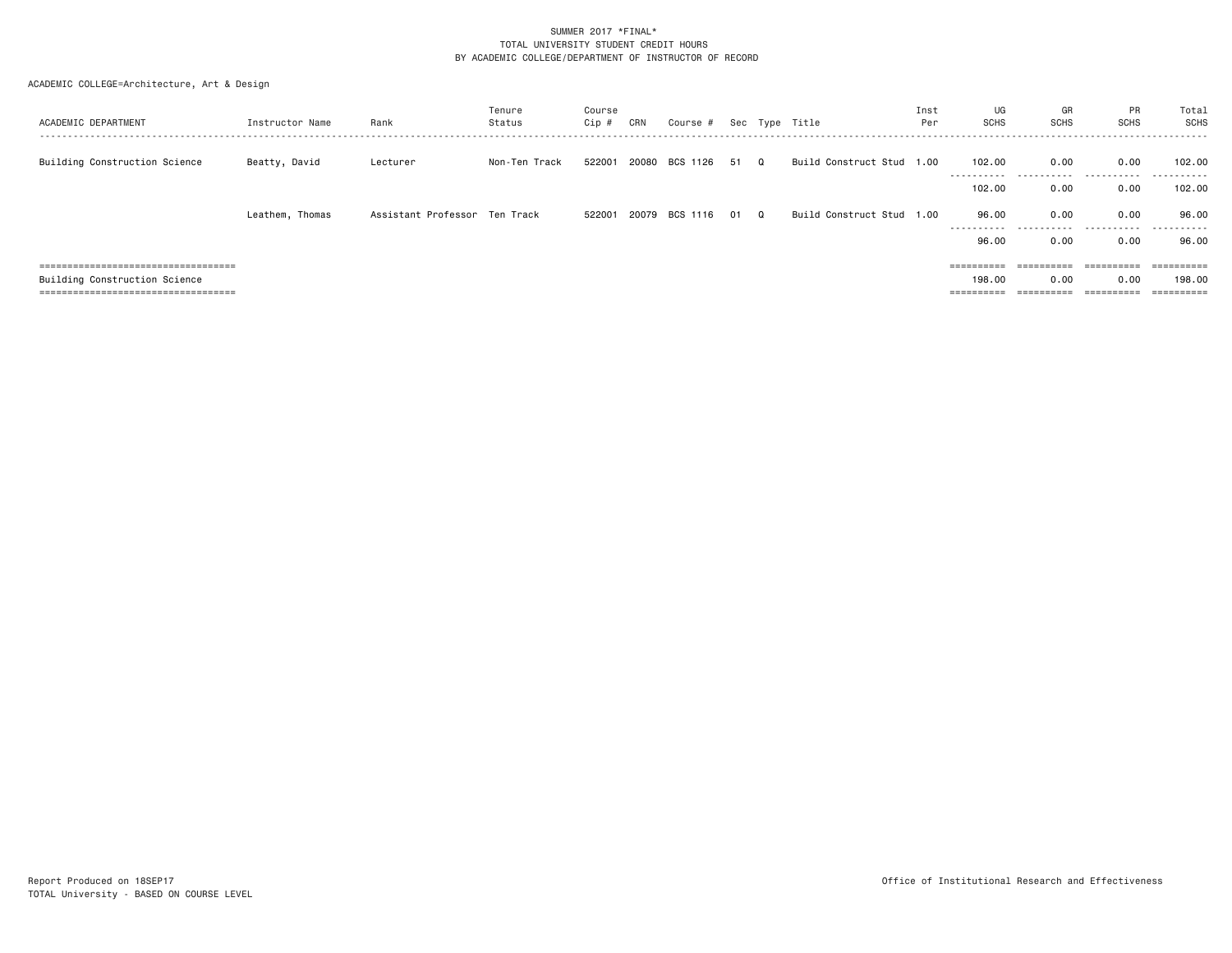| ACADEMIC DEPARTMENT                   | Instructor Name | Rank                          | Tenure<br>Status | Course<br>Cip # | CRN   | Course #       |      | Sec Type Title            | Inst<br>Per | UG<br><b>SCHS</b>             | GR<br><b>SCHS</b>     | PR<br><b>SCHS</b> | Total<br>SCHS       |
|---------------------------------------|-----------------|-------------------------------|------------------|-----------------|-------|----------------|------|---------------------------|-------------|-------------------------------|-----------------------|-------------------|---------------------|
| Building Construction Science         | Beatty, David   | Lecturer                      | Non-Ten Track    | 522001          |       | 20080 BCS 1126 | 51 Q | Build Construct Stud 1.00 |             | 102.00<br>-----------         | 0.00<br>.             | 0.00<br>.         | 102.00<br>.         |
|                                       |                 |                               |                  |                 |       |                |      |                           |             | 102.00                        | 0.00                  | 0.00              | 102.00              |
|                                       | Leathem, Thomas | Assistant Professor Ten Track |                  | 522001          | 20079 | BCS 1116       | 01 Q | Build Construct Stud 1.00 |             | 96.00<br>-----------<br>96.00 | 0.00<br>.<br>0.00     | 0.00<br>.<br>0.00 | 96.00<br>.<br>96.00 |
| ------------------------------------- |                 |                               |                  |                 |       |                |      |                           |             | $=$ = = = = = = = = =         | $=$ = = = = = = = = = | ==========        | eessesses           |
| Building Construction Science         |                 |                               |                  |                 |       |                |      |                           |             | 198.00                        | 0.00                  | 0.00              | 198,00              |
| ====================================  |                 |                               |                  |                 |       |                |      |                           |             | =========                     | ==========            | ==========        | ==========          |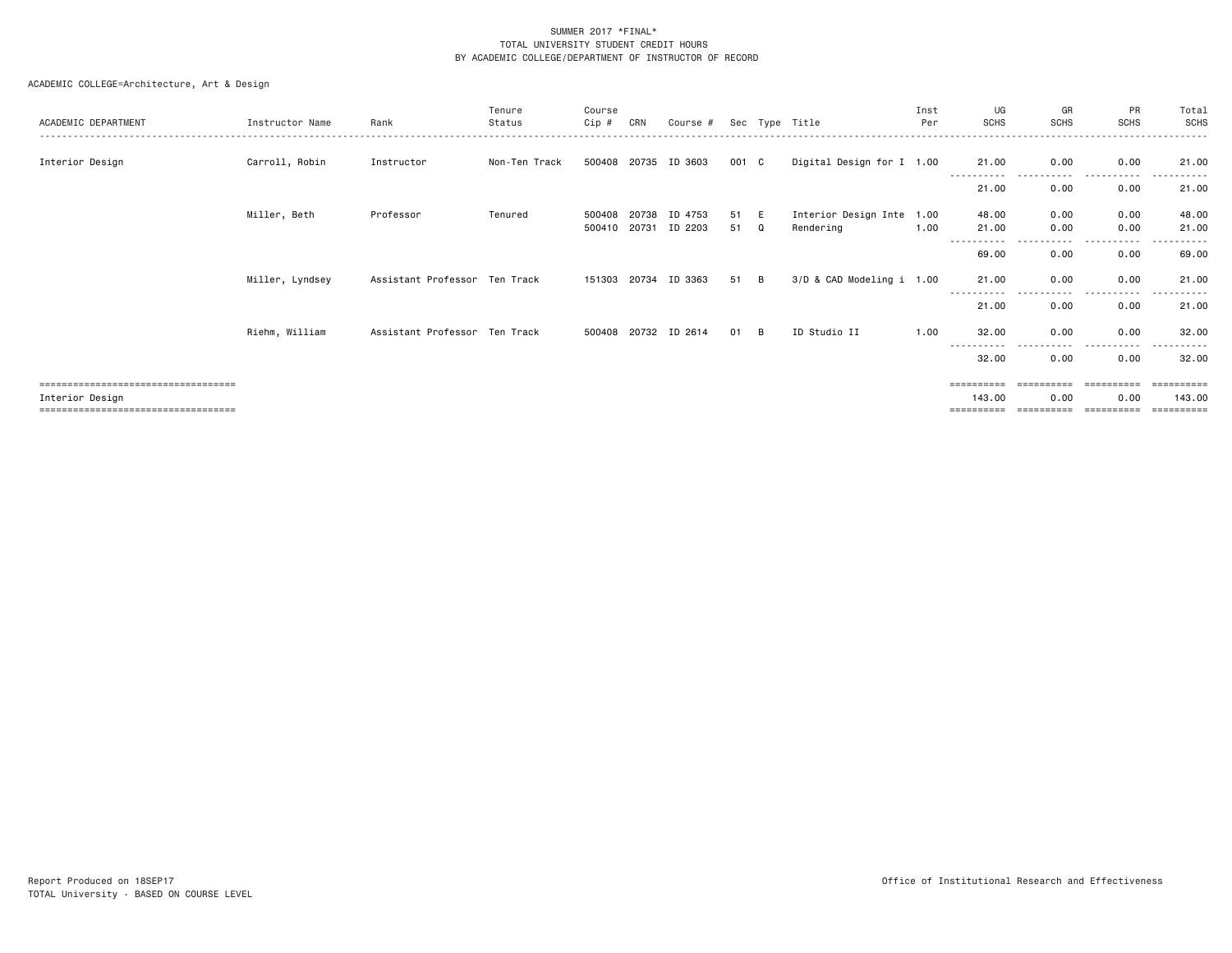| ACADEMIC DEPARTMENT                   | Instructor Name | Rank                          | Tenure<br>Status | Course<br>Cip # | CRN   | Course #             |       |          | Sec Type Title            | Inst<br>Per | UG<br><b>SCHS</b> | GR<br><b>SCHS</b> | PR<br><b>SCHS</b> | Total<br><b>SCHS</b> |
|---------------------------------------|-----------------|-------------------------------|------------------|-----------------|-------|----------------------|-------|----------|---------------------------|-------------|-------------------|-------------------|-------------------|----------------------|
|                                       |                 |                               |                  |                 |       |                      |       |          |                           |             |                   |                   |                   |                      |
| Interior Design                       | Carroll, Robin  | Instructor                    | Non-Ten Track    |                 |       | 500408 20735 ID 3603 | 001 C |          | Digital Design for I 1.00 |             | 21.00             | 0.00              | 0.00<br>.         | 21.00<br>------      |
|                                       |                 |                               |                  |                 |       |                      |       |          |                           |             | 21.00             | 0.00              | 0.00              | 21.00                |
|                                       | Miller, Beth    | Professor                     | Tenured          | 500408          | 20738 | ID 4753              | 51    |          | Interior Design Inte 1.00 |             | 48.00             | 0.00              | 0.00              | 48.00                |
|                                       |                 |                               |                  | 500410          | 20731 | ID 2203              | 51    | Q        | Rendering                 | 1.00        | 21.00             | 0.00              | 0.00              | 21.00                |
|                                       |                 |                               |                  |                 |       |                      |       |          |                           |             | 69.00             | 0.00              | .<br>0.00         | 69.00                |
|                                       | Miller, Lyndsey | Assistant Professor Ten Track |                  | 151303 20734    |       | ID 3363              | 51    | B.       | 3/D & CAD Modeling i 1.00 |             | 21.00<br>$\cdots$ | 0.00              | 0.00              | 21.00                |
|                                       |                 |                               |                  |                 |       |                      |       |          |                           |             | 21.00             | 0.00              | 0.00              | 21.00                |
|                                       | Riehm, William  | Assistant Professor Ten Track |                  | 500408 20732    |       | ID 2614              | 01    | <b>B</b> | ID Studio II              | 1.00        | 32.00             | 0.00              | 0.00              | 32.00                |
|                                       |                 |                               |                  |                 |       |                      |       |          |                           |             | 32.00             | 0.00              | 0.00              | 32.00                |
| ===================================== |                 |                               |                  |                 |       |                      |       |          |                           |             | ==========        | -----------       | ==========        | -----------          |
| Interior Design                       |                 |                               |                  |                 |       |                      |       |          |                           |             | 143.00            | 0.00              | 0.00              | 143.00               |
| ===================================== |                 |                               |                  |                 |       |                      |       |          |                           |             | ==========        | ==========        | ==========        | -----------          |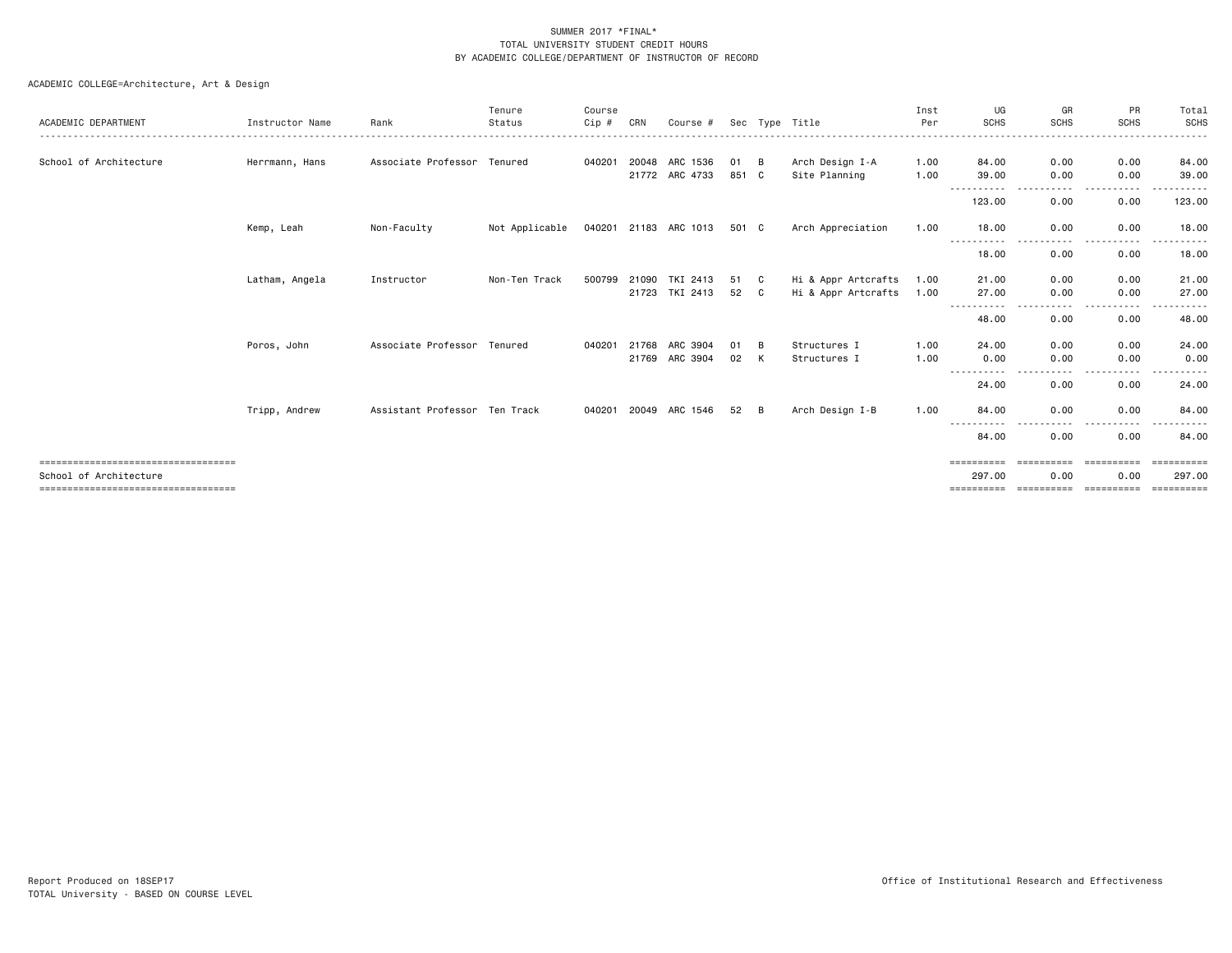| ACADEMIC DEPARTMENT                                                                                    | Instructor Name | Rank                          | Tenure<br>Status | Course<br>Cip # | CRN   | Course #                   |            |               | Sec Type Title                             | Inst<br>Per  | UG<br><b>SCHS</b>                      | GR<br><b>SCHS</b>                      | <b>PR</b><br><b>SCHS</b>               | Total<br><b>SCHS</b>      |
|--------------------------------------------------------------------------------------------------------|-----------------|-------------------------------|------------------|-----------------|-------|----------------------------|------------|---------------|--------------------------------------------|--------------|----------------------------------------|----------------------------------------|----------------------------------------|---------------------------|
| School of Architecture                                                                                 | Herrmann, Hans  | Associate Professor Tenured   |                  | 040201          |       | 20048 ARC 1536             | 01         | B             | Arch Design I-A                            | 1.00         | 84.00                                  | 0.00                                   | 0.00                                   | 84.00                     |
|                                                                                                        |                 |                               |                  |                 |       | 21772 ARC 4733             | 851 C      |               | Site Planning                              | 1.00         | 39.00<br>123.00                        | 0.00<br>0.00                           | 0.00<br>0.00                           | 39.00<br>123,00           |
|                                                                                                        | Kemp, Leah      | Non-Faculty                   | Not Applicable   |                 |       | 040201 21183 ARC 1013      | 501 C      |               | Arch Appreciation                          | 1.00         | 18.00<br>-----------                   | 0.00<br>$  -$<br>.                     | 0.00<br>------<br>$\cdots$             | 18.00<br>.                |
|                                                                                                        |                 |                               |                  |                 |       |                            |            |               |                                            |              | 18.00                                  | 0.00                                   | 0.00                                   | 18.00                     |
|                                                                                                        | Latham, Angela  | Instructor                    | Non-Ten Track    | 500799          | 21723 | 21090 TKI 2413<br>TKI 2413 | 51 C<br>52 | C.            | Hi & Appr Artcrafts<br>Hi & Appr Artcrafts | 1.00<br>1.00 | 21.00<br>27.00                         | 0.00<br>0.00<br>.                      | 0.00<br>0.00<br>. <b>.</b><br>$\cdots$ | 21.00<br>27.00<br>.       |
|                                                                                                        |                 |                               |                  |                 |       |                            |            |               |                                            |              | 48.00                                  | 0.00                                   | 0.00                                   | 48.00                     |
|                                                                                                        | Poros, John     | Associate Professor Tenured   |                  | 040201          | 21768 | ARC 3904<br>21769 ARC 3904 | 01<br>02   | <b>B</b><br>К | Structures I<br>Structures I               | 1.00<br>1.00 | 24.00<br>0.00<br>- - - - - - - - - - - | 0.00<br>0.00<br><u>.</u>               | 0.00<br>0.00<br>. <b>.</b>             | 24.00<br>0.00<br>$\cdots$ |
|                                                                                                        |                 |                               |                  |                 |       |                            |            |               |                                            |              | 24.00                                  | 0.00                                   | 0.00                                   | 24.00                     |
|                                                                                                        | Tripp, Andrew   | Assistant Professor Ten Track |                  |                 |       | 040201 20049 ARC 1546      | 52         | B             | Arch Design I-B                            | 1.00         | 84,00                                  | 0.00                                   | 0.00                                   | 84.00                     |
|                                                                                                        |                 |                               |                  |                 |       |                            |            |               |                                            |              | 84.00                                  | 0.00                                   | 0.00                                   | 84.00                     |
| -----------------------------------<br>School of Architecture<br>===================================== |                 |                               |                  |                 |       |                            |            |               |                                            |              | ==========<br>297,00<br>==========     | <b>COOPEDDED</b><br>0.00<br>========== | ==========<br>0.00<br>==========       | ==========<br>297.00      |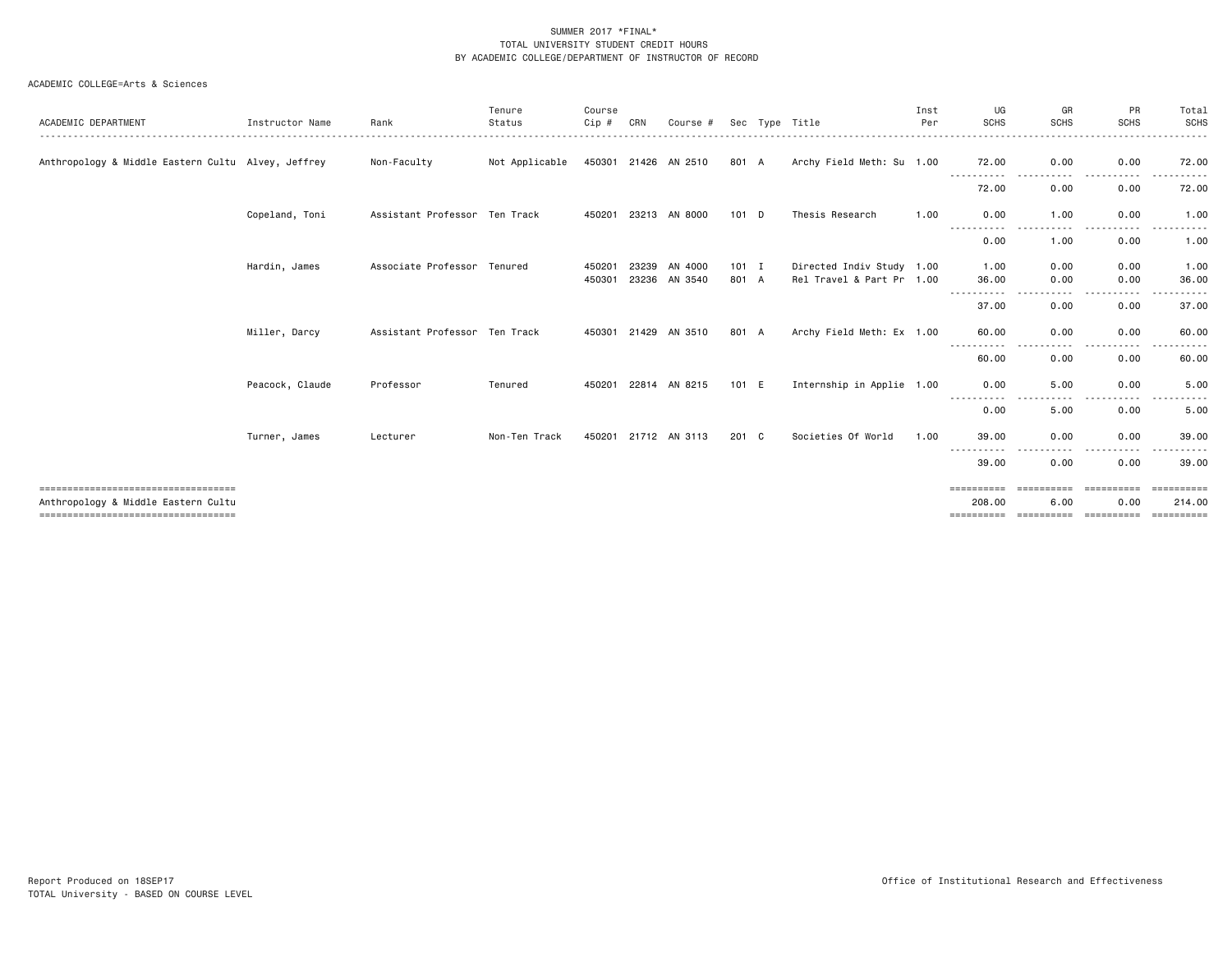#### ACADEMIC COLLEGE=Arts & Sciences

| ACADEMIC DEPARTMENT                                                                                                 | Instructor Name | Rank                          | Tenure<br>Status | Course<br>Cip #  | CRN            | Course #             |                  | Sec Type Title                                         | Inst<br>Per | UG<br><b>SCHS</b>                  | GR<br><b>SCHS</b>                            | PR<br><b>SCHS</b>  | Total<br>SCHS                               |
|---------------------------------------------------------------------------------------------------------------------|-----------------|-------------------------------|------------------|------------------|----------------|----------------------|------------------|--------------------------------------------------------|-------------|------------------------------------|----------------------------------------------|--------------------|---------------------------------------------|
| Anthropology & Middle Eastern Cultu Alvey, Jeffrey                                                                  |                 | Non-Faculty                   | Not Applicable   |                  |                | 450301 21426 AN 2510 | 801 A            | Archy Field Meth: Su 1.00                              |             | 72.00                              | 0.00                                         | 0.00               | 72.00                                       |
|                                                                                                                     |                 |                               |                  |                  |                |                      |                  |                                                        |             | 72.00                              | 0.00                                         | 0.00               | 72.00                                       |
|                                                                                                                     | Copeland, Toni  | Assistant Professor Ten Track |                  | 450201           | 23213          | AN 8000              | $101$ D          | Thesis Research                                        | 1.00        | 0.00                               | 1.00                                         | 0.00               | 1.00                                        |
|                                                                                                                     |                 |                               |                  |                  |                |                      |                  |                                                        |             | 0.00                               | 1.00                                         | 0.00               | 1.00                                        |
|                                                                                                                     | Hardin, James   | Associate Professor Tenured   |                  | 450201<br>450301 | 23239<br>23236 | AN 4000<br>AN 3540   | $101$ I<br>801 A | Directed Indiv Study 1.00<br>Rel Travel & Part Pr 1.00 |             | 1.00<br>36.00                      | 0.00<br>0.00                                 | 0.00<br>0.00       | 1.00<br>36.00                               |
|                                                                                                                     |                 |                               |                  |                  |                |                      |                  |                                                        |             | .<br>37.00                         | 0.00                                         | .<br>0.00          | 37.00                                       |
|                                                                                                                     | Miller, Darcy   | Assistant Professor Ten Track |                  |                  |                | 450301 21429 AN 3510 | 801 A            | Archy Field Meth: Ex 1.00                              |             | 60.00<br>. <b>.</b> .              | 0.00<br>.                                    | 0.00<br>.          | 60.00                                       |
|                                                                                                                     |                 |                               |                  |                  |                |                      |                  |                                                        |             | 60.00                              | 0.00                                         | 0.00               | 60.00                                       |
|                                                                                                                     | Peacock, Claude | Professor                     | Tenured          |                  |                | 450201 22814 AN 8215 | 101 E            | Internship in Applie 1.00                              |             | 0.00                               | 5.00                                         | 0.00               | 5.00                                        |
|                                                                                                                     |                 |                               |                  |                  |                |                      |                  |                                                        |             | 0.00                               | 5.00                                         | 0.00               | 5.00                                        |
|                                                                                                                     | Turner, James   | Lecturer                      | Non-Ten Track    |                  |                | 450201 21712 AN 3113 | 201 C            | Societies Of World                                     | 1.00        | 39.00                              | 0.00                                         | 0.00               | 39.00                                       |
|                                                                                                                     |                 |                               |                  |                  |                |                      |                  |                                                        |             | 39.00                              | 0.00                                         | 0.00               | 39.00                                       |
| =====================================<br>Anthropology & Middle Eastern Cultu<br>----------------------------------- |                 |                               |                  |                  |                |                      |                  |                                                        |             | ==========<br>208.00<br>========== | ==========<br>6.00<br>====================== | ==========<br>0.00 | ==========<br>214.00<br>- = = = = = = = = = |
|                                                                                                                     |                 |                               |                  |                  |                |                      |                  |                                                        |             |                                    |                                              |                    |                                             |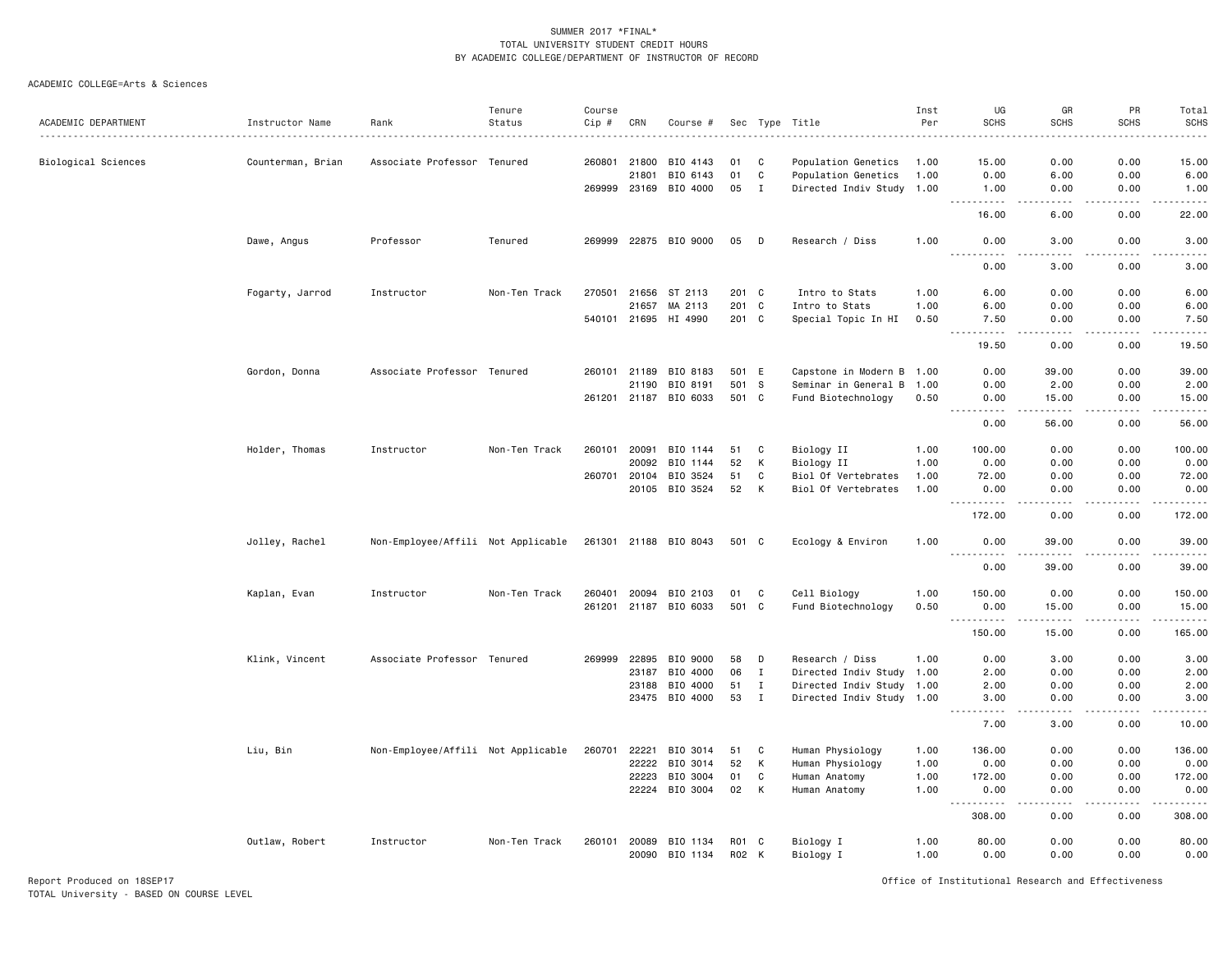#### ACADEMIC COLLEGE=Arts & Sciences

|                     |                   |                                    | Tenure        | Course       |       |                       |       |              |                           | Inst | UG                 | GR                                                                                                                                                            | PR            | Total                                                                                                                 |
|---------------------|-------------------|------------------------------------|---------------|--------------|-------|-----------------------|-------|--------------|---------------------------|------|--------------------|---------------------------------------------------------------------------------------------------------------------------------------------------------------|---------------|-----------------------------------------------------------------------------------------------------------------------|
| ACADEMIC DEPARTMENT | Instructor Name   | Rank                               | Status        | Cip #        | CRN   | Course #              |       |              | Sec Type Title            | Per  | <b>SCHS</b>        | <b>SCHS</b>                                                                                                                                                   | <b>SCHS</b>   | <b>SCHS</b>                                                                                                           |
|                     |                   |                                    |               |              |       |                       |       |              |                           |      |                    |                                                                                                                                                               |               |                                                                                                                       |
| Biological Sciences | Counterman, Brian | Associate Professor Tenured        |               | 260801       | 21800 | BIO 4143              | 01    | C            | Population Genetics       | 1.00 | 15.00              | 0.00                                                                                                                                                          | 0.00          | 15.00                                                                                                                 |
|                     |                   |                                    |               |              | 21801 | BIO 6143              | 01    | C            | Population Genetics       | 1.00 | 0.00               | 6.00                                                                                                                                                          | 0.00          | 6.00                                                                                                                  |
|                     |                   |                                    |               | 269999       | 23169 | BIO 4000              | 05    | $\mathbf{I}$ | Directed Indiv Study 1.00 |      | 1.00               | 0.00<br>.                                                                                                                                                     | 0.00          | 1.00                                                                                                                  |
|                     |                   |                                    |               |              |       |                       |       |              |                           |      | 16.00              | 6.00                                                                                                                                                          | 0.00          | 22.00                                                                                                                 |
|                     | Dawe, Angus       | Professor                          | Tenured       |              |       | 269999 22875 BIO 9000 | 05    | $\Box$       | Research / Diss           | 1.00 | 0.00<br>----       | 3.00<br>$\frac{1}{2}$                                                                                                                                         | 0.00<br>.     | 3.00<br>$\frac{1}{2}$                                                                                                 |
|                     |                   |                                    |               |              |       |                       |       |              |                           |      | 0.00               | 3.00                                                                                                                                                          | 0.00          | 3.00                                                                                                                  |
|                     | Fogarty, Jarrod   | Instructor                         | Non-Ten Track | 270501       | 21656 | ST 2113               | 201 C |              | Intro to Stats            | 1.00 | 6.00               | 0.00                                                                                                                                                          | 0.00          | 6.00                                                                                                                  |
|                     |                   |                                    |               |              | 21657 | MA 2113               |       | 201 C        | Intro to Stats            | 1.00 | 6.00               | 0.00                                                                                                                                                          | 0.00          | 6.00                                                                                                                  |
|                     |                   |                                    |               |              |       | 540101 21695 HI 4990  | 201 C |              | Special Topic In HI       | 0.50 | 7.50               | 0.00<br>.                                                                                                                                                     | 0.00<br>.     | 7.50                                                                                                                  |
|                     |                   |                                    |               |              |       |                       |       |              |                           |      | .<br>19.50         | 0.00                                                                                                                                                          | 0.00          | .<br>19.50                                                                                                            |
|                     | Gordon, Donna     | Associate Professor Tenured        |               | 260101       | 21189 | BIO 8183              |       | 501 E        | Capstone in Modern B 1.00 |      | 0.00               | 39.00                                                                                                                                                         | 0.00          | 39.00                                                                                                                 |
|                     |                   |                                    |               |              | 21190 | BIO 8191              | 501 S |              | Seminar in General B 1.00 |      | 0.00               | 2.00                                                                                                                                                          | 0.00          | 2.00                                                                                                                  |
|                     |                   |                                    |               |              |       | 261201 21187 BIO 6033 | 501 C |              | Fund Biotechnology        | 0.50 | 0.00               | 15.00                                                                                                                                                         | 0.00          | 15.00                                                                                                                 |
|                     |                   |                                    |               |              |       |                       |       |              |                           |      | 0.00               | 56.00                                                                                                                                                         | 0.00          | $    -$<br>56.00                                                                                                      |
|                     | Holder, Thomas    | Instructor                         | Non-Ten Track | 260101       | 20091 | BIO 1144              | 51    | C            | Biology II                | 1.00 | 100.00             | 0.00                                                                                                                                                          | 0.00          | 100.00                                                                                                                |
|                     |                   |                                    |               |              | 20092 | BIO 1144              | 52    | К            | Biology II                | 1.00 | 0.00               | 0.00                                                                                                                                                          | 0.00          | 0.00                                                                                                                  |
|                     |                   |                                    |               | 260701       | 20104 | BIO 3524              | 51    | C            | Biol Of Vertebrates       | 1.00 | 72.00              | 0.00                                                                                                                                                          | 0.00          | 72.00                                                                                                                 |
|                     |                   |                                    |               |              | 20105 | BIO 3524              | 52    | к            | Biol Of Vertebrates       | 1.00 | 0.00               | 0.00                                                                                                                                                          | 0.00          | 0.00                                                                                                                  |
|                     |                   |                                    |               |              |       |                       |       |              |                           |      | 172.00             | 0.00                                                                                                                                                          | 0.00          | والمناصبات<br>172.00                                                                                                  |
|                     | Jolley, Rachel    | Non-Employee/Affili Not Applicable |               | 261301 21188 |       | BIO 8043              | 501 C |              | Ecology & Environ         | 1.00 | 0.00               | 39.00                                                                                                                                                         | 0.00          | 39.00                                                                                                                 |
|                     |                   |                                    |               |              |       |                       |       |              |                           |      | $- - - -$<br>0.00  | 39.00                                                                                                                                                         | 0.00          | .<br>39.00                                                                                                            |
|                     |                   |                                    |               |              |       |                       |       |              |                           |      |                    |                                                                                                                                                               |               |                                                                                                                       |
|                     | Kaplan, Evan      | Instructor                         | Non-Ten Track | 260401       | 20094 | BIO 2103              | 01    | C            | Cell Biology              | 1.00 | 150.00             | 0.00                                                                                                                                                          | 0.00          | 150.00                                                                                                                |
|                     |                   |                                    |               | 261201       |       | 21187 BIO 6033        | 501 C |              | Fund Biotechnology        | 0.50 | 0.00<br>---------- | 15.00<br>$\frac{1}{2} \left( \frac{1}{2} \right) \left( \frac{1}{2} \right) \left( \frac{1}{2} \right) \left( \frac{1}{2} \right) \left( \frac{1}{2} \right)$ | 0.00<br>----- | 15.00<br><u>.</u>                                                                                                     |
|                     |                   |                                    |               |              |       |                       |       |              |                           |      | 150.00             | 15.00                                                                                                                                                         | 0.00          | 165.00                                                                                                                |
|                     | Klink, Vincent    | Associate Professor Tenured        |               | 269999       | 22895 | BIO 9000              | 58    | D            | Research / Diss           | 1.00 | 0.00               | 3.00                                                                                                                                                          | 0.00          | 3.00                                                                                                                  |
|                     |                   |                                    |               |              | 23187 | BIO 4000              | 06    | Ι.           | Directed Indiv Study 1.00 |      | 2.00               | 0.00                                                                                                                                                          | 0.00          | 2.00                                                                                                                  |
|                     |                   |                                    |               |              | 23188 | BIO 4000              | 51    | $\mathbf{I}$ | Directed Indiv Study 1.00 |      | 2.00               | 0.00                                                                                                                                                          | 0.00          | 2.00                                                                                                                  |
|                     |                   |                                    |               |              |       | 23475 BIO 4000        | 53    | $\mathbf{I}$ | Directed Indiv Study 1.00 |      | 3.00<br><u>.</u>   | 0.00<br>.                                                                                                                                                     | 0.00<br>.     | 3.00<br>والمناصبات                                                                                                    |
|                     |                   |                                    |               |              |       |                       |       |              |                           |      | 7.00               | 3.00                                                                                                                                                          | 0.00          | 10.00                                                                                                                 |
|                     | Liu, Bin          | Non-Employee/Affili Not Applicable |               | 260701       | 22221 | BIO 3014              | 51    | C            | Human Physiology          | 1.00 | 136.00             | 0.00                                                                                                                                                          | 0.00          | 136.00                                                                                                                |
|                     |                   |                                    |               |              | 22222 | BIO 3014              | 52    | К            | Human Physiology          | 1.00 | 0.00               | 0.00                                                                                                                                                          | 0.00          | 0.00                                                                                                                  |
|                     |                   |                                    |               |              | 22223 | BIO 3004              | 01    | $\mathbf C$  | Human Anatomy             | 1.00 | 172.00             | 0.00                                                                                                                                                          | 0.00          | 172.00                                                                                                                |
|                     |                   |                                    |               |              |       | 22224 BIO 3004        | 02    | K            | Human Anatomy             | 1.00 | 0.00               | 0.00                                                                                                                                                          | 0.00          | 0.00                                                                                                                  |
|                     |                   |                                    |               |              |       |                       |       |              |                           |      | .<br>308.00        | د د د د<br>0.00                                                                                                                                               | .<br>0.00     | $\begin{array}{cccccccccc} \bullet & \bullet & \bullet & \bullet & \bullet & \bullet & \bullet \end{array}$<br>308.00 |
|                     | Outlaw, Robert    | Instructor                         | Non-Ten Track | 260101       | 20089 | BIO 1134              | R01   | - C          | Biology I                 | 1.00 | 80.00              | 0.00                                                                                                                                                          | 0.00          | 80.00                                                                                                                 |
|                     |                   |                                    |               |              | 20090 | BIO 1134              | R02 K |              | Biology I                 | 1.00 | 0.00               | 0.00                                                                                                                                                          | 0.00          | 0.00                                                                                                                  |

Report Produced on 18SEP17 Office of Institutional Research and Effectiveness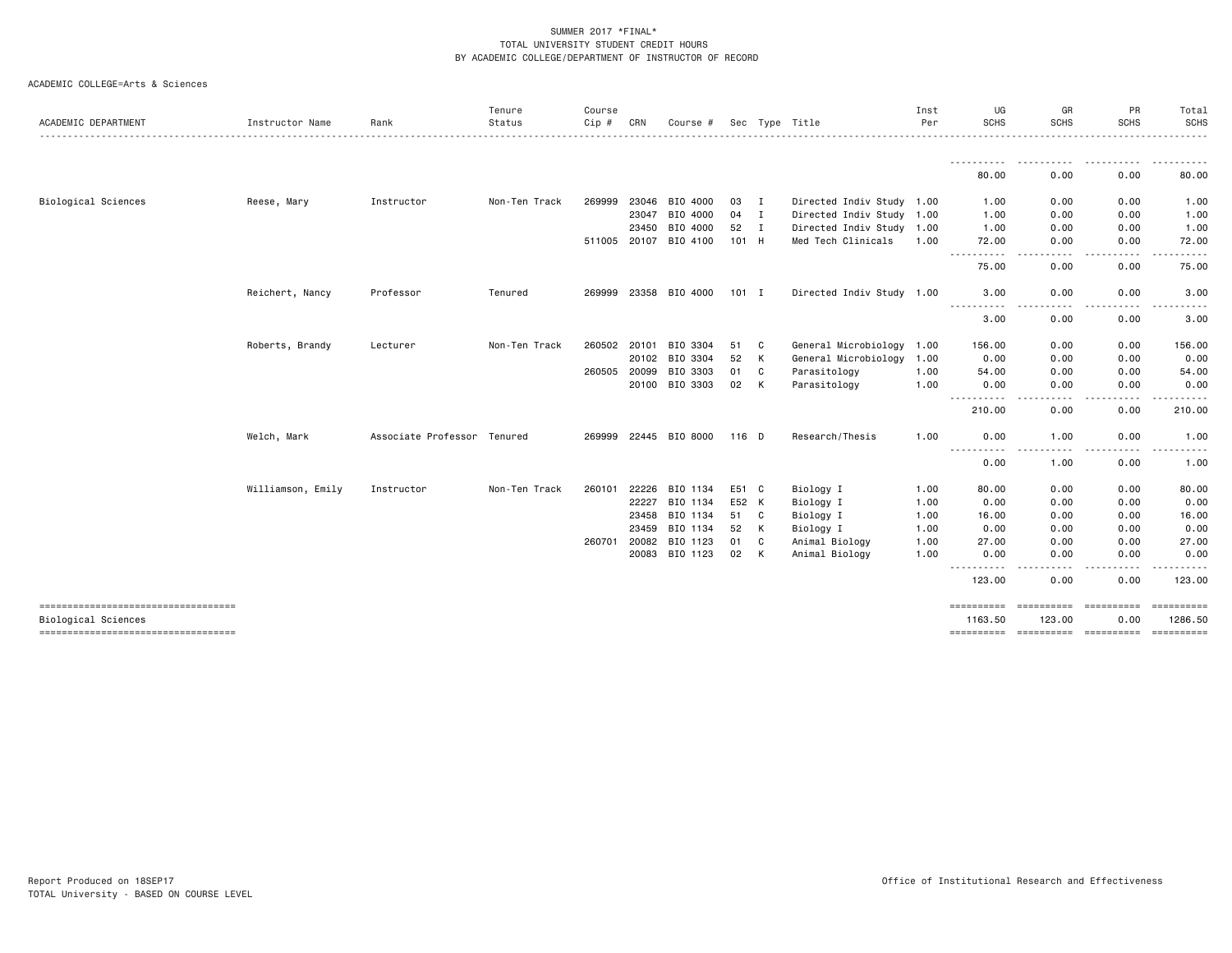|  | ACADEMIC COLLEGE=Arts & Sciences |  |  |
|--|----------------------------------|--|--|
|--|----------------------------------|--|--|

|                                                               |                   |                             | Tenure        | Course   |              |                       |         |                |                           | Inst | UG                                                                                                                                                                                                                                                             | GR                                                                                                                      | PR                 | Total       |
|---------------------------------------------------------------|-------------------|-----------------------------|---------------|----------|--------------|-----------------------|---------|----------------|---------------------------|------|----------------------------------------------------------------------------------------------------------------------------------------------------------------------------------------------------------------------------------------------------------------|-------------------------------------------------------------------------------------------------------------------------|--------------------|-------------|
| <b>ACADEMIC DEPARTMENT</b>                                    | Instructor Name   | Rank                        | Status        | $Cip \#$ | CRN          | Course #              |         |                | Sec Type Title            | Per  | <b>SCHS</b>                                                                                                                                                                                                                                                    | <b>SCHS</b>                                                                                                             | <b>SCHS</b>        | <b>SCHS</b> |
|                                                               |                   |                             |               |          |              |                       |         |                |                           |      | <u>.</u><br>80.00                                                                                                                                                                                                                                              | <b></b><br>0.00                                                                                                         | .<br>0.00          | .<br>80.00  |
| Biological Sciences                                           | Reese, Mary       | Instructor                  | Non-Ten Track | 269999   | 23046        | BIO 4000              | 03      | $\mathbf{I}$   | Directed Indiv Study 1.00 |      | 1.00                                                                                                                                                                                                                                                           | 0.00                                                                                                                    | 0.00               | 1.00        |
|                                                               |                   |                             |               |          | 23047        | BIO 4000              | 04      | $\mathbf{I}$   | Directed Indiv Study 1.00 |      | 1.00                                                                                                                                                                                                                                                           | 0.00                                                                                                                    | 0.00               | 1.00        |
|                                                               |                   |                             |               |          | 23450        | BIO 4000              | 52 I    |                | Directed Indiv Study 1.00 |      | 1.00                                                                                                                                                                                                                                                           | 0.00                                                                                                                    | 0.00               | 1.00        |
|                                                               |                   |                             |               |          |              | 511005 20107 BIO 4100 | 101 H   |                | Med Tech Clinicals        | 1.00 | 72.00                                                                                                                                                                                                                                                          | 0.00                                                                                                                    | 0.00               | 72.00       |
|                                                               |                   |                             |               |          |              |                       |         |                |                           |      | -----------<br>75.00                                                                                                                                                                                                                                           | $\frac{1}{2} \left( \frac{1}{2} \right) \left( \frac{1}{2} \right) \left( \frac{1}{2} \right)$<br>$\frac{1}{2}$<br>0.00 | . <b>.</b><br>0.00 | .<br>75.00  |
|                                                               | Reichert, Nancy   | Professor                   | Tenured       |          |              | 269999 23358 BIO 4000 | $101$ I |                | Directed Indiv Study 1.00 |      | 3.00<br>$- - - -$<br>.                                                                                                                                                                                                                                         | 0.00                                                                                                                    | 0.00               | 3.00        |
|                                                               |                   |                             |               |          |              |                       |         |                |                           |      | 3.00                                                                                                                                                                                                                                                           | 0.00                                                                                                                    | 0.00               | 3.00        |
|                                                               | Roberts, Brandy   | Lecturer                    | Non-Ten Track |          | 260502 20101 | BIO 3304              | 51      | C              | General Microbiology 1.00 |      | 156.00                                                                                                                                                                                                                                                         | 0.00                                                                                                                    | 0.00               | 156.00      |
|                                                               |                   |                             |               |          | 20102        | BIO 3304              | 52      | к              | General Microbiology      | 1.00 | 0.00                                                                                                                                                                                                                                                           | 0.00                                                                                                                    | 0.00               | 0.00        |
|                                                               |                   |                             |               |          | 260505 20099 | BIO 3303              | 01      | C              | Parasitology              | 1.00 | 54.00                                                                                                                                                                                                                                                          | 0.00                                                                                                                    | 0.00               | 54.00       |
|                                                               |                   |                             |               |          |              | 20100 BIO 3303        | 02      | K              | Parasitology              | 1.00 | 0.00                                                                                                                                                                                                                                                           | 0.00                                                                                                                    | 0.00               | 0.00        |
|                                                               |                   |                             |               |          |              |                       |         |                |                           |      | ----<br>210.00                                                                                                                                                                                                                                                 | 0.00                                                                                                                    | 0.00               | 210.00      |
|                                                               | Welch, Mark       | Associate Professor Tenured |               |          |              | 269999 22445 BIO 8000 | 116 D   |                | Research/Thesis           | 1.00 | 0.00                                                                                                                                                                                                                                                           | 1.00                                                                                                                    | 0.00               | 1.00        |
|                                                               |                   |                             |               |          |              |                       |         |                |                           |      | $\frac{1}{2} \left( \frac{1}{2} \right) \left( \frac{1}{2} \right) \left( \frac{1}{2} \right) \left( \frac{1}{2} \right)$<br>$\frac{1}{2} \left( \frac{1}{2} \right) \left( \frac{1}{2} \right) \left( \frac{1}{2} \right) \left( \frac{1}{2} \right)$<br>0.00 | 1.00                                                                                                                    | 0.00               | 1.00        |
|                                                               | Williamson, Emily | Instructor                  | Non-Ten Track | 260101   | 22226        | BIO 1134              | E51 C   |                | Biology I                 | 1.00 | 80.00                                                                                                                                                                                                                                                          | 0.00                                                                                                                    | 0.00               | 80.00       |
|                                                               |                   |                             |               |          | 22227        | BIO 1134              | E52 K   |                | Biology I                 | 1.00 | 0.00                                                                                                                                                                                                                                                           | 0.00                                                                                                                    | 0.00               | 0.00        |
|                                                               |                   |                             |               |          | 23458        | BIO 1134              | 51      | C <sub>1</sub> | Biology I                 | 1.00 | 16.00                                                                                                                                                                                                                                                          | 0.00                                                                                                                    | 0.00               | 16.00       |
|                                                               |                   |                             |               |          | 23459        | BIO 1134              | 52      | к              | Biology I                 | 1.00 | 0.00                                                                                                                                                                                                                                                           | 0.00                                                                                                                    | 0.00               | 0.00        |
|                                                               |                   |                             |               | 260701   | 20082        | BIO 1123              | 01      | C              | Animal Biology            | 1.00 | 27.00                                                                                                                                                                                                                                                          | 0.00                                                                                                                    | 0.00               | 27.00       |
|                                                               |                   |                             |               |          | 20083        | BIO 1123              | 02      | К              | Animal Biology            | 1.00 | 0.00                                                                                                                                                                                                                                                           | 0.00                                                                                                                    | 0.00               | 0.00<br>.   |
|                                                               |                   |                             |               |          |              |                       |         |                |                           |      | ----------<br>123.00                                                                                                                                                                                                                                           | 0.00                                                                                                                    | 0.00               | 123.00      |
|                                                               |                   |                             |               |          |              |                       |         |                |                           |      | ==========                                                                                                                                                                                                                                                     | eccessess                                                                                                               | seesseesse         |             |
| Biological Sciences<br>====================================== |                   |                             |               |          |              |                       |         |                |                           |      | 1163.50                                                                                                                                                                                                                                                        | 123.00                                                                                                                  | 0.00               | 1286.50     |
|                                                               |                   |                             |               |          |              |                       |         |                |                           |      |                                                                                                                                                                                                                                                                |                                                                                                                         |                    |             |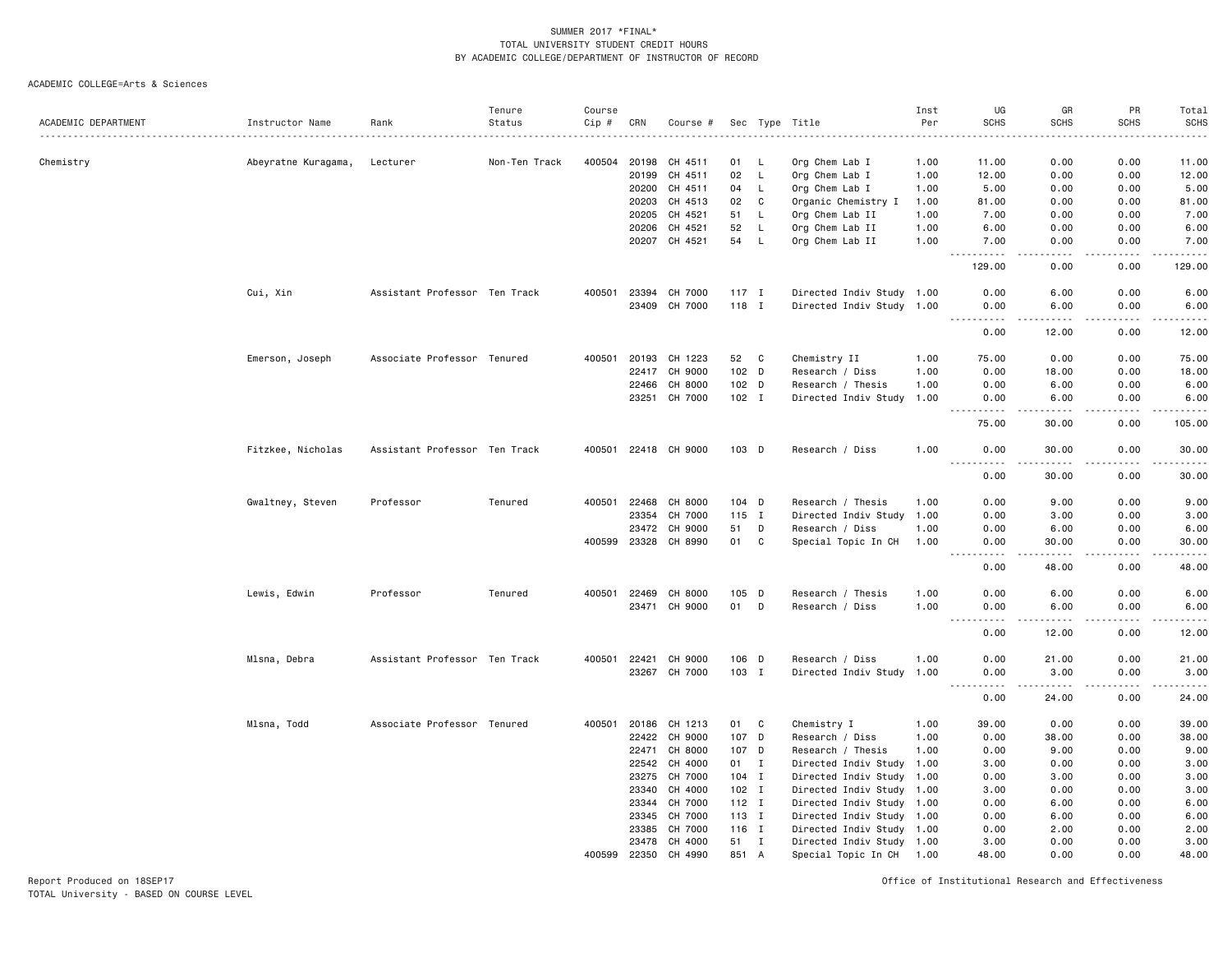#### ACADEMIC COLLEGE=Arts & Sciences

|                     |                     |                               | Tenure        | Course |       |               |                  |              |                           | Inst | UG                             | GR                                                                                                                                                            | PR                   | Total                                                                                                                                                |
|---------------------|---------------------|-------------------------------|---------------|--------|-------|---------------|------------------|--------------|---------------------------|------|--------------------------------|---------------------------------------------------------------------------------------------------------------------------------------------------------------|----------------------|------------------------------------------------------------------------------------------------------------------------------------------------------|
| ACADEMIC DEPARTMENT | Instructor Name     | Rank                          | Status        | Cip #  | CRN   | Course #      |                  |              | Sec Type Title            | Per  | <b>SCHS</b>                    | <b>SCHS</b>                                                                                                                                                   | <b>SCHS</b>          | <b>SCHS</b><br>.                                                                                                                                     |
| Chemistry           | Abeyratne Kuragama, | Lecturer                      | Non-Ten Track | 400504 | 20198 | CH 4511       | 01               | L.           | Org Chem Lab I            | 1.00 | 11.00                          | 0.00                                                                                                                                                          | 0.00                 | 11.00                                                                                                                                                |
|                     |                     |                               |               |        | 20199 | CH 4511       | 02               | L            | Org Chem Lab I            | 1.00 | 12.00                          | 0.00                                                                                                                                                          | 0.00                 | 12.00                                                                                                                                                |
|                     |                     |                               |               |        | 20200 | CH 4511       | 04               | L.           | Org Chem Lab I            | 1.00 | 5.00                           | 0.00                                                                                                                                                          | 0.00                 | 5.00                                                                                                                                                 |
|                     |                     |                               |               |        | 20203 | CH 4513       | 02               | C            | Organic Chemistry I       | 1.00 | 81.00                          | 0.00                                                                                                                                                          | 0.00                 | 81.00                                                                                                                                                |
|                     |                     |                               |               |        | 20205 | CH 4521       | 51               | L.           | Org Chem Lab II           | 1.00 | 7.00                           | 0.00                                                                                                                                                          | 0.00                 | 7.00                                                                                                                                                 |
|                     |                     |                               |               |        | 20206 | CH 4521       | 52               | L.           | Org Chem Lab II           | 1.00 | 6.00                           | 0.00                                                                                                                                                          | 0.00                 | 6.00                                                                                                                                                 |
|                     |                     |                               |               |        | 20207 | CH 4521       | 54               | $\mathsf{L}$ | Org Chem Lab II           | 1.00 | 7.00                           | 0.00                                                                                                                                                          | 0.00                 | 7.00                                                                                                                                                 |
|                     |                     |                               |               |        |       |               |                  |              |                           |      | $\omega$ is a set of<br>129.00 | د د د د<br>0.00                                                                                                                                               | .<br>0.00            | .<br>129.00                                                                                                                                          |
|                     | Cui, Xin            | Assistant Professor Ten Track |               | 400501 |       | 23394 CH 7000 | $117$ I          |              | Directed Indiv Study 1.00 |      | 0.00                           | 6.00                                                                                                                                                          | 0.00                 | 6.00                                                                                                                                                 |
|                     |                     |                               |               |        |       | 23409 CH 7000 | 118 I            |              | Directed Indiv Study 1.00 |      | 0.00<br>.                      | 6.00<br>.                                                                                                                                                     | 0.00<br>.            | 6.00<br>.                                                                                                                                            |
|                     |                     |                               |               |        |       |               |                  |              |                           |      | 0.00                           | 12.00                                                                                                                                                         | 0.00                 | 12.00                                                                                                                                                |
|                     | Emerson, Joseph     | Associate Professor Tenured   |               | 400501 | 20193 | CH 1223       | 52               | C            | Chemistry II              | 1.00 | 75.00                          | 0.00                                                                                                                                                          | 0.00                 | 75.00                                                                                                                                                |
|                     |                     |                               |               |        | 22417 | CH 9000       | 102 <sub>D</sub> |              | Research / Diss           | 1.00 | 0.00                           | 18.00                                                                                                                                                         | 0.00                 | 18.00                                                                                                                                                |
|                     |                     |                               |               |        | 22466 | CH 8000       | 102 D            |              | Research / Thesis         | 1.00 | 0.00                           | 6.00                                                                                                                                                          | 0.00                 | 6.00                                                                                                                                                 |
|                     |                     |                               |               |        |       | 23251 CH 7000 | $102$ I          |              | Directed Indiv Study      | 1.00 | 0.00<br>.                      | 6.00<br>د د د د                                                                                                                                               | 0.00<br>بالمستعاد    | 6.00<br>.                                                                                                                                            |
|                     |                     |                               |               |        |       |               |                  |              |                           |      | 75.00                          | 30.00                                                                                                                                                         | 0.00                 | 105.00                                                                                                                                               |
|                     | Fitzkee, Nicholas   | Assistant Professor Ten Track |               | 400501 |       | 22418 CH 9000 | 103 D            |              | Research / Diss           | 1.00 | 0.00<br>.                      | 30.00<br>$\frac{1}{2} \left( \frac{1}{2} \right) \left( \frac{1}{2} \right) \left( \frac{1}{2} \right) \left( \frac{1}{2} \right) \left( \frac{1}{2} \right)$ | 0.00<br>.            | 30.00<br>.                                                                                                                                           |
|                     |                     |                               |               |        |       |               |                  |              |                           |      | 0.00                           | 30.00                                                                                                                                                         | 0.00                 | 30.00                                                                                                                                                |
|                     | Gwaltney, Steven    | Professor                     | Tenured       | 400501 | 22468 | CH 8000       | 104 D            |              | Research / Thesis         | 1.00 | 0.00                           | 9.00                                                                                                                                                          | 0.00                 | 9.00                                                                                                                                                 |
|                     |                     |                               |               |        | 23354 | CH 7000       | $115$ I          |              | Directed Indiv Study      | 1.00 | 0.00                           | 3.00                                                                                                                                                          | 0.00                 | 3.00                                                                                                                                                 |
|                     |                     |                               |               |        | 23472 | CH 9000       | 51               | D            | Research / Diss           | 1.00 | 0.00                           | 6.00                                                                                                                                                          | 0.00                 | 6.00                                                                                                                                                 |
|                     |                     |                               |               | 400599 |       | 23328 CH 8990 | 01               | C            | Special Topic In CH       | 1.00 | 0.00<br>.                      | 30.00<br>$\frac{1}{2}$                                                                                                                                        | 0.00<br>.            | 30.00<br>.                                                                                                                                           |
|                     |                     |                               |               |        |       |               |                  |              |                           |      | 0.00                           | 48.00                                                                                                                                                         | 0.00                 | 48.00                                                                                                                                                |
|                     | Lewis, Edwin        | Professor                     | Tenured       | 400501 | 22469 | CH 8000       | 105              | D            | Research / Thesis         | 1.00 | 0.00                           | 6.00                                                                                                                                                          | 0.00                 | 6.00                                                                                                                                                 |
|                     |                     |                               |               |        | 23471 | CH 9000       | 01               | D            | Research / Diss           | 1.00 | 0.00                           | 6.00                                                                                                                                                          | 0.00                 | 6.00                                                                                                                                                 |
|                     |                     |                               |               |        |       |               |                  |              |                           |      | .                              |                                                                                                                                                               | $\sim$ $\sim$ $\sim$ | $\frac{1}{2} \left( \frac{1}{2} \right) \left( \frac{1}{2} \right) \left( \frac{1}{2} \right) \left( \frac{1}{2} \right) \left( \frac{1}{2} \right)$ |
|                     |                     |                               |               |        |       |               |                  |              |                           |      | 0.00                           | 12.00                                                                                                                                                         | 0.00                 | 12.00                                                                                                                                                |
|                     | Mlsna, Debra        | Assistant Professor Ten Track |               | 400501 | 22421 | CH 9000       | 106 D            |              | Research / Diss           | 1.00 | 0.00                           | 21.00                                                                                                                                                         | 0.00                 | 21.00                                                                                                                                                |
|                     |                     |                               |               |        | 23267 | CH 7000       | 103 I            |              | Directed Indiv Study      | 1.00 | 0.00                           | 3.00                                                                                                                                                          | 0.00                 | 3.00                                                                                                                                                 |
|                     |                     |                               |               |        |       |               |                  |              |                           |      | 0.00                           | 24.00                                                                                                                                                         | 0.00                 | $- - - - -$<br>24.00                                                                                                                                 |
|                     | Mlsna, Todd         | Associate Professor Tenured   |               | 400501 |       | 20186 CH 1213 | 01               | C            | Chemistry I               | 1.00 | 39.00                          | 0.00                                                                                                                                                          | 0.00                 | 39.00                                                                                                                                                |
|                     |                     |                               |               |        |       | 22422 CH 9000 | 107 D            |              | Research / Diss           | 1.00 | 0.00                           | 38.00                                                                                                                                                         | 0.00                 | 38.00                                                                                                                                                |
|                     |                     |                               |               |        | 22471 | CH 8000       | 107 D            |              | Research / Thesis         | 1.00 | 0.00                           | 9.00                                                                                                                                                          | 0.00                 | 9.00                                                                                                                                                 |
|                     |                     |                               |               |        | 22542 | CH 4000       | 01               | $\mathbf I$  | Directed Indiv Study      | 1.00 | 3.00                           | 0.00                                                                                                                                                          | 0.00                 | 3.00                                                                                                                                                 |
|                     |                     |                               |               |        | 23275 | CH 7000       | $104$ I          |              | Directed Indiv Study 1.00 |      | 0.00                           | 3.00                                                                                                                                                          | 0.00                 | 3.00                                                                                                                                                 |
|                     |                     |                               |               |        | 23340 | CH 4000       | $102$ I          |              | Directed Indiv Study 1.00 |      | 3.00                           | 0.00                                                                                                                                                          | 0.00                 | 3.00                                                                                                                                                 |
|                     |                     |                               |               |        | 23344 | CH 7000       | $112$ I          |              | Directed Indiv Study 1.00 |      | 0.00                           | 6.00                                                                                                                                                          | 0.00                 | 6.00                                                                                                                                                 |
|                     |                     |                               |               |        | 23345 | CH 7000       | 113 I            |              | Directed Indiv Study 1.00 |      | 0.00                           | 6.00                                                                                                                                                          | 0.00                 | 6.00                                                                                                                                                 |
|                     |                     |                               |               |        | 23385 | CH 7000       | 116 I            |              | Directed Indiv Study 1.00 |      | 0.00                           | 2.00                                                                                                                                                          | 0.00                 | 2.00                                                                                                                                                 |
|                     |                     |                               |               |        | 23478 | CH 4000       | 51               | $\mathbf I$  | Directed Indiv Study 1.00 |      | 3.00                           | 0.00                                                                                                                                                          | 0.00                 | 3.00                                                                                                                                                 |
|                     |                     |                               |               | 400599 | 22350 | CH 4990       | 851              | A            | Special Topic In CH 1.00  |      | 48.00                          | 0.00                                                                                                                                                          | 0.00                 | 48.00                                                                                                                                                |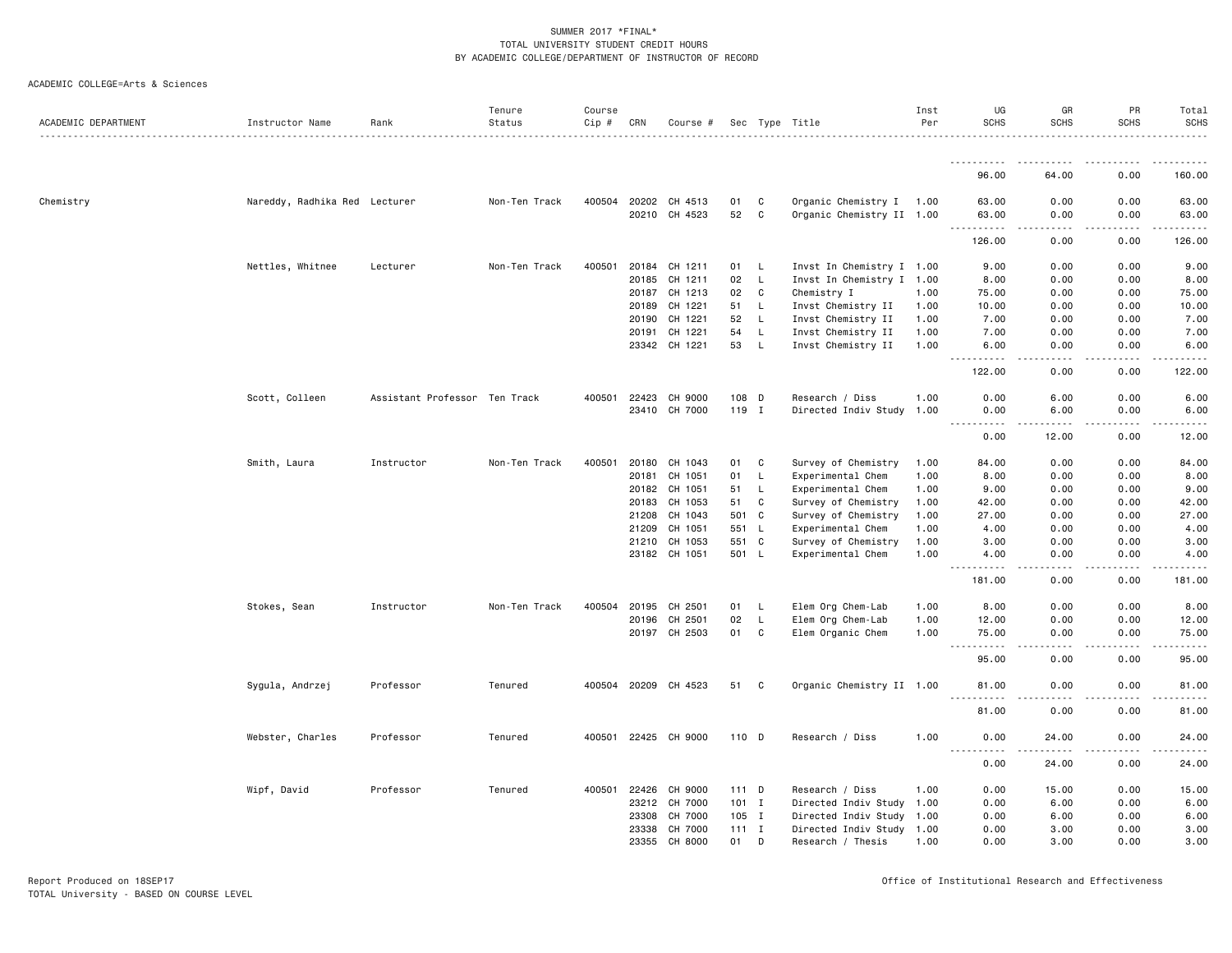| ACADEMIC DEPARTMENT | Instructor Name               | Rank                          | Tenure<br>Status | Course<br>Cip # | CRN          | Course #             |         |              | Sec Type Title            | Inst<br>Per | UG<br><b>SCHS</b>                                                                                                                                                     | GR<br><b>SCHS</b>            | PR<br><b>SCHS</b> | Total<br><b>SCHS</b>                                                                                                               |
|---------------------|-------------------------------|-------------------------------|------------------|-----------------|--------------|----------------------|---------|--------------|---------------------------|-------------|-----------------------------------------------------------------------------------------------------------------------------------------------------------------------|------------------------------|-------------------|------------------------------------------------------------------------------------------------------------------------------------|
|                     |                               |                               |                  |                 |              |                      |         |              |                           |             | .                                                                                                                                                                     |                              | .                 | .                                                                                                                                  |
|                     |                               |                               |                  |                 |              |                      |         |              |                           |             | 96.00                                                                                                                                                                 | 64.00                        | 0.00              | 160.00                                                                                                                             |
| Chemistry           | Nareddy, Radhika Red Lecturer |                               | Non-Ten Track    |                 |              | 400504 20202 CH 4513 | 01      | C            | Organic Chemistry I 1.00  |             | 63.00                                                                                                                                                                 | 0.00                         | 0.00              | 63.00                                                                                                                              |
|                     |                               |                               |                  |                 | 20210        | CH 4523              | 52      | C            | Organic Chemistry II 1.00 |             | 63.00<br>$\frac{1}{2} \left( \frac{1}{2} \right) \left( \frac{1}{2} \right) \left( \frac{1}{2} \right) \left( \frac{1}{2} \right) \left( \frac{1}{2} \right)$         | 0.00<br>د د د د              | 0.00<br>.         | 63.00<br>.                                                                                                                         |
|                     |                               |                               |                  |                 |              |                      |         |              |                           |             | 126.00                                                                                                                                                                | 0.00                         | 0.00              | 126.00                                                                                                                             |
|                     | Nettles, Whitnee              | Lecturer                      | Non-Ten Track    | 400501          |              | 20184 CH 1211        | 01      | $\mathsf{L}$ | Invst In Chemistry I 1.00 |             | 9.00                                                                                                                                                                  | 0.00                         | 0.00              | 9.00                                                                                                                               |
|                     |                               |                               |                  |                 | 20185        | CH 1211              | 02      | L            | Invst In Chemistry I 1.00 |             | 8.00                                                                                                                                                                  | 0.00                         | 0.00              | 8.00                                                                                                                               |
|                     |                               |                               |                  |                 | 20187        | CH 1213              | 02      | C            | Chemistry I               | 1.00        | 75.00                                                                                                                                                                 | 0.00                         | 0.00              | 75.00                                                                                                                              |
|                     |                               |                               |                  |                 | 20189        | CH 1221              | 51      | L.           | Invst Chemistry II        | 1.00        | 10.00                                                                                                                                                                 | 0.00                         | 0.00              | 10.00                                                                                                                              |
|                     |                               |                               |                  |                 | 20190        | CH 1221              | 52      | L            | Invst Chemistry II        | 1.00        | 7.00                                                                                                                                                                  | 0.00                         | 0.00              | 7.00                                                                                                                               |
|                     |                               |                               |                  |                 | 20191        | CH 1221              | 54      | L            | Invst Chemistry II        | 1.00        | 7.00                                                                                                                                                                  | 0.00                         | 0.00              | 7.00                                                                                                                               |
|                     |                               |                               |                  |                 |              | 23342 CH 1221        | 53      | $\mathsf{L}$ | Invst Chemistry II        | 1.00        | 6.00                                                                                                                                                                  | 0.00                         | 0.00              | 6.00                                                                                                                               |
|                     |                               |                               |                  |                 |              |                      |         |              |                           |             | 122.00                                                                                                                                                                | 0.00                         | 0.00              | 122.00                                                                                                                             |
|                     | Scott, Colleen                | Assistant Professor Ten Track |                  | 400501          |              | 22423 CH 9000        | 108 D   |              | Research / Diss           | 1.00        | 0.00                                                                                                                                                                  | 6.00                         | 0.00              | 6.00                                                                                                                               |
|                     |                               |                               |                  |                 |              | 23410 CH 7000        | 119 I   |              | Directed Indiv Study      | 1.00        | 0.00                                                                                                                                                                  | 6.00                         | 0.00              | 6.00                                                                                                                               |
|                     |                               |                               |                  |                 |              |                      |         |              |                           |             | $  -$<br>$\frac{1}{2} \left( \frac{1}{2} \right) \left( \frac{1}{2} \right) \left( \frac{1}{2} \right) \left( \frac{1}{2} \right)$<br>0.00                            | وساعات<br>12.00              | .<br>0.00         | .<br>12.00                                                                                                                         |
|                     | Smith, Laura                  | Instructor                    | Non-Ten Track    | 400501          | 20180        | CH 1043              | 01      | C            | Survey of Chemistry       | 1.00        | 84.00                                                                                                                                                                 | 0.00                         | 0.00              | 84.00                                                                                                                              |
|                     |                               |                               |                  |                 | 20181        | CH 1051              | 01      | L.           | Experimental Chem         | 1.00        | 8.00                                                                                                                                                                  | 0.00                         | 0.00              | 8.00                                                                                                                               |
|                     |                               |                               |                  |                 | 20182        | CH 1051              | 51      | L,           | Experimental Chem         | 1.00        | 9.00                                                                                                                                                                  | 0.00                         | 0.00              | 9.00                                                                                                                               |
|                     |                               |                               |                  |                 | 20183        | CH 1053              | 51      | C            | Survey of Chemistry       | 1.00        | 42.00                                                                                                                                                                 | 0.00                         | 0.00              | 42.00                                                                                                                              |
|                     |                               |                               |                  |                 | 21208        | CH 1043              | 501 C   |              | Survey of Chemistry       | 1.00        | 27.00                                                                                                                                                                 | 0.00                         | 0.00              | 27.00                                                                                                                              |
|                     |                               |                               |                  |                 | 21209        | CH 1051              | 551     | <b>L</b>     | Experimental Chem         | 1.00        | 4.00                                                                                                                                                                  | 0.00                         | 0.00              | 4.00                                                                                                                               |
|                     |                               |                               |                  |                 | 21210        | CH 1053              | 551     | $\mathbf{C}$ | Survey of Chemistry       | 1.00        | 3.00                                                                                                                                                                  | 0.00                         | 0.00              | 3.00                                                                                                                               |
|                     |                               |                               |                  |                 |              | 23182 CH 1051        | 501 L   |              | Experimental Chem         | 1.00        | 4.00<br>.                                                                                                                                                             | 0.00<br>.                    | 0.00<br>.         | 4.00<br>.                                                                                                                          |
|                     |                               |                               |                  |                 |              |                      |         |              |                           |             | 181.00                                                                                                                                                                | 0.00                         | 0.00              | 181.00                                                                                                                             |
|                     | Stokes, Sean                  | Instructor                    | Non-Ten Track    |                 | 400504 20195 | CH 2501              | 01      | L            | Elem Org Chem-Lab         | 1.00        | 8.00                                                                                                                                                                  | 0.00                         | 0.00              | 8.00                                                                                                                               |
|                     |                               |                               |                  |                 | 20196        | CH 2501              | 02      | $\mathsf{L}$ | Elem Org Chem-Lab         | 1.00        | 12.00                                                                                                                                                                 | 0.00                         | 0.00              | 12.00                                                                                                                              |
|                     |                               |                               |                  |                 |              | 20197 CH 2503        | 01      | C            | Elem Organic Chem         | 1.00        | 75.00<br>22222                                                                                                                                                        | 0.00<br>$\sim$ $\sim$ $\sim$ | 0.00<br>.         | 75.00<br>.                                                                                                                         |
|                     |                               |                               |                  |                 |              |                      |         |              |                           |             | 95.00                                                                                                                                                                 | 0.00                         | 0.00              | 95.00                                                                                                                              |
|                     | Sygula, Andrzej               | Professor                     | Tenured          |                 |              | 400504 20209 CH 4523 | 51      | C            | Organic Chemistry II 1.00 |             | 81.00<br>$ -$<br>.                                                                                                                                                    | 0.00<br>.                    | 0.00<br>.         | 81.00<br>$\frac{1}{2} \left( \frac{1}{2} \right) \left( \frac{1}{2} \right) \left( \frac{1}{2} \right) \left( \frac{1}{2} \right)$ |
|                     |                               |                               |                  |                 |              |                      |         |              |                           |             | 81.00                                                                                                                                                                 | 0.00                         | 0.00              | 81.00                                                                                                                              |
|                     | Webster, Charles              | Professor                     | Tenured          |                 |              | 400501 22425 CH 9000 | 110 D   |              | Research / Diss           | 1.00        | 0.00<br>- - -<br>$\frac{1}{2} \left( \frac{1}{2} \right) \left( \frac{1}{2} \right) \left( \frac{1}{2} \right) \left( \frac{1}{2} \right) \left( \frac{1}{2} \right)$ | 24.00<br><u>.</u>            | 0.00<br>.         | 24.00<br>.                                                                                                                         |
|                     |                               |                               |                  |                 |              |                      |         |              |                           |             | 0.00                                                                                                                                                                  | 24.00                        | 0.00              | 24.00                                                                                                                              |
|                     | Wipf, David                   | Professor                     | Tenured          | 400501          | 22426        | CH 9000              | 111 D   |              | Research / Diss           | 1.00        | 0.00                                                                                                                                                                  | 15.00                        | 0.00              | 15.00                                                                                                                              |
|                     |                               |                               |                  |                 | 23212        | CH 7000              | $101$ I |              | Directed Indiv Study 1.00 |             | 0.00                                                                                                                                                                  | 6.00                         | 0.00              | 6.00                                                                                                                               |
|                     |                               |                               |                  |                 | 23308        | CH 7000              | 105 I   |              | Directed Indiv Study      | 1.00        | 0.00                                                                                                                                                                  | 6.00                         | 0.00              | 6.00                                                                                                                               |
|                     |                               |                               |                  |                 | 23338        | CH 7000              | $111$ I |              | Directed Indiv Study 1.00 |             | 0.00                                                                                                                                                                  | 3.00                         | 0.00              | 3.00                                                                                                                               |
|                     |                               |                               |                  |                 | 23355        | CH 8000              | 01      | D            | Research / Thesis         | 1.00        | 0.00                                                                                                                                                                  | 3.00                         | 0.00              | 3.00                                                                                                                               |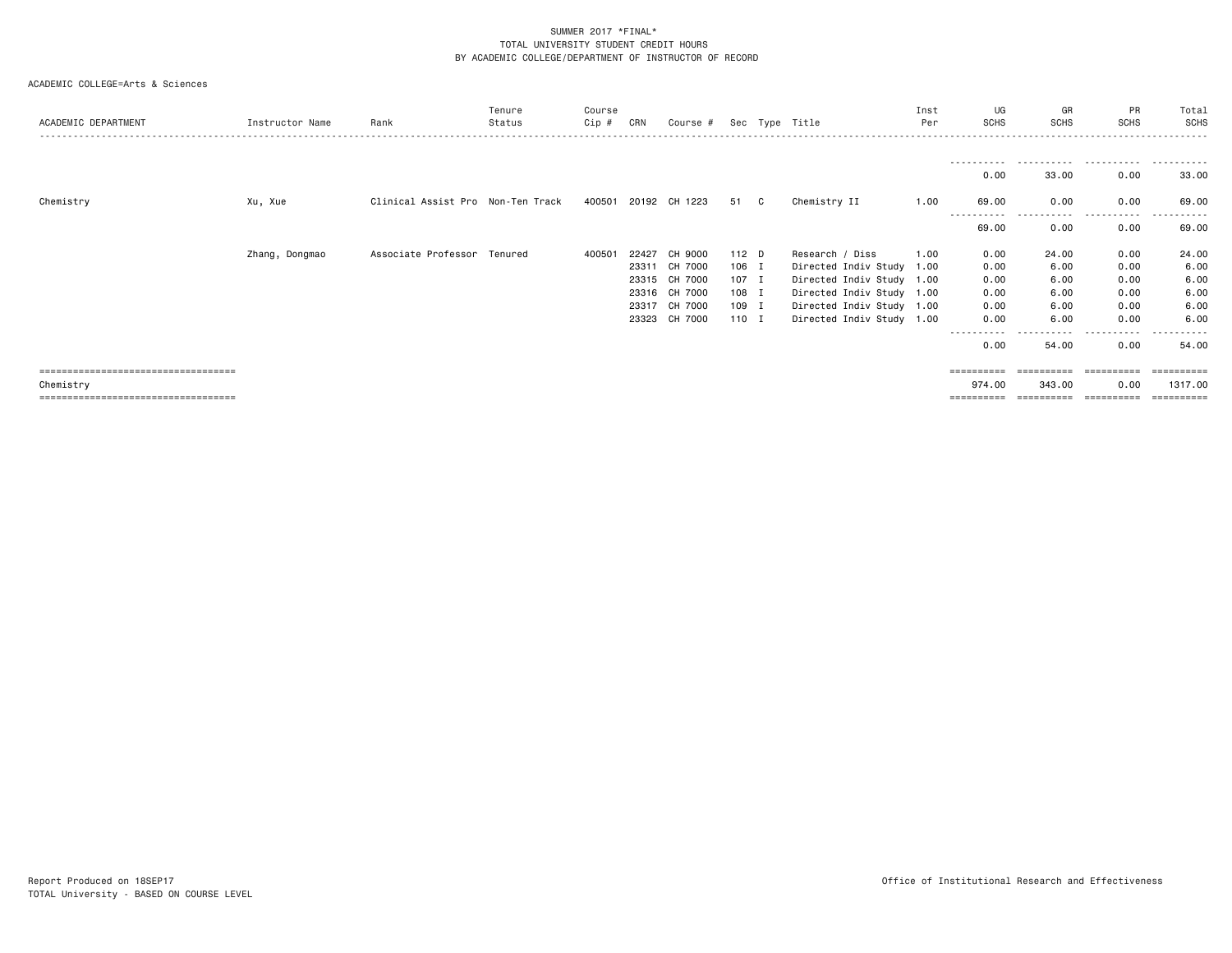|                                        |                 |                                   | Tenure | Course |       |                      |       |    |                           | Inst | UG             | GR          | PR           | Total                 |
|----------------------------------------|-----------------|-----------------------------------|--------|--------|-------|----------------------|-------|----|---------------------------|------|----------------|-------------|--------------|-----------------------|
| ACADEMIC DEPARTMENT                    | Instructor Name | Rank                              | Status | Cip #  | CRN   | Course #             |       |    | Sec Type Title            | Per  | <b>SCHS</b>    | <b>SCHS</b> | <b>SCHS</b>  | <b>SCHS</b>           |
|                                        |                 |                                   |        |        |       |                      |       |    |                           |      | -----------    | .           | .            | .                     |
|                                        |                 |                                   |        |        |       |                      |       |    |                           |      | 0.00           | 33.00       | 0.00         | 33.00                 |
| Chemistry                              | Xu, Xue         | Clinical Assist Pro Non-Ten Track |        |        |       | 400501 20192 CH 1223 | 51    | C. | Chemistry II              | 1.00 | 69.00          | 0.00        | 0.00<br>---- | 69.00                 |
|                                        |                 |                                   |        |        |       |                      |       |    |                           |      | 69.00          | 0.00        | 0.00         | 69.00                 |
|                                        | Zhang, Dongmao  | Associate Professor Tenured       |        | 400501 | 22427 | CH 9000              | 112 D |    | Research / Diss           | 1.00 | 0.00           | 24.00       | 0.00         | 24.00                 |
|                                        |                 |                                   |        |        | 23311 | CH 7000              | 106 I |    | Directed Indiv Study 1.00 |      | 0.00           | 6.00        | 0.00         | 6.00                  |
|                                        |                 |                                   |        |        |       | 23315 CH 7000        | 107 I |    | Directed Indiv Study 1.00 |      | 0.00           | 6.00        | 0.00         | 6.00                  |
|                                        |                 |                                   |        |        |       | 23316 CH 7000        | 108 I |    | Directed Indiv Study 1.00 |      | 0.00           | 6.00        | 0.00         | 6.00                  |
|                                        |                 |                                   |        |        | 23317 | CH 7000              | 109 I |    | Directed Indiv Study 1.00 |      | 0.00           | 6.00        | 0.00         | 6.00                  |
|                                        |                 |                                   |        |        | 23323 | CH 7000              | 110 I |    | Directed Indiv Study 1.00 |      | 0.00<br>------ | 6.00<br>.   | 0.00<br>.    | 6.00<br>------        |
|                                        |                 |                                   |        |        |       |                      |       |    |                           |      | 0.00           | 54.00       | 0.00         | 54.00                 |
| =====================================  |                 |                                   |        |        |       |                      |       |    |                           |      | ==========     | ==========  | -----------  | ==========            |
| Chemistry                              |                 |                                   |        |        |       |                      |       |    |                           |      | 974.00         | 343.00      | 0.00         | 1317.00               |
| ,,,,,,,,,,,,,,,,,,,,,,,,,,,,,,,,,,,,,, |                 |                                   |        |        |       |                      |       |    |                           |      |                |             | ==========   | $=$ = = = = = = = = = |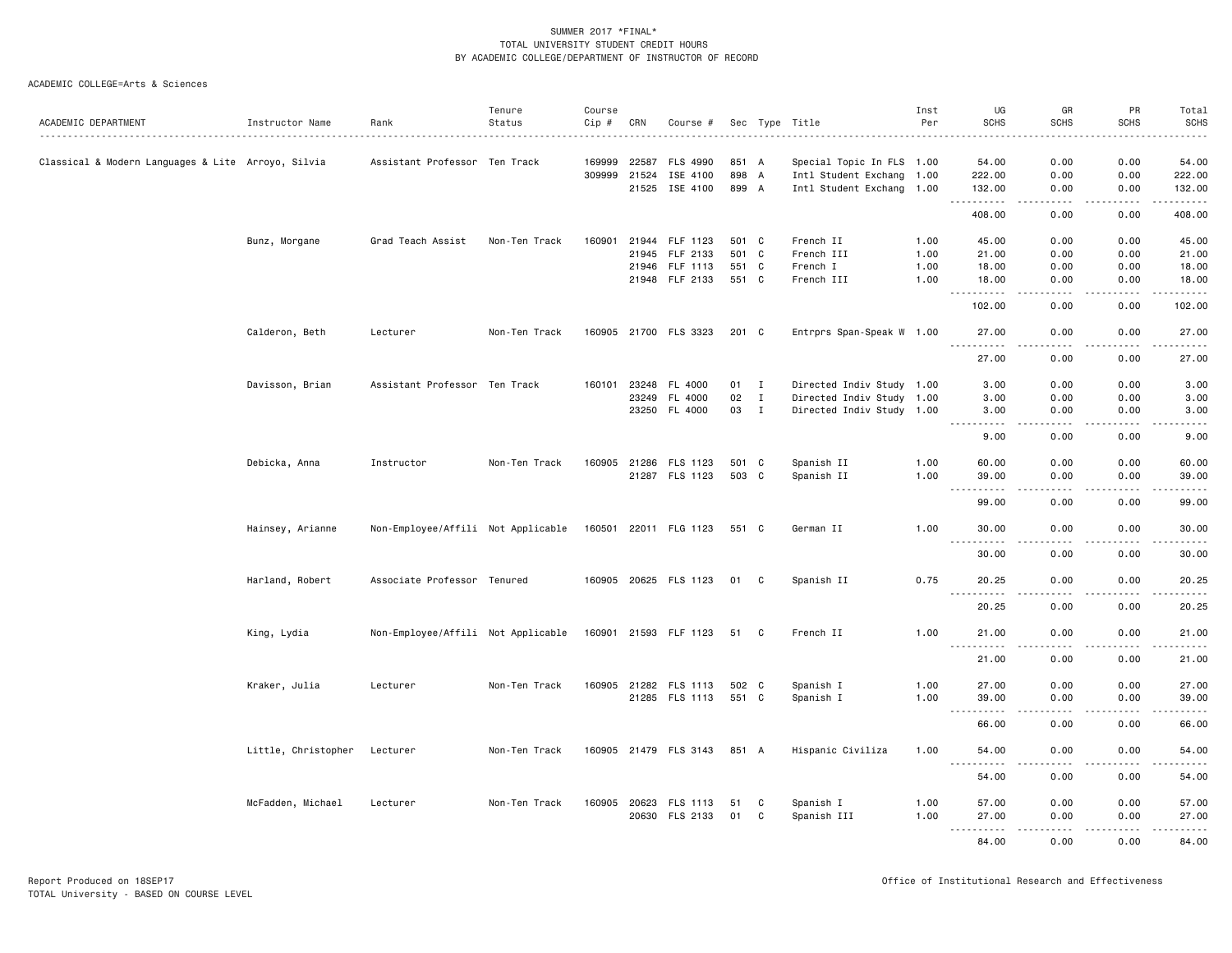|                                                    |                     |                                    | Tenure        | Course |       |                       |       |              |                           | Inst | UG                                     | GR                                                                                                                        | PR                  | Total                                                                                                                             |
|----------------------------------------------------|---------------------|------------------------------------|---------------|--------|-------|-----------------------|-------|--------------|---------------------------|------|----------------------------------------|---------------------------------------------------------------------------------------------------------------------------|---------------------|-----------------------------------------------------------------------------------------------------------------------------------|
| ACADEMIC DEPARTMENT                                | Instructor Name     | Rank                               | Status        | Cip #  | CRN   | Course #              |       |              | Sec Type Title            | Per  | <b>SCHS</b>                            | <b>SCHS</b>                                                                                                               | <b>SCHS</b>         | <b>SCHS</b>                                                                                                                       |
|                                                    |                     |                                    |               |        |       |                       |       |              |                           |      |                                        |                                                                                                                           |                     |                                                                                                                                   |
| Classical & Modern Languages & Lite Arroyo, Silvia |                     | Assistant Professor Ten Track      |               | 169999 | 22587 | <b>FLS 4990</b>       | 851 A |              | Special Topic In FLS 1.00 |      | 54.00                                  | 0.00                                                                                                                      | 0.00                | 54.00                                                                                                                             |
|                                                    |                     |                                    |               | 309999 | 21524 | ISE 4100              | 898 A |              | Intl Student Exchang 1.00 |      | 222.00                                 | 0.00                                                                                                                      | 0.00                | 222.00                                                                                                                            |
|                                                    |                     |                                    |               |        |       | 21525 ISE 4100        | 899 A |              | Intl Student Exchang 1.00 |      | 132.00<br>.                            | 0.00<br>.                                                                                                                 | 0.00<br>.           | 132.00<br>.                                                                                                                       |
|                                                    |                     |                                    |               |        |       |                       |       |              |                           |      | 408.00                                 | 0.00                                                                                                                      | 0.00                | 408.00                                                                                                                            |
|                                                    | Bunz, Morgane       | Grad Teach Assist                  | Non-Ten Track | 160901 |       | 21944 FLF 1123        | 501 C |              | French II                 | 1.00 | 45.00                                  | 0.00                                                                                                                      | 0.00                | 45.00                                                                                                                             |
|                                                    |                     |                                    |               |        | 21945 | FLF 2133              | 501 C |              | French III                | 1.00 | 21.00                                  | 0.00                                                                                                                      | 0.00                | 21.00                                                                                                                             |
|                                                    |                     |                                    |               |        |       | 21946 FLF 1113        | 551 C |              | French I                  | 1.00 | 18.00                                  | 0.00                                                                                                                      | 0.00                | 18.00                                                                                                                             |
|                                                    |                     |                                    |               |        |       | 21948 FLF 2133        | 551 C |              | French III                | 1.00 | 18.00<br><u>.</u>                      | 0.00                                                                                                                      | 0.00                | 18.00<br>.                                                                                                                        |
|                                                    |                     |                                    |               |        |       |                       |       |              |                           |      | 102.00                                 | 0.00                                                                                                                      | 0.00                | 102.00                                                                                                                            |
|                                                    | Calderon, Beth      | Lecturer                           | Non-Ten Track |        |       | 160905 21700 FLS 3323 | 201 C |              | Entrprs Span-Speak W 1.00 |      | 27.00                                  | 0.00                                                                                                                      | 0.00                | 27.00                                                                                                                             |
|                                                    |                     |                                    |               |        |       |                       |       |              |                           |      | $\sim$ $\sim$ $\sim$<br>.<br>27.00     | 0.00                                                                                                                      | 0.00                | .<br>27.00                                                                                                                        |
|                                                    | Davisson, Brian     | Assistant Professor Ten Track      |               | 160101 |       | 23248 FL 4000         | 01    | $\mathbf{I}$ | Directed Indiv Study 1.00 |      | 3.00                                   | 0.00                                                                                                                      | 0.00                | 3.00                                                                                                                              |
|                                                    |                     |                                    |               |        |       | 23249 FL 4000         | 02    | $\mathbf{I}$ | Directed Indiv Study 1.00 |      | 3.00                                   | 0.00                                                                                                                      | 0.00                | 3.00                                                                                                                              |
|                                                    |                     |                                    |               |        |       | 23250 FL 4000         | 03    | $\mathbf{I}$ | Directed Indiv Study 1.00 |      | 3.00                                   | 0.00                                                                                                                      | 0.00                | 3.00                                                                                                                              |
|                                                    |                     |                                    |               |        |       |                       |       |              |                           |      | $- - - -$<br>.<br>9.00                 | .<br>0.00                                                                                                                 | 0.00                | $\frac{1}{2} \left( \frac{1}{2} \right) \left( \frac{1}{2} \right) \left( \frac{1}{2} \right) \left( \frac{1}{2} \right)$<br>9.00 |
|                                                    | Debicka, Anna       | Instructor                         | Non-Ten Track |        |       | 160905 21286 FLS 1123 | 501 C |              | Spanish II                | 1.00 | 60.00                                  | 0.00                                                                                                                      | 0.00                | 60.00                                                                                                                             |
|                                                    |                     |                                    |               |        |       | 21287 FLS 1123        | 503 C |              | Spanish II                | 1.00 | 39.00                                  | 0.00                                                                                                                      | 0.00                | 39.00                                                                                                                             |
|                                                    |                     |                                    |               |        |       |                       |       |              |                           |      | $\sim$ $\sim$ .<br>. <u>.</u><br>99.00 | د د د د<br>0.00                                                                                                           | -----<br>0.00       | .<br>99.00                                                                                                                        |
|                                                    | Hainsey, Arianne    | Non-Employee/Affili Not Applicable |               |        |       | 160501 22011 FLG 1123 | 551 C |              | German II                 | 1.00 | 30.00                                  | 0.00                                                                                                                      | 0.00                | 30.00                                                                                                                             |
|                                                    |                     |                                    |               |        |       |                       |       |              |                           |      | .<br>$- - -$                           | $\frac{1}{2} \left( \frac{1}{2} \right) \left( \frac{1}{2} \right) \left( \frac{1}{2} \right) \left( \frac{1}{2} \right)$ | .                   | .                                                                                                                                 |
|                                                    |                     |                                    |               |        |       |                       |       |              |                           |      | 30.00                                  | 0.00                                                                                                                      | 0.00                | 30.00                                                                                                                             |
|                                                    | Harland, Robert     | Associate Professor Tenured        |               |        |       | 160905 20625 FLS 1123 | 01    | C            | Spanish II                | 0.75 | 20.25<br>$\sim$ $\sim$ $\sim$          | 0.00                                                                                                                      | 0.00                | 20.25                                                                                                                             |
|                                                    |                     |                                    |               |        |       |                       |       |              |                           |      | 20.25                                  | 0.00                                                                                                                      | 0.00                | 20.25                                                                                                                             |
|                                                    | King, Lydia         | Non-Employee/Affili Not Applicable |               |        |       | 160901 21593 FLF 1123 | 51    | C            | French II                 | 1.00 | 21.00                                  | 0.00                                                                                                                      | 0.00                | 21.00                                                                                                                             |
|                                                    |                     |                                    |               |        |       |                       |       |              |                           |      | $\sim 100$<br>. <b>.</b><br>21.00      | .<br>0.00                                                                                                                 | .<br>0.00           | .<br>21.00                                                                                                                        |
|                                                    | Kraker, Julia       | Lecturer                           | Non-Ten Track |        |       | 160905 21282 FLS 1113 | 502 C |              | Spanish I                 | 1.00 | 27.00                                  | 0.00                                                                                                                      | 0.00                | 27.00                                                                                                                             |
|                                                    |                     |                                    |               |        |       | 21285 FLS 1113        | 551 C |              | Spanish I                 | 1.00 | 39.00                                  | 0.00                                                                                                                      | 0.00                | 39.00                                                                                                                             |
|                                                    |                     |                                    |               |        |       |                       |       |              |                           |      | . <b>.</b><br>$  -$<br>66.00           | $\frac{1}{2}$<br>0.00                                                                                                     | .<br>0.00           | .<br>66.00                                                                                                                        |
|                                                    | Little, Christopher | Lecturer                           | Non-Ten Track |        |       | 160905 21479 FLS 3143 | 851 A |              | Hispanic Civiliza         | 1.00 | 54.00                                  | 0.00                                                                                                                      | 0.00                | 54.00                                                                                                                             |
|                                                    |                     |                                    |               |        |       |                       |       |              |                           |      | $- - -$<br>.<br>54.00                  | 0.00                                                                                                                      | 0.00                | 54.00                                                                                                                             |
|                                                    |                     |                                    |               |        |       |                       |       |              |                           |      |                                        |                                                                                                                           |                     |                                                                                                                                   |
|                                                    | McFadden, Michael   | Lecturer                           | Non-Ten Track |        |       | 160905 20623 FLS 1113 | 51    | C            | Spanish I                 | 1.00 | 57.00                                  | 0.00                                                                                                                      | 0.00                | 57.00                                                                                                                             |
|                                                    |                     |                                    |               |        |       | 20630 FLS 2133        | 01    | C            | Spanish III               | 1.00 | 27.00<br>. <b>.</b><br>$\frac{1}{2}$   | 0.00<br>.                                                                                                                 | 0.00<br>$- - - - -$ | 27.00<br>.                                                                                                                        |
|                                                    |                     |                                    |               |        |       |                       |       |              |                           |      | 84.00                                  | 0.00                                                                                                                      | 0.00                | 84.00                                                                                                                             |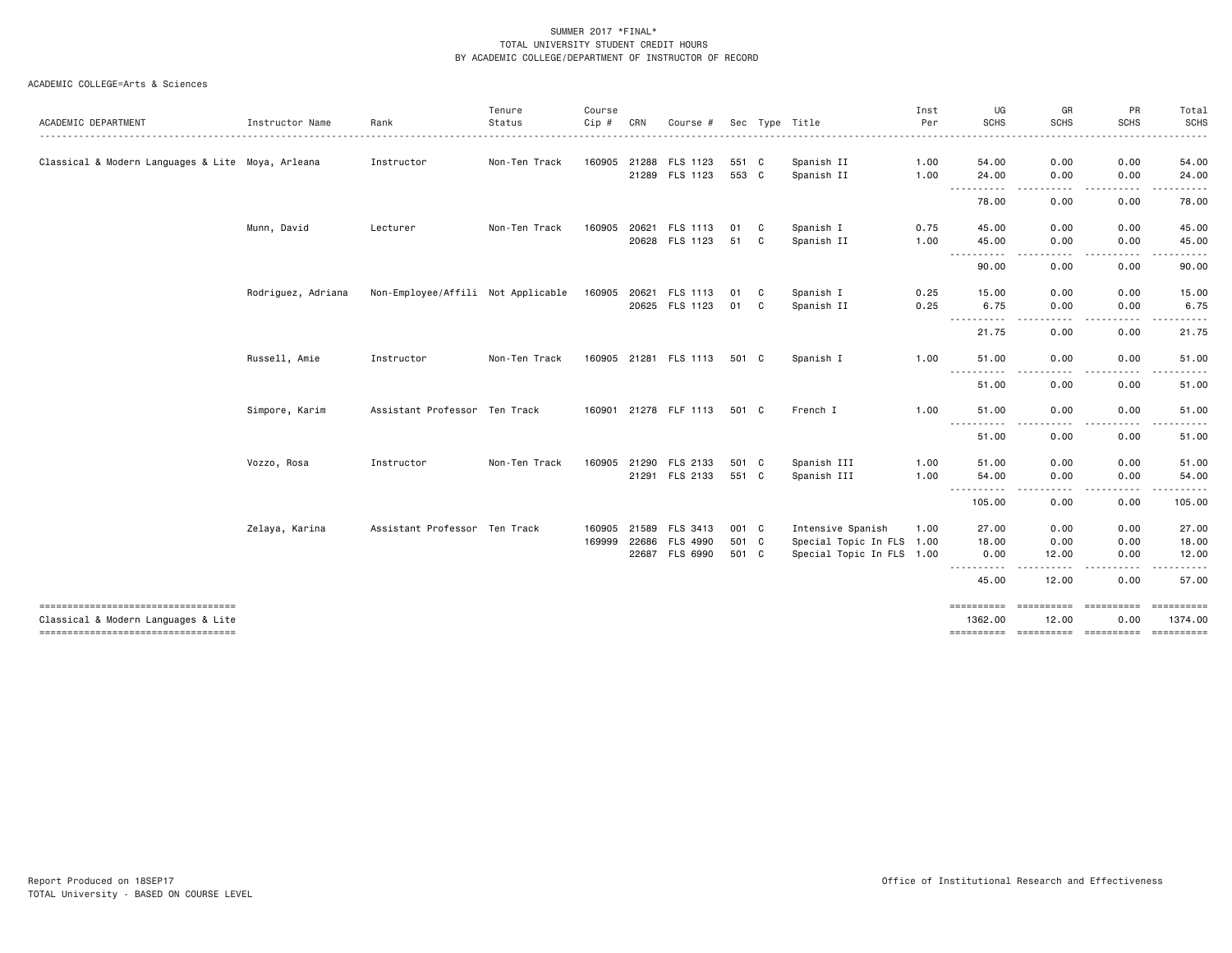|                                                                            |                    |                                    | Tenure        | Course |       |                       |       |   |                           | Inst | UG                                                                                                                                                                    | GR                         | PR                                                                                                                                                           | Total                                                                                                                                                         |
|----------------------------------------------------------------------------|--------------------|------------------------------------|---------------|--------|-------|-----------------------|-------|---|---------------------------|------|-----------------------------------------------------------------------------------------------------------------------------------------------------------------------|----------------------------|--------------------------------------------------------------------------------------------------------------------------------------------------------------|---------------------------------------------------------------------------------------------------------------------------------------------------------------|
| ACADEMIC DEPARTMENT                                                        | Instructor Name    | Rank                               | Status        | Cip #  | CRN   | Course #              |       |   | Sec Type Title            | Per  | <b>SCHS</b>                                                                                                                                                           | <b>SCHS</b>                | <b>SCHS</b>                                                                                                                                                  | <b>SCHS</b>                                                                                                                                                   |
| Classical & Modern Languages & Lite Moya, Arleana                          |                    | Instructor                         | Non-Ten Track | 160905 |       | 21288 FLS 1123        | 551 C |   | Spanish II                | 1.00 | 54.00                                                                                                                                                                 | 0.00                       | 0.00                                                                                                                                                         | 54.00                                                                                                                                                         |
|                                                                            |                    |                                    |               |        |       | 21289 FLS 1123        | 553 C |   | Spanish II                | 1.00 | 24.00<br>-----------                                                                                                                                                  | 0.00<br>$\sim$ $\sim$<br>. | 0.00<br>.                                                                                                                                                    | 24.00<br>.                                                                                                                                                    |
|                                                                            |                    |                                    |               |        |       |                       |       |   |                           |      | 78.00                                                                                                                                                                 | 0.00                       | 0.00                                                                                                                                                         | 78.00                                                                                                                                                         |
|                                                                            | Munn, David        | Lecturer                           | Non-Ten Track | 160905 |       | 20621 FLS 1113        | 01    | C | Spanish I                 | 0.75 | 45.00                                                                                                                                                                 | 0.00                       | 0.00                                                                                                                                                         | 45.00                                                                                                                                                         |
|                                                                            |                    |                                    |               |        |       | 20628 FLS 1123        | 51    | C | Spanish II                | 1.00 | 45.00                                                                                                                                                                 | 0.00                       | 0.00                                                                                                                                                         | 45.00                                                                                                                                                         |
|                                                                            |                    |                                    |               |        |       |                       |       |   |                           |      | -----------<br>90.00                                                                                                                                                  | $ -$<br>.<br>0.00          | . <b>.</b><br>0.00                                                                                                                                           | . <b>.</b> .<br>90.00                                                                                                                                         |
|                                                                            | Rodriguez, Adriana | Non-Employee/Affili Not Applicable |               | 160905 | 20621 | FLS 1113              | 01    | C | Spanish I                 | 0.25 | 15.00                                                                                                                                                                 | 0.00                       | 0.00                                                                                                                                                         | 15.00                                                                                                                                                         |
|                                                                            |                    |                                    |               |        |       | 20625 FLS 1123        | 01 C  |   | Spanish II                | 0.25 | 6.75                                                                                                                                                                  | 0.00                       | 0.00                                                                                                                                                         | 6.75                                                                                                                                                          |
|                                                                            |                    |                                    |               |        |       |                       |       |   |                           |      | $\frac{1}{2} \left( \frac{1}{2} \right) \left( \frac{1}{2} \right) \left( \frac{1}{2} \right)$<br>.<br>21.75                                                          | 0.00                       | 0.00                                                                                                                                                         | $\frac{1}{2} \left( \frac{1}{2} \right) \left( \frac{1}{2} \right) \left( \frac{1}{2} \right) \left( \frac{1}{2} \right) \left( \frac{1}{2} \right)$<br>21.75 |
|                                                                            | Russell, Amie      | Instructor                         | Non-Ten Track |        |       | 160905 21281 FLS 1113 | 501 C |   | Spanish I                 | 1.00 | 51.00                                                                                                                                                                 | 0.00                       | 0.00                                                                                                                                                         | 51.00                                                                                                                                                         |
|                                                                            |                    |                                    |               |        |       |                       |       |   |                           |      | <u>.</u><br>51.00                                                                                                                                                     | 0.00                       | $\sim$ $\sim$ $\sim$ $\sim$<br>0.00                                                                                                                          | .<br>51.00                                                                                                                                                    |
|                                                                            | Simpore, Karim     | Assistant Professor Ten Track      |               |        |       | 160901 21278 FLF 1113 | 501 C |   | French I                  | 1.00 | 51.00                                                                                                                                                                 | 0.00                       | 0.00                                                                                                                                                         | 51.00                                                                                                                                                         |
|                                                                            |                    |                                    |               |        |       |                       |       |   |                           |      | ----<br>$\frac{1}{2} \left( \frac{1}{2} \right) \left( \frac{1}{2} \right) \left( \frac{1}{2} \right) \left( \frac{1}{2} \right) \left( \frac{1}{2} \right)$<br>51.00 | $\cdots$<br>0.00           | . <b>.</b><br>0.00                                                                                                                                           | .<br>51.00                                                                                                                                                    |
|                                                                            | Vozzo, Rosa        | Instructor                         | Non-Ten Track | 160905 | 21290 | FLS 2133              | 501 C |   | Spanish III               | 1.00 | 51.00                                                                                                                                                                 | 0.00                       | 0.00                                                                                                                                                         | 51.00                                                                                                                                                         |
|                                                                            |                    |                                    |               |        |       | 21291 FLS 2133        | 551 C |   | Spanish III               | 1.00 | 54.00                                                                                                                                                                 | 0.00                       | 0.00                                                                                                                                                         | 54.00                                                                                                                                                         |
|                                                                            |                    |                                    |               |        |       |                       |       |   |                           |      | $- - - -$<br>.<br>105.00                                                                                                                                              | .<br>$\sim$ $\sim$<br>0.00 | .<br>0.00                                                                                                                                                    | .<br>105.00                                                                                                                                                   |
|                                                                            | Zelaya, Karina     | Assistant Professor Ten Track      |               | 160905 | 21589 | FLS 3413              | 001 C |   | Intensive Spanish         | 1.00 | 27.00                                                                                                                                                                 | 0.00                       | 0.00                                                                                                                                                         | 27.00                                                                                                                                                         |
|                                                                            |                    |                                    |               | 169999 | 22686 | <b>FLS 4990</b>       | 501 C |   | Special Topic In FLS 1.00 |      | 18.00                                                                                                                                                                 | 0.00                       | 0.00                                                                                                                                                         | 18.00                                                                                                                                                         |
|                                                                            |                    |                                    |               |        |       | 22687 FLS 6990        | 501 C |   | Special Topic In FLS 1.00 |      | 0.00<br>----------                                                                                                                                                    | 12.00<br><u>.</u>          | 0.00<br>$\frac{1}{2} \left( \frac{1}{2} \right) \left( \frac{1}{2} \right) \left( \frac{1}{2} \right) \left( \frac{1}{2} \right) \left( \frac{1}{2} \right)$ | 12.00<br>.                                                                                                                                                    |
|                                                                            |                    |                                    |               |        |       |                       |       |   |                           |      | 45.00                                                                                                                                                                 | 12.00                      | 0.00                                                                                                                                                         | 57.00                                                                                                                                                         |
| -----------------------------------                                        |                    |                                    |               |        |       |                       |       |   |                           |      | ==========                                                                                                                                                            | ==========                 | ==========                                                                                                                                                   |                                                                                                                                                               |
| Classical & Modern Languages & Lite<br>----------------------------------- |                    |                                    |               |        |       |                       |       |   |                           |      | 1362.00<br>==========                                                                                                                                                 | 12.00<br>==========        | 0.00                                                                                                                                                         | 1374.00<br>==========                                                                                                                                         |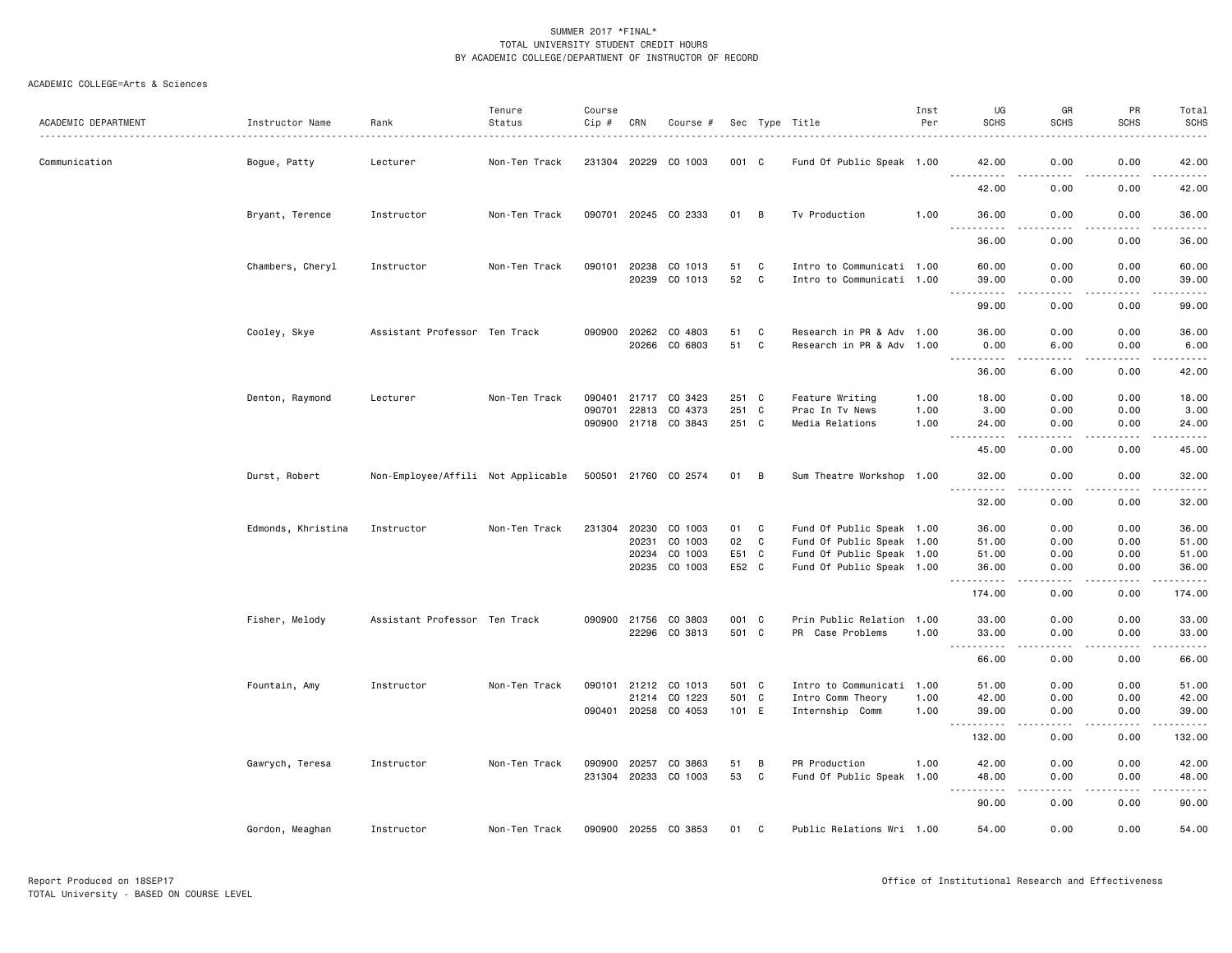| ACADEMIC DEPARTMENT | Instructor Name    | Rank                               | Tenure<br>Status | Course<br>Cip # | CRN   | Course #             |       |   | Sec Type Title            | Inst<br>Per | UG<br><b>SCHS</b>                                                                                                                                                      | GR<br><b>SCHS</b>                                                                                                                 | PR<br><b>SCHS</b> | Total<br><b>SCHS</b> |
|---------------------|--------------------|------------------------------------|------------------|-----------------|-------|----------------------|-------|---|---------------------------|-------------|------------------------------------------------------------------------------------------------------------------------------------------------------------------------|-----------------------------------------------------------------------------------------------------------------------------------|-------------------|----------------------|
| Communication       | Bogue, Patty       | Lecturer                           | Non-Ten Track    | 231304 20229    |       | CO 1003              | 001 C |   | Fund Of Public Speak 1.00 |             | 42.00                                                                                                                                                                  | 0.00                                                                                                                              | 0.00              | .<br>42.00           |
|                     |                    |                                    |                  |                 |       |                      |       |   |                           |             | .<br>42.00                                                                                                                                                             | 0.00                                                                                                                              | 0.00              | .<br>42.00           |
|                     | Bryant, Terence    | Instructor                         | Non-Ten Track    |                 |       | 090701 20245 CO 2333 | 01    | B | Tv Production             | 1.00        | 36.00                                                                                                                                                                  | 0.00                                                                                                                              | 0.00              | 36.00                |
|                     |                    |                                    |                  |                 |       |                      |       |   |                           |             | $\sim$ $\sim$ $\sim$<br>.<br>36.00                                                                                                                                     | $\frac{1}{2}$<br>0.00                                                                                                             | $\cdots$<br>0.00  | .<br>36.00           |
|                     | Chambers, Cheryl   | Instructor                         | Non-Ten Track    | 090101          | 20238 | CO 1013              | 51    | C | Intro to Communicati 1.00 |             | 60.00                                                                                                                                                                  | 0.00                                                                                                                              | 0.00              | 60.00                |
|                     |                    |                                    |                  |                 | 20239 | CO 1013              | 52    | C | Intro to Communicati 1.00 |             | 39.00<br>. <b>.</b>                                                                                                                                                    | 0.00<br>$\sim$ $\sim$ $\sim$                                                                                                      | 0.00              | 39.00<br>.           |
|                     |                    |                                    |                  |                 |       |                      |       |   |                           |             | 99.00                                                                                                                                                                  | 0.00                                                                                                                              | 0.00              | 99.00                |
|                     | Cooley, Skye       | Assistant Professor Ten Track      |                  | 090900          | 20262 | CO 4803              | 51    | C | Research in PR & Adv 1.00 |             | 36.00                                                                                                                                                                  | 0.00                                                                                                                              | 0.00              | 36.00                |
|                     |                    |                                    |                  |                 | 20266 | CO 6803              | 51    | C | Research in PR & Adv 1.00 |             | 0.00<br>$\frac{1}{2}$<br>.                                                                                                                                             | 6.00<br>.                                                                                                                         | 0.00<br>.         | 6.00<br>.            |
|                     |                    |                                    |                  |                 |       |                      |       |   |                           |             | 36.00                                                                                                                                                                  | 6.00                                                                                                                              | 0.00              | 42.00                |
|                     | Denton, Raymond    | Lecturer                           | Non-Ten Track    | 090401          | 21717 | CO 3423              | 251 C |   | Feature Writing           | 1.00        | 18.00                                                                                                                                                                  | 0.00                                                                                                                              | 0.00              | 18.00                |
|                     |                    |                                    |                  | 090701          | 22813 | CO 4373              | 251 C |   | Prac In Tv News           | 1.00        | 3.00                                                                                                                                                                   | 0.00                                                                                                                              | 0.00              | 3.00                 |
|                     |                    |                                    |                  |                 |       | 090900 21718 CO 3843 | 251 C |   | Media Relations           | 1.00        | 24.00<br>.<br>$\frac{1}{2}$                                                                                                                                            | 0.00<br>د د د د                                                                                                                   | 0.00<br>.         | 24.00<br>.           |
|                     |                    |                                    |                  |                 |       |                      |       |   |                           |             | 45.00                                                                                                                                                                  | 0.00                                                                                                                              | 0.00              | 45.00                |
|                     | Durst, Robert      | Non-Employee/Affili Not Applicable |                  | 500501 21760    |       | CO 2574              | 01    | B | Sum Theatre Workshop 1.00 |             | 32.00                                                                                                                                                                  | 0.00                                                                                                                              | 0.00              | 32.00<br>.           |
|                     |                    |                                    |                  |                 |       |                      |       |   |                           |             | 32.00                                                                                                                                                                  | 0.00                                                                                                                              | 0.00              | 32.00                |
|                     | Edmonds, Khristina | Instructor                         | Non-Ten Track    | 231304          | 20230 | CO 1003              | 01    | C | Fund Of Public Speak 1.00 |             | 36.00                                                                                                                                                                  | 0.00                                                                                                                              | 0.00              | 36.00                |
|                     |                    |                                    |                  |                 | 20231 | CO 1003              | 02    | C | Fund Of Public Speak 1.00 |             | 51.00                                                                                                                                                                  | 0.00                                                                                                                              | 0.00              | 51.00                |
|                     |                    |                                    |                  |                 | 20234 | CO 1003              | E51 C |   | Fund Of Public Speak 1.00 |             | 51.00                                                                                                                                                                  | 0.00                                                                                                                              | 0.00              | 51.00                |
|                     |                    |                                    |                  |                 | 20235 | CO 1003              | E52 C |   | Fund Of Public Speak 1.00 |             | 36.00<br>.                                                                                                                                                             | 0.00<br>$\frac{1}{2} \left( \frac{1}{2} \right) \left( \frac{1}{2} \right) \left( \frac{1}{2} \right) \left( \frac{1}{2} \right)$ | 0.00<br>$   -$    | 36.00<br>.           |
|                     |                    |                                    |                  |                 |       |                      |       |   |                           |             | 174.00                                                                                                                                                                 | 0.00                                                                                                                              | 0.00              | 174.00               |
|                     | Fisher, Melody     | Assistant Professor Ten Track      |                  | 090900          | 21756 | CO 3803              | 001 C |   | Prin Public Relation 1.00 |             | 33,00                                                                                                                                                                  | 0.00                                                                                                                              | 0.00              | 33.00                |
|                     |                    |                                    |                  |                 | 22296 | CO 3813              | 501 C |   | PR Case Problems          | 1.00        | 33.00<br><u>.</u>                                                                                                                                                      | 0.00<br>.                                                                                                                         | 0.00<br>.         | 33.00<br>.           |
|                     |                    |                                    |                  |                 |       |                      |       |   |                           |             | 66.00                                                                                                                                                                  | 0.00                                                                                                                              | 0.00              | 66.00                |
|                     | Fountain, Amy      | Instructor                         | Non-Ten Track    | 090101 21212    |       | CO 1013              | 501 C |   | Intro to Communicati 1.00 |             | 51.00                                                                                                                                                                  | 0.00                                                                                                                              | 0.00              | 51.00                |
|                     |                    |                                    |                  |                 | 21214 | CO 1223              | 501 C |   | Intro Comm Theory         | 1.00        | 42.00                                                                                                                                                                  | 0.00                                                                                                                              | 0.00              | 42.00                |
|                     |                    |                                    |                  | 090401 20258    |       | CO 4053              | 101 E |   | Internship Comm           | 1.00        | 39.00                                                                                                                                                                  | 0.00                                                                                                                              | 0.00              | 39.00<br>.           |
|                     |                    |                                    |                  |                 |       |                      |       |   |                           |             | 132.00                                                                                                                                                                 | 0.00                                                                                                                              | 0.00              | 132.00               |
|                     | Gawrych, Teresa    | Instructor                         | Non-Ten Track    | 090900          | 20257 | CO 3863              | 51    | B | PR Production             | 1.00        | 42.00                                                                                                                                                                  | 0.00                                                                                                                              | 0.00              | 42.00                |
|                     |                    |                                    |                  | 231304 20233    |       | CO 1003              | 53    | C | Fund Of Public Speak 1.00 |             | 48.00<br>$\frac{1}{2} \left( \frac{1}{2} \right) \left( \frac{1}{2} \right) \left( \frac{1}{2} \right) \left( \frac{1}{2} \right) \left( \frac{1}{2} \right)$<br>$  -$ | 0.00<br>د د د د                                                                                                                   | 0.00<br>.         | 48.00<br>.           |
|                     |                    |                                    |                  |                 |       |                      |       |   |                           |             | 90.00                                                                                                                                                                  | 0.00                                                                                                                              | 0.00              | 90.00                |
|                     | Gordon, Meaghan    | Instructor                         | Non-Ten Track    |                 |       | 090900 20255 CO 3853 | 01    | C | Public Relations Wri 1.00 |             | 54.00                                                                                                                                                                  | 0.00                                                                                                                              | 0.00              | 54.00                |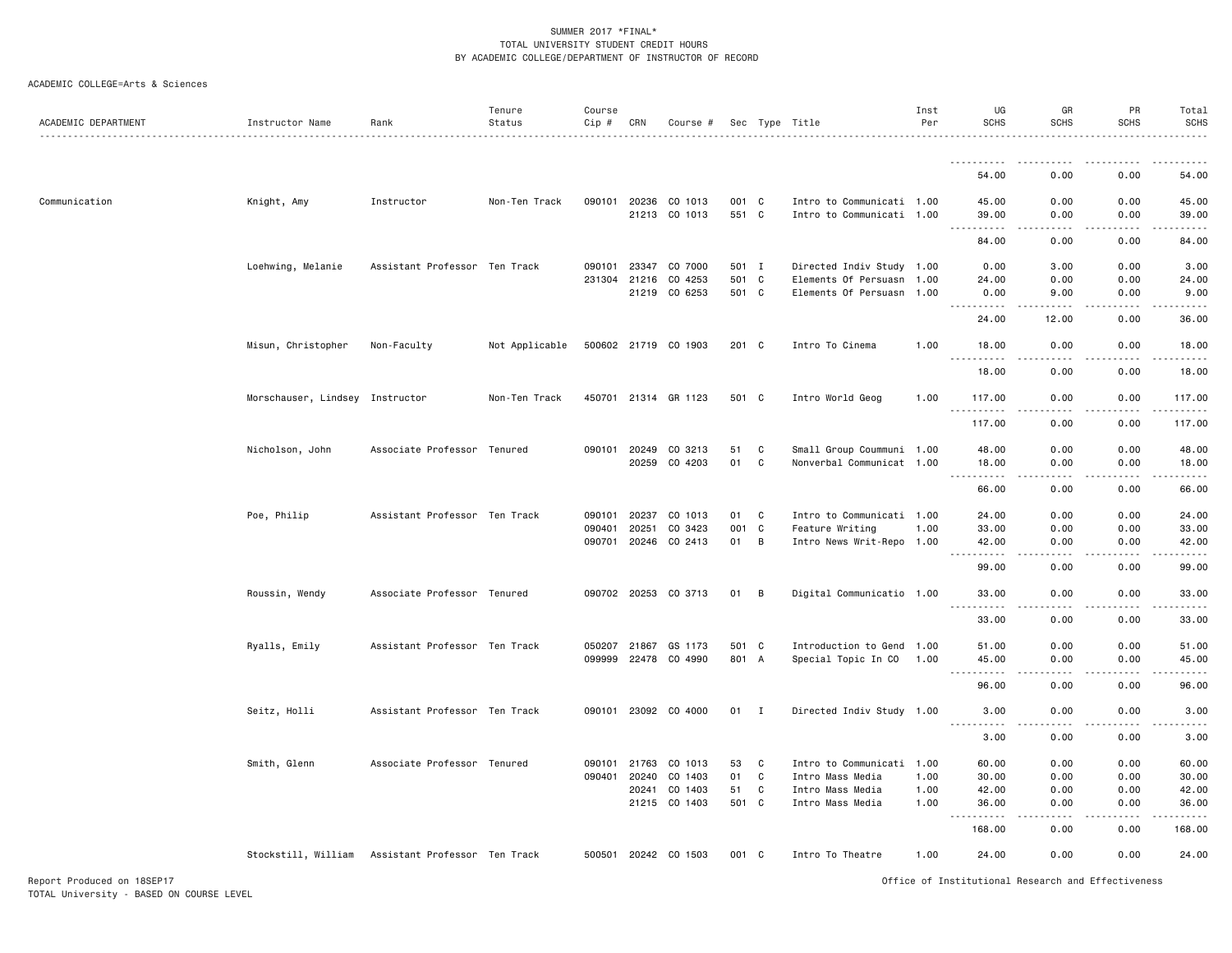| ACADEMIC DEPARTMENT | Instructor Name                 | Rank                                              | Tenure<br>Status | Course<br>Cip # | CRN   | Course #             |       |              | Sec Type Title            | Inst<br>Per | UG<br><b>SCHS</b>                  | GR<br><b>SCHS</b>                   | PR<br><b>SCHS</b> | Total<br><b>SCHS</b>  |
|---------------------|---------------------------------|---------------------------------------------------|------------------|-----------------|-------|----------------------|-------|--------------|---------------------------|-------------|------------------------------------|-------------------------------------|-------------------|-----------------------|
|                     |                                 |                                                   |                  |                 |       |                      |       |              |                           |             |                                    |                                     |                   |                       |
|                     |                                 |                                                   |                  |                 |       |                      |       |              |                           |             | 54.00                              | 0.00                                | 0.00              | 54.00                 |
| Communication       | Knight, Amy                     | Instructor                                        | Non-Ten Track    | 090101          |       | 20236 CO 1013        | 001 C |              | Intro to Communicati 1.00 |             | 45.00                              | 0.00                                | 0.00              | 45.00                 |
|                     |                                 |                                                   |                  |                 |       | 21213 CO 1013        | 551 C |              | Intro to Communicati 1.00 |             | 39.00<br>$\frac{1}{2}$<br>$\cdots$ | 0.00<br>.                           | 0.00<br><u>.</u>  | 39.00<br>. <u>.</u> . |
|                     |                                 |                                                   |                  |                 |       |                      |       |              |                           |             | 84.00                              | 0.00                                | 0.00              | 84.00                 |
|                     | Loehwing, Melanie               | Assistant Professor Ten Track                     |                  | 090101          | 23347 | CO 7000              | 501 I |              | Directed Indiv Study 1.00 |             | 0.00                               | 3.00                                | 0.00              | 3.00                  |
|                     |                                 |                                                   |                  | 231304 21216    |       | CO 4253              | 501 C |              | Elements Of Persuasn 1.00 |             | 24.00                              | 0.00                                | 0.00              | 24.00                 |
|                     |                                 |                                                   |                  |                 |       | 21219 CO 6253        | 501 C |              | Elements Of Persuasn 1.00 |             | 0.00<br>.                          | 9.00<br>$- - - - -$                 | 0.00<br>.         | 9.00<br>.             |
|                     |                                 |                                                   |                  |                 |       |                      |       |              |                           |             | 24.00                              | 12.00                               | 0.00              | 36.00                 |
|                     | Misun, Christopher              | Non-Faculty                                       | Not Applicable   |                 |       | 500602 21719 CO 1903 | 201 C |              | Intro To Cinema           | 1.00        | 18.00<br>.                         | 0.00<br>$\sim$ $\sim$ $\sim$ $\sim$ | 0.00<br>.         | 18.00<br>.            |
|                     |                                 |                                                   |                  |                 |       |                      |       |              |                           |             | 18.00                              | 0.00                                | 0.00              | 18.00                 |
|                     | Morschauser, Lindsey Instructor |                                                   | Non-Ten Track    |                 |       | 450701 21314 GR 1123 | 501 C |              | Intro World Geog          | 1.00        | 117.00<br><u>.</u>                 | 0.00<br>$   -$                      | 0.00<br>.         | 117.00<br>.           |
|                     |                                 |                                                   |                  |                 |       |                      |       |              |                           |             | 117.00                             | 0.00                                | 0.00              | 117.00                |
|                     | Nicholson, John                 | Associate Professor Tenured                       |                  | 090101          | 20249 | CO 3213              | 51    | C            | Small Group Coummuni 1.00 |             | 48.00                              | 0.00                                | 0.00              | 48.00                 |
|                     |                                 |                                                   |                  |                 | 20259 | CO 4203              | 01    | C            | Nonverbal Communicat 1.00 |             | 18.00                              | 0.00                                | 0.00              | 18.00<br>.            |
|                     |                                 |                                                   |                  |                 |       |                      |       |              |                           |             | 66.00                              | 0.00                                | 0.00              | 66.00                 |
|                     | Poe, Philip                     | Assistant Professor Ten Track                     |                  | 090101          | 20237 | CO 1013              | 01    | C            | Intro to Communicati 1.00 |             | 24.00                              | 0.00                                | 0.00              | 24.00                 |
|                     |                                 |                                                   |                  | 090401          | 20251 | CO 3423              | 001 C |              | Feature Writing           | 1.00        | 33.00                              | 0.00                                | 0.00              | 33.00                 |
|                     |                                 |                                                   |                  | 090701          | 20246 | CO 2413              | 01    | B            | Intro News Writ-Repo 1.00 |             | 42.00<br>.                         | 0.00<br>$\sim$ $\sim$ $\sim$ $\sim$ | 0.00<br>د د د د   | 42.00<br>$    -$      |
|                     |                                 |                                                   |                  |                 |       |                      |       |              |                           |             | 99.00                              | 0.00                                | 0.00              | 99.00                 |
|                     | Roussin, Wendy                  | Associate Professor Tenured                       |                  |                 |       | 090702 20253 CO 3713 | 01    | B            | Digital Communicatio 1.00 |             | 33.00<br>.                         | 0.00<br>د د د د                     | 0.00<br>.         | 33.00<br>.            |
|                     |                                 |                                                   |                  |                 |       |                      |       |              |                           |             | 33.00                              | 0.00                                | 0.00              | 33.00                 |
|                     | Ryalls, Emily                   | Assistant Professor Ten Track                     |                  | 050207          | 21867 | GS 1173              | 501 C |              | Introduction to Gend 1.00 |             | 51.00                              | 0.00                                | 0.00              | 51.00                 |
|                     |                                 |                                                   |                  | 099999          | 22478 | CO 4990              | 801 A |              | Special Topic In CO 1.00  |             | 45.00                              | 0.00                                | 0.00              | 45.00                 |
|                     |                                 |                                                   |                  |                 |       |                      |       |              |                           |             | .<br>96.00                         | 0.00                                | 0.00              | .<br>96.00            |
|                     | Seitz, Holli                    | Assistant Professor Ten Track                     |                  |                 |       | 090101 23092 CO 4000 | 01    | I            | Directed Indiv Study 1.00 |             | 3.00                               | 0.00                                | 0.00              | 3.00                  |
|                     |                                 |                                                   |                  |                 |       |                      |       |              |                           |             | 3.00                               | $\sim$ $\sim$ $\sim$<br>0.00        | 0.00              | د د د د د<br>3.00     |
|                     | Smith, Glenn                    | Associate Professor Tenured                       |                  | 090101          | 21763 | CO 1013              | 53    | C            | Intro to Communicati 1.00 |             | 60.00                              | 0.00                                | 0.00              | 60.00                 |
|                     |                                 |                                                   |                  | 090401          | 20240 | CO 1403              | 01    | $\mathbf{C}$ | Intro Mass Media          | 1.00        | 30.00                              | 0.00                                | 0.00              | 30.00                 |
|                     |                                 |                                                   |                  |                 | 20241 | CO 1403              | 51    | C            | Intro Mass Media          | 1.00        | 42.00                              | 0.00                                | 0.00              | 42.00                 |
|                     |                                 |                                                   |                  |                 |       | 21215 CO 1403        | 501 C |              | Intro Mass Media          | 1.00        | 36.00<br>$- - -$<br>-----          | 0.00                                | 0.00              | 36.00<br>.            |
|                     |                                 |                                                   |                  |                 |       |                      |       |              |                           |             | 168.00                             | 0.00                                | 0.00              | 168.00                |
|                     |                                 | Stockstill, William Assistant Professor Ten Track |                  |                 |       | 500501 20242 CO 1503 | 001 C |              | Intro To Theatre          | 1.00        | 24.00                              | 0.00                                | 0.00              | 24.00                 |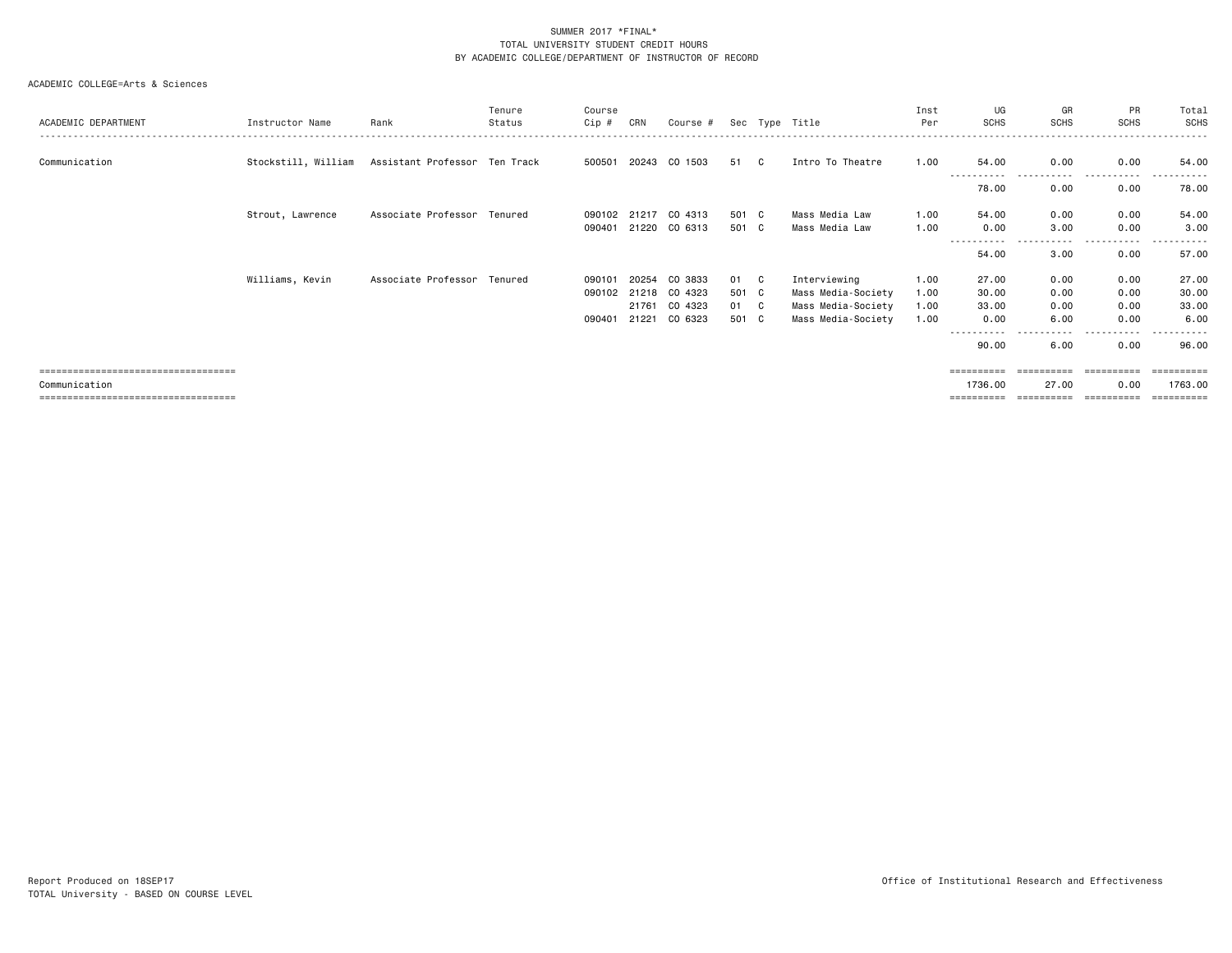| ACADEMIC DEPARTMENT                   | Instructor Name     | Rank                          | Tenure<br>Status | Course<br>Cip # | CRN   | Course # |       |              | Sec Type Title     | Inst<br>Per | UG<br><b>SCHS</b>   | GR<br><b>SCHS</b>            | PR<br><b>SCHS</b>   | Total<br>SCHS   |
|---------------------------------------|---------------------|-------------------------------|------------------|-----------------|-------|----------|-------|--------------|--------------------|-------------|---------------------|------------------------------|---------------------|-----------------|
|                                       |                     |                               |                  |                 |       |          |       |              |                    |             |                     |                              |                     |                 |
| Communication                         | Stockstill, William | Assistant Professor Ten Track |                  | 500501          | 20243 | CO 1503  | 51    | C.           | Intro To Theatre   | 1.00        | 54.00               | 0.00<br>. <sub>.</sub>       | 0.00<br>.           | 54.00<br>------ |
|                                       |                     |                               |                  |                 |       |          |       |              |                    |             | ----------<br>78.00 | 0.00                         | 0.00                | 78.00           |
|                                       | Strout, Lawrence    | Associate Professor Tenured   |                  | 090102          | 21217 | CO 4313  | 501 C |              | Mass Media Law     | 1.00        | 54.00               | 0.00                         | 0.00                | 54.00           |
|                                       |                     |                               |                  | 090401          | 21220 | CO 6313  | 501 C |              | Mass Media Law     | 1.00        | 0.00                | 3.00                         | 0.00                | 3,00            |
|                                       |                     |                               |                  |                 |       |          |       |              |                    |             | ----------<br>54.00 | - - - - - - <b>-</b><br>3.00 | -----------<br>0.00 | ------<br>57.00 |
|                                       |                     |                               |                  |                 |       |          |       |              |                    |             |                     |                              |                     |                 |
|                                       | Williams, Kevin     | Associate Professor Tenured   |                  | 090101          | 20254 | CO 3833  | 01    | $\mathbf{C}$ | Interviewing       | 1.00        | 27.00               | 0.00                         | 0.00                | 27.00           |
|                                       |                     |                               |                  | 090102          | 21218 | CO 4323  | 501 C |              | Mass Media-Society | 1.00        | 30.00               | 0.00                         | 0.00                | 30.00           |
|                                       |                     |                               |                  |                 | 21761 | CO 4323  | 01 C  |              | Mass Media-Society | 1.00        | 33.00               | 0.00                         | 0.00                | 33.00           |
|                                       |                     |                               |                  | 090401          | 21221 | CO 6323  | 501 C |              | Mass Media-Society | 1.00        | 0.00                | 6.00                         | 0.00                | 6.00            |
|                                       |                     |                               |                  |                 |       |          |       |              |                    |             |                     | ----                         | -----               | ------          |
|                                       |                     |                               |                  |                 |       |          |       |              |                    |             | 90.00               | 6.00                         | 0.00                | 96.00           |
| ===================================== |                     |                               |                  |                 |       |          |       |              |                    |             | ==========          | ==========                   |                     | eesseesse       |
| Communication                         |                     |                               |                  |                 |       |          |       |              |                    |             | 1736.00             | 27.00                        | 0.00                | 1763.00         |
| ====================================  |                     |                               |                  |                 |       |          |       |              |                    |             |                     |                              |                     |                 |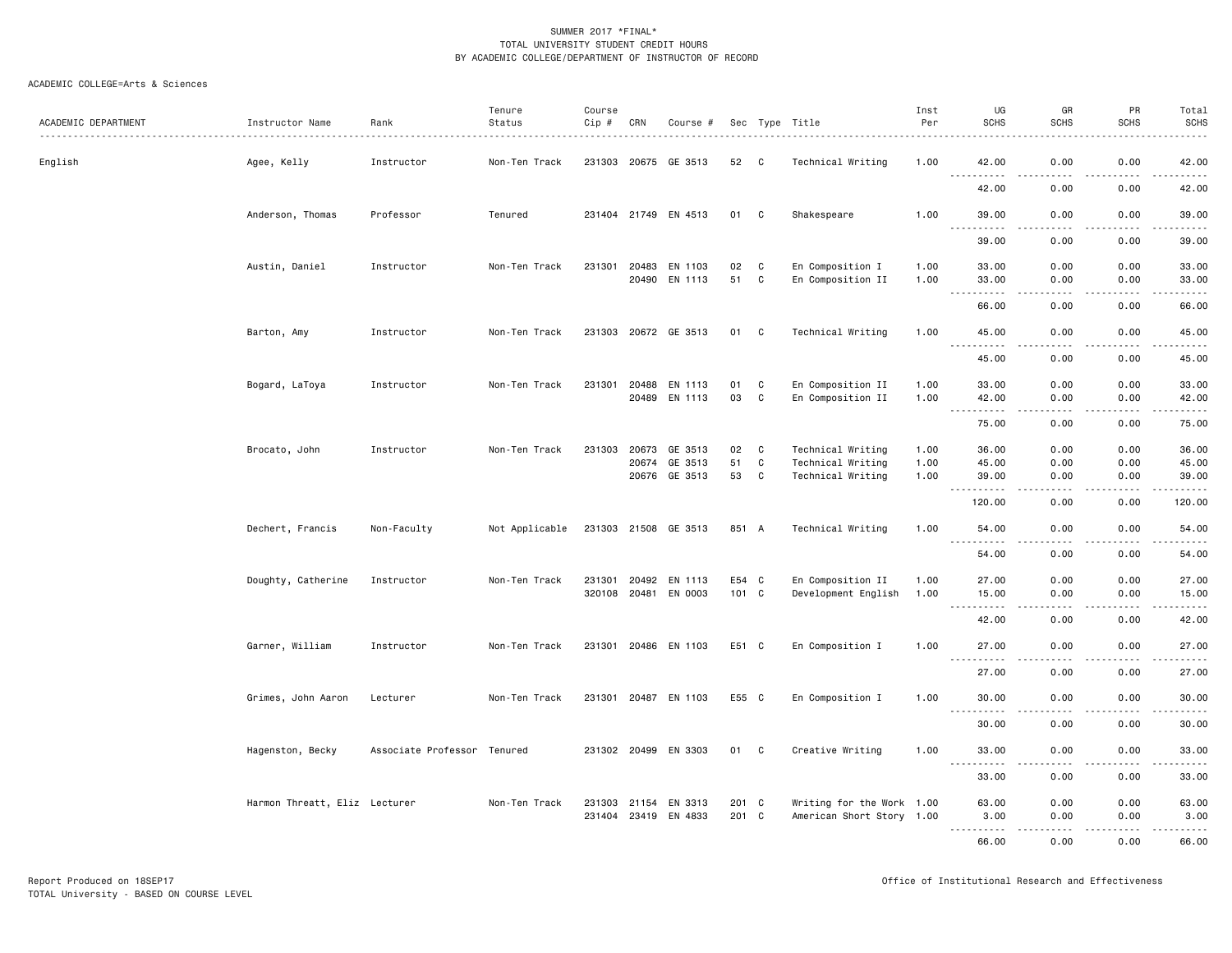| ACADEMIC DEPARTMENT | Instructor Name               | Rank                        | Tenure<br>Status | Course<br>Cip # | CRN   | Course #             |          |        | Sec Type Title            | Inst<br>Per | UG<br><b>SCHS</b>                                                                                                                                                                                                                                                                                                                                                                                          | GR<br><b>SCHS</b> | PR<br><b>SCHS</b> | Total<br>SCHS<br>.   |
|---------------------|-------------------------------|-----------------------------|------------------|-----------------|-------|----------------------|----------|--------|---------------------------|-------------|------------------------------------------------------------------------------------------------------------------------------------------------------------------------------------------------------------------------------------------------------------------------------------------------------------------------------------------------------------------------------------------------------------|-------------------|-------------------|----------------------|
| English             | Agee, Kelly                   | Instructor                  | Non-Ten Track    | 231303 20675    |       | GE 3513              | 52       | C      | Technical Writing         | 1.00        | 42.00<br>$\sim$ $\sim$ $\sim$                                                                                                                                                                                                                                                                                                                                                                              | 0.00              | 0.00              | 42.00<br>.           |
|                     |                               |                             |                  |                 |       |                      |          |        |                           |             | 42.00                                                                                                                                                                                                                                                                                                                                                                                                      | 0.00              | 0.00              | 42.00                |
|                     | Anderson, Thomas              | Professor                   | Tenured          |                 |       | 231404 21749 EN 4513 | 01       | C      | Shakespeare               | 1.00        | 39.00                                                                                                                                                                                                                                                                                                                                                                                                      | 0.00<br>----      | 0.00              | 39.00                |
|                     |                               |                             |                  |                 |       |                      |          |        |                           |             | $\sim$ $\sim$ $\sim$<br>-----<br>39.00                                                                                                                                                                                                                                                                                                                                                                     | 0.00              | $- - - -$<br>0.00 | .<br>39.00           |
|                     | Austin, Daniel                | Instructor                  | Non-Ten Track    | 231301          | 20483 | EN 1103              | 02       | C      | En Composition I          | 1.00        | 33.00                                                                                                                                                                                                                                                                                                                                                                                                      | 0.00              | 0.00              | 33.00                |
|                     |                               |                             |                  |                 | 20490 | EN 1113              | 51       | C      | En Composition II         | 1.00        | 33.00<br>$\sim$ $\sim$ $\sim$                                                                                                                                                                                                                                                                                                                                                                              | 0.00              | 0.00              | 33.00<br>د د د د د   |
|                     |                               |                             |                  |                 |       |                      |          |        |                           |             | 66.00                                                                                                                                                                                                                                                                                                                                                                                                      | 0.00              | 0.00              | 66.00                |
|                     | Barton, Amy                   | Instructor                  | Non-Ten Track    |                 |       | 231303 20672 GE 3513 | 01 C     |        | Technical Writing         | 1.00        | 45.00<br>. <b>.</b>                                                                                                                                                                                                                                                                                                                                                                                        | 0.00              | 0.00              | 45.00<br>.           |
|                     |                               |                             |                  |                 |       |                      |          |        |                           |             | 45.00                                                                                                                                                                                                                                                                                                                                                                                                      | 0.00              | 0.00              | 45.00                |
|                     | Bogard, LaToya                | Instructor                  | Non-Ten Track    | 231301          | 20488 | EN 1113              | 01       | C      | En Composition II         | 1.00        | 33.00                                                                                                                                                                                                                                                                                                                                                                                                      | 0.00              | 0.00              | 33.00                |
|                     |                               |                             |                  |                 | 20489 | EN 1113              | 03       | C      | En Composition II         | 1.00        | 42.00                                                                                                                                                                                                                                                                                                                                                                                                      | 0.00              | 0.00              | 42.00                |
|                     |                               |                             |                  |                 |       |                      |          |        |                           |             | $\sim 100$<br>75.00                                                                                                                                                                                                                                                                                                                                                                                        | د د د د<br>0.00   | .<br>0.00         | .<br>75.00           |
|                     | Brocato, John                 | Instructor                  | Non-Ten Track    | 231303          | 20673 | GE 3513              | 02       | C      | Technical Writing         | 1.00        | 36.00                                                                                                                                                                                                                                                                                                                                                                                                      | 0.00              | 0.00              | 36.00                |
|                     |                               |                             |                  |                 | 20674 | GE 3513              | 51<br>53 | C<br>C | Technical Writing         | 1.00        | 45.00                                                                                                                                                                                                                                                                                                                                                                                                      | 0.00<br>0.00      | 0.00<br>0.00      | 45.00                |
|                     |                               |                             |                  |                 |       | 20676 GE 3513        |          |        | Technical Writing         | 1.00        | 39.00<br>.<br>$- - -$                                                                                                                                                                                                                                                                                                                                                                                      | .                 | .                 | 39.00<br>.           |
|                     |                               |                             |                  |                 |       |                      |          |        |                           |             | 120.00                                                                                                                                                                                                                                                                                                                                                                                                     | 0.00              | 0.00              | 120.00               |
|                     | Dechert, Francis              | Non-Faculty                 | Not Applicable   |                 |       | 231303 21508 GE 3513 | 851 A    |        | Technical Writing         | 1.00        | 54.00<br>$\sim$ $\sim$ $\sim$ $\sim$<br>$- - - - - - -$                                                                                                                                                                                                                                                                                                                                                    | 0.00<br>$   -$    | 0.00<br>.         | 54.00<br>.           |
|                     |                               |                             |                  |                 |       |                      |          |        |                           |             | 54.00                                                                                                                                                                                                                                                                                                                                                                                                      | 0.00              | 0.00              | 54.00                |
|                     | Doughty, Catherine            | Instructor                  | Non-Ten Track    | 231301          | 20492 | EN 1113              | E54 C    |        | En Composition II         | 1.00        | 27.00                                                                                                                                                                                                                                                                                                                                                                                                      | 0.00              | 0.00              | 27.00                |
|                     |                               |                             |                  | 320108          |       | 20481 EN 0003        | 101 C    |        | Development English       | 1.00        | 15.00                                                                                                                                                                                                                                                                                                                                                                                                      | 0.00              | 0.00              | 15.00                |
|                     |                               |                             |                  |                 |       |                      |          |        |                           |             | $\sim$ $\sim$ $\sim$<br>د د د د د<br>42.00                                                                                                                                                                                                                                                                                                                                                                 | .<br>0.00         | .<br>0.00         | والمناصبات<br>42.00  |
|                     | Garner, William               | Instructor                  | Non-Ten Track    |                 |       | 231301 20486 EN 1103 | E51 C    |        | En Composition I          | 1.00        | 27.00                                                                                                                                                                                                                                                                                                                                                                                                      | 0.00              | 0.00              | 27.00                |
|                     |                               |                             |                  |                 |       |                      |          |        |                           |             | $\frac{1}{2} \frac{1}{2} \frac{1}{2} \frac{1}{2} \frac{1}{2} \frac{1}{2} \frac{1}{2} \frac{1}{2} \frac{1}{2} \frac{1}{2} \frac{1}{2} \frac{1}{2} \frac{1}{2} \frac{1}{2} \frac{1}{2} \frac{1}{2} \frac{1}{2} \frac{1}{2} \frac{1}{2} \frac{1}{2} \frac{1}{2} \frac{1}{2} \frac{1}{2} \frac{1}{2} \frac{1}{2} \frac{1}{2} \frac{1}{2} \frac{1}{2} \frac{1}{2} \frac{1}{2} \frac{1}{2} \frac{$<br>.<br>27.00 | $  -$<br>0.00     | .<br>0.00         | .<br>27.00           |
|                     | Grimes, John Aaron            | Lecturer                    | Non-Ten Track    |                 |       | 231301 20487 EN 1103 | E55 C    |        | En Composition I          | 1.00        | 30.00                                                                                                                                                                                                                                                                                                                                                                                                      | 0.00              | 0.00              | 30.00                |
|                     |                               |                             |                  |                 |       |                      |          |        |                           |             | $\frac{1}{2} \frac{1}{2} \frac{1}{2} \frac{1}{2} \frac{1}{2} \frac{1}{2} \frac{1}{2} \frac{1}{2} \frac{1}{2} \frac{1}{2} \frac{1}{2} \frac{1}{2} \frac{1}{2} \frac{1}{2} \frac{1}{2} \frac{1}{2} \frac{1}{2} \frac{1}{2} \frac{1}{2} \frac{1}{2} \frac{1}{2} \frac{1}{2} \frac{1}{2} \frac{1}{2} \frac{1}{2} \frac{1}{2} \frac{1}{2} \frac{1}{2} \frac{1}{2} \frac{1}{2} \frac{1}{2} \frac{$<br>30.00      | 0.00              | 0.00              | $- - - - -$<br>30.00 |
|                     | Hagenston, Becky              | Associate Professor Tenured |                  |                 |       | 231302 20499 EN 3303 | 01       | C      | Creative Writing          | 1.00        | 33.00                                                                                                                                                                                                                                                                                                                                                                                                      | 0.00              | 0.00              | 33.00                |
|                     |                               |                             |                  |                 |       |                      |          |        |                           |             | $\frac{1}{2} \frac{1}{2} \frac{1}{2} \frac{1}{2} \frac{1}{2} \frac{1}{2} \frac{1}{2} \frac{1}{2} \frac{1}{2} \frac{1}{2} \frac{1}{2} \frac{1}{2} \frac{1}{2} \frac{1}{2} \frac{1}{2} \frac{1}{2} \frac{1}{2} \frac{1}{2} \frac{1}{2} \frac{1}{2} \frac{1}{2} \frac{1}{2} \frac{1}{2} \frac{1}{2} \frac{1}{2} \frac{1}{2} \frac{1}{2} \frac{1}{2} \frac{1}{2} \frac{1}{2} \frac{1}{2} \frac{$<br>33.00      | 0.00              | 0.00              | .<br>33.00           |
|                     | Harmon Threatt, Eliz Lecturer |                             | Non-Ten Track    | 231303          |       | 21154 EN 3313        | 201 C    |        | Writing for the Work 1.00 |             | 63.00                                                                                                                                                                                                                                                                                                                                                                                                      | 0.00              | 0.00              | 63.00                |
|                     |                               |                             |                  |                 |       | 231404 23419 EN 4833 | 201 C    |        | American Short Story 1.00 |             | 3.00<br>.                                                                                                                                                                                                                                                                                                                                                                                                  | 0.00<br>بالمحام   | 0.00<br>.         | 3.00<br>وبالمسامين   |
|                     |                               |                             |                  |                 |       |                      |          |        |                           |             | 66.00                                                                                                                                                                                                                                                                                                                                                                                                      | 0.00              | 0.00              | 66.00                |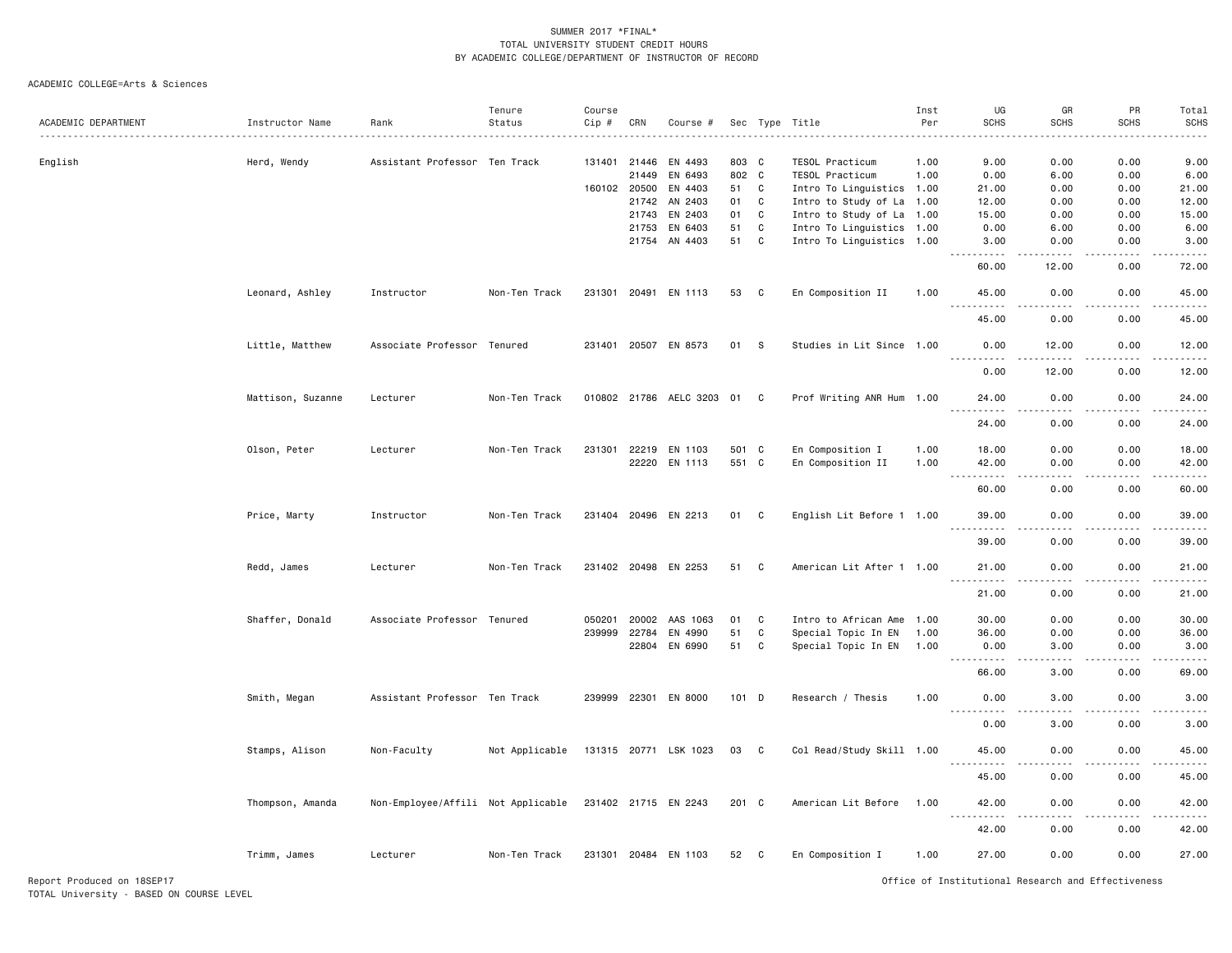|                     |                   |                                    | Tenure         | Course       |       |                        |       |              |                           | Inst         | UG                                                                                                                                                           | GR                           | PR               | Total                |
|---------------------|-------------------|------------------------------------|----------------|--------------|-------|------------------------|-------|--------------|---------------------------|--------------|--------------------------------------------------------------------------------------------------------------------------------------------------------------|------------------------------|------------------|----------------------|
| ACADEMIC DEPARTMENT | Instructor Name   | Rank                               | Status         | Cip #        | CRN   | Course #               |       |              | Sec Type Title            | Per          | <b>SCHS</b>                                                                                                                                                  | <b>SCHS</b>                  | <b>SCHS</b>      | <b>SCHS</b>          |
|                     |                   |                                    |                |              |       |                        |       |              |                           |              |                                                                                                                                                              |                              |                  | .                    |
| English             | Herd, Wendy       | Assistant Professor Ten Track      |                | 131401 21446 |       | EN 4493                | 803 C |              | <b>TESOL Practicum</b>    | 1.00         | 9.00                                                                                                                                                         | 0.00                         | 0.00             | 9.00                 |
|                     |                   |                                    |                |              | 21449 | EN 6493                | 802 C |              | TESOL Practicum           | 1.00         | 0.00                                                                                                                                                         | 6.00                         | 0.00             | 6.00                 |
|                     |                   |                                    |                | 160102 20500 |       | EN 4403                | 51    | $\mathbf c$  | Intro To Linguistics 1.00 |              | 21.00                                                                                                                                                        | 0.00                         | 0.00             | 21.00                |
|                     |                   |                                    |                |              | 21742 | AN 2403                | 01    | $\mathbf c$  | Intro to Study of La 1.00 |              | 12.00                                                                                                                                                        | 0.00                         | 0.00             | 12.00                |
|                     |                   |                                    |                |              | 21743 | EN 2403                | 01    | $\mathbf c$  | Intro to Study of La 1.00 |              | 15.00                                                                                                                                                        | 0.00                         | 0.00             | 15.00                |
|                     |                   |                                    |                |              | 21753 | EN 6403                | 51    | $\mathbf c$  | Intro To Linguistics 1.00 |              | 0.00                                                                                                                                                         | 6.00                         | 0.00             | 6.00                 |
|                     |                   |                                    |                |              | 21754 | AN 4403                | 51    | $\mathbf c$  | Intro To Linguistics 1.00 |              | 3.00                                                                                                                                                         | 0.00                         | 0.00             | 3.00                 |
|                     |                   |                                    |                |              |       |                        |       |              |                           |              | .<br>60.00                                                                                                                                                   | $  -$<br>12.00               | $   -$<br>0.00   | $- - - - -$<br>72.00 |
|                     | Leonard, Ashley   | Instructor                         | Non-Ten Track  |              |       | 231301 20491 EN 1113   | 53    | C            | En Composition II         | 1.00         | 45.00<br>$\sim$ $\sim$ $\sim$                                                                                                                                | 0.00                         | 0.00             | 45.00<br>وساعات      |
|                     |                   |                                    |                |              |       |                        |       |              |                           |              | 45.00                                                                                                                                                        | 0.00                         | 0.00             | 45.00                |
|                     | Little, Matthew   | Associate Professor Tenured        |                |              |       | 231401 20507 EN 8573   | 01 S  |              | Studies in Lit Since 1.00 |              | 0.00<br>$\frac{1}{2} \left( \frac{1}{2} \right) \left( \frac{1}{2} \right) \left( \frac{1}{2} \right) \left( \frac{1}{2} \right) \left( \frac{1}{2} \right)$ | 12.00<br>.                   | 0.00<br>د د د د  | 12.00<br>.           |
|                     |                   |                                    |                |              |       |                        |       |              |                           |              | 0.00                                                                                                                                                         | 12.00                        | 0.00             | 12.00                |
|                     | Mattison, Suzanne | Lecturer                           | Non-Ten Track  |              |       | 010802 21786 AELC 3203 | 01 C  |              | Prof Writing ANR Hum 1.00 |              | 24.00<br>$\sim$ $\sim$ $\sim$<br>.                                                                                                                           | 0.00<br>$\sim$ $\sim$ $\sim$ | 0.00<br>.        | 24.00<br>.           |
|                     |                   |                                    |                |              |       |                        |       |              |                           |              | 24.00                                                                                                                                                        | 0.00                         | 0.00             | 24.00                |
|                     | Olson, Peter      | Lecturer                           | Non-Ten Track  | 231301       |       | 22219 EN 1103          | 501 C |              | En Composition I          | 1.00<br>1.00 | 18.00<br>42.00                                                                                                                                               | 0.00<br>0.00                 | 0.00<br>0.00     | 18.00<br>42.00       |
|                     |                   |                                    |                |              |       | 22220 EN 1113          | 551 C |              | En Composition II         |              | $\sim$ $\sim$ $\sim$<br>$- - - - -$                                                                                                                          | $\frac{1}{2}$                | .                | .                    |
|                     |                   |                                    |                |              |       |                        |       |              |                           |              | 60.00                                                                                                                                                        | 0.00                         | 0.00             | 60.00                |
|                     | Price, Marty      | Instructor                         | Non-Ten Track  | 231404 20496 |       | EN 2213                | 01    | C            | English Lit Before 1 1.00 |              | 39.00                                                                                                                                                        | 0.00                         | 0.00             | 39.00<br>.           |
|                     |                   |                                    |                |              |       |                        |       |              |                           |              | 39.00                                                                                                                                                        | 0.00                         | 0.00             | 39.00                |
|                     | Redd, James       | Lecturer                           | Non-Ten Track  |              |       | 231402 20498 EN 2253   | 51    | C            | American Lit After 1 1.00 |              | 21.00                                                                                                                                                        | 0.00                         | 0.00             | 21.00<br>.           |
|                     |                   |                                    |                |              |       |                        |       |              |                           |              | 21.00                                                                                                                                                        | 0.00                         | 0.00             | 21.00                |
|                     | Shaffer, Donald   | Associate Professor Tenured        |                | 050201       | 20002 | AAS 1063               | 01    | C            | Intro to African Ame 1.00 |              | 30.00                                                                                                                                                        | 0.00                         | 0.00             | 30.00                |
|                     |                   |                                    |                | 239999       | 22784 | EN 4990                | 51    | $\mathtt{C}$ | Special Topic In EN       | 1.00         | 36.00                                                                                                                                                        | 0.00                         | 0.00             | 36.00                |
|                     |                   |                                    |                |              | 22804 | EN 6990                | 51    | $\mathbf c$  | Special Topic In EN       | 1.00         | 0.00                                                                                                                                                         | 3.00                         | 0.00             | 3.00<br>.            |
|                     |                   |                                    |                |              |       |                        |       |              |                           |              | .<br>66.00                                                                                                                                                   | $\frac{1}{2}$<br>3.00        | $\cdots$<br>0.00 | 69.00                |
|                     | Smith, Megan      | Assistant Professor Ten Track      |                | 239999       | 22301 | EN 8000                | 101   | D            | Research / Thesis         | 1.00         | 0.00<br>$\sim$ $\sim$ $\sim$                                                                                                                                 | 3.00                         | 0.00             | 3.00                 |
|                     |                   |                                    |                |              |       |                        |       |              |                           |              | 0.00                                                                                                                                                         | 3.00                         | 0.00             | 3.00                 |
|                     | Stamps, Alison    | Non-Faculty                        | Not Applicable |              |       | 131315 20771 LSK 1023  | 03 C  |              | Col Read/Study Skill 1.00 |              | 45.00                                                                                                                                                        | 0.00                         | 0.00             | 45.00                |
|                     |                   |                                    |                |              |       |                        |       |              |                           |              | 45.00                                                                                                                                                        | 0.00                         | 0.00             | 45.00                |
|                     | Thompson, Amanda  | Non-Employee/Affili Not Applicable |                |              |       | 231402 21715 EN 2243   | 201 C |              | American Lit Before       | 1.00         | 42.00                                                                                                                                                        | 0.00                         | 0.00             | 42.00                |
|                     |                   |                                    |                |              |       |                        |       |              |                           |              | 42.00                                                                                                                                                        | 0.00                         | 0.00             | 42.00                |
|                     | Trimm, James      | Lecturer                           | Non-Ten Track  |              |       | 231301 20484 EN 1103   | 52    | C            | En Composition I          | 1.00         | 27.00                                                                                                                                                        | 0.00                         | 0.00             | 27.00                |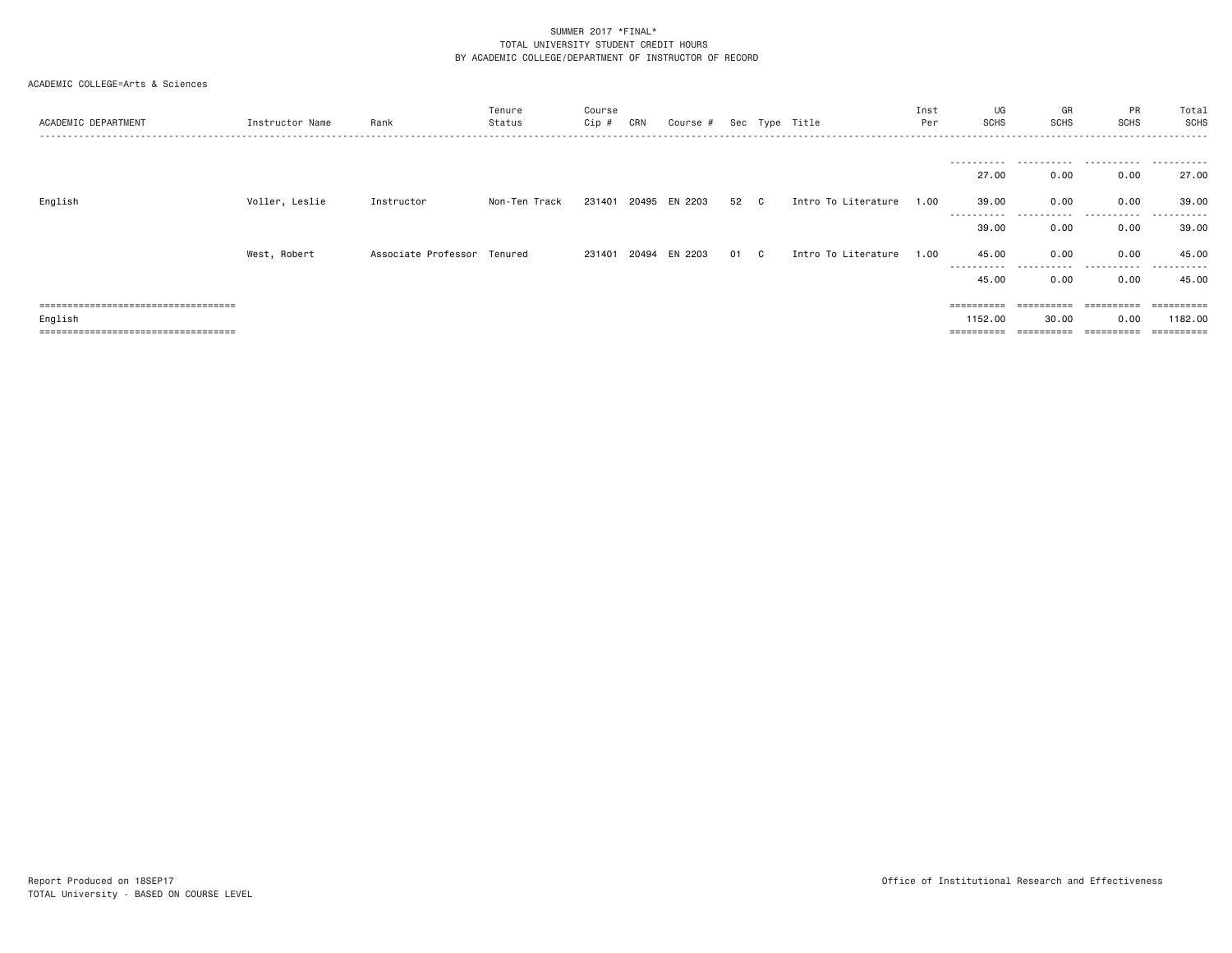| ACADEMIC DEPARTMENT                  | Instructor Name | Rank                        | Tenure<br>Status | Course<br>Cip # | CRN   | Course # |      |     | Sec Type Title      | Inst<br>Per | UG<br><b>SCHS</b>     | GR<br><b>SCHS</b> | PR<br><b>SCHS</b> | Total<br>SCHS |
|--------------------------------------|-----------------|-----------------------------|------------------|-----------------|-------|----------|------|-----|---------------------|-------------|-----------------------|-------------------|-------------------|---------------|
|                                      |                 |                             |                  |                 |       |          |      |     |                     |             | .                     |                   |                   |               |
|                                      |                 |                             |                  |                 |       |          |      |     |                     |             | 27.00                 | 0.00              | 0.00              | 27.00         |
| English                              | Voller, Leslie  | Instructor                  | Non-Ten Track    | 231401          | 20495 | EN 2203  | 52 C |     | Intro To Literature | 1.00        | 39.00                 | 0.00              | 0.00              | 39.00         |
|                                      |                 |                             |                  |                 |       |          |      |     |                     |             | -----------<br>39.00  | .<br>0.00         | .<br>0.00         | .<br>39.00    |
|                                      | West, Robert    | Associate Professor Tenured |                  | 231401          | 20494 | EN 2203  | 01   | C . | Intro To Literature | 1.00        | 45.00                 | 0.00              | 0.00              | 45.00         |
|                                      |                 |                             |                  |                 |       |          |      |     |                     |             | 45.00                 | 0.00              | 0.00              | 45.00         |
| ==================================== |                 |                             |                  |                 |       |          |      |     |                     |             | ==========            | ==========        | ==========        | ==========    |
| English                              |                 |                             |                  |                 |       |          |      |     |                     |             | 1152.00               | 30.00             | 0.00              | 1182.00       |
| ==================================== |                 |                             |                  |                 |       |          |      |     |                     |             | $=$ = = = = = = = = = | ==========        | ==========        | ----------    |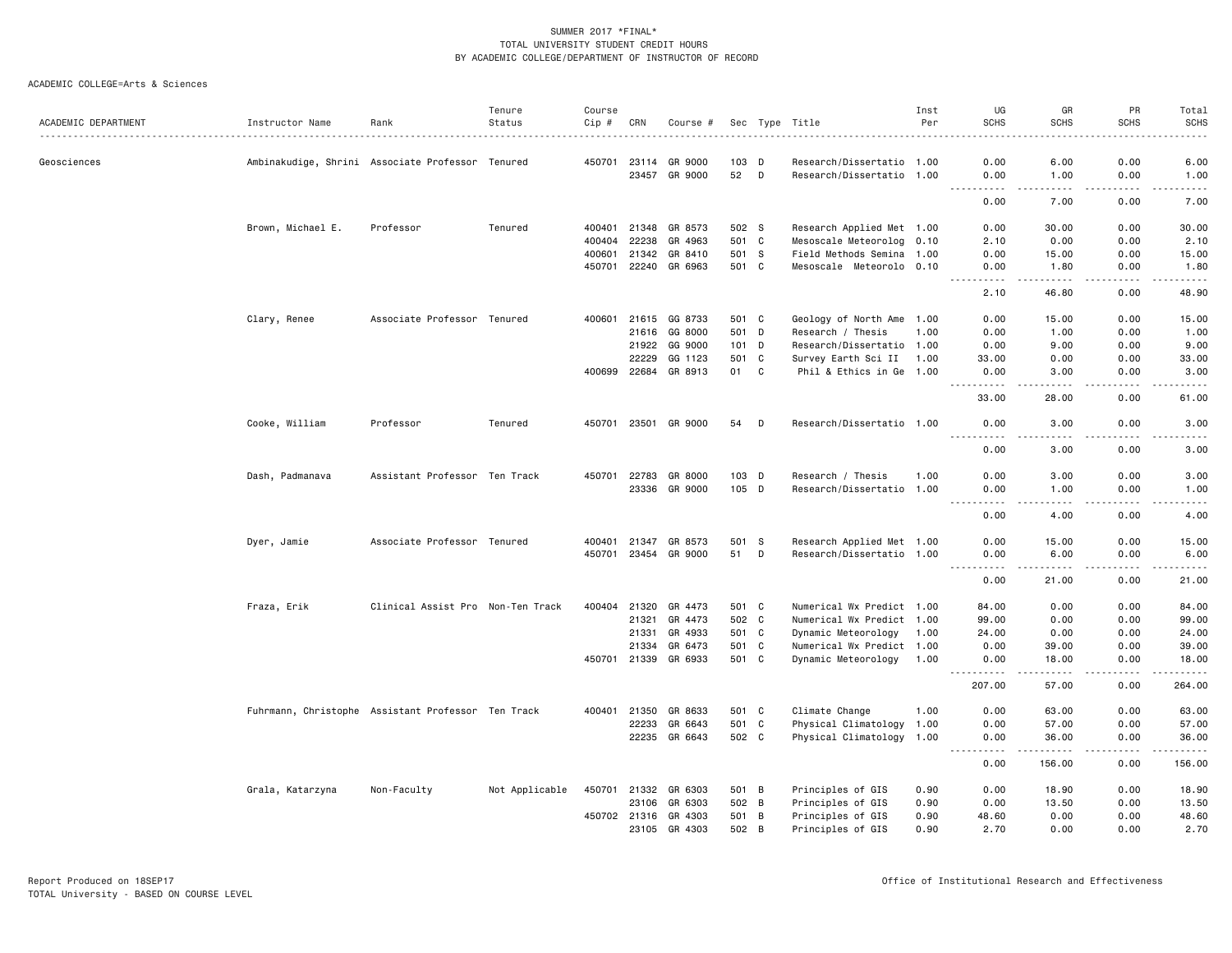|                     |                                                    |                                   | Tenure         | Course |       |                      |       |   |                           | Inst | UG                                | GR                                  | PR               | Total                 |
|---------------------|----------------------------------------------------|-----------------------------------|----------------|--------|-------|----------------------|-------|---|---------------------------|------|-----------------------------------|-------------------------------------|------------------|-----------------------|
| ACADEMIC DEPARTMENT | Instructor Name                                    | Rank                              | Status<br>.    | Cip #  | CRN   | Course #             |       |   | Sec Type Title            | Per  | <b>SCHS</b>                       | <b>SCHS</b>                         | <b>SCHS</b><br>. | <b>SCHS</b><br>$   -$ |
| Geosciences         | Ambinakudige, Shrini Associate Professor Tenured   |                                   |                | 450701 |       | 23114 GR 9000        | 103 D |   | Research/Dissertatio 1.00 |      | 0.00                              | 6.00                                | 0.00             | 6.00                  |
|                     |                                                    |                                   |                |        |       | 23457 GR 9000        | 52 D  |   | Research/Dissertatio 1.00 |      | 0.00                              | 1.00                                | 0.00             | 1.00                  |
|                     |                                                    |                                   |                |        |       |                      |       |   |                           |      | .<br>0.00                         | .<br>7.00                           | .<br>0.00        | .<br>7.00             |
|                     | Brown, Michael E.                                  | Professor                         | Tenured        | 400401 | 21348 | GR 8573              | 502 S |   | Research Applied Met 1.00 |      | 0.00                              | 30.00                               | 0.00             | 30.00                 |
|                     |                                                    |                                   |                | 400404 | 22238 | GR 4963              | 501 C |   | Mesoscale Meteorolog 0.10 |      | 2.10                              | 0.00                                | 0.00             | 2.10                  |
|                     |                                                    |                                   |                | 400601 | 21342 | GR 8410              | 501 S |   | Field Methods Semina 1.00 |      | 0.00                              | 15.00                               | 0.00             | 15.00                 |
|                     |                                                    |                                   |                | 450701 | 22240 | GR 6963              | 501 C |   | Mesoscale Meteorolo 0.10  |      | 0.00                              | 1.80                                | 0.00             | 1.80                  |
|                     |                                                    |                                   |                |        |       |                      |       |   |                           |      | 2.10                              | 46.80                               | د د د د<br>0.00  | د د د د د<br>48.90    |
|                     | Clary, Renee                                       | Associate Professor Tenured       |                | 400601 | 21615 | GG 8733              | 501 C |   | Geology of North Ame 1.00 |      | 0.00                              | 15.00                               | 0.00             | 15.00                 |
|                     |                                                    |                                   |                |        | 21616 | GG 8000              | 501 D |   | Research / Thesis         | 1.00 | 0.00                              | 1.00                                | 0.00             | 1.00                  |
|                     |                                                    |                                   |                |        | 21922 | GG 9000              | 101   | D | Research/Dissertatio 1.00 |      | 0.00                              | 9.00                                | 0.00             | 9.00                  |
|                     |                                                    |                                   |                |        | 22229 | GG 1123              | 501 C |   | Survey Earth Sci II 1.00  |      | 33.00                             | 0.00                                | 0.00             | 33.00                 |
|                     |                                                    |                                   |                | 400699 | 22684 | GR 8913              | 01    | C | Phil & Ethics in Ge 1.00  |      | 0.00                              | 3.00                                | 0.00             | 3.00                  |
|                     |                                                    |                                   |                |        |       |                      |       |   |                           |      | .<br>33.00                        | .<br>28.00                          | .<br>0.00        | $    -$<br>61.00      |
|                     | Cooke, William                                     | Professor                         | Tenured        | 450701 | 23501 | GR 9000              | 54    | D | Research/Dissertatio 1.00 |      | 0.00                              | 3.00                                | 0.00             | 3.00                  |
|                     |                                                    |                                   |                |        |       |                      |       |   |                           |      | .<br>0.00                         | 3.00                                | 0.00             | -----<br>3.00         |
|                     | Dash, Padmanava                                    | Assistant Professor Ten Track     |                | 450701 | 22783 | GR 8000              | 103 D |   | Research / Thesis         | 1.00 | 0.00                              | 3.00                                | 0.00             | 3.00                  |
|                     |                                                    |                                   |                |        | 23336 | GR 9000              | 105 D |   | Research/Dissertatio 1.00 |      | 0.00<br>-----                     | 1.00<br>$\sim$ $\sim$ $\sim$ $\sim$ | 0.00<br>.        | 1.00<br>-----         |
|                     |                                                    |                                   |                |        |       |                      |       |   |                           |      | 0.00                              | 4.00                                | 0.00             | 4.00                  |
|                     | Dyer, Jamie                                        | Associate Professor Tenured       |                | 400401 | 21347 | GR 8573              | 501 S |   | Research Applied Met 1.00 |      | 0.00                              | 15.00                               | 0.00             | 15.00                 |
|                     |                                                    |                                   |                | 450701 |       | 23454 GR 9000        | 51    | D | Research/Dissertatio 1.00 |      | 0.00                              | 6.00                                | 0.00             | 6.00                  |
|                     |                                                    |                                   |                |        |       |                      |       |   |                           |      | -----<br>$ -$<br>0.00             | .<br>21.00                          | د د د د<br>0.00  | د د د د د<br>21.00    |
|                     | Fraza, Erik                                        | Clinical Assist Pro Non-Ten Track |                | 400404 | 21320 | GR 4473              | 501 C |   | Numerical Wx Predict 1.00 |      | 84.00                             | 0.00                                | 0.00             | 84.00                 |
|                     |                                                    |                                   |                |        | 21321 | GR 4473              | 502 C |   | Numerical Wx Predict 1.00 |      | 99.00                             | 0.00                                | 0.00             | 99.00                 |
|                     |                                                    |                                   |                |        | 21331 | GR 4933              | 501 C |   | Dynamic Meteorology 1.00  |      | 24.00                             | 0.00                                | 0.00             | 24.00                 |
|                     |                                                    |                                   |                |        | 21334 | GR 6473              | 501 C |   | Numerical Wx Predict 1.00 |      | 0.00                              | 39.00                               | 0.00             | 39.00                 |
|                     |                                                    |                                   |                | 450701 |       | 21339 GR 6933        | 501 C |   | Dynamic Meteorology       | 1.00 | 0.00                              | 18.00<br>.                          | 0.00<br>.        | 18.00                 |
|                     |                                                    |                                   |                |        |       |                      |       |   |                           |      | .<br>207.00                       | 57.00                               | 0.00             | ------<br>264.00      |
|                     | Fuhrmann, Christophe Assistant Professor Ten Track |                                   |                | 400401 | 21350 | GR 8633              | 501 C |   | Climate Change            | 1.00 | 0.00                              | 63.00                               | 0.00             | 63.00                 |
|                     |                                                    |                                   |                |        | 22233 | GR 6643              | 501 C |   | Physical Climatology 1.00 |      | 0.00                              | 57.00                               | 0.00             | 57.00                 |
|                     |                                                    |                                   |                |        |       | 22235 GR 6643        | 502 C |   | Physical Climatology 1.00 |      | 0.00<br>$\sim$ $\sim$ $\sim$<br>. | 36.00<br>.                          | 0.00<br>-----    | 36.00<br>.            |
|                     |                                                    |                                   |                |        |       |                      |       |   |                           |      | 0.00                              | 156.00                              | 0.00             | 156.00                |
|                     | Grala, Katarzyna                                   | Non-Faculty                       | Not Applicable | 450701 | 21332 | GR 6303              | 501 B |   | Principles of GIS         | 0.90 | 0.00                              | 18.90                               | 0.00             | 18.90                 |
|                     |                                                    |                                   |                |        | 23106 | GR 6303              | 502 B |   | Principles of GIS         | 0.90 | 0.00                              | 13.50                               | 0.00             | 13.50                 |
|                     |                                                    |                                   |                |        |       | 450702 21316 GR 4303 | 501 B |   | Principles of GIS         | 0.90 | 48.60                             | 0.00                                | 0.00             | 48.60                 |
|                     |                                                    |                                   |                |        | 23105 | GR 4303              | 502   | B | Principles of GIS         | 0.90 | 2.70                              | 0.00                                | 0.00             | 2.70                  |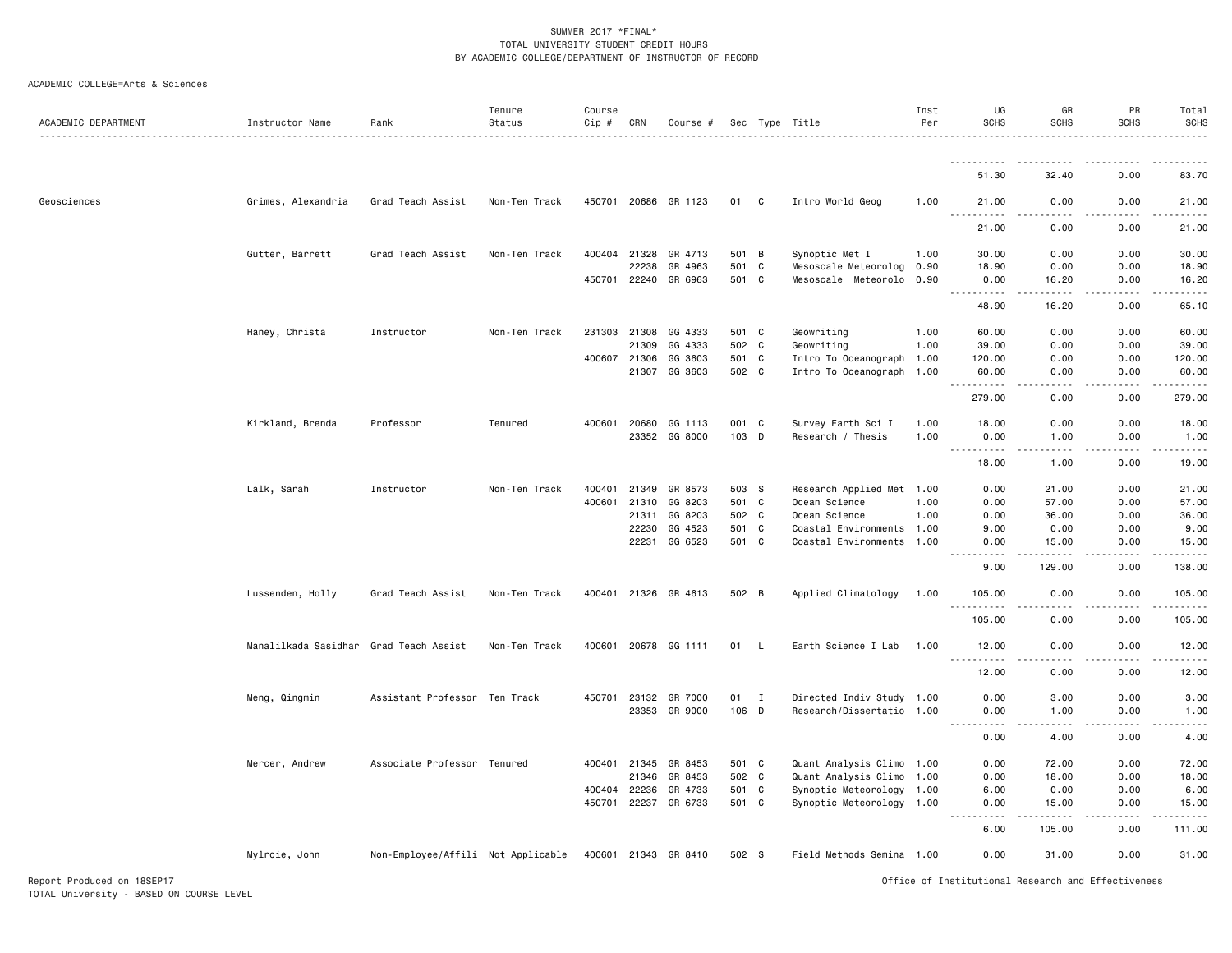| ACADEMIC DEPARTMENT        | Instructor Name                        | Rank                               | Tenure<br>Status | Course<br>Cip # | CRN                   | Course #             |         |              | Sec Type Title                                   | Inst<br>Per | UG<br><b>SCHS</b>                                                                                                                             | GR<br><b>SCHS</b>                                  | PR<br>SCHS            | Total<br><b>SCHS</b>                                                                                                                                         |
|----------------------------|----------------------------------------|------------------------------------|------------------|-----------------|-----------------------|----------------------|---------|--------------|--------------------------------------------------|-------------|-----------------------------------------------------------------------------------------------------------------------------------------------|----------------------------------------------------|-----------------------|--------------------------------------------------------------------------------------------------------------------------------------------------------------|
|                            |                                        |                                    |                  |                 |                       |                      |         |              |                                                  |             |                                                                                                                                               |                                                    |                       |                                                                                                                                                              |
|                            |                                        |                                    |                  |                 |                       |                      |         |              |                                                  |             | 51.30                                                                                                                                         | 32.40                                              | 0.00                  | 83.70                                                                                                                                                        |
| Geosciences                | Grimes, Alexandria                     | Grad Teach Assist                  | Non-Ten Track    |                 |                       | 450701 20686 GR 1123 | 01      | C            | Intro World Geog                                 | 1.00        | 21.00<br>.                                                                                                                                    | 0.00                                               | 0.00                  | 21.00                                                                                                                                                        |
|                            |                                        |                                    |                  |                 |                       |                      |         |              |                                                  |             | 21.00                                                                                                                                         | -----<br>0.00                                      | $\frac{1}{2}$<br>0.00 | .<br>21.00                                                                                                                                                   |
|                            | Gutter, Barrett                        | Grad Teach Assist                  | Non-Ten Track    |                 | 400404 21328          | GR 4713              | 501 B   |              | Synoptic Met I                                   | 1.00        | 30.00                                                                                                                                         | 0.00                                               | 0.00                  | 30.00                                                                                                                                                        |
|                            |                                        |                                    |                  |                 | 22238<br>450701 22240 | GR 4963<br>GR 6963   | 501 C   | 501 C        | Mesoscale Meteorolog<br>Mesoscale Meteorolo 0.90 | 0.90        | 18.90<br>0.00                                                                                                                                 | 0.00<br>16.20                                      | 0.00<br>0.00          | 18.90<br>16.20                                                                                                                                               |
|                            |                                        |                                    |                  |                 |                       |                      |         |              |                                                  |             | .<br>48.90                                                                                                                                    | $\frac{1}{2}$<br>16.20                             | 0.00                  | .<br>65.10                                                                                                                                                   |
|                            |                                        |                                    |                  |                 |                       |                      |         |              |                                                  |             |                                                                                                                                               |                                                    |                       |                                                                                                                                                              |
|                            | Haney, Christa                         | Instructor                         | Non-Ten Track    |                 | 231303 21308          | GG 4333              | 501 C   |              | Geowriting                                       | 1.00        | 60.00                                                                                                                                         | 0.00                                               | 0.00                  | 60.00                                                                                                                                                        |
|                            |                                        |                                    |                  |                 | 21309                 | GG 4333              |         | 502 C        | Geowriting                                       | 1.00        | 39.00                                                                                                                                         | 0.00                                               | 0.00                  | 39.00                                                                                                                                                        |
|                            |                                        |                                    |                  |                 | 400607 21306          | GG 3603              |         | 501 C        | Intro To Oceanograph 1.00                        |             | 120.00                                                                                                                                        | 0.00                                               | 0.00                  | 120.00                                                                                                                                                       |
|                            |                                        |                                    |                  |                 | 21307                 | GG 3603              |         | 502 C        | Intro To Oceanograph 1.00                        |             | 60.00<br>. <b>.</b>                                                                                                                           | 0.00<br>.                                          | 0.00<br>.             | 60.00<br>.                                                                                                                                                   |
|                            |                                        |                                    |                  |                 |                       |                      |         |              |                                                  |             | 279.00                                                                                                                                        | 0.00                                               | 0.00                  | 279.00                                                                                                                                                       |
|                            | Kirkland, Brenda                       | Professor                          | Tenured          |                 | 400601 20680          | GG 1113              |         | 001 C        | Survey Earth Sci I                               | 1.00        | 18.00                                                                                                                                         | 0.00                                               | 0.00                  | 18.00                                                                                                                                                        |
|                            |                                        |                                    |                  |                 |                       | 23352 GG 8000        | 103 D   |              | Research / Thesis                                | 1.00        | 0.00<br><u>.</u>                                                                                                                              | 1.00                                               | 0.00                  | 1.00                                                                                                                                                         |
|                            |                                        |                                    |                  |                 |                       |                      |         |              |                                                  |             | 18.00                                                                                                                                         | 1.00                                               | 0.00                  | 19.00                                                                                                                                                        |
|                            | Lalk, Sarah                            | Instructor                         | Non-Ten Track    |                 | 400401 21349          | GR 8573              | 503 S   |              | Research Applied Met 1.00                        |             | 0.00                                                                                                                                          | 21.00                                              | 0.00                  | 21.00                                                                                                                                                        |
|                            |                                        |                                    |                  |                 | 400601 21310          | GG 8203              | 501 C   |              | Ocean Science                                    | 1.00        | 0.00                                                                                                                                          | 57.00                                              | 0.00                  | 57.00                                                                                                                                                        |
|                            |                                        |                                    |                  |                 | 21311                 | GG 8203              | 502 C   |              | Ocean Science                                    | 1.00        | 0.00                                                                                                                                          | 36.00                                              | 0.00                  | 36.00                                                                                                                                                        |
|                            |                                        |                                    |                  |                 | 22230                 | GG 4523              |         | 501 C        | Coastal Environments                             | 1.00        | 9.00                                                                                                                                          | 0.00                                               | 0.00                  | 9.00                                                                                                                                                         |
|                            |                                        |                                    |                  |                 | 22231                 | GG 6523              | 501 C   |              | Coastal Environments                             | 1.00        | 0.00<br><u>.</u><br>$\frac{1}{2} \left( \frac{1}{2} \right) \left( \frac{1}{2} \right) \left( \frac{1}{2} \right) \left( \frac{1}{2} \right)$ | 15.00                                              | 0.00                  | 15.00                                                                                                                                                        |
|                            |                                        |                                    |                  |                 |                       |                      |         |              |                                                  |             | 9.00                                                                                                                                          | 129.00                                             | 0.00                  | 138.00                                                                                                                                                       |
|                            | Lussenden, Holly                       | Grad Teach Assist                  | Non-Ten Track    |                 |                       | 400401 21326 GR 4613 | 502 B   |              | Applied Climatology                              | 1.00        | 105.00                                                                                                                                        | 0.00                                               | 0.00                  | 105.00                                                                                                                                                       |
|                            |                                        |                                    |                  |                 |                       |                      |         |              |                                                  |             | 105.00                                                                                                                                        | 0.00                                               | 0.00                  | 105.00                                                                                                                                                       |
|                            | Manalilkada Sasidhar Grad Teach Assist |                                    | Non-Ten Track    |                 |                       | 400601 20678 GG 1111 | 01      | $\mathsf{L}$ | Earth Science I Lab                              | 1.00        | 12.00<br>.                                                                                                                                    | 0.00                                               | 0.00                  | 12.00                                                                                                                                                        |
|                            |                                        |                                    |                  |                 |                       |                      |         |              |                                                  |             | 12.00                                                                                                                                         | 0.00                                               | 0.00                  | 12.00                                                                                                                                                        |
|                            | Meng, Qingmin                          | Assistant Professor Ten Track      |                  |                 | 450701 23132          | GR 7000              |         | 01 I         | Directed Indiv Study 1.00                        |             | 0.00                                                                                                                                          | 3.00                                               | 0.00                  | 3.00                                                                                                                                                         |
|                            |                                        |                                    |                  |                 |                       | 23353 GR 9000        | $106$ D |              | Research/Dissertatio 1.00                        |             | 0.00<br>.                                                                                                                                     | 1.00                                               | 0.00                  | 1.00<br>$\frac{1}{2} \left( \frac{1}{2} \right) \left( \frac{1}{2} \right) \left( \frac{1}{2} \right) \left( \frac{1}{2} \right) \left( \frac{1}{2} \right)$ |
|                            |                                        |                                    |                  |                 |                       |                      |         |              |                                                  |             | 0.00                                                                                                                                          | 4.00                                               | 0.00                  | 4.00                                                                                                                                                         |
|                            | Mercer, Andrew                         | Associate Professor Tenured        |                  |                 | 400401 21345          | GR 8453              | 501 C   |              | Quant Analysis Climo 1.00                        |             | 0.00                                                                                                                                          | 72.00                                              | 0.00                  | 72.00                                                                                                                                                        |
|                            |                                        |                                    |                  |                 | 21346                 | GR 8453              | 502 C   |              | Quant Analysis Climo                             | 1.00        | 0.00                                                                                                                                          | 18.00                                              | 0.00                  | 18.00                                                                                                                                                        |
|                            |                                        |                                    |                  |                 | 400404 22236          | GR 4733              | 501 C   |              | Synoptic Meteorology                             | 1.00        | 6.00                                                                                                                                          | 0.00                                               | 0.00                  | 6.00                                                                                                                                                         |
|                            |                                        |                                    |                  |                 | 450701 22237          | GR 6733              |         | 501 C        | Synoptic Meteorology 1.00                        |             | 0.00<br>$\frac{1}{2} \left( \frac{1}{2} \right) \left( \frac{1}{2} \right) \left( \frac{1}{2} \right) \left( \frac{1}{2} \right)$             | 15.00                                              | 0.00                  | 15.00                                                                                                                                                        |
|                            |                                        |                                    |                  |                 |                       |                      |         |              |                                                  |             | 6.00                                                                                                                                          | 105.00                                             | 0.00                  | 111.00                                                                                                                                                       |
|                            | Mylroie, John                          | Non-Employee/Affili Not Applicable |                  |                 |                       | 400601 21343 GR 8410 | 502 S   |              | Field Methods Semina 1.00                        |             | 0.00                                                                                                                                          | 31.00                                              | 0.00                  | 31.00                                                                                                                                                        |
| Report Produced on 18SEP17 |                                        |                                    |                  |                 |                       |                      |         |              |                                                  |             |                                                                                                                                               | Office of Institutional Research and Effectiveness |                       |                                                                                                                                                              |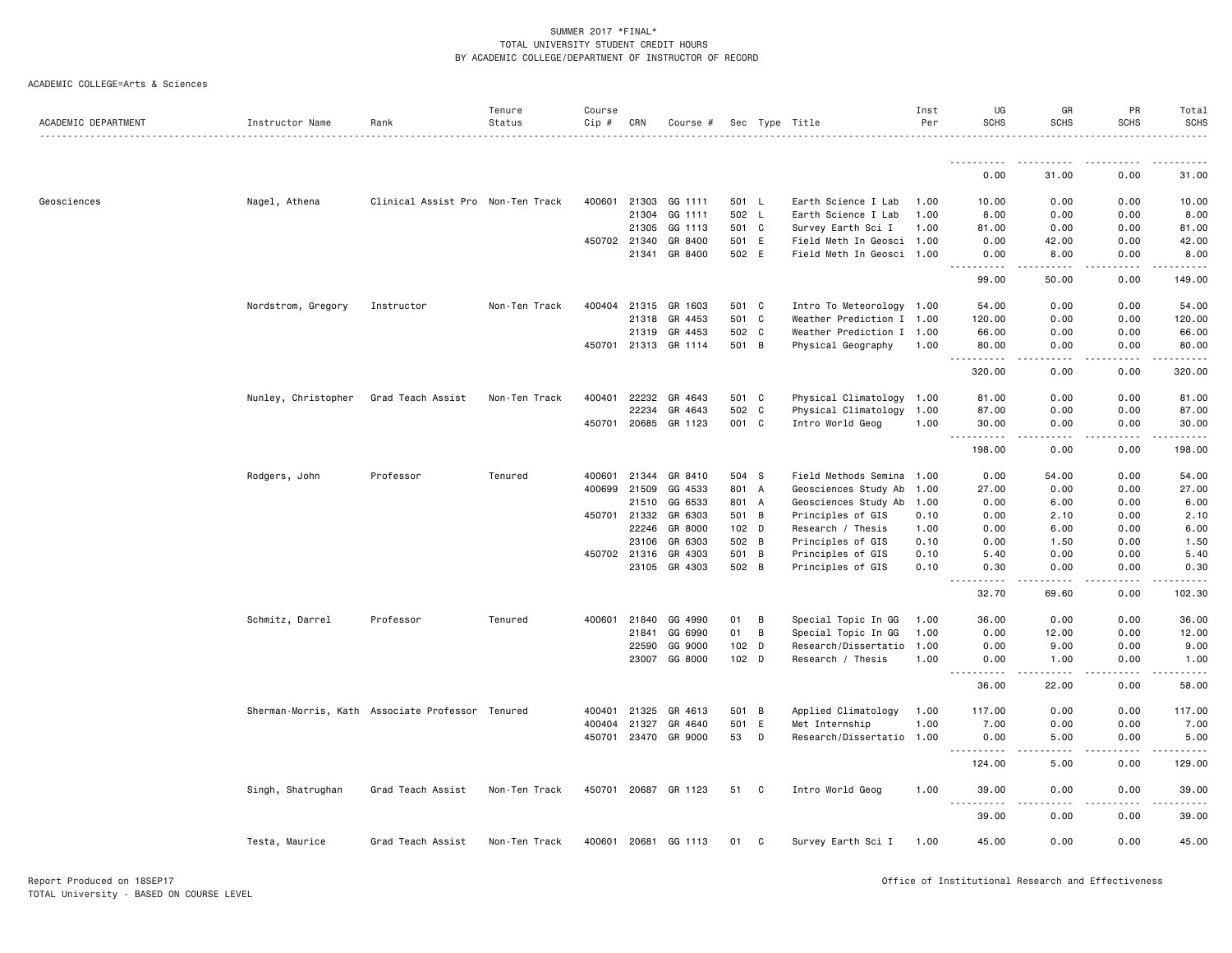| ACADEMIC DEPARTMENT | Instructor Name     | Rank                                             | Tenure<br>Status | Course<br>Cip # | CRN          | Course #             |                  |   | Sec Type Title            | Inst<br>Per | UG<br><b>SCHS</b>                         | GR<br><b>SCHS</b>     | PR<br><b>SCHS</b> | Total<br><b>SCHS</b>     |
|---------------------|---------------------|--------------------------------------------------|------------------|-----------------|--------------|----------------------|------------------|---|---------------------------|-------------|-------------------------------------------|-----------------------|-------------------|--------------------------|
|                     |                     |                                                  |                  |                 |              |                      |                  |   |                           |             |                                           |                       |                   |                          |
|                     |                     |                                                  |                  |                 |              |                      |                  |   |                           |             | 0.00                                      | 31.00                 | 0.00              | 31.00                    |
| Geosciences         | Nagel, Athena       | Clinical Assist Pro Non-Ten Track                |                  |                 | 400601 21303 | GG 1111              | 501 L            |   | Earth Science I Lab       | 1.00        | 10.00                                     | 0.00                  | 0.00              | 10.00                    |
|                     |                     |                                                  |                  |                 | 21304        | GG 1111              | 502 L            |   | Earth Science I Lab       | 1.00        | 8.00                                      | 0.00                  | 0.00              | 8.00                     |
|                     |                     |                                                  |                  |                 | 21305        | GG 1113              | 501 C            |   | Survey Earth Sci I        | 1.00        | 81.00                                     | 0.00                  | 0.00              | 81.00                    |
|                     |                     |                                                  |                  |                 | 450702 21340 | GR 8400              | 501 E            |   | Field Meth In Geosci 1.00 |             | 0.00                                      | 42.00                 | 0.00              | 42.00                    |
|                     |                     |                                                  |                  |                 | 21341        | GR 8400              | 502 E            |   | Field Meth In Geosci 1.00 |             | 0.00                                      | 8.00                  | 0.00              | 8.00                     |
|                     |                     |                                                  |                  |                 |              |                      |                  |   |                           |             | .<br>99.00                                | $\cdots$<br>50.00     | .<br>0.00         | .<br>149.00              |
|                     | Nordstrom, Gregory  | Instructor                                       | Non-Ten Track    |                 | 400404 21315 | GR 1603              | 501 C            |   | Intro To Meteorology 1.00 |             | 54.00                                     | 0.00                  | 0.00              | 54.00                    |
|                     |                     |                                                  |                  |                 | 21318        | GR 4453              | 501 C            |   | Weather Prediction I 1.00 |             | 120.00                                    | 0.00                  | 0.00              | 120.00                   |
|                     |                     |                                                  |                  |                 | 21319        | GR 4453              | 502 C            |   | Weather Prediction I 1.00 |             | 66.00                                     | 0.00                  | 0.00              | 66.00                    |
|                     |                     |                                                  |                  |                 | 450701 21313 | GR 1114              | 501 B            |   | Physical Geography        | 1.00        | 80.00                                     | 0.00                  | 0.00              | 80.00                    |
|                     |                     |                                                  |                  |                 |              |                      |                  |   |                           |             | $- - - - -$<br>320.00                     | $\frac{1}{2}$<br>0.00 | $- - - -$<br>0.00 | .<br>320.00              |
|                     | Nunley, Christopher | Grad Teach Assist                                | Non-Ten Track    |                 | 400401 22232 | GR 4643              | 501 C            |   | Physical Climatology 1.00 |             | 81.00                                     | 0.00                  | 0.00              | 81.00                    |
|                     |                     |                                                  |                  |                 | 22234        | GR 4643              | 502 C            |   | Physical Climatology 1.00 |             | 87.00                                     | 0.00                  | 0.00              | 87.00                    |
|                     |                     |                                                  |                  |                 | 450701 20685 | GR 1123              | 001 C            |   | Intro World Geog          | 1.00        | 30.00                                     | 0.00                  | 0.00              | 30.00                    |
|                     |                     |                                                  |                  |                 |              |                      |                  |   |                           |             | $\frac{1}{2}$<br>$\sim$ $\sim$<br>198.00  | 0.00                  | 0.00              | 198.00                   |
|                     | Rodgers, John       | Professor                                        | Tenured          |                 | 400601 21344 | GR 8410              | 504 S            |   | Field Methods Semina 1.00 |             | 0.00                                      | 54.00                 | 0.00              | 54.00                    |
|                     |                     |                                                  |                  | 400699          | 21509        | GG 4533              | 801 A            |   | Geosciences Study Ab      | 1.00        | 27.00                                     | 0.00                  | 0.00              | 27.00                    |
|                     |                     |                                                  |                  |                 | 21510        | GG 6533              | 801 A            |   | Geosciences Study Ab      | 1.00        | 0.00                                      | 6.00                  | 0.00              | 6.00                     |
|                     |                     |                                                  |                  | 450701          | 21332        | GR 6303              | 501 B            |   | Principles of GIS         | 0.10        | 0.00                                      | 2.10                  | 0.00              | 2.10                     |
|                     |                     |                                                  |                  |                 | 22246        | GR 8000              | 102 <sub>D</sub> |   | Research / Thesis         | 1.00        | 0.00                                      | 6.00                  | 0.00              | 6.00                     |
|                     |                     |                                                  |                  |                 | 23106        | GR 6303              | 502 B            |   | Principles of GIS         | 0.10        | 0.00                                      | 1.50                  | 0.00              | 1.50                     |
|                     |                     |                                                  |                  |                 | 450702 21316 | GR 4303              | 501 B            |   | Principles of GIS         | 0.10        | 5.40                                      | 0.00                  | 0.00              | 5.40                     |
|                     |                     |                                                  |                  |                 | 23105        | GR 4303              | 502 B            |   | Principles of GIS         | 0.10        | 0.30                                      | 0.00                  | 0.00              | 0.30                     |
|                     |                     |                                                  |                  |                 |              |                      |                  |   |                           |             | $\sim$ $\sim$ $\sim$ $\sim$<br>.<br>32.70 | 69.60                 | .<br>0.00         | المتمام المنا<br>102.30  |
|                     | Schmitz, Darrel     | Professor                                        | Tenured          |                 | 400601 21840 | GG 4990              | 01               | B | Special Topic In GG       | 1.00        | 36.00                                     | 0.00                  | 0.00              | 36.00                    |
|                     |                     |                                                  |                  |                 | 21841        | GG 6990              | 01               | B | Special Topic In GG       | 1.00        | 0.00                                      | 12.00                 | 0.00              | 12.00                    |
|                     |                     |                                                  |                  |                 | 22590        | GG 9000              | 102 D            |   | Research/Dissertatio      | 1.00        | 0.00                                      | 9.00                  | 0.00              | 9.00                     |
|                     |                     |                                                  |                  |                 | 23007        | GG 8000              | 102 D            |   | Research / Thesis         | 1.00        | 0.00                                      | 1.00                  | 0.00              | 1.00                     |
|                     |                     |                                                  |                  |                 |              |                      |                  |   |                           |             | $\sim$ $\sim$ $\sim$<br>.<br>36.00        | .<br>22.00            | .<br>0.00         | 58.00                    |
|                     |                     | Sherman-Morris, Kath Associate Professor Tenured |                  |                 | 400401 21325 | GR 4613              | 501 B            |   | Applied Climatology       | 1.00        | 117.00                                    | 0.00                  | 0.00              | 117.00                   |
|                     |                     |                                                  |                  |                 | 400404 21327 | GR 4640              | 501              | E | Met Internship            | 1.00        | 7.00                                      | 0.00                  | 0.00              | 7.00                     |
|                     |                     |                                                  |                  |                 |              | 450701 23470 GR 9000 | 53               | D | Research/Dissertatio 1.00 |             | 0.00<br><u>.</u>                          | 5.00                  | 0.00              | 5.00<br>المتمام والمناور |
|                     |                     |                                                  |                  |                 |              |                      |                  |   |                           |             | 124.00                                    | 5.00                  | 0.00              | 129.00                   |
|                     | Singh, Shatrughan   | Grad Teach Assist                                | Non-Ten Track    |                 |              | 450701 20687 GR 1123 | 51               | C | Intro World Geog          | 1.00        | 39.00<br>$\sim$ $\sim$ $\sim$             | 0.00                  | 0.00              | 39.00                    |
|                     |                     |                                                  |                  |                 |              |                      |                  |   |                           |             | 39.00                                     | 0.00                  | 0.00              | 39.00                    |
|                     | Testa, Maurice      | Grad Teach Assist                                | Non-Ten Track    |                 |              | 400601 20681 GG 1113 | 01 C             |   | Survey Earth Sci I        | 1.00        | 45.00                                     | 0.00                  | 0.00              | 45.00                    |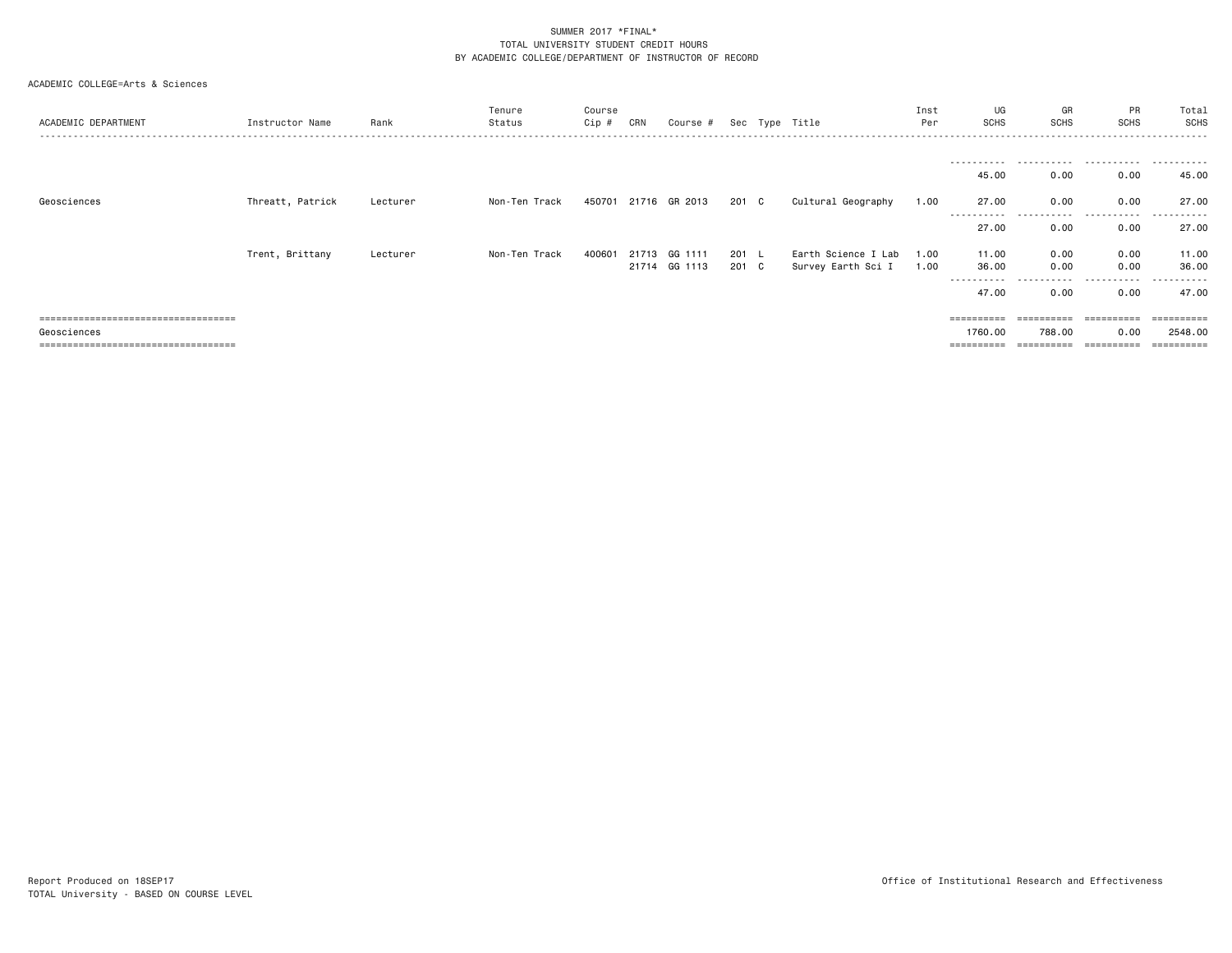| ACADEMIC DEPARTMENT                   | Instructor Name  | Rank     | Tenure<br>Status | Course<br>Cip # | CRN | Course #             |       | Sec Type Title      | Inst<br>Per | UG<br><b>SCHS</b> | GR<br><b>SCHS</b> | PR<br>SCHS         | Total<br>SCHS         |
|---------------------------------------|------------------|----------|------------------|-----------------|-----|----------------------|-------|---------------------|-------------|-------------------|-------------------|--------------------|-----------------------|
|                                       |                  |          |                  |                 |     |                      |       |                     |             | .                 | .                 | .                  | ----------            |
|                                       |                  |          |                  |                 |     |                      |       |                     |             | 45.00             | 0.00              | 0.00               | 45.00                 |
| Geosciences                           | Threatt, Patrick | Lecturer | Non-Ten Track    |                 |     | 450701 21716 GR 2013 | 201 C | Cultural Geography  | 1.00        | 27.00             | 0.00              | 0.00               | 27.00                 |
|                                       |                  |          |                  |                 |     |                      |       |                     |             | 27.00             | 0.00              | 0.00               | 27.00                 |
|                                       | Trent, Brittany  | Lecturer | Non-Ten Track    | 400601          |     | 21713 GG 1111        | 201 L | Earth Science I Lab | 1.00        | 11.00             | 0.00              | 0.00               | 11.00                 |
|                                       |                  |          |                  |                 |     | 21714 GG 1113        | 201 C | Survey Earth Sci I  | 1.00        | 36.00             | 0.00              | 0.00               | 36.00                 |
|                                       |                  |          |                  |                 |     |                      |       |                     |             | ----<br>47.00     | 0.00              | .<br>-----<br>0.00 | -----<br>47.00        |
|                                       |                  |          |                  |                 |     |                      |       |                     |             | ==========        |                   |                    |                       |
| Geosciences                           |                  |          |                  |                 |     |                      |       |                     |             | 1760.00           | 788.00            | 0.00               | 2548.00               |
| ===================================== |                  |          |                  |                 |     |                      |       |                     |             | ==========        | ==========        | ==========         | $=$ = = = = = = = = = |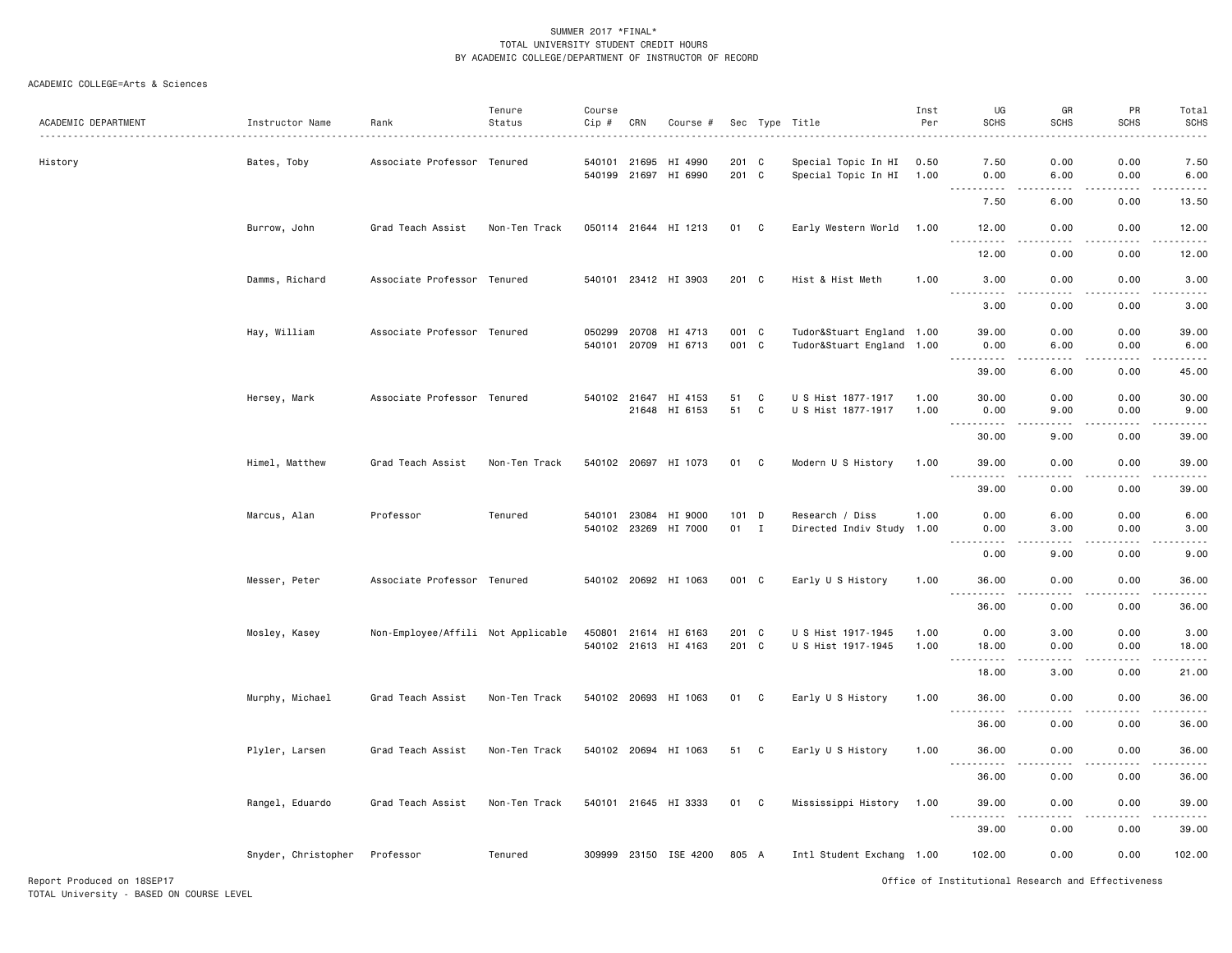#### ACADEMIC COLLEGE=Arts & Sciences

| ACADEMIC DEPARTMENT | Instructor Name     | Rank                               | Tenure<br>Status | Course<br>Cip # | CRN   | Course #              |       |                | Sec Type Title            | Inst<br>Per | UG<br><b>SCHS</b>                                         | GR<br><b>SCHS</b>                                                                                                                 | PR<br><b>SCHS</b> | Total<br><b>SCHS</b> |
|---------------------|---------------------|------------------------------------|------------------|-----------------|-------|-----------------------|-------|----------------|---------------------------|-------------|-----------------------------------------------------------|-----------------------------------------------------------------------------------------------------------------------------------|-------------------|----------------------|
|                     |                     |                                    |                  |                 |       |                       |       |                |                           |             |                                                           |                                                                                                                                   |                   |                      |
| History             | Bates, Toby         | Associate Professor Tenured        |                  | 540101 21695    |       | HI 4990               | 201 C |                | Special Topic In HI       | 0.50        | 7.50                                                      | 0.00                                                                                                                              | 0.00              | 7.50                 |
|                     |                     |                                    |                  |                 |       | 540199 21697 HI 6990  | 201 C |                | Special Topic In HI       | 1.00        | 0.00                                                      | 6.00                                                                                                                              | 0.00              | 6.00<br>.            |
|                     |                     |                                    |                  |                 |       |                       |       |                |                           |             | 7.50                                                      | 6.00                                                                                                                              | 0.00              | 13.50                |
|                     | Burrow, John        | Grad Teach Assist                  | Non-Ten Track    |                 |       | 050114 21644 HI 1213  | 01    | C              | Early Western World       | 1.00        | 12.00<br>$\sim 100$                                       | 0.00                                                                                                                              | 0.00              | 12.00<br>.           |
|                     |                     |                                    |                  |                 |       |                       |       |                |                           |             | 12.00                                                     | 0.00                                                                                                                              | 0.00              | 12.00                |
|                     | Damms, Richard      | Associate Professor Tenured        |                  |                 |       | 540101 23412 HI 3903  | 201 C |                | Hist & Hist Meth          | 1.00        | 3.00<br>$- - -$<br>-----                                  | 0.00<br>$- - - -$                                                                                                                 | 0.00<br>$- - - -$ | 3.00<br>وبالمحام     |
|                     |                     |                                    |                  |                 |       |                       |       |                |                           |             | 3.00                                                      | 0.00                                                                                                                              | 0.00              | 3.00                 |
|                     | Hay, William        | Associate Professor Tenured        |                  | 050299          | 20708 | HI 4713               | 001 C |                | Tudor&Stuart England 1.00 |             | 39.00                                                     | 0.00                                                                                                                              | 0.00              | 39.00                |
|                     |                     |                                    |                  | 540101 20709    |       | HI 6713               | 001 C |                | Tudor&Stuart England 1.00 |             | 0.00<br>.                                                 | 6.00<br>.                                                                                                                         | 0.00<br>.         | 6.00<br>.            |
|                     |                     |                                    |                  |                 |       |                       |       |                |                           |             | 39.00                                                     | 6.00                                                                                                                              | 0.00              | 45.00                |
|                     | Hersey, Mark        | Associate Professor Tenured        |                  | 540102 21647    |       | HI 4153               | 51    | C              | U S Hist 1877-1917        | 1.00        | 30.00                                                     | 0.00                                                                                                                              | 0.00              | 30.00                |
|                     |                     |                                    |                  |                 |       | 21648 HI 6153         | 51    | C              | U S Hist 1877-1917        | 1.00        | 0.00<br>$\sim$ $\sim$ $\sim$<br>------                    | 9.00                                                                                                                              | 0.00              | 9.00<br>والمستحدث    |
|                     |                     |                                    |                  |                 |       |                       |       |                |                           |             | 30.00                                                     | 9.00                                                                                                                              | 0.00              | 39.00                |
|                     | Himel, Matthew      | Grad Teach Assist                  | Non-Ten Track    |                 |       | 540102 20697 HI 1073  | 01    | C <sub>1</sub> | Modern U S History        | 1.00        | 39.00<br>$  -$<br>$- - - - -$                             | 0.00                                                                                                                              | 0.00              | 39.00<br>.           |
|                     |                     |                                    |                  |                 |       |                       |       |                |                           |             | 39.00                                                     | 0.00                                                                                                                              | 0.00              | 39.00                |
|                     | Marcus, Alan        | Professor                          | Tenured          | 540101 23084    |       | HI 9000               | 101 D |                | Research / Diss           | 1.00        | 0.00                                                      | 6.00                                                                                                                              | 0.00              | 6.00                 |
|                     |                     |                                    |                  |                 |       | 540102 23269 HI 7000  | 01 I  |                | Directed Indiv Study 1.00 |             | 0.00                                                      | 3.00                                                                                                                              | 0.00              | 3.00<br>.            |
|                     |                     |                                    |                  |                 |       |                       |       |                |                           |             | 0.00                                                      | 9.00                                                                                                                              | 0.00              | 9.00                 |
|                     | Messer, Peter       | Associate Professor Tenured        |                  |                 |       | 540102 20692 HI 1063  | 001 C |                | Early U S History         | 1.00        | 36.00<br>$\sim$ $\sim$ $\sim$<br>.                        | 0.00<br>$\frac{1}{2} \left( \frac{1}{2} \right) \left( \frac{1}{2} \right) \left( \frac{1}{2} \right) \left( \frac{1}{2} \right)$ | 0.00<br>.         | 36.00<br>.           |
|                     |                     |                                    |                  |                 |       |                       |       |                |                           |             | 36.00                                                     | 0.00                                                                                                                              | 0.00              | 36.00                |
|                     | Mosley, Kasey       | Non-Employee/Affili Not Applicable |                  |                 |       | 450801 21614 HI 6163  | 201 C |                | U S Hist 1917-1945        | 1.00        | 0.00                                                      | 3.00                                                                                                                              | 0.00              | 3.00                 |
|                     |                     |                                    |                  |                 |       | 540102 21613 HI 4163  | 201 C |                | U S Hist 1917-1945        | 1.00        | 18.00<br>$\sim$ $\sim$ $\sim$<br>. <u>.</u>               | 0.00<br>$\frac{1}{2}$                                                                                                             | 0.00<br>$- - - -$ | 18.00<br>.           |
|                     |                     |                                    |                  |                 |       |                       |       |                |                           |             | 18.00                                                     | 3.00                                                                                                                              | 0.00              | 21.00                |
|                     | Murphy, Michael     | Grad Teach Assist                  | Non-Ten Track    | 540102 20693    |       | HI 1063               | 01    | C              | Early U S History         | 1.00        | 36.00<br>$\omega_{\rm{eff}}$ and $\omega_{\rm{eff}}$<br>. | 0.00                                                                                                                              | 0.00              | 36.00<br>.           |
|                     |                     |                                    |                  |                 |       |                       |       |                |                           |             | 36.00                                                     | 0.00                                                                                                                              | 0.00              | 36.00                |
|                     | Plyler, Larsen      | Grad Teach Assist                  | Non-Ten Track    |                 |       | 540102 20694 HI 1063  | 51    | C              | Early U S History         | 1.00        | 36.00                                                     | 0.00                                                                                                                              | 0.00              | 36.00                |
|                     |                     |                                    |                  |                 |       |                       |       |                |                           |             | 36.00                                                     | 0.00                                                                                                                              | 0.00              | 36.00                |
|                     | Rangel, Eduardo     | Grad Teach Assist                  | Non-Ten Track    |                 |       | 540101 21645 HI 3333  | 01    | C              | Mississippi History       | 1.00        | 39.00                                                     | 0.00                                                                                                                              | 0.00              | 39.00                |
|                     |                     |                                    |                  |                 |       |                       |       |                |                           |             | 39.00                                                     | 0.00                                                                                                                              | 0.00              | 39.00                |
|                     | Snyder, Christopher | Professor                          | Tenured          |                 |       | 309999 23150 ISE 4200 | 805 A |                | Intl Student Exchang 1.00 |             | 102.00                                                    | 0.00                                                                                                                              | 0.00              | 102.00               |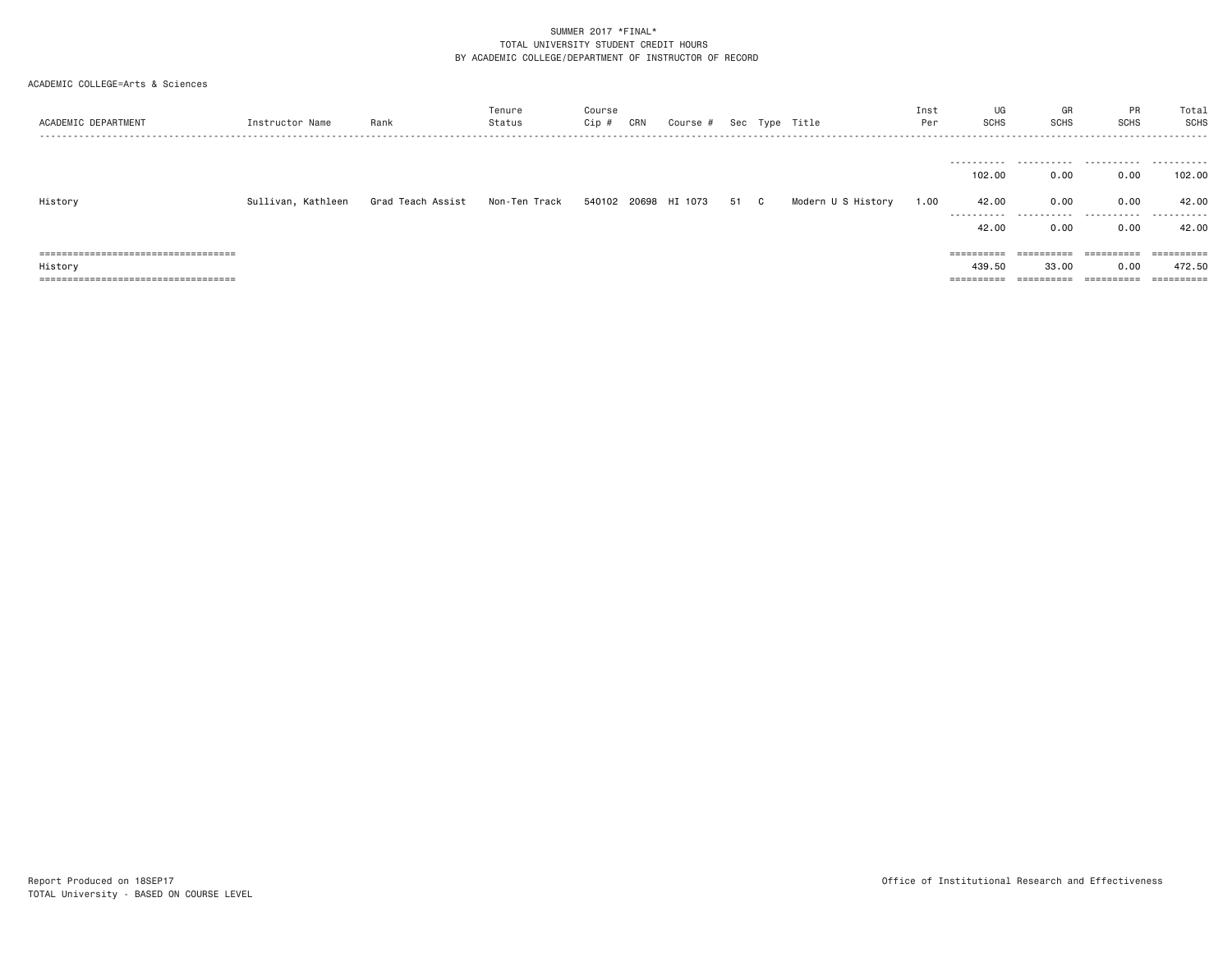| ACADEMIC DEPARTMENT                   | Instructor Name    | Rank              | Tenure<br>Status | Course<br>Cip # | CRN | Course #             |      | Sec Type Title     | Inst<br>Per | UG<br><b>SCHS</b>     | GR<br>SCHS | PR<br>SCHS | Total<br>SCHS |
|---------------------------------------|--------------------|-------------------|------------------|-----------------|-----|----------------------|------|--------------------|-------------|-----------------------|------------|------------|---------------|
|                                       |                    |                   |                  |                 |     |                      |      |                    |             |                       |            |            |               |
|                                       |                    |                   |                  |                 |     |                      |      |                    |             | -----------<br>102.00 | 0.00       | <br>0.00   | 102.00        |
| History                               | Sullivan, Kathleen | Grad Teach Assist | Non-Ten Track    |                 |     | 540102 20698 HI 1073 | 51 C | Modern U S History | 1.00        | 42.00                 | 0.00       | 0.00       | 42.00         |
|                                       |                    |                   |                  |                 |     |                      |      |                    |             | -----------<br>42.00  | .<br>0.00  | .<br>0.00  | .<br>42.00    |
| ===================================== |                    |                   |                  |                 |     |                      |      |                    |             | ==========            | ========== | ========== | ==========    |
| History                               |                    |                   |                  |                 |     |                      |      |                    |             | 439.50                | 33.00      | 0.00       | 472.50        |
| ===================================== |                    |                   |                  |                 |     |                      |      |                    |             | ==========            | ========== | ========== | ==========    |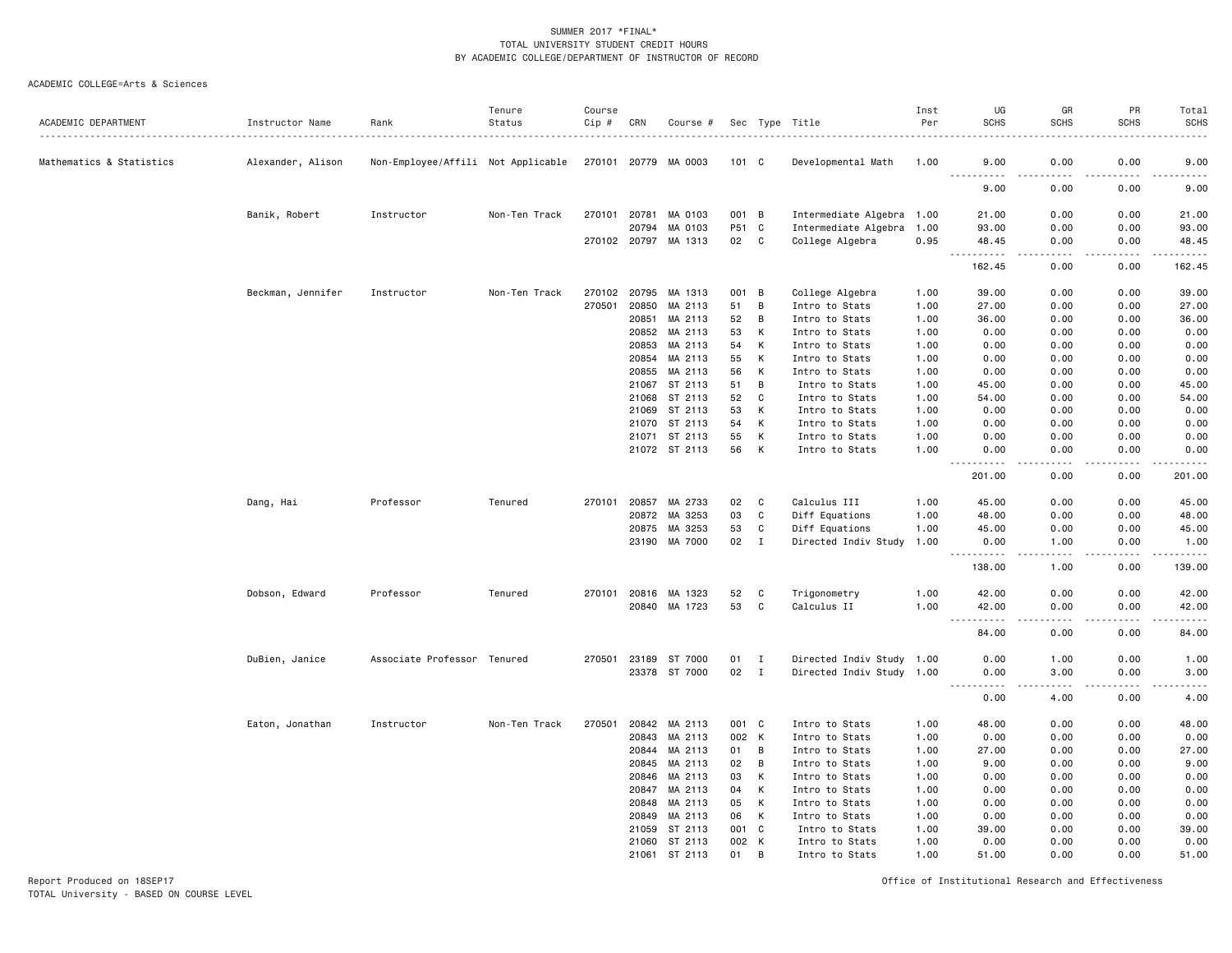#### ACADEMIC COLLEGE=Arts & Sciences

| ACADEMIC DEPARTMENT      | Instructor Name   | Rank                               | Tenure<br>Status | Course<br>Cip # | CRN          | Course #      |               |                | Sec Type Title            | Inst<br>Per<br>. | UG<br><b>SCHS</b>                         | GR<br><b>SCHS</b>                                                                                                                 | PR<br><b>SCHS</b> | Total<br><b>SCHS</b><br>. |
|--------------------------|-------------------|------------------------------------|------------------|-----------------|--------------|---------------|---------------|----------------|---------------------------|------------------|-------------------------------------------|-----------------------------------------------------------------------------------------------------------------------------------|-------------------|---------------------------|
| Mathematics & Statistics | Alexander, Alison | Non-Employee/Affili Not Applicable |                  | 270101 20779    |              | MA 0003       | $101 \quad C$ |                | Developmental Math        | 1.00             | 9.00                                      | 0.00                                                                                                                              | 0.00              | 9.00                      |
|                          |                   |                                    |                  |                 |              |               |               |                |                           |                  | 9.00                                      | 0.00                                                                                                                              | 0.00              | 9.00                      |
|                          | Banik, Robert     | Instructor                         | Non-Ten Track    | 270101          | 20781        | MA 0103       | 001 B         |                | Intermediate Algebra 1.00 |                  | 21.00                                     | 0.00                                                                                                                              | 0.00              | 21.00                     |
|                          |                   |                                    |                  |                 | 20794        | MA 0103       | P51 C         |                | Intermediate Algebra      | 1.00             | 93.00                                     | 0.00                                                                                                                              | 0.00              | 93.00                     |
|                          |                   |                                    |                  | 270102 20797    |              | MA 1313       | 02            | C              | College Algebra           | 0.95             | 48.45<br>$\sim$ $\sim$ $\sim$ $\sim$<br>. | 0.00<br>$\frac{1}{2} \left( \frac{1}{2} \right) \left( \frac{1}{2} \right) \left( \frac{1}{2} \right) \left( \frac{1}{2} \right)$ | 0.00<br>.         | 48.45<br>.                |
|                          |                   |                                    |                  |                 |              |               |               |                |                           |                  | 162.45                                    | 0.00                                                                                                                              | 0.00              | 162.45                    |
|                          | Beckman, Jennifer | Instructor                         | Non-Ten Track    | 270102          | 20795        | MA 1313       | 001           | $\overline{B}$ | College Algebra           | 1.00             | 39.00                                     | 0.00                                                                                                                              | 0.00              | 39.00                     |
|                          |                   |                                    |                  | 270501          | 20850        | MA 2113       | 51            | B              | Intro to Stats            | 1.00             | 27.00                                     | 0.00                                                                                                                              | 0.00              | 27.00                     |
|                          |                   |                                    |                  |                 | 20851        | MA 2113       | 52            | B              | Intro to Stats            | 1.00             | 36.00                                     | 0.00                                                                                                                              | 0.00              | 36.00                     |
|                          |                   |                                    |                  |                 | 20852        | MA 2113       | 53            | К              | Intro to Stats            | 1.00             | 0.00                                      | 0.00                                                                                                                              | 0.00              | 0.00                      |
|                          |                   |                                    |                  |                 | 20853        | MA 2113       | 54            | К              | Intro to Stats            | 1.00             | 0.00                                      | 0.00                                                                                                                              | 0.00              | 0.00                      |
|                          |                   |                                    |                  |                 | 20854        | MA 2113       | 55            | K              | Intro to Stats            | 1.00             | 0.00                                      | 0.00                                                                                                                              | 0.00              | 0.00                      |
|                          |                   |                                    |                  |                 | 20855        | MA 2113       | 56            | K              | Intro to Stats            | 1.00             | 0.00                                      | 0.00                                                                                                                              | 0.00              | 0.00                      |
|                          |                   |                                    |                  |                 | 21067        | ST 2113       | 51            | B              | Intro to Stats            | 1.00             | 45.00                                     | 0.00                                                                                                                              | 0.00              | 45.00                     |
|                          |                   |                                    |                  |                 | 21068        | ST 2113       | 52            | C              | Intro to Stats            | 1.00             | 54.00                                     | 0.00                                                                                                                              | 0.00              | 54.00                     |
|                          |                   |                                    |                  |                 | 21069        | ST 2113       | 53            | К              | Intro to Stats            | 1.00             | 0.00                                      | 0.00                                                                                                                              | 0.00              | 0.00                      |
|                          |                   |                                    |                  |                 | 21070        | ST 2113       | 54            | К              | Intro to Stats            | 1.00             | 0.00                                      | 0.00                                                                                                                              | 0.00              | 0.00                      |
|                          |                   |                                    |                  |                 |              | 21071 ST 2113 | 55            | К              | Intro to Stats            | 1.00             | 0.00                                      | 0.00                                                                                                                              | 0.00              | 0.00                      |
|                          |                   |                                    |                  |                 |              | 21072 ST 2113 | 56            | K              | Intro to Stats            | 1.00             | 0.00                                      | 0.00                                                                                                                              | 0.00              | 0.00                      |
|                          |                   |                                    |                  |                 |              |               |               |                |                           |                  | 201.00                                    | 0.00                                                                                                                              | 0.00              | 201.00                    |
|                          | Dang, Hai         | Professor                          | Tenured          | 270101          |              | 20857 MA 2733 | 02            | C              | Calculus III              | 1.00             | 45.00                                     | 0.00                                                                                                                              | 0.00              | 45.00                     |
|                          |                   |                                    |                  |                 | 20872        | MA 3253       | 03            | C              | Diff Equations            | 1.00             | 48.00                                     | 0.00                                                                                                                              | 0.00              | 48.00                     |
|                          |                   |                                    |                  |                 | 20875        | MA 3253       | 53            | $\mathtt{C}$   | Diff Equations            | 1.00             | 45.00                                     | 0.00                                                                                                                              | 0.00              | 45.00                     |
|                          |                   |                                    |                  |                 |              | 23190 MA 7000 | 02            | I              | Directed Indiv Study      | 1.00             | 0.00<br>.                                 | 1.00<br>$\sim$ $\sim$ $\sim$                                                                                                      | 0.00<br>.         | 1.00<br>.                 |
|                          |                   |                                    |                  |                 |              |               |               |                |                           |                  | 138.00                                    | 1.00                                                                                                                              | 0.00              | 139.00                    |
|                          | Dobson, Edward    | Professor                          | Tenured          |                 | 270101 20816 | MA 1323       | 52            | C              | Trigonometry              | 1.00             | 42.00                                     | 0.00                                                                                                                              | 0.00              | 42.00                     |
|                          |                   |                                    |                  |                 | 20840        | MA 1723       | 53            | C              | Calculus II               | 1.00             | 42.00                                     | 0.00                                                                                                                              | 0.00              | 42.00                     |
|                          |                   |                                    |                  |                 |              |               |               |                |                           |                  | $\sim$ $\sim$ $\sim$<br>. <u>.</u>        | - - - -                                                                                                                           | $- - - -$         | $    -$                   |
|                          |                   |                                    |                  |                 |              |               |               |                |                           |                  | 84.00                                     | 0.00                                                                                                                              | 0.00              | 84.00                     |
|                          | DuBien, Janice    | Associate Professor Tenured        |                  | 270501          | 23189        | ST 7000       | 01            | I              | Directed Indiv Study 1.00 |                  | 0.00                                      | 1.00                                                                                                                              | 0.00              | 1.00                      |
|                          |                   |                                    |                  |                 |              | 23378 ST 7000 | 02            | $\mathbf{I}$   | Directed Indiv Study 1.00 |                  | 0.00<br>$- - -$<br>.                      | 3.00<br>$\frac{1}{2}$                                                                                                             | 0.00<br>.         | 3.00<br>-----             |
|                          |                   |                                    |                  |                 |              |               |               |                |                           |                  | 0.00                                      | 4.00                                                                                                                              | 0.00              | 4.00                      |
|                          | Eaton, Jonathan   | Instructor                         | Non-Ten Track    | 270501          | 20842        | MA 2113       | 001 C         |                | Intro to Stats            | 1.00             | 48.00                                     | 0.00                                                                                                                              | 0.00              | 48.00                     |
|                          |                   |                                    |                  |                 | 20843        | MA 2113       | 002 K         |                | Intro to Stats            | 1.00             | 0.00                                      | 0.00                                                                                                                              | 0.00              | 0.00                      |
|                          |                   |                                    |                  |                 | 20844        | MA 2113       | 01            | B              | Intro to Stats            | 1.00             | 27.00                                     | 0.00                                                                                                                              | 0.00              | 27.00                     |
|                          |                   |                                    |                  |                 | 20845        | MA 2113       | 02            | B              | Intro to Stats            | 1.00             | 9.00                                      | 0.00                                                                                                                              | 0.00              | 9.00                      |
|                          |                   |                                    |                  |                 | 20846        | MA 2113       | 03            | K              | Intro to Stats            | 1.00             | 0.00                                      | 0.00                                                                                                                              | 0.00              | 0.00                      |
|                          |                   |                                    |                  |                 | 20847        | MA 2113       | 04            | K              | Intro to Stats            | 1.00             | 0.00                                      | 0.00                                                                                                                              | 0.00              | 0.00                      |
|                          |                   |                                    |                  |                 | 20848        | MA 2113       | 05            | К              | Intro to Stats            | 1.00             | 0.00                                      | 0.00                                                                                                                              | 0.00              | 0.00                      |
|                          |                   |                                    |                  |                 | 20849        | MA 2113       | 06            | K              | Intro to Stats            | 1.00             | 0.00                                      | 0.00                                                                                                                              | 0.00              | 0.00                      |
|                          |                   |                                    |                  |                 | 21059        | ST 2113       | 001           | <b>C</b>       | Intro to Stats            | 1.00             | 39.00                                     | 0.00                                                                                                                              | 0.00              | 39.00                     |
|                          |                   |                                    |                  |                 | 21060        | ST 2113       | 002           | K              | Intro to Stats            | 1.00             | 0.00                                      | 0.00                                                                                                                              | 0.00              | 0.00                      |
|                          |                   |                                    |                  |                 | 21061        | ST 2113       | 01            | B              | Intro to Stats            | 1.00             | 51.00                                     | 0.00                                                                                                                              | 0.00              | 51.00                     |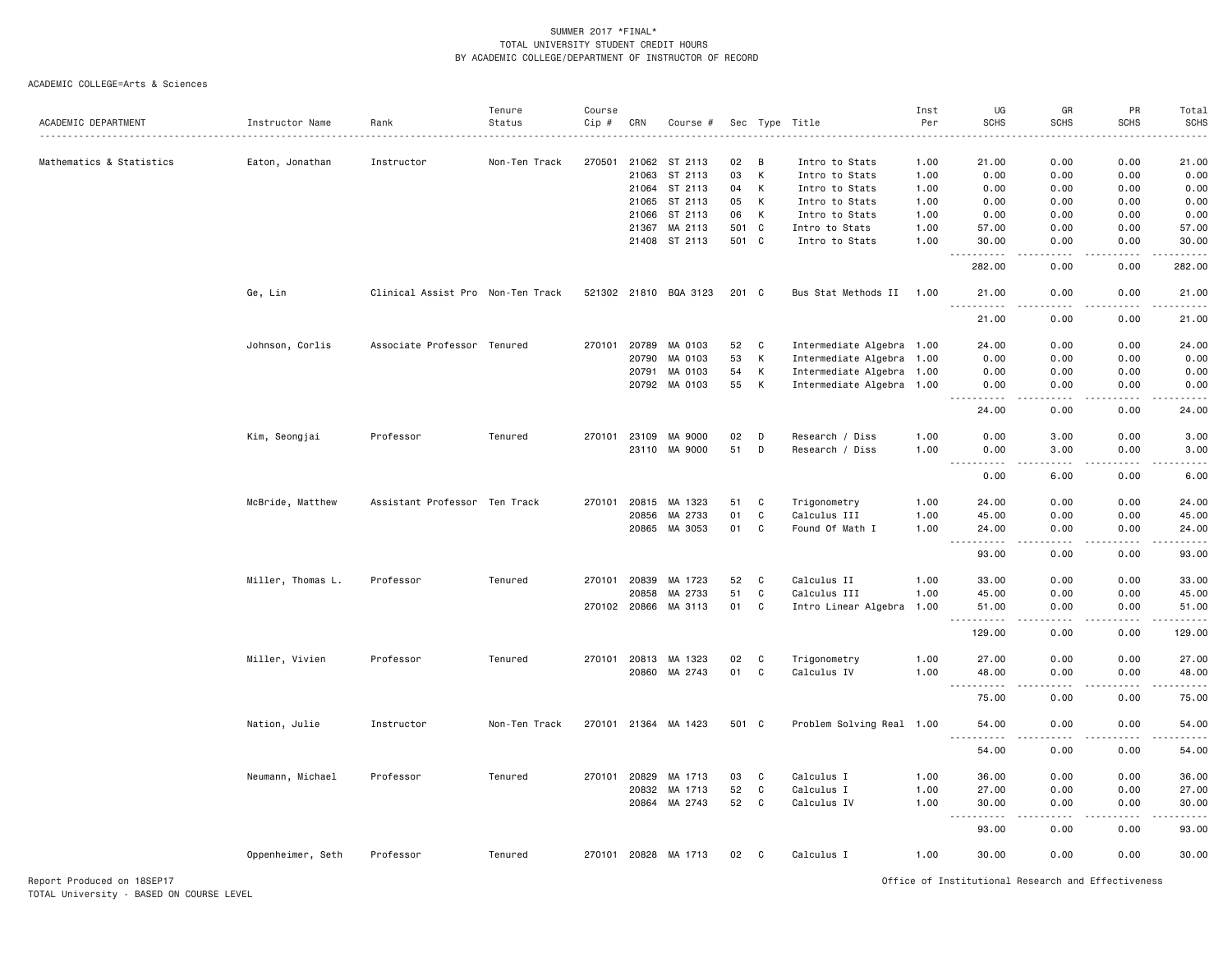#### ACADEMIC COLLEGE=Arts & Sciences

|                          |                   |                                   | Tenure        | Course |       |                       |       |              |                           | Inst                                                                                                                                                 | UG                                 | GR                                                                                                                                                           | PR                                                                                                                        | Total                                                                                                                                                |
|--------------------------|-------------------|-----------------------------------|---------------|--------|-------|-----------------------|-------|--------------|---------------------------|------------------------------------------------------------------------------------------------------------------------------------------------------|------------------------------------|--------------------------------------------------------------------------------------------------------------------------------------------------------------|---------------------------------------------------------------------------------------------------------------------------|------------------------------------------------------------------------------------------------------------------------------------------------------|
| ACADEMIC DEPARTMENT      | Instructor Name   | Rank                              | Status        | Cip #  | CRN   | Course #              |       |              | Sec Type Title            | Per                                                                                                                                                  | <b>SCHS</b>                        | <b>SCHS</b>                                                                                                                                                  | <b>SCHS</b>                                                                                                               | <b>SCHS</b>                                                                                                                                          |
|                          |                   |                                   |               |        |       |                       |       |              | .                         | $\frac{1}{2} \left( \frac{1}{2} \right) \left( \frac{1}{2} \right) \left( \frac{1}{2} \right) \left( \frac{1}{2} \right) \left( \frac{1}{2} \right)$ |                                    |                                                                                                                                                              |                                                                                                                           |                                                                                                                                                      |
| Mathematics & Statistics | Eaton, Jonathan   | Instructor                        | Non-Ten Track | 270501 |       | 21062 ST 2113         | 02    | В            | Intro to Stats            | 1.00                                                                                                                                                 | 21.00                              | 0.00                                                                                                                                                         | 0.00                                                                                                                      | 21.00                                                                                                                                                |
|                          |                   |                                   |               |        | 21063 | ST 2113               | 03    | К            | Intro to Stats            | 1.00                                                                                                                                                 | 0.00                               | 0.00                                                                                                                                                         | 0.00                                                                                                                      | 0.00                                                                                                                                                 |
|                          |                   |                                   |               |        | 21064 | ST 2113               | 04    | К            | Intro to Stats            | 1.00                                                                                                                                                 | 0.00                               | 0.00                                                                                                                                                         | 0.00                                                                                                                      | 0.00                                                                                                                                                 |
|                          |                   |                                   |               |        | 21065 | ST 2113               | 05    | К            | Intro to Stats            | 1.00                                                                                                                                                 | 0.00                               | 0.00                                                                                                                                                         | 0.00                                                                                                                      | 0.00                                                                                                                                                 |
|                          |                   |                                   |               |        | 21066 | ST 2113               | 06    | К            | Intro to Stats            | 1.00                                                                                                                                                 | 0.00                               | 0.00                                                                                                                                                         | 0.00                                                                                                                      | 0.00                                                                                                                                                 |
|                          |                   |                                   |               |        | 21367 | MA 2113               | 501   | C            | Intro to Stats            | 1.00                                                                                                                                                 | 57.00                              | 0.00                                                                                                                                                         | 0.00                                                                                                                      | 57.00                                                                                                                                                |
|                          |                   |                                   |               |        |       | 21408 ST 2113         | 501 C |              | Intro to Stats            | 1.00                                                                                                                                                 | 30.00                              | 0.00                                                                                                                                                         | 0.00                                                                                                                      | 30.00                                                                                                                                                |
|                          |                   |                                   |               |        |       |                       |       |              |                           |                                                                                                                                                      |                                    |                                                                                                                                                              | $\sim$ $\sim$ $\sim$ $\sim$                                                                                               | $\sim$ $\sim$ $\sim$ $\sim$                                                                                                                          |
|                          |                   |                                   |               |        |       |                       |       |              |                           |                                                                                                                                                      | 282.00                             | 0.00                                                                                                                                                         | 0.00                                                                                                                      | 282.00                                                                                                                                               |
|                          | Ge, Lin           | Clinical Assist Pro Non-Ten Track |               |        |       | 521302 21810 BQA 3123 | 201 C |              | Bus Stat Methods II 1.00  |                                                                                                                                                      | 21.00<br>. <b>.</b> .              | 0.00<br>$\frac{1}{2}$                                                                                                                                        | 0.00<br>.                                                                                                                 | 21.00<br>.                                                                                                                                           |
|                          |                   |                                   |               |        |       |                       |       |              |                           |                                                                                                                                                      | 21.00                              | 0.00                                                                                                                                                         | 0.00                                                                                                                      | 21.00                                                                                                                                                |
|                          | Johnson, Corlis   | Associate Professor Tenured       |               | 270101 | 20789 | MA 0103               | 52    | C            | Intermediate Algebra 1.00 |                                                                                                                                                      | 24.00                              | 0.00                                                                                                                                                         | 0.00                                                                                                                      | 24.00                                                                                                                                                |
|                          |                   |                                   |               |        | 20790 | MA 0103               | 53    | К            | Intermediate Algebra 1.00 |                                                                                                                                                      | 0.00                               | 0.00                                                                                                                                                         | 0.00                                                                                                                      | 0.00                                                                                                                                                 |
|                          |                   |                                   |               |        | 20791 | MA 0103               | 54    | $\sf K$      | Intermediate Algebra 1.00 |                                                                                                                                                      | 0.00                               | 0.00                                                                                                                                                         | 0.00                                                                                                                      | 0.00                                                                                                                                                 |
|                          |                   |                                   |               |        |       | 20792 MA 0103         | 55    | К            | Intermediate Algebra 1.00 |                                                                                                                                                      | 0.00                               | 0.00                                                                                                                                                         | 0.00                                                                                                                      | 0.00                                                                                                                                                 |
|                          |                   |                                   |               |        |       |                       |       |              |                           |                                                                                                                                                      | .                                  | $\frac{1}{2} \left( \frac{1}{2} \right) \left( \frac{1}{2} \right) \left( \frac{1}{2} \right) \left( \frac{1}{2} \right)$                                    | $\frac{1}{2} \left( \frac{1}{2} \right) \left( \frac{1}{2} \right) \left( \frac{1}{2} \right) \left( \frac{1}{2} \right)$ | $\frac{1}{2} \left( \frac{1}{2} \right) \left( \frac{1}{2} \right) \left( \frac{1}{2} \right) \left( \frac{1}{2} \right) \left( \frac{1}{2} \right)$ |
|                          |                   |                                   |               |        |       |                       |       |              |                           |                                                                                                                                                      | 24.00                              | 0.00                                                                                                                                                         | 0.00                                                                                                                      | 24.00                                                                                                                                                |
|                          | Kim, Seongjai     | Professor                         | Tenured       | 270101 | 23109 | MA 9000               | 02    | D            | Research / Diss           | 1.00                                                                                                                                                 | 0.00                               | 3.00                                                                                                                                                         | 0.00                                                                                                                      | 3.00                                                                                                                                                 |
|                          |                   |                                   |               |        | 23110 | MA 9000               | 51    | D            | Research / Diss           | 1.00                                                                                                                                                 | 0.00                               | 3.00                                                                                                                                                         | 0.00                                                                                                                      | 3.00                                                                                                                                                 |
|                          |                   |                                   |               |        |       |                       |       |              |                           |                                                                                                                                                      | .                                  | $\frac{1}{2}$                                                                                                                                                | .                                                                                                                         | .                                                                                                                                                    |
|                          |                   |                                   |               |        |       |                       |       |              |                           |                                                                                                                                                      | 0.00                               | 6.00                                                                                                                                                         | 0.00                                                                                                                      | 6.00                                                                                                                                                 |
|                          | McBride, Matthew  | Assistant Professor Ten Track     |               | 270101 | 20815 | МA<br>1323            | 51    | C            | Trigonometry              | 1.00                                                                                                                                                 | 24.00                              | 0.00                                                                                                                                                         | 0.00                                                                                                                      | 24.00                                                                                                                                                |
|                          |                   |                                   |               |        | 20856 | MA 2733               | 01    | $\mathbb{C}$ | Calculus III              | 1.00                                                                                                                                                 | 45.00                              | 0.00                                                                                                                                                         | 0.00                                                                                                                      | 45.00                                                                                                                                                |
|                          |                   |                                   |               |        |       | 20865 MA 3053         | 01    | C            | Found Of Math I           | 1.00                                                                                                                                                 | 24.00                              | 0.00                                                                                                                                                         | 0.00                                                                                                                      | 24.00                                                                                                                                                |
|                          |                   |                                   |               |        |       |                       |       |              |                           |                                                                                                                                                      | $\sim$ $\sim$ $\sim$<br>.          | د د د د                                                                                                                                                      | .                                                                                                                         | .                                                                                                                                                    |
|                          |                   |                                   |               |        |       |                       |       |              |                           |                                                                                                                                                      | 93.00                              | 0.00                                                                                                                                                         | 0.00                                                                                                                      | 93.00                                                                                                                                                |
|                          | Miller, Thomas L. | Professor                         | Tenured       | 270101 | 20839 | MA 1723               | 52    | $\mathbf C$  | Calculus II               | 1.00                                                                                                                                                 | 33.00                              | 0.00                                                                                                                                                         | 0.00                                                                                                                      | 33.00                                                                                                                                                |
|                          |                   |                                   |               |        | 20858 | MA 2733               | 51    | $\mathbf C$  | Calculus III              | 1.00                                                                                                                                                 | 45.00                              | 0.00                                                                                                                                                         | 0.00                                                                                                                      | 45.00                                                                                                                                                |
|                          |                   |                                   |               |        |       | 270102 20866 MA 3113  | 01    | $\mathbf C$  | Intro Linear Algebra      | 1.00                                                                                                                                                 | 51.00                              | 0.00                                                                                                                                                         | 0.00                                                                                                                      | 51.00                                                                                                                                                |
|                          |                   |                                   |               |        |       |                       |       |              |                           |                                                                                                                                                      | 129.00                             | 0.00                                                                                                                                                         | 0.00                                                                                                                      | .<br>129.00                                                                                                                                          |
|                          |                   |                                   |               |        |       |                       |       |              |                           |                                                                                                                                                      |                                    |                                                                                                                                                              |                                                                                                                           |                                                                                                                                                      |
|                          | Miller, Vivien    | Professor                         | Tenured       | 270101 | 20813 | MA 1323               | 02    | C            | Trigonometry              | 1.00                                                                                                                                                 | 27.00                              | 0.00                                                                                                                                                         | 0.00                                                                                                                      | 27.00                                                                                                                                                |
|                          |                   |                                   |               |        |       | 20860 MA 2743         | 01    | $\mathbf C$  | Calculus IV               | 1.00                                                                                                                                                 | 48.00<br>.<br>$\sim$ $\sim$ $\sim$ | 0.00<br>$\frac{1}{2} \left( \frac{1}{2} \right) \left( \frac{1}{2} \right) \left( \frac{1}{2} \right) \left( \frac{1}{2} \right) \left( \frac{1}{2} \right)$ | 0.00<br>.                                                                                                                 | 48.00<br>.                                                                                                                                           |
|                          |                   |                                   |               |        |       |                       |       |              |                           |                                                                                                                                                      | 75.00                              | 0.00                                                                                                                                                         | 0.00                                                                                                                      | 75.00                                                                                                                                                |
|                          | Nation, Julie     | Instructor                        | Non-Ten Track |        |       | 270101 21364 MA 1423  | 501 C |              | Problem Solving Real 1.00 |                                                                                                                                                      | 54.00                              | 0.00                                                                                                                                                         | 0.00                                                                                                                      | 54.00                                                                                                                                                |
|                          |                   |                                   |               |        |       |                       |       |              |                           |                                                                                                                                                      | .                                  |                                                                                                                                                              | د د د د                                                                                                                   | وبالمست                                                                                                                                              |
|                          |                   |                                   |               |        |       |                       |       |              |                           |                                                                                                                                                      | 54.00                              | 0.00                                                                                                                                                         | 0.00                                                                                                                      | 54.00                                                                                                                                                |
|                          | Neumann, Michael  | Professor                         | Tenured       | 270101 | 20829 | MA 1713               | 03    | C            | Calculus I                | 1.00                                                                                                                                                 | 36.00                              | 0.00                                                                                                                                                         | 0.00                                                                                                                      | 36.00                                                                                                                                                |
|                          |                   |                                   |               |        | 20832 | MA 1713               | 52    | C            | Calculus I                | 1.00                                                                                                                                                 | 27.00                              | 0.00                                                                                                                                                         | 0.00                                                                                                                      | 27.00                                                                                                                                                |
|                          |                   |                                   |               |        |       | 20864 MA 2743         | 52    | C            | Calculus IV               | 1.00                                                                                                                                                 | 30.00                              | 0.00                                                                                                                                                         | 0.00                                                                                                                      | 30.00                                                                                                                                                |
|                          |                   |                                   |               |        |       |                       |       |              |                           |                                                                                                                                                      | $ -$<br>.<br>93.00                 | .<br>0.00                                                                                                                                                    | . <u>.</u> .<br>0.00                                                                                                      | . <u>.</u><br>93.00                                                                                                                                  |
|                          | Oppenheimer, Seth | Professor                         | Tenured       |        |       | 270101 20828 MA 1713  | 02    | C            | Calculus I                | 1.00                                                                                                                                                 | 30.00                              | 0.00                                                                                                                                                         | 0.00                                                                                                                      | 30.00                                                                                                                                                |
|                          |                   |                                   |               |        |       |                       |       |              |                           |                                                                                                                                                      |                                    |                                                                                                                                                              |                                                                                                                           |                                                                                                                                                      |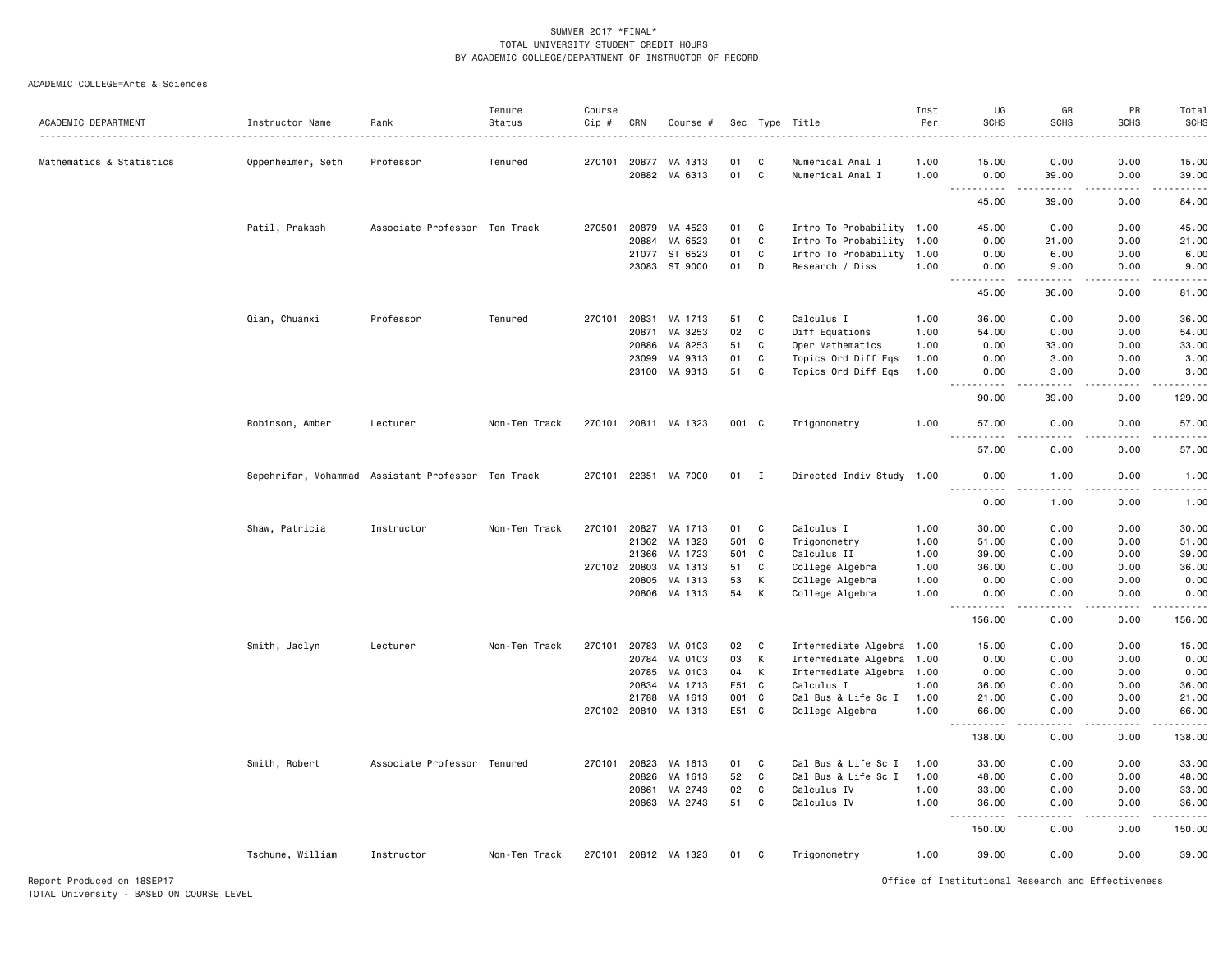#### ACADEMIC COLLEGE=Arts & Sciences

| ACADEMIC DEPARTMENT      | Instructor Name                                    | Rank                          | Tenure<br>Status | Course<br>Cip # | CRN          | Course #             |       |              | Sec Type Title            | Inst<br>Per | UG<br><b>SCHS</b>                                                                                                                                                     | GR<br><b>SCHS</b>     | PR<br><b>SCHS</b> | Total<br><b>SCHS</b>  |
|--------------------------|----------------------------------------------------|-------------------------------|------------------|-----------------|--------------|----------------------|-------|--------------|---------------------------|-------------|-----------------------------------------------------------------------------------------------------------------------------------------------------------------------|-----------------------|-------------------|-----------------------|
|                          | .                                                  |                               |                  |                 |              |                      |       |              |                           |             |                                                                                                                                                                       |                       |                   |                       |
| Mathematics & Statistics | Oppenheimer, Seth                                  | Professor                     | Tenured          | 270101          | 20877        | MA 4313              | 01    | C            | Numerical Anal I          | 1.00        | 15.00                                                                                                                                                                 | 0.00                  | 0.00              | 15.00                 |
|                          |                                                    |                               |                  |                 | 20882        | MA 6313              | 01    | C            | Numerical Anal I          | 1.00        | 0.00<br><u>.</u>                                                                                                                                                      | 39.00<br>$- - - - -$  | 0.00<br>.         | 39.00<br>. <u>.</u> . |
|                          |                                                    |                               |                  |                 |              |                      |       |              |                           |             | 45.00                                                                                                                                                                 | 39.00                 | 0.00              | 84.00                 |
|                          | Patil, Prakash                                     | Associate Professor Ten Track |                  | 270501          | 20879        | MA 4523              | 01    | C            | Intro To Probability 1.00 |             | 45.00                                                                                                                                                                 | 0.00                  | 0.00              | 45.00                 |
|                          |                                                    |                               |                  |                 | 20884        | MA 6523              | 01    | $\mathbf{C}$ | Intro To Probability 1.00 |             | 0.00                                                                                                                                                                  | 21.00                 | 0.00              | 21.00                 |
|                          |                                                    |                               |                  |                 | 21077        | ST 6523              | 01    | C            | Intro To Probability      | 1.00        | 0.00                                                                                                                                                                  | 6.00                  | 0.00              | 6.00                  |
|                          |                                                    |                               |                  |                 |              | 23083 ST 9000        | 01    | D            | Research / Diss           | 1.00        | 0.00<br>$\frac{1}{2} \left( \frac{1}{2} \right) \left( \frac{1}{2} \right) \left( \frac{1}{2} \right) \left( \frac{1}{2} \right) \left( \frac{1}{2} \right)$          | 9.00                  | 0.00              | 9.00                  |
|                          |                                                    |                               |                  |                 |              |                      |       |              |                           |             | 45.00                                                                                                                                                                 | 36.00                 | 0.00              | 81.00                 |
|                          | Qian, Chuanxi                                      | Professor                     | Tenured          | 270101          | 20831        | MA 1713              | 51    | C            | Calculus I                | 1.00        | 36.00                                                                                                                                                                 | 0.00                  | 0.00              | 36.00                 |
|                          |                                                    |                               |                  |                 | 20871        | MA 3253              | 02    | C            | Diff Equations            | 1.00        | 54.00                                                                                                                                                                 | 0.00                  | 0.00              | 54.00                 |
|                          |                                                    |                               |                  |                 | 20886        | MA 8253              | 51    | C            | Oper Mathematics          | 1.00        | 0.00                                                                                                                                                                  | 33.00                 | 0.00              | 33.00                 |
|                          |                                                    |                               |                  |                 | 23099        | MA 9313              | 01    | C            | Topics Ord Diff Eqs       | 1.00        | 0.00                                                                                                                                                                  | 3.00                  | 0.00              | 3.00                  |
|                          |                                                    |                               |                  |                 | 23100        | MA 9313              | 51    | C            | Topics Ord Diff Eqs       | 1.00        | 0.00                                                                                                                                                                  | 3.00                  | 0.00              | 3.00                  |
|                          |                                                    |                               |                  |                 |              |                      |       |              |                           |             | $ -$<br>$\frac{1}{2} \left( \frac{1}{2} \right) \left( \frac{1}{2} \right) \left( \frac{1}{2} \right) \left( \frac{1}{2} \right) \left( \frac{1}{2} \right)$<br>90.00 | .<br>39.00            | .<br>0.00         | .<br>129.00           |
|                          | Robinson, Amber                                    | Lecturer                      | Non-Ten Track    |                 |              | 270101 20811 MA 1323 | 001 C |              | Trigonometry              | 1.00        | 57.00                                                                                                                                                                 | 0.00                  | 0.00              | 57.00                 |
|                          |                                                    |                               |                  |                 |              |                      |       |              |                           |             | 57.00                                                                                                                                                                 | 0.00                  | 0.00              | 57.00                 |
|                          | Sepehrifar, Mohammad Assistant Professor Ten Track |                               |                  |                 |              | 270101 22351 MA 7000 | 01 I  |              | Directed Indiv Study 1.00 |             | 0.00<br>$\sim$ $\sim$ $\sim$<br>.                                                                                                                                     | 1.00<br>.             | 0.00<br><u>.</u>  | 1.00<br>.             |
|                          |                                                    |                               |                  |                 |              |                      |       |              |                           |             | 0.00                                                                                                                                                                  | 1.00                  | 0.00              | 1.00                  |
|                          | Shaw, Patricia                                     | Instructor                    | Non-Ten Track    |                 | 270101 20827 | MA 1713              | 01    | C            | Calculus I                | 1.00        | 30.00                                                                                                                                                                 | 0.00                  | 0.00              | 30.00                 |
|                          |                                                    |                               |                  |                 | 21362        | MA 1323              | 501   | C            | Trigonometry              | 1.00        | 51.00                                                                                                                                                                 | 0.00                  | 0.00              | 51.00                 |
|                          |                                                    |                               |                  |                 | 21366        | MA 1723              | 501   | C            | Calculus II               | 1.00        | 39.00                                                                                                                                                                 | 0.00                  | 0.00              | 39.00                 |
|                          |                                                    |                               |                  |                 | 270102 20803 | MA 1313              | 51    | C            | College Algebra           | 1.00        | 36.00                                                                                                                                                                 | 0.00                  | 0.00              | 36.00                 |
|                          |                                                    |                               |                  |                 | 20805        | MA 1313              | 53    | К            | College Algebra           | 1.00        | 0.00                                                                                                                                                                  | 0.00                  | 0.00              | 0.00                  |
|                          |                                                    |                               |                  |                 | 20806        | MA 1313              | 54    | K            | College Algebra           | 1.00        | 0.00                                                                                                                                                                  | 0.00                  | 0.00              | 0.00                  |
|                          |                                                    |                               |                  |                 |              |                      |       |              |                           |             | ----------<br>156.00                                                                                                                                                  | $\frac{1}{2}$<br>0.00 | 0.00              | .<br>156.00           |
|                          | Smith, Jaclyn                                      | Lecturer                      | Non-Ten Track    | 270101          | 20783        | MA 0103              | 02    | C            | Intermediate Algebra 1.00 |             | 15.00                                                                                                                                                                 | 0.00                  | 0.00              | 15.00                 |
|                          |                                                    |                               |                  |                 | 20784        | MA 0103              | 03    | К            | Intermediate Algebra 1.00 |             | 0.00                                                                                                                                                                  | 0.00                  | 0.00              | 0.00                  |
|                          |                                                    |                               |                  |                 | 20785        | MA 0103              | 04    | K            | Intermediate Algebra 1.00 |             | 0.00                                                                                                                                                                  | 0.00                  | 0.00              | 0.00                  |
|                          |                                                    |                               |                  |                 | 20834        | MA 1713              | E51   | C            | Calculus I                | 1.00        | 36.00                                                                                                                                                                 | 0.00                  | 0.00              | 36.00                 |
|                          |                                                    |                               |                  |                 | 21788        | MA 1613              | 001   | <b>C</b>     | Cal Bus & Life Sc I       | 1.00        | 21.00                                                                                                                                                                 | 0.00                  | 0.00              | 21.00                 |
|                          |                                                    |                               |                  |                 |              | 270102 20810 MA 1313 | E51 C |              | College Algebra           | 1.00        | 66.00                                                                                                                                                                 | 0.00                  | 0.00              | 66.00                 |
|                          |                                                    |                               |                  |                 |              |                      |       |              |                           |             | 138.00                                                                                                                                                                | 0.00                  | 0.00              | 138.00                |
|                          | Smith, Robert                                      | Associate Professor Tenured   |                  |                 | 270101 20823 | MA 1613              | 01    | C            | Cal Bus & Life Sc I       | 1.00        | 33.00                                                                                                                                                                 | 0.00                  | 0.00              | 33.00                 |
|                          |                                                    |                               |                  |                 | 20826        | MA 1613              | 52    | $\mathtt{C}$ | Cal Bus & Life Sc I       | 1.00        | 48.00                                                                                                                                                                 | 0.00                  | 0.00              | 48.00                 |
|                          |                                                    |                               |                  |                 | 20861        | MA 2743              | 02    | $\mathtt{C}$ | Calculus IV               | 1.00        | 33.00                                                                                                                                                                 | 0.00                  | 0.00              | 33.00                 |
|                          |                                                    |                               |                  |                 | 20863        | MA 2743              | 51    | C            | Calculus IV               | 1.00        | 36.00                                                                                                                                                                 | 0.00                  | 0.00              | 36.00                 |
|                          |                                                    |                               |                  |                 |              |                      |       |              |                           |             | 150.00                                                                                                                                                                | 0.00                  | 0.00              | .<br>150.00           |
|                          | Tschume, William                                   | Instructor                    | Non-Ten Track    |                 |              | 270101 20812 MA 1323 | 01    | C            | Trigonometry              | 1.00        | 39.00                                                                                                                                                                 | 0.00                  | 0.00              | 39.00                 |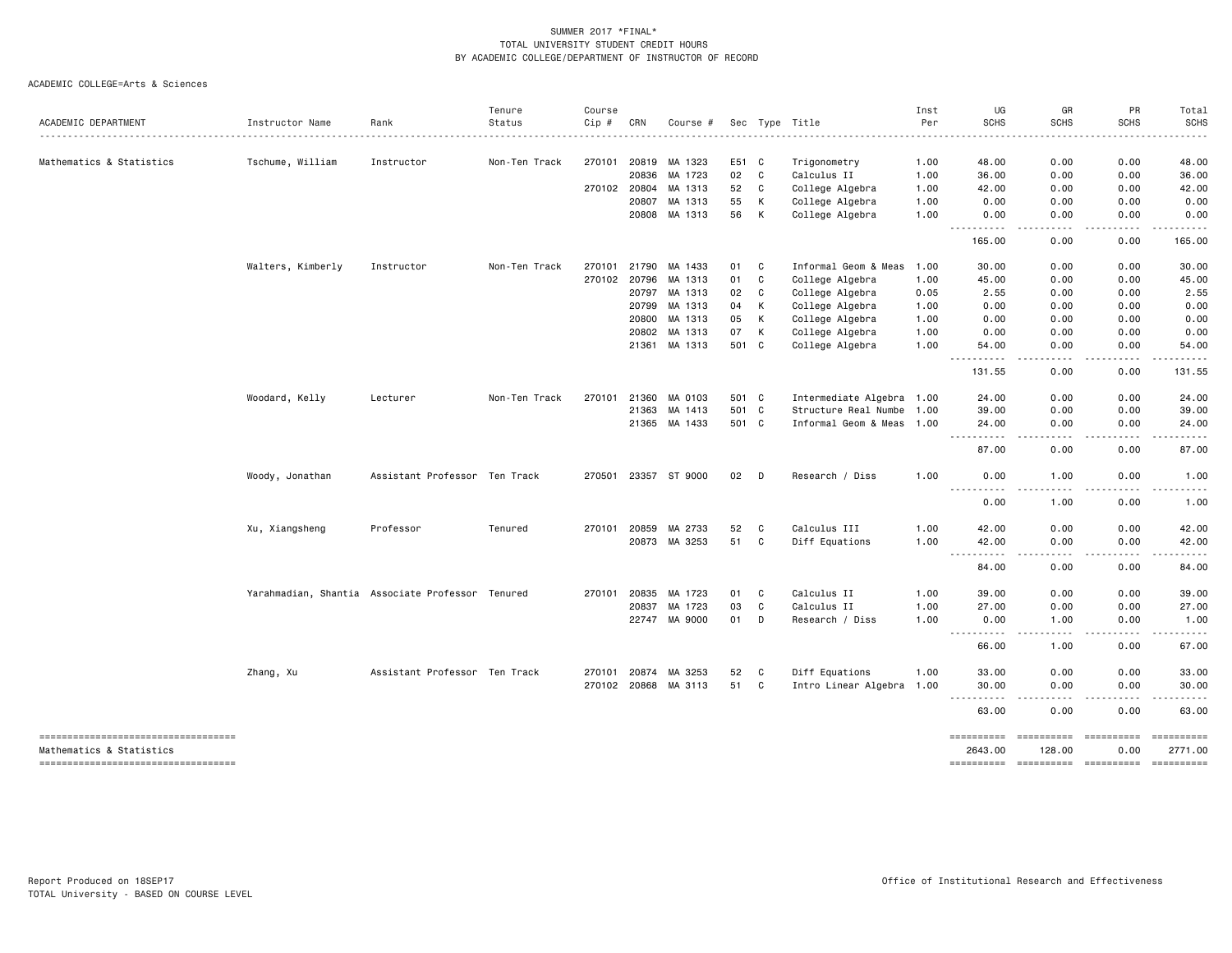|                                                                 |                                                  |                               | Tenure        | Course   |              |                      |       |   |                           | Inst | UG                                                                                                                                                               | GR                     | PR               | Total                                                                                                                                                                                                                                                                                                                                                                                                                                                                                  |
|-----------------------------------------------------------------|--------------------------------------------------|-------------------------------|---------------|----------|--------------|----------------------|-------|---|---------------------------|------|------------------------------------------------------------------------------------------------------------------------------------------------------------------|------------------------|------------------|----------------------------------------------------------------------------------------------------------------------------------------------------------------------------------------------------------------------------------------------------------------------------------------------------------------------------------------------------------------------------------------------------------------------------------------------------------------------------------------|
| ACADEMIC DEPARTMENT                                             | Instructor Name                                  | Rank                          | Status        | $Cip \#$ | CRN          | Course #             |       |   | Sec Type Title<br>.       | Per  | <b>SCHS</b>                                                                                                                                                      | <b>SCHS</b>            | <b>SCHS</b>      | <b>SCHS</b>                                                                                                                                                                                                                                                                                                                                                                                                                                                                            |
| Mathematics & Statistics                                        | Tschume, William                                 | Instructor                    | Non-Ten Track | 270101   | 20819        | MA 1323              | E51 C |   | Trigonometry              | 1.00 | 48.00                                                                                                                                                            | 0.00                   | 0.00             | 48.00                                                                                                                                                                                                                                                                                                                                                                                                                                                                                  |
|                                                                 |                                                  |                               |               |          | 20836        | MA 1723              | 02    | C | Calculus II               | 1.00 | 36.00                                                                                                                                                            | 0.00                   | 0.00             | 36.00                                                                                                                                                                                                                                                                                                                                                                                                                                                                                  |
|                                                                 |                                                  |                               |               |          | 270102 20804 | MA 1313              | 52    | C | College Algebra           | 1.00 | 42.00                                                                                                                                                            | 0.00                   | 0.00             | 42.00                                                                                                                                                                                                                                                                                                                                                                                                                                                                                  |
|                                                                 |                                                  |                               |               |          | 20807        | MA 1313              | 55    | К | College Algebra           | 1.00 | 0.00                                                                                                                                                             | 0.00                   | 0.00             | 0.00                                                                                                                                                                                                                                                                                                                                                                                                                                                                                   |
|                                                                 |                                                  |                               |               |          | 20808        | MA 1313              | 56    | К | College Algebra           | 1.00 | 0.00<br>$\frac{1}{2} \left( \frac{1}{2} \right) \left( \frac{1}{2} \right) \left( \frac{1}{2} \right) \left( \frac{1}{2} \right)$                                | 0.00                   | 0.00             | 0.00                                                                                                                                                                                                                                                                                                                                                                                                                                                                                   |
|                                                                 |                                                  |                               |               |          |              |                      |       |   |                           |      | 165.00                                                                                                                                                           | 0.00                   | 0.00             | 165.00                                                                                                                                                                                                                                                                                                                                                                                                                                                                                 |
|                                                                 | Walters, Kimberly                                | Instructor                    | Non-Ten Track | 270101   | 21790        | MA 1433              | 01    | C | Informal Geom & Meas      | 1.00 | 30.00                                                                                                                                                            | 0.00                   | 0.00             | 30.00                                                                                                                                                                                                                                                                                                                                                                                                                                                                                  |
|                                                                 |                                                  |                               |               |          | 270102 20796 | MA 1313              | 01    | C | College Algebra           | 1.00 | 45.00                                                                                                                                                            | 0.00                   | 0.00             | 45.00                                                                                                                                                                                                                                                                                                                                                                                                                                                                                  |
|                                                                 |                                                  |                               |               |          | 20797        | MA 1313              | 02    | C | College Algebra           | 0.05 | 2.55                                                                                                                                                             | 0.00                   | 0.00             | 2.55                                                                                                                                                                                                                                                                                                                                                                                                                                                                                   |
|                                                                 |                                                  |                               |               |          |              | 20799 MA 1313        | 04    | К | College Algebra           | 1.00 | 0.00                                                                                                                                                             | 0.00                   | 0.00             | 0.00                                                                                                                                                                                                                                                                                                                                                                                                                                                                                   |
|                                                                 |                                                  |                               |               |          | 20800        | MA 1313              | 05    | К | College Algebra           | 1.00 | 0.00                                                                                                                                                             | 0.00                   | 0.00             | 0.00                                                                                                                                                                                                                                                                                                                                                                                                                                                                                   |
|                                                                 |                                                  |                               |               |          | 20802        | MA 1313              | 07    | К | College Algebra           | 1.00 | 0.00                                                                                                                                                             | 0.00                   | 0.00             | 0.00                                                                                                                                                                                                                                                                                                                                                                                                                                                                                   |
|                                                                 |                                                  |                               |               |          |              | 21361 MA 1313        | 501 C |   | College Algebra           | 1.00 | 54.00<br>.                                                                                                                                                       | 0.00<br>.              | 0.00<br>.        | 54.00<br>.                                                                                                                                                                                                                                                                                                                                                                                                                                                                             |
|                                                                 |                                                  |                               |               |          |              |                      |       |   |                           |      | 131.55                                                                                                                                                           | 0.00                   | 0.00             | 131.55                                                                                                                                                                                                                                                                                                                                                                                                                                                                                 |
|                                                                 | Woodard, Kelly                                   | Lecturer                      | Non-Ten Track | 270101   | 21360        | MA 0103              | 501 C |   | Intermediate Algebra 1.00 |      | 24.00                                                                                                                                                            | 0.00                   | 0.00             | 24.00                                                                                                                                                                                                                                                                                                                                                                                                                                                                                  |
|                                                                 |                                                  |                               |               |          | 21363        | MA 1413              | 501 C |   | Structure Real Numbe      | 1.00 | 39.00                                                                                                                                                            | 0.00                   | 0.00             | 39.00                                                                                                                                                                                                                                                                                                                                                                                                                                                                                  |
|                                                                 |                                                  |                               |               |          |              | 21365 MA 1433        | 501 C |   | Informal Geom & Meas 1.00 |      | 24.00<br>$\sim 100$<br>.                                                                                                                                         | 0.00<br>. <b>.</b> .   | 0.00<br>.        | 24.00                                                                                                                                                                                                                                                                                                                                                                                                                                                                                  |
|                                                                 |                                                  |                               |               |          |              |                      |       |   |                           |      | 87.00                                                                                                                                                            | 0.00                   | 0.00             | 87.00                                                                                                                                                                                                                                                                                                                                                                                                                                                                                  |
|                                                                 | Woody, Jonathan                                  | Assistant Professor Ten Track |               |          |              | 270501 23357 ST 9000 | 02    | D | Research / Diss           | 1.00 | 0.00<br>$\sim$ $\sim$ $\sim$ $\sim$<br>$\frac{1}{2} \left( \frac{1}{2} \right) \left( \frac{1}{2} \right) \left( \frac{1}{2} \right) \left( \frac{1}{2} \right)$ | 1.00                   | 0.00             | 1.00                                                                                                                                                                                                                                                                                                                                                                                                                                                                                   |
|                                                                 |                                                  |                               |               |          |              |                      |       |   |                           |      | 0.00                                                                                                                                                             | 1.00                   | 0.00             | 1.00                                                                                                                                                                                                                                                                                                                                                                                                                                                                                   |
|                                                                 | Xu, Xiangsheng                                   | Professor                     | Tenured       |          | 270101 20859 | MA 2733              | 52    | C | Calculus III              | 1.00 | 42.00                                                                                                                                                            | 0.00                   | 0.00             | 42.00                                                                                                                                                                                                                                                                                                                                                                                                                                                                                  |
|                                                                 |                                                  |                               |               |          |              | 20873 MA 3253        | 51    | C | Diff Equations            | 1.00 | 42.00                                                                                                                                                            | 0.00                   | 0.00             | 42.00                                                                                                                                                                                                                                                                                                                                                                                                                                                                                  |
|                                                                 |                                                  |                               |               |          |              |                      |       |   |                           |      | .<br>$\frac{1}{2}$                                                                                                                                               | $\frac{1}{2}$          | .                | .                                                                                                                                                                                                                                                                                                                                                                                                                                                                                      |
|                                                                 |                                                  |                               |               |          |              |                      |       |   |                           |      | 84.00                                                                                                                                                            | 0.00                   | 0.00             | 84.00                                                                                                                                                                                                                                                                                                                                                                                                                                                                                  |
|                                                                 | Yarahmadian, Shantia Associate Professor Tenured |                               |               |          | 270101 20835 | MA 1723              | 01    | C | Calculus II               | 1.00 | 39.00                                                                                                                                                            | 0.00                   | 0.00             | 39.00                                                                                                                                                                                                                                                                                                                                                                                                                                                                                  |
|                                                                 |                                                  |                               |               |          | 20837        | MA 1723              | 03    | C | Calculus II               | 1.00 | 27.00                                                                                                                                                            | 0.00                   | 0.00             | 27.00                                                                                                                                                                                                                                                                                                                                                                                                                                                                                  |
|                                                                 |                                                  |                               |               |          |              | 22747 MA 9000        | 01    | D | Research / Diss           | 1.00 | 0.00<br>.<br>$\sim$ $\sim$ $\sim$                                                                                                                                | 1.00<br>.              | 0.00<br><u>.</u> | 1.00<br>.                                                                                                                                                                                                                                                                                                                                                                                                                                                                              |
|                                                                 |                                                  |                               |               |          |              |                      |       |   |                           |      | 66.00                                                                                                                                                            | 1.00                   | 0.00             | 67.00                                                                                                                                                                                                                                                                                                                                                                                                                                                                                  |
|                                                                 | Zhang, Xu                                        | Assistant Professor Ten Track |               | 270101   | 20874        | MA 3253              | 52    | C | Diff Equations            | 1.00 | 33.00                                                                                                                                                            | 0.00                   | 0.00             | 33.00                                                                                                                                                                                                                                                                                                                                                                                                                                                                                  |
|                                                                 |                                                  |                               |               |          | 270102 20868 | MA 3113              | 51    | C | Intro Linear Algebra 1.00 |      | 30.00                                                                                                                                                            | 0.00                   | 0.00             | 30.00                                                                                                                                                                                                                                                                                                                                                                                                                                                                                  |
|                                                                 |                                                  |                               |               |          |              |                      |       |   |                           |      | .<br>63.00                                                                                                                                                       | 0.00                   | 0.00             | 63.00                                                                                                                                                                                                                                                                                                                                                                                                                                                                                  |
|                                                                 |                                                  |                               |               |          |              |                      |       |   |                           |      | ==========                                                                                                                                                       | ====================== |                  | $\begin{array}{cccccccccc} \multicolumn{2}{c}{} & \multicolumn{2}{c}{} & \multicolumn{2}{c}{} & \multicolumn{2}{c}{} & \multicolumn{2}{c}{} & \multicolumn{2}{c}{} & \multicolumn{2}{c}{} & \multicolumn{2}{c}{} & \multicolumn{2}{c}{} & \multicolumn{2}{c}{} & \multicolumn{2}{c}{} & \multicolumn{2}{c}{} & \multicolumn{2}{c}{} & \multicolumn{2}{c}{} & \multicolumn{2}{c}{} & \multicolumn{2}{c}{} & \multicolumn{2}{c}{} & \multicolumn{2}{c}{} & \multicolumn{2}{c}{} & \mult$ |
| Mathematics & Statistics<br>----------------------------------- |                                                  |                               |               |          |              |                      |       |   |                           |      | 2643.00<br>---------- --------- ---------                                                                                                                        | 128.00                 | 0.00             | 2771.00                                                                                                                                                                                                                                                                                                                                                                                                                                                                                |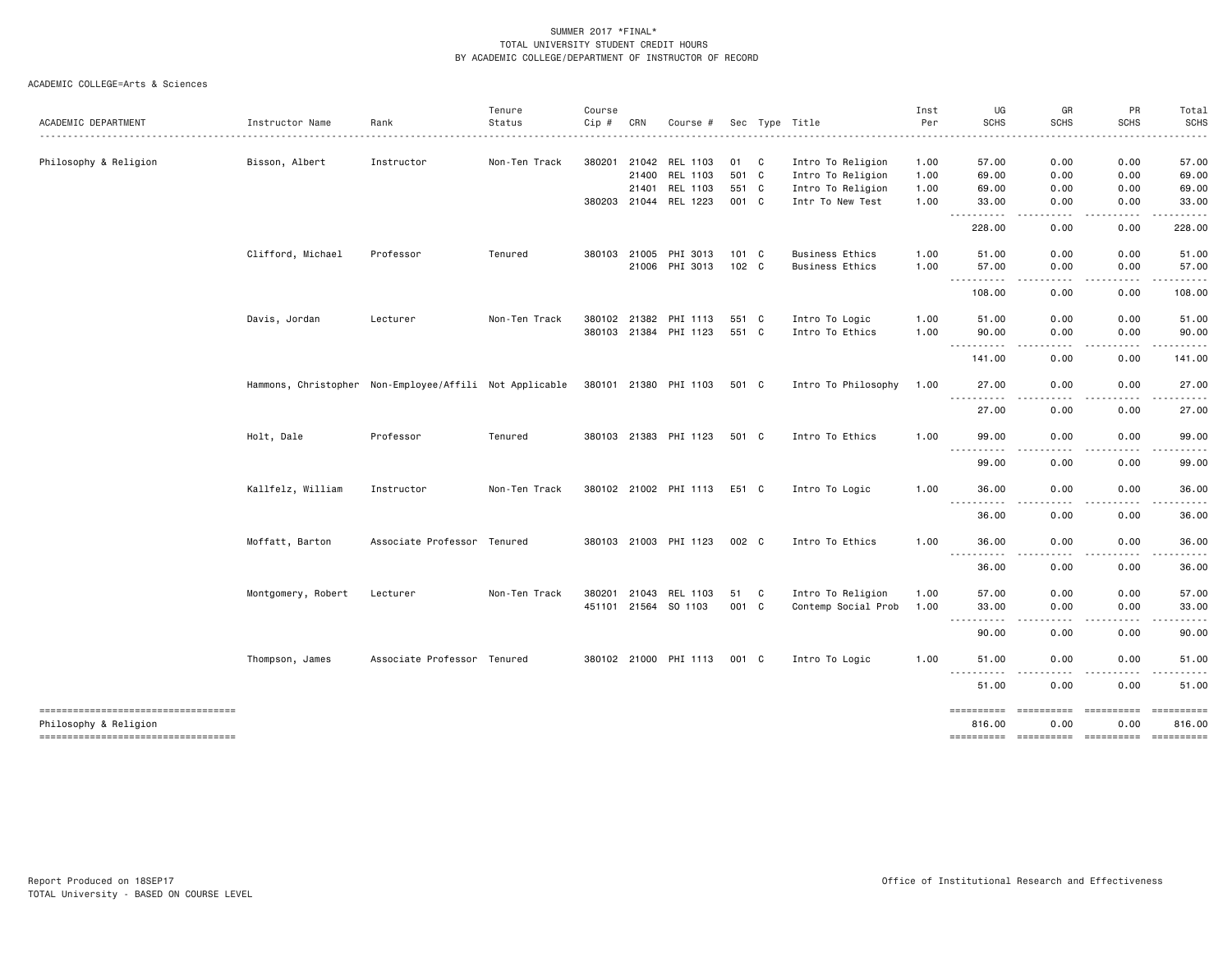|                                                             |                    |                                                                               | Tenure        | Course |              |                       |               |   |                        | Inst | UG                                                                                                                                                                                                                                                                               | GR                                                                                                                                | PR               | Total                 |
|-------------------------------------------------------------|--------------------|-------------------------------------------------------------------------------|---------------|--------|--------------|-----------------------|---------------|---|------------------------|------|----------------------------------------------------------------------------------------------------------------------------------------------------------------------------------------------------------------------------------------------------------------------------------|-----------------------------------------------------------------------------------------------------------------------------------|------------------|-----------------------|
| ACADEMIC DEPARTMENT                                         | Instructor Name    | Rank                                                                          | Status        | Cip #  | CRN          | Course #              |               |   | Sec Type Title         | Per  | <b>SCHS</b>                                                                                                                                                                                                                                                                      | <b>SCHS</b><br><u>.</u>                                                                                                           | <b>SCHS</b>      | <b>SCHS</b><br>.      |
| Philosophy & Religion                                       | Bisson, Albert     | Instructor                                                                    | Non-Ten Track |        | 380201 21042 | REL 1103              | 01 C          |   | Intro To Religion      | 1.00 | 57.00                                                                                                                                                                                                                                                                            | 0.00                                                                                                                              | 0.00             | 57.00                 |
|                                                             |                    |                                                                               |               |        | 21400        | REL 1103              | 501 C         |   | Intro To Religion      | 1.00 | 69.00                                                                                                                                                                                                                                                                            | 0.00                                                                                                                              | 0.00             | 69.00                 |
|                                                             |                    |                                                                               |               |        | 21401        | REL 1103              | 551 C         |   | Intro To Religion      | 1.00 | 69.00                                                                                                                                                                                                                                                                            | 0.00                                                                                                                              | 0.00             | 69.00                 |
|                                                             |                    |                                                                               |               |        |              | 380203 21044 REL 1223 | 001 C         |   | Intr To New Test       | 1.00 | 33.00<br><b></b>                                                                                                                                                                                                                                                                 | 0.00<br>$\frac{1}{2} \left( \frac{1}{2} \right) \left( \frac{1}{2} \right) \left( \frac{1}{2} \right) \left( \frac{1}{2} \right)$ | 0.00<br><u>.</u> | 33.00<br>.            |
|                                                             |                    |                                                                               |               |        |              |                       |               |   |                        |      | 228.00                                                                                                                                                                                                                                                                           | 0.00                                                                                                                              | 0.00             | 228.00                |
|                                                             | Clifford, Michael  | Professor                                                                     | Tenured       |        |              | 380103 21005 PHI 3013 | $101 \quad C$ |   | <b>Business Ethics</b> | 1.00 | 51.00                                                                                                                                                                                                                                                                            | 0.00                                                                                                                              | 0.00             | 51.00                 |
|                                                             |                    |                                                                               |               |        |              | 21006 PHI 3013        | 102 C         |   | <b>Business Ethics</b> | 1.00 | 57.00<br>.<br>$\frac{1}{2}$                                                                                                                                                                                                                                                      | 0.00<br>.                                                                                                                         | 0.00<br>.        | 57.00<br>. <b>.</b>   |
|                                                             |                    |                                                                               |               |        |              |                       |               |   |                        |      | 108.00                                                                                                                                                                                                                                                                           | 0.00                                                                                                                              | 0.00             | 108.00                |
|                                                             | Davis, Jordan      | Lecturer                                                                      | Non-Ten Track |        |              | 380102 21382 PHI 1113 | 551 C         |   | Intro To Logic         | 1.00 | 51.00                                                                                                                                                                                                                                                                            | 0.00                                                                                                                              | 0.00             | 51.00                 |
|                                                             |                    |                                                                               |               |        |              | 380103 21384 PHI 1123 | 551 C         |   | Intro To Ethics        | 1.00 | 90.00<br>.<br>$\sim$ $\sim$ $\sim$                                                                                                                                                                                                                                               | 0.00                                                                                                                              | 0.00             | 90.00                 |
|                                                             |                    |                                                                               |               |        |              |                       |               |   |                        |      | 141.00                                                                                                                                                                                                                                                                           | 0.00                                                                                                                              | 0.00             | 141.00                |
|                                                             |                    | Hammons, Christopher Non-Employee/Affili Not Applicable 380101 21380 PHI 1103 |               |        |              |                       | 501 C         |   | Intro To Philosophy    | 1.00 | 27.00                                                                                                                                                                                                                                                                            | 0.00                                                                                                                              | 0.00             | 27.00                 |
|                                                             |                    |                                                                               |               |        |              |                       |               |   |                        |      | 27.00                                                                                                                                                                                                                                                                            | 0.00                                                                                                                              | 0.00             | 27.00                 |
|                                                             | Holt, Dale         | Professor                                                                     | Tenured       |        |              | 380103 21383 PHI 1123 | 501 C         |   | Intro To Ethics        | 1.00 | 99.00                                                                                                                                                                                                                                                                            | 0.00                                                                                                                              | 0.00             | 99.00                 |
|                                                             |                    |                                                                               |               |        |              |                       |               |   |                        |      | -----------<br>99.00                                                                                                                                                                                                                                                             | 0.00                                                                                                                              | 0.00             | 99.00                 |
|                                                             | Kallfelz, William  | Instructor                                                                    | Non-Ten Track |        |              | 380102 21002 PHI 1113 | E51 C         |   | Intro To Logic         | 1.00 | 36.00                                                                                                                                                                                                                                                                            | 0.00                                                                                                                              | 0.00             | 36.00                 |
|                                                             |                    |                                                                               |               |        |              |                       |               |   |                        |      | .<br>36.00                                                                                                                                                                                                                                                                       | 0.00                                                                                                                              | 0.00             | 36.00                 |
|                                                             | Moffatt, Barton    | Associate Professor Tenured                                                   |               |        |              | 380103 21003 PHI 1123 | 002 C         |   | Intro To Ethics        | 1.00 | 36.00<br>$\begin{array}{cccccccccccccc} \bullet & \bullet & \bullet & \bullet & \bullet & \bullet & \bullet \end{array}$<br>$\frac{1}{2} \left( \frac{1}{2} \right) \left( \frac{1}{2} \right) \left( \frac{1}{2} \right) \left( \frac{1}{2} \right) \left( \frac{1}{2} \right)$ | 0.00                                                                                                                              | 0.00             | 36.00                 |
|                                                             |                    |                                                                               |               |        |              |                       |               |   |                        |      | 36.00                                                                                                                                                                                                                                                                            | 0.00                                                                                                                              | 0.00             | 36.00                 |
|                                                             | Montgomery, Robert | Lecturer                                                                      | Non-Ten Track |        | 380201 21043 | REL 1103              | 51            | C | Intro To Religion      | 1.00 | 57.00                                                                                                                                                                                                                                                                            | 0.00                                                                                                                              | 0.00             | 57.00                 |
|                                                             |                    |                                                                               |               |        |              | 451101 21564 SO 1103  | 001 C         |   | Contemp Social Prob    | 1.00 | 33.00                                                                                                                                                                                                                                                                            | 0.00                                                                                                                              | 0.00             | 33.00                 |
|                                                             |                    |                                                                               |               |        |              |                       |               |   |                        |      | 90.00                                                                                                                                                                                                                                                                            | 0.00                                                                                                                              | 0.00             | 90.00                 |
|                                                             | Thompson, James    | Associate Professor Tenured                                                   |               |        |              | 380102 21000 PHI 1113 | 001 C         |   | Intro To Logic         | 1.00 | 51.00<br>$\frac{1}{2}$                                                                                                                                                                                                                                                           | 0.00                                                                                                                              | 0.00             | 51.00                 |
|                                                             |                    |                                                                               |               |        |              |                       |               |   |                        |      | 51.00                                                                                                                                                                                                                                                                            | 0.00                                                                                                                              | 0.00             | 51.00                 |
| ----------------------------------<br>Philosophy & Religion |                    |                                                                               |               |        |              |                       |               |   |                        |      | ==========<br>816.00                                                                                                                                                                                                                                                             | ======================<br>0.00                                                                                                    | 0.00             | -----------<br>816.00 |
| -----------------------------------                         |                    |                                                                               |               |        |              |                       |               |   |                        |      | ==========                                                                                                                                                                                                                                                                       | ---------- ---------                                                                                                              |                  |                       |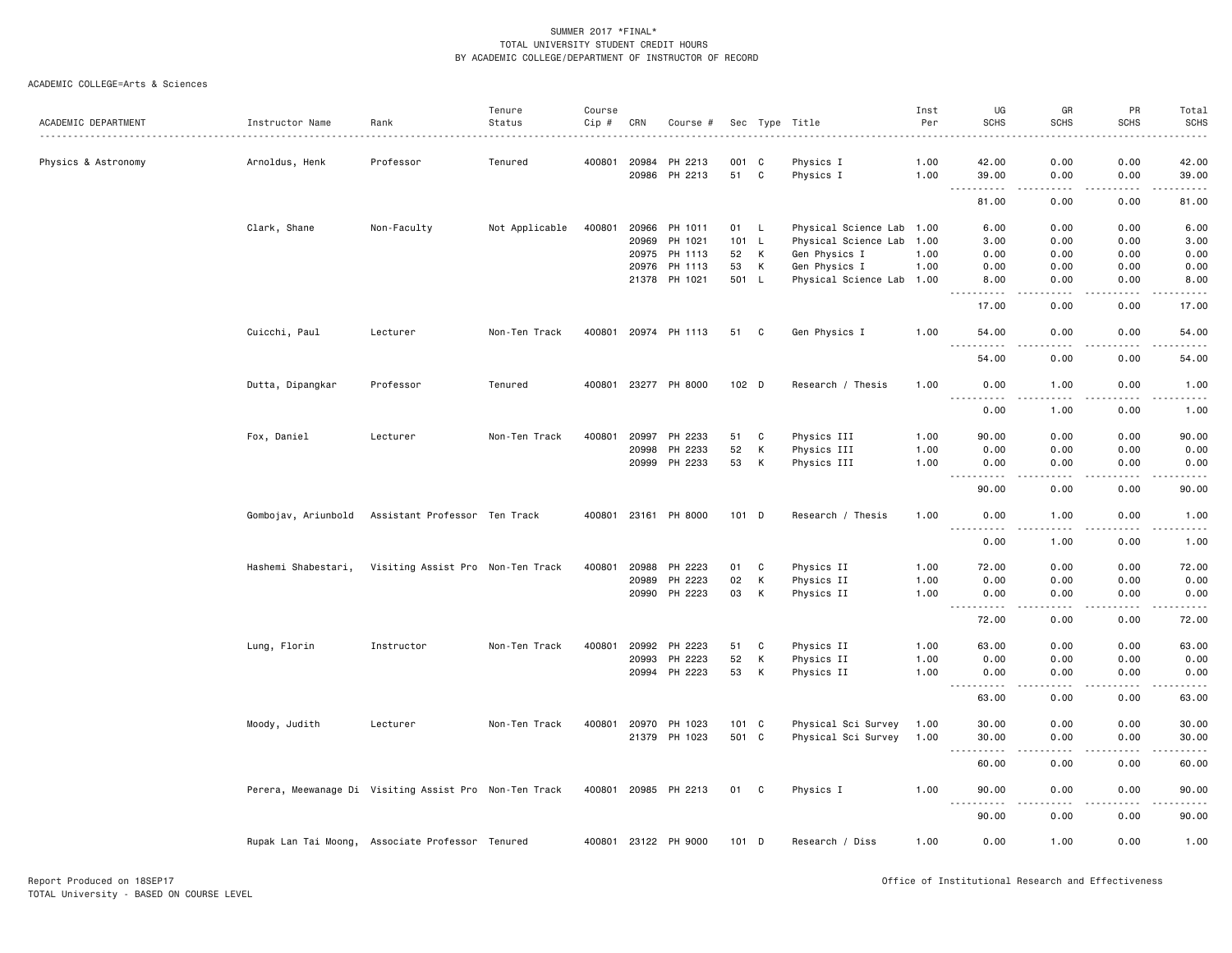|                     |                     |                                                        | Tenure         | Course |       |                      |         |             |                           | Inst | UG                                                                                                                                                         | GR              | PR                                  | Total                                                                                                                                                        |
|---------------------|---------------------|--------------------------------------------------------|----------------|--------|-------|----------------------|---------|-------------|---------------------------|------|------------------------------------------------------------------------------------------------------------------------------------------------------------|-----------------|-------------------------------------|--------------------------------------------------------------------------------------------------------------------------------------------------------------|
| ACADEMIC DEPARTMENT | Instructor Name     | Rank                                                   | Status         | Cip #  | CRN   | Course #             |         |             | Sec Type Title            | Per  | <b>SCHS</b>                                                                                                                                                | <b>SCHS</b>     | <b>SCHS</b>                         | <b>SCHS</b>                                                                                                                                                  |
|                     |                     |                                                        |                |        |       |                      |         |             |                           |      |                                                                                                                                                            |                 |                                     |                                                                                                                                                              |
| Physics & Astronomy | Arnoldus, Henk      | Professor                                              | Tenured        | 400801 | 20984 | PH 2213              | 001     | C           | Physics I                 | 1.00 | 42.00                                                                                                                                                      | 0.00            | 0.00                                | 42.00                                                                                                                                                        |
|                     |                     |                                                        |                |        | 20986 | PH 2213              | 51      | $\mathbf c$ | Physics I                 | 1.00 | 39.00<br>$\sim$ $\sim$ $\sim$ $\sim$                                                                                                                       | 0.00            | 0.00                                | 39.00<br>.                                                                                                                                                   |
|                     |                     |                                                        |                |        |       |                      |         |             |                           |      | 81.00                                                                                                                                                      | 0.00            | 0.00                                | 81.00                                                                                                                                                        |
|                     | Clark, Shane        | Non-Faculty                                            | Not Applicable | 400801 | 20966 | PH 1011              | 01 L    |             | Physical Science Lab      | 1.00 | 6.00                                                                                                                                                       | 0.00            | 0.00                                | 6.00                                                                                                                                                         |
|                     |                     |                                                        |                |        | 20969 | PH 1021              | 101 L   |             | Physical Science Lab      | 1.00 | 3.00                                                                                                                                                       | 0.00            | 0.00                                | 3.00                                                                                                                                                         |
|                     |                     |                                                        |                |        |       | 20975 PH 1113        | 52      | К           | Gen Physics I             | 1.00 | 0.00                                                                                                                                                       | 0.00            | 0.00                                | 0.00                                                                                                                                                         |
|                     |                     |                                                        |                |        | 20976 | PH 1113              | 53      | K           | Gen Physics I             | 1.00 | 0.00                                                                                                                                                       | 0.00            | 0.00                                | 0.00                                                                                                                                                         |
|                     |                     |                                                        |                |        | 21378 | PH 1021              | 501 L   |             | Physical Science Lab 1.00 |      | 8.00<br><b><i><u>.</u></i></b>                                                                                                                             | 0.00<br>د د د د | 0.00<br>$\sim$ $\sim$ $\sim$ $\sim$ | 8.00<br>$\sim$ $\sim$ $\sim$ $\sim$ $\sim$                                                                                                                   |
|                     |                     |                                                        |                |        |       |                      |         |             |                           |      | 17.00                                                                                                                                                      | 0.00            | 0.00                                | 17.00                                                                                                                                                        |
|                     | Cuicchi, Paul       | Lecturer                                               | Non-Ten Track  | 400801 |       | 20974 PH 1113        | 51      | C           | Gen Physics I             | 1.00 | 54.00                                                                                                                                                      | 0.00            | 0.00                                | 54.00                                                                                                                                                        |
|                     |                     |                                                        |                |        |       |                      |         |             |                           |      | 54.00                                                                                                                                                      | 0.00            | 0.00                                | 54.00                                                                                                                                                        |
|                     | Dutta, Dipangkar    | Professor                                              | Tenured        |        |       | 400801 23277 PH 8000 | $102$ D |             | Research / Thesis         | 1.00 | 0.00<br>.                                                                                                                                                  | 1.00<br>د د د د | 0.00                                | 1.00<br>$    -$                                                                                                                                              |
|                     |                     |                                                        |                |        |       |                      |         |             |                           |      | 0.00                                                                                                                                                       | 1.00            | 0.00                                | 1.00                                                                                                                                                         |
|                     | Fox, Daniel         | Lecturer                                               | Non-Ten Track  | 400801 | 20997 | PH 2233              | 51      | C           | Physics III               | 1.00 | 90.00                                                                                                                                                      | 0.00            | 0.00                                | 90.00                                                                                                                                                        |
|                     |                     |                                                        |                |        | 20998 | PH 2233              | 52      | К           | Physics III               | 1.00 | 0.00                                                                                                                                                       | 0.00            | 0.00                                | 0.00                                                                                                                                                         |
|                     |                     |                                                        |                |        | 20999 | PH 2233              | 53      | К           | Physics III               | 1.00 | 0.00                                                                                                                                                       | 0.00            | 0.00                                | 0.00                                                                                                                                                         |
|                     |                     |                                                        |                |        |       |                      |         |             |                           |      | 90.00                                                                                                                                                      | 0.00            | 0.00                                | 90.00                                                                                                                                                        |
|                     | Gombojav, Ariunbold | Assistant Professor Ten Track                          |                |        |       | 400801 23161 PH 8000 | 101 D   |             | Research / Thesis         | 1.00 | 0.00                                                                                                                                                       | 1.00            | 0.00                                | 1.00                                                                                                                                                         |
|                     |                     |                                                        |                |        |       |                      |         |             |                           |      | $\sim$ $\sim$ $\sim$<br>----<br>0.00                                                                                                                       | .<br>1.00       | $- - - -$<br>0.00                   | $\frac{1}{2} \left( \frac{1}{2} \right) \left( \frac{1}{2} \right) \left( \frac{1}{2} \right) \left( \frac{1}{2} \right) \left( \frac{1}{2} \right)$<br>1.00 |
|                     | Hashemi Shabestari, | Visiting Assist Pro Non-Ten Track                      |                | 400801 | 20988 | PH 2223              | 01      | C           | Physics II                | 1.00 | 72.00                                                                                                                                                      | 0.00            | 0.00                                | 72.00                                                                                                                                                        |
|                     |                     |                                                        |                |        | 20989 | PH 2223              | 02      | К           | Physics II                | 1.00 | 0.00                                                                                                                                                       | 0.00            | 0.00                                | 0.00                                                                                                                                                         |
|                     |                     |                                                        |                |        | 20990 | PH 2223              | 03      | K           | Physics II                | 1.00 | 0.00                                                                                                                                                       | 0.00            | 0.00                                | 0.00                                                                                                                                                         |
|                     |                     |                                                        |                |        |       |                      |         |             |                           |      | $\cdots$<br>$\cdots \cdots \cdots$<br>72.00                                                                                                                | .<br>0.00       | .<br>0.00                           | .<br>72.00                                                                                                                                                   |
|                     | Lung, Florin        | Instructor                                             | Non-Ten Track  | 400801 | 20992 | PH 2223              | 51      | C           | Physics II                | 1.00 | 63.00                                                                                                                                                      | 0.00            | 0.00                                | 63.00                                                                                                                                                        |
|                     |                     |                                                        |                |        | 20993 | PH 2223              | 52      | К           | Physics II                | 1.00 | 0.00                                                                                                                                                       | 0.00            | 0.00                                | 0.00                                                                                                                                                         |
|                     |                     |                                                        |                |        |       | 20994 PH 2223        | 53      | K           | Physics II                | 1.00 | 0.00                                                                                                                                                       | 0.00            | 0.00                                | 0.00                                                                                                                                                         |
|                     |                     |                                                        |                |        |       |                      |         |             |                           |      | $\sim$ $\sim$ $\sim$<br>$\frac{1}{2} \left( \frac{1}{2} \right) \left( \frac{1}{2} \right) \left( \frac{1}{2} \right) \left( \frac{1}{2} \right)$<br>63.00 | 0.00            | 0.00                                | والمستحيل<br>63.00                                                                                                                                           |
|                     | Moody, Judith       | Lecturer                                               | Non-Ten Track  | 400801 | 20970 | PH 1023              | 101 C   |             | Physical Sci Survey       | 1.00 | 30.00                                                                                                                                                      | 0.00            | 0.00                                | 30.00                                                                                                                                                        |
|                     |                     |                                                        |                |        | 21379 | PH 1023              | 501 C   |             | Physical Sci Survey       | 1.00 | 30.00                                                                                                                                                      | 0.00            | 0.00                                | 30.00                                                                                                                                                        |
|                     |                     |                                                        |                |        |       |                      |         |             |                           |      | .<br>$\sim$ $\sim$ $\sim$                                                                                                                                  | د د د د         | .                                   | .                                                                                                                                                            |
|                     |                     |                                                        |                |        |       |                      |         |             |                           |      | 60.00                                                                                                                                                      | 0.00            | 0.00                                | 60.00                                                                                                                                                        |
|                     |                     | Perera, Meewanage Di Visiting Assist Pro Non-Ten Track |                | 400801 |       | 20985 PH 2213        | 01      | C           | Physics I                 | 1.00 | 90.00<br>$\sim$ $\sim$ $\sim$                                                                                                                              | 0.00            | 0.00                                | 90.00<br>.                                                                                                                                                   |
|                     |                     |                                                        |                |        |       |                      |         |             |                           |      | 90.00                                                                                                                                                      | 0.00            | 0.00                                | 90.00                                                                                                                                                        |
|                     |                     | Rupak Lan Tai Moong, Associate Professor Tenured       |                |        |       | 400801 23122 PH 9000 | $101$ D |             | Research / Diss           | 1.00 | 0.00                                                                                                                                                       | 1.00            | 0.00                                | 1.00                                                                                                                                                         |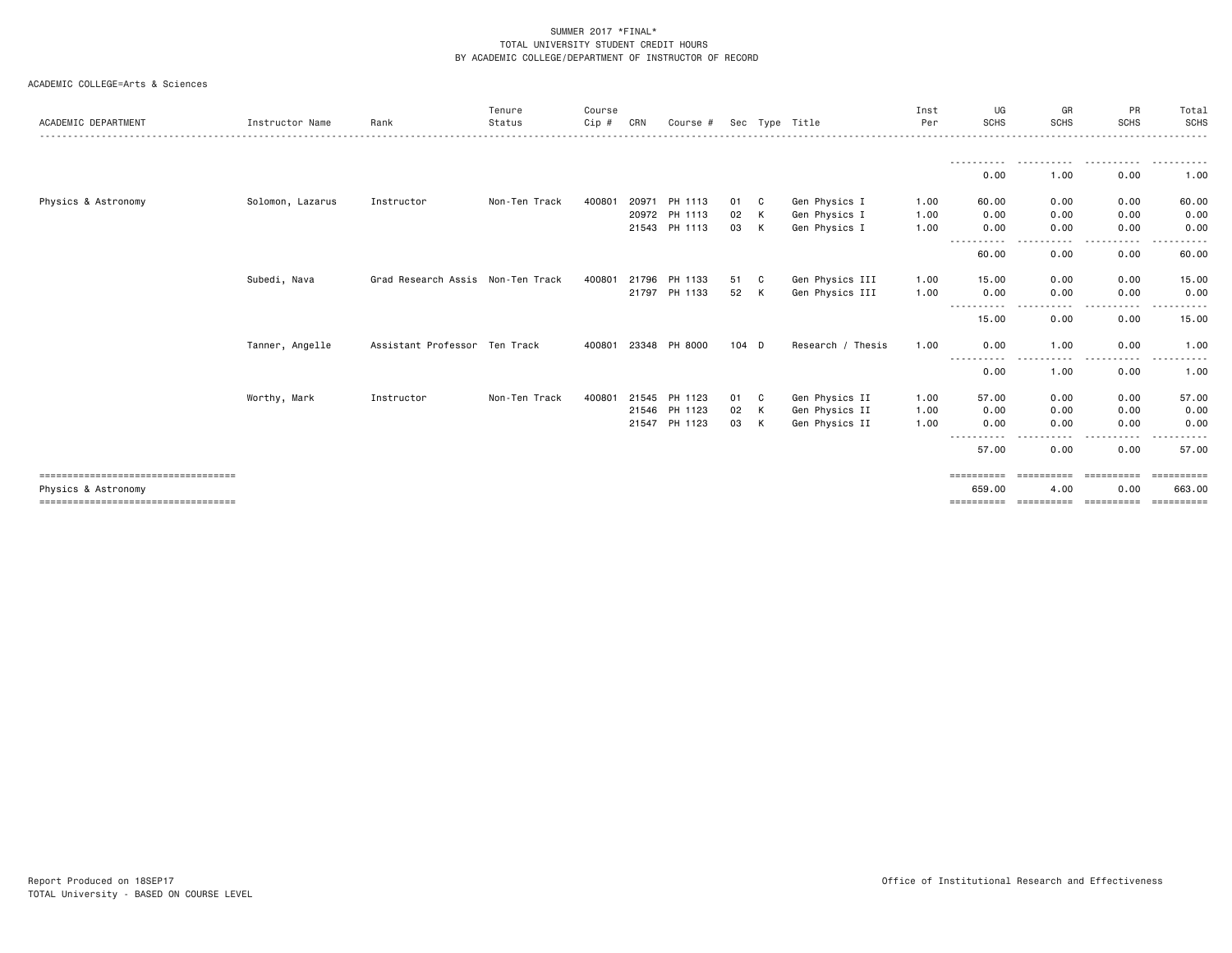| ACADEMIC DEPARTMENT                                          | Instructor Name  | Rank                              | Tenure<br>Status | Course<br>Cip # | CRN   | Course #      |         |   | Sec Type Title    | Inst<br>Per | UG<br><b>SCHS</b>     | GR<br><b>SCHS</b>  | <b>PR</b><br><b>SCHS</b>   | Total<br><b>SCHS</b><br>. <u>.</u> |
|--------------------------------------------------------------|------------------|-----------------------------------|------------------|-----------------|-------|---------------|---------|---|-------------------|-------------|-----------------------|--------------------|----------------------------|------------------------------------|
|                                                              |                  |                                   |                  |                 |       |               |         |   |                   |             |                       |                    | $   -$                     |                                    |
|                                                              |                  |                                   |                  |                 |       |               |         |   |                   |             | 0.00                  | 1.00               | 0.00                       | 1.00                               |
| Physics & Astronomy                                          | Solomon, Lazarus | Instructor                        | Non-Ten Track    | 400801          | 20971 | PH 1113       | 01      | C | Gen Physics I     | 1.00        | 60.00                 | 0.00               | 0.00                       | 60.00                              |
|                                                              |                  |                                   |                  |                 |       | 20972 PH 1113 | 02      | K | Gen Physics I     | 1.00        | 0.00                  | 0.00               | 0.00                       | 0.00                               |
|                                                              |                  |                                   |                  |                 |       | 21543 PH 1113 | 03      | К | Gen Physics I     | 1.00        | 0.00<br>$- - -$       | 0.00               | 0.00                       | 0.00                               |
|                                                              |                  |                                   |                  |                 |       |               |         |   |                   |             | 60.00                 | 0.00               | 0.00                       | 60.00                              |
|                                                              | Subedi, Nava     | Grad Research Assis Non-Ten Track |                  | 400801          | 21796 | PH 1133       | 51      | C | Gen Physics III   | 1.00        | 15.00                 | 0.00               | 0.00                       | 15.00                              |
|                                                              |                  |                                   |                  |                 |       | 21797 PH 1133 | 52      | K | Gen Physics III   | 1.00        | 0.00                  | 0.00               | 0.00                       | 0.00                               |
|                                                              |                  |                                   |                  |                 |       |               |         |   |                   |             | .<br>15.00            | 0.00               | .<br>0.00                  | 15.00                              |
|                                                              | Tanner, Angelle  | Assistant Professor Ten Track     |                  | 400801          | 23348 | PH 8000       | $104$ D |   | Research / Thesis | 1.00        | 0.00                  | 1.00               | 0.00                       | 1.00                               |
|                                                              |                  |                                   |                  |                 |       |               |         |   |                   |             | $\cdots$<br>.<br>0.00 | -----<br>1.00      | $- - - -$<br>-----<br>0.00 | ------<br>1.00                     |
|                                                              | Worthy, Mark     | Instructor                        | Non-Ten Track    | 400801          |       | 21545 PH 1123 | 01      | C | Gen Physics II    | 1.00        | 57.00                 | 0.00               | 0.00                       | 57.00                              |
|                                                              |                  |                                   |                  |                 |       | 21546 PH 1123 | 02      | K | Gen Physics II    | 1.00        | 0.00                  | 0.00               | 0.00                       | 0.00                               |
|                                                              |                  |                                   |                  |                 | 21547 | PH 1123       | 03      | K | Gen Physics II    | 1.00        | 0.00<br>----          | 0.00<br>.          | 0.00<br>-----              | 0.00<br>.                          |
|                                                              |                  |                                   |                  |                 |       |               |         |   |                   |             | 57.00                 | 0.00               | 0.00                       | 57.00                              |
| ----------------------------------                           |                  |                                   |                  |                 |       |               |         |   |                   |             | ==========            | ==========         | ==========                 | ==========                         |
| Physics & Astronomy<br>===================================== |                  |                                   |                  |                 |       |               |         |   |                   |             | 659.00<br>==========  | 4.00<br>========== | 0.00<br>==========         | 663,00                             |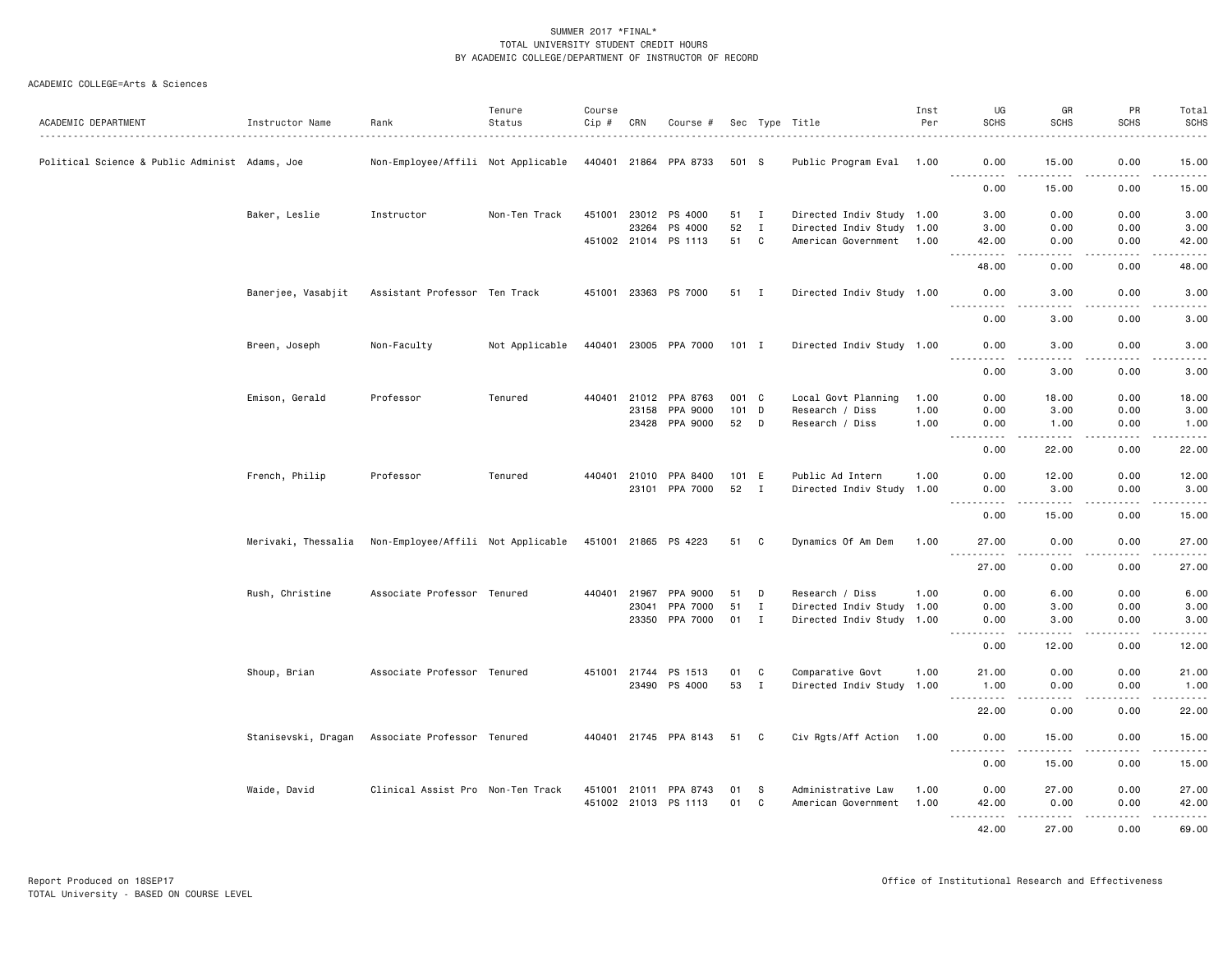| ACADEMIC DEPARTMENT                            | Instructor Name     | Rank                               | Tenure<br>Status | Course<br>Cip # | CRN   | Course #                        |               |                               | Sec Type Title                                         | Inst<br>Per  | UG<br><b>SCHS</b>                       | GR<br><b>SCHS</b>                                                                                                                                            | PR<br><b>SCHS</b>          | Total<br><b>SCHS</b><br>.           |
|------------------------------------------------|---------------------|------------------------------------|------------------|-----------------|-------|---------------------------------|---------------|-------------------------------|--------------------------------------------------------|--------------|-----------------------------------------|--------------------------------------------------------------------------------------------------------------------------------------------------------------|----------------------------|-------------------------------------|
| Political Science & Public Administ Adams, Joe |                     | Non-Employee/Affili Not Applicable |                  |                 |       | 440401 21864 PPA 8733           | 501 S         |                               | Public Program Eval 1.00                               |              | 0.00                                    | 15.00                                                                                                                                                        | 0.00                       | 15.00                               |
|                                                |                     |                                    |                  |                 |       |                                 |               |                               |                                                        |              | <u> - - - - - - - - - -</u><br>0.00     | $- - - - -$<br>15.00                                                                                                                                         | .<br>0.00                  | .<br>15.00                          |
|                                                | Baker, Leslie       | Instructor                         | Non-Ten Track    |                 |       | 451001 23012 PS 4000            | 51 I          |                               | Directed Indiv Study 1.00                              |              | 3.00                                    | 0.00                                                                                                                                                         | 0.00                       | 3.00                                |
|                                                |                     |                                    |                  |                 | 23264 | PS 4000<br>451002 21014 PS 1113 | 52<br>51      | $\mathbf{I}$<br>C             | Directed Indiv Study 1.00<br>American Government 1.00  |              | 3.00<br>42.00                           | 0.00<br>0.00                                                                                                                                                 | 0.00<br>0.00               | 3.00<br>42.00                       |
|                                                |                     |                                    |                  |                 |       |                                 |               |                               |                                                        |              | $- - - - - - -$<br>48.00                | .<br>0.00                                                                                                                                                    | .<br>0.00                  | د د د د د<br>48.00                  |
|                                                | Banerjee, Vasabjit  | Assistant Professor Ten Track      |                  |                 |       | 451001 23363 PS 7000            | 51 I          |                               | Directed Indiv Study 1.00                              |              | 0.00<br>$\cdots$                        | 3.00<br>$\frac{1}{2}$                                                                                                                                        | 0.00<br>.                  | 3.00<br>$\frac{1}{2}$               |
|                                                |                     |                                    |                  |                 |       |                                 |               |                               |                                                        |              | 0.00                                    | 3.00                                                                                                                                                         | 0.00                       | 3.00                                |
|                                                | Breen, Joseph       | Non-Faculty                        | Not Applicable   |                 |       | 440401 23005 PPA 7000           | 101 I         |                               | Directed Indiv Study 1.00                              |              | 0.00                                    | 3.00                                                                                                                                                         | 0.00                       | 3.00<br>-----                       |
|                                                |                     |                                    |                  |                 |       |                                 |               |                               |                                                        |              | 0.00                                    | 3.00                                                                                                                                                         | 0.00                       | 3.00                                |
|                                                | Emison, Gerald      | Professor                          | Tenured          | 440401          |       | 21012 PPA 8763                  | 001 C         |                               | Local Govt Planning                                    | 1.00         | 0.00                                    | 18.00                                                                                                                                                        | 0.00                       | 18.00                               |
|                                                |                     |                                    |                  |                 | 23158 | PPA 9000<br>23428 PPA 9000      | $101$ D<br>52 | $\Box$                        | Research / Diss<br>Research / Diss                     | 1.00<br>1.00 | 0.00<br>0.00                            | 3.00<br>1.00                                                                                                                                                 | 0.00<br>0.00               | 3.00<br>1.00                        |
|                                                |                     |                                    |                  |                 |       |                                 |               |                               |                                                        |              | $\sim$ $\sim$ $\sim$<br>د د د د<br>0.00 | 22.00                                                                                                                                                        | .<br>0.00                  | د د د د د<br>22.00                  |
|                                                | French, Philip      | Professor                          | Tenured          | 440401          | 21010 | PPA 8400                        | 101 E         |                               | Public Ad Intern                                       | 1.00         | 0.00                                    | 12.00                                                                                                                                                        | 0.00                       | 12.00                               |
|                                                |                     |                                    |                  |                 | 23101 | PPA 7000                        | 52 I          |                               | Directed Indiv Study 1.00                              |              | 0.00<br>د د د د د                       | 3.00<br>$\frac{1}{2} \left( \frac{1}{2} \right) \left( \frac{1}{2} \right) \left( \frac{1}{2} \right) \left( \frac{1}{2} \right) \left( \frac{1}{2} \right)$ | 0.00<br>.                  | 3.00<br>$\sim$ $\sim$ $\sim$ $\sim$ |
|                                                |                     |                                    |                  |                 |       |                                 |               |                               |                                                        |              | 0.00                                    | 15.00                                                                                                                                                        | 0.00                       | 15.00                               |
|                                                | Merivaki, Thessalia | Non-Employee/Affili Not Applicable |                  |                 |       | 451001 21865 PS 4223            | 51 C          |                               | Dynamics Of Am Dem                                     | 1.00         | 27.00<br>$\sim$ $\sim$ $\sim$<br>.      | 0.00                                                                                                                                                         | 0.00<br>.                  | 27.00<br>.                          |
|                                                |                     |                                    |                  |                 |       |                                 |               |                               |                                                        |              | 27.00                                   | 0.00                                                                                                                                                         | 0.00                       | 27.00                               |
|                                                | Rush, Christine     | Associate Professor Tenured        |                  | 440401 21967    |       | PPA 9000                        | 51            | D                             | Research / Diss                                        | 1.00         | 0.00                                    | 6.00                                                                                                                                                         | 0.00                       | 6.00                                |
|                                                |                     |                                    |                  |                 | 23041 | PPA 7000<br>23350 PPA 7000      | 51<br>01      | $\mathbf I$<br>$\blacksquare$ | Directed Indiv Study 1.00<br>Directed Indiv Study 1.00 |              | 0.00<br>0.00                            | 3.00<br>3.00                                                                                                                                                 | 0.00<br>0.00               | 3.00<br>3.00                        |
|                                                |                     |                                    |                  |                 |       |                                 |               |                               |                                                        |              | $  -$<br>.<br>0.00                      | .<br>12.00                                                                                                                                                   | .<br>0.00                  | .<br>12.00                          |
|                                                | Shoup, Brian        | Associate Professor Tenured        |                  | 451001          | 21744 | PS 1513                         | 01            | C                             | Comparative Govt                                       | 1.00         | 21.00                                   | 0.00                                                                                                                                                         | 0.00                       | 21.00                               |
|                                                |                     |                                    |                  |                 | 23490 | PS 4000                         | 53            | $\mathbf{I}$                  | Directed Indiv Study 1.00                              |              | 1.00<br>.                               | 0.00<br>.                                                                                                                                                    | 0.00<br>.                  | 1.00<br>.                           |
|                                                |                     |                                    |                  |                 |       |                                 |               |                               |                                                        |              | 22.00                                   | 0.00                                                                                                                                                         | 0.00                       | 22.00                               |
|                                                | Stanisevski, Dragan | Associate Professor Tenured        |                  |                 |       | 440401 21745 PPA 8143           | 51 C          |                               | Civ Rgts/Aff Action                                    | 1.00         | 0.00<br>.                               | 15.00<br>$- - - - -$                                                                                                                                         | 0.00<br>.                  | 15.00<br>.                          |
|                                                |                     |                                    |                  |                 |       |                                 |               |                               |                                                        |              | 0.00                                    | 15.00                                                                                                                                                        | 0.00                       | 15.00                               |
|                                                | Waide, David        | Clinical Assist Pro Non-Ten Track  |                  | 451001          | 21011 | PPA 8743                        | 01            | -S                            | Administrative Law                                     | 1.00         | 0.00                                    | 27.00                                                                                                                                                        | 0.00                       | 27.00                               |
|                                                |                     |                                    |                  |                 |       | 451002 21013 PS 1113            | 01            | C                             | American Government                                    | 1.00         | 42.00<br>.                              | 0.00<br>.                                                                                                                                                    | 0.00<br>.<br>$\frac{1}{2}$ | 42.00<br><u>.</u>                   |
|                                                |                     |                                    |                  |                 |       |                                 |               |                               |                                                        |              | 42.00                                   | 27.00                                                                                                                                                        | 0.00                       | 69.00                               |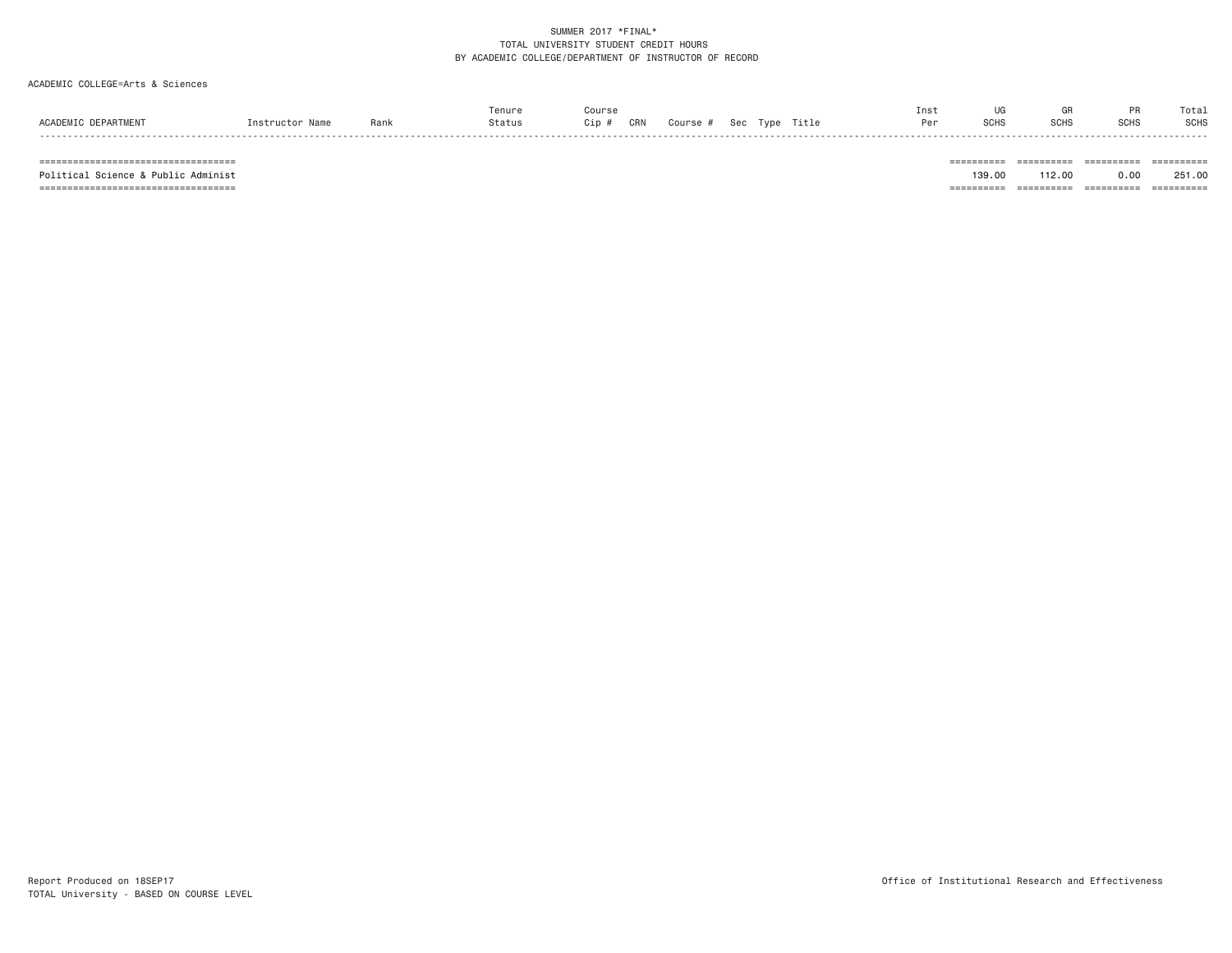#### ACADEMIC COLLEGE=Arts & Sciences

|       | Rank | .enure<br>Status | Course<br>Cip | CRN | Course | Sec | Typr | Title | Inst<br>Per | <b>LIG</b><br>SCH <sub>S</sub> | GR<br><b>SCHS</b> | <b>SCHS</b> | Total<br><b>SCHS</b>     |
|-------|------|------------------|---------------|-----|--------|-----|------|-------|-------------|--------------------------------|-------------------|-------------|--------------------------|
| ----- |      |                  |               |     |        |     |      |       |             |                                |                   |             | ------                   |
|       |      |                  |               |     |        |     |      |       |             |                                |                   | -------     | __________<br>---------- |

Political Science & Public Administ 251.00 251.00 251.00 251.00 251.00 251.00 251.00 =================================== ========== ========== ========== ==========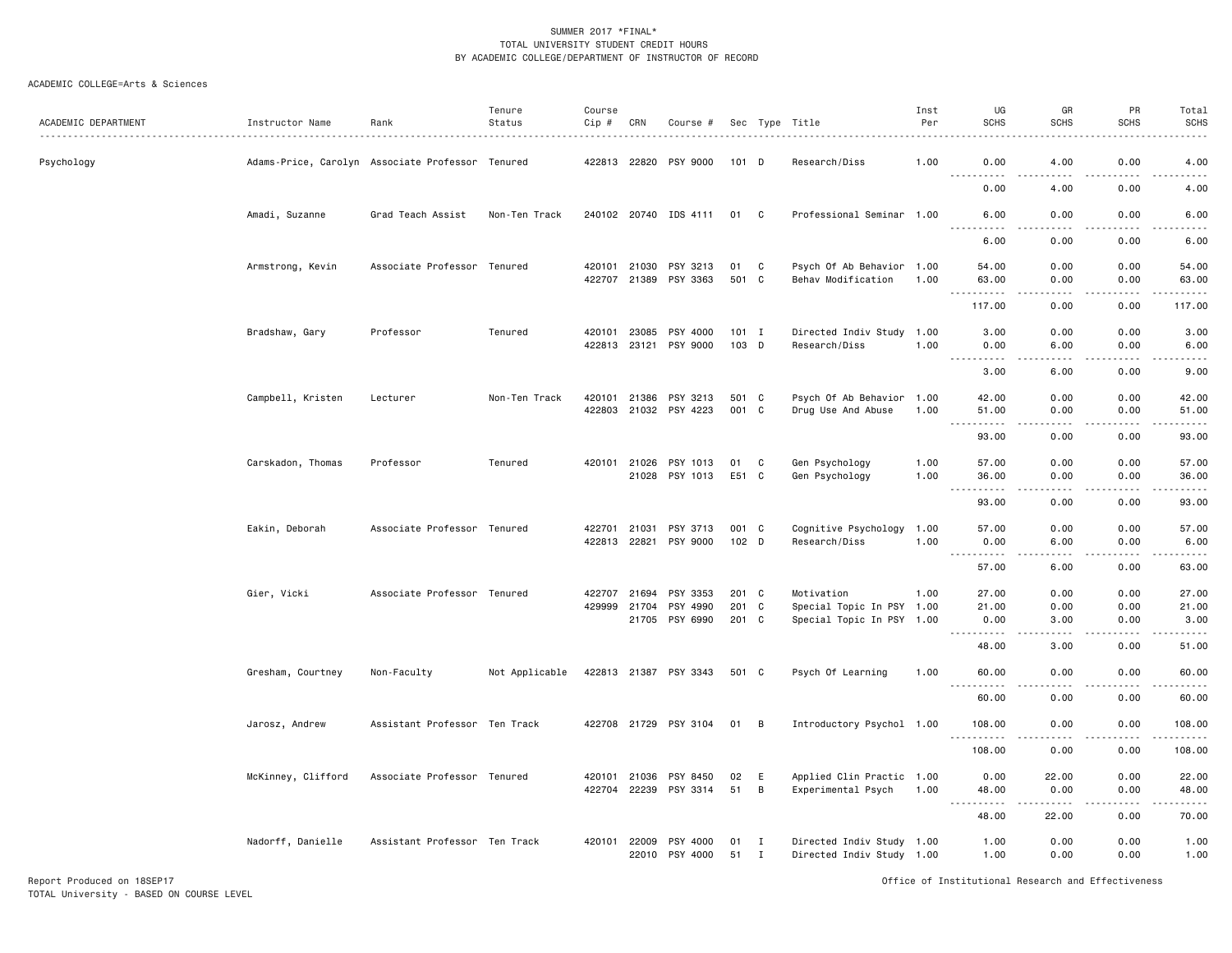#### ACADEMIC COLLEGE=Arts & Sciences

| ACADEMIC DEPARTMENT | Instructor Name    | Rank                                             | Tenure<br>Status | Course<br>Cip #        | CRN   | Course #                          |                           |                          | Sec Type Title                                         | Inst<br>Per  | UG<br><b>SCHS</b>                                                                                            | GR<br><b>SCHS</b>                                                                                                                                             | PR<br><b>SCHS</b> | Total<br><b>SCHS</b>                                                                                                                |
|---------------------|--------------------|--------------------------------------------------|------------------|------------------------|-------|-----------------------------------|---------------------------|--------------------------|--------------------------------------------------------|--------------|--------------------------------------------------------------------------------------------------------------|---------------------------------------------------------------------------------------------------------------------------------------------------------------|-------------------|-------------------------------------------------------------------------------------------------------------------------------------|
| Psychology          |                    | Adams-Price, Carolyn Associate Professor Tenured |                  | 422813 22820           |       | PSY 9000                          | 101 D                     |                          | Research/Diss                                          | 1.00         | 0.00                                                                                                         | 4.00                                                                                                                                                          | 0.00              | 4.00                                                                                                                                |
|                     |                    |                                                  |                  |                        |       |                                   |                           |                          |                                                        |              | 0.00                                                                                                         | 4.00                                                                                                                                                          | 0.00              | 4.00                                                                                                                                |
|                     | Amadi, Suzanne     | Grad Teach Assist                                | Non-Ten Track    |                        |       | 240102 20740 IDS 4111             | 01                        | $\mathbf{C}$             | Professional Seminar 1.00                              |              | 6.00                                                                                                         | 0.00                                                                                                                                                          | 0.00              | 6.00                                                                                                                                |
|                     |                    |                                                  |                  |                        |       |                                   |                           |                          |                                                        |              | 6.00                                                                                                         | 0.00                                                                                                                                                          | 0.00              | 6.00                                                                                                                                |
|                     | Armstrong, Kevin   | Associate Professor Tenured                      |                  | 420101 21030           |       | PSY 3213<br>422707 21389 PSY 3363 | 01<br>501 C               | C                        | Psych Of Ab Behavior 1.00<br>Behav Modification        | 1.00         | 54.00<br>63.00                                                                                               | 0.00<br>0.00                                                                                                                                                  | 0.00<br>0.00      | 54.00<br>63.00                                                                                                                      |
|                     |                    |                                                  |                  |                        |       |                                   |                           |                          |                                                        |              | .<br>117.00                                                                                                  | $\frac{1}{2}$<br>0.00                                                                                                                                         | .<br>0.00         | .<br>117.00                                                                                                                         |
|                     | Bradshaw, Gary     | Professor                                        | Tenured          | 420101<br>422813 23121 | 23085 | PSY 4000<br>PSY 9000              | $101$ I<br>103 D          |                          | Directed Indiv Study 1.00<br>Research/Diss             | 1.00         | 3.00<br>0.00                                                                                                 | 0.00<br>6.00                                                                                                                                                  | 0.00<br>0.00      | 3.00<br>6.00                                                                                                                        |
|                     |                    |                                                  |                  |                        |       |                                   |                           |                          |                                                        |              | 3.00                                                                                                         | 6.00                                                                                                                                                          | 0.00              | 9.00                                                                                                                                |
|                     | Campbell, Kristen  | Lecturer                                         | Non-Ten Track    | 420101<br>422803       | 21386 | PSY 3213<br>21032 PSY 4223        | 501 C<br>001 C            |                          | Psych Of Ab Behavior 1.00<br>Drug Use And Abuse        | 1.00         | 42.00<br>51.00                                                                                               | 0.00<br>0.00                                                                                                                                                  | 0.00<br>0.00      | 42.00<br>51.00                                                                                                                      |
|                     |                    |                                                  |                  |                        |       |                                   |                           |                          |                                                        |              | $- - - - -$<br>93.00                                                                                         | $- - - -$<br>0.00                                                                                                                                             | $- - - -$<br>0.00 | .<br>93.00                                                                                                                          |
|                     | Carskadon, Thomas  | Professor                                        | Tenured          | 420101 21026           | 21028 | PSY 1013<br>PSY 1013              | 01<br>E51 C               | C                        | Gen Psychology<br>Gen Psychology                       | 1.00<br>1.00 | 57.00<br>36.00                                                                                               | 0.00<br>0.00                                                                                                                                                  | 0.00<br>0.00      | 57.00<br>36.00                                                                                                                      |
|                     |                    |                                                  |                  |                        |       |                                   |                           |                          |                                                        |              | $\sim$ $\sim$ $\sim$<br>.<br>93.00                                                                           | د د د د<br>0.00                                                                                                                                               | .<br>0.00         | .<br>93.00                                                                                                                          |
|                     | Eakin, Deborah     | Associate Professor Tenured                      |                  | 422701                 | 21031 | PSY 3713<br>422813 22821 PSY 9000 | 001 C<br>102 <sub>D</sub> |                          | Cognitive Psychology<br>Research/Diss                  | 1.00<br>1.00 | 57.00<br>0.00                                                                                                | 0.00<br>6.00                                                                                                                                                  | 0.00<br>0.00      | 57.00<br>6.00                                                                                                                       |
|                     |                    |                                                  |                  |                        |       |                                   |                           |                          |                                                        |              | $\sim$ $\sim$ $\sim$<br>-----                                                                                | $\sim$ $\sim$ $\sim$                                                                                                                                          | .                 | .                                                                                                                                   |
|                     |                    |                                                  |                  |                        |       |                                   |                           |                          |                                                        |              | 57.00                                                                                                        | 6.00                                                                                                                                                          | 0.00              | 63.00                                                                                                                               |
|                     | Gier, Vicki        | Associate Professor Tenured                      |                  | 422707<br>429999 21704 | 21694 | PSY 3353<br>PSY 4990              | 201 C<br>201 C            |                          | Motivation<br>Special Topic In PSY 1.00                | 1.00         | 27.00<br>21.00                                                                                               | 0.00<br>0.00                                                                                                                                                  | 0.00<br>0.00      | 27.00<br>21.00                                                                                                                      |
|                     |                    |                                                  |                  |                        | 21705 | PSY 6990                          | 201 C                     |                          | Special Topic In PSY 1.00                              |              | 0.00                                                                                                         | 3.00                                                                                                                                                          | 0.00              | 3.00                                                                                                                                |
|                     |                    |                                                  |                  |                        |       |                                   |                           |                          |                                                        |              | .<br>$\frac{1}{2} \left( \frac{1}{2} \right) \left( \frac{1}{2} \right) \left( \frac{1}{2} \right)$<br>48.00 | $- - - -$<br>3.00                                                                                                                                             | .<br>0.00         | .<br>51.00                                                                                                                          |
|                     | Gresham, Courtney  | Non-Faculty                                      | Not Applicable   |                        |       | 422813 21387 PSY 3343             | 501 C                     |                          | Psych Of Learning                                      | 1.00         | 60.00                                                                                                        | 0.00                                                                                                                                                          | 0.00              | 60.00                                                                                                                               |
|                     |                    |                                                  |                  |                        |       |                                   |                           |                          |                                                        |              | $\sim$ $\sim$ $\sim$<br>60.00                                                                                | 0.00                                                                                                                                                          | 0.00              | .<br>60.00                                                                                                                          |
|                     | Jarosz, Andrew     | Assistant Professor Ten Track                    |                  |                        |       | 422708 21729 PSY 3104             | 01                        | B                        | Introductory Psychol 1.00                              |              | 108.00<br>----------                                                                                         | 0.00                                                                                                                                                          | 0.00<br>.         | 108.00<br>$\begin{array}{cccccccccccccc} \bullet & \bullet & \bullet & \bullet & \bullet & \bullet & \bullet & \bullet \end{array}$ |
|                     |                    |                                                  |                  |                        |       |                                   |                           |                          |                                                        |              | 108.00                                                                                                       | 0.00                                                                                                                                                          | 0.00              | 108.00                                                                                                                              |
|                     | McKinney, Clifford | Associate Professor Tenured                      |                  | 420101                 | 21036 | PSY 8450<br>422704 22239 PSY 3314 | 02<br>51                  | E<br>B                   | Applied Clin Practic 1.00<br>Experimental Psych        | 1.00         | 0.00<br>48.00                                                                                                | 22.00<br>0.00                                                                                                                                                 | 0.00<br>0.00      | 22.00<br>48.00                                                                                                                      |
|                     |                    |                                                  |                  |                        |       |                                   |                           |                          |                                                        |              | .<br>48.00                                                                                                   | $\frac{1}{2} \left( \frac{1}{2} \right) \left( \frac{1}{2} \right) \left( \frac{1}{2} \right) \left( \frac{1}{2} \right) \left( \frac{1}{2} \right)$<br>22.00 | .<br>0.00         | .<br>70.00                                                                                                                          |
|                     | Nadorff, Danielle  | Assistant Professor Ten Track                    |                  | 420101 22009           | 22010 | PSY 4000<br>PSY 4000              | 01<br>51                  | <b>I</b><br>$\mathbf{I}$ | Directed Indiv Study 1.00<br>Directed Indiv Study 1.00 |              | 1.00<br>1.00                                                                                                 | 0.00<br>0.00                                                                                                                                                  | 0.00<br>0.00      | 1.00<br>1.00                                                                                                                        |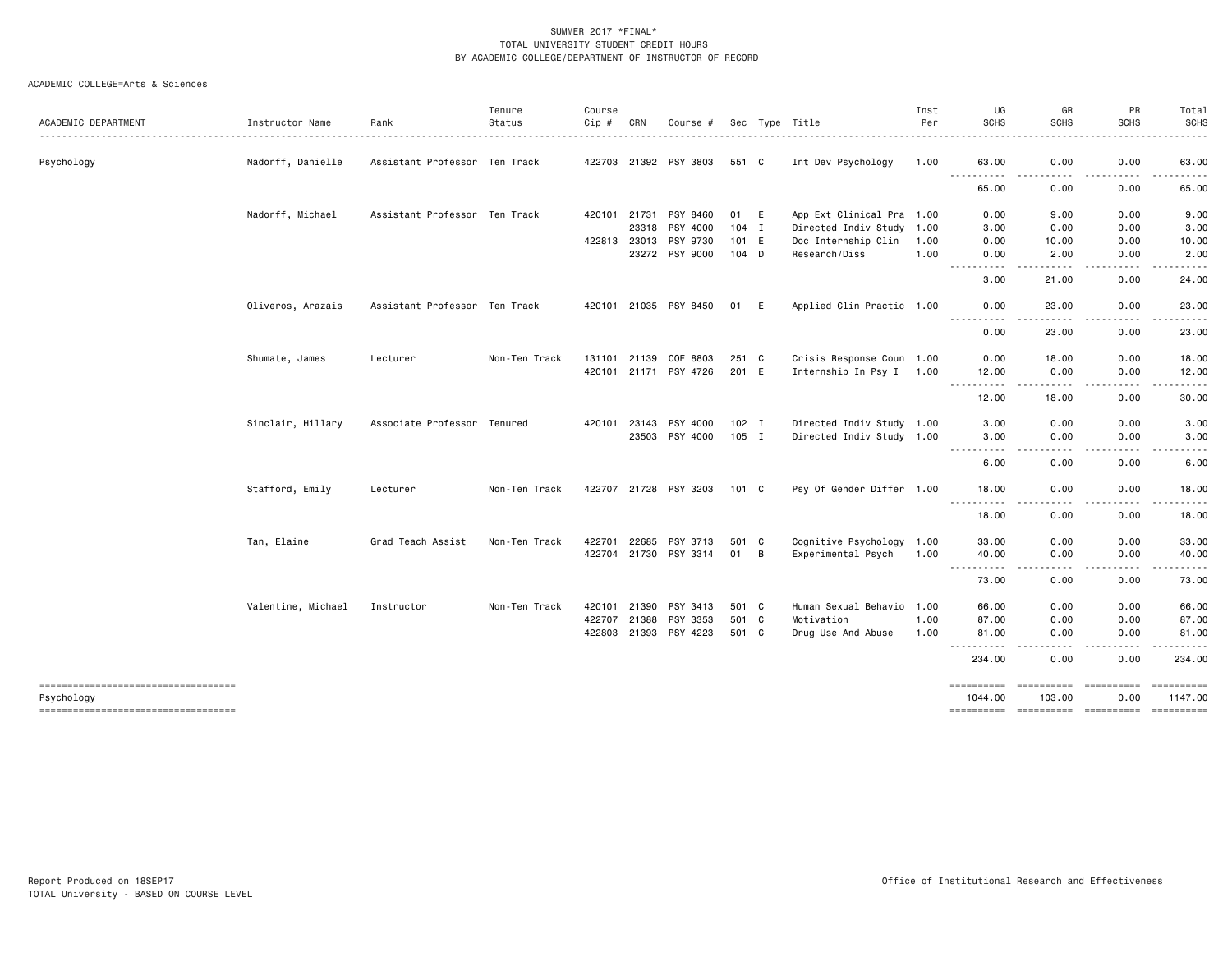| ACADEMIC DEPARTMENT                              | Instructor Name    | Rank                          | Tenure<br>Status | Course<br>Cip # | CRN          | Course #              |               |   | Sec Type Title            | Inst<br>Per | UG<br><b>SCHS</b>                                                                                                                                                                                                                                                                          | GR<br><b>SCHS</b>               | PR<br><b>SCHS</b>        | Total<br>SCHS        |
|--------------------------------------------------|--------------------|-------------------------------|------------------|-----------------|--------------|-----------------------|---------------|---|---------------------------|-------------|--------------------------------------------------------------------------------------------------------------------------------------------------------------------------------------------------------------------------------------------------------------------------------------------|---------------------------------|--------------------------|----------------------|
|                                                  |                    |                               |                  |                 |              |                       |               |   |                           |             |                                                                                                                                                                                                                                                                                            |                                 |                          | .                    |
| Psychology                                       | Nadorff, Danielle  | Assistant Professor Ten Track |                  |                 |              | 422703 21392 PSY 3803 | 551 C         |   | Int Dev Psychology        | 1.00        | 63.00                                                                                                                                                                                                                                                                                      | 0.00                            | 0.00                     | 63.00                |
|                                                  |                    |                               |                  |                 |              |                       |               |   |                           |             | $\begin{array}{cccccccccccccc} \bullet & \bullet & \bullet & \bullet & \bullet & \bullet & \bullet \end{array}$<br>$\frac{1}{2} \left( \frac{1}{2} \right) \left( \frac{1}{2} \right) \left( \frac{1}{2} \right) \left( \frac{1}{2} \right)$<br>65.00                                      | .<br>0.00                       | -----<br>0.00            | .<br>65.00           |
|                                                  | Nadorff, Michael   | Assistant Professor Ten Track |                  |                 |              | 420101 21731 PSY 8460 | 01 E          |   | App Ext Clinical Pra 1.00 |             | 0.00                                                                                                                                                                                                                                                                                       | 9.00                            | 0.00                     | 9.00                 |
|                                                  |                    |                               |                  |                 | 23318        | PSY 4000              | $104$ I       |   | Directed Indiv Study 1.00 |             | 3.00                                                                                                                                                                                                                                                                                       | 0.00                            | 0.00                     | 3.00                 |
|                                                  |                    |                               |                  |                 | 422813 23013 | PSY 9730              | 101 E         |   | Doc Internship Clin       | 1.00        | 0.00                                                                                                                                                                                                                                                                                       | 10.00                           | 0.00                     | 10.00                |
|                                                  |                    |                               |                  |                 |              | 23272 PSY 9000        | 104 D         |   | Research/Diss             | 1.00        | 0.00<br><u>.</u>                                                                                                                                                                                                                                                                           | 2.00<br>-----                   | 0.00<br>.                | 2.00<br>. <b>.</b> . |
|                                                  |                    |                               |                  |                 |              |                       |               |   |                           |             | 3,00                                                                                                                                                                                                                                                                                       | 21.00                           | 0.00                     | 24.00                |
|                                                  | Oliveros, Arazais  | Assistant Professor Ten Track |                  |                 |              | 420101 21035 PSY 8450 | 01            | E | Applied Clin Practic 1.00 |             | 0.00                                                                                                                                                                                                                                                                                       | 23.00                           | 0.00                     | 23.00                |
|                                                  |                    |                               |                  |                 |              |                       |               |   |                           |             | .<br>0.00                                                                                                                                                                                                                                                                                  | .<br>23.00                      | .<br>0.00                | .<br>23.00           |
|                                                  | Shumate, James     | Lecturer                      | Non-Ten Track    |                 | 131101 21139 | COE 8803              | 251 C         |   | Crisis Response Coun 1.00 |             | 0.00                                                                                                                                                                                                                                                                                       | 18.00                           | 0.00                     | 18.00                |
|                                                  |                    |                               |                  |                 |              | 420101 21171 PSY 4726 | 201 E         |   | Internship In Psy I 1.00  |             | 12.00<br>.                                                                                                                                                                                                                                                                                 | 0.00<br>.                       | 0.00<br>.                | 12.00<br>-----       |
|                                                  |                    |                               |                  |                 |              |                       |               |   |                           |             | 12.00                                                                                                                                                                                                                                                                                      | 18.00                           | 0.00                     | 30.00                |
|                                                  | Sinclair, Hillary  | Associate Professor Tenured   |                  |                 | 420101 23143 | PSY 4000              | $102$ I       |   | Directed Indiv Study 1.00 |             | 3.00                                                                                                                                                                                                                                                                                       | 0.00                            | 0.00                     | 3.00                 |
|                                                  |                    |                               |                  |                 |              | 23503 PSY 4000        | 105 I         |   | Directed Indiv Study 1.00 |             | 3,00<br>-----<br>.                                                                                                                                                                                                                                                                         | 0.00<br>. <b>.</b> .            | 0.00<br>.                | 3.00<br>.            |
|                                                  |                    |                               |                  |                 |              |                       |               |   |                           |             | 6.00                                                                                                                                                                                                                                                                                       | 0.00                            | 0.00                     | 6.00                 |
|                                                  | Stafford, Emily    | Lecturer                      | Non-Ten Track    |                 |              | 422707 21728 PSY 3203 | $101 \quad C$ |   | Psy Of Gender Differ 1.00 |             | 18.00<br>.                                                                                                                                                                                                                                                                                 | 0.00<br>. <b>.</b>              | 0.00<br>.                | 18.00<br>.           |
|                                                  |                    |                               |                  |                 |              |                       |               |   |                           |             | 18.00                                                                                                                                                                                                                                                                                      | 0.00                            | 0.00                     | 18.00                |
|                                                  | Tan, Elaine        | Grad Teach Assist             | Non-Ten Track    | 422701          | 22685        | PSY 3713              | 501 C         |   | Cognitive Psychology 1.00 |             | 33.00                                                                                                                                                                                                                                                                                      | 0.00                            | 0.00                     | 33.00                |
|                                                  |                    |                               |                  |                 |              | 422704 21730 PSY 3314 | 01            | B | Experimental Psych        | 1.00        | 40.00<br>.                                                                                                                                                                                                                                                                                 | 0.00<br>.                       | 0.00<br>-----            | 40.00<br>.           |
|                                                  |                    |                               |                  |                 |              |                       |               |   |                           |             | 73.00                                                                                                                                                                                                                                                                                      | 0.00                            | 0.00                     | 73.00                |
|                                                  | Valentine, Michael | Instructor                    | Non-Ten Track    | 420101          | 21390        | PSY 3413              | 501 C         |   | Human Sexual Behavio 1.00 |             | 66.00                                                                                                                                                                                                                                                                                      | 0.00                            | 0.00                     | 66.00                |
|                                                  |                    |                               |                  | 422707          | 21388        | PSY 3353              | 501 C         |   | Motivation                | 1.00        | 87.00                                                                                                                                                                                                                                                                                      | 0.00                            | 0.00                     | 87.00                |
|                                                  |                    |                               |                  |                 | 422803 21393 | PSY 4223              | 501 C         |   | Drug Use And Abuse        | 1.00        | 81.00<br>$\frac{1}{2} \left( \frac{1}{2} \right) \left( \frac{1}{2} \right) \left( \frac{1}{2} \right) \left( \frac{1}{2} \right) \left( \frac{1}{2} \right)$<br>$\frac{1}{2} \left( \frac{1}{2} \right) \left( \frac{1}{2} \right) \left( \frac{1}{2} \right) \left( \frac{1}{2} \right)$ | 0.00                            | 0.00                     | 81.00                |
|                                                  |                    |                               |                  |                 |              |                       |               |   |                           |             | 234.00                                                                                                                                                                                                                                                                                     | 0.00                            | 0.00                     | 234.00               |
| ----------------------------------<br>Psychology |                    |                               |                  |                 |              |                       |               |   |                           |             | ==========<br>1044.00                                                                                                                                                                                                                                                                      | ==========<br>103.00            | <b>ESSESSESS</b><br>0.00 | 1147.00              |
| ----------------------------------               |                    |                               |                  |                 |              |                       |               |   |                           |             |                                                                                                                                                                                                                                                                                            | ---------- ---------- --------- |                          |                      |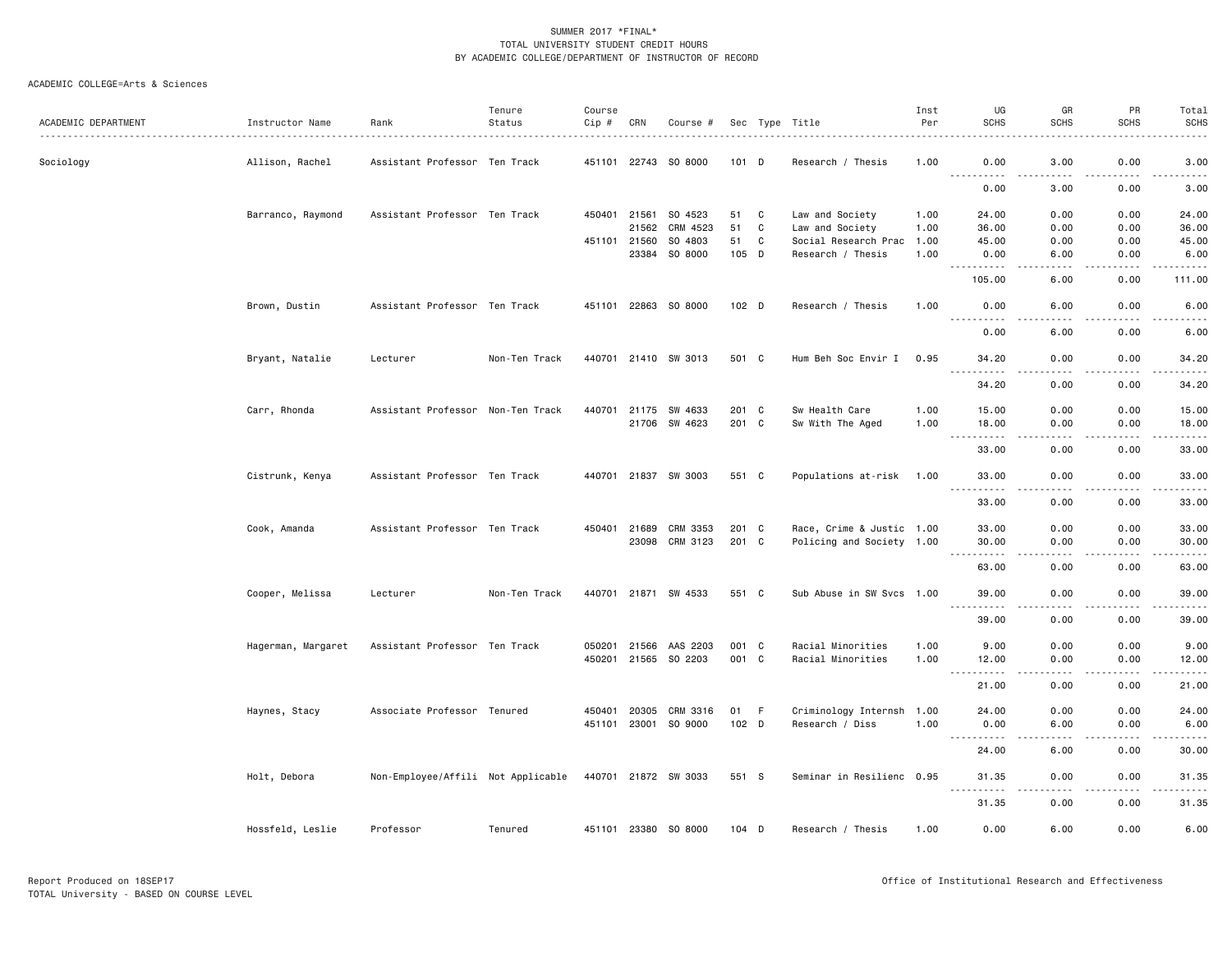| ACADEMIC DEPARTMENT | Instructor Name    | Rank                               | Tenure<br>Status | Course<br>Cip # | CRN          | Course #             |                  |             | Sec Type Title                               | Inst<br>Per | UG<br><b>SCHS</b>                                                                                            | GR<br><b>SCHS</b>     | PR<br><b>SCHS</b>     | Total<br><b>SCHS</b><br>. |
|---------------------|--------------------|------------------------------------|------------------|-----------------|--------------|----------------------|------------------|-------------|----------------------------------------------|-------------|--------------------------------------------------------------------------------------------------------------|-----------------------|-----------------------|---------------------------|
| Sociology           | Allison, Rachel    | Assistant Professor Ten Track      |                  | 451101 22743    |              | SO 8000              | $101$ D          |             | Research / Thesis                            | 1.00        | 0.00<br>.                                                                                                    | 3.00                  | 0.00                  | 3.00                      |
|                     |                    |                                    |                  |                 |              |                      |                  |             |                                              |             | 0.00                                                                                                         | 3.00                  | 0.00                  | 3.00                      |
|                     | Barranco, Raymond  | Assistant Professor Ten Track      |                  | 450401 21561    |              | SO 4523              | 51               | C           | Law and Society                              | 1.00        | 24.00                                                                                                        | 0.00                  | 0.00                  | 24.00                     |
|                     |                    |                                    |                  |                 | 21562        | CRM 4523             | 51               | $\mathbf c$ | Law and Society                              | 1.00        | 36.00                                                                                                        | 0.00                  | 0.00                  | 36.00                     |
|                     |                    |                                    |                  | 451101 21560    |              | SO 4803              | 51               | C           | Social Research Prac                         | 1.00        | 45.00                                                                                                        | 0.00                  | 0.00                  | 45.00                     |
|                     |                    |                                    |                  |                 | 23384        | SO 8000              | 105 D            |             | Research / Thesis                            | 1.00        | 0.00<br>.                                                                                                    | 6.00<br>.             | 0.00<br>.             | 6.00<br>.                 |
|                     |                    |                                    |                  |                 |              |                      |                  |             |                                              |             | 105.00                                                                                                       | 6.00                  | 0.00                  | 111.00                    |
|                     | Brown, Dustin      | Assistant Professor Ten Track      |                  |                 |              | 451101 22863 SO 8000 | 102 <sub>D</sub> |             | Research / Thesis                            | 1.00        | 0.00<br>.                                                                                                    | 6.00<br>.             | 0.00<br>$\frac{1}{2}$ | 6.00<br>$- - - - -$       |
|                     |                    |                                    |                  |                 |              |                      |                  |             |                                              |             | 0.00                                                                                                         | 6.00                  | 0.00                  | 6.00                      |
|                     | Bryant, Natalie    | Lecturer                           | Non-Ten Track    |                 |              | 440701 21410 SW 3013 | 501 C            |             | Hum Beh Soc Envir I                          | 0.95        | 34.20                                                                                                        | 0.00                  | 0.00                  | 34.20                     |
|                     |                    |                                    |                  |                 |              |                      |                  |             |                                              |             | <u> - - - - - - - - - -</u><br>34.20                                                                         | 0.00                  | 0.00                  | 34.20                     |
|                     |                    |                                    |                  |                 |              |                      |                  |             |                                              |             |                                                                                                              |                       |                       |                           |
|                     | Carr, Rhonda       | Assistant Professor Non-Ten Track  |                  |                 |              | 440701 21175 SW 4633 | 201 C            |             | Sw Health Care                               | 1.00        | 15.00                                                                                                        | 0.00                  | 0.00                  | 15.00                     |
|                     |                    |                                    |                  |                 | 21706        | SW 4623              | 201 C            |             | Sw With The Aged                             | 1.00        | 18.00<br>.<br>$\frac{1}{2} \left( \frac{1}{2} \right) \left( \frac{1}{2} \right) \left( \frac{1}{2} \right)$ | 0.00<br>$\frac{1}{2}$ | 0.00<br>.             | 18.00<br>.                |
|                     |                    |                                    |                  |                 |              |                      |                  |             |                                              |             | 33.00                                                                                                        | 0.00                  | 0.00                  | 33.00                     |
|                     | Cistrunk, Kenya    | Assistant Professor Ten Track      |                  |                 |              | 440701 21837 SW 3003 | 551 C            |             | Populations at-risk                          | 1.00        | 33.00<br><u> - - - - - - - - - -</u>                                                                         | 0.00                  | 0.00                  | 33.00<br>.                |
|                     |                    |                                    |                  |                 |              |                      |                  |             |                                              |             | 33.00                                                                                                        | 0.00                  | 0.00                  | 33.00                     |
|                     | Cook, Amanda       | Assistant Professor Ten Track      |                  |                 | 450401 21689 | CRM 3353             | 201 C            |             | Race, Crime & Justic 1.00                    |             | 33.00                                                                                                        | 0.00                  | 0.00                  | 33.00                     |
|                     |                    |                                    |                  |                 | 23098        | CRM 3123             | 201 C            |             | Policing and Society 1.00                    |             | 30.00                                                                                                        | 0.00                  | 0.00                  | 30.00                     |
|                     |                    |                                    |                  |                 |              |                      |                  |             |                                              |             | .<br>$\sim$ $\sim$ $\sim$                                                                                    | $\frac{1}{2}$         | .                     | .                         |
|                     |                    |                                    |                  |                 |              |                      |                  |             |                                              |             | 63.00                                                                                                        | 0.00                  | 0.00                  | 63.00                     |
|                     | Cooper, Melissa    | Lecturer                           | Non-Ten Track    |                 |              | 440701 21871 SW 4533 | 551 C            |             | Sub Abuse in SW Svcs 1.00                    |             | 39.00<br>.                                                                                                   | 0.00                  | 0.00<br>.             | 39.00<br>.                |
|                     |                    |                                    |                  |                 |              |                      |                  |             |                                              |             | 39.00                                                                                                        | 0.00                  | 0.00                  | 39.00                     |
|                     | Hagerman, Margaret | Assistant Professor Ten Track      |                  | 050201          | 21566        | AAS 2203             | 001 C            |             | Racial Minorities                            | 1.00        | 9.00                                                                                                         | 0.00                  | 0.00                  | 9.00                      |
|                     |                    |                                    |                  | 450201 21565    |              | SO 2203              | 001 C            |             | Racial Minorities                            | 1.00        | 12.00                                                                                                        | 0.00                  | 0.00                  | 12.00                     |
|                     |                    |                                    |                  |                 |              |                      |                  |             |                                              |             | <u>.</u><br>21.00                                                                                            | $- - - -$<br>0.00     | .<br>0.00             | .<br>21.00                |
|                     |                    |                                    |                  | 450401          | 20305        | CRM 3316             | 01               | F           |                                              |             |                                                                                                              |                       |                       | 24.00                     |
|                     | Haynes, Stacy      | Associate Professor Tenured        |                  |                 |              | 451101 23001 SO 9000 | $102$ D          |             | Criminology Internsh 1.00<br>Research / Diss | 1.00        | 24.00<br>0.00                                                                                                | 0.00<br>6.00          | 0.00<br>0.00          | 6.00                      |
|                     |                    |                                    |                  |                 |              |                      |                  |             |                                              |             | $\sim$ $\sim$ $\sim$<br>.                                                                                    | د د د د               | .                     | .                         |
|                     |                    |                                    |                  |                 |              |                      |                  |             |                                              |             | 24.00                                                                                                        | 6.00                  | 0.00                  | 30.00                     |
|                     | Holt, Debora       | Non-Employee/Affili Not Applicable |                  |                 |              | 440701 21872 SW 3033 | 551 S            |             | Seminar in Resilienc 0.95                    |             | 31.35<br>$- - - - -$                                                                                         | 0.00<br>$\frac{1}{2}$ | 0.00<br>$- - - -$     | 31.35<br>.                |
|                     |                    |                                    |                  |                 |              |                      |                  |             |                                              |             | 31.35                                                                                                        | 0.00                  | 0.00                  | 31.35                     |
|                     | Hossfeld, Leslie   | Professor                          | Tenured          |                 |              | 451101 23380 SO 8000 | 104 D            |             | Research / Thesis                            | 1.00        | 0.00                                                                                                         | 6.00                  | 0.00                  | 6.00                      |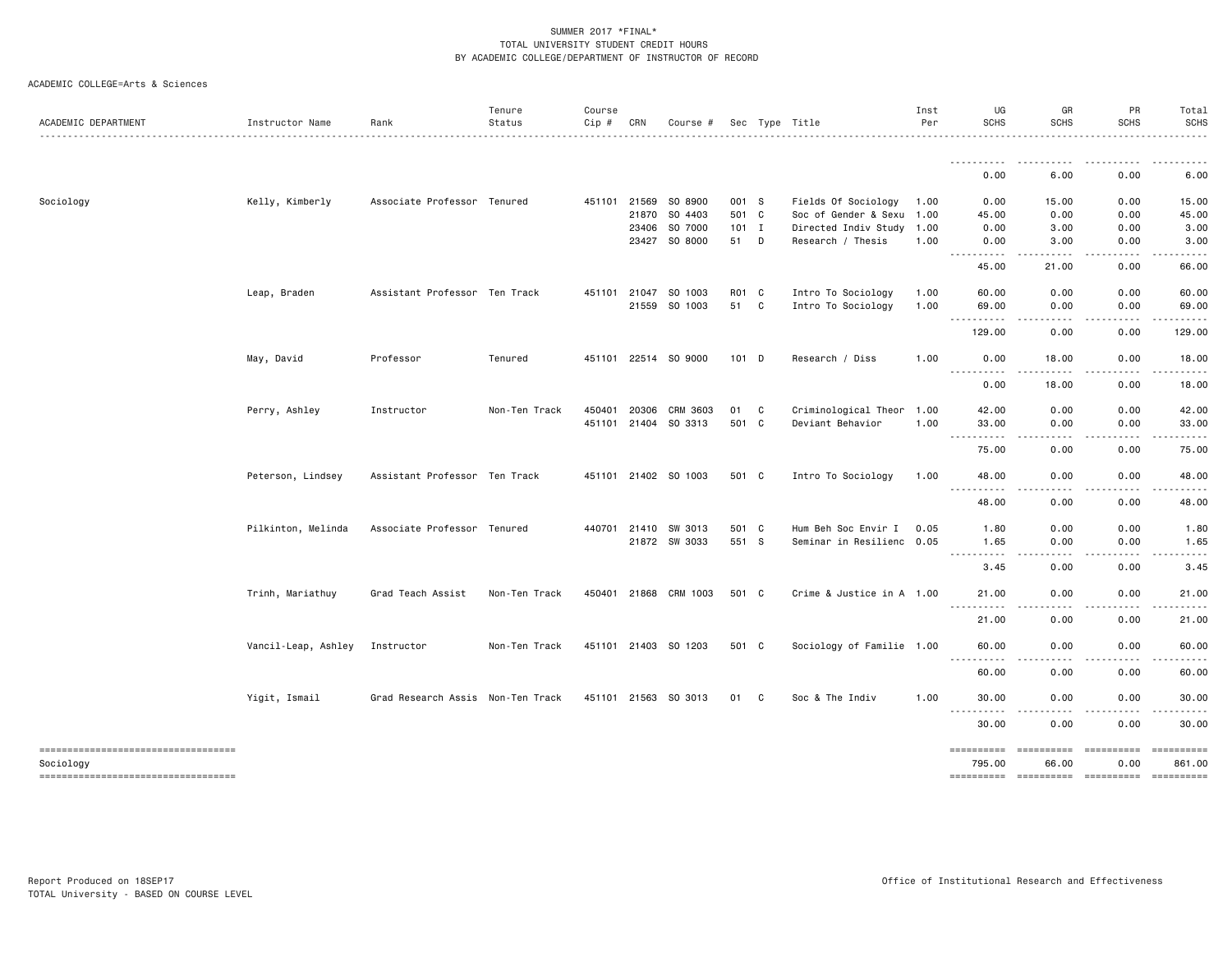|  | ACADEMIC COLLEGE=Arts & Sciences |  |  |
|--|----------------------------------|--|--|
|--|----------------------------------|--|--|

| ACADEMIC DEPARTMENT                              | Instructor Name     | Rank                              | Tenure<br>Status | Course<br>Cip # | CRN          | Course #              |         |   | Sec Type Title            | Inst<br>Per | UG<br>SCHS                 | GR<br><b>SCHS</b>      | PR<br><b>SCHS</b> | Total<br><b>SCHS</b>                                                                                                                                                                                                                                                                                                                                                                                                                                                                   |
|--------------------------------------------------|---------------------|-----------------------------------|------------------|-----------------|--------------|-----------------------|---------|---|---------------------------|-------------|----------------------------|------------------------|-------------------|----------------------------------------------------------------------------------------------------------------------------------------------------------------------------------------------------------------------------------------------------------------------------------------------------------------------------------------------------------------------------------------------------------------------------------------------------------------------------------------|
|                                                  |                     |                                   |                  |                 |              |                       |         |   |                           |             |                            |                        |                   |                                                                                                                                                                                                                                                                                                                                                                                                                                                                                        |
|                                                  |                     |                                   |                  |                 |              |                       |         |   |                           |             | 0.00                       | 6.00                   | 0.00              | 6.00                                                                                                                                                                                                                                                                                                                                                                                                                                                                                   |
| Sociology                                        | Kelly, Kimberly     | Associate Professor Tenured       |                  |                 | 451101 21569 | SO 8900               | 001 S   |   | Fields Of Sociology       | 1.00        | 0.00                       | 15.00                  | 0.00              | 15.00                                                                                                                                                                                                                                                                                                                                                                                                                                                                                  |
|                                                  |                     |                                   |                  |                 | 21870        | SO 4403               | 501 C   |   | Soc of Gender & Sexu      | 1.00        | 45.00                      | 0.00                   | 0.00              | 45.00                                                                                                                                                                                                                                                                                                                                                                                                                                                                                  |
|                                                  |                     |                                   |                  |                 | 23406        | SO 7000               | 101 I   |   | Directed Indiv Study      | 1.00        | 0.00                       | 3.00                   | 0.00              | 3.00                                                                                                                                                                                                                                                                                                                                                                                                                                                                                   |
|                                                  |                     |                                   |                  |                 |              | 23427 SO 8000         | 51      | D | Research / Thesis         | 1.00        | 0.00<br>-----              | 3.00<br>-----          | 0.00<br>.         | 3.00<br>.                                                                                                                                                                                                                                                                                                                                                                                                                                                                              |
|                                                  |                     |                                   |                  |                 |              |                       |         |   |                           |             | 45.00                      | 21.00                  | 0.00              | 66.00                                                                                                                                                                                                                                                                                                                                                                                                                                                                                  |
|                                                  | Leap, Braden        | Assistant Professor Ten Track     |                  |                 | 451101 21047 | SO 1003               | R01 C   |   | Intro To Sociology        | 1.00        | 60.00                      | 0.00                   | 0.00              | 60.00                                                                                                                                                                                                                                                                                                                                                                                                                                                                                  |
|                                                  |                     |                                   |                  |                 |              | 21559 SO 1003         | 51 C    |   | Intro To Sociology        | 1.00        | 69.00<br><b></b>           | 0.00<br>-----<br>$  -$ | 0.00<br>-----     | 69.00<br>.                                                                                                                                                                                                                                                                                                                                                                                                                                                                             |
|                                                  |                     |                                   |                  |                 |              |                       |         |   |                           |             | 129.00                     | 0.00                   | 0.00              | 129.00                                                                                                                                                                                                                                                                                                                                                                                                                                                                                 |
|                                                  | May, David          | Professor                         | Tenured          |                 |              | 451101 22514 SO 9000  | $101$ D |   | Research / Diss           | 1.00        | 0.00<br><b></b>            | 18.00                  | 0.00              | 18.00                                                                                                                                                                                                                                                                                                                                                                                                                                                                                  |
|                                                  |                     |                                   |                  |                 |              |                       |         |   |                           |             | 0.00                       | 18.00                  | 0.00              | 18.00                                                                                                                                                                                                                                                                                                                                                                                                                                                                                  |
|                                                  | Perry, Ashley       | Instructor                        | Non-Ten Track    | 450401          | 20306        | CRM 3603              | 01      | C | Criminological Theor      | 1.00        | 42.00                      | 0.00                   | 0.00              | 42.00                                                                                                                                                                                                                                                                                                                                                                                                                                                                                  |
|                                                  |                     |                                   |                  |                 |              | 451101 21404 SO 3313  | 501 C   |   | Deviant Behavior          | 1.00        | 33.00<br><u>.</u>          | 0.00<br>.              | 0.00<br>.         | 33.00<br>.                                                                                                                                                                                                                                                                                                                                                                                                                                                                             |
|                                                  |                     |                                   |                  |                 |              |                       |         |   |                           |             | 75.00                      | 0.00                   | 0.00              | 75.00                                                                                                                                                                                                                                                                                                                                                                                                                                                                                  |
|                                                  | Peterson, Lindsey   | Assistant Professor Ten Track     |                  |                 |              | 451101 21402 SO 1003  | 501 C   |   | Intro To Sociology        | 1.00        | 48.00<br>$- - - -$<br>---- | 0.00                   | 0.00              | 48.00                                                                                                                                                                                                                                                                                                                                                                                                                                                                                  |
|                                                  |                     |                                   |                  |                 |              |                       |         |   |                           |             | 48.00                      | 0.00                   | 0.00              | 48.00                                                                                                                                                                                                                                                                                                                                                                                                                                                                                  |
|                                                  | Pilkinton, Melinda  | Associate Professor Tenured       |                  |                 | 440701 21410 | SW 3013               | 501 C   |   | Hum Beh Soc Envir I       | 0.05        | 1.80                       | 0.00                   | 0.00              | 1.80                                                                                                                                                                                                                                                                                                                                                                                                                                                                                   |
|                                                  |                     |                                   |                  |                 |              | 21872 SW 3033         | 551 S   |   | Seminar in Resilienc 0.05 |             | 1.65<br>.                  | 0.00<br>.              | 0.00              | 1.65<br>.                                                                                                                                                                                                                                                                                                                                                                                                                                                                              |
|                                                  |                     |                                   |                  |                 |              |                       |         |   |                           |             | 3.45                       | 0.00                   | 0.00              | 3.45                                                                                                                                                                                                                                                                                                                                                                                                                                                                                   |
|                                                  | Trinh, Mariathuy    | Grad Teach Assist                 | Non-Ten Track    |                 |              | 450401 21868 CRM 1003 | 501 C   |   | Crime & Justice in A 1.00 |             | 21.00                      | 0.00                   | 0.00              | 21.00                                                                                                                                                                                                                                                                                                                                                                                                                                                                                  |
|                                                  |                     |                                   |                  |                 |              |                       |         |   |                           |             | .<br>21.00                 | 0.00                   | 0.00              | 21.00                                                                                                                                                                                                                                                                                                                                                                                                                                                                                  |
|                                                  | Vancil-Leap, Ashley | Instructor                        | Non-Ten Track    |                 |              | 451101 21403 SO 1203  | 501 C   |   | Sociology of Familie 1.00 |             | 60.00                      | 0.00                   | 0.00              | 60.00                                                                                                                                                                                                                                                                                                                                                                                                                                                                                  |
|                                                  |                     |                                   |                  |                 |              |                       |         |   |                           |             | 60.00                      | 0.00                   | 0.00              | 60.00                                                                                                                                                                                                                                                                                                                                                                                                                                                                                  |
|                                                  | Yigit, Ismail       | Grad Research Assis Non-Ten Track |                  |                 |              | 451101 21563 SO 3013  | 01      | C | Soc & The Indiv           | 1.00        | 30.00                      | 0.00                   | 0.00              | 30.00                                                                                                                                                                                                                                                                                                                                                                                                                                                                                  |
|                                                  |                     |                                   |                  |                 |              |                       |         |   |                           |             | <b></b><br>30.00           | .<br>0.00              | .<br>0.00         | .<br>30.00                                                                                                                                                                                                                                                                                                                                                                                                                                                                             |
| -----------------------------------              |                     |                                   |                  |                 |              |                       |         |   |                           |             | ==========                 | ==========             | ==========        | $\begin{array}{cccccccccc} \multicolumn{2}{c}{} & \multicolumn{2}{c}{} & \multicolumn{2}{c}{} & \multicolumn{2}{c}{} & \multicolumn{2}{c}{} & \multicolumn{2}{c}{} & \multicolumn{2}{c}{} & \multicolumn{2}{c}{} & \multicolumn{2}{c}{} & \multicolumn{2}{c}{} & \multicolumn{2}{c}{} & \multicolumn{2}{c}{} & \multicolumn{2}{c}{} & \multicolumn{2}{c}{} & \multicolumn{2}{c}{} & \multicolumn{2}{c}{} & \multicolumn{2}{c}{} & \multicolumn{2}{c}{} & \multicolumn{2}{c}{} & \mult$ |
| Sociology<br>----------------------------------- |                     |                                   |                  |                 |              |                       |         |   |                           |             | 795.00<br>==========       | 66.00                  | 0.00              | 861.00<br>==========                                                                                                                                                                                                                                                                                                                                                                                                                                                                   |
|                                                  |                     |                                   |                  |                 |              |                       |         |   |                           |             |                            |                        |                   |                                                                                                                                                                                                                                                                                                                                                                                                                                                                                        |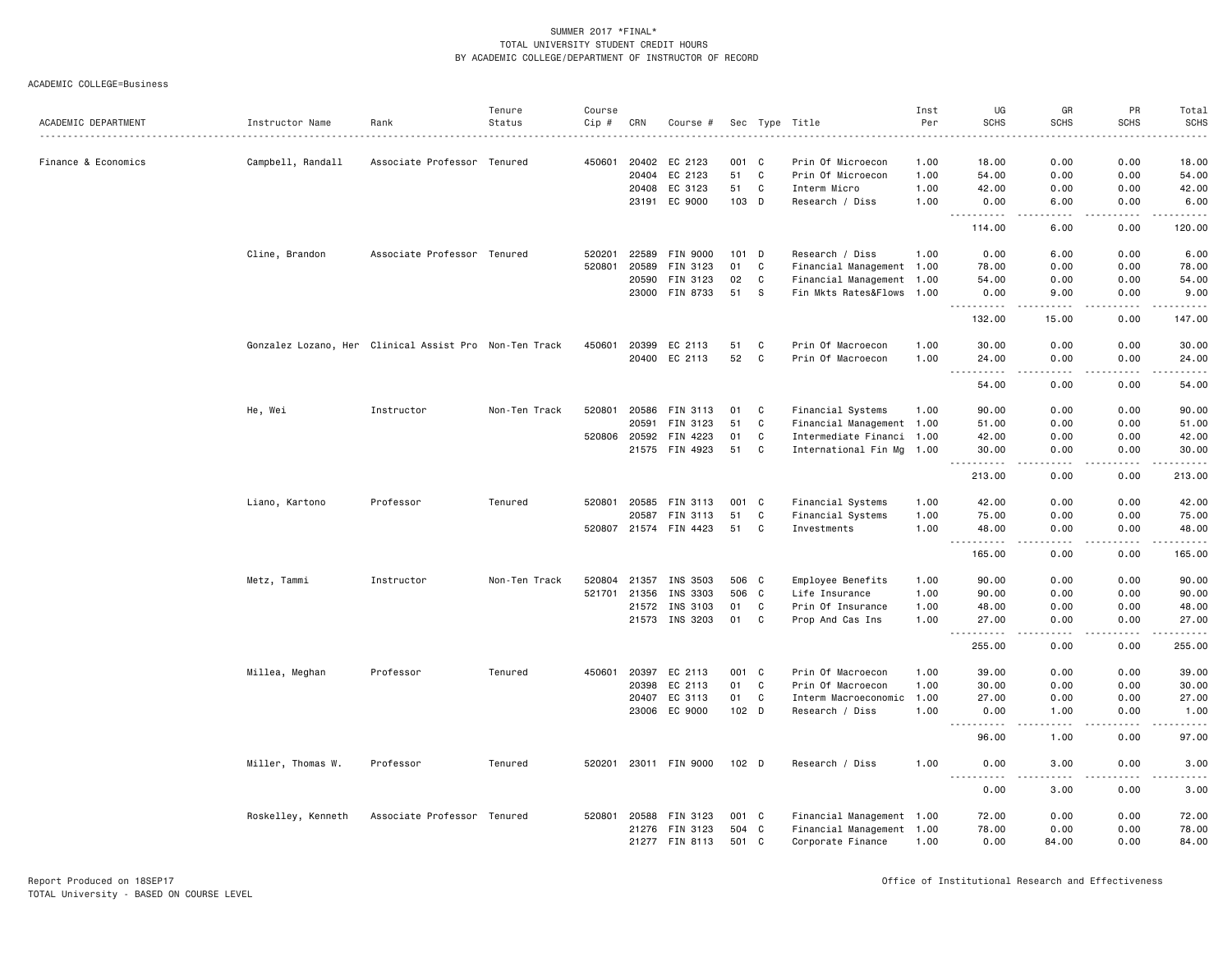|                     |                                                        |                             | Tenure        | Course |              |                       |         |              |                           | Inst | UG                                                                                                                                                          | GR                                                                                                                                                           | PR                                                                                                                                                           | Total                                                                                                                                                                                    |
|---------------------|--------------------------------------------------------|-----------------------------|---------------|--------|--------------|-----------------------|---------|--------------|---------------------------|------|-------------------------------------------------------------------------------------------------------------------------------------------------------------|--------------------------------------------------------------------------------------------------------------------------------------------------------------|--------------------------------------------------------------------------------------------------------------------------------------------------------------|------------------------------------------------------------------------------------------------------------------------------------------------------------------------------------------|
| ACADEMIC DEPARTMENT | Instructor Name                                        | Rank                        | Status        | Cip #  | CRN          | Course #              |         |              | Sec Type Title            | Per  | <b>SCHS</b>                                                                                                                                                 | <b>SCHS</b><br>$- - - -$                                                                                                                                     | <b>SCHS</b>                                                                                                                                                  | <b>SCHS</b><br><u>.</u>                                                                                                                                                                  |
| Finance & Economics | Campbell, Randall                                      | Associate Professor Tenured |               | 450601 | 20402        | EC 2123               | 001 C   |              | Prin Of Microecon         | 1.00 | 18.00                                                                                                                                                       | 0.00                                                                                                                                                         | 0.00                                                                                                                                                         | 18.00                                                                                                                                                                                    |
|                     |                                                        |                             |               |        | 20404        | EC 2123               | 51      | C            | Prin Of Microecon         | 1.00 | 54.00                                                                                                                                                       | 0.00                                                                                                                                                         | 0.00                                                                                                                                                         | 54.00                                                                                                                                                                                    |
|                     |                                                        |                             |               |        | 20408        | EC 3123               | 51      | C            | Interm Micro              | 1.00 | 42.00                                                                                                                                                       | 0.00                                                                                                                                                         | 0.00                                                                                                                                                         | 42.00                                                                                                                                                                                    |
|                     |                                                        |                             |               |        | 23191        | EC 9000               | 103 D   |              | Research / Diss           | 1.00 | 0.00                                                                                                                                                        | 6.00                                                                                                                                                         | 0.00                                                                                                                                                         | 6.00                                                                                                                                                                                     |
|                     |                                                        |                             |               |        |              |                       |         |              |                           |      | .<br>114.00                                                                                                                                                 | .<br>6.00                                                                                                                                                    | $- - - - -$<br>0.00                                                                                                                                          | .<br>120.00                                                                                                                                                                              |
|                     | Cline, Brandon                                         | Associate Professor Tenured |               | 520201 | 22589        | FIN 9000              | 101     | D            | Research / Diss           | 1.00 | 0.00                                                                                                                                                        | 6.00                                                                                                                                                         | 0.00                                                                                                                                                         | 6.00                                                                                                                                                                                     |
|                     |                                                        |                             |               | 520801 | 20589        | FIN 3123              | 01      | $\mathbb{C}$ | Financial Management 1.00 |      | 78.00                                                                                                                                                       | 0.00                                                                                                                                                         | 0.00                                                                                                                                                         | 78.00                                                                                                                                                                                    |
|                     |                                                        |                             |               |        | 20590        | FIN 3123              | 02      | C            | Financial Management 1.00 |      | 54.00                                                                                                                                                       | 0.00                                                                                                                                                         | 0.00                                                                                                                                                         | 54.00                                                                                                                                                                                    |
|                     |                                                        |                             |               |        |              | 23000 FIN 8733        | 51      | <b>S</b>     | Fin Mkts Rates&Flows 1.00 |      | 0.00<br>.                                                                                                                                                   | 9.00<br>$\frac{1}{2} \left( \frac{1}{2} \right) \left( \frac{1}{2} \right) \left( \frac{1}{2} \right) \left( \frac{1}{2} \right) \left( \frac{1}{2} \right)$ | 0.00<br>.                                                                                                                                                    | 9.00                                                                                                                                                                                     |
|                     |                                                        |                             |               |        |              |                       |         |              |                           |      | 132.00                                                                                                                                                      | 15.00                                                                                                                                                        | 0.00                                                                                                                                                         | 147.00                                                                                                                                                                                   |
|                     | Gonzalez Lozano, Her Clinical Assist Pro Non-Ten Track |                             |               | 450601 | 20399        | EC 2113               | 51      | C            | Prin Of Macroecon         | 1.00 | 30.00                                                                                                                                                       | 0.00                                                                                                                                                         | 0.00                                                                                                                                                         | 30.00                                                                                                                                                                                    |
|                     |                                                        |                             |               |        | 20400        | EC 2113               | 52      | C            | Prin Of Macroecon         | 1.00 | 24.00<br>.<br>$  -$                                                                                                                                         | 0.00<br>الدامات بال                                                                                                                                          | 0.00<br>.                                                                                                                                                    | 24.00<br>.                                                                                                                                                                               |
|                     |                                                        |                             |               |        |              |                       |         |              |                           |      | 54.00                                                                                                                                                       | 0.00                                                                                                                                                         | 0.00                                                                                                                                                         | 54.00                                                                                                                                                                                    |
|                     | He, Wei                                                | Instructor                  | Non-Ten Track | 520801 | 20586        | FIN 3113              | 01      | C            | Financial Systems         | 1.00 | 90.00                                                                                                                                                       | 0.00                                                                                                                                                         | 0.00                                                                                                                                                         | 90.00                                                                                                                                                                                    |
|                     |                                                        |                             |               |        | 20591        | FIN 3123              | 51      | C            | Financial Management 1.00 |      | 51.00                                                                                                                                                       | 0.00                                                                                                                                                         | 0.00                                                                                                                                                         | 51.00                                                                                                                                                                                    |
|                     |                                                        |                             |               |        | 520806 20592 | FIN 4223              | 01      | C            | Intermediate Financi 1.00 |      | 42.00                                                                                                                                                       | 0.00                                                                                                                                                         | 0.00                                                                                                                                                         | 42.00                                                                                                                                                                                    |
|                     |                                                        |                             |               |        | 21575        | FIN 4923              | 51      | C            | International Fin Mg      | 1.00 | 30.00<br>$\sim$ $\sim$ $\sim$<br>.                                                                                                                          | 0.00<br>$\sim$ $\sim$ $\sim$ $\sim$                                                                                                                          | 0.00<br>.                                                                                                                                                    | 30.00<br>.                                                                                                                                                                               |
|                     |                                                        |                             |               |        |              |                       |         |              |                           |      | 213.00                                                                                                                                                      | 0.00                                                                                                                                                         | 0.00                                                                                                                                                         | 213.00                                                                                                                                                                                   |
|                     | Liano, Kartono                                         | Professor                   | Tenured       | 520801 | 20585        | FIN 3113              | 001     | C            | Financial Systems         | 1.00 | 42.00                                                                                                                                                       | 0.00                                                                                                                                                         | 0.00                                                                                                                                                         | 42.00                                                                                                                                                                                    |
|                     |                                                        |                             |               |        | 20587        | FIN 3113              | 51      | C            | Financial Systems         | 1.00 | 75.00                                                                                                                                                       | 0.00                                                                                                                                                         | 0.00                                                                                                                                                         | 75.00                                                                                                                                                                                    |
|                     |                                                        |                             |               |        |              | 520807 21574 FIN 4423 | 51      | C            | Investments               | 1.00 | 48.00<br>.<br>$\sim 100$ km s $^{-1}$                                                                                                                       | 0.00<br>.                                                                                                                                                    | 0.00<br>$\frac{1}{2} \left( \frac{1}{2} \right) \left( \frac{1}{2} \right) \left( \frac{1}{2} \right) \left( \frac{1}{2} \right) \left( \frac{1}{2} \right)$ | 48.00<br>$\frac{1}{2} \left( \frac{1}{2} \right) \left( \frac{1}{2} \right) \left( \frac{1}{2} \right) \left( \frac{1}{2} \right) \left( \frac{1}{2} \right) \left( \frac{1}{2} \right)$ |
|                     |                                                        |                             |               |        |              |                       |         |              |                           |      | 165.00                                                                                                                                                      | 0.00                                                                                                                                                         | 0.00                                                                                                                                                         | 165.00                                                                                                                                                                                   |
|                     | Metz, Tammi                                            | Instructor                  | Non-Ten Track | 520804 | 21357        | INS 3503              | 506 C   |              | Employee Benefits         | 1.00 | 90.00                                                                                                                                                       | 0.00                                                                                                                                                         | 0.00                                                                                                                                                         | 90.00                                                                                                                                                                                    |
|                     |                                                        |                             |               | 521701 | 21356        | INS 3303              | 506     | C.           | Life Insurance            | 1.00 | 90.00                                                                                                                                                       | 0.00                                                                                                                                                         | 0.00                                                                                                                                                         | 90.00                                                                                                                                                                                    |
|                     |                                                        |                             |               |        | 21572        | INS 3103              | 01      | C            | Prin Of Insurance         | 1.00 | 48.00                                                                                                                                                       | 0.00                                                                                                                                                         | 0.00                                                                                                                                                         | 48.00                                                                                                                                                                                    |
|                     |                                                        |                             |               |        | 21573        | INS 3203              | 01      | C            | Prop And Cas Ins          | 1.00 | 27.00<br>.<br>$\sim$ $\sim$ $\sim$                                                                                                                          | 0.00<br>$- - -$                                                                                                                                              | 0.00<br>.                                                                                                                                                    | 27.00<br>.                                                                                                                                                                               |
|                     |                                                        |                             |               |        |              |                       |         |              |                           |      | 255.00                                                                                                                                                      | 0.00                                                                                                                                                         | 0.00                                                                                                                                                         | 255.00                                                                                                                                                                                   |
|                     | Millea, Meghan                                         | Professor                   | Tenured       | 450601 | 20397        | EC 2113               | 001 C   |              | Prin Of Macroecon         | 1.00 | 39.00                                                                                                                                                       | 0.00                                                                                                                                                         | 0.00                                                                                                                                                         | 39.00                                                                                                                                                                                    |
|                     |                                                        |                             |               |        | 20398        | EC 2113               | 01      | C            | Prin Of Macroecon         | 1.00 | 30.00                                                                                                                                                       | 0.00                                                                                                                                                         | 0.00                                                                                                                                                         | 30.00                                                                                                                                                                                    |
|                     |                                                        |                             |               |        | 20407        | EC 3113               | 01      | C            | Interm Macroeconomic      | 1.00 | 27.00                                                                                                                                                       | 0.00                                                                                                                                                         | 0.00                                                                                                                                                         | 27.00                                                                                                                                                                                    |
|                     |                                                        |                             |               |        |              | 23006 EC 9000         | $102$ D |              | Research / Diss           | 1.00 | 0.00<br>$\frac{1}{2} \left( \frac{1}{2} \right) \left( \frac{1}{2} \right) \left( \frac{1}{2} \right) \left( \frac{1}{2} \right)$<br>$\cdots \cdots \cdots$ | 1.00<br>.                                                                                                                                                    | 0.00<br>.                                                                                                                                                    | 1.00<br>------                                                                                                                                                                           |
|                     |                                                        |                             |               |        |              |                       |         |              |                           |      | 96.00                                                                                                                                                       | 1.00                                                                                                                                                         | 0.00                                                                                                                                                         | 97.00                                                                                                                                                                                    |
|                     | Miller, Thomas W.                                      | Professor                   | Tenured       | 520201 |              | 23011 FIN 9000        | 102 D   |              | Research / Diss           | 1.00 | 0.00<br>.                                                                                                                                                   | 3.00<br>.                                                                                                                                                    | 0.00<br>.                                                                                                                                                    | 3.00<br>.                                                                                                                                                                                |
|                     |                                                        |                             |               |        |              |                       |         |              |                           |      | 0.00                                                                                                                                                        | 3.00                                                                                                                                                         | 0.00                                                                                                                                                         | 3.00                                                                                                                                                                                     |
|                     | Roskelley, Kenneth                                     | Associate Professor Tenured |               | 520801 | 20588        | FIN 3123              | 001 C   |              | Financial Management 1.00 |      | 72.00                                                                                                                                                       | 0.00                                                                                                                                                         | 0.00                                                                                                                                                         | 72.00                                                                                                                                                                                    |
|                     |                                                        |                             |               |        | 21276        | FIN 3123              | 504     | $\mathbf{C}$ | Financial Management 1.00 |      | 78.00                                                                                                                                                       | 0.00                                                                                                                                                         | 0.00                                                                                                                                                         | 78.00                                                                                                                                                                                    |
|                     |                                                        |                             |               |        |              | 21277 FIN 8113        | 501 C   |              | Corporate Finance         | 1.00 | 0.00                                                                                                                                                        | 84.00                                                                                                                                                        | 0.00                                                                                                                                                         | 84.00                                                                                                                                                                                    |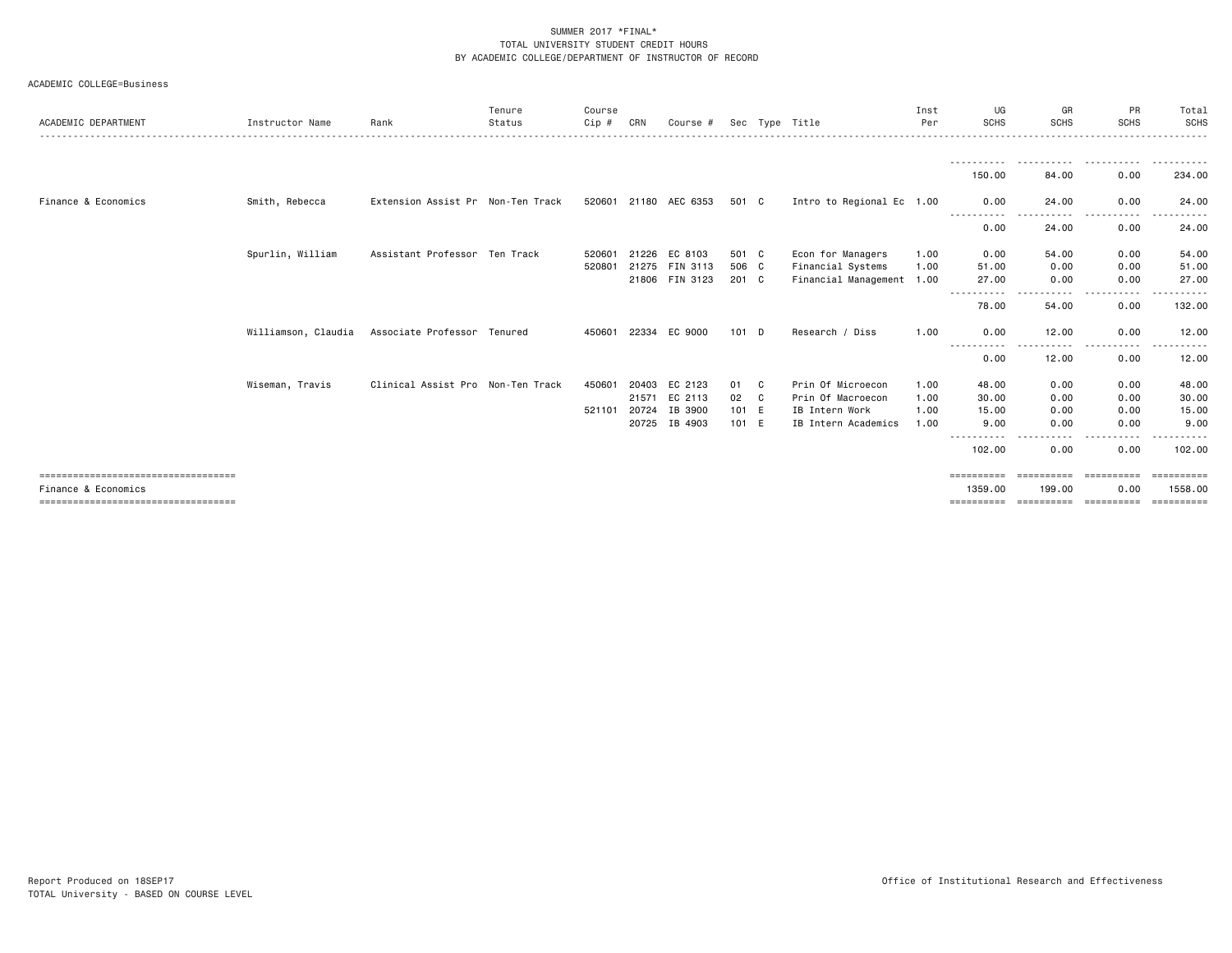|  | ACADEMIC COLLEGE=Business |
|--|---------------------------|
|--|---------------------------|

| ACADEMIC DEPARTMENT                                                                                | Instructor Name     | Rank                              | Tenure<br>Status | Course<br>Cip#   | CRN                              | Course #                                 |                                 |            | Sec Type Title                                                                  | Inst<br>Per                  | UG<br><b>SCHS</b>               | GR<br><b>SCHS</b>            | PR<br><b>SCHS</b>                  | Total<br>SCHS                       |
|----------------------------------------------------------------------------------------------------|---------------------|-----------------------------------|------------------|------------------|----------------------------------|------------------------------------------|---------------------------------|------------|---------------------------------------------------------------------------------|------------------------------|---------------------------------|------------------------------|------------------------------------|-------------------------------------|
|                                                                                                    |                     |                                   |                  |                  |                                  |                                          |                                 |            |                                                                                 |                              | 150.00                          | 84.00                        | .<br>0.00                          | 234.00                              |
| Finance & Economics                                                                                | Smith, Rebecca      | Extension Assist Pr Non-Ten Track |                  |                  |                                  | 520601 21180 AEC 6353                    | 501 C                           |            | Intro to Regional Ec 1.00                                                       |                              | 0.00                            | 24.00                        | 0.00                               | 24.00                               |
|                                                                                                    |                     |                                   |                  |                  |                                  |                                          |                                 |            |                                                                                 |                              | 0.00                            | 24.00                        | 0.00                               | 24.00                               |
|                                                                                                    | Spurlin, William    | Assistant Professor Ten Track     |                  | 520601<br>520801 | 21226<br>21275                   | EC 8103<br>FIN 3113<br>21806 FIN 3123    | 501 C<br>506 C<br>$201 \quad C$ |            | Econ for Managers<br>Financial Systems<br>Financial Management 1.00             | 1.00<br>1.00                 | 0.00<br>51.00<br>27.00          | 54.00<br>0.00<br>0.00        | 0.00<br>0.00<br>0.00               | 54.00<br>51.00<br>27.00             |
|                                                                                                    |                     |                                   |                  |                  |                                  |                                          |                                 |            |                                                                                 |                              | 78.00                           | .<br>54.00                   | - - - - -<br>0.00                  | 132.00                              |
|                                                                                                    | Williamson, Claudia | Associate Professor Tenured       |                  |                  |                                  | 450601 22334 EC 9000                     | $101$ D                         |            | Research / Diss                                                                 | 1.00                         | 0.00                            | 12.00                        | 0.00                               | 12.00                               |
|                                                                                                    |                     |                                   |                  |                  |                                  |                                          |                                 |            |                                                                                 |                              | ----------<br>0.00              | .<br>12.00                   | $\cdots$<br>.<br>0.00              | 12.00                               |
|                                                                                                    | Wiseman, Travis     | Clinical Assist Pro Non-Ten Track |                  | 450601<br>521101 | 20403<br>21571<br>20724<br>20725 | EC 2123<br>EC 2113<br>IB 3900<br>IB 4903 | 01<br>02<br>101 E<br>101 E      | C C<br>C C | Prin Of Microecon<br>Prin Of Macroecon<br>IB Intern Work<br>IB Intern Academics | 1.00<br>1.00<br>1.00<br>1.00 | 48.00<br>30.00<br>15.00<br>9.00 | 0.00<br>0.00<br>0.00<br>0.00 | 0.00<br>0.00<br>0.00<br>0.00       | 48.00<br>30.00<br>15.00<br>9.00     |
|                                                                                                    |                     |                                   |                  |                  |                                  |                                          |                                 |            |                                                                                 |                              | ---------- <i>-</i><br>102.00   | -----<br>----<br>0.00        | .<br>0.00                          | ----------<br>102,00                |
| ====================================<br>Finance & Economics<br>=================================== |                     |                                   |                  |                  |                                  |                                          |                                 |            |                                                                                 |                              | ==========<br>1359.00           | ==========<br>199.00         | -----------<br>0.00<br>----------- | ==========<br>1558.00<br>========== |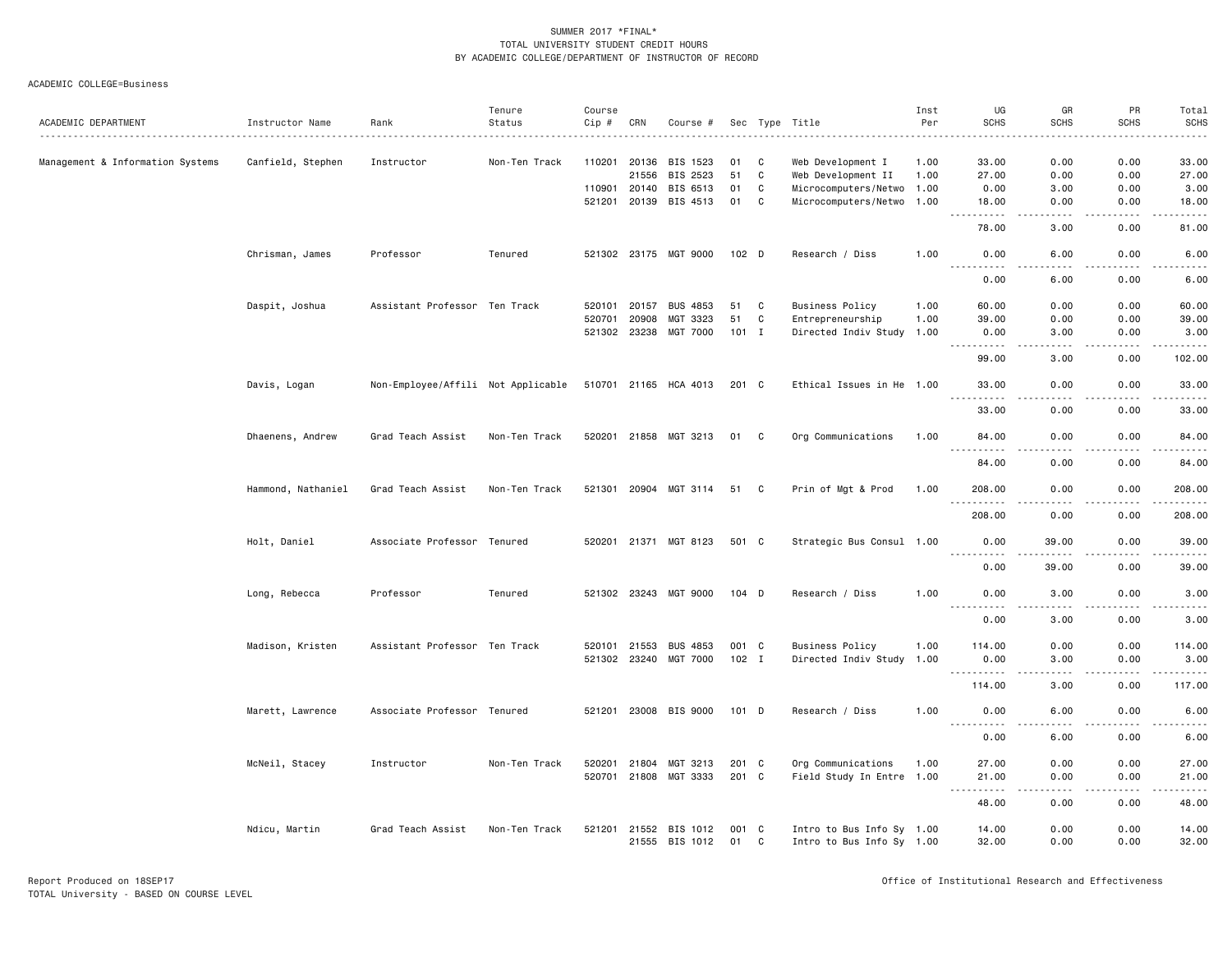| ACADEMIC DEPARTMENT              | Instructor Name    | Rank                               | Tenure<br>Status | Course<br>Cip #              | CRN            | Course #                                |             |        | Sec Type Title<br>.                                    | Inst<br>Per  | UG<br><b>SCHS</b>                            | GR<br><b>SCHS</b>            | PR<br><b>SCHS</b>            | Total<br><b>SCHS</b><br>$- - - - -$ |
|----------------------------------|--------------------|------------------------------------|------------------|------------------------------|----------------|-----------------------------------------|-------------|--------|--------------------------------------------------------|--------------|----------------------------------------------|------------------------------|------------------------------|-------------------------------------|
| Management & Information Systems | Canfield, Stephen  | Instructor                         | Non-Ten Track    | 110201                       | 20136<br>21556 | BIS 1523<br>BIS 2523                    | 01<br>51    | C<br>C | Web Development I<br>Web Development II                | 1.00<br>1.00 | 33.00<br>27.00                               | 0.00<br>0.00                 | 0.00<br>0.00                 | 33.00<br>27.00                      |
|                                  |                    |                                    |                  | 110901 20140<br>521201 20139 |                | BIS 6513<br>BIS 4513                    | 01<br>01    | C<br>C | Microcomputers/Netwo<br>Microcomputers/Netwo 1.00      | 1.00         | 0.00<br>18.00                                | 3.00<br>0.00                 | 0.00<br>0.00                 | 3.00<br>18.00                       |
|                                  |                    |                                    |                  |                              |                |                                         |             |        |                                                        |              | .<br>78.00                                   | $\sim$ $\sim$ $\sim$<br>3.00 | .<br>0.00                    | .<br>81.00                          |
|                                  | Chrisman, James    | Professor                          | Tenured          |                              |                | 521302 23175 MGT 9000                   | 102 D       |        | Research / Diss                                        | 1.00         | 0.00<br>----                                 | 6.00<br>- - - -              | 0.00<br>----                 | 6.00<br>.                           |
|                                  |                    |                                    |                  |                              |                |                                         |             |        |                                                        |              | 0.00                                         | 6.00                         | 0.00                         | 6.00                                |
|                                  | Daspit, Joshua     | Assistant Professor Ten Track      |                  | 520101                       | 20157          | <b>BUS 4853</b>                         | 51          | C      | <b>Business Policy</b>                                 | 1.00         | 60.00                                        | 0.00                         | 0.00                         | 60.00                               |
|                                  |                    |                                    |                  | 520701                       | 20908          | MGT 3323                                | 51          | C      | Entrepreneurship                                       | 1.00         | 39.00                                        | 0.00                         | 0.00                         | 39.00                               |
|                                  |                    |                                    |                  | 521302 23238                 |                | MGT 7000                                | $101$ I     |        | Directed Indiv Study                                   | 1.00         | 0.00                                         | 3.00                         | 0.00<br>.                    | 3.00<br>.                           |
|                                  |                    |                                    |                  |                              |                |                                         |             |        |                                                        |              | 99.00                                        | 3.00                         | 0.00                         | 102.00                              |
|                                  | Davis, Logan       | Non-Employee/Affili Not Applicable |                  |                              |                | 510701 21165 HCA 4013                   | 201 C       |        | Ethical Issues in He 1.00                              |              | 33.00<br>$\sim$ $\sim$ $\sim$<br>$- - - - -$ | 0.00<br>----                 | 0.00<br>$\frac{1}{2}$        | 33.00<br>.                          |
|                                  |                    |                                    |                  |                              |                |                                         |             |        |                                                        |              | 33.00                                        | 0.00                         | 0.00                         | 33.00                               |
|                                  | Dhaenens, Andrew   | Grad Teach Assist                  | Non-Ten Track    |                              |                | 520201 21858 MGT 3213                   | 01 C        |        | Org Communications                                     | 1.00         | 84.00<br>.                                   | 0.00<br>----                 | 0.00<br>.                    | 84.00<br>.                          |
|                                  |                    |                                    |                  |                              |                |                                         |             |        |                                                        |              | 84.00                                        | 0.00                         | 0.00                         | 84.00                               |
|                                  | Hammond, Nathaniel | Grad Teach Assist                  | Non-Ten Track    |                              |                | 521301 20904 MGT 3114                   | 51          | C      | Prin of Mgt & Prod                                     | 1.00         | 208.00                                       | 0.00                         | 0.00<br>$\sim$ $\sim$ $\sim$ | 208.00<br>.                         |
|                                  |                    |                                    |                  |                              |                |                                         |             |        |                                                        |              | 208.00                                       | 0.00                         | 0.00                         | 208.00                              |
|                                  | Holt, Daniel       | Associate Professor Tenured        |                  |                              |                | 520201 21371 MGT 8123                   | 501 C       |        | Strategic Bus Consul 1.00                              |              | 0.00                                         | 39.00                        | 0.00                         | 39.00                               |
|                                  |                    |                                    |                  |                              |                |                                         |             |        |                                                        |              | 0.00                                         | 39.00                        | 0.00                         | 39.00                               |
|                                  | Long, Rebecca      | Professor                          | Tenured          | 521302 23243                 |                | MGT 9000                                | 104 D       |        | Research / Diss                                        | 1.00         | 0.00                                         | 3.00                         | 0.00                         | 3.00                                |
|                                  |                    |                                    |                  |                              |                |                                         |             |        |                                                        |              | 0.00                                         | 3.00                         | 0.00                         | 3.00                                |
|                                  | Madison, Kristen   | Assistant Professor Ten Track      |                  | 520101                       | 21553          | <b>BUS 4853</b>                         | 001 C       |        | <b>Business Policy</b>                                 | 1.00         | 114.00                                       | 0.00                         | 0.00                         | 114.00                              |
|                                  |                    |                                    |                  | 521302 23240                 |                | MGT 7000                                | $102$ I     |        | Directed Indiv Study 1.00                              |              | 0.00<br>$\sim$                               | 3.00<br>.                    | 0.00<br>.                    | 3.00<br>.                           |
|                                  |                    |                                    |                  |                              |                |                                         |             |        |                                                        |              | 114.00                                       | 3,00                         | 0.00                         | 117.00                              |
|                                  | Marett, Lawrence   | Associate Professor Tenured        |                  | 521201 23008                 |                | BIS 9000                                | 101 D       |        | Research / Diss                                        | 1.00         | 0.00<br><u>.</u>                             | 6.00<br>.                    | 0.00<br>$- - - -$            | 6.00<br>$\frac{1}{2}$               |
|                                  |                    |                                    |                  |                              |                |                                         |             |        |                                                        |              | 0.00                                         | 6.00                         | 0.00                         | 6.00                                |
|                                  | McNeil, Stacey     | Instructor                         | Non-Ten Track    | 520201                       | 21804          | MGT 3213                                | 201 C       |        | Org Communications                                     | 1.00         | 27.00                                        | 0.00                         | 0.00                         | 27.00                               |
|                                  |                    |                                    |                  | 520701                       | 21808          | MGT 3333                                | 201 C       |        | Field Study In Entre 1.00                              |              | 21.00<br>.                                   | 0.00<br>.                    | 0.00<br>.                    | 21.00<br>.                          |
|                                  |                    |                                    |                  |                              |                |                                         |             |        |                                                        |              | 48.00                                        | 0.00                         | 0.00                         | 48.00                               |
|                                  | Ndicu, Martin      | Grad Teach Assist                  | Non-Ten Track    |                              |                | 521201 21552 BIS 1012<br>21555 BIS 1012 | 001 C<br>01 | C      | Intro to Bus Info Sy 1.00<br>Intro to Bus Info Sy 1.00 |              | 14.00<br>32.00                               | 0.00<br>0.00                 | 0.00<br>0.00                 | 14.00<br>32.00                      |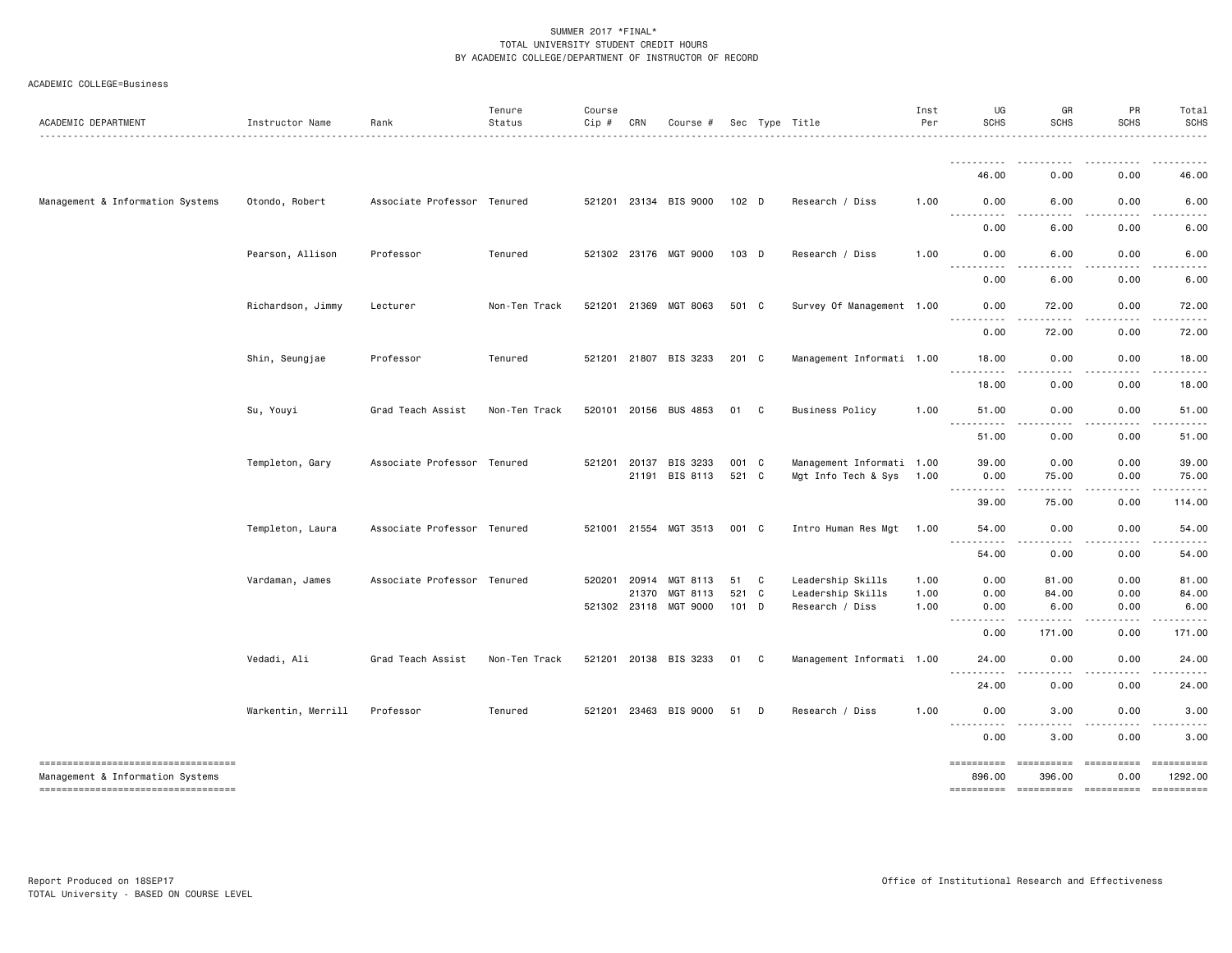| ACADEMIC DEPARTMENT                                                                                              | Instructor Name    | Rank                        | Tenure<br>Status | Course<br>Cip # | CRN            | Course #                                |                |              | Sec Type Title                                        | Inst<br>Per  | UG<br><b>SCHS</b>                                                                                                                                                | GR<br><b>SCHS</b>                   | PR<br><b>SCHS</b>                 | Total<br>SCHS                                                                                                                                                                                                                                                                                                                                                                                                                                                 |
|------------------------------------------------------------------------------------------------------------------|--------------------|-----------------------------|------------------|-----------------|----------------|-----------------------------------------|----------------|--------------|-------------------------------------------------------|--------------|------------------------------------------------------------------------------------------------------------------------------------------------------------------|-------------------------------------|-----------------------------------|---------------------------------------------------------------------------------------------------------------------------------------------------------------------------------------------------------------------------------------------------------------------------------------------------------------------------------------------------------------------------------------------------------------------------------------------------------------|
|                                                                                                                  |                    |                             |                  |                 |                |                                         |                |              |                                                       |              | 46.00                                                                                                                                                            | 0.00                                | 0.00                              | 46.00                                                                                                                                                                                                                                                                                                                                                                                                                                                         |
| Management & Information Systems                                                                                 | Otondo, Robert     | Associate Professor Tenured |                  |                 |                | 521201 23134 BIS 9000                   | 102 D          |              | Research / Diss                                       | 1.00         | 0.00                                                                                                                                                             | 6.00                                | 0.00                              | 6.00                                                                                                                                                                                                                                                                                                                                                                                                                                                          |
|                                                                                                                  |                    |                             |                  |                 |                |                                         |                |              |                                                       |              | .<br>0.00                                                                                                                                                        | 6.00                                | 0.00                              | 6.00                                                                                                                                                                                                                                                                                                                                                                                                                                                          |
|                                                                                                                  | Pearson, Allison   | Professor                   | Tenured          |                 |                | 521302 23176 MGT 9000                   | 103 D          |              | Research / Diss                                       | 1.00         | 0.00                                                                                                                                                             | 6.00                                | 0.00                              | 6.00                                                                                                                                                                                                                                                                                                                                                                                                                                                          |
|                                                                                                                  |                    |                             |                  |                 |                |                                         |                |              |                                                       |              | <u>.</u><br>0.00                                                                                                                                                 | .<br>$\frac{1}{2}$<br>6.00          | .<br>0.00                         | .<br>6.00                                                                                                                                                                                                                                                                                                                                                                                                                                                     |
|                                                                                                                  | Richardson, Jimmy  | Lecturer                    | Non-Ten Track    |                 |                | 521201 21369 MGT 8063                   | 501 C          |              | Survey Of Management 1.00                             |              | 0.00<br>$\frac{1}{2}$<br>$- - - -$                                                                                                                               | 72.00                               | 0.00                              | 72.00                                                                                                                                                                                                                                                                                                                                                                                                                                                         |
|                                                                                                                  |                    |                             |                  |                 |                |                                         |                |              |                                                       |              | 0.00                                                                                                                                                             | 72.00                               | 0.00                              | 72.00                                                                                                                                                                                                                                                                                                                                                                                                                                                         |
|                                                                                                                  | Shin, Seungjae     | Professor                   | Tenured          |                 |                | 521201 21807 BIS 3233                   | 201 C          |              | Management Informati 1.00                             |              | 18.00<br>----------                                                                                                                                              | 0.00                                | 0.00                              | 18.00                                                                                                                                                                                                                                                                                                                                                                                                                                                         |
|                                                                                                                  |                    |                             |                  |                 |                |                                         |                |              |                                                       |              | 18.00                                                                                                                                                            | 0.00                                | 0.00                              | 18.00                                                                                                                                                                                                                                                                                                                                                                                                                                                         |
|                                                                                                                  | Su, Youyi          | Grad Teach Assist           | Non-Ten Track    |                 |                | 520101 20156 BUS 4853                   | 01 C           |              | <b>Business Policy</b>                                | 1.00         | 51.00<br>.                                                                                                                                                       | 0.00<br>.                           | 0.00<br>.                         | 51.00<br>.                                                                                                                                                                                                                                                                                                                                                                                                                                                    |
|                                                                                                                  |                    |                             |                  |                 |                |                                         |                |              |                                                       |              | 51.00                                                                                                                                                            | 0.00                                | 0.00                              | 51.00                                                                                                                                                                                                                                                                                                                                                                                                                                                         |
|                                                                                                                  | Templeton, Gary    | Associate Professor Tenured |                  |                 |                | 521201 20137 BIS 3233<br>21191 BIS 8113 | 001 C<br>521 C |              | Management Informati 1.00<br>Mgt Info Tech & Sys 1.00 |              | 39.00<br>0.00                                                                                                                                                    | 0.00<br>75.00                       | 0.00<br>0.00                      | 39.00<br>75.00                                                                                                                                                                                                                                                                                                                                                                                                                                                |
|                                                                                                                  |                    |                             |                  |                 |                |                                         |                |              |                                                       |              | <u>.</u><br>39.00                                                                                                                                                | $- - - - -$<br>75.00                | .<br>0.00                         | $\begin{array}{cccccccccccccc} \bullet & \bullet & \bullet & \bullet & \bullet & \bullet & \bullet & \bullet \end{array}$<br>114.00                                                                                                                                                                                                                                                                                                                           |
|                                                                                                                  | Templeton, Laura   | Associate Professor Tenured |                  |                 |                | 521001 21554 MGT 3513                   | 001 C          |              | Intro Human Res Mgt 1.00                              |              | 54.00                                                                                                                                                            | 0.00                                | 0.00                              | 54.00                                                                                                                                                                                                                                                                                                                                                                                                                                                         |
|                                                                                                                  |                    |                             |                  |                 |                |                                         |                |              |                                                       |              | $\frac{1}{2} \left( \frac{1}{2} \right) \left( \frac{1}{2} \right) \left( \frac{1}{2} \right) \left( \frac{1}{2} \right)$<br>.<br>54.00                          | 0.00                                | 0.00                              | 54.00                                                                                                                                                                                                                                                                                                                                                                                                                                                         |
|                                                                                                                  | Vardaman, James    | Associate Professor Tenured |                  | 520201          | 20914<br>21370 | MGT 8113<br>MGT 8113                    | 51<br>521 C    | $\mathbf{C}$ | Leadership Skills<br>Leadership Skills                | 1.00<br>1.00 | 0.00<br>0.00                                                                                                                                                     | 81.00<br>84.00                      | 0.00<br>0.00                      | 81.00<br>84.00                                                                                                                                                                                                                                                                                                                                                                                                                                                |
|                                                                                                                  |                    |                             |                  |                 |                | 521302 23118 MGT 9000                   | $101$ D        |              | Research / Diss                                       | 1.00         | 0.00<br>$\sim$ $\sim$ $\sim$ $\sim$<br>$\frac{1}{2} \left( \frac{1}{2} \right) \left( \frac{1}{2} \right) \left( \frac{1}{2} \right) \left( \frac{1}{2} \right)$ | 6.00<br>.                           | 0.00<br><b>.</b>                  | 6.00<br>.                                                                                                                                                                                                                                                                                                                                                                                                                                                     |
|                                                                                                                  |                    |                             |                  |                 |                |                                         |                |              |                                                       |              | 0.00                                                                                                                                                             | 171.00                              | 0.00                              | 171.00                                                                                                                                                                                                                                                                                                                                                                                                                                                        |
|                                                                                                                  | Vedadi, Ali        | Grad Teach Assist           | Non-Ten Track    |                 |                | 521201 20138 BIS 3233                   | 01 C           |              | Management Informati 1.00                             |              | 24.00<br>.                                                                                                                                                       | 0.00<br>.                           | 0.00<br>.                         | 24.00<br>.                                                                                                                                                                                                                                                                                                                                                                                                                                                    |
|                                                                                                                  |                    |                             |                  |                 |                |                                         |                |              |                                                       |              | 24.00                                                                                                                                                            | 0.00                                | 0.00                              | 24.00                                                                                                                                                                                                                                                                                                                                                                                                                                                         |
|                                                                                                                  | Warkentin, Merrill | Professor                   | Tenured          |                 |                | 521201 23463 BIS 9000                   | 51             | D            | Research / Diss                                       | 1.00         | 0.00<br>----------                                                                                                                                               | 3.00<br>$\sim$ $\sim$ $\sim$ $\sim$ | 0.00                              | 3.00                                                                                                                                                                                                                                                                                                                                                                                                                                                          |
|                                                                                                                  |                    |                             |                  |                 |                |                                         |                |              |                                                       |              | 0.00                                                                                                                                                             | 3.00                                | 0.00                              | 3.00                                                                                                                                                                                                                                                                                                                                                                                                                                                          |
| -----------------------------------<br>Management & Information Systems<br>===================================== |                    |                             |                  |                 |                |                                         |                |              |                                                       |              | ==========<br>896.00<br>==========                                                                                                                               | ==========<br>396.00<br>==========  | ___________<br>0.00<br>========== | ==========<br>1292.00<br>$\begin{minipage}{0.9\linewidth} \hspace*{-0.2cm} \textbf{1} & \textbf{2} & \textbf{3} & \textbf{5} & \textbf{6} & \textbf{7} \\ \textbf{5} & \textbf{6} & \textbf{7} & \textbf{8} & \textbf{8} & \textbf{9} & \textbf{1} \\ \textbf{6} & \textbf{8} & \textbf{8} & \textbf{8} & \textbf{9} & \textbf{1} & \textbf{1} \\ \textbf{7} & \textbf{9} & \textbf{1} & \textbf{1} & \textbf{1} & \textbf{1} & \textbf{1} \\ \textbf{8} & \$ |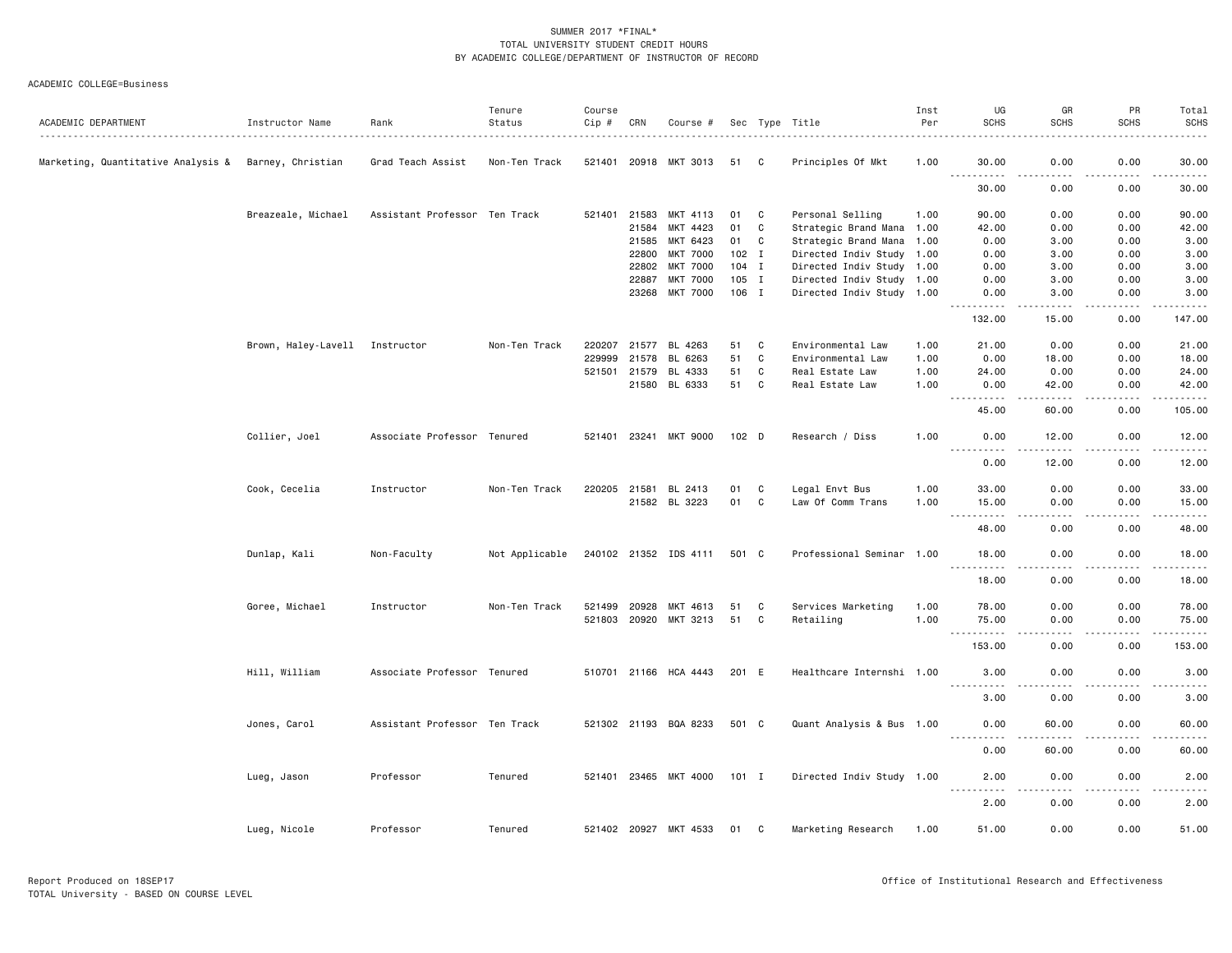| ACADEMIC DEPARTMENT                | Instructor Name                | Rank                          | Tenure<br>Status | Course<br>Cip # | CRN          | Course #              |                  |   | Sec Type Title            | Inst<br>Per | UG<br><b>SCHS</b>         | GR<br><b>SCHS</b>                                                                                                                                             | PR<br><b>SCHS</b> | Total<br><b>SCHS</b>                                                                                                              |
|------------------------------------|--------------------------------|-------------------------------|------------------|-----------------|--------------|-----------------------|------------------|---|---------------------------|-------------|---------------------------|---------------------------------------------------------------------------------------------------------------------------------------------------------------|-------------------|-----------------------------------------------------------------------------------------------------------------------------------|
| Marketing, Quantitative Analysis & | Barney, Christian              | Grad Teach Assist             | Non-Ten Track    |                 |              | 521401 20918 MKT 3013 | 51 C             |   | Principles Of Mkt         | 1.00        | 30.00                     | 0.00                                                                                                                                                          | 0.00              | 30.00                                                                                                                             |
|                                    |                                |                               |                  |                 |              |                       |                  |   |                           |             | 30.00                     | 0.00                                                                                                                                                          | 0.00              | 30.00                                                                                                                             |
|                                    | Breazeale, Michael             | Assistant Professor Ten Track |                  |                 | 521401 21583 | MKT 4113              | 01               | C | Personal Selling          | 1.00        | 90.00                     | 0.00                                                                                                                                                          | 0.00              | 90.00                                                                                                                             |
|                                    |                                |                               |                  |                 | 21584        | MKT 4423              | 01               | C | Strategic Brand Mana 1.00 |             | 42.00                     | 0.00                                                                                                                                                          | 0.00              | 42.00                                                                                                                             |
|                                    |                                |                               |                  |                 | 21585        | MKT 6423              | 01               | C | Strategic Brand Mana 1.00 |             | 0.00                      | 3.00                                                                                                                                                          | 0.00              | 3.00                                                                                                                              |
|                                    |                                |                               |                  |                 | 22800        | <b>MKT 7000</b>       | $102$ I          |   | Directed Indiv Study 1.00 |             | 0.00                      | 3.00                                                                                                                                                          | 0.00              | 3.00                                                                                                                              |
|                                    |                                |                               |                  |                 | 22802        | <b>MKT 7000</b>       | $104$ I          |   | Directed Indiv Study 1.00 |             | 0.00                      | 3.00                                                                                                                                                          | 0.00              | 3.00                                                                                                                              |
|                                    |                                |                               |                  |                 | 22887        | <b>MKT 7000</b>       | 105 I            |   | Directed Indiv Study 1.00 |             | 0.00                      | 3.00                                                                                                                                                          | 0.00              | 3.00                                                                                                                              |
|                                    |                                |                               |                  |                 | 23268        | <b>MKT 7000</b>       | 106 I            |   | Directed Indiv Study 1.00 |             | 0.00<br>.                 | 3.00<br>.                                                                                                                                                     | 0.00<br>.         | 3.00<br>.                                                                                                                         |
|                                    |                                |                               |                  |                 |              |                       |                  |   |                           |             | 132.00                    | 15.00                                                                                                                                                         | 0.00              | 147.00                                                                                                                            |
|                                    | Brown, Haley-Lavell Instructor |                               | Non-Ten Track    | 220207          | 21577        | BL 4263               | 51               | C | Environmental Law         | 1.00        | 21.00                     | 0.00                                                                                                                                                          | 0.00              | 21.00                                                                                                                             |
|                                    |                                |                               |                  | 229999          | 21578        | BL 6263               | 51               | C | Environmental Law         | 1.00        | 0.00                      | 18.00                                                                                                                                                         | 0.00              | 18.00                                                                                                                             |
|                                    |                                |                               |                  |                 | 521501 21579 | BL 4333               | 51               | C | Real Estate Law           | 1.00        | 24.00                     | 0.00                                                                                                                                                          | 0.00              | 24.00                                                                                                                             |
|                                    |                                |                               |                  |                 | 21580        | BL 6333               | 51               | C | Real Estate Law           | 1.00        | 0.00                      | 42.00                                                                                                                                                         | 0.00              | 42.00<br>المالم المالية ال                                                                                                        |
|                                    |                                |                               |                  |                 |              |                       |                  |   |                           |             | 45.00                     | 60.00                                                                                                                                                         | 0.00              | 105.00                                                                                                                            |
|                                    | Collier, Joel                  | Associate Professor Tenured   |                  |                 |              | 521401 23241 MKT 9000 | 102 <sub>D</sub> |   | Research / Diss           | 1.00        | 0.00<br>.                 | 12.00<br>$\frac{1}{2} \left( \frac{1}{2} \right) \left( \frac{1}{2} \right) \left( \frac{1}{2} \right) \left( \frac{1}{2} \right) \left( \frac{1}{2} \right)$ | 0.00              | 12.00<br>.                                                                                                                        |
|                                    |                                |                               |                  |                 |              |                       |                  |   |                           |             | 0.00                      | 12.00                                                                                                                                                         | 0.00              | 12.00                                                                                                                             |
|                                    | Cook, Cecelia                  | Instructor                    | Non-Ten Track    |                 | 220205 21581 | BL 2413               | 01               | C | Legal Envt Bus            | 1.00        | 33.00                     | 0.00                                                                                                                                                          | 0.00              | 33.00                                                                                                                             |
|                                    |                                |                               |                  |                 |              | 21582 BL 3223         | 01               | C | Law Of Comm Trans         | 1.00        | 15.00<br>. <b>.</b>       | 0.00<br>$- - - -$                                                                                                                                             | 0.00<br>.         | 15.00<br>.                                                                                                                        |
|                                    |                                |                               |                  |                 |              |                       |                  |   |                           |             | 48.00                     | 0.00                                                                                                                                                          | 0.00              | 48.00                                                                                                                             |
|                                    | Dunlap, Kali                   | Non-Faculty                   | Not Applicable   |                 |              | 240102 21352 IDS 4111 | 501 C            |   | Professional Seminar 1.00 |             | 18.00                     | 0.00                                                                                                                                                          | 0.00              | 18.00                                                                                                                             |
|                                    |                                |                               |                  |                 |              |                       |                  |   |                           |             | $- - -$<br>18.00          | 0.00                                                                                                                                                          | 0.00              | 18.00                                                                                                                             |
|                                    | Goree, Michael                 | Instructor                    | Non-Ten Track    | 521499          | 20928        | MKT 4613              | 51               | C | Services Marketing        | 1.00        | 78.00                     | 0.00                                                                                                                                                          | 0.00              | 78.00                                                                                                                             |
|                                    |                                |                               |                  |                 | 521803 20920 | MKT 3213              | 51               | C | Retailing                 | 1.00        | 75.00                     | 0.00                                                                                                                                                          | 0.00              | 75.00                                                                                                                             |
|                                    |                                |                               |                  |                 |              |                       |                  |   |                           |             | .<br>$\sim$ $\sim$ $\sim$ | $\sim$ $\sim$ $\sim$ $\sim$                                                                                                                                   | -----             | .                                                                                                                                 |
|                                    |                                |                               |                  |                 |              |                       |                  |   |                           |             | 153.00                    | 0.00                                                                                                                                                          | 0.00              | 153.00                                                                                                                            |
|                                    | Hill, William                  | Associate Professor Tenured   |                  |                 |              | 510701 21166 HCA 4443 | 201 E            |   | Healthcare Internshi 1.00 |             | 3.00<br><u>.</u>          | 0.00                                                                                                                                                          | 0.00              | 3.00                                                                                                                              |
|                                    |                                |                               |                  |                 |              |                       |                  |   |                           |             | 3.00                      | 0.00                                                                                                                                                          | 0.00              | 3.00                                                                                                                              |
|                                    | Jones, Carol                   | Assistant Professor Ten Track |                  |                 |              | 521302 21193 BQA 8233 | 501 C            |   | Quant Analysis & Bus 1.00 |             | 0.00<br>.                 | 60.00                                                                                                                                                         | 0.00<br>.         | 60.00<br>.                                                                                                                        |
|                                    |                                |                               |                  |                 |              |                       |                  |   |                           |             | 0.00                      | 60.00                                                                                                                                                         | 0.00              | 60.00                                                                                                                             |
|                                    | Lueg, Jason                    | Professor                     | Tenured          |                 |              | 521401 23465 MKT 4000 | 101 I            |   | Directed Indiv Study 1.00 |             | 2.00                      | 0.00                                                                                                                                                          | 0.00              | 2.00                                                                                                                              |
|                                    |                                |                               |                  |                 |              |                       |                  |   |                           |             | .<br>2.00                 | .<br>0.00                                                                                                                                                     | -----<br>0.00     | $\frac{1}{2} \left( \frac{1}{2} \right) \left( \frac{1}{2} \right) \left( \frac{1}{2} \right) \left( \frac{1}{2} \right)$<br>2.00 |
|                                    | Lueg, Nicole                   | Professor                     | Tenured          |                 |              | 521402 20927 MKT 4533 | 01               | C | Marketing Research        | 1.00        | 51.00                     | 0.00                                                                                                                                                          | 0.00              | 51.00                                                                                                                             |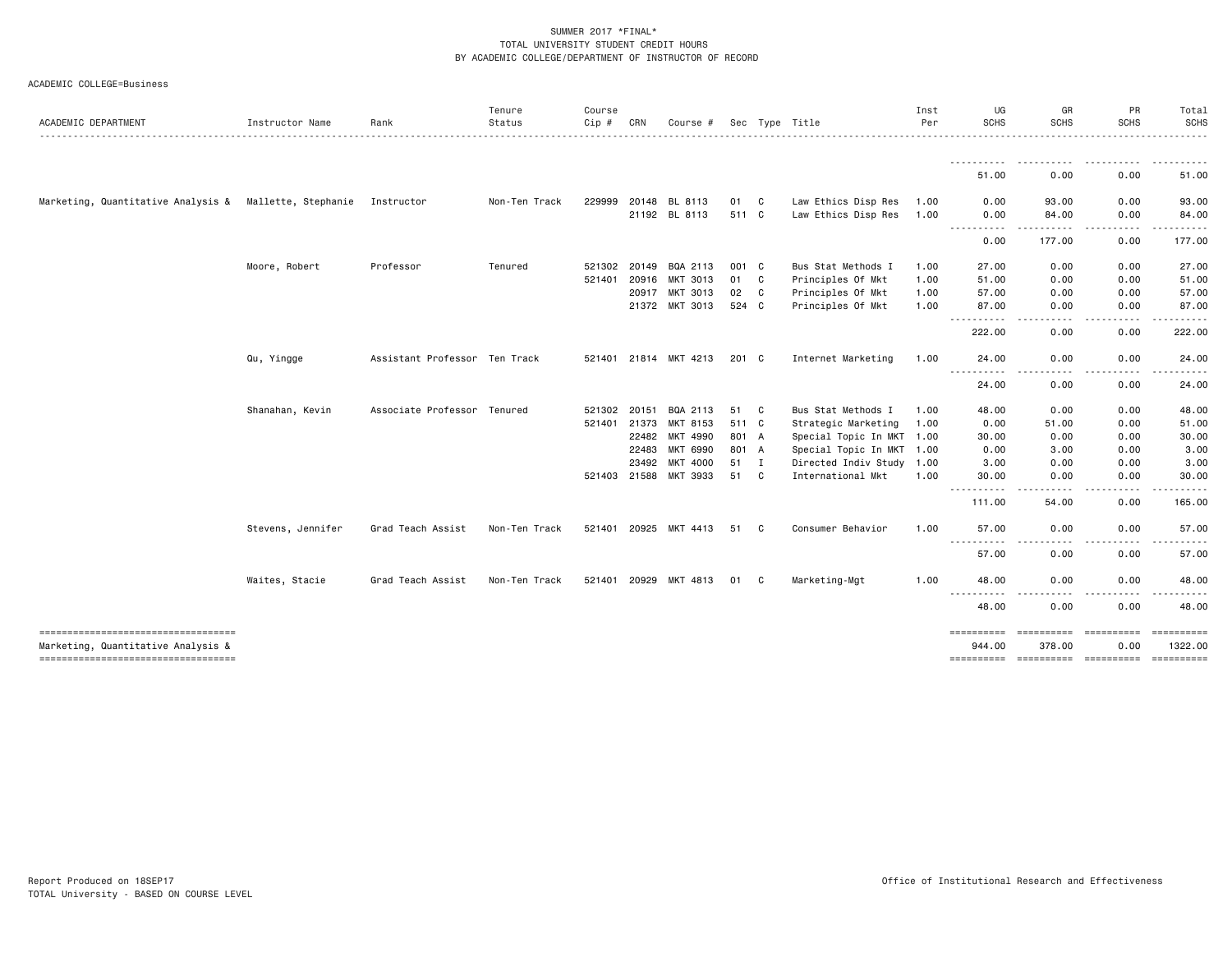| ACADEMIC DEPARTMENT                                                      | Instructor Name     | Rank                          | Tenure<br>Status | Course<br>Cip # | CRN          | Course #              |       |                | Sec Type Title            | Inst<br>Per | UG<br><b>SCHS</b>                                                                                                                                                                                                                                              | GR<br><b>SCHS</b>                | PR<br><b>SCHS</b>     | Total<br><b>SCHS</b>  |
|--------------------------------------------------------------------------|---------------------|-------------------------------|------------------|-----------------|--------------|-----------------------|-------|----------------|---------------------------|-------------|----------------------------------------------------------------------------------------------------------------------------------------------------------------------------------------------------------------------------------------------------------------|----------------------------------|-----------------------|-----------------------|
|                                                                          |                     |                               |                  |                 |              |                       |       |                |                           |             |                                                                                                                                                                                                                                                                |                                  |                       |                       |
|                                                                          |                     |                               |                  |                 |              |                       |       |                |                           |             | .<br>51.00                                                                                                                                                                                                                                                     | 0.00                             | 0.00                  | 51.00                 |
| Marketing, Quantitative Analysis &                                       | Mallette, Stephanie | Instructor                    | Non-Ten Track    |                 |              | 229999 20148 BL 8113  | 01    | C              | Law Ethics Disp Res       | 1.00        | 0.00                                                                                                                                                                                                                                                           | 93.00                            | 0.00                  | 93.00                 |
|                                                                          |                     |                               |                  |                 |              | 21192 BL 8113         | 511 C |                | Law Ethics Disp Res       | 1.00        | 0.00<br>$\frac{1}{2} \left( \frac{1}{2} \right) \left( \frac{1}{2} \right) \left( \frac{1}{2} \right) \left( \frac{1}{2} \right)$<br>$\frac{1}{2} \left( \frac{1}{2} \right) \left( \frac{1}{2} \right) \left( \frac{1}{2} \right) \left( \frac{1}{2} \right)$ | 84.00                            | 0.00                  | 84.00                 |
|                                                                          |                     |                               |                  |                 |              |                       |       |                |                           |             | 0.00                                                                                                                                                                                                                                                           | 177.00                           | 0.00                  | 177.00                |
|                                                                          | Moore, Robert       | Professor                     | Tenured          |                 |              | 521302 20149 BQA 2113 | 001 C |                | Bus Stat Methods I        | 1.00        | 27.00                                                                                                                                                                                                                                                          | 0.00                             | 0.00                  | 27.00                 |
|                                                                          |                     |                               |                  | 521401          | 20916        | MKT 3013              | 01    | C              | Principles Of Mkt         | 1.00        | 51.00                                                                                                                                                                                                                                                          | 0.00                             | 0.00                  | 51.00                 |
|                                                                          |                     |                               |                  |                 |              | 20917 MKT 3013        | 02    | $\overline{c}$ | Principles Of Mkt         | 1.00        | 57.00                                                                                                                                                                                                                                                          | 0.00                             | 0.00                  | 57.00                 |
|                                                                          |                     |                               |                  |                 |              | 21372 MKT 3013        | 524 C |                | Principles Of Mkt         | 1.00        | 87.00<br>.                                                                                                                                                                                                                                                     | 0.00                             | 0.00                  | 87.00                 |
|                                                                          |                     |                               |                  |                 |              |                       |       |                |                           |             | 222.00                                                                                                                                                                                                                                                         | 0.00                             | 0.00                  | 222.00                |
|                                                                          | Qu, Yingge          | Assistant Professor Ten Track |                  |                 |              | 521401 21814 MKT 4213 | 201 C |                | Internet Marketing        | 1.00        | 24.00                                                                                                                                                                                                                                                          | 0.00                             | 0.00                  | 24.00                 |
|                                                                          |                     |                               |                  |                 |              |                       |       |                |                           |             | $\frac{1}{2}$<br>24.00                                                                                                                                                                                                                                         | 0.00                             | 0.00                  | 24.00                 |
|                                                                          | Shanahan, Kevin     | Associate Professor Tenured   |                  |                 | 521302 20151 | BQA 2113              | 51    | C              | Bus Stat Methods I        | 1.00        | 48.00                                                                                                                                                                                                                                                          | 0.00                             | 0.00                  | 48.00                 |
|                                                                          |                     |                               |                  |                 | 521401 21373 | MKT 8153              | 511 C |                | Strategic Marketing       | 1.00        | 0.00                                                                                                                                                                                                                                                           | 51.00                            | 0.00                  | 51.00                 |
|                                                                          |                     |                               |                  |                 | 22482        | MKT 4990              | 801 A |                | Special Topic In MKT 1.00 |             | 30.00                                                                                                                                                                                                                                                          | 0.00                             | 0.00                  | 30.00                 |
|                                                                          |                     |                               |                  |                 | 22483        | MKT 6990              | 801 A |                | Special Topic In MKT 1.00 |             | 0.00                                                                                                                                                                                                                                                           | 3.00                             | 0.00                  | 3.00                  |
|                                                                          |                     |                               |                  |                 | 23492        | MKT 4000              | 51 I  |                | Directed Indiv Study 1.00 |             | 3.00                                                                                                                                                                                                                                                           | 0.00                             | 0.00                  | 3.00                  |
|                                                                          |                     |                               |                  |                 |              | 521403 21588 MKT 3933 | 51    | C              | International Mkt         | 1.00        | 30.00<br>----------                                                                                                                                                                                                                                            | 0.00<br>.                        | 0.00<br>$\frac{1}{2}$ | 30.00<br>- - - - - -  |
|                                                                          |                     |                               |                  |                 |              |                       |       |                |                           |             | 111.00                                                                                                                                                                                                                                                         | 54.00                            | 0.00                  | 165.00                |
|                                                                          | Stevens, Jennifer   | Grad Teach Assist             | Non-Ten Track    |                 | 521401 20925 | MKT 4413              | 51    | C              | Consumer Behavior         | 1.00        | 57.00                                                                                                                                                                                                                                                          | 0.00                             | 0.00                  | 57.00                 |
|                                                                          |                     |                               |                  |                 |              |                       |       |                |                           |             | $\sim$ $\sim$ $\sim$ $\sim$<br>57.00                                                                                                                                                                                                                           | 0.00                             | 0.00                  | 57.00                 |
|                                                                          | Waites, Stacie      | Grad Teach Assist             | Non-Ten Track    |                 |              | 521401 20929 MKT 4813 | 01    | C              | Marketing-Mgt             | 1.00        | 48.00                                                                                                                                                                                                                                                          | 0.00                             | 0.00                  | 48.00                 |
|                                                                          |                     |                               |                  |                 |              |                       |       |                |                           |             | <u>.</u><br>48.00                                                                                                                                                                                                                                              | 0.00                             | 0.00                  | 48.00                 |
| -------------------------------------                                    |                     |                               |                  |                 |              |                       |       |                |                           |             | ==========                                                                                                                                                                                                                                                     | ----------- ---------            |                       |                       |
| Marketing, Quantitative Analysis &<br>---------------------------------- |                     |                               |                  |                 |              |                       |       |                |                           |             | 944.00<br>==========                                                                                                                                                                                                                                           | 378.00<br>----------- ---------- | 0.00                  | 1322.00<br>========== |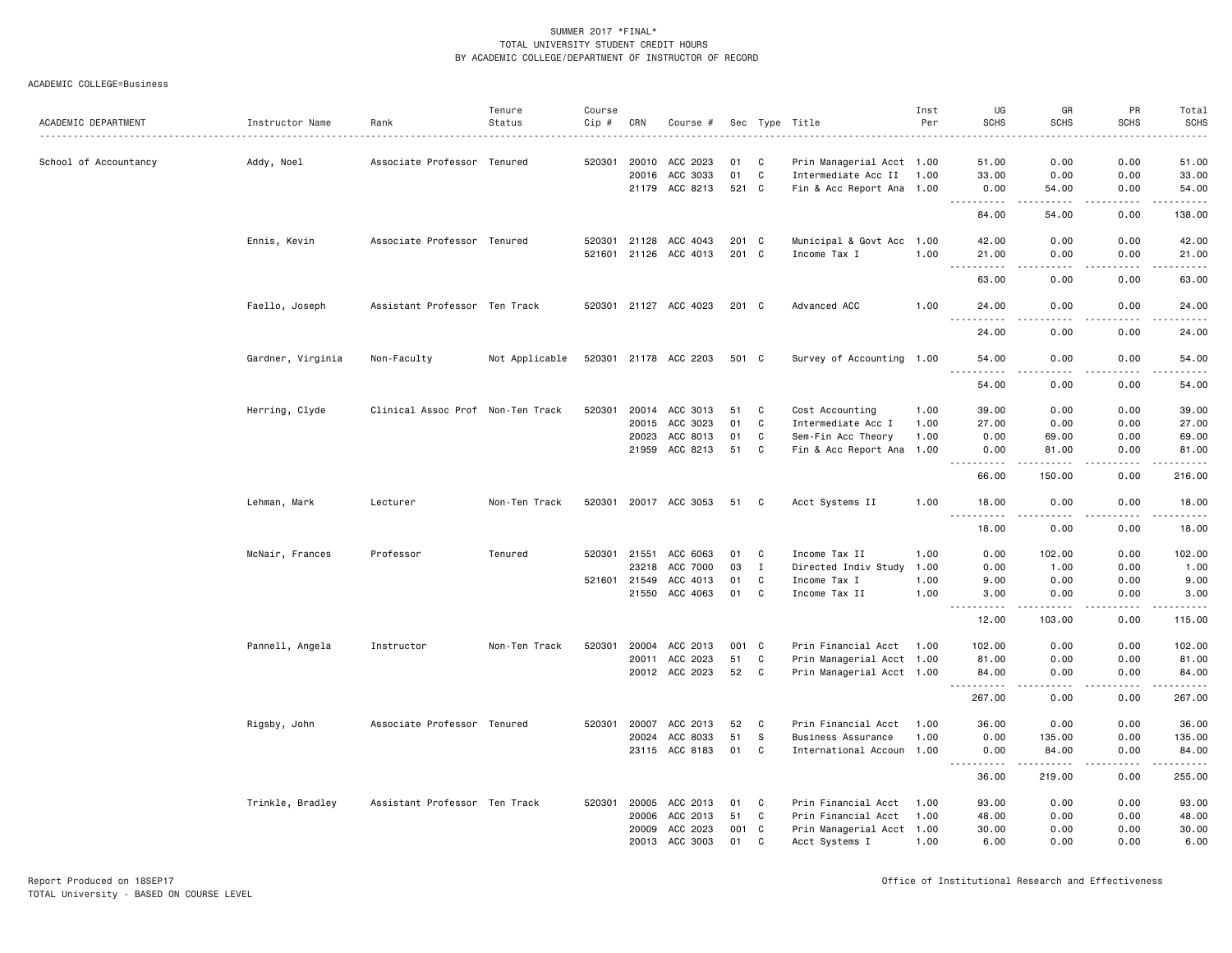ACADEMIC COLLEGE=Business

| 0.00<br>0.00<br>51.00<br>School of Accountancy<br>Addy, Noel<br>Associate Professor Tenured<br>520301<br>20010<br>ACC 2023<br>01<br>C<br>Prin Managerial Acct 1.00<br>51.00<br>20016 ACC 3033<br>C<br>0.00<br>0.00<br>01<br>Intermediate Acc II<br>33.00<br>33.00<br>1.00<br>21179 ACC 8213<br>521 C<br>Fin & Acc Report Ana 1.00<br>0.00<br>54.00<br>0.00<br>54.00<br>المتمام المتحدة<br>.<br>$\sim$ $\sim$ $\sim$<br>$-$ - $-$ -<br>84.00<br>0.00<br>138.00<br>54.00<br>Associate Professor Tenured<br>0.00<br>42.00<br>Ennis, Kevin<br>520301 21128 ACC 4043<br>201 C<br>Municipal & Govt Acc 1.00<br>42.00<br>0.00<br>521601 21126 ACC 4013<br>201 C<br>Income Tax I<br>1.00<br>21.00<br>0.00<br>0.00<br>21.00<br>.<br>$\sim$ $\sim$ $\sim$ $\sim$<br>المتمامين<br>$\sim$ $\sim$ $\sim$<br>.<br>63.00<br>0.00<br>0.00<br>63.00<br>Assistant Professor Ten Track<br>520301 21127 ACC 4023<br>Faello, Joseph<br>201 C<br>Advanced ACC<br>1.00<br>24.00<br>0.00<br>0.00<br>24.00<br>22222<br>.<br>.<br>$\sim$ $\sim$ $\sim$<br>24.00<br>0.00<br>0.00<br>24,00<br>Survey of Accounting 1.00<br>Gardner, Virginia<br>Non-Faculty<br>Not Applicable<br>520301 21178 ACC 2203<br>501 C<br>54.00<br>0.00<br>0.00<br>54.00<br>.<br>.<br>.<br>.<br>54.00<br>0.00<br>0.00<br>54.00<br>Clinical Assoc Prof Non-Ten Track<br>520301<br>20014 ACC 3013<br>0.00<br>0.00<br>39.00<br>Herring, Clyde<br>51<br>C<br>Cost Accounting<br>1.00<br>39.00<br>ACC 3023<br>0.00<br>27.00<br>20015<br>01<br>C<br>Intermediate Acc I<br>1.00<br>27.00<br>0.00<br>ACC 8013<br>01<br>C<br>0.00<br>69.00<br>0.00<br>69.00<br>20023<br>Sem-Fin Acc Theory<br>1.00<br>21959 ACC 8213<br>51<br>C<br>Fin & Acc Report Ana 1.00<br>0.00<br>81.00<br>0.00<br>81.00<br>66.00<br>150.00<br>0.00<br>216.00<br>520301 20017 ACC 3053<br>1.00<br>0.00<br>0.00<br>18.00<br>Lehman, Mark<br>Lecturer<br>Non-Ten Track<br>51<br>C.<br>Acct Systems II<br>18.00<br><u>.</u><br>.<br>18.00<br>0.00<br>0.00<br>18.00<br>520301 21551<br>ACC 6063<br>0.00<br>102.00<br>McNair, Frances<br>Professor<br>Tenured<br>01<br>C<br>Income Tax II<br>1.00<br>0.00<br>102.00<br>23218<br>ACC 7000<br>03<br>$\mathbf{I}$<br>Directed Indiv Study<br>0.00<br>1.00<br>0.00<br>1.00<br>1.00<br>521601<br>21549<br>ACC 4013<br>01<br>C<br>Income Tax I<br>1.00<br>9.00<br>0.00<br>0.00<br>9.00<br>21550 ACC 4063<br>01<br>C.<br>Income Tax II<br>1.00<br>3.00<br>0.00<br>0.00<br>3.00<br>.<br>.<br>.<br>.<br>12.00<br>103.00<br>0.00<br>115.00<br>Prin Financial Acct<br>Pannell, Angela<br>Instructor<br>Non-Ten Track<br>520301<br>20004<br>ACC 2013<br>001<br>C<br>1.00<br>102.00<br>0.00<br>0.00<br>102.00<br>20011 ACC 2023<br>51<br>C<br>Prin Managerial Acct 1.00<br>81.00<br>0.00<br>0.00<br>81.00<br>20012 ACC 2023<br>52<br>C <sub>c</sub><br>Prin Managerial Acct 1.00<br>0.00<br>0.00<br>84.00<br>84.00<br>.<br>.<br>267.00<br>267.00<br>0.00<br>0.00<br>Associate Professor Tenured<br>520301<br>20007<br>ACC 2013<br>52<br>C<br>Prin Financial Acct<br>1.00<br>36.00<br>0.00<br>0.00<br>36.00<br>Rigsby, John<br>20024 ACC 8033<br>51<br>s<br><b>Business Assurance</b><br>1.00<br>0.00<br>135.00<br>0.00<br>135.00<br>23115 ACC 8183<br>01<br>C<br>International Accoun 1.00<br>0.00<br>84.00<br>0.00<br>84.00<br><u>.</u><br>.<br>.<br><u>.</u><br>36.00<br>219.00<br>0.00<br>255.00<br>Assistant Professor Ten Track<br>20005<br>ACC 2013<br>C<br>Prin Financial Acct<br>93.00<br>0.00<br>93.00<br>Trinkle, Bradley<br>520301<br>01<br>1.00<br>0.00<br>20006<br>ACC 2013<br>51<br>C<br>Prin Financial Acct<br>1.00<br>48.00<br>0.00<br>0.00<br>48.00<br>20009<br>ACC 2023<br>001<br>C<br>0.00<br>0.00<br>Prin Managerial Acct 1.00<br>30.00<br>30.00<br>ACC 3003<br>C<br>20013<br>01<br>Acct Systems I<br>1.00<br>6.00<br>0.00<br>0.00<br>6.00 | ACADEMIC DEPARTMENT | Instructor Name | Rank | Tenure<br>Status | Course<br>$Cip \#$ | CRN | Course # |  | Sec Type Title | Inst<br>Per | UG<br><b>SCHS</b> | GR<br><b>SCHS</b> | PR<br><b>SCHS</b> | Total<br><b>SCHS</b> |
|--------------------------------------------------------------------------------------------------------------------------------------------------------------------------------------------------------------------------------------------------------------------------------------------------------------------------------------------------------------------------------------------------------------------------------------------------------------------------------------------------------------------------------------------------------------------------------------------------------------------------------------------------------------------------------------------------------------------------------------------------------------------------------------------------------------------------------------------------------------------------------------------------------------------------------------------------------------------------------------------------------------------------------------------------------------------------------------------------------------------------------------------------------------------------------------------------------------------------------------------------------------------------------------------------------------------------------------------------------------------------------------------------------------------------------------------------------------------------------------------------------------------------------------------------------------------------------------------------------------------------------------------------------------------------------------------------------------------------------------------------------------------------------------------------------------------------------------------------------------------------------------------------------------------------------------------------------------------------------------------------------------------------------------------------------------------------------------------------------------------------------------------------------------------------------------------------------------------------------------------------------------------------------------------------------------------------------------------------------------------------------------------------------------------------------------------------------------------------------------------------------------------------------------------------------------------------------------------------------------------------------------------------------------------------------------------------------------------------------------------------------------------------------------------------------------------------------------------------------------------------------------------------------------------------------------------------------------------------------------------------------------------------------------------------------------------------------------------------------------------------------------------------------------------------------------------------------------------------------------------------------------------------------------------------------------------------------------------------------------------------------------------------------------------------------------------------------------------------------------------------------------------------------------------------------------------------------------------------------------------------------------------------------------------------------------------------------------------------------------------------------------------------------------------------------|---------------------|-----------------|------|------------------|--------------------|-----|----------|--|----------------|-------------|-------------------|-------------------|-------------------|----------------------|
|                                                                                                                                                                                                                                                                                                                                                                                                                                                                                                                                                                                                                                                                                                                                                                                                                                                                                                                                                                                                                                                                                                                                                                                                                                                                                                                                                                                                                                                                                                                                                                                                                                                                                                                                                                                                                                                                                                                                                                                                                                                                                                                                                                                                                                                                                                                                                                                                                                                                                                                                                                                                                                                                                                                                                                                                                                                                                                                                                                                                                                                                                                                                                                                                                                                                                                                                                                                                                                                                                                                                                                                                                                                                                                                                                                                                        |                     |                 |      |                  |                    |     |          |  |                |             |                   |                   |                   |                      |
|                                                                                                                                                                                                                                                                                                                                                                                                                                                                                                                                                                                                                                                                                                                                                                                                                                                                                                                                                                                                                                                                                                                                                                                                                                                                                                                                                                                                                                                                                                                                                                                                                                                                                                                                                                                                                                                                                                                                                                                                                                                                                                                                                                                                                                                                                                                                                                                                                                                                                                                                                                                                                                                                                                                                                                                                                                                                                                                                                                                                                                                                                                                                                                                                                                                                                                                                                                                                                                                                                                                                                                                                                                                                                                                                                                                                        |                     |                 |      |                  |                    |     |          |  |                |             |                   |                   |                   |                      |
|                                                                                                                                                                                                                                                                                                                                                                                                                                                                                                                                                                                                                                                                                                                                                                                                                                                                                                                                                                                                                                                                                                                                                                                                                                                                                                                                                                                                                                                                                                                                                                                                                                                                                                                                                                                                                                                                                                                                                                                                                                                                                                                                                                                                                                                                                                                                                                                                                                                                                                                                                                                                                                                                                                                                                                                                                                                                                                                                                                                                                                                                                                                                                                                                                                                                                                                                                                                                                                                                                                                                                                                                                                                                                                                                                                                                        |                     |                 |      |                  |                    |     |          |  |                |             |                   |                   |                   |                      |
|                                                                                                                                                                                                                                                                                                                                                                                                                                                                                                                                                                                                                                                                                                                                                                                                                                                                                                                                                                                                                                                                                                                                                                                                                                                                                                                                                                                                                                                                                                                                                                                                                                                                                                                                                                                                                                                                                                                                                                                                                                                                                                                                                                                                                                                                                                                                                                                                                                                                                                                                                                                                                                                                                                                                                                                                                                                                                                                                                                                                                                                                                                                                                                                                                                                                                                                                                                                                                                                                                                                                                                                                                                                                                                                                                                                                        |                     |                 |      |                  |                    |     |          |  |                |             |                   |                   |                   |                      |
|                                                                                                                                                                                                                                                                                                                                                                                                                                                                                                                                                                                                                                                                                                                                                                                                                                                                                                                                                                                                                                                                                                                                                                                                                                                                                                                                                                                                                                                                                                                                                                                                                                                                                                                                                                                                                                                                                                                                                                                                                                                                                                                                                                                                                                                                                                                                                                                                                                                                                                                                                                                                                                                                                                                                                                                                                                                                                                                                                                                                                                                                                                                                                                                                                                                                                                                                                                                                                                                                                                                                                                                                                                                                                                                                                                                                        |                     |                 |      |                  |                    |     |          |  |                |             |                   |                   |                   |                      |
|                                                                                                                                                                                                                                                                                                                                                                                                                                                                                                                                                                                                                                                                                                                                                                                                                                                                                                                                                                                                                                                                                                                                                                                                                                                                                                                                                                                                                                                                                                                                                                                                                                                                                                                                                                                                                                                                                                                                                                                                                                                                                                                                                                                                                                                                                                                                                                                                                                                                                                                                                                                                                                                                                                                                                                                                                                                                                                                                                                                                                                                                                                                                                                                                                                                                                                                                                                                                                                                                                                                                                                                                                                                                                                                                                                                                        |                     |                 |      |                  |                    |     |          |  |                |             |                   |                   |                   |                      |
|                                                                                                                                                                                                                                                                                                                                                                                                                                                                                                                                                                                                                                                                                                                                                                                                                                                                                                                                                                                                                                                                                                                                                                                                                                                                                                                                                                                                                                                                                                                                                                                                                                                                                                                                                                                                                                                                                                                                                                                                                                                                                                                                                                                                                                                                                                                                                                                                                                                                                                                                                                                                                                                                                                                                                                                                                                                                                                                                                                                                                                                                                                                                                                                                                                                                                                                                                                                                                                                                                                                                                                                                                                                                                                                                                                                                        |                     |                 |      |                  |                    |     |          |  |                |             |                   |                   |                   |                      |
|                                                                                                                                                                                                                                                                                                                                                                                                                                                                                                                                                                                                                                                                                                                                                                                                                                                                                                                                                                                                                                                                                                                                                                                                                                                                                                                                                                                                                                                                                                                                                                                                                                                                                                                                                                                                                                                                                                                                                                                                                                                                                                                                                                                                                                                                                                                                                                                                                                                                                                                                                                                                                                                                                                                                                                                                                                                                                                                                                                                                                                                                                                                                                                                                                                                                                                                                                                                                                                                                                                                                                                                                                                                                                                                                                                                                        |                     |                 |      |                  |                    |     |          |  |                |             |                   |                   |                   |                      |
|                                                                                                                                                                                                                                                                                                                                                                                                                                                                                                                                                                                                                                                                                                                                                                                                                                                                                                                                                                                                                                                                                                                                                                                                                                                                                                                                                                                                                                                                                                                                                                                                                                                                                                                                                                                                                                                                                                                                                                                                                                                                                                                                                                                                                                                                                                                                                                                                                                                                                                                                                                                                                                                                                                                                                                                                                                                                                                                                                                                                                                                                                                                                                                                                                                                                                                                                                                                                                                                                                                                                                                                                                                                                                                                                                                                                        |                     |                 |      |                  |                    |     |          |  |                |             |                   |                   |                   |                      |
|                                                                                                                                                                                                                                                                                                                                                                                                                                                                                                                                                                                                                                                                                                                                                                                                                                                                                                                                                                                                                                                                                                                                                                                                                                                                                                                                                                                                                                                                                                                                                                                                                                                                                                                                                                                                                                                                                                                                                                                                                                                                                                                                                                                                                                                                                                                                                                                                                                                                                                                                                                                                                                                                                                                                                                                                                                                                                                                                                                                                                                                                                                                                                                                                                                                                                                                                                                                                                                                                                                                                                                                                                                                                                                                                                                                                        |                     |                 |      |                  |                    |     |          |  |                |             |                   |                   |                   |                      |
|                                                                                                                                                                                                                                                                                                                                                                                                                                                                                                                                                                                                                                                                                                                                                                                                                                                                                                                                                                                                                                                                                                                                                                                                                                                                                                                                                                                                                                                                                                                                                                                                                                                                                                                                                                                                                                                                                                                                                                                                                                                                                                                                                                                                                                                                                                                                                                                                                                                                                                                                                                                                                                                                                                                                                                                                                                                                                                                                                                                                                                                                                                                                                                                                                                                                                                                                                                                                                                                                                                                                                                                                                                                                                                                                                                                                        |                     |                 |      |                  |                    |     |          |  |                |             |                   |                   |                   |                      |
|                                                                                                                                                                                                                                                                                                                                                                                                                                                                                                                                                                                                                                                                                                                                                                                                                                                                                                                                                                                                                                                                                                                                                                                                                                                                                                                                                                                                                                                                                                                                                                                                                                                                                                                                                                                                                                                                                                                                                                                                                                                                                                                                                                                                                                                                                                                                                                                                                                                                                                                                                                                                                                                                                                                                                                                                                                                                                                                                                                                                                                                                                                                                                                                                                                                                                                                                                                                                                                                                                                                                                                                                                                                                                                                                                                                                        |                     |                 |      |                  |                    |     |          |  |                |             |                   |                   |                   |                      |
|                                                                                                                                                                                                                                                                                                                                                                                                                                                                                                                                                                                                                                                                                                                                                                                                                                                                                                                                                                                                                                                                                                                                                                                                                                                                                                                                                                                                                                                                                                                                                                                                                                                                                                                                                                                                                                                                                                                                                                                                                                                                                                                                                                                                                                                                                                                                                                                                                                                                                                                                                                                                                                                                                                                                                                                                                                                                                                                                                                                                                                                                                                                                                                                                                                                                                                                                                                                                                                                                                                                                                                                                                                                                                                                                                                                                        |                     |                 |      |                  |                    |     |          |  |                |             |                   |                   |                   |                      |
|                                                                                                                                                                                                                                                                                                                                                                                                                                                                                                                                                                                                                                                                                                                                                                                                                                                                                                                                                                                                                                                                                                                                                                                                                                                                                                                                                                                                                                                                                                                                                                                                                                                                                                                                                                                                                                                                                                                                                                                                                                                                                                                                                                                                                                                                                                                                                                                                                                                                                                                                                                                                                                                                                                                                                                                                                                                                                                                                                                                                                                                                                                                                                                                                                                                                                                                                                                                                                                                                                                                                                                                                                                                                                                                                                                                                        |                     |                 |      |                  |                    |     |          |  |                |             |                   |                   |                   |                      |
|                                                                                                                                                                                                                                                                                                                                                                                                                                                                                                                                                                                                                                                                                                                                                                                                                                                                                                                                                                                                                                                                                                                                                                                                                                                                                                                                                                                                                                                                                                                                                                                                                                                                                                                                                                                                                                                                                                                                                                                                                                                                                                                                                                                                                                                                                                                                                                                                                                                                                                                                                                                                                                                                                                                                                                                                                                                                                                                                                                                                                                                                                                                                                                                                                                                                                                                                                                                                                                                                                                                                                                                                                                                                                                                                                                                                        |                     |                 |      |                  |                    |     |          |  |                |             |                   |                   |                   |                      |
|                                                                                                                                                                                                                                                                                                                                                                                                                                                                                                                                                                                                                                                                                                                                                                                                                                                                                                                                                                                                                                                                                                                                                                                                                                                                                                                                                                                                                                                                                                                                                                                                                                                                                                                                                                                                                                                                                                                                                                                                                                                                                                                                                                                                                                                                                                                                                                                                                                                                                                                                                                                                                                                                                                                                                                                                                                                                                                                                                                                                                                                                                                                                                                                                                                                                                                                                                                                                                                                                                                                                                                                                                                                                                                                                                                                                        |                     |                 |      |                  |                    |     |          |  |                |             |                   |                   |                   |                      |
|                                                                                                                                                                                                                                                                                                                                                                                                                                                                                                                                                                                                                                                                                                                                                                                                                                                                                                                                                                                                                                                                                                                                                                                                                                                                                                                                                                                                                                                                                                                                                                                                                                                                                                                                                                                                                                                                                                                                                                                                                                                                                                                                                                                                                                                                                                                                                                                                                                                                                                                                                                                                                                                                                                                                                                                                                                                                                                                                                                                                                                                                                                                                                                                                                                                                                                                                                                                                                                                                                                                                                                                                                                                                                                                                                                                                        |                     |                 |      |                  |                    |     |          |  |                |             |                   |                   |                   |                      |
|                                                                                                                                                                                                                                                                                                                                                                                                                                                                                                                                                                                                                                                                                                                                                                                                                                                                                                                                                                                                                                                                                                                                                                                                                                                                                                                                                                                                                                                                                                                                                                                                                                                                                                                                                                                                                                                                                                                                                                                                                                                                                                                                                                                                                                                                                                                                                                                                                                                                                                                                                                                                                                                                                                                                                                                                                                                                                                                                                                                                                                                                                                                                                                                                                                                                                                                                                                                                                                                                                                                                                                                                                                                                                                                                                                                                        |                     |                 |      |                  |                    |     |          |  |                |             |                   |                   |                   |                      |
|                                                                                                                                                                                                                                                                                                                                                                                                                                                                                                                                                                                                                                                                                                                                                                                                                                                                                                                                                                                                                                                                                                                                                                                                                                                                                                                                                                                                                                                                                                                                                                                                                                                                                                                                                                                                                                                                                                                                                                                                                                                                                                                                                                                                                                                                                                                                                                                                                                                                                                                                                                                                                                                                                                                                                                                                                                                                                                                                                                                                                                                                                                                                                                                                                                                                                                                                                                                                                                                                                                                                                                                                                                                                                                                                                                                                        |                     |                 |      |                  |                    |     |          |  |                |             |                   |                   |                   |                      |
|                                                                                                                                                                                                                                                                                                                                                                                                                                                                                                                                                                                                                                                                                                                                                                                                                                                                                                                                                                                                                                                                                                                                                                                                                                                                                                                                                                                                                                                                                                                                                                                                                                                                                                                                                                                                                                                                                                                                                                                                                                                                                                                                                                                                                                                                                                                                                                                                                                                                                                                                                                                                                                                                                                                                                                                                                                                                                                                                                                                                                                                                                                                                                                                                                                                                                                                                                                                                                                                                                                                                                                                                                                                                                                                                                                                                        |                     |                 |      |                  |                    |     |          |  |                |             |                   |                   |                   |                      |
|                                                                                                                                                                                                                                                                                                                                                                                                                                                                                                                                                                                                                                                                                                                                                                                                                                                                                                                                                                                                                                                                                                                                                                                                                                                                                                                                                                                                                                                                                                                                                                                                                                                                                                                                                                                                                                                                                                                                                                                                                                                                                                                                                                                                                                                                                                                                                                                                                                                                                                                                                                                                                                                                                                                                                                                                                                                                                                                                                                                                                                                                                                                                                                                                                                                                                                                                                                                                                                                                                                                                                                                                                                                                                                                                                                                                        |                     |                 |      |                  |                    |     |          |  |                |             |                   |                   |                   |                      |
|                                                                                                                                                                                                                                                                                                                                                                                                                                                                                                                                                                                                                                                                                                                                                                                                                                                                                                                                                                                                                                                                                                                                                                                                                                                                                                                                                                                                                                                                                                                                                                                                                                                                                                                                                                                                                                                                                                                                                                                                                                                                                                                                                                                                                                                                                                                                                                                                                                                                                                                                                                                                                                                                                                                                                                                                                                                                                                                                                                                                                                                                                                                                                                                                                                                                                                                                                                                                                                                                                                                                                                                                                                                                                                                                                                                                        |                     |                 |      |                  |                    |     |          |  |                |             |                   |                   |                   |                      |
|                                                                                                                                                                                                                                                                                                                                                                                                                                                                                                                                                                                                                                                                                                                                                                                                                                                                                                                                                                                                                                                                                                                                                                                                                                                                                                                                                                                                                                                                                                                                                                                                                                                                                                                                                                                                                                                                                                                                                                                                                                                                                                                                                                                                                                                                                                                                                                                                                                                                                                                                                                                                                                                                                                                                                                                                                                                                                                                                                                                                                                                                                                                                                                                                                                                                                                                                                                                                                                                                                                                                                                                                                                                                                                                                                                                                        |                     |                 |      |                  |                    |     |          |  |                |             |                   |                   |                   |                      |
|                                                                                                                                                                                                                                                                                                                                                                                                                                                                                                                                                                                                                                                                                                                                                                                                                                                                                                                                                                                                                                                                                                                                                                                                                                                                                                                                                                                                                                                                                                                                                                                                                                                                                                                                                                                                                                                                                                                                                                                                                                                                                                                                                                                                                                                                                                                                                                                                                                                                                                                                                                                                                                                                                                                                                                                                                                                                                                                                                                                                                                                                                                                                                                                                                                                                                                                                                                                                                                                                                                                                                                                                                                                                                                                                                                                                        |                     |                 |      |                  |                    |     |          |  |                |             |                   |                   |                   |                      |
|                                                                                                                                                                                                                                                                                                                                                                                                                                                                                                                                                                                                                                                                                                                                                                                                                                                                                                                                                                                                                                                                                                                                                                                                                                                                                                                                                                                                                                                                                                                                                                                                                                                                                                                                                                                                                                                                                                                                                                                                                                                                                                                                                                                                                                                                                                                                                                                                                                                                                                                                                                                                                                                                                                                                                                                                                                                                                                                                                                                                                                                                                                                                                                                                                                                                                                                                                                                                                                                                                                                                                                                                                                                                                                                                                                                                        |                     |                 |      |                  |                    |     |          |  |                |             |                   |                   |                   |                      |
|                                                                                                                                                                                                                                                                                                                                                                                                                                                                                                                                                                                                                                                                                                                                                                                                                                                                                                                                                                                                                                                                                                                                                                                                                                                                                                                                                                                                                                                                                                                                                                                                                                                                                                                                                                                                                                                                                                                                                                                                                                                                                                                                                                                                                                                                                                                                                                                                                                                                                                                                                                                                                                                                                                                                                                                                                                                                                                                                                                                                                                                                                                                                                                                                                                                                                                                                                                                                                                                                                                                                                                                                                                                                                                                                                                                                        |                     |                 |      |                  |                    |     |          |  |                |             |                   |                   |                   |                      |
|                                                                                                                                                                                                                                                                                                                                                                                                                                                                                                                                                                                                                                                                                                                                                                                                                                                                                                                                                                                                                                                                                                                                                                                                                                                                                                                                                                                                                                                                                                                                                                                                                                                                                                                                                                                                                                                                                                                                                                                                                                                                                                                                                                                                                                                                                                                                                                                                                                                                                                                                                                                                                                                                                                                                                                                                                                                                                                                                                                                                                                                                                                                                                                                                                                                                                                                                                                                                                                                                                                                                                                                                                                                                                                                                                                                                        |                     |                 |      |                  |                    |     |          |  |                |             |                   |                   |                   |                      |
|                                                                                                                                                                                                                                                                                                                                                                                                                                                                                                                                                                                                                                                                                                                                                                                                                                                                                                                                                                                                                                                                                                                                                                                                                                                                                                                                                                                                                                                                                                                                                                                                                                                                                                                                                                                                                                                                                                                                                                                                                                                                                                                                                                                                                                                                                                                                                                                                                                                                                                                                                                                                                                                                                                                                                                                                                                                                                                                                                                                                                                                                                                                                                                                                                                                                                                                                                                                                                                                                                                                                                                                                                                                                                                                                                                                                        |                     |                 |      |                  |                    |     |          |  |                |             |                   |                   |                   |                      |
|                                                                                                                                                                                                                                                                                                                                                                                                                                                                                                                                                                                                                                                                                                                                                                                                                                                                                                                                                                                                                                                                                                                                                                                                                                                                                                                                                                                                                                                                                                                                                                                                                                                                                                                                                                                                                                                                                                                                                                                                                                                                                                                                                                                                                                                                                                                                                                                                                                                                                                                                                                                                                                                                                                                                                                                                                                                                                                                                                                                                                                                                                                                                                                                                                                                                                                                                                                                                                                                                                                                                                                                                                                                                                                                                                                                                        |                     |                 |      |                  |                    |     |          |  |                |             |                   |                   |                   |                      |
|                                                                                                                                                                                                                                                                                                                                                                                                                                                                                                                                                                                                                                                                                                                                                                                                                                                                                                                                                                                                                                                                                                                                                                                                                                                                                                                                                                                                                                                                                                                                                                                                                                                                                                                                                                                                                                                                                                                                                                                                                                                                                                                                                                                                                                                                                                                                                                                                                                                                                                                                                                                                                                                                                                                                                                                                                                                                                                                                                                                                                                                                                                                                                                                                                                                                                                                                                                                                                                                                                                                                                                                                                                                                                                                                                                                                        |                     |                 |      |                  |                    |     |          |  |                |             |                   |                   |                   |                      |
|                                                                                                                                                                                                                                                                                                                                                                                                                                                                                                                                                                                                                                                                                                                                                                                                                                                                                                                                                                                                                                                                                                                                                                                                                                                                                                                                                                                                                                                                                                                                                                                                                                                                                                                                                                                                                                                                                                                                                                                                                                                                                                                                                                                                                                                                                                                                                                                                                                                                                                                                                                                                                                                                                                                                                                                                                                                                                                                                                                                                                                                                                                                                                                                                                                                                                                                                                                                                                                                                                                                                                                                                                                                                                                                                                                                                        |                     |                 |      |                  |                    |     |          |  |                |             |                   |                   |                   |                      |
|                                                                                                                                                                                                                                                                                                                                                                                                                                                                                                                                                                                                                                                                                                                                                                                                                                                                                                                                                                                                                                                                                                                                                                                                                                                                                                                                                                                                                                                                                                                                                                                                                                                                                                                                                                                                                                                                                                                                                                                                                                                                                                                                                                                                                                                                                                                                                                                                                                                                                                                                                                                                                                                                                                                                                                                                                                                                                                                                                                                                                                                                                                                                                                                                                                                                                                                                                                                                                                                                                                                                                                                                                                                                                                                                                                                                        |                     |                 |      |                  |                    |     |          |  |                |             |                   |                   |                   |                      |
|                                                                                                                                                                                                                                                                                                                                                                                                                                                                                                                                                                                                                                                                                                                                                                                                                                                                                                                                                                                                                                                                                                                                                                                                                                                                                                                                                                                                                                                                                                                                                                                                                                                                                                                                                                                                                                                                                                                                                                                                                                                                                                                                                                                                                                                                                                                                                                                                                                                                                                                                                                                                                                                                                                                                                                                                                                                                                                                                                                                                                                                                                                                                                                                                                                                                                                                                                                                                                                                                                                                                                                                                                                                                                                                                                                                                        |                     |                 |      |                  |                    |     |          |  |                |             |                   |                   |                   |                      |
|                                                                                                                                                                                                                                                                                                                                                                                                                                                                                                                                                                                                                                                                                                                                                                                                                                                                                                                                                                                                                                                                                                                                                                                                                                                                                                                                                                                                                                                                                                                                                                                                                                                                                                                                                                                                                                                                                                                                                                                                                                                                                                                                                                                                                                                                                                                                                                                                                                                                                                                                                                                                                                                                                                                                                                                                                                                                                                                                                                                                                                                                                                                                                                                                                                                                                                                                                                                                                                                                                                                                                                                                                                                                                                                                                                                                        |                     |                 |      |                  |                    |     |          |  |                |             |                   |                   |                   |                      |
|                                                                                                                                                                                                                                                                                                                                                                                                                                                                                                                                                                                                                                                                                                                                                                                                                                                                                                                                                                                                                                                                                                                                                                                                                                                                                                                                                                                                                                                                                                                                                                                                                                                                                                                                                                                                                                                                                                                                                                                                                                                                                                                                                                                                                                                                                                                                                                                                                                                                                                                                                                                                                                                                                                                                                                                                                                                                                                                                                                                                                                                                                                                                                                                                                                                                                                                                                                                                                                                                                                                                                                                                                                                                                                                                                                                                        |                     |                 |      |                  |                    |     |          |  |                |             |                   |                   |                   |                      |
|                                                                                                                                                                                                                                                                                                                                                                                                                                                                                                                                                                                                                                                                                                                                                                                                                                                                                                                                                                                                                                                                                                                                                                                                                                                                                                                                                                                                                                                                                                                                                                                                                                                                                                                                                                                                                                                                                                                                                                                                                                                                                                                                                                                                                                                                                                                                                                                                                                                                                                                                                                                                                                                                                                                                                                                                                                                                                                                                                                                                                                                                                                                                                                                                                                                                                                                                                                                                                                                                                                                                                                                                                                                                                                                                                                                                        |                     |                 |      |                  |                    |     |          |  |                |             |                   |                   |                   |                      |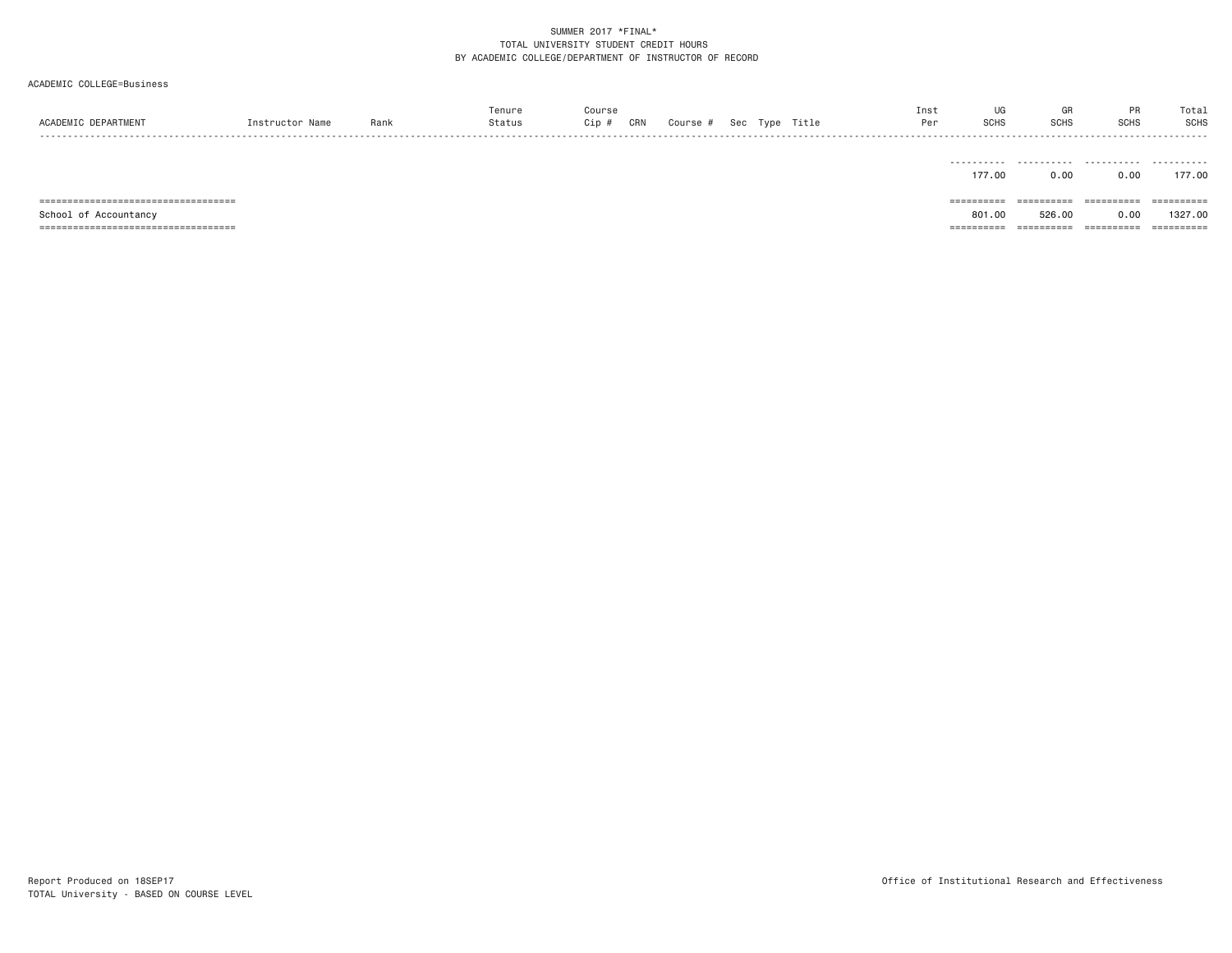#### ACADEMIC COLLEGE=Business

| ACADEMIC DEPARTMENT                    | Instructor Name | Rank | Tenure<br>Status | Course<br>CRN<br>Cip # | Course # |  | Sec Type Title | Inst<br>Per | UG<br><b>SCHS</b> | GR<br><b>SCHS</b> | <b>PR</b><br><b>SCHS</b> | Total<br><b>SCHS</b> |
|----------------------------------------|-----------------|------|------------------|------------------------|----------|--|----------------|-------------|-------------------|-------------------|--------------------------|----------------------|
|                                        |                 |      |                  |                        |          |  |                |             | 177.00            | 0.00              | 0.00                     | 177.00               |
| ====================================== |                 |      |                  |                        |          |  |                |             | ----------        | ==========        | ==========               | ==========           |
| School of Accountancy                  |                 |      |                  |                        |          |  |                |             | 801.00            | 526.00            | 0.00                     | 1327.00              |
| =====================================  |                 |      |                  |                        |          |  |                |             | =========         | ==========        | ==========               | ==========           |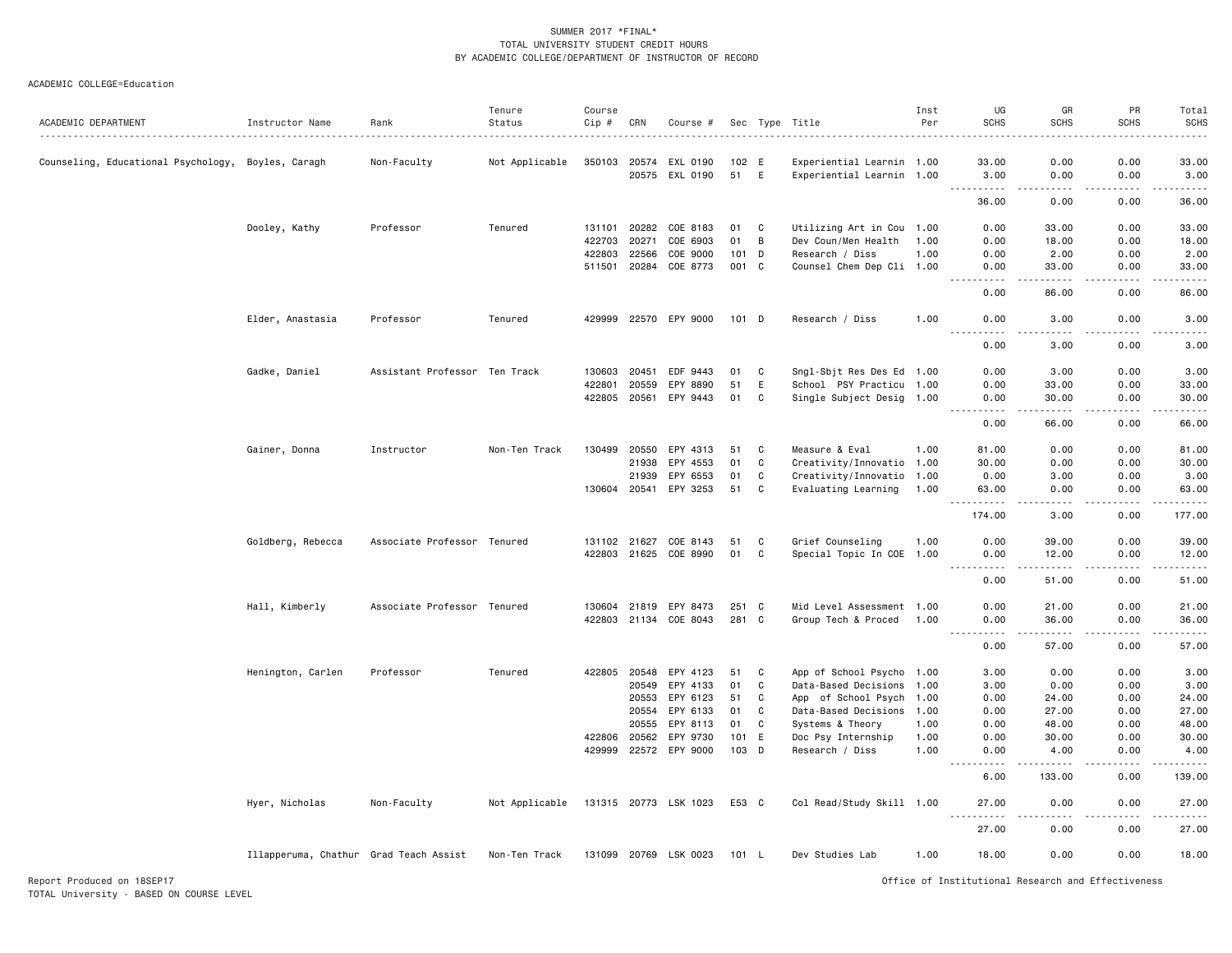#### ACADEMIC COLLEGE=Education

|                                     |                                        |                               | Tenure         | Course                 |       |                       |          |             |                           | Inst | UG                                                                                                                                | GR                     | PR                    | Total                  |
|-------------------------------------|----------------------------------------|-------------------------------|----------------|------------------------|-------|-----------------------|----------|-------------|---------------------------|------|-----------------------------------------------------------------------------------------------------------------------------------|------------------------|-----------------------|------------------------|
| ACADEMIC DEPARTMENT                 | Instructor Name                        | Rank                          | Status         | Cip #                  | CRN   | Course #              |          |             | Sec Type Title            | Per  | <b>SCHS</b>                                                                                                                       | <b>SCHS</b>            | <b>SCHS</b>           | <b>SCHS</b>            |
| Counseling, Educational Psychology, | Boyles, Caragh                         | Non-Faculty                   | Not Applicable | 350103                 | 20574 | EXL 0190              | 102 E    |             | Experiential Learnin 1.00 |      | 33.00                                                                                                                             | 0.00                   | 0.00                  | 33.00                  |
|                                     |                                        |                               |                |                        | 20575 | EXL 0190              | 51       | E           | Experiential Learnin 1.00 |      | 3.00                                                                                                                              | 0.00                   | 0.00                  | 3.00                   |
|                                     |                                        |                               |                |                        |       |                       |          |             |                           |      | 36.00                                                                                                                             | .<br>0.00              | .<br>0.00             | .<br>36.00             |
|                                     | Dooley, Kathy                          | Professor                     | Tenured        | 131101                 | 20282 | COE 8183              | 01       | C           | Utilizing Art in Cou 1.00 |      | 0.00                                                                                                                              | 33.00                  | 0.00                  | 33.00                  |
|                                     |                                        |                               |                | 422703                 | 20271 | COE 6903              | 01       | B           | Dev Coun/Men Health       | 1.00 | 0.00                                                                                                                              | 18.00                  | 0.00                  | 18.00                  |
|                                     |                                        |                               |                | 422803                 | 22566 | COE 9000              | 101      | D           | Research / Diss           | 1.00 | 0.00                                                                                                                              | 2.00                   | 0.00                  | 2.00                   |
|                                     |                                        |                               |                | 511501                 | 20284 | COE 8773              | 001 C    |             | Counsel Chem Dep Cli 1.00 |      | 0.00                                                                                                                              | 33.00                  | 0.00                  | 33.00                  |
|                                     |                                        |                               |                |                        |       |                       |          |             |                           |      | 0.00                                                                                                                              | 86.00                  | 0.00                  | 86.00                  |
|                                     | Elder, Anastasia                       | Professor                     | Tenured        | 429999                 |       | 22570 EPY 9000        | $101$ D  |             | Research / Diss           | 1.00 | 0.00                                                                                                                              | 3.00                   | 0.00                  | 3.00                   |
|                                     |                                        |                               |                |                        |       |                       |          |             |                           |      | 0.00                                                                                                                              | 3.00                   | 0.00                  | -----<br>3.00          |
|                                     | Gadke, Daniel                          | Assistant Professor Ten Track |                | 130603                 | 20451 | EDF 9443              | 01       | C           | Sngl-Sbjt Res Des Ed 1.00 |      | 0.00                                                                                                                              | 3.00                   | 0.00                  | 3.00                   |
|                                     |                                        |                               |                | 422801                 | 20559 | EPY 8890              | 51       | $\mathsf E$ | School PSY Practicu 1.00  |      | 0.00                                                                                                                              | 33.00                  | 0.00                  | 33.00                  |
|                                     |                                        |                               |                | 422805                 | 20561 | EPY 9443              | 01       | C           | Single Subject Desig 1.00 |      | 0.00                                                                                                                              | 30.00                  | 0.00                  | 30.00                  |
|                                     |                                        |                               |                |                        |       |                       |          |             |                           |      | $- - - -$<br>0.00                                                                                                                 | .<br>66.00             | $\frac{1}{2}$<br>0.00 | د د د د د<br>66.00     |
|                                     | Gainer, Donna                          | Instructor                    | Non-Ten Track  | 130499                 | 20550 | EPY 4313              | 51       | C           | Measure & Eval            | 1.00 | 81.00                                                                                                                             | 0.00                   | 0.00                  | 81.00                  |
|                                     |                                        |                               |                |                        | 21938 | EPY 4553              | 01       | C           | Creativity/Innovatio 1.00 |      | 30.00                                                                                                                             | 0.00                   | 0.00                  | 30.00                  |
|                                     |                                        |                               |                |                        | 21939 | EPY 6553              | 01       | C           | Creativity/Innovatio 1.00 |      | 0.00                                                                                                                              | 3.00                   | 0.00                  | 3.00                   |
|                                     |                                        |                               |                | 130604 20541           |       | EPY 3253              | 51       | C           | Evaluating Learning       | 1.00 | 63.00                                                                                                                             | 0.00                   | 0.00                  | 63.00                  |
|                                     |                                        |                               |                |                        |       |                       |          |             |                           |      | .<br>$\frac{1}{2}$<br>174.00                                                                                                      | .<br>3.00              | .<br>0.00             | .<br>177.00            |
|                                     |                                        | Associate Professor Tenured   |                |                        |       | COE 8143              |          | C           | Grief Counseling          |      | 0.00                                                                                                                              |                        | 0.00                  | 39.00                  |
|                                     | Goldberg, Rebecca                      |                               |                | 131102<br>422803 21625 | 21627 | COE 8990              | 51<br>01 | C           | Special Topic In COE 1.00 | 1.00 | 0.00                                                                                                                              | 39.00<br>12.00         | 0.00                  | 12.00                  |
|                                     |                                        |                               |                |                        |       |                       |          |             |                           |      | $\frac{1}{2}$<br>.                                                                                                                | .                      | .                     | .                      |
|                                     |                                        |                               |                |                        |       |                       |          |             |                           |      | 0.00                                                                                                                              | 51.00                  | 0.00                  | 51.00                  |
|                                     | Hall, Kimberly                         | Associate Professor Tenured   |                | 130604 21819           |       | EPY 8473              | 251 C    |             | Mid Level Assessment 1.00 |      | 0.00                                                                                                                              | 21.00                  | 0.00                  | 21.00                  |
|                                     |                                        |                               |                |                        |       | 422803 21134 COE 8043 | 281 C    |             | Group Tech & Proced 1.00  |      | 0.00<br>$- - -$<br>. <b>.</b>                                                                                                     | 36.00<br>$\frac{1}{2}$ | 0.00<br><u>.</u>      | 36.00<br>.             |
|                                     |                                        |                               |                |                        |       |                       |          |             |                           |      | 0.00                                                                                                                              | 57.00                  | 0.00                  | 57.00                  |
|                                     | Henington, Carlen                      | Professor                     | Tenured        | 422805                 | 20548 | EPY 4123              | 51       | C           | App of School Psycho 1.00 |      | 3.00                                                                                                                              | 0.00                   | 0.00                  | 3.00                   |
|                                     |                                        |                               |                |                        | 20549 | EPY 4133              | 01       | C           | Data-Based Decisions 1.00 |      | 3.00                                                                                                                              | 0.00                   | 0.00                  | 3.00                   |
|                                     |                                        |                               |                |                        | 20553 | EPY 6123              | 51       | C           | App of School Psych 1.00  |      | 0.00                                                                                                                              | 24.00                  | 0.00                  | 24.00                  |
|                                     |                                        |                               |                |                        | 20554 | EPY 6133              | 01       | C           | Data-Based Decisions 1.00 |      | 0.00                                                                                                                              | 27.00                  | 0.00                  | 27.00                  |
|                                     |                                        |                               |                |                        | 20555 | EPY 8113              | 01       | C           | Systems & Theory          | 1.00 | 0.00                                                                                                                              | 48.00                  | 0.00                  | 48.00                  |
|                                     |                                        |                               |                | 422806                 | 20562 | EPY 9730              | 101 E    |             | Doc Psy Internship        | 1.00 | 0.00                                                                                                                              | 30.00                  | 0.00                  | 30.00                  |
|                                     |                                        |                               |                | 429999                 |       | 22572 EPY 9000        | 103 D    |             | Research / Diss           | 1.00 | 0.00<br>$\frac{1}{2} \left( \frac{1}{2} \right) \left( \frac{1}{2} \right) \left( \frac{1}{2} \right) \left( \frac{1}{2} \right)$ | 4.00<br>-----          | 0.00<br>.             | 4.00<br>.              |
|                                     |                                        |                               |                |                        |       |                       |          |             |                           |      | 6.00                                                                                                                              | 133.00                 | 0.00                  | 139.00                 |
|                                     | Hyer, Nicholas                         | Non-Faculty                   | Not Applicable |                        |       | 131315 20773 LSK 1023 | E53 C    |             | Col Read/Study Skill 1.00 |      | 27.00                                                                                                                             | 0.00                   | 0.00                  | 27.00<br>$\frac{1}{2}$ |
|                                     |                                        |                               |                |                        |       |                       |          |             |                           |      | 27.00                                                                                                                             | 0.00                   | 0.00                  | 27.00                  |
|                                     | Illapperuma, Chathur Grad Teach Assist |                               | Non-Ten Track  |                        |       | 131099 20769 LSK 0023 | 101 L    |             | Dev Studies Lab           | 1.00 | 18.00                                                                                                                             | 0.00                   | 0.00                  | 18.00                  |

Report Produced on 18SEP17 Office of Institutional Research and Effectiveness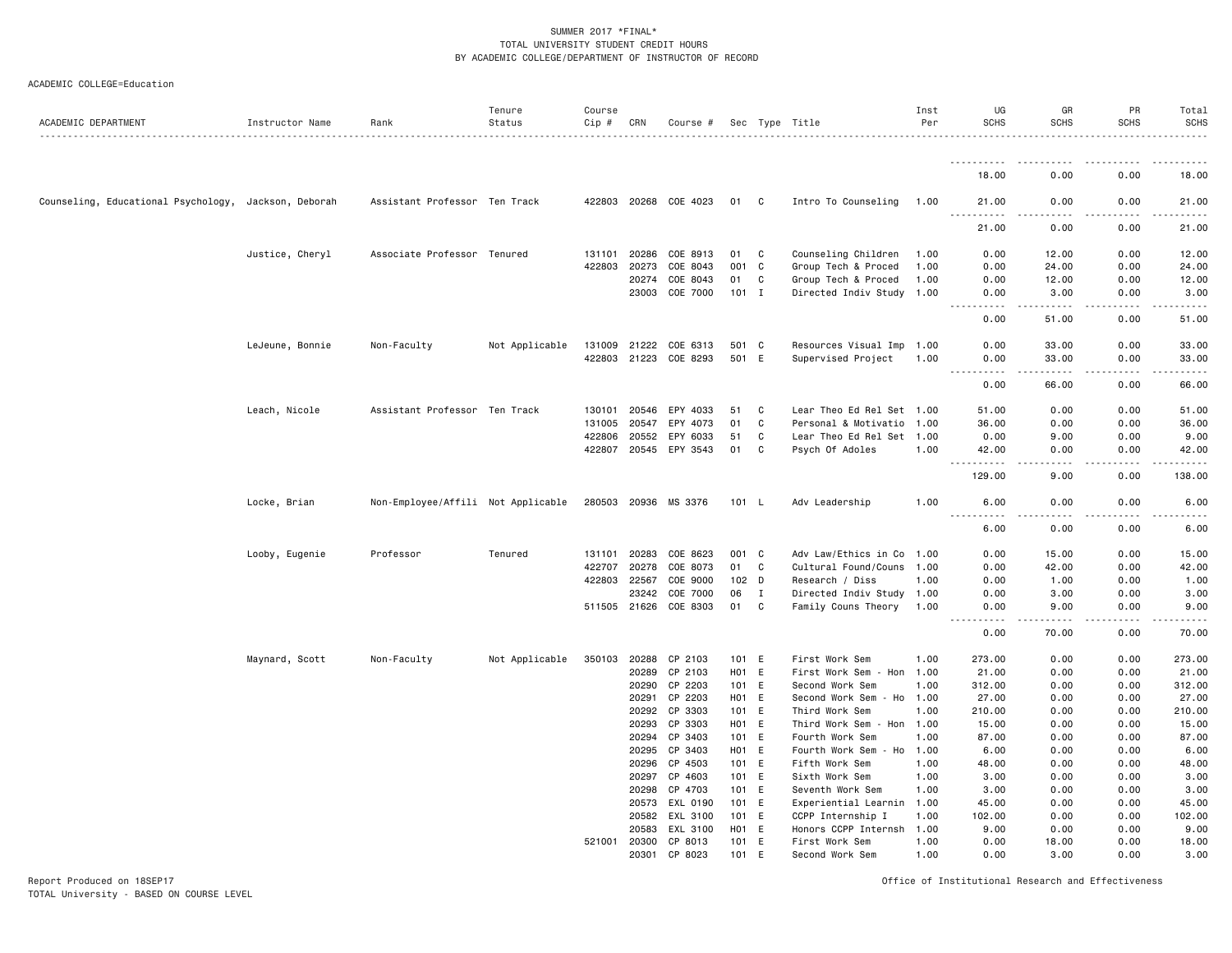| ACADEMIC COLLEGE=Education |  |
|----------------------------|--|
|----------------------------|--|

| ACADEMIC DEPARTMENT                 | Instructor Name  | Rank                               | Tenure<br>Status | Course<br>Cip # | CRN            | Course #              |                  |    | Sec Type Title                            | Inst<br>Per  | UG<br><b>SCHS</b>                  | GR<br><b>SCHS</b>                                                                                                                                             | PR<br><b>SCHS</b> | Total<br><b>SCHS</b>  |
|-------------------------------------|------------------|------------------------------------|------------------|-----------------|----------------|-----------------------|------------------|----|-------------------------------------------|--------------|------------------------------------|---------------------------------------------------------------------------------------------------------------------------------------------------------------|-------------------|-----------------------|
|                                     |                  |                                    |                  |                 |                |                       |                  |    |                                           |              |                                    |                                                                                                                                                               |                   |                       |
|                                     |                  |                                    |                  |                 |                |                       |                  |    |                                           |              | 18.00                              | 0.00                                                                                                                                                          | 0.00              | 18.00                 |
| Counseling, Educational Psychology, | Jackson, Deborah | Assistant Professor Ten Track      |                  |                 |                | 422803 20268 COE 4023 | 01               | C  | Intro To Counseling                       | 1.00         | 21.00                              | 0.00                                                                                                                                                          | 0.00              | 21.00                 |
|                                     |                  |                                    |                  |                 |                |                       |                  |    |                                           |              | 21.00                              | 0.00                                                                                                                                                          | 0.00              | 21.00                 |
|                                     | Justice, Cheryl  | Associate Professor Tenured        |                  | 131101          | 20286          | COE 8913              | 01               | C  | Counseling Children                       | 1.00         | 0.00                               | 12.00                                                                                                                                                         | 0.00              | 12.00                 |
|                                     |                  |                                    |                  | 422803          | 20273          | COE 8043              | 001              | C  | Group Tech & Proced                       | 1.00         | 0.00                               | 24.00                                                                                                                                                         | 0.00              | 24.00                 |
|                                     |                  |                                    |                  |                 | 20274          | COE 8043              | 01               | C  | Group Tech & Proced                       | 1.00         | 0.00                               | 12.00                                                                                                                                                         | 0.00              | 12.00                 |
|                                     |                  |                                    |                  |                 |                | 23003 COE 7000        | 101 I            |    | Directed Indiv Study                      | 1.00         | 0.00<br>.                          | 3.00                                                                                                                                                          | 0.00              | 3.00                  |
|                                     |                  |                                    |                  |                 |                |                       |                  |    |                                           |              | 0.00                               | 51.00                                                                                                                                                         | 0.00              | 51.00                 |
|                                     | LeJeune, Bonnie  | Non-Faculty                        | Not Applicable   |                 |                | 131009 21222 COE 6313 | 501 C            |    | Resources Visual Imp 1.00                 |              | 0.00                               | 33.00                                                                                                                                                         | 0.00              | 33.00                 |
|                                     |                  |                                    |                  |                 |                | 422803 21223 COE 8293 | 501 E            |    | Supervised Project                        | 1.00         | 0.00<br>.                          | 33.00<br>$\frac{1}{2} \left( \frac{1}{2} \right) \left( \frac{1}{2} \right) \left( \frac{1}{2} \right) \left( \frac{1}{2} \right) \left( \frac{1}{2} \right)$ | 0.00<br>.         | 33.00<br>. <b>.</b> . |
|                                     |                  |                                    |                  |                 |                |                       |                  |    |                                           |              | 0.00                               | 66.00                                                                                                                                                         | 0.00              | 66.00                 |
|                                     | Leach, Nicole    | Assistant Professor Ten Track      |                  | 130101          | 20546          | EPY 4033              | 51               | C  | Lear Theo Ed Rel Set 1.00                 |              | 51.00                              | 0.00                                                                                                                                                          | 0.00              | 51.00                 |
|                                     |                  |                                    |                  | 131005          | 20547          | EPY 4073              | 01               | C  | Personal & Motivatio                      | 1.00         | 36.00                              | 0.00                                                                                                                                                          | 0.00              | 36.00                 |
|                                     |                  |                                    |                  |                 | 422806 20552   | EPY 6033              | 51               | C  | Lear Theo Ed Rel Set 1.00                 |              | 0.00                               | 9.00                                                                                                                                                          | 0.00              | 9.00                  |
|                                     |                  |                                    |                  |                 |                | 422807 20545 EPY 3543 | 01               | C  | Psych Of Adoles                           | 1.00         | 42.00<br>$\sim$ $\sim$ $\sim$<br>. | 0.00<br>$\frac{1}{2}$                                                                                                                                         | 0.00<br>.         | 42.00<br>.            |
|                                     |                  |                                    |                  |                 |                |                       |                  |    |                                           |              | 129.00                             | 9.00                                                                                                                                                          | 0.00              | 138.00                |
|                                     | Locke, Brian     | Non-Employee/Affili Not Applicable |                  |                 |                | 280503 20936 MS 3376  | 101 L            |    | Adv Leadership                            | 1.00         | 6.00                               | 0.00                                                                                                                                                          | 0.00              | 6.00                  |
|                                     |                  |                                    |                  |                 |                |                       |                  |    |                                           |              | 6.00                               | 0.00                                                                                                                                                          | 0.00              | 6.00                  |
|                                     | Looby, Eugenie   | Professor                          | Tenured          | 131101          | 20283          | COE 8623              | 001 C            |    | Adv Law/Ethics in Co                      | 1.00         | 0.00                               | 15.00                                                                                                                                                         | 0.00              | 15.00                 |
|                                     |                  |                                    |                  | 422707          | 20278          | COE 8073              | 01               | C  | Cultural Found/Couns                      | 1.00         | 0.00                               | 42.00                                                                                                                                                         | 0.00              | 42.00                 |
|                                     |                  |                                    |                  |                 | 422803 22567   | COE 9000              | 102 <sub>D</sub> |    | Research / Diss                           | 1.00         | 0.00                               | 1.00                                                                                                                                                          | 0.00              | 1.00                  |
|                                     |                  |                                    |                  |                 | 23242          | COE 7000              | 06               | Ι. | Directed Indiv Study                      | 1.00         | 0.00                               | 3.00                                                                                                                                                          | 0.00              | 3.00                  |
|                                     |                  |                                    |                  |                 | 511505 21626   | COE 8303              | 01               | C  | Family Couns Theory                       | 1.00         | 0.00<br>.                          | 9.00<br>.                                                                                                                                                     | 0.00<br>.         | 9.00<br>.             |
|                                     |                  |                                    |                  |                 |                |                       |                  |    |                                           |              | 0.00                               | 70.00                                                                                                                                                         | 0.00              | 70.00                 |
|                                     | Maynard, Scott   | Non-Faculty                        | Not Applicable   | 350103          | 20288          | CP 2103               | 101 E            |    | First Work Sem                            | 1.00         | 273.00                             | 0.00                                                                                                                                                          | 0.00              | 273.00                |
|                                     |                  |                                    |                  |                 | 20289          | CP 2103               | H01 E            |    | First Work Sem - Hon                      | 1.00         | 21.00                              | 0.00                                                                                                                                                          | 0.00              | 21.00                 |
|                                     |                  |                                    |                  |                 | 20290          | CP 2203               | 101 E            |    | Second Work Sem                           | 1.00         | 312.00                             | 0.00                                                                                                                                                          | 0.00              | 312.00                |
|                                     |                  |                                    |                  |                 | 20291          | CP 2203               | H01 E            |    | Second Work Sem - Ho                      | 1.00         | 27.00                              | 0.00                                                                                                                                                          | 0.00              | 27.00                 |
|                                     |                  |                                    |                  |                 | 20292          | CP 3303               | 101 E            |    | Third Work Sem                            | 1.00         | 210.00                             | 0.00                                                                                                                                                          | 0.00              | 210.00                |
|                                     |                  |                                    |                  |                 | 20293          | CP 3303               | H01 E            |    | Third Work Sem - Hon                      | 1.00         | 15.00                              | 0.00                                                                                                                                                          | 0.00              | 15.00                 |
|                                     |                  |                                    |                  |                 | 20294          | CP 3403               | 101 E            |    | Fourth Work Sem                           | 1.00         | 87.00                              | 0.00                                                                                                                                                          | 0.00              | 87.00                 |
|                                     |                  |                                    |                  |                 | 20295          | CP 3403               | H01 E            |    | Fourth Work Sem - Ho                      | 1.00         | 6.00                               | 0.00                                                                                                                                                          | 0.00              | 6.00                  |
|                                     |                  |                                    |                  |                 | 20296          | CP 4503               | 101 E            |    | Fifth Work Sem                            | 1.00         | 48.00                              | 0.00                                                                                                                                                          | 0.00              | 48.00                 |
|                                     |                  |                                    |                  |                 | 20297<br>20298 | CP 4603<br>CP 4703    | 101 E<br>101 E   |    | Sixth Work Sem                            | 1.00         | 3.00                               | 0.00                                                                                                                                                          | 0.00<br>0.00      | 3.00                  |
|                                     |                  |                                    |                  |                 |                |                       |                  |    | Seventh Work Sem                          | 1.00         | 3.00                               | 0.00                                                                                                                                                          |                   | 3.00<br>45.00         |
|                                     |                  |                                    |                  |                 | 20573<br>20582 | EXL 0190<br>EXL 3100  | 101 E<br>101 E   |    | Experiential Learnin<br>CCPP Internship I | 1.00<br>1.00 | 45.00<br>102.00                    | 0.00<br>0.00                                                                                                                                                  | 0.00<br>0.00      | 102.00                |
|                                     |                  |                                    |                  |                 | 20583          | EXL 3100              | H01 E            |    | Honors CCPP Internsh                      | 1.00         | 9.00                               | 0.00                                                                                                                                                          | 0.00              | 9.00                  |
|                                     |                  |                                    |                  |                 | 521001 20300   | CP 8013               | 101 E            |    | First Work Sem                            | 1.00         | 0.00                               | 18.00                                                                                                                                                         | 0.00              | 18.00                 |
|                                     |                  |                                    |                  |                 | 20301          | CP 8023               | 101 E            |    | Second Work Sem                           | 1.00         | 0.00                               | 3.00                                                                                                                                                          | 0.00              | 3.00                  |

Report Produced on 18SEP17 Office of Institutional Research and Effectiveness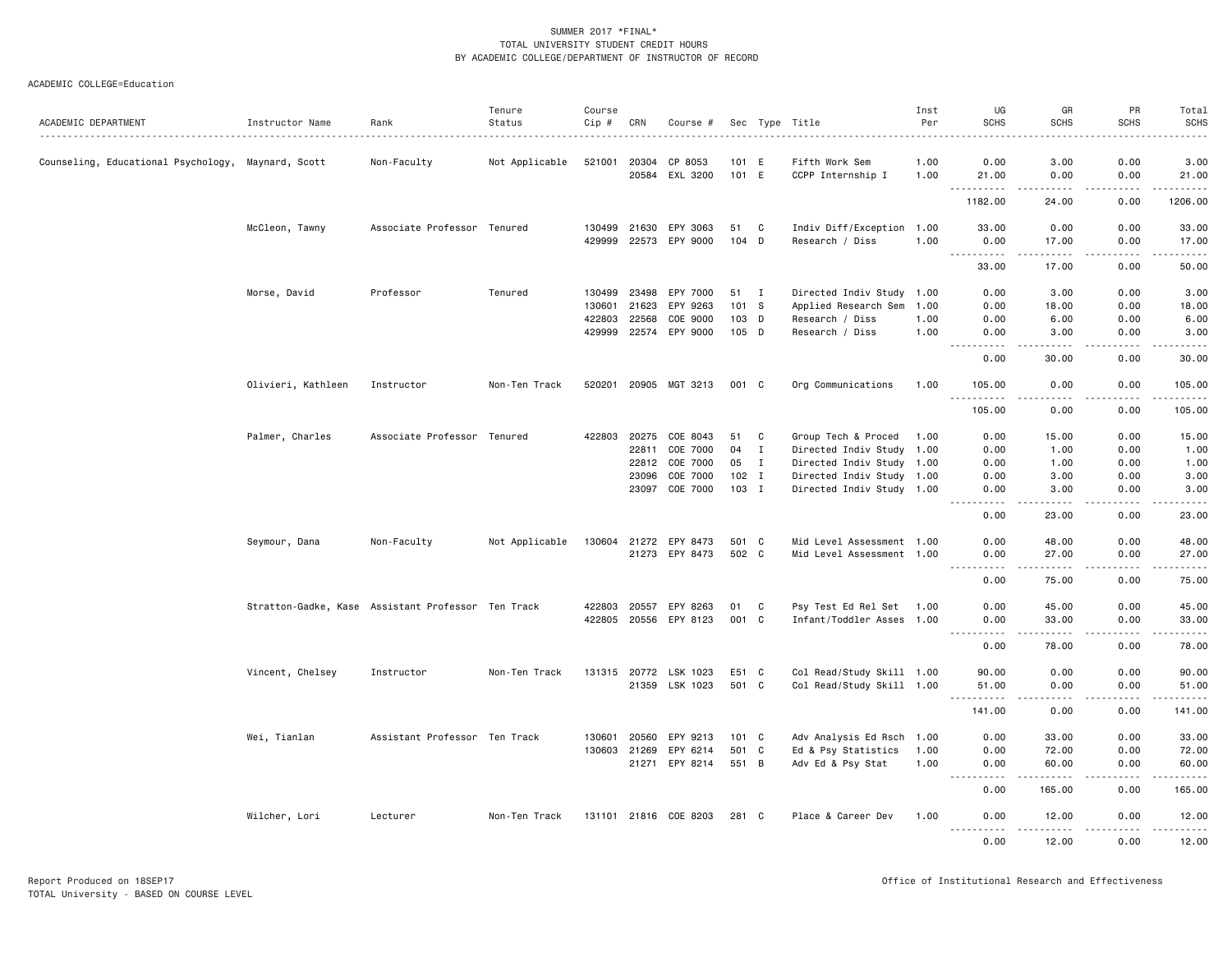| ACADEMIC DEPARTMENT                                | Instructor Name                                    | Rank                          | Tenure<br>Status | Course<br>$Cip$ # | CRN   | Course #              |         |                | Sec Type Title            | Inst<br>Per | UG<br><b>SCHS</b>                 | GR<br><b>SCHS</b>                                                                                                                                             | PR<br><b>SCHS</b>    | Total<br><b>SCHS</b>                                                                                                                                         |
|----------------------------------------------------|----------------------------------------------------|-------------------------------|------------------|-------------------|-------|-----------------------|---------|----------------|---------------------------|-------------|-----------------------------------|---------------------------------------------------------------------------------------------------------------------------------------------------------------|----------------------|--------------------------------------------------------------------------------------------------------------------------------------------------------------|
|                                                    |                                                    |                               |                  |                   |       |                       |         |                |                           |             |                                   |                                                                                                                                                               |                      |                                                                                                                                                              |
| Counseling, Educational Psychology, Maynard, Scott |                                                    | Non-Faculty                   | Not Applicable   | 521001            | 20304 | CP 8053               | 101 E   |                | Fifth Work Sem            | 1.00        | 0.00                              | 3.00                                                                                                                                                          | 0.00                 | 3.00                                                                                                                                                         |
|                                                    |                                                    |                               |                  |                   | 20584 | EXL 3200              | 101 E   |                | CCPP Internship I         | 1.00        | 21.00                             | 0.00                                                                                                                                                          | 0.00<br>.            | 21.00<br>.                                                                                                                                                   |
|                                                    |                                                    |                               |                  |                   |       |                       |         |                |                           |             | 1182.00                           | 24.00                                                                                                                                                         | 0.00                 | 1206.00                                                                                                                                                      |
|                                                    | McCleon, Tawny                                     | Associate Professor Tenured   |                  | 130499            | 21630 | EPY 3063              | 51      | C              | Indiv Diff/Exception 1.00 |             | 33.00                             | 0.00                                                                                                                                                          | 0.00                 | 33.00                                                                                                                                                        |
|                                                    |                                                    |                               |                  | 429999            | 22573 | EPY 9000              | 104 D   |                | Research / Diss           | 1.00        | 0.00<br>$\sim$ $\sim$ $\sim$<br>. | 17.00                                                                                                                                                         | 0.00<br>. <u>.</u> . | 17.00<br>.                                                                                                                                                   |
|                                                    |                                                    |                               |                  |                   |       |                       |         |                |                           |             | 33.00                             | 17.00                                                                                                                                                         | 0.00                 | 50.00                                                                                                                                                        |
|                                                    | Morse, David                                       | Professor                     | Tenured          | 130499            | 23498 | EPY 7000              | 51      | $\blacksquare$ | Directed Indiv Study 1.00 |             | 0.00                              | 3.00                                                                                                                                                          | 0.00                 | 3.00                                                                                                                                                         |
|                                                    |                                                    |                               |                  | 130601            | 21623 | EPY 9263              | 101 S   |                | Applied Research Sem      | 1.00        | 0.00                              | 18.00                                                                                                                                                         | 0.00                 | 18.00                                                                                                                                                        |
|                                                    |                                                    |                               |                  | 422803            | 22568 | COE 9000              | 103     | D              | Research / Diss           | 1.00        | 0.00                              | 6.00                                                                                                                                                          | 0.00                 | 6.00                                                                                                                                                         |
|                                                    |                                                    |                               |                  | 429999            |       | 22574 EPY 9000        | 105 D   |                | Research / Diss           | 1.00        | 0.00<br>د د د د                   | 3.00                                                                                                                                                          | 0.00<br>.            | 3.00<br>$\frac{1}{2} \left( \frac{1}{2} \right) \left( \frac{1}{2} \right) \left( \frac{1}{2} \right) \left( \frac{1}{2} \right) \left( \frac{1}{2} \right)$ |
|                                                    |                                                    |                               |                  |                   |       |                       |         |                |                           |             | 0.00                              | 30.00                                                                                                                                                         | 0.00                 | 30.00                                                                                                                                                        |
|                                                    | Olivieri, Kathleen                                 | Instructor                    | Non-Ten Track    |                   |       | 520201 20905 MGT 3213 | 001 C   |                | Org Communications        | 1.00        | 105.00<br>.                       | 0.00                                                                                                                                                          | 0.00<br>.            | 105.00<br>.                                                                                                                                                  |
|                                                    |                                                    |                               |                  |                   |       |                       |         |                |                           |             | 105.00                            | 0.00                                                                                                                                                          | 0.00                 | 105.00                                                                                                                                                       |
|                                                    | Palmer, Charles                                    | Associate Professor Tenured   |                  | 422803            | 20275 | COE 8043              | 51      | C              | Group Tech & Proced       | 1.00        | 0.00                              | 15.00                                                                                                                                                         | 0.00                 | 15.00                                                                                                                                                        |
|                                                    |                                                    |                               |                  |                   | 22811 | COE 7000              | 04      | $\mathbf{I}$   | Directed Indiv Study 1.00 |             | 0.00                              | 1.00                                                                                                                                                          | 0.00                 | 1.00                                                                                                                                                         |
|                                                    |                                                    |                               |                  |                   | 22812 | COE 7000              | 05      | $\mathbf{I}$   | Directed Indiv Study 1.00 |             | 0.00                              | 1.00                                                                                                                                                          | 0.00                 | 1.00                                                                                                                                                         |
|                                                    |                                                    |                               |                  |                   | 23096 | COE 7000              | $102$ I |                | Directed Indiv Study 1.00 |             | 0.00                              | 3.00                                                                                                                                                          | 0.00                 | 3.00                                                                                                                                                         |
|                                                    |                                                    |                               |                  |                   | 23097 | COE 7000              | 103 I   |                | Directed Indiv Study 1.00 |             | 0.00                              | 3.00                                                                                                                                                          | 0.00                 | 3.00<br>-----                                                                                                                                                |
|                                                    |                                                    |                               |                  |                   |       |                       |         |                |                           |             | 0.00                              | 23.00                                                                                                                                                         | 0.00                 | 23.00                                                                                                                                                        |
|                                                    | Seymour, Dana                                      | Non-Faculty                   | Not Applicable   | 130604            | 21272 | EPY 8473              | 501 C   |                | Mid Level Assessment 1.00 |             | 0.00                              | 48.00                                                                                                                                                         | 0.00                 | 48.00                                                                                                                                                        |
|                                                    |                                                    |                               |                  |                   |       | 21273 EPY 8473        | 502 C   |                | Mid Level Assessment 1.00 |             | 0.00<br>. <b>.</b>                | 27.00<br>$\frac{1}{2} \left( \frac{1}{2} \right) \left( \frac{1}{2} \right) \left( \frac{1}{2} \right) \left( \frac{1}{2} \right) \left( \frac{1}{2} \right)$ | 0.00<br>.            | 27.00<br>. <u>.</u> .                                                                                                                                        |
|                                                    |                                                    |                               |                  |                   |       |                       |         |                |                           |             | 0.00                              | 75.00                                                                                                                                                         | 0.00                 | 75.00                                                                                                                                                        |
|                                                    | Stratton-Gadke, Kase Assistant Professor Ten Track |                               |                  | 422803            | 20557 | EPY 8263              | 01      | C              | Psy Test Ed Rel Set 1.00  |             | 0.00                              | 45.00                                                                                                                                                         | 0.00                 | 45.00                                                                                                                                                        |
|                                                    |                                                    |                               |                  | 422805 20556      |       | EPY 8123              | 001 C   |                | Infant/Toddler Asses 1.00 |             | 0.00                              | 33.00                                                                                                                                                         | 0.00                 | 33.00<br>$    -$                                                                                                                                             |
|                                                    |                                                    |                               |                  |                   |       |                       |         |                |                           |             | 0.00                              | 78.00                                                                                                                                                         | 0.00                 | 78.00                                                                                                                                                        |
|                                                    | Vincent, Chelsey                                   | Instructor                    | Non-Ten Track    |                   |       | 131315 20772 LSK 1023 | E51 C   |                | Col Read/Study Skill 1.00 |             | 90.00                             | 0.00                                                                                                                                                          | 0.00                 | 90.00                                                                                                                                                        |
|                                                    |                                                    |                               |                  |                   |       | 21359 LSK 1023        | 501 C   |                | Col Read/Study Skill 1.00 |             | 51.00<br>.                        | 0.00<br>$   -$                                                                                                                                                | 0.00<br>.            | 51.00<br>.                                                                                                                                                   |
|                                                    |                                                    |                               |                  |                   |       |                       |         |                |                           |             | 141.00                            | 0.00                                                                                                                                                          | 0.00                 | 141.00                                                                                                                                                       |
|                                                    | Wei, Tianlan                                       | Assistant Professor Ten Track |                  | 130601            | 20560 | EPY 9213              | 101 C   |                | Adv Analysis Ed Rsch 1.00 |             | 0.00                              | 33.00                                                                                                                                                         | 0.00                 | 33.00                                                                                                                                                        |
|                                                    |                                                    |                               |                  | 130603 21269      |       | EPY 6214              | 501 C   |                | Ed & Psy Statistics       | 1.00        | 0.00                              | 72.00                                                                                                                                                         | 0.00                 | 72.00                                                                                                                                                        |
|                                                    |                                                    |                               |                  |                   |       | 21271 EPY 8214        | 551 B   |                | Adv Ed & Psy Stat         | 1.00        | 0.00<br>.                         | 60.00<br>.                                                                                                                                                    | 0.00<br>.            | 60.00<br>.                                                                                                                                                   |
|                                                    |                                                    |                               |                  |                   |       |                       |         |                |                           |             | 0.00                              | 165.00                                                                                                                                                        | 0.00                 | 165.00                                                                                                                                                       |
|                                                    | Wilcher, Lori                                      | Lecturer                      | Non-Ten Track    |                   |       | 131101 21816 COE 8203 | 281 C   |                | Place & Career Dev        | 1.00        | 0.00<br>.                         | 12.00<br>.                                                                                                                                                    | 0.00<br>.            | 12.00                                                                                                                                                        |
|                                                    |                                                    |                               |                  |                   |       |                       |         |                |                           |             | 0.00                              | 12.00                                                                                                                                                         | 0.00                 | 12.00                                                                                                                                                        |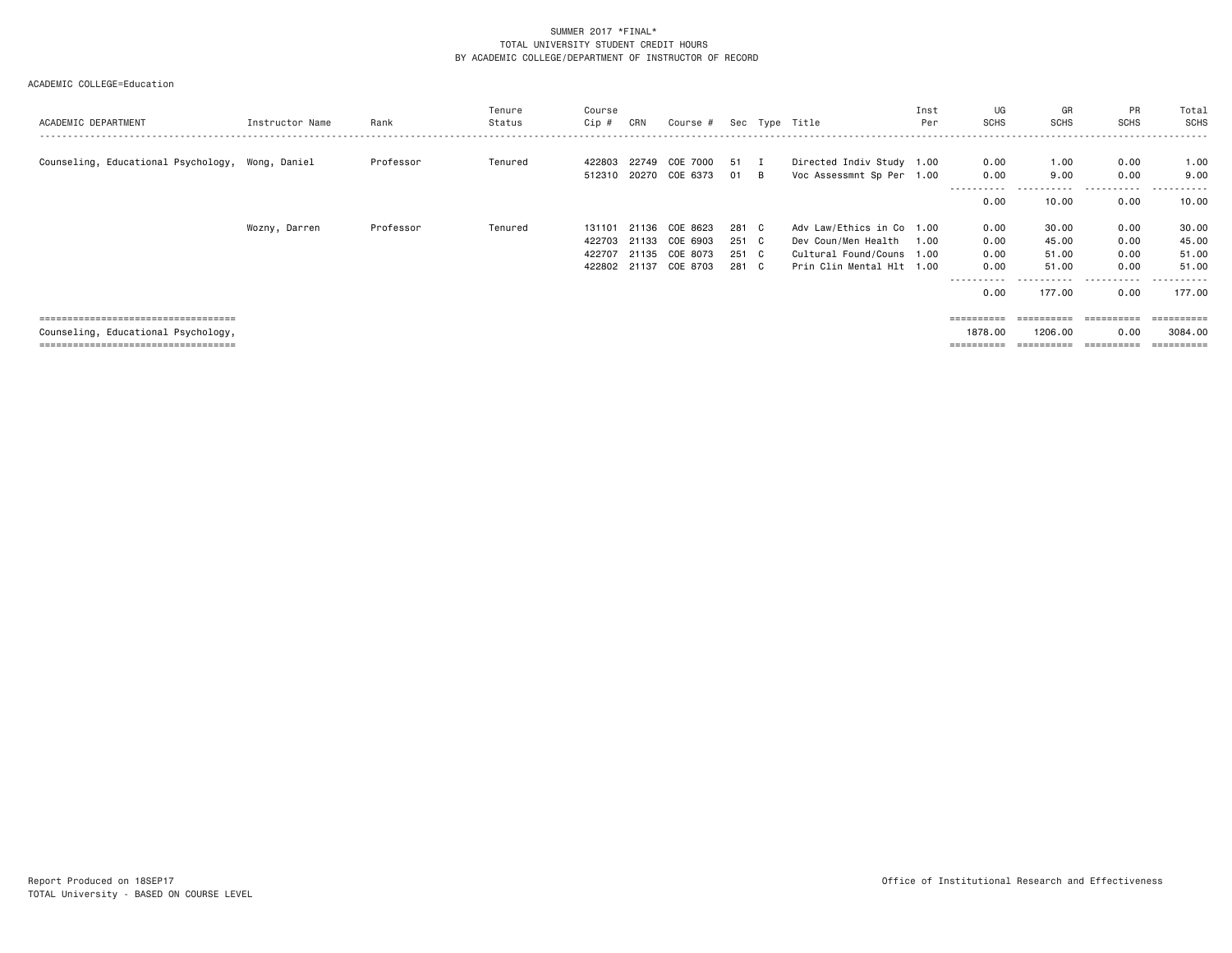| ACADEMIC DEPARTMENT                                                          | Instructor Name | Rank      | Tenure<br>Status | Course<br>Cip #                            | CRN                     | Course #                                     |                                  | Sec Type Title                                                                                             | Inst<br>Per | UG<br><b>SCHS</b>                   | GR<br><b>SCHS</b>                           | PR<br><b>SCHS</b>             | Total<br>SCHS                          |
|------------------------------------------------------------------------------|-----------------|-----------|------------------|--------------------------------------------|-------------------------|----------------------------------------------|----------------------------------|------------------------------------------------------------------------------------------------------------|-------------|-------------------------------------|---------------------------------------------|-------------------------------|----------------------------------------|
| Counseling, Educational Psychology, Wong, Daniel                             |                 | Professor | Tenured          | 422803                                     | 22749                   | COE 7000<br>512310 20270 COE 6373            | 51 I<br>01 B                     | Directed Indiv Study 1.00<br>Voc Assessmnt Sp Per 1.00                                                     |             | 0.00<br>0.00<br>-----------<br>0.00 | 1.00<br>9.00<br>- - - - - <b>-</b><br>10.00 | 0.00<br>0.00<br>-----<br>0.00 | 1.00<br>9.00<br>- - - - - - -<br>10.00 |
|                                                                              | Wozny, Darren   | Professor | Tenured          | 131101<br>422703<br>422707<br>422802 21137 | 21136<br>21133<br>21135 | COE 8623<br>COE 6903<br>COE 8073<br>COE 8703 | 281 C<br>251 C<br>251 C<br>281 C | Adv Law/Ethics in Co 1.00<br>Dev Coun/Men Health<br>Cultural Found/Couns 1.00<br>Prin Clin Mental Hlt 1.00 | 1.00        | 0.00<br>0.00<br>0.00<br>0.00        | 30.00<br>45.00<br>51.00<br>51.00            | 0.00<br>0.00<br>0.00<br>0.00  | 30.00<br>45.00<br>51.00<br>51.00       |
|                                                                              |                 |           |                  |                                            |                         |                                              |                                  |                                                                                                            |             | ----------<br>0.00                  | 177.00                                      | .<br>0.00                     | -------<br>177.00                      |
| =====================================<br>Counseling, Educational Psychology, |                 |           |                  |                                            |                         |                                              |                                  |                                                                                                            |             | ==========<br>1878.00               | ==========<br>1206.00                       | ==========<br>0.00            | eessesses<br>3084.00                   |
| =====================================                                        |                 |           |                  |                                            |                         |                                              |                                  |                                                                                                            |             | ==========                          | ==========                                  | -----------                   | -==========                            |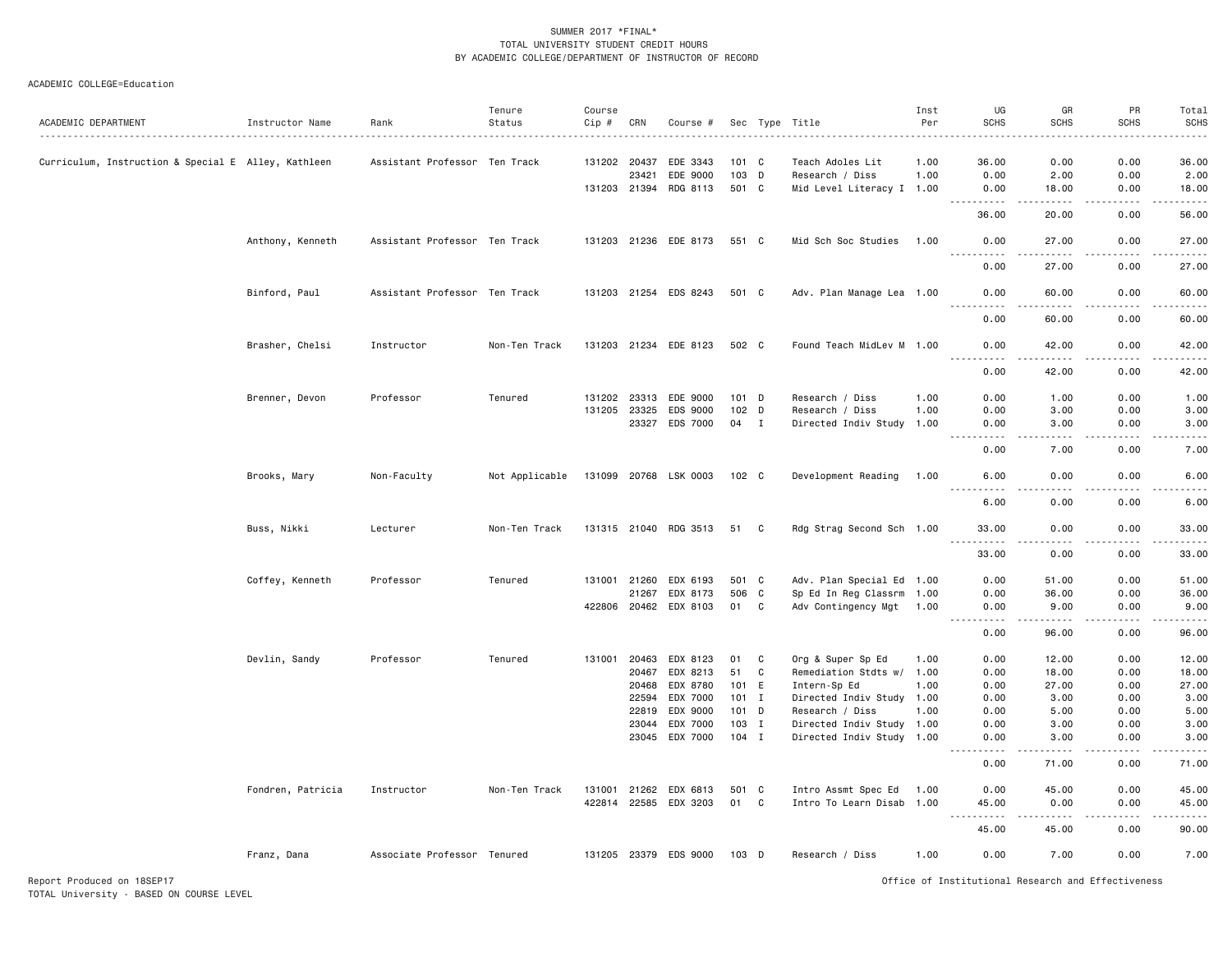ACADEMIC COLLEGE=Education

|                                                     |                   |                               | Tenure         | Course       |                |                                   |                  |              |                                              | Inst | UG                 | GR                                                                                                                                                   | PR            | Total                       |
|-----------------------------------------------------|-------------------|-------------------------------|----------------|--------------|----------------|-----------------------------------|------------------|--------------|----------------------------------------------|------|--------------------|------------------------------------------------------------------------------------------------------------------------------------------------------|---------------|-----------------------------|
| ACADEMIC DEPARTMENT                                 | Instructor Name   | Rank                          | Status         | Cip #        | CRN            | Course #                          |                  |              | Sec Type Title                               | Per  | <b>SCHS</b>        | <b>SCHS</b>                                                                                                                                          | <b>SCHS</b>   | <b>SCHS</b>                 |
|                                                     |                   |                               |                |              |                |                                   |                  |              |                                              |      |                    |                                                                                                                                                      |               |                             |
| Curriculum, Instruction & Special E Alley, Kathleen |                   | Assistant Professor Ten Track |                | 131202 20437 |                | EDE 3343                          | $101 \quad C$    |              | Teach Adoles Lit                             | 1.00 | 36.00              | 0.00                                                                                                                                                 | 0.00          | 36.00                       |
|                                                     |                   |                               |                |              | 23421          | EDE 9000<br>131203 21394 RDG 8113 | 103 D<br>501 C   |              | Research / Diss<br>Mid Level Literacy I 1.00 | 1.00 | 0.00<br>0.00       | 2.00<br>18.00                                                                                                                                        | 0.00<br>0.00  | 2.00<br>18.00               |
|                                                     |                   |                               |                |              |                |                                   |                  |              |                                              |      |                    |                                                                                                                                                      | لأعامل        | $\sim$ $\sim$ $\sim$ $\sim$ |
|                                                     |                   |                               |                |              |                |                                   |                  |              |                                              |      | 36.00              | 20.00                                                                                                                                                | 0.00          | 56.00                       |
|                                                     | Anthony, Kenneth  | Assistant Professor Ten Track |                |              |                | 131203 21236 EDE 8173             | 551 C            |              | Mid Sch Soc Studies                          | 1.00 | 0.00<br>-----      | 27.00<br>$\frac{1}{2}$                                                                                                                               | 0.00<br>.     | 27.00<br>.                  |
|                                                     |                   |                               |                |              |                |                                   |                  |              |                                              |      | 0.00               | 27.00                                                                                                                                                | 0.00          | 27.00                       |
|                                                     | Binford, Paul     | Assistant Professor Ten Track |                |              |                | 131203 21254 EDS 8243             | 501 C            |              | Adv. Plan Manage Lea 1.00                    |      | 0.00<br>. <u>.</u> | 60.00<br>.                                                                                                                                           | 0.00<br>.     | 60.00<br>.                  |
|                                                     |                   |                               |                |              |                |                                   |                  |              |                                              |      | 0.00               | 60.00                                                                                                                                                | 0.00          | 60.00                       |
|                                                     | Brasher, Chelsi   | Instructor                    | Non-Ten Track  |              |                | 131203 21234 EDE 8123             | 502 C            |              | Found Teach MidLev M 1.00                    |      | 0.00               | 42.00                                                                                                                                                | 0.00          | 42.00                       |
|                                                     |                   |                               |                |              |                |                                   |                  |              |                                              |      | 0.00               | 42.00                                                                                                                                                | 0.00          | الداعات<br>42.00            |
|                                                     | Brenner, Devon    | Professor                     | Tenured        |              | 131202 23313   | EDE 9000                          | 101 D            |              | Research / Diss                              | 1.00 | 0.00               | 1.00                                                                                                                                                 | 0.00          | 1.00                        |
|                                                     |                   |                               |                | 131205 23325 |                | EDS 9000                          | 102 D            |              | Research / Diss                              | 1.00 | 0.00               | 3.00                                                                                                                                                 | 0.00          | 3.00                        |
|                                                     |                   |                               |                |              | 23327          | EDS 7000                          | 04 I             |              | Directed Indiv Study 1.00                    |      | 0.00<br>.          | 3.00<br>.                                                                                                                                            | 0.00<br>.     | 3.00<br>-----               |
|                                                     |                   |                               |                |              |                |                                   |                  |              |                                              |      | 0.00               | 7.00                                                                                                                                                 | 0.00          | 7.00                        |
|                                                     | Brooks, Mary      | Non-Faculty                   | Not Applicable |              |                | 131099 20768 LSK 0003             | 102 C            |              | Development Reading                          | 1.00 | 6.00               | 0.00                                                                                                                                                 | 0.00          | 6.00                        |
|                                                     |                   |                               |                |              |                |                                   |                  |              |                                              |      | 6.00               | 0.00                                                                                                                                                 | 0.00          | 6.00                        |
|                                                     | Buss, Nikki       | Lecturer                      | Non-Ten Track  |              |                | 131315 21040 RDG 3513             | 51               | C            | Rdg Strag Second Sch 1.00                    |      | 33.00              | 0.00                                                                                                                                                 | 0.00          | 33.00                       |
|                                                     |                   |                               |                |              |                |                                   |                  |              |                                              |      | .<br>33.00         | .<br>0.00                                                                                                                                            | -----<br>0.00 | .<br>33.00                  |
|                                                     | Coffey, Kenneth   | Professor                     | Tenured        |              | 131001 21260   | EDX 6193                          | 501 C            |              | Adv. Plan Special Ed 1.00                    |      | 0.00               | 51.00                                                                                                                                                | 0.00          | 51.00                       |
|                                                     |                   |                               |                |              | 21267          | EDX 8173                          | 506              | C            | Sp Ed In Reg Classrm 1.00                    |      | 0.00               | 36.00                                                                                                                                                | 0.00          | 36.00                       |
|                                                     |                   |                               |                |              |                | 422806 20462 EDX 8103             | 01               | C.           | Adv Contingency Mgt 1.00                     |      | 0.00<br>.          | 9.00<br><u>.</u>                                                                                                                                     | 0.00<br>----- | 9.00<br>.                   |
|                                                     |                   |                               |                |              |                |                                   |                  |              |                                              |      | 0.00               | 96.00                                                                                                                                                | 0.00          | 96.00                       |
|                                                     | Devlin, Sandy     | Professor                     | Tenured        |              | 131001 20463   | EDX 8123                          | 01               | C            | Org & Super Sp Ed                            | 1.00 | 0.00               | 12.00                                                                                                                                                | 0.00          | 12.00                       |
|                                                     |                   |                               |                |              | 20467          | EDX 8213                          | 51               | C            | Remediation Stdts w/                         | 1.00 | 0.00               | 18.00                                                                                                                                                | 0.00          | 18.00                       |
|                                                     |                   |                               |                |              | 20468          | EDX 8780                          | 101 E            |              | Intern-Sp Ed                                 | 1.00 | 0.00               | 27.00                                                                                                                                                | 0.00          | 27.00                       |
|                                                     |                   |                               |                |              | 22594          | EDX 7000                          | $101$ I          |              | Directed Indiv Study                         | 1.00 | 0.00               | 3.00                                                                                                                                                 | 0.00          | 3.00                        |
|                                                     |                   |                               |                |              | 22819<br>23044 | EDX 9000<br>EDX 7000              | $101$ D<br>103 I |              | Research / Diss<br>Directed Indiv Study 1.00 | 1.00 | 0.00<br>0.00       | 5.00<br>3.00                                                                                                                                         | 0.00<br>0.00  | 5.00<br>3.00                |
|                                                     |                   |                               |                |              | 23045          | EDX 7000                          | $104$ I          |              | Directed Indiv Study 1.00                    |      | 0.00               | 3.00                                                                                                                                                 | 0.00          | 3.00                        |
|                                                     |                   |                               |                |              |                |                                   |                  |              |                                              |      | .                  | $\frac{1}{2} \left( \frac{1}{2} \right) \left( \frac{1}{2} \right) \left( \frac{1}{2} \right) \left( \frac{1}{2} \right) \left( \frac{1}{2} \right)$ | .             | .                           |
|                                                     |                   |                               |                |              |                |                                   |                  |              |                                              |      | 0.00               | 71.00                                                                                                                                                | 0.00          | 71.00                       |
|                                                     | Fondren, Patricia | Instructor                    | Non-Ten Track  | 131001       | 21262          | EDX 6813                          | 501              | $\mathbf{C}$ | Intro Assmt Spec Ed                          | 1.00 | 0.00               | 45.00                                                                                                                                                | 0.00          | 45.00                       |
|                                                     |                   |                               |                |              | 422814 22585   | EDX 3203                          | 01               | C            | Intro To Learn Disab 1.00                    |      | 45.00              | 0.00                                                                                                                                                 | 0.00          | 45.00                       |
|                                                     |                   |                               |                |              |                |                                   |                  |              |                                              |      | 45.00              | 45.00                                                                                                                                                | 0.00          | 90.00                       |
|                                                     | Franz, Dana       | Associate Professor Tenured   |                |              |                | 131205 23379 EDS 9000             | 103 D            |              | Research / Diss                              | 1.00 | 0.00               | 7.00                                                                                                                                                 | 0.00          | 7.00                        |

Report Produced on 18SEP17 Office of Institutional Research and Effectiveness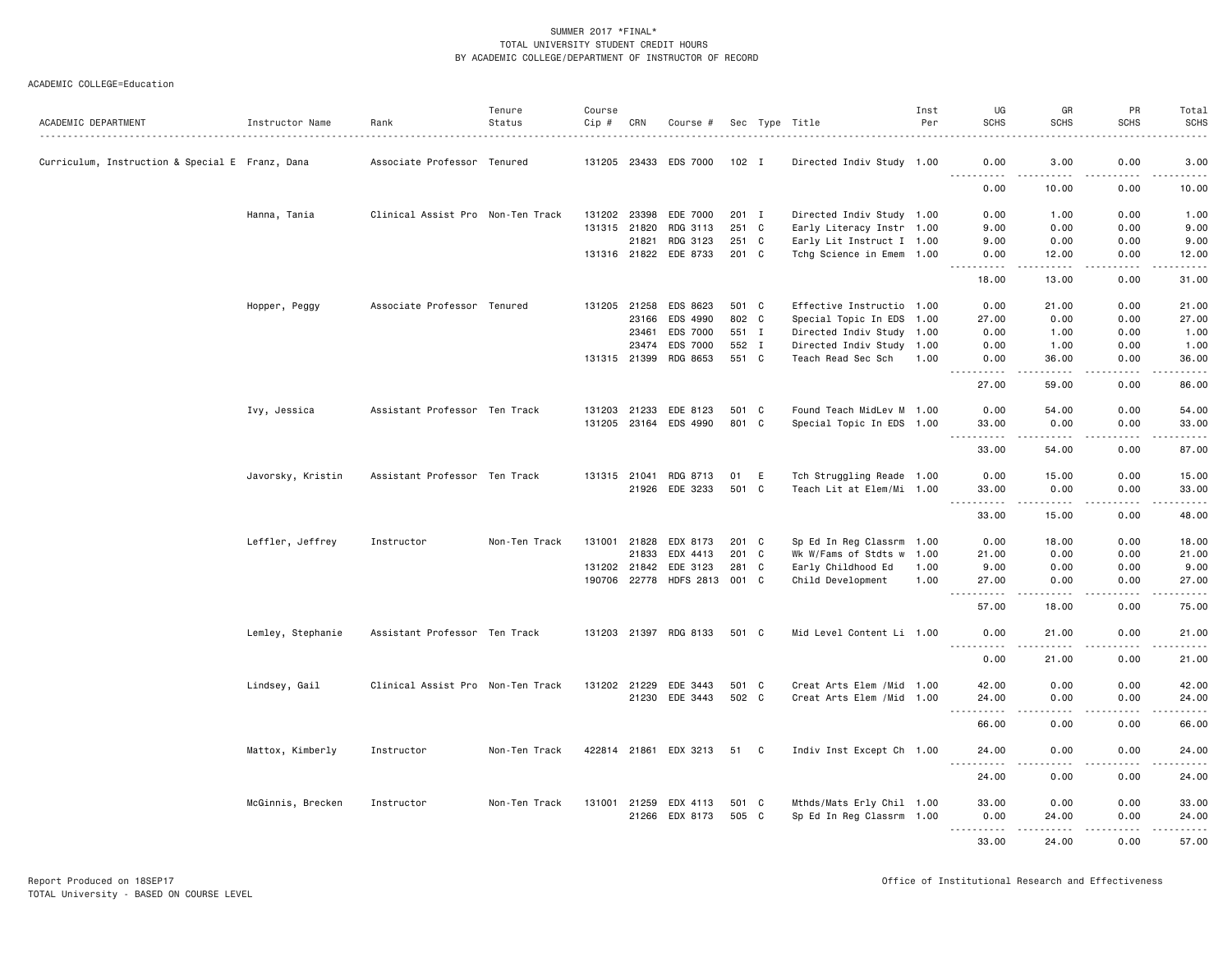| ACADEMIC DEPARTMENT                             | Instructor Name   | Rank                              | Tenure<br>Status | Course<br>Cip # | CRN          | Course #              |         |   | Sec Type Title             | Inst<br>Per | UG<br><b>SCHS</b>                         | GR<br><b>SCHS</b>                                                                                                                                             | PR<br><b>SCHS</b>                   | Total<br><b>SCHS</b>                 |
|-------------------------------------------------|-------------------|-----------------------------------|------------------|-----------------|--------------|-----------------------|---------|---|----------------------------|-------------|-------------------------------------------|---------------------------------------------------------------------------------------------------------------------------------------------------------------|-------------------------------------|--------------------------------------|
|                                                 |                   |                                   |                  |                 |              |                       |         |   |                            |             |                                           |                                                                                                                                                               |                                     | $\frac{1}{2}$                        |
| Curriculum, Instruction & Special E Franz, Dana |                   | Associate Professor Tenured       |                  |                 | 131205 23433 | EDS 7000              | $102$ I |   | Directed Indiv Study 1.00  |             | 0.00<br>. <b>.</b>                        | 3.00<br>$- - - - -$                                                                                                                                           | 0.00<br>.                           | 3.00<br>.                            |
|                                                 |                   |                                   |                  |                 |              |                       |         |   |                            |             | 0.00                                      | 10.00                                                                                                                                                         | 0.00                                | 10.00                                |
|                                                 | Hanna, Tania      | Clinical Assist Pro Non-Ten Track |                  | 131202          | 23398        | EDE 7000              | $201$ I |   | Directed Indiv Study 1.00  |             | 0.00                                      | 1.00<br>0.00                                                                                                                                                  | 0.00<br>0.00                        | 1.00                                 |
|                                                 |                   |                                   |                  | 131315 21820    |              | RDG 3113              | 251 C   |   | Early Literacy Instr 1.00  |             | 9.00                                      |                                                                                                                                                               |                                     | 9.00                                 |
|                                                 |                   |                                   |                  |                 | 21821        | RDG 3123              | 251 C   |   | Early Lit Instruct I 1.00  |             | 9.00                                      | 0.00                                                                                                                                                          | 0.00                                | 9.00                                 |
|                                                 |                   |                                   |                  |                 |              | 131316 21822 EDE 8733 | 201 C   |   | Tchg Science in Emem 1.00  |             | 0.00<br>.                                 | 12.00<br>$- - - - -$                                                                                                                                          | 0.00<br>.                           | 12.00<br>المتمالين                   |
|                                                 |                   |                                   |                  |                 |              |                       |         |   |                            |             | 18.00                                     | 13.00                                                                                                                                                         | 0.00                                | 31.00                                |
|                                                 | Hopper, Peggy     | Associate Professor Tenured       |                  | 131205          | 21258        | EDS 8623              | 501 C   |   | Effective Instructio 1.00  |             | 0.00                                      | 21.00                                                                                                                                                         | 0.00                                | 21.00                                |
|                                                 |                   |                                   |                  |                 | 23166        | EDS 4990              | 802 C   |   | Special Topic In EDS 1.00  |             | 27.00                                     | 0.00                                                                                                                                                          | 0.00                                | 27.00                                |
|                                                 |                   |                                   |                  |                 | 23461        | EDS 7000              | 551 I   |   | Directed Indiv Study 1.00  |             | 0.00                                      | 1.00                                                                                                                                                          | 0.00                                | 1.00                                 |
|                                                 |                   |                                   |                  |                 | 23474        | EDS 7000              | 552 I   |   | Directed Indiv Study 1.00  |             | 0.00                                      | 1.00                                                                                                                                                          | 0.00                                | 1.00                                 |
|                                                 |                   |                                   |                  | 131315 21399    |              | RDG 8653              | 551 C   |   | Teach Read Sec Sch         | 1.00        | 0.00<br>.                                 | 36.00<br>.                                                                                                                                                    | 0.00<br>.                           | 36.00<br>.                           |
|                                                 |                   |                                   |                  |                 |              |                       |         |   |                            |             | 27.00                                     | 59.00                                                                                                                                                         | 0.00                                | 86.00                                |
|                                                 | Ivy, Jessica      | Assistant Professor Ten Track     |                  | 131203          | 21233        | EDE 8123              | 501 C   |   | Found Teach MidLev M 1.00  |             | 0.00                                      | 54.00                                                                                                                                                         | 0.00                                | 54.00                                |
|                                                 |                   |                                   |                  |                 |              | 131205 23164 EDS 4990 | 801 C   |   | Special Topic In EDS 1.00  |             | 33.00<br>.                                | 0.00<br>.                                                                                                                                                     | 0.00<br>.                           | 33.00<br>.                           |
|                                                 |                   |                                   |                  |                 |              |                       |         |   |                            |             | 33.00                                     | 54.00                                                                                                                                                         | 0.00                                | 87.00                                |
|                                                 | Javorsky, Kristin | Assistant Professor Ten Track     |                  | 131315 21041    |              | RDG 8713              | 01      | E | Tch Struggling Reade 1.00  |             | 0.00                                      | 15.00                                                                                                                                                         | 0.00                                | 15.00                                |
|                                                 |                   |                                   |                  |                 | 21926        | EDE 3233              | 501 C   |   | Teach Lit at Elem/Mi 1.00  |             | 33.00                                     | 0.00                                                                                                                                                          | 0.00                                | 33.00                                |
|                                                 |                   |                                   |                  |                 |              |                       |         |   |                            |             | $- - - - -$<br>33.00                      | 15.00                                                                                                                                                         | $\frac{1}{2}$<br>0.00               | د د د د د<br>48.00                   |
|                                                 | Leffler, Jeffrey  | Instructor                        | Non-Ten Track    | 131001          | 21828        | EDX 8173              | 201 C   |   | Sp Ed In Reg Classrm 1.00  |             | 0.00                                      | 18.00                                                                                                                                                         | 0.00                                | 18.00                                |
|                                                 |                   |                                   |                  |                 | 21833        | EDX 4413              | 201 C   |   | Wk W/Fams of Stdts w       | 1.00        | 21.00                                     | 0.00                                                                                                                                                          | 0.00                                | 21.00                                |
|                                                 |                   |                                   |                  | 131202 21842    |              | EDE 3123              | 281 C   |   | Early Childhood Ed         | 1.00        | 9.00                                      | 0.00                                                                                                                                                          | 0.00                                | 9.00                                 |
|                                                 |                   |                                   |                  | 190706 22778    |              | <b>HDFS 2813</b>      | 001 C   |   | Child Development          | 1.00        | 27.00                                     | 0.00                                                                                                                                                          | 0.00                                | 27.00                                |
|                                                 |                   |                                   |                  |                 |              |                       |         |   |                            |             | $\frac{1}{2}$<br>.<br>57.00               | 18.00                                                                                                                                                         | .<br>0.00                           | .<br>75.00                           |
|                                                 | Lemley, Stephanie | Assistant Professor Ten Track     |                  |                 |              | 131203 21397 RDG 8133 | 501 C   |   | Mid Level Content Li 1.00  |             | 0.00                                      | 21.00                                                                                                                                                         | 0.00                                | 21.00                                |
|                                                 |                   |                                   |                  |                 |              |                       |         |   |                            |             | .<br>0.00                                 | .<br>21.00                                                                                                                                                    | $- - -$<br>0.00                     | .<br>21.00                           |
|                                                 | Lindsey, Gail     | Clinical Assist Pro Non-Ten Track |                  | 131202 21229    |              | EDE 3443              | 501 C   |   | Creat Arts Elem / Mid 1.00 |             | 42.00                                     | 0.00                                                                                                                                                          | 0.00                                | 42.00                                |
|                                                 |                   |                                   |                  |                 |              | 21230 EDE 3443        | 502 C   |   | Creat Arts Elem / Mid 1.00 |             | 24.00<br>.<br>$\sim$ $\sim$ $\sim$ $\sim$ | 0.00                                                                                                                                                          | 0.00<br>$\sim$ $\sim$ $\sim$ $\sim$ | 24.00                                |
|                                                 |                   |                                   |                  |                 |              |                       |         |   |                            |             | 66.00                                     | 0.00                                                                                                                                                          | 0.00                                | $\sim$ $\sim$ $\sim$ $\sim$<br>66.00 |
|                                                 | Mattox, Kimberly  | Instructor                        | Non-Ten Track    |                 |              | 422814 21861 EDX 3213 | 51 C    |   | Indiv Inst Except Ch 1.00  |             | 24.00                                     | 0.00                                                                                                                                                          | 0.00                                | 24.00                                |
|                                                 |                   |                                   |                  |                 |              |                       |         |   |                            |             | 24.00                                     | 0.00                                                                                                                                                          | 0.00                                | .<br>24.00                           |
|                                                 |                   | Instructor                        | Non-Ten Track    | 131001 21259    |              | EDX 4113              | 501 C   |   | Mthds/Mats Erly Chil 1.00  |             | 33.00                                     | 0.00                                                                                                                                                          | 0.00                                | 33.00                                |
|                                                 | McGinnis, Brecken |                                   |                  |                 |              |                       | 505 C   |   |                            |             |                                           |                                                                                                                                                               |                                     |                                      |
|                                                 |                   |                                   |                  |                 |              | 21266 EDX 8173        |         |   | Sp Ed In Reg Classrm 1.00  |             | 0.00<br>.                                 | 24.00<br>$\frac{1}{2} \left( \frac{1}{2} \right) \left( \frac{1}{2} \right) \left( \frac{1}{2} \right) \left( \frac{1}{2} \right) \left( \frac{1}{2} \right)$ | 0.00<br>المتمالين                   | 24.00<br>.                           |
|                                                 |                   |                                   |                  |                 |              |                       |         |   |                            |             | 33.00                                     | 24.00                                                                                                                                                         | 0.00                                | 57.00                                |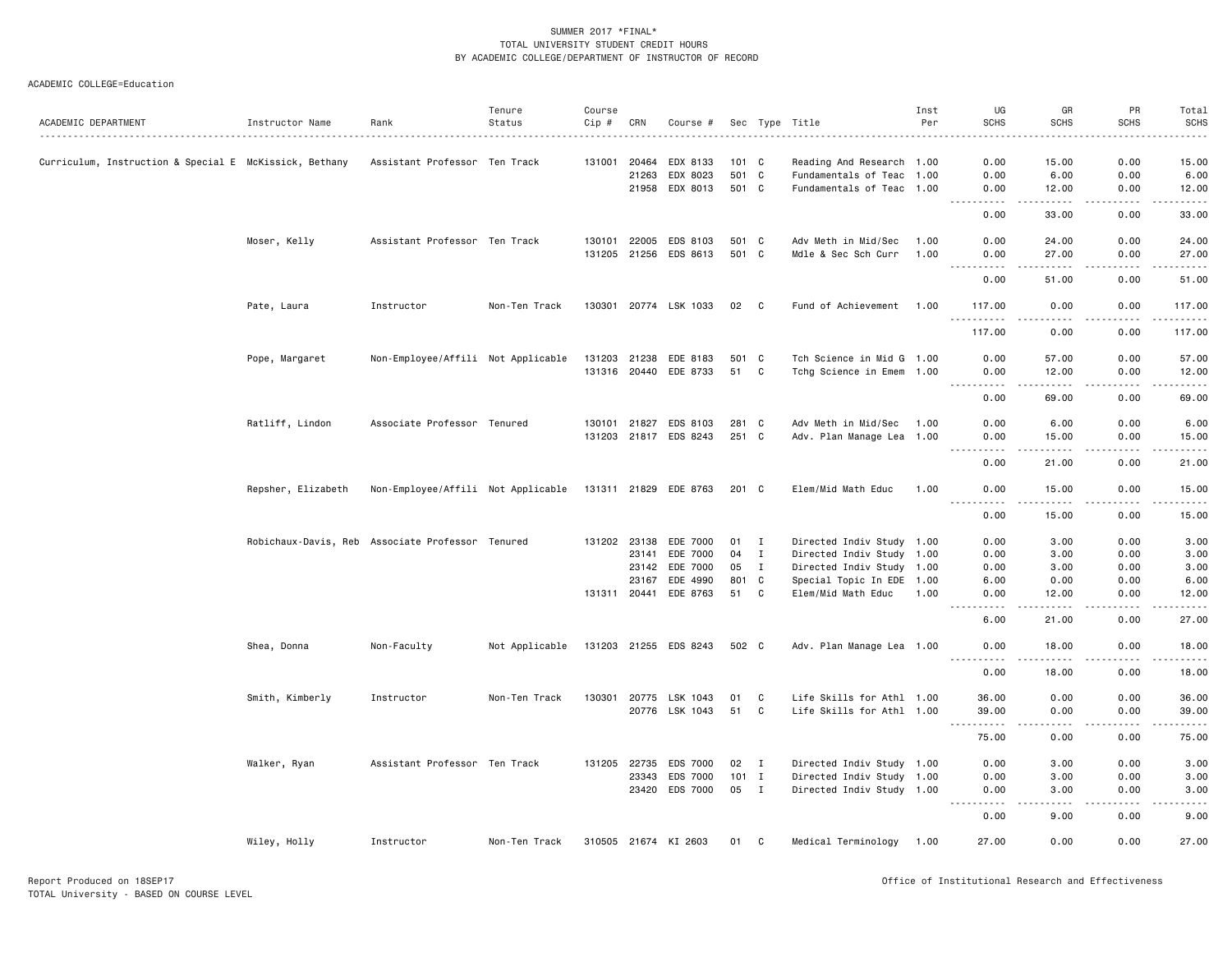|                                                        |                                                  |                                    | Tenure         | Course |              |                       |               |                |                           | Inst | UG                                                                                                                                                                                   | GR                                                                                                                                                            | PR                                                                                                                                                                                      | Total       |
|--------------------------------------------------------|--------------------------------------------------|------------------------------------|----------------|--------|--------------|-----------------------|---------------|----------------|---------------------------|------|--------------------------------------------------------------------------------------------------------------------------------------------------------------------------------------|---------------------------------------------------------------------------------------------------------------------------------------------------------------|-----------------------------------------------------------------------------------------------------------------------------------------------------------------------------------------|-------------|
| ACADEMIC DEPARTMENT                                    | Instructor Name                                  | Rank                               | Status         | Cip #  | CRN          | Course #              |               |                | Sec Type Title            | Per  | <b>SCHS</b>                                                                                                                                                                          | <b>SCHS</b>                                                                                                                                                   | <b>SCHS</b>                                                                                                                                                                             | <b>SCHS</b> |
|                                                        |                                                  |                                    |                |        |              |                       |               |                |                           |      |                                                                                                                                                                                      |                                                                                                                                                               |                                                                                                                                                                                         |             |
| Curriculum, Instruction & Special E McKissick, Bethany |                                                  | Assistant Professor Ten Track      |                |        | 131001 20464 | EDX 8133              | $101 \quad C$ |                | Reading And Research 1.00 |      | 0.00                                                                                                                                                                                 | 15.00                                                                                                                                                         | 0.00                                                                                                                                                                                    | 15.00       |
|                                                        |                                                  |                                    |                |        | 21263        | EDX 8023              | 501 C         |                | Fundamentals of Teac 1.00 |      | 0.00                                                                                                                                                                                 | 6.00                                                                                                                                                          | 0.00                                                                                                                                                                                    | 6.00        |
|                                                        |                                                  |                                    |                |        |              | 21958 EDX 8013        | 501 C         |                | Fundamentals of Teac 1.00 |      | 0.00<br><b>.</b>                                                                                                                                                                     | 12.00<br>.                                                                                                                                                    | 0.00<br>.                                                                                                                                                                               | 12.00<br>.  |
|                                                        |                                                  |                                    |                |        |              |                       |               |                |                           |      | 0.00                                                                                                                                                                                 | 33.00                                                                                                                                                         | 0.00                                                                                                                                                                                    | 33.00       |
|                                                        | Moser, Kelly                                     | Assistant Professor Ten Track      |                |        | 130101 22005 | EDS 8103              | 501 C         |                | Adv Meth in Mid/Sec       | 1.00 | 0.00                                                                                                                                                                                 | 24.00                                                                                                                                                         | 0.00                                                                                                                                                                                    | 24.00       |
|                                                        |                                                  |                                    |                |        |              | 131205 21256 EDS 8613 | 501 C         |                | Mdle & Sec Sch Curr       | 1.00 | 0.00                                                                                                                                                                                 | 27.00                                                                                                                                                         | 0.00                                                                                                                                                                                    | 27.00       |
|                                                        |                                                  |                                    |                |        |              |                       |               |                |                           |      | <u>.</u><br>0.00                                                                                                                                                                     | .<br>51.00                                                                                                                                                    | .<br>0.00                                                                                                                                                                               | .<br>51.00  |
|                                                        | Pate, Laura                                      | Instructor                         | Non-Ten Track  |        |              | 130301 20774 LSK 1033 | 02            | C <sub>c</sub> | Fund of Achievement       | 1.00 | 117.00                                                                                                                                                                               | 0.00                                                                                                                                                          | 0.00                                                                                                                                                                                    | 117.00      |
|                                                        |                                                  |                                    |                |        |              |                       |               |                |                           |      | <b></b><br>117.00                                                                                                                                                                    | -----<br>0.00                                                                                                                                                 | .<br>0.00                                                                                                                                                                               | .<br>117.00 |
|                                                        |                                                  |                                    |                |        |              |                       |               |                |                           |      |                                                                                                                                                                                      |                                                                                                                                                               |                                                                                                                                                                                         |             |
|                                                        | Pope, Margaret                                   | Non-Employee/Affili Not Applicable |                |        |              | 131203 21238 EDE 8183 | 501 C         |                | Tch Science in Mid G 1.00 |      | 0.00                                                                                                                                                                                 | 57.00                                                                                                                                                         | 0.00                                                                                                                                                                                    | 57.00       |
|                                                        |                                                  |                                    |                |        |              | 131316 20440 EDE 8733 | 51 C          |                | Tchg Science in Emem 1.00 |      | 0.00<br>.                                                                                                                                                                            | 12.00<br>$\frac{1}{2} \left( \frac{1}{2} \right) \left( \frac{1}{2} \right) \left( \frac{1}{2} \right) \left( \frac{1}{2} \right) \left( \frac{1}{2} \right)$ | 0.00<br>$\frac{1}{2} \left( \frac{1}{2} \right) \left( \frac{1}{2} \right) \left( \frac{1}{2} \right) \left( \frac{1}{2} \right) \left( \frac{1}{2} \right) \left( \frac{1}{2} \right)$ | 12.00<br>.  |
|                                                        |                                                  |                                    |                |        |              |                       |               |                |                           |      | 0.00                                                                                                                                                                                 | 69.00                                                                                                                                                         | 0.00                                                                                                                                                                                    | 69.00       |
|                                                        | Ratliff, Lindon                                  | Associate Professor Tenured        |                |        | 130101 21827 | EDS 8103              | 281 C         |                | Adv Meth in Mid/Sec       | 1.00 | 0.00                                                                                                                                                                                 | 6.00                                                                                                                                                          | 0.00                                                                                                                                                                                    | 6.00        |
|                                                        |                                                  |                                    |                |        |              | 131203 21817 EDS 8243 | 251 C         |                | Adv. Plan Manage Lea 1.00 |      | 0.00                                                                                                                                                                                 | 15.00                                                                                                                                                         | 0.00                                                                                                                                                                                    | 15.00       |
|                                                        |                                                  |                                    |                |        |              |                       |               |                |                           |      | .<br>0.00                                                                                                                                                                            | $\frac{1}{2} \left( \frac{1}{2} \right) \left( \frac{1}{2} \right) \left( \frac{1}{2} \right) \left( \frac{1}{2} \right) \left( \frac{1}{2} \right)$<br>21.00 | -----<br>0.00                                                                                                                                                                           | .<br>21.00  |
|                                                        | Repsher, Elizabeth                               | Non-Employee/Affili Not Applicable |                |        |              | 131311 21829 EDE 8763 | 201 C         |                | Elem/Mid Math Educ        | 1.00 | 0.00                                                                                                                                                                                 | 15.00                                                                                                                                                         | 0.00                                                                                                                                                                                    | 15.00       |
|                                                        |                                                  |                                    |                |        |              |                       |               |                |                           |      | $\frac{1}{2} \left( \frac{1}{2} \right) \left( \frac{1}{2} \right) \left( \frac{1}{2} \right) \left( \frac{1}{2} \right) \left( \frac{1}{2} \right)$<br>$\sim$ $\sim$ $\sim$<br>0.00 | .<br>15.00                                                                                                                                                    | .<br>0.00                                                                                                                                                                               | .<br>15.00  |
|                                                        |                                                  |                                    |                |        |              |                       |               |                |                           |      |                                                                                                                                                                                      |                                                                                                                                                               |                                                                                                                                                                                         |             |
|                                                        | Robichaux-Davis, Reb Associate Professor Tenured |                                    |                |        |              | 131202 23138 EDE 7000 | 01            | $\mathbf{I}$   | Directed Indiv Study 1.00 |      | 0.00                                                                                                                                                                                 | 3.00                                                                                                                                                          | 0.00                                                                                                                                                                                    | 3.00        |
|                                                        |                                                  |                                    |                |        |              | 23141 EDE 7000        | 04            | $\mathbf{I}$   | Directed Indiv Study 1.00 |      | 0.00                                                                                                                                                                                 | 3.00                                                                                                                                                          | 0.00                                                                                                                                                                                    | 3.00        |
|                                                        |                                                  |                                    |                |        |              | 23142 EDE 7000        | 05            | $\mathbf{I}$   | Directed Indiv Study 1.00 |      | 0.00                                                                                                                                                                                 | 3.00                                                                                                                                                          | 0.00                                                                                                                                                                                    | 3.00        |
|                                                        |                                                  |                                    |                |        | 23167        | EDE 4990              | 801           | $\mathbf{C}$   | Special Topic In EDE 1.00 |      | 6.00                                                                                                                                                                                 | 0.00                                                                                                                                                          | 0.00                                                                                                                                                                                    | 6.00        |
|                                                        |                                                  |                                    |                |        |              | 131311 20441 EDE 8763 | 51            | C              | Elem/Mid Math Educ        | 1.00 | 0.00<br>.                                                                                                                                                                            | 12.00<br>$\frac{1}{2} \left( \frac{1}{2} \right) \left( \frac{1}{2} \right) \left( \frac{1}{2} \right) \left( \frac{1}{2} \right) \left( \frac{1}{2} \right)$ | 0.00<br>.                                                                                                                                                                               | 12.00<br>.  |
|                                                        |                                                  |                                    |                |        |              |                       |               |                |                           |      | 6.00                                                                                                                                                                                 | 21.00                                                                                                                                                         | 0.00                                                                                                                                                                                    | 27.00       |
|                                                        | Shea, Donna                                      | Non-Faculty                        | Not Applicable |        |              | 131203 21255 EDS 8243 | 502 C         |                | Adv. Plan Manage Lea 1.00 |      | 0.00                                                                                                                                                                                 | 18.00                                                                                                                                                         | 0.00                                                                                                                                                                                    | 18.00       |
|                                                        |                                                  |                                    |                |        |              |                       |               |                |                           |      | $- - - -$<br>.<br>0.00                                                                                                                                                               | .<br>18.00                                                                                                                                                    | .<br>0.00                                                                                                                                                                               | .<br>18.00  |
|                                                        | Smith, Kimberly                                  | Instructor                         | Non-Ten Track  |        |              | 130301 20775 LSK 1043 | 01            | C              | Life Skills for Athl 1.00 |      | 36.00                                                                                                                                                                                | 0.00                                                                                                                                                          | 0.00                                                                                                                                                                                    | 36.00       |
|                                                        |                                                  |                                    |                |        |              | 20776 LSK 1043        | 51            | C              | Life Skills for Athl 1.00 |      | 39.00                                                                                                                                                                                | 0.00                                                                                                                                                          | 0.00                                                                                                                                                                                    | 39.00       |
|                                                        |                                                  |                                    |                |        |              |                       |               |                |                           |      | <b>.</b>                                                                                                                                                                             | $- - -$                                                                                                                                                       | .                                                                                                                                                                                       | .           |
|                                                        |                                                  |                                    |                |        |              |                       |               |                |                           |      | 75.00                                                                                                                                                                                | 0.00                                                                                                                                                          | 0.00                                                                                                                                                                                    | 75.00       |
|                                                        | Walker, Ryan                                     | Assistant Professor Ten Track      |                |        | 131205 22735 | EDS 7000              | 02            | $\mathbf{I}$   | Directed Indiv Study 1.00 |      | 0.00                                                                                                                                                                                 | 3.00                                                                                                                                                          | 0.00                                                                                                                                                                                    | 3.00        |
|                                                        |                                                  |                                    |                |        | 23343        | EDS 7000              | $101$ I       |                | Directed Indiv Study 1.00 |      | 0.00                                                                                                                                                                                 | 3.00                                                                                                                                                          | 0.00                                                                                                                                                                                    | 3.00        |
|                                                        |                                                  |                                    |                |        |              | 23420 EDS 7000        | 05            | $\mathbf{I}$   | Directed Indiv Study 1.00 |      | 0.00                                                                                                                                                                                 | 3.00                                                                                                                                                          | 0.00                                                                                                                                                                                    | 3.00        |
|                                                        |                                                  |                                    |                |        |              |                       |               |                |                           |      | <u>.</u><br>0.00                                                                                                                                                                     | .<br>9.00                                                                                                                                                     | . <b>.</b><br>0.00                                                                                                                                                                      | .<br>9.00   |
|                                                        | Wiley, Holly                                     | Instructor                         | Non-Ten Track  |        |              | 310505 21674 KI 2603  | 01            | C              | Medical Terminology       | 1.00 | 27.00                                                                                                                                                                                | 0.00                                                                                                                                                          | 0.00                                                                                                                                                                                    | 27.00       |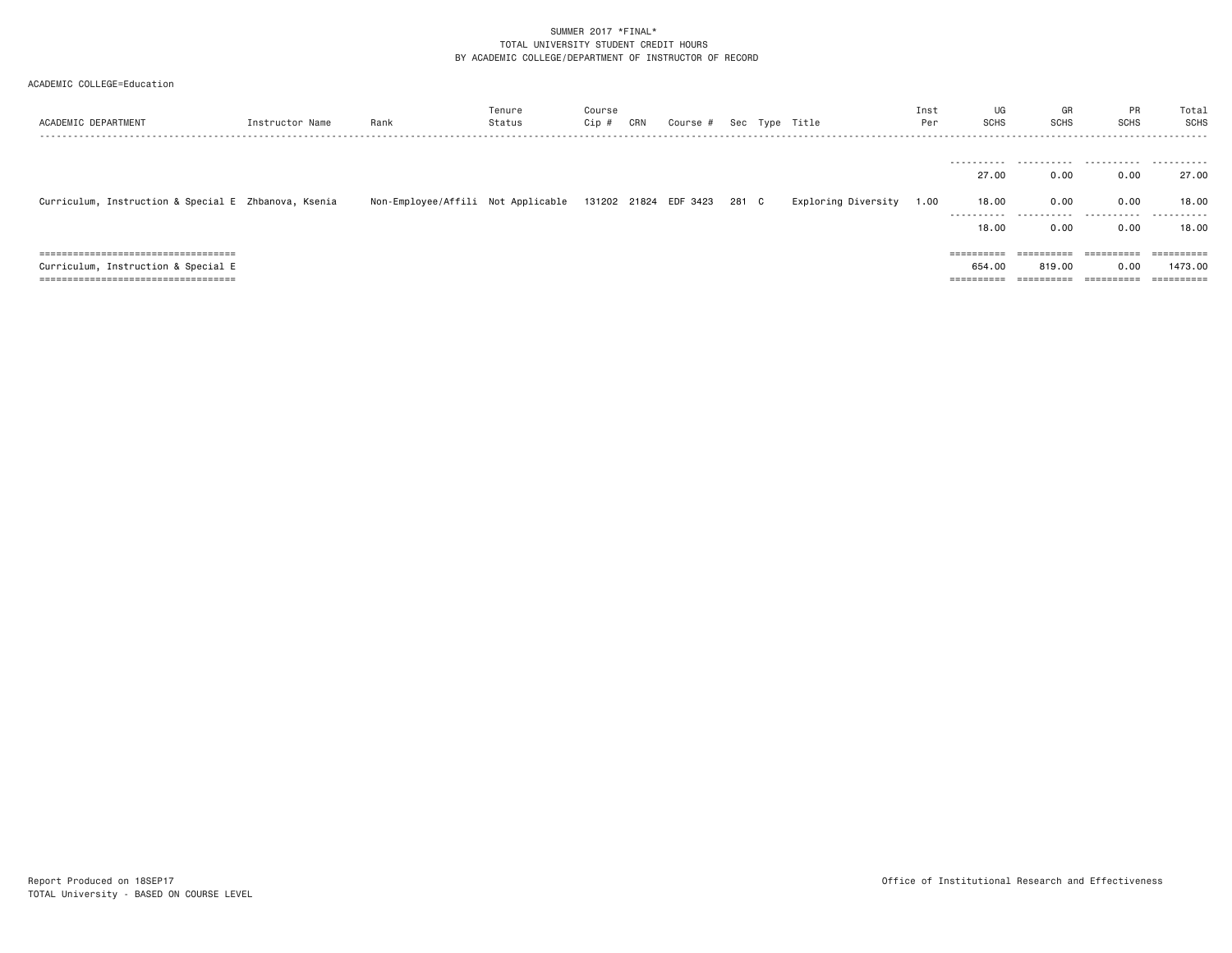| ACADEMIC COLLEGE=Education                           |                 |                                    |                  |                       |     |          |       |                     |             |                   |                   |                   |                          |  |
|------------------------------------------------------|-----------------|------------------------------------|------------------|-----------------------|-----|----------|-------|---------------------|-------------|-------------------|-------------------|-------------------|--------------------------|--|
| ACADEMIC DEPARTMENT                                  | Instructor Name | Rank                               | Tenure<br>Status | Course<br>Cip #       | CRN | Course # |       | Sec Type Title      | Inst<br>Per | UG<br><b>SCHS</b> | GR<br><b>SCHS</b> | PR<br><b>SCHS</b> | Total<br><b>SCHS</b>     |  |
|                                                      |                 |                                    |                  |                       |     |          |       |                     |             |                   |                   |                   |                          |  |
|                                                      |                 |                                    |                  |                       |     |          |       |                     |             | 27.00             | 0.00              | 0.00              | 27.00                    |  |
| Curriculum, Instruction & Special E Zhbanova, Ksenia |                 | Non-Employee/Affili Not Applicable |                  | 131202 21824 EDF 3423 |     |          | 281 C | Exploring Diversity | 1.00        | 18.00             | 0.00              | 0.00              | 18.00                    |  |
|                                                      |                 |                                    |                  |                       |     |          |       |                     |             | .<br>18.00        | .<br>0.00         | .<br>0.00         | -------<br>----<br>18.00 |  |
| ======================================               |                 |                                    |                  |                       |     |          |       |                     |             |                   | ==========        | ==========        |                          |  |
| Curriculum, Instruction & Special E                  |                 |                                    |                  |                       |     |          |       |                     |             | 654.00            | 819.00            | 0.00              | 1473.00                  |  |
| =====================================                |                 |                                    |                  |                       |     |          |       |                     |             | ==========        | ==========        | -----------       | ==========               |  |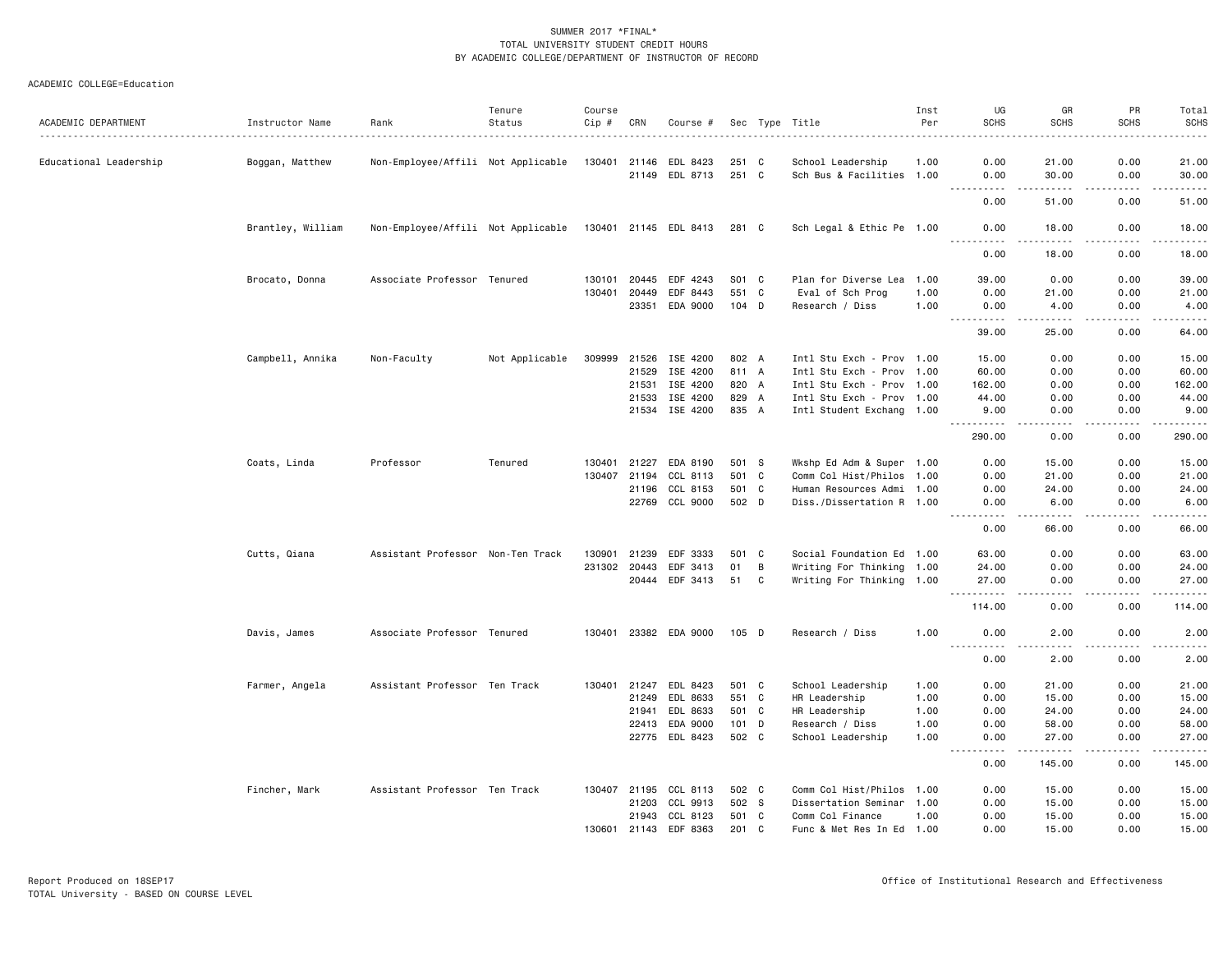| ACADEMIC DEPARTMENT    | Instructor Name   | Rank                               | Tenure<br>Status | Course<br>Cip # | CRN            | Course #              |         |          | Sec Type Title            | Inst<br>Per | UG<br><b>SCHS</b>            | GR<br><b>SCHS</b>       | PR<br><b>SCHS</b>     | Total<br><b>SCHS</b><br>$\frac{1}{2} \left( \frac{1}{2} \right) \left( \frac{1}{2} \right) \left( \frac{1}{2} \right) \left( \frac{1}{2} \right) \left( \frac{1}{2} \right)$ |
|------------------------|-------------------|------------------------------------|------------------|-----------------|----------------|-----------------------|---------|----------|---------------------------|-------------|------------------------------|-------------------------|-----------------------|------------------------------------------------------------------------------------------------------------------------------------------------------------------------------|
|                        |                   |                                    |                  | 130401          |                |                       | 251 C   |          | School Leadership         |             | 0.00                         | 21.00                   | 0.00                  | 21.00                                                                                                                                                                        |
| Educational Leadership | Boggan, Matthew   | Non-Employee/Affili Not Applicable |                  |                 | 21146<br>21149 | EDL 8423<br>EDL 8713  | 251 C   |          | Sch Bus & Facilities 1.00 | 1.00        | 0.00                         | 30.00                   | 0.00                  | 30.00                                                                                                                                                                        |
|                        |                   |                                    |                  |                 |                |                       |         |          |                           |             | .<br>0.00                    | <u>.</u><br>51.00       | $\frac{1}{2}$<br>0.00 | .<br>51.00                                                                                                                                                                   |
|                        | Brantley, William | Non-Employee/Affili Not Applicable |                  |                 |                | 130401 21145 EDL 8413 | 281 C   |          | Sch Legal & Ethic Pe 1.00 |             | 0.00                         | 18.00                   | 0.00                  | 18.00                                                                                                                                                                        |
|                        |                   |                                    |                  |                 |                |                       |         |          |                           |             | 0.00                         | 18.00                   | 0.00                  | .<br>18.00                                                                                                                                                                   |
|                        | Brocato, Donna    | Associate Professor Tenured        |                  | 130101          | 20445          | EDF 4243              | S01 C   |          | Plan for Diverse Lea      | 1.00        | 39,00                        | 0.00                    | 0.00                  | 39.00                                                                                                                                                                        |
|                        |                   |                                    |                  | 130401          | 20449          | EDF 8443              | 551 C   |          | Eval of Sch Prog          | 1.00        | 0.00                         | 21.00                   | 0.00                  | 21.00                                                                                                                                                                        |
|                        |                   |                                    |                  |                 | 23351          | EDA 9000              | 104 D   |          | Research / Diss           | 1.00        | 0.00                         | 4.00                    | 0.00                  | 4.00                                                                                                                                                                         |
|                        |                   |                                    |                  |                 |                |                       |         |          |                           |             | .<br>39.00                   | .<br>25.00              | -----<br>0.00         | .<br>64.00                                                                                                                                                                   |
|                        | Campbell, Annika  | Non-Faculty                        | Not Applicable   | 309999          | 21526          | ISE 4200              | 802 A   |          | Intl Stu Exch - Prov 1.00 |             | 15.00                        | 0.00                    | 0.00                  | 15.00                                                                                                                                                                        |
|                        |                   |                                    |                  |                 | 21529          | ISE 4200              | 811 A   |          | Intl Stu Exch - Prov 1.00 |             | 60.00                        | 0.00                    | 0.00                  | 60.00                                                                                                                                                                        |
|                        |                   |                                    |                  |                 | 21531          | ISE 4200              | 820 A   |          | Intl Stu Exch - Prov 1.00 |             | 162.00                       | 0.00                    | 0.00                  | 162.00                                                                                                                                                                       |
|                        |                   |                                    |                  |                 | 21533          | ISE 4200              | 829 A   |          | Intl Stu Exch - Prov 1.00 |             | 44.00                        | 0.00                    | 0.00                  | 44.00                                                                                                                                                                        |
|                        |                   |                                    |                  |                 | 21534          | ISE 4200              | 835 A   |          | Intl Student Exchang 1.00 |             | 9.00<br>.                    | 0.00<br>الدامات ب       | 0.00<br>.             | 9.00<br>.                                                                                                                                                                    |
|                        |                   |                                    |                  |                 |                |                       |         |          |                           |             | 290.00                       | 0.00                    | 0.00                  | 290.00                                                                                                                                                                       |
|                        | Coats, Linda      | Professor                          | Tenured          | 130401          | 21227          | EDA 8190              | 501 S   |          | Wkshp Ed Adm & Super 1.00 |             | 0.00                         | 15.00                   | 0.00                  | 15.00                                                                                                                                                                        |
|                        |                   |                                    |                  | 130407          | 21194          | CCL 8113              | 501 C   |          | Comm Col Hist/Philos 1.00 |             | 0.00                         | 21.00                   | 0.00                  | 21.00                                                                                                                                                                        |
|                        |                   |                                    |                  |                 | 21196          | CCL 8153              | 501 C   |          | Human Resources Admi 1.00 |             | 0.00                         | 24.00                   | 0.00                  | 24.00                                                                                                                                                                        |
|                        |                   |                                    |                  |                 | 22769          | CCL 9000              | 502 D   |          | Diss./Dissertation R 1.00 |             | 0.00<br>.                    | 6.00<br>$- - - - -$     | 0.00<br>.             | 6.00<br>.                                                                                                                                                                    |
|                        |                   |                                    |                  |                 |                |                       |         |          |                           |             | 0.00                         | 66.00                   | 0.00                  | 66.00                                                                                                                                                                        |
|                        | Cutts, Qiana      | Assistant Professor Non-Ten Track  |                  | 130901          | 21239          | EDF 3333              | 501     | <b>C</b> | Social Foundation Ed 1.00 |             | 63.00                        | 0.00                    | 0.00                  | 63.00                                                                                                                                                                        |
|                        |                   |                                    |                  | 231302          | 20443          | EDF 3413              | 01      | B        | Writing For Thinking 1.00 |             | 24.00                        | 0.00                    | 0.00                  | 24.00                                                                                                                                                                        |
|                        |                   |                                    |                  |                 |                | 20444 EDF 3413        | 51      | C        | Writing For Thinking 1.00 |             | 27.00<br>.                   | 0.00<br>.               | 0.00<br><u>.</u>      | 27.00<br>.                                                                                                                                                                   |
|                        |                   |                                    |                  |                 |                |                       |         |          |                           |             | 114.00                       | 0.00                    | 0.00                  | 114.00                                                                                                                                                                       |
|                        | Davis, James      | Associate Professor Tenured        |                  |                 |                | 130401 23382 EDA 9000 | 105 D   |          | Research / Diss           | 1.00        | 0.00<br>$\sim$ $\sim$ $\sim$ | 2.00                    | 0.00                  | 2.00                                                                                                                                                                         |
|                        |                   |                                    |                  |                 |                |                       |         |          |                           |             | 0.00                         | 2.00                    | 0.00                  | 2.00                                                                                                                                                                         |
|                        | Farmer, Angela    | Assistant Professor Ten Track      |                  | 130401          | 21247          | EDL 8423              | 501 C   |          | School Leadership         | 1.00        | 0.00                         | 21.00                   | 0.00                  | 21.00                                                                                                                                                                        |
|                        |                   |                                    |                  |                 | 21249          | EDL 8633              | 551 C   |          | HR Leadership             | 1.00        | 0.00                         | 15.00                   | 0.00                  | 15.00                                                                                                                                                                        |
|                        |                   |                                    |                  |                 | 21941          | EDL 8633              | 501 C   |          | HR Leadership             | 1.00        | 0.00                         | 24.00                   | 0.00                  | 24.00                                                                                                                                                                        |
|                        |                   |                                    |                  |                 | 22413          | EDA 9000              | $101$ D |          | Research / Diss           | 1.00        | 0.00                         | 58.00                   | 0.00                  | 58.00                                                                                                                                                                        |
|                        |                   |                                    |                  |                 |                | 22775 EDL 8423        | 502 C   |          | School Leadership         | 1.00        | 0.00                         | 27.00                   | 0.00                  | 27.00                                                                                                                                                                        |
|                        |                   |                                    |                  |                 |                |                       |         |          |                           |             | 0.00                         | $\frac{1}{2}$<br>145.00 | .<br>0.00             | .<br>145.00                                                                                                                                                                  |
|                        | Fincher, Mark     | Assistant Professor Ten Track      |                  |                 | 130407 21195   | CCL 8113              | 502 C   |          | Comm Col Hist/Philos 1.00 |             | 0.00                         | 15.00                   | 0.00                  | 15.00                                                                                                                                                                        |
|                        |                   |                                    |                  |                 | 21203          | CCL 9913              | 502 S   |          | Dissertation Seminar 1.00 |             | 0.00                         | 15.00                   | 0.00                  | 15.00                                                                                                                                                                        |
|                        |                   |                                    |                  |                 | 21943          | CCL 8123              | 501 C   |          | Comm Col Finance          | 1.00        | 0.00                         | 15.00                   | 0.00                  | 15.00                                                                                                                                                                        |
|                        |                   |                                    |                  | 130601          | 21143          | EDF 8363              | 201 C   |          | Func & Met Res In Ed 1.00 |             | 0.00                         | 15.00                   | 0.00                  | 15.00                                                                                                                                                                        |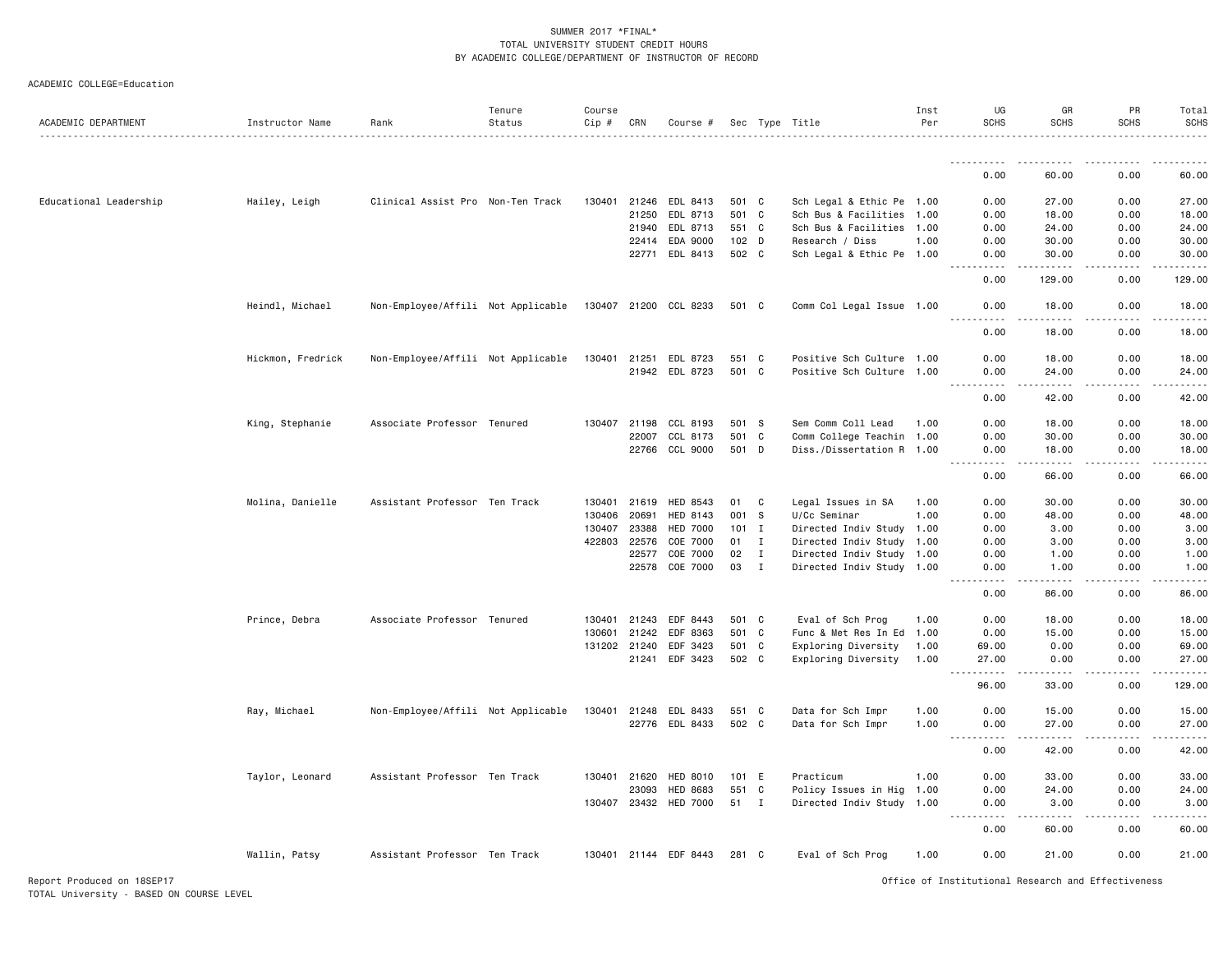|                        |                   |                                                          | Tenure | Course |              |                       |         |              |                           | Inst | UG                                                                                                                                                                                          | GR                | PR            | Total       |
|------------------------|-------------------|----------------------------------------------------------|--------|--------|--------------|-----------------------|---------|--------------|---------------------------|------|---------------------------------------------------------------------------------------------------------------------------------------------------------------------------------------------|-------------------|---------------|-------------|
| ACADEMIC DEPARTMENT    | Instructor Name   | Rank                                                     | Status | Cip #  | CRN          | Course #              |         |              | Sec Type Title            | Per  | <b>SCHS</b>                                                                                                                                                                                 | <b>SCHS</b>       | <b>SCHS</b>   | <b>SCHS</b> |
|                        |                   |                                                          |        |        |              |                       |         |              |                           |      |                                                                                                                                                                                             |                   |               |             |
|                        |                   |                                                          |        |        |              |                       |         |              |                           |      | 0.00                                                                                                                                                                                        | 60.00             | 0.00          | 60.00       |
|                        |                   |                                                          |        |        |              |                       |         |              |                           |      |                                                                                                                                                                                             |                   |               |             |
| Educational Leadership | Hailey, Leigh     | Clinical Assist Pro Non-Ten Track                        |        |        |              | 130401 21246 EDL 8413 | 501 C   |              | Sch Legal & Ethic Pe 1.00 |      | 0.00                                                                                                                                                                                        | 27.00             | 0.00          | 27.00       |
|                        |                   |                                                          |        |        | 21250        | EDL 8713              | 501 C   |              | Sch Bus & Facilities      | 1.00 | 0.00                                                                                                                                                                                        | 18.00             | 0.00          | 18.00       |
|                        |                   |                                                          |        |        | 21940        | EDL 8713              | 551 C   |              | Sch Bus & Facilities      | 1.00 | 0.00                                                                                                                                                                                        | 24.00             | 0.00          | 24.00       |
|                        |                   |                                                          |        |        |              | 22414 EDA 9000        | 102 D   |              | Research / Diss           | 1.00 | 0.00                                                                                                                                                                                        | 30.00             | 0.00          | 30.00       |
|                        |                   |                                                          |        |        |              | 22771 EDL 8413        | 502 C   |              | Sch Legal & Ethic Pe 1.00 |      | 0.00<br>$\frac{1}{2} \left( \frac{1}{2} \right) \left( \frac{1}{2} \right) \left( \frac{1}{2} \right) \left( \frac{1}{2} \right)$                                                           | 30.00<br><u>.</u> | 0.00<br>.     | 30.00<br>.  |
|                        |                   |                                                          |        |        |              |                       |         |              |                           |      | 0.00                                                                                                                                                                                        | 129.00            | 0.00          | 129.00      |
|                        | Heindl, Michael   | Non-Employee/Affili Not Applicable 130407 21200 CCL 8233 |        |        |              |                       | 501 C   |              | Comm Col Legal Issue 1.00 |      | 0.00                                                                                                                                                                                        | 18.00             | 0.00          | 18.00       |
|                        |                   |                                                          |        |        |              |                       |         |              |                           |      | 0.00                                                                                                                                                                                        | 18.00             | 0.00          | 18.00       |
|                        | Hickmon, Fredrick | Non-Employee/Affili Not Applicable                       |        | 130401 | 21251        | EDL 8723              | 551 C   |              | Positive Sch Culture 1.00 |      | 0.00                                                                                                                                                                                        | 18.00             | 0.00          | 18.00       |
|                        |                   |                                                          |        |        |              | 21942 EDL 8723        | 501 C   |              | Positive Sch Culture 1.00 |      | 0.00<br>$\sim$ $\sim$ $\sim$ $\sim$<br>$\sim$ $\sim$ $\sim$ $\sim$                                                                                                                          | 24.00             | 0.00          | 24.00       |
|                        |                   |                                                          |        |        |              |                       |         |              |                           |      | 0.00                                                                                                                                                                                        | 42.00             | 0.00          | 42.00       |
|                        | King, Stephanie   | Associate Professor Tenured                              |        | 130407 | 21198        | CCL 8193              | 501 S   |              | Sem Comm Coll Lead        | 1.00 | 0.00                                                                                                                                                                                        | 18.00             | 0.00          | 18.00       |
|                        |                   |                                                          |        |        | 22007        | CCL 8173              | 501 C   |              | Comm College Teachin 1.00 |      | 0.00                                                                                                                                                                                        | 30.00             | 0.00          | 30.00       |
|                        |                   |                                                          |        |        |              | 22766 CCL 9000        | 501 D   |              | Diss./Dissertation R 1.00 |      | 0.00<br>.<br>$\frac{1}{2} \left( \frac{1}{2} \right) \left( \frac{1}{2} \right) \left( \frac{1}{2} \right) \left( \frac{1}{2} \right)$                                                      | 18.00<br>.        | 0.00<br>----- | 18.00<br>.  |
|                        |                   |                                                          |        |        |              |                       |         |              |                           |      | 0.00                                                                                                                                                                                        | 66.00             | 0.00          | 66.00       |
|                        | Molina, Danielle  | Assistant Professor Ten Track                            |        |        | 130401 21619 | HED 8543              | 01      | C            | Legal Issues in SA        | 1.00 | 0.00                                                                                                                                                                                        | 30.00             | 0.00          | 30.00       |
|                        |                   |                                                          |        |        | 130406 20691 | HED 8143              | 001 S   |              | U/Cc Seminar              | 1.00 | 0.00                                                                                                                                                                                        | 48.00             | 0.00          | 48.00       |
|                        |                   |                                                          |        |        | 130407 23388 | <b>HED 7000</b>       | $101$ I |              | Directed Indiv Study 1.00 |      | 0.00                                                                                                                                                                                        | 3.00              | 0.00          | 3.00        |
|                        |                   |                                                          |        |        | 422803 22576 | COE 7000              | $01$ I  |              | Directed Indiv Study 1.00 |      | 0.00                                                                                                                                                                                        | 3.00              | 0.00          | 3.00        |
|                        |                   |                                                          |        |        | 22577        | COE 7000              | 02      | $\mathbf{I}$ | Directed Indiv Study 1.00 |      | 0.00                                                                                                                                                                                        | 1.00              | 0.00          | 1.00        |
|                        |                   |                                                          |        |        |              | 22578 COE 7000        | 03 I    |              | Directed Indiv Study 1.00 |      | 0.00<br>.                                                                                                                                                                                   | 1.00              | 0.00          | 1.00        |
|                        |                   |                                                          |        |        |              |                       |         |              |                           |      | 0.00                                                                                                                                                                                        | 86.00             | 0.00          | 86.00       |
|                        | Prince, Debra     | Associate Professor Tenured                              |        |        | 130401 21243 | EDF 8443              | 501 C   |              | Eval of Sch Prog          | 1.00 | 0.00                                                                                                                                                                                        | 18.00             | 0.00          | 18.00       |
|                        |                   |                                                          |        |        | 130601 21242 | EDF 8363              | 501 C   |              | Func & Met Res In Ed 1.00 |      | 0.00                                                                                                                                                                                        | 15.00             | 0.00          | 15.00       |
|                        |                   |                                                          |        |        | 131202 21240 | EDF 3423              | 501 C   |              | Exploring Diversity       | 1.00 | 69.00                                                                                                                                                                                       | 0.00              | 0.00          | 69.00       |
|                        |                   |                                                          |        |        |              | 21241 EDF 3423        | 502 C   |              | Exploring Diversity       | 1.00 | 27.00<br>.                                                                                                                                                                                  | 0.00              | 0.00          | 27.00       |
|                        |                   |                                                          |        |        |              |                       |         |              |                           |      | 96.00                                                                                                                                                                                       | 33.00             | 0.00          | 129.00      |
|                        | Ray, Michael      | Non-Employee/Affili Not Applicable                       |        |        |              | 130401 21248 EDL 8433 | 551 C   |              | Data for Sch Impr         | 1.00 | 0.00                                                                                                                                                                                        | 15.00             | 0.00          | 15.00       |
|                        |                   |                                                          |        |        |              | 22776 EDL 8433        | 502 C   |              | Data for Sch Impr         | 1.00 | 0.00<br>$\frac{1}{2} \left( \frac{1}{2} \right) \left( \frac{1}{2} \right) \left( \frac{1}{2} \right) \left( \frac{1}{2} \right) \left( \frac{1}{2} \right)$<br>$\sim$ $\sim$ $\sim$ $\sim$ | 27.00<br>.        | 0.00          | 27.00       |
|                        |                   |                                                          |        |        |              |                       |         |              |                           |      | 0.00                                                                                                                                                                                        | 42.00             | 0.00          | 42.00       |
|                        | Taylor, Leonard   | Assistant Professor Ten Track                            |        |        |              | 130401 21620 HED 8010 | 101 E   |              | Practicum                 | 1.00 | 0.00                                                                                                                                                                                        | 33.00             | 0.00          | 33.00       |
|                        |                   |                                                          |        |        | 23093        | HED 8683              | 551 C   |              | Policy Issues in Hig 1.00 |      | 0.00                                                                                                                                                                                        | 24.00             | 0.00          | 24.00       |
|                        |                   |                                                          |        | 130407 | 23432        | <b>HED 7000</b>       | 51      |              | Directed Indiv Study 1.00 |      | 0.00                                                                                                                                                                                        | 3.00              | 0.00          | 3.00        |

 $0.00$   $0.00$   $0.00$   $0.00$   $0.00$   $0.00$ 

Wallin, Patsy Assistant Professor Ten Track 130401 21144 EDF 8443 281 C Eval of Sch Prog 1.00 0.00 21.00 0.00 21.00

---------- ---------- ---------- ----------

60.00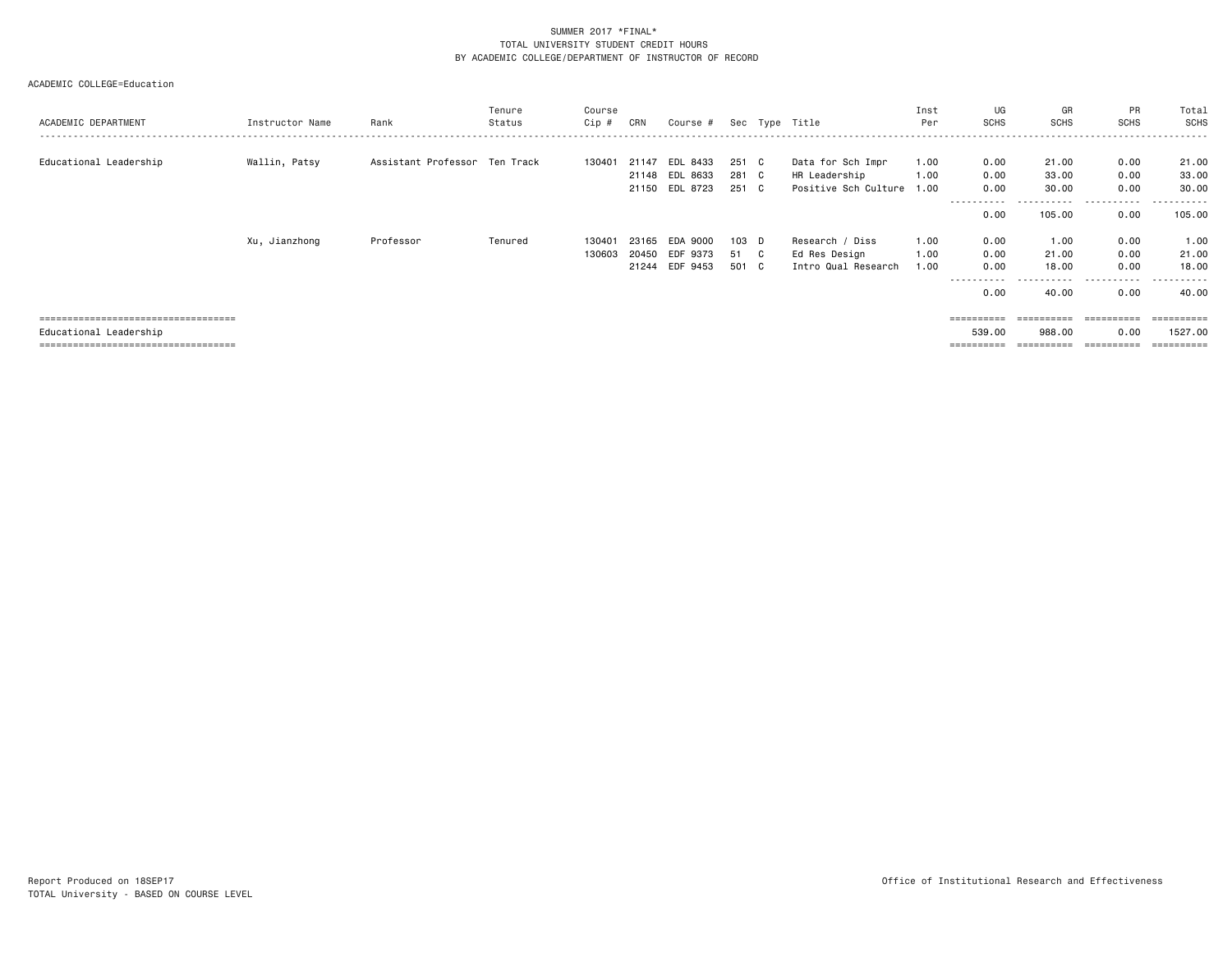| ACADEMIC DEPARTMENT                                                                                     | Instructor Name | Rank                          | Tenure<br>Status | Course<br>Cip #  | CRN                     | Course #                               |                         |              | Sec Type Title                                                  | Inst<br>Per          | UG<br><b>SCHS</b>                          | GR<br><b>SCHS</b>                         | PR<br><b>SCHS</b>                 | Total<br>SCHS<br>-------                   |
|---------------------------------------------------------------------------------------------------------|-----------------|-------------------------------|------------------|------------------|-------------------------|----------------------------------------|-------------------------|--------------|-----------------------------------------------------------------|----------------------|--------------------------------------------|-------------------------------------------|-----------------------------------|--------------------------------------------|
| Educational Leadership                                                                                  | Wallin, Patsy   | Assistant Professor Ten Track |                  | 130401           | 21147<br>21150          | EDL 8433<br>21148 EDL 8633<br>EDL 8723 | 251 C<br>281 C<br>251 C |              | Data for Sch Impr<br>HR Leadership<br>Positive Sch Culture 1.00 | 1.00<br>1.00         | 0.00<br>0.00<br>0.00                       | 21.00<br>33.00<br>30.00                   | 0.00<br>0.00<br>0.00              | 21.00<br>33.00<br>30.00                    |
|                                                                                                         |                 |                               |                  |                  |                         |                                        |                         |              |                                                                 |                      | -----------<br>0.00                        | -------<br>105,00                         | .<br>0.00                         | -----------<br>105.00                      |
|                                                                                                         | Xu, Jianzhong   | Professor                     | Tenured          | 130401<br>130603 | 23165<br>20450<br>21244 | EDA 9000<br>EDF 9373<br>EDF 9453       | 103 D<br>51<br>501 C    | $\mathbf{C}$ | Research / Diss<br>Ed Res Design<br>Intro Qual Research         | 1.00<br>1.00<br>1.00 | 0.00<br>0.00<br>0.00<br>----------<br>0.00 | 1.00<br>21.00<br>18,00<br>------<br>40.00 | 0.00<br>0.00<br>0.00<br>.<br>0.00 | 1.00<br>21.00<br>18.00<br>-------<br>40.00 |
| ====================================<br>Educational Leadership<br>===================================== |                 |                               |                  |                  |                         |                                        |                         |              |                                                                 |                      | ==========<br>539.00<br>==========         | ==========<br>988.00<br>==========        | ==========<br>0.00<br>----------- | eessesses<br>1527.00<br>-==========        |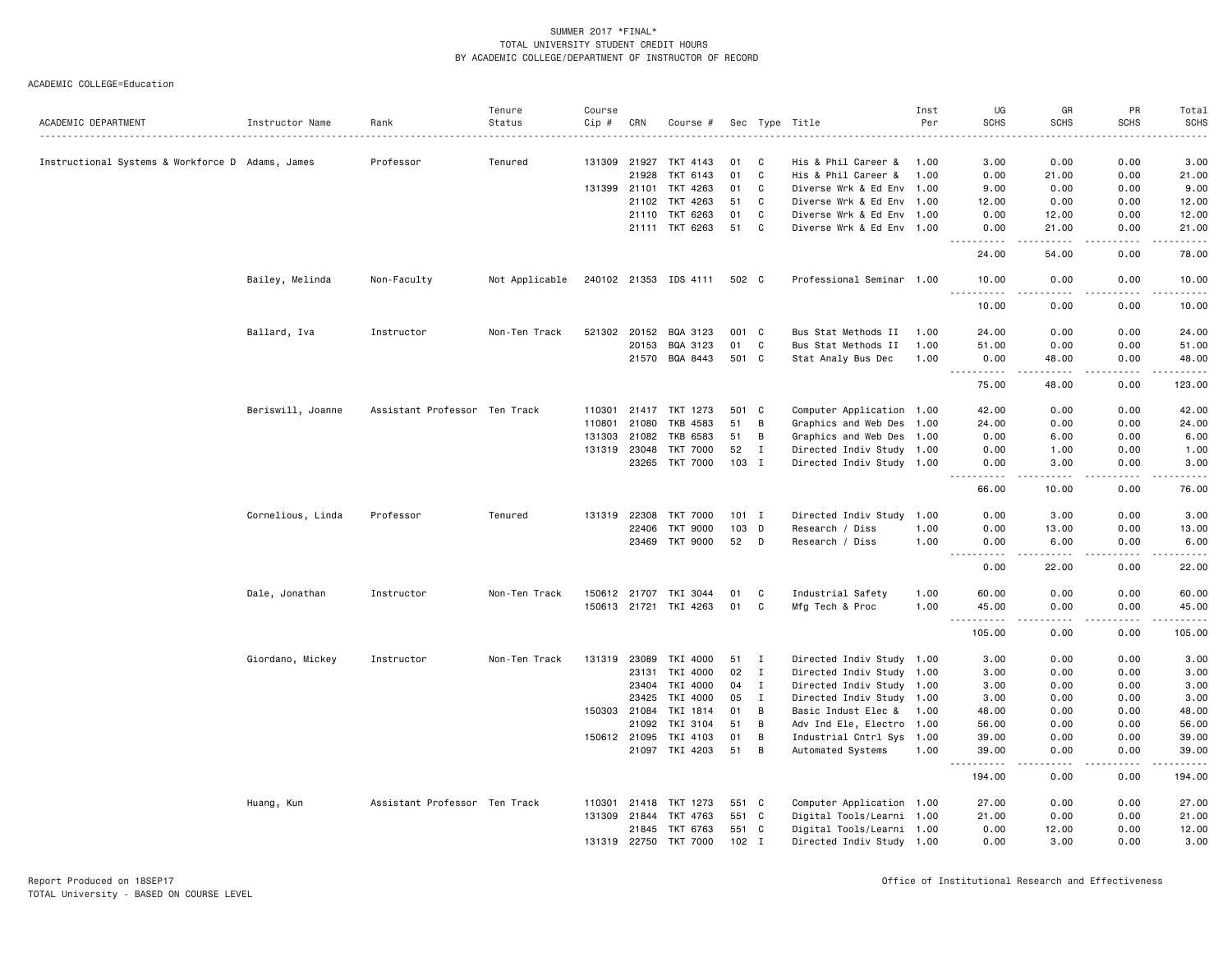|                                                  |                   |                               | Tenure         | Course       |                |                            |          |              |                                                        | Inst         | UG                                      | GR                                                                                                                                                            | PR           | Total           |
|--------------------------------------------------|-------------------|-------------------------------|----------------|--------------|----------------|----------------------------|----------|--------------|--------------------------------------------------------|--------------|-----------------------------------------|---------------------------------------------------------------------------------------------------------------------------------------------------------------|--------------|-----------------|
| ACADEMIC DEPARTMENT                              | Instructor Name   | Rank                          | Status         | Cip #        | CRN            | Course #                   |          |              | Sec Type Title                                         | Per          | <b>SCHS</b>                             | <b>SCHS</b>                                                                                                                                                   | <b>SCHS</b>  | <b>SCHS</b>     |
|                                                  |                   |                               |                |              |                |                            |          |              |                                                        |              |                                         |                                                                                                                                                               |              |                 |
| Instructional Systems & Workforce D Adams, James |                   | Professor                     | Tenured        | 131309 21927 | 21928          | TKT 4143<br>TKT 6143       | 01<br>01 | C<br>C       | His & Phil Career &<br>His & Phil Career &             | 1.00<br>1.00 | 3.00<br>0.00                            | 0.00<br>21.00                                                                                                                                                 | 0.00<br>0.00 | 3.00<br>21.00   |
|                                                  |                   |                               |                |              |                |                            |          | C            |                                                        |              |                                         |                                                                                                                                                               |              |                 |
|                                                  |                   |                               |                | 131399       | 21101<br>21102 | TKT 4263<br>TKT 4263       | 01<br>51 | C            | Diverse Wrk & Ed Env 1.00<br>Diverse Wrk & Ed Env 1.00 |              | 9.00<br>12.00                           | 0.00<br>0.00                                                                                                                                                  | 0.00<br>0.00 | 9.00<br>12.00   |
|                                                  |                   |                               |                |              |                |                            | 01       |              |                                                        |              |                                         |                                                                                                                                                               |              |                 |
|                                                  |                   |                               |                |              | 21110          | TKT 6263<br>21111 TKT 6263 | 51       | C<br>C       | Diverse Wrk & Ed Env 1.00<br>Diverse Wrk & Ed Env 1.00 |              | 0.00<br>0.00                            | 12.00<br>21.00                                                                                                                                                | 0.00<br>0.00 | 12.00<br>21.00  |
|                                                  |                   |                               |                |              |                |                            |          |              |                                                        |              | -----<br>24.00                          | $   -$<br>54.00                                                                                                                                               | .<br>0.00    | .<br>78.00      |
|                                                  | Bailey, Melinda   | Non-Faculty                   | Not Applicable |              |                | 240102 21353 IDS 4111      | 502 C    |              | Professional Seminar 1.00                              |              | 10.00                                   | 0.00                                                                                                                                                          | 0.00         | 10.00           |
|                                                  |                   |                               |                |              |                |                            |          |              |                                                        |              | 10.00                                   | 0.00                                                                                                                                                          | 0.00         | .<br>10.00      |
|                                                  | Ballard, Iva      | Instructor                    | Non-Ten Track  | 521302 20152 |                | BQA 3123                   | 001 C    |              | Bus Stat Methods II                                    | 1.00         | 24.00                                   | 0.00                                                                                                                                                          | 0.00         | 24.00           |
|                                                  |                   |                               |                |              | 20153          | BQA 3123                   | 01       | C            | Bus Stat Methods II                                    | 1.00         | 51.00                                   | 0.00                                                                                                                                                          | 0.00         | 51.00           |
|                                                  |                   |                               |                |              | 21570          | BQA 8443                   | 501 C    |              | Stat Analy Bus Dec                                     | 1.00         | 0.00<br>.<br>$\sim$ $\sim$ $\sim$       | 48.00<br>$\frac{1}{2} \left( \frac{1}{2} \right) \left( \frac{1}{2} \right) \left( \frac{1}{2} \right) \left( \frac{1}{2} \right) \left( \frac{1}{2} \right)$ | 0.00<br>.    | 48.00<br>.      |
|                                                  |                   |                               |                |              |                |                            |          |              |                                                        |              | 75.00                                   | 48.00                                                                                                                                                         | 0.00         | 123.00          |
|                                                  | Beriswill, Joanne | Assistant Professor Ten Track |                | 110301       | 21417          | TKT 1273                   | 501 C    |              | Computer Application 1.00                              |              | 42.00                                   | 0.00                                                                                                                                                          | 0.00         | 42.00           |
|                                                  |                   |                               |                | 110801       | 21080          | TKB 4583                   | 51       | B            | Graphics and Web Des 1.00                              |              | 24.00                                   | 0.00                                                                                                                                                          | 0.00         | 24.00           |
|                                                  |                   |                               |                | 131303       | 21082          | TKB 6583                   | 51       | B            | Graphics and Web Des 1.00                              |              | 0.00                                    | 6.00                                                                                                                                                          | 0.00         | 6.00            |
|                                                  |                   |                               |                | 131319       | 23048          | TKT 7000                   | 52       | $\mathbf I$  | Directed Indiv Study 1.00                              |              | 0.00                                    | 1.00                                                                                                                                                          | 0.00         | 1.00            |
|                                                  |                   |                               |                |              |                | 23265 TKT 7000             | 103 I    |              | Directed Indiv Study 1.00                              |              | 0.00<br>$\omega$ $\omega$ $\omega$<br>. | 3.00<br>.                                                                                                                                                     | 0.00<br>.    | 3.00<br>$    -$ |
|                                                  |                   |                               |                |              |                |                            |          |              |                                                        |              | 66.00                                   | 10.00                                                                                                                                                         | 0.00         | 76.00           |
|                                                  | Cornelious, Linda | Professor                     | Tenured        |              | 131319 22308   | <b>TKT 7000</b>            | $101$ I  |              | Directed Indiv Study 1.00                              |              | 0.00                                    | 3.00                                                                                                                                                          | 0.00         | 3.00            |
|                                                  |                   |                               |                |              | 22406          | <b>TKT 9000</b>            | 103 D    |              | Research / Diss                                        | 1.00         | 0.00                                    | 13.00                                                                                                                                                         | 0.00         | 13.00           |
|                                                  |                   |                               |                |              | 23469          | TKT 9000                   | 52       | D            | Research / Diss                                        | 1.00         | 0.00<br>$\sim 100$ km s $^{-1}$         | 6.00                                                                                                                                                          | 0.00         | 6.00<br>.       |
|                                                  |                   |                               |                |              |                |                            |          |              |                                                        |              | 0.00                                    | 22.00                                                                                                                                                         | 0.00         | 22.00           |
|                                                  | Dale, Jonathan    | Instructor                    | Non-Ten Track  |              | 150612 21707   | TKI 3044                   | 01       | C            | Industrial Safety                                      | 1.00         | 60.00                                   | 0.00                                                                                                                                                          | 0.00         | 60.00           |
|                                                  |                   |                               |                |              |                | 150613 21721 TKI 4263      | 01       | C            | Mfg Tech & Proc                                        | 1.00         | 45.00<br>.<br>$\sim$ $\sim$ $\sim$      | 0.00<br>.                                                                                                                                                     | 0.00<br>.    | 45.00<br>.      |
|                                                  |                   |                               |                |              |                |                            |          |              |                                                        |              | 105.00                                  | 0.00                                                                                                                                                          | 0.00         | 105.00          |
|                                                  | Giordano, Mickey  | Instructor                    | Non-Ten Track  | 131319       | 23089          | TKI 4000                   | 51       | $\mathbf{I}$ | Directed Indiv Study 1.00                              |              | 3.00                                    | 0.00                                                                                                                                                          | 0.00         | 3.00            |
|                                                  |                   |                               |                |              | 23131          | TKI 4000                   | 02       | $\mathbf I$  | Directed Indiv Study 1.00                              |              | 3.00                                    | 0.00                                                                                                                                                          | 0.00         | 3.00            |
|                                                  |                   |                               |                |              | 23404          | TKI 4000                   | 04       | I            | Directed Indiv Study 1.00                              |              | 3.00                                    | 0.00                                                                                                                                                          | 0.00         | 3.00            |
|                                                  |                   |                               |                |              | 23425          | TKI 4000                   | 05       | $\mathbf{I}$ | Directed Indiv Study 1.00                              |              | 3.00                                    | 0.00                                                                                                                                                          | 0.00         | 3.00            |
|                                                  |                   |                               |                |              | 150303 21084   | TKI 1814                   | 01       | B            | Basic Indust Elec & 1.00                               |              | 48.00                                   | 0.00                                                                                                                                                          | 0.00         | 48.00           |
|                                                  |                   |                               |                |              | 21092          | TKI 3104                   | 51       | B            | Adv Ind Ele, Electro 1.00                              |              | 56.00                                   | 0.00                                                                                                                                                          | 0.00         | 56.00           |
|                                                  |                   |                               |                | 150612 21095 |                | TKI 4103                   | 01       | B            | Industrial Cntrl Sys 1.00                              |              | 39.00                                   | 0.00                                                                                                                                                          | 0.00         | 39.00           |
|                                                  |                   |                               |                |              |                | 21097 TKI 4203             | 51       | B            | Automated Systems                                      | 1.00         | 39.00                                   | 0.00                                                                                                                                                          | 0.00         | 39.00           |
|                                                  |                   |                               |                |              |                |                            |          |              |                                                        |              | 194.00                                  | 0.00                                                                                                                                                          | 0.00         | 194.00          |
|                                                  | Huang, Kun        | Assistant Professor Ten Track |                | 110301       | 21418          | TKT 1273                   | 551 C    |              | Computer Application 1.00                              |              | 27.00                                   | 0.00                                                                                                                                                          | 0.00         | 27.00           |
|                                                  |                   |                               |                |              | 131309 21844   | TKT 4763                   | 551 C    |              | Digital Tools/Learni 1.00                              |              | 21.00                                   | 0.00                                                                                                                                                          | 0.00         | 21.00           |
|                                                  |                   |                               |                |              | 21845          | TKT 6763                   | 551 C    |              | Digital Tools/Learni 1.00                              |              | 0.00                                    | 12.00                                                                                                                                                         | 0.00         | 12.00           |
|                                                  |                   |                               |                |              | 131319 22750   | TKT 7000                   | $102$ I  |              | Directed Indiv Study 1.00                              |              | 0.00                                    | 3.00                                                                                                                                                          | 0.00         | 3.00            |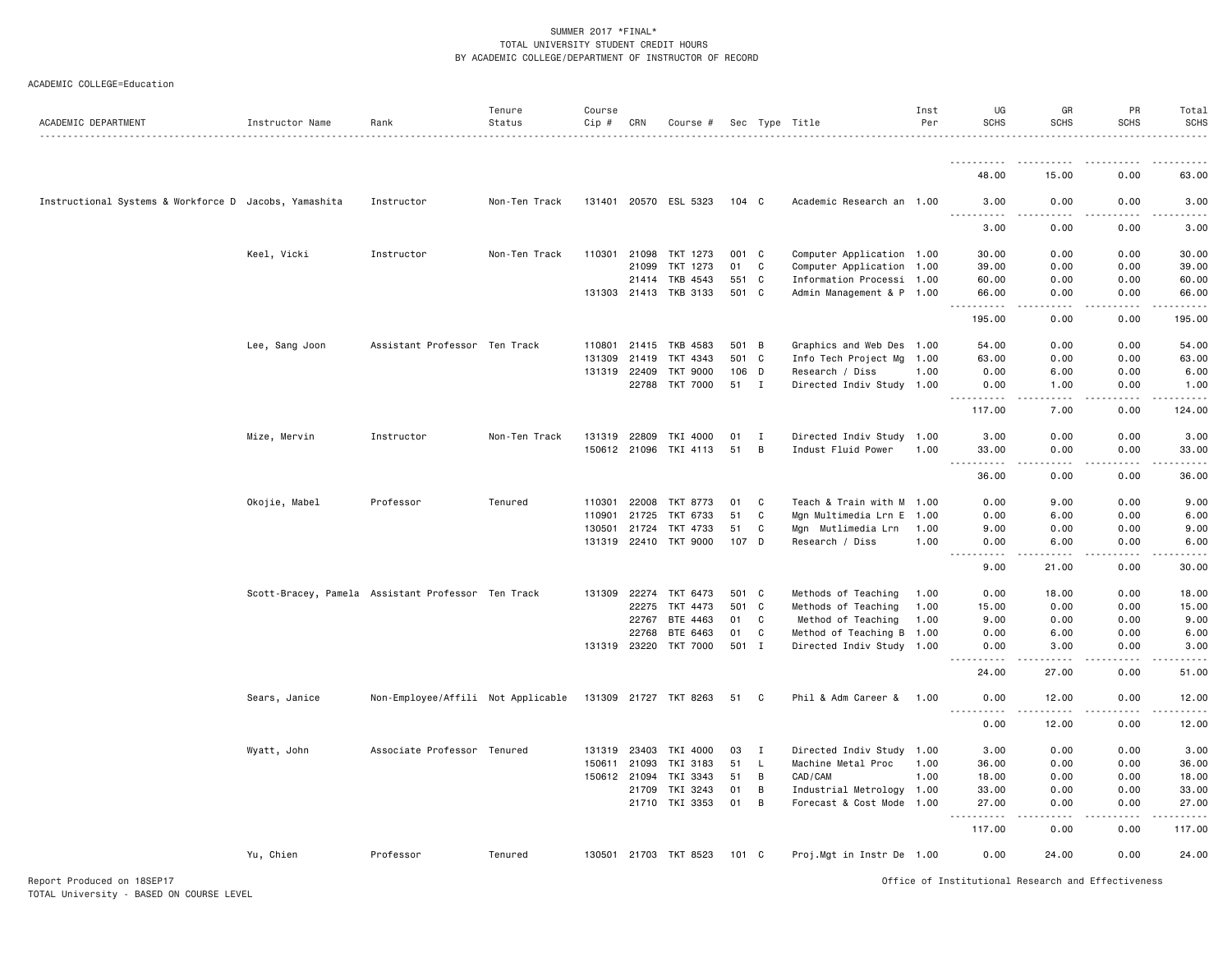| ACADEMIC COLLEGE=Education |
|----------------------------|
|                            |

| ACADEMIC DEPARTMENT                                   | Instructor Name | Rank                                               | Tenure<br>Status | Course<br>Cip # | CRN          | Course #              |       |                | Sec Type Title            | Inst<br>Per | UG<br><b>SCHS</b>                                  | GR<br><b>SCHS</b>   | PR<br><b>SCHS</b>     | Total<br><b>SCHS</b> |
|-------------------------------------------------------|-----------------|----------------------------------------------------|------------------|-----------------|--------------|-----------------------|-------|----------------|---------------------------|-------------|----------------------------------------------------|---------------------|-----------------------|----------------------|
|                                                       |                 |                                                    |                  |                 |              |                       |       |                |                           |             |                                                    |                     |                       |                      |
|                                                       |                 |                                                    |                  |                 |              |                       |       |                |                           |             | 48.00                                              | 15.00               | 0.00                  | 63.00                |
| Instructional Systems & Workforce D Jacobs, Yamashita |                 | Instructor                                         | Non-Ten Track    |                 |              | 131401 20570 ESL 5323 | 104 C |                | Academic Research an 1.00 |             | 3.00<br>.                                          | 0.00<br>$- - - - -$ | 0.00<br>$\frac{1}{2}$ | 3.00                 |
|                                                       |                 |                                                    |                  |                 |              |                       |       |                |                           |             | 3.00                                               | 0.00                | 0.00                  | 3.00                 |
|                                                       | Keel, Vicki     | Instructor                                         | Non-Ten Track    | 110301          | 21098        | TKT 1273              | 001 C |                | Computer Application 1.00 |             | 30.00                                              | 0.00                | 0.00                  | 30.00                |
|                                                       |                 |                                                    |                  |                 | 21099        | TKT 1273              | 01    | $\mathbf c$    | Computer Application      | 1.00        | 39.00                                              | 0.00                | 0.00                  | 39.00                |
|                                                       |                 |                                                    |                  |                 | 21414        | TKB 4543              | 551 C |                | Information Processi 1.00 |             | 60.00                                              | 0.00                | 0.00                  | 60.00                |
|                                                       |                 |                                                    |                  |                 |              | 131303 21413 TKB 3133 | 501 C |                | Admin Management & P 1.00 |             | 66.00<br><u>.</u>                                  | 0.00<br>.           | 0.00<br>.             | 66.00<br>.           |
|                                                       |                 |                                                    |                  |                 |              |                       |       |                |                           |             | 195.00                                             | 0.00                | 0.00                  | 195.00               |
|                                                       | Lee, Sang Joon  | Assistant Professor Ten Track                      |                  | 110801          | 21415        | TKB 4583              | 501 B |                | Graphics and Web Des 1.00 |             | 54.00                                              | 0.00                | 0.00                  | 54.00                |
|                                                       |                 |                                                    |                  | 131309          | 21419        | TKT 4343              | 501 C |                | Info Tech Project Mg      | 1.00        | 63.00                                              | 0.00                | 0.00                  | 63.00                |
|                                                       |                 |                                                    |                  | 131319          | 22409        | <b>TKT 9000</b>       | 106 D |                | Research / Diss           | 1.00        | 0.00                                               | 6.00                | 0.00                  | 6.00                 |
|                                                       |                 |                                                    |                  |                 | 22788        | <b>TKT 7000</b>       | 51 I  |                | Directed Indiv Study 1.00 |             | 0.00<br>.                                          | 1.00                | 0.00                  | 1.00                 |
|                                                       |                 |                                                    |                  |                 |              |                       |       |                |                           |             | 117.00                                             | 7.00                | 0.00                  | 124.00               |
|                                                       | Mize, Mervin    | Instructor                                         | Non-Ten Track    |                 | 131319 22809 | TKI 4000              | 01    | $\mathbf{I}$   | Directed Indiv Study 1.00 |             | 3.00                                               | 0.00                | 0.00                  | 3.00                 |
|                                                       |                 |                                                    |                  |                 |              | 150612 21096 TKI 4113 | 51    | $\overline{B}$ | Indust Fluid Power        | 1.00        | 33.00                                              | 0.00                | 0.00                  | 33.00                |
|                                                       |                 |                                                    |                  |                 |              |                       |       |                |                           |             | .<br>36.00                                         | .<br>0.00           | .<br>0.00             | .<br>36.00           |
|                                                       | Okojie, Mabel   | Professor                                          | Tenured          | 110301          | 22008        | TKT 8773              | 01    | C              | Teach & Train with M 1.00 |             | 0.00                                               | 9.00                | 0.00                  | 9.00                 |
|                                                       |                 |                                                    |                  | 110901          | 21725        | TKT 6733              | 51    | C              | Mgn Multimedia Lrn E 1.00 |             | 0.00                                               | 6.00                | 0.00                  | 6.00                 |
|                                                       |                 |                                                    |                  | 130501          | 21724        | TKT 4733              | 51    | C              | Mgn Mutlimedia Lrn        | 1.00        | 9.00                                               | 0.00                | 0.00                  | 9.00                 |
|                                                       |                 |                                                    |                  |                 | 131319 22410 | <b>TKT 9000</b>       | 107 D |                | Research / Diss           | 1.00        | 0.00<br>.<br>----                                  | 6.00                | 0.00                  | 6.00                 |
|                                                       |                 |                                                    |                  |                 |              |                       |       |                |                           |             | 9.00                                               | 21.00               | 0.00                  | 30.00                |
|                                                       |                 | Scott-Bracey, Pamela Assistant Professor Ten Track |                  |                 | 131309 22274 | TKT 6473              | 501 C |                | Methods of Teaching       | 1.00        | 0.00                                               | 18.00               | 0.00                  | 18.00                |
|                                                       |                 |                                                    |                  |                 | 22275        | TKT 4473              | 501 C |                | Methods of Teaching       | 1.00        | 15.00                                              | 0.00                | 0.00                  | 15.00                |
|                                                       |                 |                                                    |                  |                 | 22767        | BTE 4463              | 01    | C              | Method of Teaching        | 1.00        | 9.00                                               | 0.00                | 0.00                  | 9.00                 |
|                                                       |                 |                                                    |                  |                 | 22768        | BTE 6463              | 01    | C              | Method of Teaching B 1.00 |             | 0.00                                               | 6.00                | 0.00                  | 6.00                 |
|                                                       |                 |                                                    |                  |                 | 131319 23220 | <b>TKT 7000</b>       | 501 I |                | Directed Indiv Study 1.00 |             | 0.00<br>22222                                      | 3.00                | 0.00                  | 3.00                 |
|                                                       |                 |                                                    |                  |                 |              |                       |       |                |                           |             | 24.00                                              | 27.00               | 0.00                  | 51.00                |
|                                                       | Sears, Janice   | Non-Employee/Affili Not Applicable                 |                  |                 |              | 131309 21727 TKT 8263 | 51    | C              | Phil & Adm Career &       | 1.00        | 0.00                                               | 12.00               | 0.00                  | 12.00                |
|                                                       |                 |                                                    |                  |                 |              |                       |       |                |                           |             | .<br>0.00                                          | 12.00               | 0.00                  | 12.00                |
|                                                       | Wyatt, John     | Associate Professor Tenured                        |                  | 131319          | 23403        | TKI 4000              | 03    | $\mathbf{I}$   | Directed Indiv Study      | 1.00        | 3.00                                               | 0.00                | 0.00                  | 3.00                 |
|                                                       |                 |                                                    |                  | 150611          | 21093        | TKI 3183              | 51    | L.             | Machine Metal Proc        | 1.00        | 36.00                                              | 0.00                | 0.00                  | 36.00                |
|                                                       |                 |                                                    |                  |                 | 150612 21094 | TKI 3343              | 51    | В              | CAD/CAM                   | 1.00        | 18.00                                              | 0.00                | 0.00                  | 18.00                |
|                                                       |                 |                                                    |                  |                 | 21709        | TKI 3243              | 01    | В              | Industrial Metrology      | 1.00        | 33.00                                              | 0.00                | 0.00                  | 33.00                |
|                                                       |                 |                                                    |                  |                 |              | 21710 TKI 3353        | 01    | B              | Forecast & Cost Mode 1.00 |             | 27.00<br>.                                         | 0.00                | 0.00                  | 27.00                |
|                                                       |                 |                                                    |                  |                 |              |                       |       |                |                           |             | 117.00                                             | 0.00                | 0.00                  | 117.00               |
|                                                       | Yu, Chien       | Professor                                          | Tenured          | 130501          |              | 21703 TKT 8523        | 101 C |                | Proj.Mgt in Instr De 1.00 |             | 0.00                                               | 24.00               | 0.00                  | 24.00                |
| Report Produced on 18SEP17                            |                 |                                                    |                  |                 |              |                       |       |                |                           |             | Office of Institutional Research and Effectiveness |                     |                       |                      |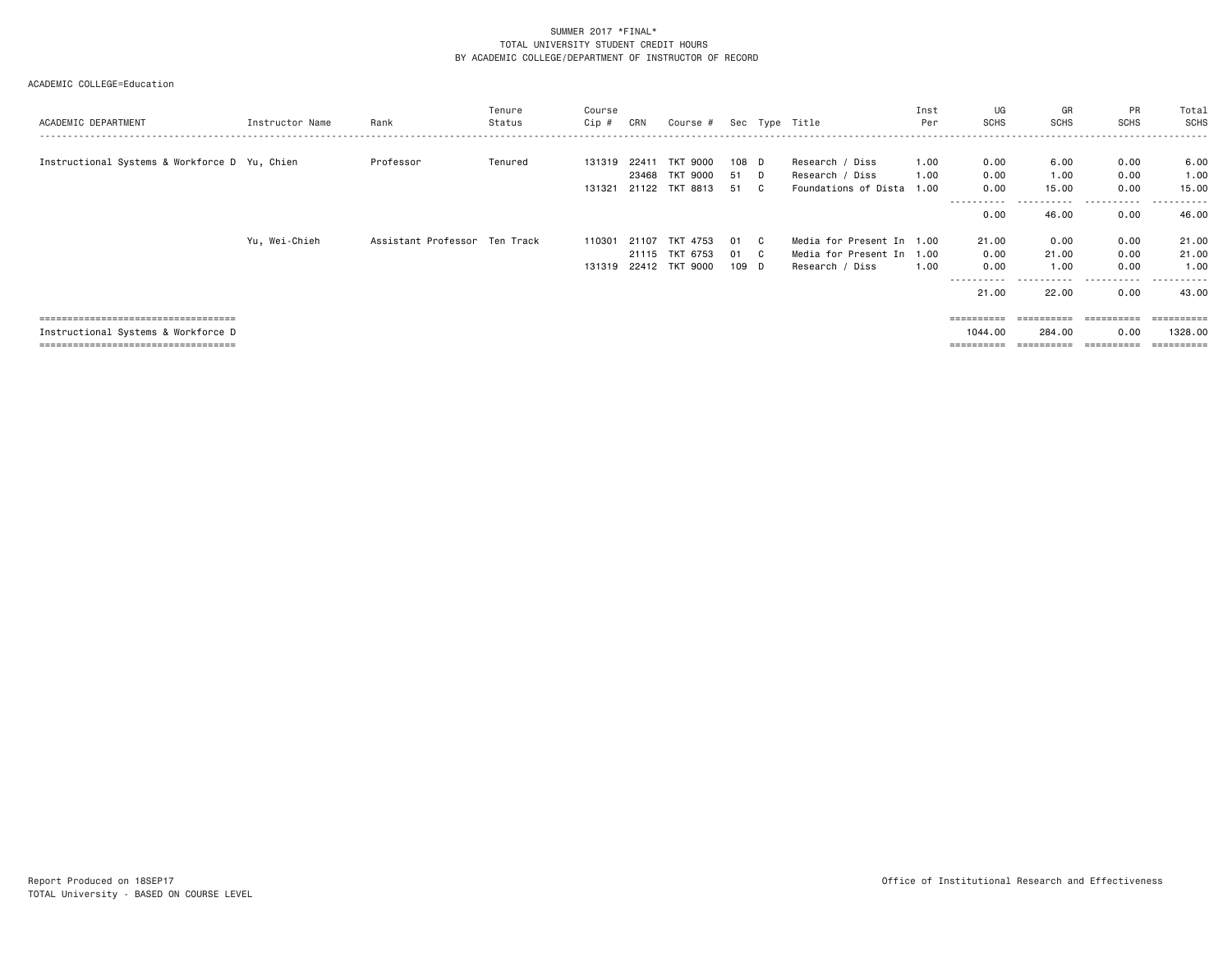| ACADEMIC DEPARTMENT                                                                                                  | Instructor Name | Rank                          | Tenure<br>Status | Course<br>Cip #  | CRN                     | Course #                         |                     |         | Sec Type Title                                                            | Inst<br>Per          | UG<br><b>SCHS</b>                             | GR<br><b>SCHS</b>              | PR<br>SCHS                       | Total<br>SCHS                        |
|----------------------------------------------------------------------------------------------------------------------|-----------------|-------------------------------|------------------|------------------|-------------------------|----------------------------------|---------------------|---------|---------------------------------------------------------------------------|----------------------|-----------------------------------------------|--------------------------------|----------------------------------|--------------------------------------|
| Instructional Systems & Workforce D Yu, Chien                                                                        |                 | Professor                     | Tenured          | 131319<br>131321 | 22411<br>23468<br>21122 | TKT 9000<br>TKT 9000<br>TKT 8813 | 108 D<br>51<br>51   | D<br>C. | Research / Diss<br>Research / Diss<br>Foundations of Dista                | 1.00<br>1.00<br>1.00 | 0.00<br>0.00<br>0.00                          | 6.00<br>1.00<br>15.00          | 0.00<br>0.00<br>0.00             | 6.00<br>1.00<br>15.00                |
|                                                                                                                      |                 |                               |                  |                  |                         |                                  |                     |         |                                                                           |                      | -----------<br>0.00                           | .<br>46.00                     | .<br>0.00                        | -------<br>46.00                     |
|                                                                                                                      | Yu, Wei-Chieh   | Assistant Professor Ten Track |                  | 110301<br>131319 | 21107<br>21115<br>22412 | TKT 4753<br>TKT 6753<br>TKT 9000 | 01<br>01 C<br>109 D | C.      | Media for Present In 1.00<br>Media for Present In 1.00<br>Research / Diss | 1.00                 | 21.00<br>0.00<br>0.00<br>-----------<br>21.00 | 0.00<br>21.00<br>1.00<br>22.00 | 0.00<br>0.00<br>0.00<br>0.00     | 21.00<br>21.00<br>1.00<br>.<br>43.00 |
| =====================================<br>Instructional Systems & Workforce D<br>==================================== |                 |                               |                  |                  |                         |                                  |                     |         |                                                                           |                      | ==========<br>1044.00                         | ==========<br>284.00           | ==========<br>0.00<br>========== | 1328,00<br>========                  |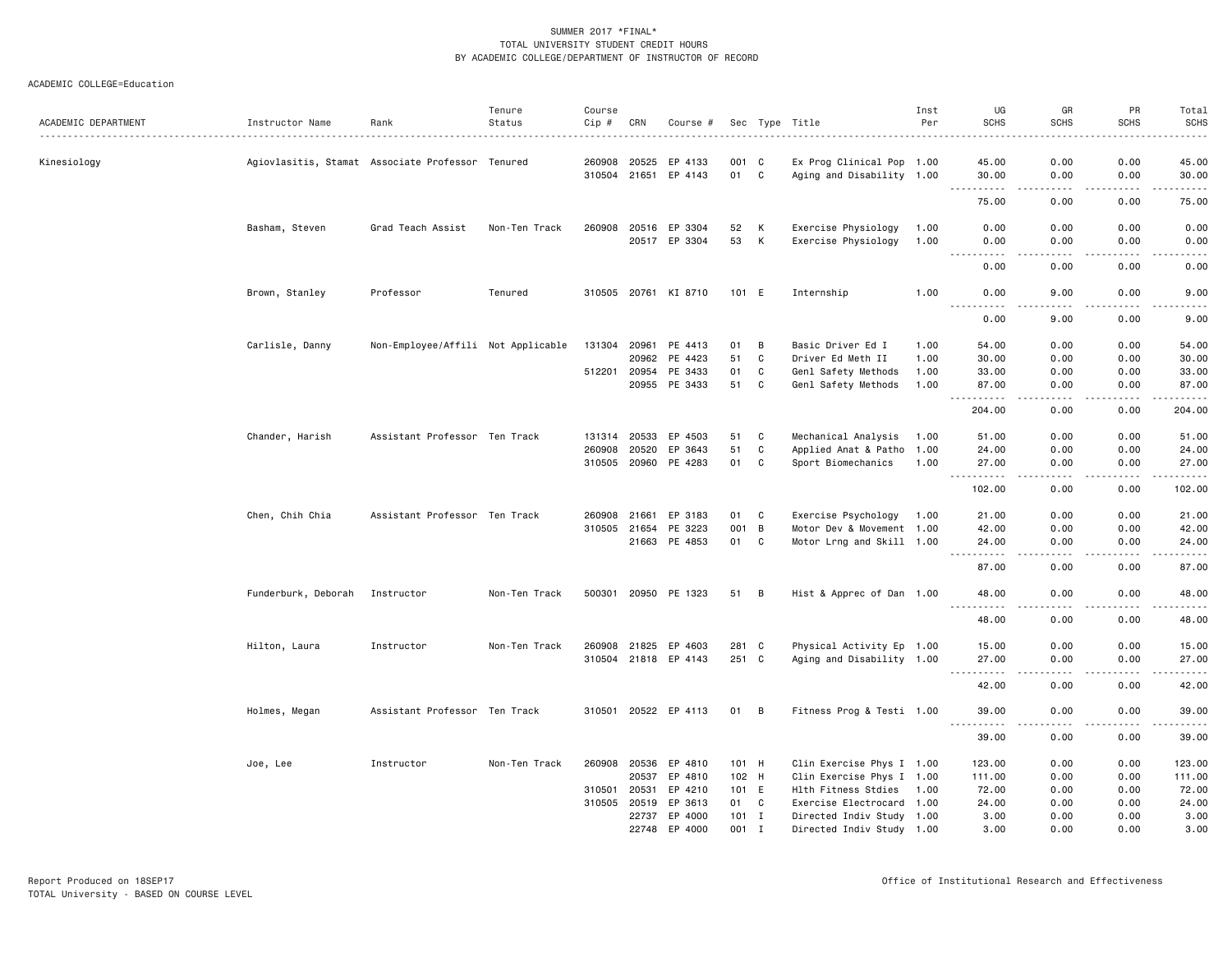| ACADEMIC DEPARTMENT | Instructor Name     | Rank                                             | Tenure<br>Status | Course<br>Cip # | CRN          | Course #             |         |                | Sec Type Title            | Inst<br>Per | UG<br><b>SCHS</b>                  | GR<br><b>SCHS</b>                   | PR<br><b>SCHS</b>                   | Total<br><b>SCHS</b>                                                                                                                                                                     |
|---------------------|---------------------|--------------------------------------------------|------------------|-----------------|--------------|----------------------|---------|----------------|---------------------------|-------------|------------------------------------|-------------------------------------|-------------------------------------|------------------------------------------------------------------------------------------------------------------------------------------------------------------------------------------|
|                     |                     |                                                  |                  |                 |              |                      |         |                |                           |             |                                    |                                     |                                     | $   -$                                                                                                                                                                                   |
| Kinesiology         |                     | Agiovlasitis, Stamat Associate Professor Tenured |                  | 260908          | 20525        | EP 4133              | 001 C   |                | Ex Prog Clinical Pop 1.00 |             | 45.00                              | 0.00                                | 0.00                                | 45.00                                                                                                                                                                                    |
|                     |                     |                                                  |                  |                 | 310504 21651 | EP 4143              | 01 C    |                | Aging and Disability 1.00 |             | 30.00                              | 0.00                                | 0.00                                | 30.00                                                                                                                                                                                    |
|                     |                     |                                                  |                  |                 |              |                      |         |                |                           |             | .<br>75.00                         | $\sim$ $\sim$ $\sim$ $\sim$<br>0.00 | $\sim$ - - -<br>0.00                | .<br>75.00                                                                                                                                                                               |
|                     | Basham, Steven      | Grad Teach Assist                                | Non-Ten Track    | 260908          | 20516        | EP 3304              | 52      | K              | Exercise Physiology       | 1.00        | 0.00                               | 0.00                                | 0.00                                | 0.00                                                                                                                                                                                     |
|                     |                     |                                                  |                  |                 |              | 20517 EP 3304        | 53 K    |                | Exercise Physiology       | 1.00        | 0.00<br>.<br>$\sim$ $\sim$ $\sim$  | 0.00<br>.                           | 0.00<br>$\sim$ $\sim$ $\sim$ $\sim$ | 0.00<br>.                                                                                                                                                                                |
|                     |                     |                                                  |                  |                 |              |                      |         |                |                           |             | 0.00                               | 0.00                                | 0.00                                | 0.00                                                                                                                                                                                     |
|                     | Brown, Stanley      | Professor                                        | Tenured          |                 |              | 310505 20761 KI 8710 | 101 E   |                | Internship                | 1.00        | 0.00                               | 9.00                                | 0.00<br>.                           | 9.00<br>.                                                                                                                                                                                |
|                     |                     |                                                  |                  |                 |              |                      |         |                |                           |             | 0.00                               | 9.00                                | 0.00                                | 9.00                                                                                                                                                                                     |
|                     | Carlisle, Danny     | Non-Employee/Affili Not Applicable               |                  | 131304          | 20961        | PE 4413              | 01      | $\overline{B}$ | Basic Driver Ed I         | 1.00        | 54.00                              | 0.00                                | 0.00                                | 54.00                                                                                                                                                                                    |
|                     |                     |                                                  |                  |                 | 20962        | PE 4423              | 51      | C              | Driver Ed Meth II         | 1.00        | 30.00                              | 0.00                                | 0.00                                | 30.00                                                                                                                                                                                    |
|                     |                     |                                                  |                  | 512201          | 20954        | PE 3433              | 01      | C              | Genl Safety Methods       | 1.00        | 33.00                              | 0.00                                | 0.00                                | 33.00                                                                                                                                                                                    |
|                     |                     |                                                  |                  |                 |              | 20955 PE 3433        | 51 C    |                | Genl Safety Methods       | 1.00        | 87.00                              | 0.00                                | 0.00                                | 87.00<br>.                                                                                                                                                                               |
|                     |                     |                                                  |                  |                 |              |                      |         |                |                           |             | 204.00                             | 0.00                                | 0.00                                | 204.00                                                                                                                                                                                   |
|                     | Chander, Harish     | Assistant Professor Ten Track                    |                  | 131314          | 20533        | EP 4503              | 51      | C              | Mechanical Analysis       | 1.00        | 51.00                              | 0.00                                | 0.00                                | 51.00                                                                                                                                                                                    |
|                     |                     |                                                  |                  | 260908          | 20520        | EP 3643              | 51      | C              | Applied Anat & Patho      | 1.00        | 24.00                              | 0.00                                | 0.00                                | 24.00                                                                                                                                                                                    |
|                     |                     |                                                  |                  | 310505          | 20960        | PE 4283              | 01      | C              | Sport Biomechanics        | 1.00        | 27.00<br>.                         | 0.00                                | 0.00<br>د د د د                     | 27.00<br>.                                                                                                                                                                               |
|                     |                     |                                                  |                  |                 |              |                      |         |                |                           |             | 102.00                             | 0.00                                | 0.00                                | 102.00                                                                                                                                                                                   |
|                     | Chen, Chih Chia     | Assistant Professor Ten Track                    |                  | 260908          | 21661        | EP 3183              | 01      | C              | Exercise Psychology       | 1.00        | 21.00                              | 0.00                                | 0.00                                | 21.00                                                                                                                                                                                    |
|                     |                     |                                                  |                  | 310505          | 21654        | PE 3223              | 001 B   |                | Motor Dev & Movement 1.00 |             | 42.00                              | 0.00                                | 0.00                                | 42.00                                                                                                                                                                                    |
|                     |                     |                                                  |                  |                 |              | 21663 PE 4853        | 01 C    |                | Motor Lrng and Skill 1.00 |             | 24.00<br>$\frac{1}{2}$             | 0.00                                | 0.00<br>$\frac{1}{2}$               | 24.00                                                                                                                                                                                    |
|                     |                     |                                                  |                  |                 |              |                      |         |                |                           |             | 87.00                              | 0.00                                | 0.00                                | $\frac{1}{2} \left( \frac{1}{2} \right) \left( \frac{1}{2} \right) \left( \frac{1}{2} \right) \left( \frac{1}{2} \right) \left( \frac{1}{2} \right) \left( \frac{1}{2} \right)$<br>87.00 |
|                     | Funderburk, Deborah | Instructor                                       | Non-Ten Track    |                 | 500301 20950 | PE 1323              | 51      | $\overline{B}$ | Hist & Apprec of Dan 1.00 |             | 48.00                              | 0.00                                | 0.00                                | 48.00                                                                                                                                                                                    |
|                     |                     |                                                  |                  |                 |              |                      |         |                |                           |             | 48.00                              | 0.00                                | 0.00                                | .<br>48.00                                                                                                                                                                               |
|                     | Hilton, Laura       | Instructor                                       | Non-Ten Track    | 260908          | 21825        | EP 4603              | 281 C   |                | Physical Activity Ep 1.00 |             | 15.00                              | 0.00                                | 0.00                                | 15.00                                                                                                                                                                                    |
|                     |                     |                                                  |                  |                 |              | 310504 21818 EP 4143 | 251 C   |                | Aging and Disability 1.00 |             | 27.00                              | 0.00                                | 0.00<br>$- - - -$                   | 27.00<br>د د د د د                                                                                                                                                                       |
|                     |                     |                                                  |                  |                 |              |                      |         |                |                           |             | 42.00                              | 0.00                                | 0.00                                | 42.00                                                                                                                                                                                    |
|                     | Holmes, Megan       | Assistant Professor Ten Track                    |                  |                 |              | 310501 20522 EP 4113 | 01 B    |                | Fitness Prog & Testi 1.00 |             | 39.00                              | 0.00                                | 0.00                                | 39.00                                                                                                                                                                                    |
|                     |                     |                                                  |                  |                 |              |                      |         |                |                           |             | $\sim$ $\sim$ $\sim$<br>.<br>39.00 | 0.00                                | ----<br>0.00                        | والمستحدث<br>39.00                                                                                                                                                                       |
|                     | Joe, Lee            | Instructor                                       | Non-Ten Track    | 260908          | 20536        | EP 4810              | 101 H   |                | Clin Exercise Phys I 1.00 |             | 123.00                             | 0.00                                | 0.00                                | 123.00                                                                                                                                                                                   |
|                     |                     |                                                  |                  |                 | 20537        | EP 4810              | 102 H   |                | Clin Exercise Phys I 1.00 |             | 111.00                             | 0.00                                | 0.00                                | 111.00                                                                                                                                                                                   |
|                     |                     |                                                  |                  | 310501          | 20531        | EP 4210              | 101 E   |                | Hlth Fitness Stdies       | 1.00        | 72.00                              | 0.00                                | 0.00                                | 72.00                                                                                                                                                                                    |
|                     |                     |                                                  |                  | 310505          | 20519        | EP 3613              | 01      | C.             | Exercise Electrocard 1.00 |             | 24.00                              | 0.00                                | 0.00                                | 24.00                                                                                                                                                                                    |
|                     |                     |                                                  |                  |                 | 22737        | EP 4000              | $101$ I |                | Directed Indiv Study 1.00 |             | 3.00                               | 0.00                                | 0.00                                | 3.00                                                                                                                                                                                     |
|                     |                     |                                                  |                  |                 | 22748        | EP 4000              | 001 I   |                | Directed Indiv Study 1.00 |             | 3,00                               | 0.00                                | 0.00                                | 3.00                                                                                                                                                                                     |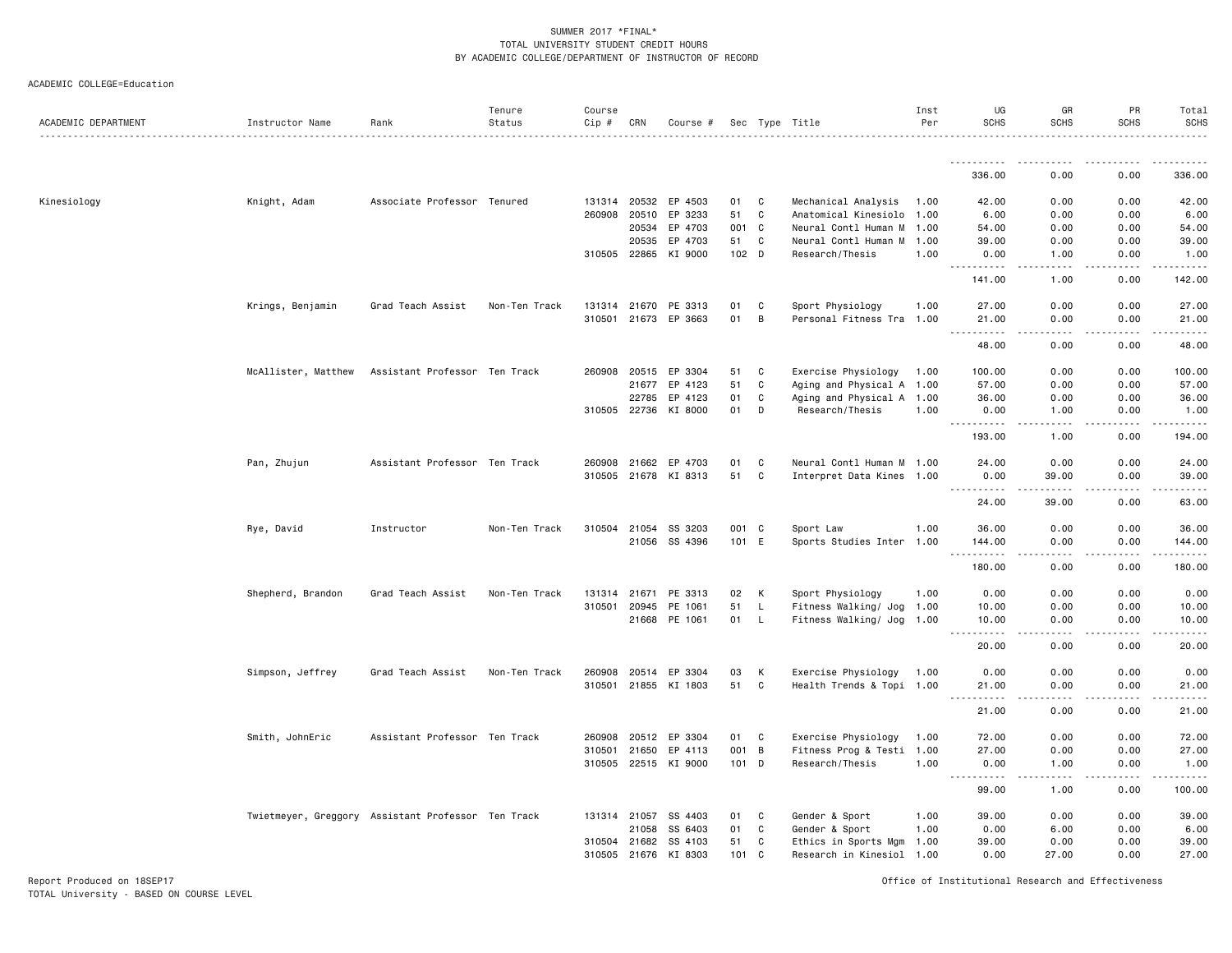| ACADEMIC COLLEGE=Education |  |  |
|----------------------------|--|--|
|----------------------------|--|--|

| ACADEMIC DEPARTMENT | Instructor Name                                    | Rank                          | Tenure<br>Status | Course<br>Cip # | CRN          | Course #             |         |   | Sec Type Title            | Inst<br>Per | UG<br><b>SCHS</b>                        | GR<br><b>SCHS</b>                                                                                                                                             | PR<br><b>SCHS</b> | Total<br>SCHS |
|---------------------|----------------------------------------------------|-------------------------------|------------------|-----------------|--------------|----------------------|---------|---|---------------------------|-------------|------------------------------------------|---------------------------------------------------------------------------------------------------------------------------------------------------------------|-------------------|---------------|
|                     |                                                    |                               |                  |                 |              |                      |         |   |                           |             |                                          |                                                                                                                                                               |                   | .             |
|                     |                                                    |                               |                  |                 |              |                      |         |   |                           |             | .<br>336.00                              | 0.00                                                                                                                                                          | 0.00              | 336.00        |
|                     |                                                    |                               |                  |                 |              |                      |         |   |                           |             |                                          |                                                                                                                                                               |                   |               |
| Kinesiology         | Knight, Adam                                       | Associate Professor Tenured   |                  |                 | 131314 20532 | EP 4503              | 01      | C | Mechanical Analysis       | 1.00        | 42.00                                    | 0.00                                                                                                                                                          | 0.00              | 42.00         |
|                     |                                                    |                               |                  | 260908          | 20510        | EP 3233              | 51      | C | Anatomical Kinesiolo      | 1.00        | 6.00                                     | 0.00                                                                                                                                                          | 0.00              | 6.00          |
|                     |                                                    |                               |                  |                 | 20534        | EP 4703              | 001 C   |   | Neural Contl Human M 1.00 |             | 54.00                                    | 0.00                                                                                                                                                          | 0.00              | 54.00         |
|                     |                                                    |                               |                  |                 | 20535        | EP 4703              | 51      | C | Neural Contl Human M 1.00 |             | 39.00                                    | 0.00                                                                                                                                                          | 0.00              | 39.00         |
|                     |                                                    |                               |                  |                 |              | 310505 22865 KI 9000 | 102 D   |   | Research/Thesis           | 1.00        | 0.00<br>.                                | 1.00<br>.                                                                                                                                                     | 0.00<br>.         | 1.00<br>.     |
|                     |                                                    |                               |                  |                 |              |                      |         |   |                           |             | 141.00                                   | 1.00                                                                                                                                                          | 0.00              | 142.00        |
|                     | Krings, Benjamin                                   | Grad Teach Assist             | Non-Ten Track    |                 | 131314 21670 | PE 3313              | 01      | C | Sport Physiology          | 1.00        | 27.00                                    | 0.00                                                                                                                                                          | 0.00              | 27.00         |
|                     |                                                    |                               |                  |                 |              | 310501 21673 EP 3663 | 01      | B | Personal Fitness Tra 1.00 |             | 21.00                                    | 0.00                                                                                                                                                          | 0.00              | 21.00         |
|                     |                                                    |                               |                  |                 |              |                      |         |   |                           |             | 48.00                                    | 0.00                                                                                                                                                          | 0.00              | 48.00         |
|                     | McAllister, Matthew                                | Assistant Professor Ten Track |                  |                 |              | 260908 20515 EP 3304 | 51      | C | Exercise Physiology       | 1.00        | 100.00                                   | 0.00                                                                                                                                                          | 0.00              | 100.00        |
|                     |                                                    |                               |                  |                 | 21677        | EP 4123              | 51      | C | Aging and Physical A 1.00 |             | 57.00                                    | 0.00                                                                                                                                                          | 0.00              | 57.00         |
|                     |                                                    |                               |                  |                 | 22785        | EP 4123              | 01      | C | Aging and Physical A 1.00 |             | 36.00                                    | 0.00                                                                                                                                                          | 0.00              | 36.00         |
|                     |                                                    |                               |                  |                 |              | 310505 22736 KI 8000 | 01      | D | Research/Thesis           | 1.00        | 0.00<br>$\sim$ $\sim$ $\sim$<br><b>.</b> | 1.00                                                                                                                                                          | 0.00              | 1.00<br>.     |
|                     |                                                    |                               |                  |                 |              |                      |         |   |                           |             | 193.00                                   | 1.00                                                                                                                                                          | 0.00              | 194.00        |
|                     | Pan, Zhujun                                        | Assistant Professor Ten Track |                  |                 |              | 260908 21662 EP 4703 | 01      | C | Neural Contl Human M 1.00 |             | 24.00                                    | 0.00                                                                                                                                                          | 0.00              | 24.00         |
|                     |                                                    |                               |                  |                 | 310505 21678 | KI 8313              | 51      | C | Interpret Data Kines 1.00 |             | 0.00<br>----------                       | 39.00<br>$\frac{1}{2} \left( \frac{1}{2} \right) \left( \frac{1}{2} \right) \left( \frac{1}{2} \right) \left( \frac{1}{2} \right) \left( \frac{1}{2} \right)$ | 0.00<br>.         | 39.00<br>.    |
|                     |                                                    |                               |                  |                 |              |                      |         |   |                           |             | 24.00                                    | 39.00                                                                                                                                                         | 0.00              | 63.00         |
|                     | Rye, David                                         | Instructor                    | Non-Ten Track    | 310504 21054    |              | SS 3203              | 001 C   |   | Sport Law                 | 1.00        | 36.00                                    | 0.00                                                                                                                                                          | 0.00              | 36.00         |
|                     |                                                    |                               |                  |                 |              | 21056 SS 4396        | 101 E   |   | Sports Studies Inter 1.00 |             | 144.00                                   | 0.00                                                                                                                                                          | 0.00              | 144.00        |
|                     |                                                    |                               |                  |                 |              |                      |         |   |                           |             | .<br>180.00                              | .<br>0.00                                                                                                                                                     | -----<br>0.00     | .<br>180.00   |
|                     | Shepherd, Brandon                                  | Grad Teach Assist             | Non-Ten Track    |                 | 131314 21671 | PE 3313              | 02      | К | Sport Physiology          | 1.00        | 0.00                                     | 0.00                                                                                                                                                          | 0.00              | 0.00          |
|                     |                                                    |                               |                  |                 | 310501 20945 | PE 1061              | 51      | L | Fitness Walking/ Jog 1.00 |             | 10.00                                    | 0.00                                                                                                                                                          | 0.00              | 10.00         |
|                     |                                                    |                               |                  |                 | 21668        | PE 1061              | 01      | L | Fitness Walking/ Jog 1.00 |             | 10.00                                    | 0.00                                                                                                                                                          | 0.00              | 10.00         |
|                     |                                                    |                               |                  |                 |              |                      |         |   |                           |             | .<br>20.00                               | .<br>0.00                                                                                                                                                     | .<br>0.00         | .<br>20.00    |
|                     | Simpson, Jeffrey                                   | Grad Teach Assist             | Non-Ten Track    |                 |              | 260908 20514 EP 3304 | 03      | К | Exercise Physiology       | 1.00        | 0.00                                     | 0.00                                                                                                                                                          | 0.00              | 0.00          |
|                     |                                                    |                               |                  |                 |              | 310501 21855 KI 1803 | 51      | C | Health Trends & Topi 1.00 |             | 21.00                                    | 0.00                                                                                                                                                          | 0.00              | 21.00         |
|                     |                                                    |                               |                  |                 |              |                      |         |   |                           |             | <b>.</b><br>21.00                        | .<br>0.00                                                                                                                                                     | .<br>0.00         | .<br>21.00    |
|                     | Smith, JohnEric                                    | Assistant Professor Ten Track |                  | 260908          | 20512        | EP 3304              | 01      | C | Exercise Physiology       | 1.00        | 72.00                                    | 0.00                                                                                                                                                          | 0.00              | 72.00         |
|                     |                                                    |                               |                  |                 | 310501 21650 | EP 4113              | 001 B   |   | Fitness Prog & Testi 1.00 |             | 27.00                                    | 0.00                                                                                                                                                          | 0.00              | 27.00         |
|                     |                                                    |                               |                  |                 |              | 310505 22515 KI 9000 | $101$ D |   | Research/Thesis           | 1.00        | 0.00                                     | 1.00                                                                                                                                                          | 0.00              | 1.00          |
|                     |                                                    |                               |                  |                 |              |                      |         |   |                           |             | 99.00                                    | 1.00                                                                                                                                                          | 0.00              | 100.00        |
|                     | Twietmeyer, Greggory Assistant Professor Ten Track |                               |                  |                 | 131314 21057 | SS 4403              | 01      | C | Gender & Sport            | 1.00        | 39.00                                    | 0.00                                                                                                                                                          | 0.00              | 39.00         |
|                     |                                                    |                               |                  |                 | 21058        | SS 6403              | 01      | C | Gender & Sport            | 1.00        | 0.00                                     | 6.00                                                                                                                                                          | 0.00              | 6.00          |
|                     |                                                    |                               |                  |                 | 310504 21682 | SS 4103              | 51      | C | Ethics in Sports Mgm 1.00 |             | 39.00                                    | 0.00                                                                                                                                                          | 0.00              | 39.00         |
|                     |                                                    |                               |                  |                 | 310505 21676 | KI 8303              | 101     | C | Research in Kinesiol 1.00 |             | 0.00                                     | 27.00                                                                                                                                                         | 0.00              | 27.00         |

Report Produced on 18SEP17 Office of Institutional Research and Effectiveness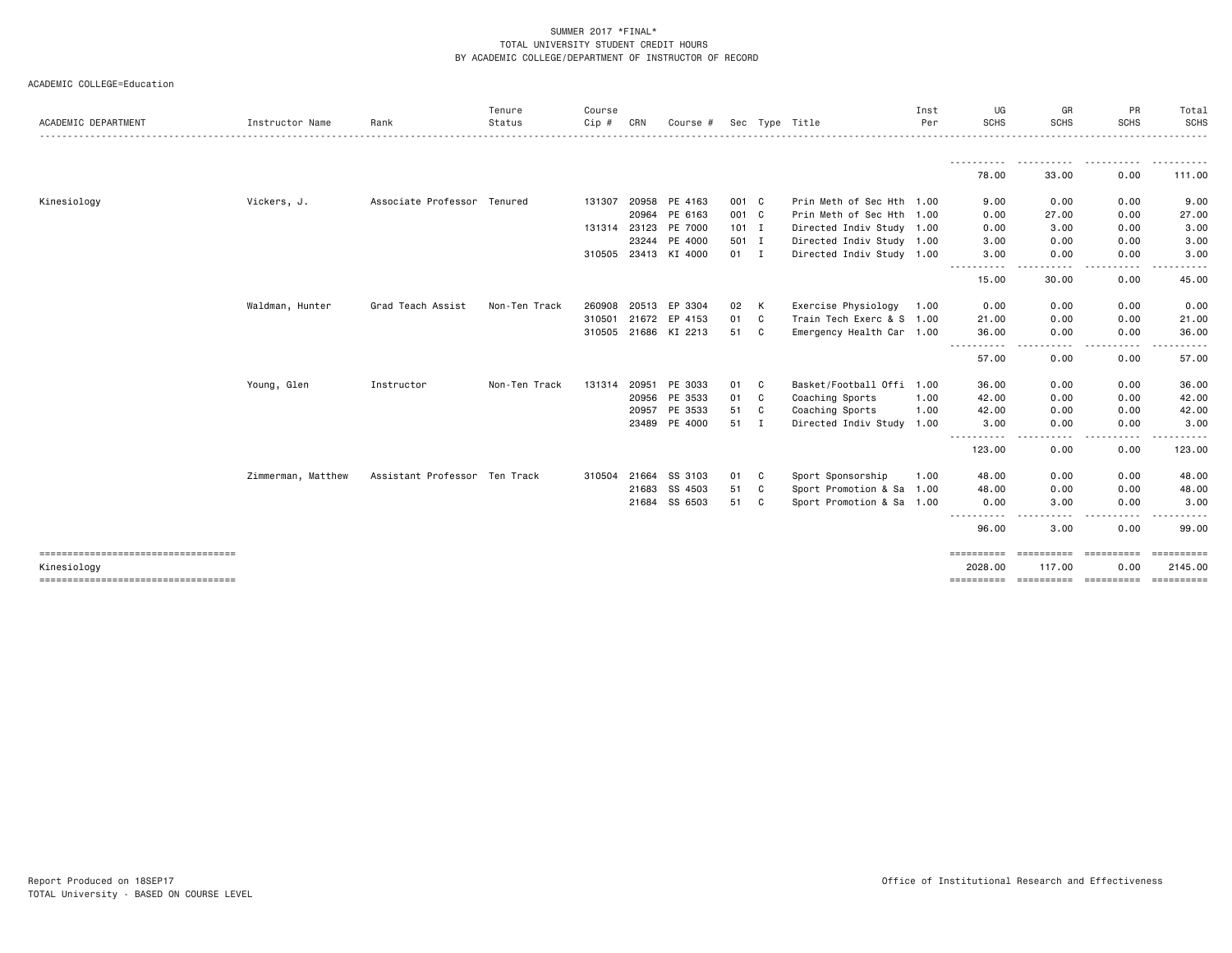|                                                     |                    |                               | Tenure        | Course       |       |                      |         |   |                           | Inst | UG                                                                                                                                | GR                                  | PR                 | Total                 |
|-----------------------------------------------------|--------------------|-------------------------------|---------------|--------------|-------|----------------------|---------|---|---------------------------|------|-----------------------------------------------------------------------------------------------------------------------------------|-------------------------------------|--------------------|-----------------------|
| ACADEMIC DEPARTMENT                                 | Instructor Name    | Rank                          | Status        | Cip #        | CRN   | Course #             |         |   | Sec Type Title            | Per  | <b>SCHS</b>                                                                                                                       | <b>SCHS</b>                         | <b>SCHS</b>        | SCHS                  |
|                                                     |                    |                               |               |              |       |                      |         |   |                           |      | .<br>78.00                                                                                                                        | . <b>.</b> .<br>33.00               | .<br>0.00          | 111.00                |
|                                                     |                    |                               |               |              |       |                      |         |   |                           |      |                                                                                                                                   |                                     |                    |                       |
| Kinesiology                                         | Vickers, J.        | Associate Professor Tenured   |               | 131307       | 20958 | PE 4163              | 001 C   |   | Prin Meth of Sec Hth 1.00 |      | 9.00                                                                                                                              | 0.00                                | 0.00               | 9.00                  |
|                                                     |                    |                               |               |              | 20964 | PE 6163              | 001 C   |   | Prin Meth of Sec Hth 1.00 |      | 0.00                                                                                                                              | 27.00                               | 0.00               | 27.00                 |
|                                                     |                    |                               |               | 131314 23123 |       | PE 7000              | $101$ I |   | Directed Indiv Study 1.00 |      | 0.00                                                                                                                              | 3.00                                | 0.00               | 3.00                  |
|                                                     |                    |                               |               |              | 23244 | PE 4000              | 501 I   |   | Directed Indiv Study 1.00 |      | 3.00                                                                                                                              | 0.00                                | 0.00               | 3.00                  |
|                                                     |                    |                               |               |              |       | 310505 23413 KI 4000 | $01$ I  |   | Directed Indiv Study 1.00 |      | 3.00                                                                                                                              | 0.00                                | 0.00               | 3.00                  |
|                                                     |                    |                               |               |              |       |                      |         |   |                           |      | .<br>15.00                                                                                                                        | .<br>30.00                          | 0.00               | 45.00                 |
|                                                     | Waldman, Hunter    | Grad Teach Assist             | Non-Ten Track | 260908       | 20513 | EP 3304              | 02      | К | Exercise Physiology       | 1.00 | 0.00                                                                                                                              | 0.00                                | 0.00               | 0.00                  |
|                                                     |                    |                               |               | 310501       | 21672 | EP 4153              | 01      | C | Train Tech Exerc & S 1.00 |      | 21.00                                                                                                                             | 0.00                                | 0.00               | 21.00                 |
|                                                     |                    |                               |               |              |       | 310505 21686 KI 2213 | 51      | C | Emergency Health Car 1.00 |      | 36.00                                                                                                                             | 0.00                                | 0.00               | 36.00                 |
|                                                     |                    |                               |               |              |       |                      |         |   |                           |      | .<br>57.00                                                                                                                        | $\sim$ $\sim$ $\sim$ $\sim$<br>0.00 | 0.00               | 57.00                 |
|                                                     | Young, Glen        | Instructor                    | Non-Ten Track | 131314 20951 |       | PE 3033              | 01      | C | Basket/Football Offi      | 1.00 | 36.00                                                                                                                             | 0.00                                | 0.00               | 36.00                 |
|                                                     |                    |                               |               |              | 20956 | PE 3533              | 01      | C | Coaching Sports           | 1.00 | 42.00                                                                                                                             | 0.00                                | 0.00               | 42.00                 |
|                                                     |                    |                               |               |              | 20957 | PE 3533              | 51      | C | Coaching Sports           | 1.00 | 42.00                                                                                                                             | 0.00                                | 0.00               | 42.00                 |
|                                                     |                    |                               |               |              |       | 23489 PE 4000        | 51      | I | Directed Indiv Study 1.00 |      | 3.00                                                                                                                              | 0.00                                | 0.00               | 3.00                  |
|                                                     |                    |                               |               |              |       |                      |         |   |                           |      | 123.00                                                                                                                            | 0.00                                | 0.00               | 123.00                |
|                                                     | Zimmerman, Matthew | Assistant Professor Ten Track |               | 310504 21664 |       | SS 3103              | 01      | C | Sport Sponsorship         | 1.00 | 48.00                                                                                                                             | 0.00                                | 0.00               | 48.00                 |
|                                                     |                    |                               |               |              | 21683 | SS 4503              | 51      | C | Sport Promotion & Sa 1.00 |      | 48.00                                                                                                                             | 0.00                                | 0.00               | 48.00                 |
|                                                     |                    |                               |               |              | 21684 | SS 6503              | 51      | C | Sport Promotion & Sa 1.00 |      | 0.00<br>$\frac{1}{2} \left( \frac{1}{2} \right) \left( \frac{1}{2} \right) \left( \frac{1}{2} \right) \left( \frac{1}{2} \right)$ | 3.00                                | 0.00               | 3.00                  |
|                                                     |                    |                               |               |              |       |                      |         |   |                           |      | 96.00                                                                                                                             | 3.00                                | 0.00               | 99.00                 |
| ====================================<br>Kinesiology |                    |                               |               |              |       |                      |         |   |                           |      | ==========<br>2028.00                                                                                                             | ==========<br>117,00                | ==========<br>0.00 | ==========<br>2145.00 |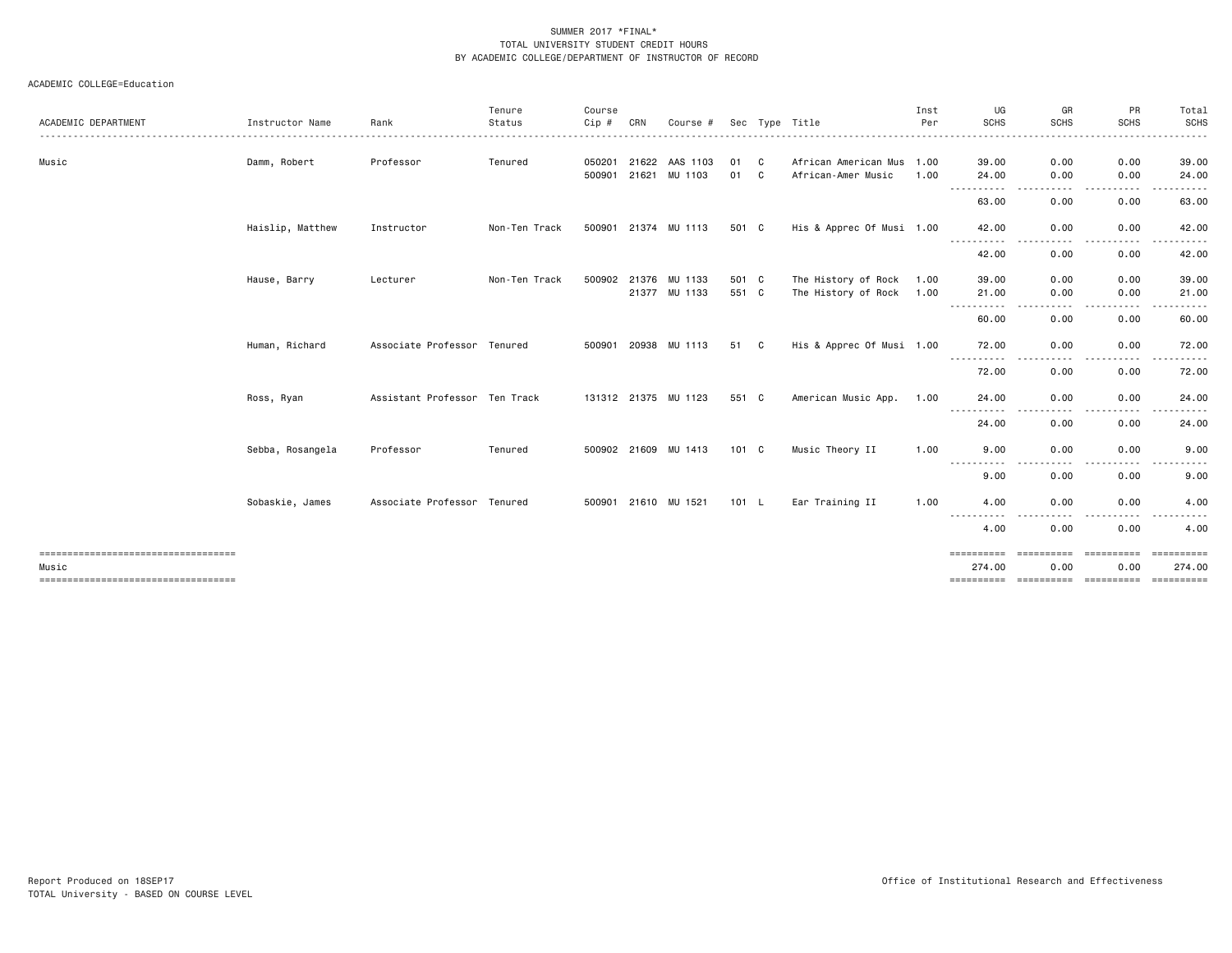|                                               |                  |                               | Tenure        | Course       |              |                      |               |    |                           | Inst | UG                                                                                                           | GR                         | PR                                 | Total                         |
|-----------------------------------------------|------------------|-------------------------------|---------------|--------------|--------------|----------------------|---------------|----|---------------------------|------|--------------------------------------------------------------------------------------------------------------|----------------------------|------------------------------------|-------------------------------|
| ACADEMIC DEPARTMENT                           | Instructor Name  | Rank                          | Status        | Cip#         | CRN          | Course #             |               |    | Sec Type Title            | Per  | <b>SCHS</b>                                                                                                  | <b>SCHS</b><br>$- - - - -$ | <b>SCHS</b>                        | SCHS<br>.                     |
| Music                                         | Damm, Robert     | Professor                     | Tenured       | 050201       | 21622        | AAS 1103             | 01            | C  | African American Mus 1.00 |      | 39.00                                                                                                        | 0.00                       | 0.00                               | 39.00                         |
|                                               |                  |                               |               | 500901       | 21621        | MU 1103              | 01            | C. | African-Amer Music        | 1.00 | 24.00<br>$\frac{1}{2} \left( \frac{1}{2} \right) \left( \frac{1}{2} \right) \left( \frac{1}{2} \right)$<br>. | 0.00                       | 0.00<br>.                          | 24.00                         |
|                                               |                  |                               |               |              |              |                      |               |    |                           |      | 63.00                                                                                                        | 0.00                       | 0.00                               | 63.00                         |
|                                               | Haislip, Matthew | Instructor                    | Non-Ten Track | 500901       | 21374        | MU 1113              | 501 C         |    | His & Apprec Of Musi 1.00 |      | 42.00<br>-----------                                                                                         | 0.00                       | 0.00<br>-----                      | 42.00<br>.                    |
|                                               |                  |                               |               |              |              |                      |               |    |                           |      | 42.00                                                                                                        | 0.00                       | 0.00                               | 42.00                         |
|                                               | Hause, Barry     | Lecturer                      | Non-Ten Track | 500902 21376 |              | MU 1133              | 501 C         |    | The History of Rock       | 1.00 | 39.00                                                                                                        | 0.00                       | 0.00                               | 39.00                         |
|                                               |                  |                               |               |              |              | 21377 MU 1133        | 551 C         |    | The History of Rock 1.00  |      | 21.00                                                                                                        | 0.00                       | 0.00                               | 21.00                         |
|                                               |                  |                               |               |              |              |                      |               |    |                           |      | -----------<br>60.00                                                                                         | .<br>0.00                  | .<br>$\cdots$<br>0.00              | .<br>60.00                    |
|                                               | Human, Richard   | Associate Professor Tenured   |               | 500901       | 20938        | MU 1113              | 51            | C. | His & Apprec Of Musi 1.00 |      | 72.00                                                                                                        | 0.00<br>.                  | 0.00<br>. <sub>.</sub><br>$\cdots$ | 72.00<br>. <b>.</b>           |
|                                               |                  |                               |               |              |              |                      |               |    |                           |      | -----------<br>72.00                                                                                         | $- - - -$<br>0.00          | 0.00                               | 72.00                         |
|                                               | Ross, Ryan       | Assistant Professor Ten Track |               |              |              | 131312 21375 MU 1123 | 551 C         |    | American Music App.       | 1.00 | 24.00<br>.                                                                                                   | 0.00<br>.                  | 0.00<br>.<br>$\cdots$              | 24.00<br><u>.</u>             |
|                                               |                  |                               |               |              |              |                      |               |    |                           |      | 24.00                                                                                                        | 0.00                       | 0.00                               | 24.00                         |
|                                               | Sebba, Rosangela | Professor                     | Tenured       |              | 500902 21609 | MU 1413              | $101 \quad C$ |    | Music Theory II           | 1.00 | 9.00<br>.                                                                                                    | 0.00                       | 0.00                               | 9.00                          |
|                                               |                  |                               |               |              |              |                      |               |    |                           |      | 9.00                                                                                                         | 0.00                       | 0.00                               | 9.00                          |
|                                               | Sobaskie, James  | Associate Professor Tenured   |               |              |              | 500901 21610 MU 1521 | $101 \quad L$ |    | Ear Training II           | 1.00 | 4.00<br>----------                                                                                           | 0.00                       | 0.00                               | 4.00                          |
|                                               |                  |                               |               |              |              |                      |               |    |                           |      | 4.00                                                                                                         | 0.00                       | 0.00                               | 4.00                          |
| ====================================<br>Music |                  |                               |               |              |              |                      |               |    |                           |      | ==========<br>274.00                                                                                         | -----------<br>0.00        | -----------<br>0.00                | - = = = = = = = = =<br>274.00 |
| ======================================        |                  |                               |               |              |              |                      |               |    |                           |      |                                                                                                              |                            |                                    |                               |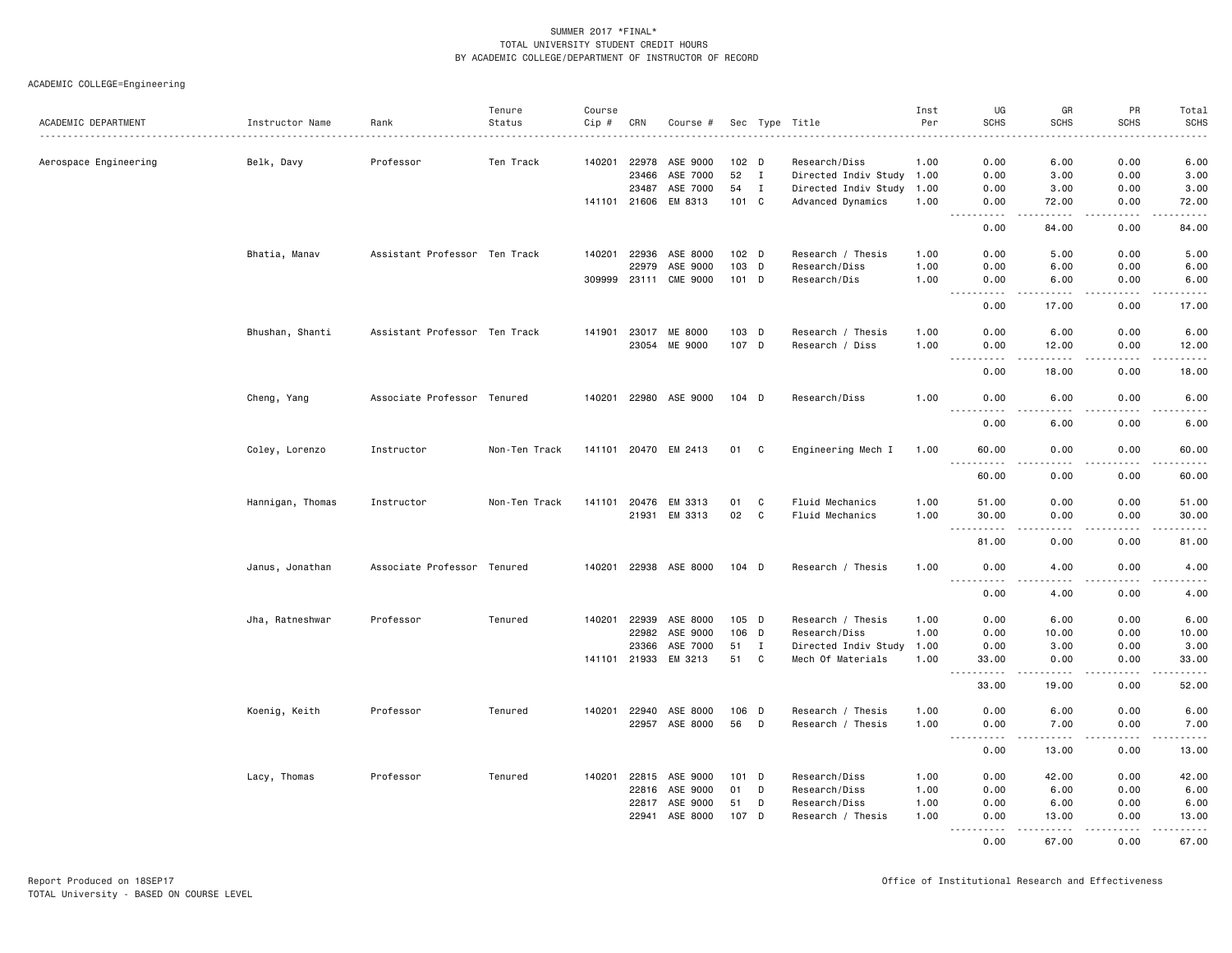|                       |                  |                               | Tenure        | Course |              |                            |                  |                |                                | Inst         | UG                                                                                                                                                 | GR                                                                                                                                                            | PR                                  | Total              |
|-----------------------|------------------|-------------------------------|---------------|--------|--------------|----------------------------|------------------|----------------|--------------------------------|--------------|----------------------------------------------------------------------------------------------------------------------------------------------------|---------------------------------------------------------------------------------------------------------------------------------------------------------------|-------------------------------------|--------------------|
| ACADEMIC DEPARTMENT   | Instructor Name  | Rank                          | Status        | Cip #  | CRN          | Course #                   |                  |                | Sec Type Title                 | Per          | <b>SCHS</b>                                                                                                                                        | <b>SCHS</b>                                                                                                                                                   | <b>SCHS</b>                         | <b>SCHS</b>        |
| Aerospace Engineering | Belk, Davy       | Professor                     | Ten Track     |        |              | 140201 22978 ASE 9000      | 102 D            |                | Research/Diss                  | 1.00         | 0.00                                                                                                                                               | 6.00                                                                                                                                                          | 0.00                                | 6.00               |
|                       |                  |                               |               |        |              | 23466 ASE 7000             | 52 I             |                | Directed Indiv Study 1.00      |              | 0.00                                                                                                                                               | 3.00                                                                                                                                                          | 0.00                                | 3.00               |
|                       |                  |                               |               |        | 23487        | ASE 7000                   | 54               | $\mathbf{I}$   | Directed Indiv Study 1.00      |              | 0.00                                                                                                                                               | 3.00                                                                                                                                                          | 0.00                                | 3.00               |
|                       |                  |                               |               |        |              | 141101 21606 EM 8313       | 101 C            |                | Advanced Dynamics              | 1.00         | 0.00<br>$\sim$ $\sim$ $\sim$<br>.                                                                                                                  | 72.00<br>$- - - - -$                                                                                                                                          | 0.00<br>.                           | 72.00<br>.         |
|                       |                  |                               |               |        |              |                            |                  |                |                                |              | 0.00                                                                                                                                               | 84.00                                                                                                                                                         | 0.00                                | 84.00              |
|                       | Bhatia, Manav    | Assistant Professor Ten Track |               |        |              | 140201 22936 ASE 8000      | 102 <sub>D</sub> |                | Research / Thesis              | 1.00         | 0.00                                                                                                                                               | 5.00                                                                                                                                                          | 0.00                                | 5.00               |
|                       |                  |                               |               |        | 22979        | ASE 9000                   | 103 D            |                | Research/Diss                  | 1.00         | 0.00                                                                                                                                               | 6.00                                                                                                                                                          | 0.00                                | 6.00               |
|                       |                  |                               |               |        | 309999 23111 | <b>CME 9000</b>            | 101 D            |                | Research/Dis                   | 1.00         | 0.00<br>.                                                                                                                                          | 6.00                                                                                                                                                          | 0.00                                | 6.00<br>.          |
|                       |                  |                               |               |        |              |                            |                  |                |                                |              | 0.00                                                                                                                                               | 17.00                                                                                                                                                         | 0.00                                | 17.00              |
|                       | Bhushan, Shanti  | Assistant Professor Ten Track |               |        |              | 141901 23017 ME 8000       | 103 D            |                | Research / Thesis              | 1.00         | 0.00                                                                                                                                               | 6.00                                                                                                                                                          | 0.00                                | 6.00               |
|                       |                  |                               |               |        |              | 23054 ME 9000              | 107 D            |                | Research / Diss                | 1.00         | 0.00                                                                                                                                               | 12.00                                                                                                                                                         | 0.00                                | 12.00              |
|                       |                  |                               |               |        |              |                            |                  |                |                                |              | $\sim$ $\sim$ $\sim$<br><b>.</b><br>0.00                                                                                                           | $\frac{1}{2}$<br>18.00                                                                                                                                        | .<br>0.00                           | .<br>18.00         |
|                       | Cheng, Yang      | Associate Professor Tenured   |               |        |              | 140201 22980 ASE 9000      | 104 D            |                | Research/Diss                  | 1.00         | 0.00                                                                                                                                               | 6.00                                                                                                                                                          | 0.00                                | 6.00               |
|                       |                  |                               |               |        |              |                            |                  |                |                                |              | <u>.</u><br>0.00                                                                                                                                   | 6.00                                                                                                                                                          | 0.00                                | 6.00               |
|                       | Coley, Lorenzo   | Instructor                    | Non-Ten Track |        |              | 141101 20470 EM 2413       | 01               | C C            | Engineering Mech I             | 1.00         | 60.00                                                                                                                                              | 0.00                                                                                                                                                          | 0.00                                | 60.00              |
|                       |                  |                               |               |        |              |                            |                  |                |                                |              | <u>.</u><br>60.00                                                                                                                                  | 0.00                                                                                                                                                          | 0.00                                | 60.00              |
|                       | Hannigan, Thomas | Instructor                    | Non-Ten Track | 141101 | 20476        | EM 3313                    | 01               | C              | Fluid Mechanics                | 1.00         | 51.00                                                                                                                                              | 0.00                                                                                                                                                          | 0.00                                | 51.00              |
|                       |                  |                               |               |        | 21931        | EM 3313                    | 02               | C <sub>1</sub> | Fluid Mechanics                | 1.00         | 30.00                                                                                                                                              | 0.00                                                                                                                                                          | 0.00                                | 30.00              |
|                       |                  |                               |               |        |              |                            |                  |                |                                |              | .<br>81.00                                                                                                                                         | د د د د<br>0.00                                                                                                                                               | .<br>0.00                           | .<br>81.00         |
|                       | Janus, Jonathan  | Associate Professor Tenured   |               |        |              | 140201 22938 ASE 8000      | 104 D            |                | Research / Thesis              | 1.00         | 0.00                                                                                                                                               | 4.00                                                                                                                                                          | 0.00                                | 4.00               |
|                       |                  |                               |               |        |              |                            |                  |                |                                |              | $\frac{1}{2}$<br>$\frac{1}{2} \left( \frac{1}{2} \right) \left( \frac{1}{2} \right) \left( \frac{1}{2} \right) \left( \frac{1}{2} \right)$<br>0.00 | 4.00                                                                                                                                                          | 0.00                                | 4.00               |
|                       | Jha, Ratneshwar  | Professor                     | Tenured       | 140201 | 22939        | ASE 8000                   | $105$ D          |                | Research / Thesis              | 1.00         | 0.00                                                                                                                                               | 6.00                                                                                                                                                          | 0.00                                | 6.00               |
|                       |                  |                               |               |        |              | 22982 ASE 9000             | $106$ D          |                | Research/Diss                  | 1.00         | 0.00                                                                                                                                               | 10.00                                                                                                                                                         | 0.00                                | 10.00              |
|                       |                  |                               |               |        | 23366        | ASE 7000                   | 51               | $\mathbf{I}$   | Directed Indiv Study           | 1.00         | 0.00                                                                                                                                               | 3.00                                                                                                                                                          | 0.00                                | 3.00               |
|                       |                  |                               |               |        | 141101 21933 | EM 3213                    | 51               | C              | Mech Of Materials              | 1.00         | 33.00                                                                                                                                              | 0.00                                                                                                                                                          | 0.00                                | 33.00              |
|                       |                  |                               |               |        |              |                            |                  |                |                                |              | .<br>33.00                                                                                                                                         | 19.00                                                                                                                                                         | 0.00                                | والمستحدث<br>52.00 |
|                       | Koenig, Keith    | Professor                     | Tenured       |        |              | 140201 22940 ASE 8000      | 106 D            |                | Research / Thesis              | 1.00         | 0.00                                                                                                                                               | 6.00                                                                                                                                                          | 0.00                                | 6.00               |
|                       |                  |                               |               |        |              | 22957 ASE 8000             | 56               | D              | Research / Thesis              | 1.00         | 0.00                                                                                                                                               | 7.00                                                                                                                                                          | 0.00                                | 7.00               |
|                       |                  |                               |               |        |              |                            |                  |                |                                |              | .<br>$\frac{1}{2}$<br>0.00                                                                                                                         | $\frac{1}{2} \left( \frac{1}{2} \right) \left( \frac{1}{2} \right) \left( \frac{1}{2} \right) \left( \frac{1}{2} \right) \left( \frac{1}{2} \right)$<br>13.00 | . <b>.</b><br>0.00                  | .<br>13.00         |
|                       |                  |                               |               |        |              |                            |                  |                |                                |              |                                                                                                                                                    |                                                                                                                                                               |                                     |                    |
|                       | Lacy, Thomas     | Professor                     | Tenured       | 140201 |              | 22815 ASE 9000             | $101$ D          |                | Research/Diss                  | 1.00         | 0.00                                                                                                                                               | 42.00                                                                                                                                                         | 0.00                                | 42.00              |
|                       |                  |                               |               |        | 22817        | 22816 ASE 9000<br>ASE 9000 | 01<br>51         | D<br>D         | Research/Diss<br>Research/Diss | 1.00<br>1.00 | 0.00<br>0.00                                                                                                                                       | 6.00<br>6.00                                                                                                                                                  | 0.00<br>0.00                        | 6.00<br>6.00       |
|                       |                  |                               |               |        | 22941        | ASE 8000                   | 107 D            |                | Research / Thesis              | 1.00         | 0.00                                                                                                                                               | 13.00                                                                                                                                                         | 0.00                                | 13.00              |
|                       |                  |                               |               |        |              |                            |                  |                |                                |              | $\frac{1}{2} \left( \frac{1}{2} \right) \left( \frac{1}{2} \right) \left( \frac{1}{2} \right) \left( \frac{1}{2} \right)$<br>$\frac{1}{2}$<br>0.00 | .<br>67.00                                                                                                                                                    | $\sim$ $\sim$ $\sim$ $\sim$<br>0.00 | .<br>67.00         |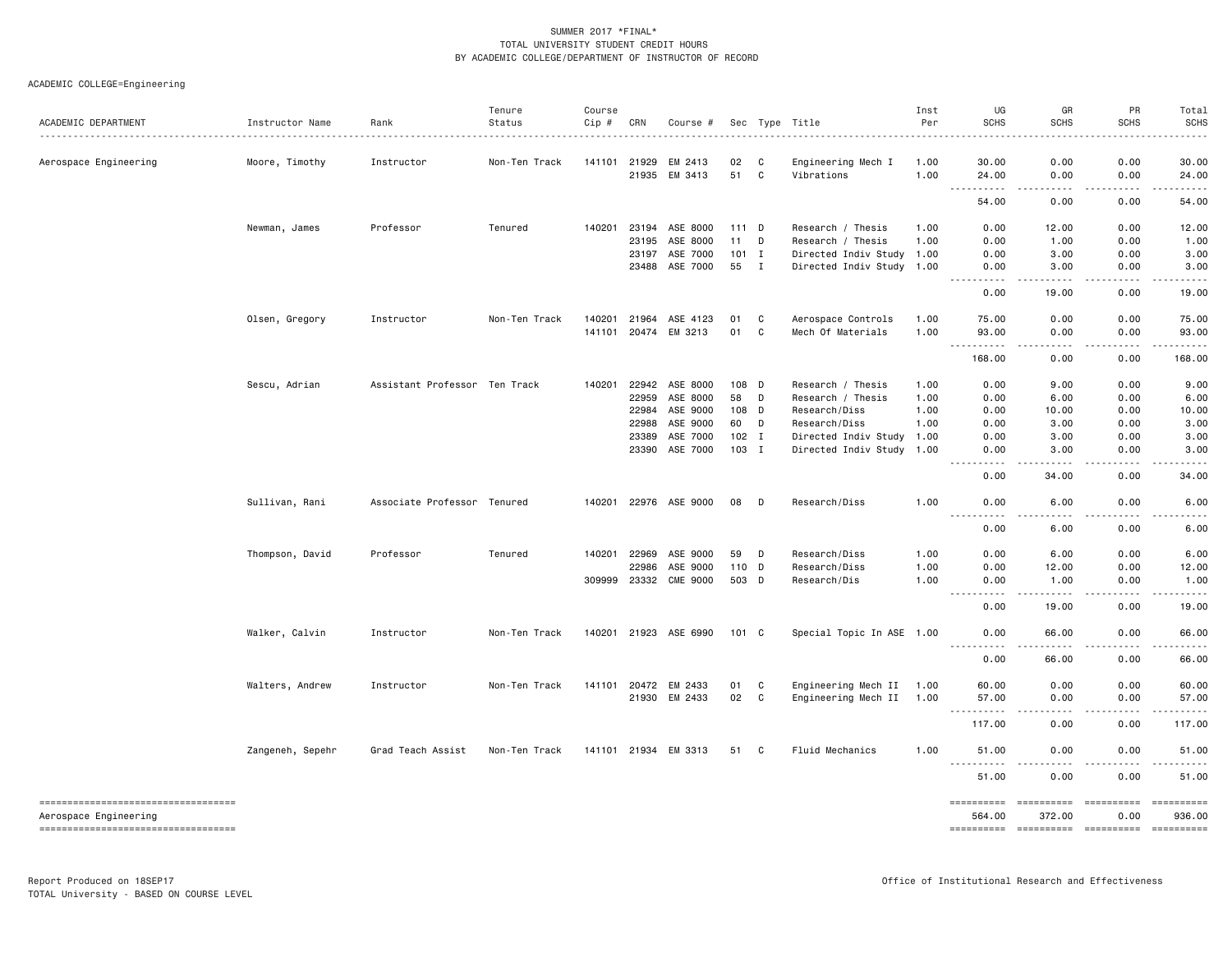| ACADEMIC DEPARTMENT                                          | Instructor Name  | Rank                        | Tenure<br>Status | Course<br>Cip # | CRN          |                       |         |   |                           | Inst<br>Per | UG<br><b>SCHS</b>                                                                                                                      | GR<br><b>SCHS</b>     | PR<br><b>SCHS</b>   | Total<br><b>SCHS</b> |
|--------------------------------------------------------------|------------------|-----------------------------|------------------|-----------------|--------------|-----------------------|---------|---|---------------------------|-------------|----------------------------------------------------------------------------------------------------------------------------------------|-----------------------|---------------------|----------------------|
|                                                              |                  |                             |                  |                 |              | Course #              |         |   | Sec Type Title            |             |                                                                                                                                        |                       |                     |                      |
| Aerospace Engineering                                        | Moore, Timothy   | Instructor                  | Non-Ten Track    |                 | 141101 21929 | EM 2413               | 02      | C | Engineering Mech I        | 1.00        | 30.00                                                                                                                                  | 0.00                  | 0.00                | 30.00                |
|                                                              |                  |                             |                  |                 |              | 21935 EM 3413         | 51      | C | Vibrations                | 1.00        | 24.00<br>.<br>$\sim$ $\sim$ $\sim$                                                                                                     | 0.00<br>.             | 0.00<br>$- - - - -$ | 24.00<br>.           |
|                                                              |                  |                             |                  |                 |              |                       |         |   |                           |             | 54.00                                                                                                                                  | 0.00                  | 0.00                | 54.00                |
|                                                              | Newman, James    | Professor                   | Tenured          | 140201          | 23194        | ASE 8000              | 111 D   |   | Research / Thesis         | 1.00        | 0.00                                                                                                                                   | 12.00                 | 0.00                | 12.00                |
|                                                              |                  |                             |                  |                 | 23195        | ASE 8000              | 11      | D | Research / Thesis         | 1.00        | 0.00                                                                                                                                   | 1.00                  | 0.00                | 1.00                 |
|                                                              |                  |                             |                  |                 | 23197        | ASE 7000              | $101$ I |   | Directed Indiv Study 1.00 |             | 0.00                                                                                                                                   | 3.00                  | 0.00                | 3.00                 |
|                                                              |                  |                             |                  |                 | 23488        | ASE 7000              | 55      | I | Directed Indiv Study 1.00 |             | 0.00<br>.<br>$\frac{1}{2}$                                                                                                             | 3.00<br>.             | 0.00<br>.           | 3.00<br>.            |
|                                                              |                  |                             |                  |                 |              |                       |         |   |                           |             | 0.00                                                                                                                                   | 19.00                 | 0.00                | 19.00                |
|                                                              | Olsen, Gregory   | Instructor                  | Non-Ten Track    |                 | 140201 21964 | ASE 4123              | 01      | C | Aerospace Controls        | 1.00        | 75.00                                                                                                                                  | 0.00                  | 0.00                | 75.00                |
|                                                              |                  |                             |                  |                 |              | 141101 20474 EM 3213  | 01      | C | Mech Of Materials         | 1.00        | 93.00<br>$  -$<br>-----                                                                                                                | 0.00<br>.             | 0.00<br>-----       | 93.00                |
|                                                              |                  |                             |                  |                 |              |                       |         |   |                           |             | 168.00                                                                                                                                 | 0.00                  | 0.00                | 168.00               |
|                                                              | Sescu, Adrian    | Assistant Professor         | Ten Track        | 140201          | 22942        | ASE 8000              | 108 D   |   | Research / Thesis         | 1.00        | 0.00                                                                                                                                   | 9.00                  | 0.00                | 9.00                 |
|                                                              |                  |                             |                  |                 | 22959        | ASE 8000              | 58      | D | Research / Thesis         | 1.00        | 0.00                                                                                                                                   | 6.00                  | 0.00                | 6.00                 |
|                                                              |                  |                             |                  |                 | 22984        | ASE 9000              | 108 D   |   | Research/Diss             | 1.00        | 0.00                                                                                                                                   | 10.00                 | 0.00                | 10.00                |
|                                                              |                  |                             |                  |                 | 22988        | ASE 9000              | 60      | D | Research/Diss             | 1.00        | 0.00                                                                                                                                   | 3.00                  | 0.00                | 3.00                 |
|                                                              |                  |                             |                  |                 | 23389        | ASE 7000              | $102$ I |   | Directed Indiv Study      | 1.00        | 0.00                                                                                                                                   | 3.00                  | 0.00                | 3.00                 |
|                                                              |                  |                             |                  |                 |              | 23390 ASE 7000        | 103 I   |   | Directed Indiv Study 1.00 |             | 0.00<br>.                                                                                                                              | 3.00                  | 0.00<br>$- - - -$   | 3.00                 |
|                                                              |                  |                             |                  |                 |              |                       |         |   |                           |             | 0.00                                                                                                                                   | 34.00                 | 0.00                | 34.00                |
|                                                              | Sullivan, Rani   | Associate Professor Tenured |                  |                 |              | 140201 22976 ASE 9000 | 08      | D | Research/Diss             | 1.00        | 0.00<br>$\sim$ $\sim$ $\sim$                                                                                                           | 6.00<br>.             | 0.00                | 6.00                 |
|                                                              |                  |                             |                  |                 |              |                       |         |   |                           |             | 0.00                                                                                                                                   | 6.00                  | 0.00                | 6.00                 |
|                                                              | Thompson, David  | Professor                   | Tenured          | 140201          | 22969        | ASE 9000              | 59      | D | Research/Diss             | 1.00        | 0.00                                                                                                                                   | 6.00                  | 0.00                | 6.00                 |
|                                                              |                  |                             |                  |                 | 22986        | ASE 9000              | 110 D   |   | Research/Diss             | 1.00        | 0.00                                                                                                                                   | 12.00                 | 0.00                | 12.00                |
|                                                              |                  |                             |                  |                 |              | 309999 23332 CME 9000 | 503 D   |   | Research/Dis              | 1.00        | 0.00<br>.<br>$\frac{1}{2} \left( \frac{1}{2} \right) \left( \frac{1}{2} \right) \left( \frac{1}{2} \right) \left( \frac{1}{2} \right)$ | 1.00<br><u>.</u>      | 0.00<br>$- - - - -$ | 1.00<br>.            |
|                                                              |                  |                             |                  |                 |              |                       |         |   |                           |             | 0.00                                                                                                                                   | 19.00                 | 0.00                | 19.00                |
|                                                              | Walker, Calvin   | Instructor                  | Non-Ten Track    | 140201          |              | 21923 ASE 6990        | 101 C   |   | Special Topic In ASE 1.00 |             | 0.00<br>.                                                                                                                              | 66.00                 | 0.00                | 66.00                |
|                                                              |                  |                             |                  |                 |              |                       |         |   |                           |             | 0.00                                                                                                                                   | 66.00                 | 0.00                | 66.00                |
|                                                              | Walters, Andrew  | Instructor                  | Non-Ten Track    |                 |              | 141101 20472 EM 2433  | 01      | C | Engineering Mech II       | 1.00        | 60.00                                                                                                                                  | 0.00                  | 0.00                | 60.00                |
|                                                              |                  |                             |                  |                 |              | 21930 EM 2433         | 02      | C | Engineering Mech II       | 1.00        | 57.00<br>$\sim$ $\sim$ $\sim$<br>.                                                                                                     | 0.00<br>.             | 0.00<br>-----       | 57.00                |
|                                                              |                  |                             |                  |                 |              |                       |         |   |                           |             | 117.00                                                                                                                                 | 0.00                  | 0.00                | 117.00               |
|                                                              | Zangeneh, Sepehr | Grad Teach Assist           | Non-Ten Track    |                 |              | 141101 21934 EM 3313  | 51      | C | Fluid Mechanics           | 1.00        | 51.00<br>.                                                                                                                             | 0.00<br>$\frac{1}{2}$ | 0.00<br>-----       | 51.00<br>.           |
|                                                              |                  |                             |                  |                 |              |                       |         |   |                           |             | 51.00                                                                                                                                  | 0.00                  | 0.00                | 51.00                |
| -----------------------------------<br>Aerospace Engineering |                  |                             |                  |                 |              |                       |         |   |                           |             | ==========<br>564.00                                                                                                                   | ==========<br>372.00  | ==========<br>0.00  | ==========<br>936.00 |
| ----------------------------------                           |                  |                             |                  |                 |              |                       |         |   |                           |             |                                                                                                                                        |                       |                     |                      |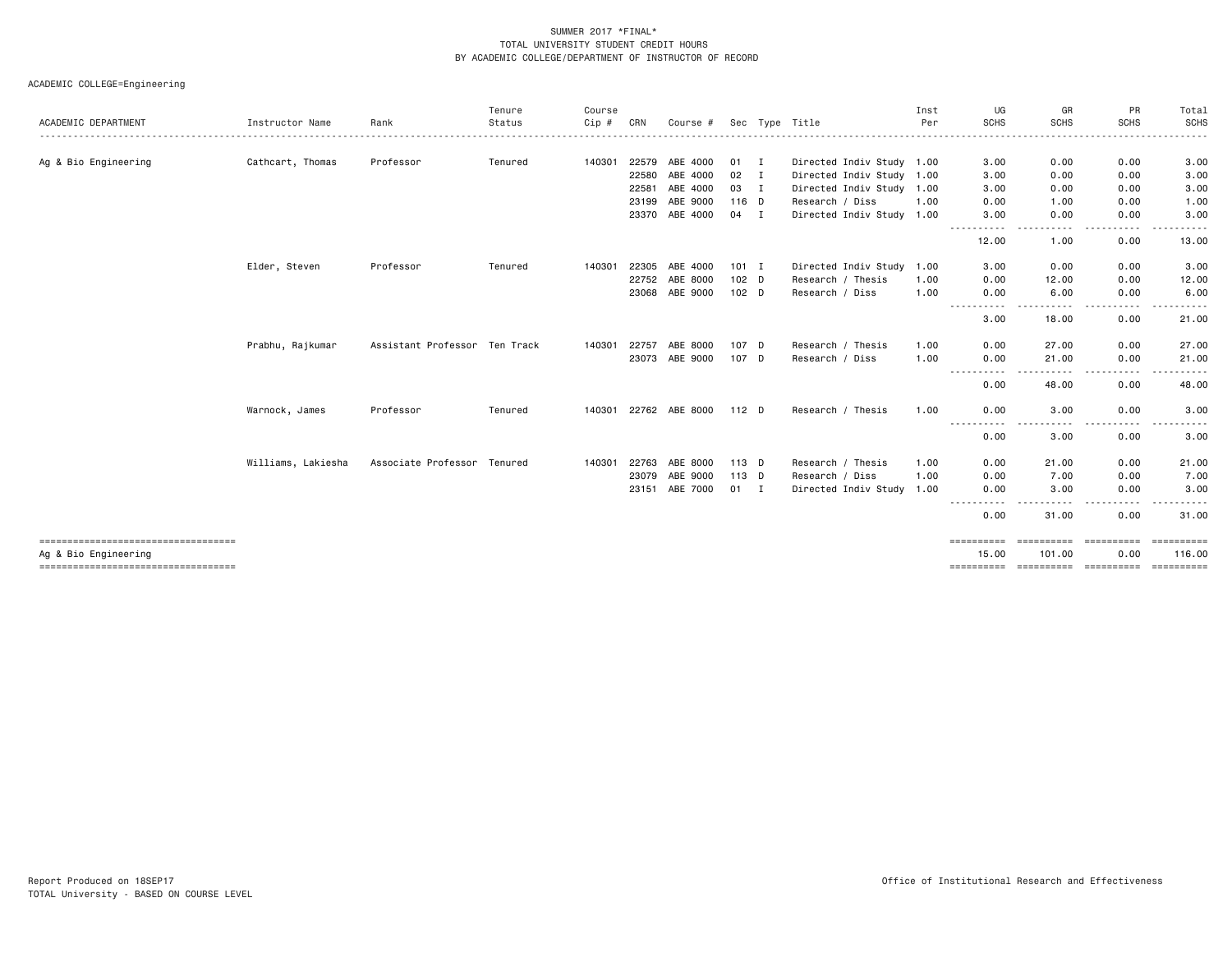|                                                             |                    |                               | Tenure  | Course |       |          |         |     |                           | Inst | UG                                                                                                                              | GR                   | PR                               | Total             |
|-------------------------------------------------------------|--------------------|-------------------------------|---------|--------|-------|----------|---------|-----|---------------------------|------|---------------------------------------------------------------------------------------------------------------------------------|----------------------|----------------------------------|-------------------|
| ACADEMIC DEPARTMENT                                         | Instructor Name    | Rank                          | Status  | Cip #  | CRN   | Course # |         |     | Sec Type Title            | Per  | <b>SCHS</b>                                                                                                                     | <b>SCHS</b>          | <b>SCHS</b>                      | <b>SCHS</b>       |
| Ag & Bio Engineering                                        | Cathcart, Thomas   | Professor                     | Tenured | 140301 | 22579 | ABE 4000 | 01      | - I | Directed Indiv Study 1.00 |      | 3.00                                                                                                                            | 0.00                 | 0.00                             | 3.00              |
|                                                             |                    |                               |         |        | 22580 | ABE 4000 | 02      | I   | Directed Indiv Study 1.00 |      | 3.00                                                                                                                            | 0.00                 | 0.00                             | 3.00              |
|                                                             |                    |                               |         |        | 22581 | ABE 4000 | 03 I    |     | Directed Indiv Study 1.00 |      | 3.00                                                                                                                            | 0.00                 | 0.00                             | 3.00              |
|                                                             |                    |                               |         |        | 23199 | ABE 9000 | 116 D   |     | Research / Diss           | 1.00 | 0.00                                                                                                                            | 1.00                 | 0.00                             | 1.00              |
|                                                             |                    |                               |         |        | 23370 | ABE 4000 | 04 I    |     | Directed Indiv Study 1.00 |      | 3.00<br>.                                                                                                                       | 0.00<br>.            | 0.00<br>.                        | 3.00<br><u>.</u>  |
|                                                             |                    |                               |         |        |       |          |         |     |                           |      | 12.00                                                                                                                           | 1.00                 | 0.00                             | 13.00             |
|                                                             | Elder, Steven      | Professor                     | Tenured | 140301 | 22305 | ABE 4000 | $101$ I |     | Directed Indiv Study 1.00 |      | 3.00                                                                                                                            | 0.00                 | 0.00                             | 3.00              |
|                                                             |                    |                               |         |        | 22752 | ABE 8000 | $102$ D |     | Research / Thesis         | 1.00 | 0.00                                                                                                                            | 12.00                | 0.00                             | 12.00             |
|                                                             |                    |                               |         |        | 23068 | ABE 9000 | 102 D   |     | Research / Diss           | 1.00 | 0.00<br>. <b>. .</b> .                                                                                                          | 6.00<br>.            | 0.00<br>.                        | 6.00<br>.         |
|                                                             |                    |                               |         |        |       |          |         |     |                           |      | 3.00                                                                                                                            | 18.00                | 0.00                             | 21.00             |
|                                                             | Prabhu, Rajkumar   | Assistant Professor Ten Track |         | 140301 | 22757 | ABE 8000 | 107 D   |     | Research / Thesis         | 1.00 | 0.00                                                                                                                            | 27.00                | 0.00                             | 27.00             |
|                                                             |                    |                               |         |        | 23073 | ABE 9000 | 107 D   |     | Research / Diss           | 1.00 | 0.00<br>.                                                                                                                       | 21.00<br>.           | 0.00<br>.<br>$\cdots$            | 21.00             |
|                                                             |                    |                               |         |        |       |          |         |     |                           |      | 0.00                                                                                                                            | 48.00                | 0.00                             | 48.00             |
|                                                             | Warnock, James     | Professor                     | Tenured | 140301 | 22762 | ABE 8000 | $112$ D |     | Research / Thesis         | 1.00 | 0.00<br>$\begin{array}{cccccccccccccc} \bullet & \bullet & \bullet & \bullet & \bullet & \bullet & \bullet \end{array}$<br>---- | 3.00                 | 0.00                             | 3.00              |
|                                                             |                    |                               |         |        |       |          |         |     |                           |      | 0.00                                                                                                                            | 3.00                 | 0.00                             | 3.00              |
|                                                             | Williams, Lakiesha | Associate Professor Tenured   |         | 140301 | 22763 | ABE 8000 | 113 D   |     | Research / Thesis         | 1.00 | 0.00                                                                                                                            | 21.00                | 0.00                             | 21.00             |
|                                                             |                    |                               |         |        | 23079 | ABE 9000 | $113$ D |     | Research / Diss           | 1.00 | 0.00                                                                                                                            | 7.00                 | 0.00                             | 7.00              |
|                                                             |                    |                               |         |        | 23151 | ABE 7000 | $01$ I  |     | Directed Indiv Study 1.00 |      | 0.00                                                                                                                            | 3,00<br>----         | 0.00<br>.                        | 3.00              |
|                                                             |                    |                               |         |        |       |          |         |     |                           |      | 0.00                                                                                                                            | 31.00                | 0.00                             | 31.00             |
| ===================================<br>Ag & Bio Engineering |                    |                               |         |        |       |          |         |     |                           |      | 15.00                                                                                                                           | ----------<br>101.00 | 0.00                             | =======<br>116.00 |
| _____________________________________                       |                    |                               |         |        |       |          |         |     |                           |      |                                                                                                                                 |                      | ========== ========== ========== | ==========        |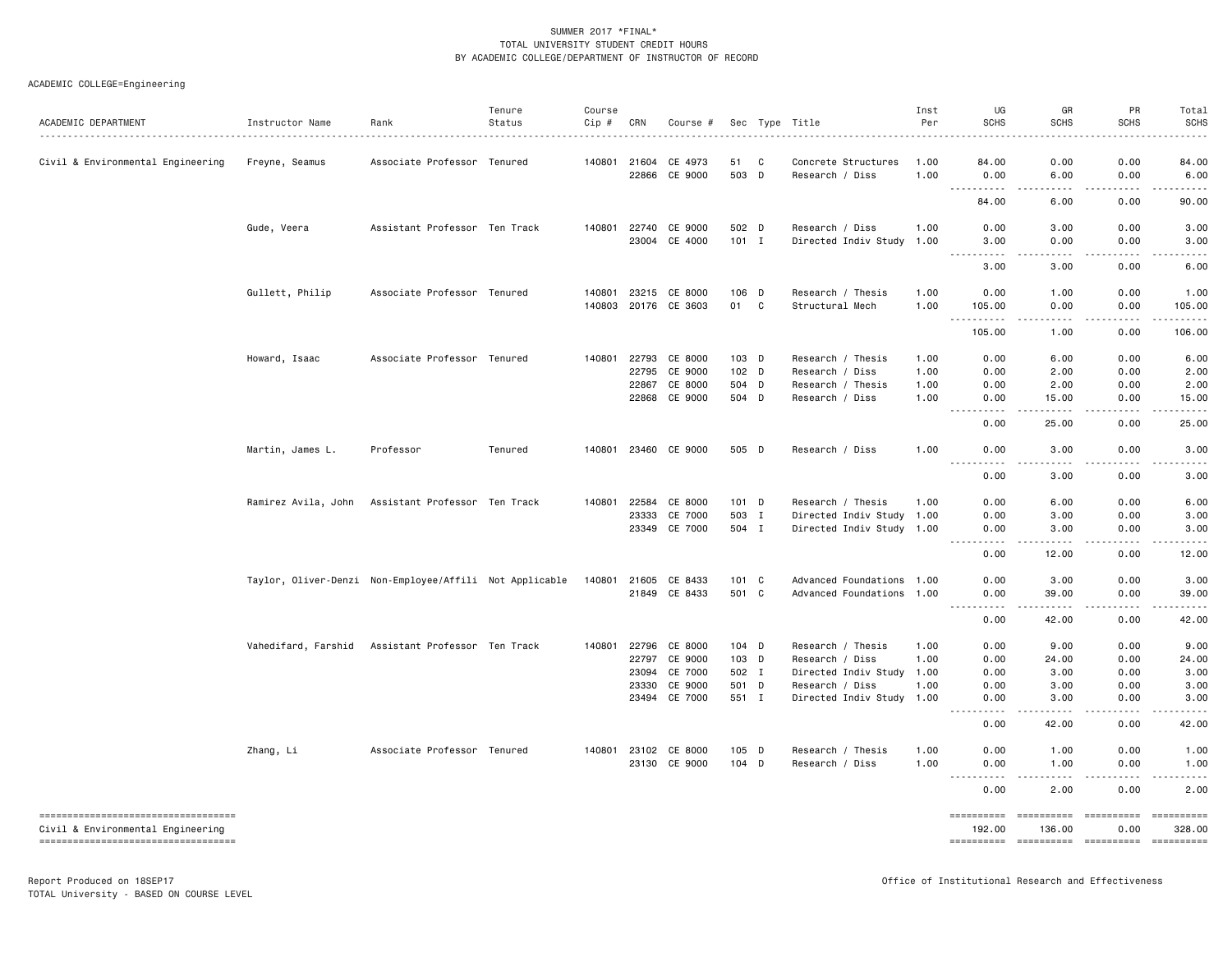| ACADEMIC DEPARTMENT                                                        | Instructor Name                                         | Rank                          | Tenure<br>Status | Course<br>Cip # | CRN                   | Course #             |                  |   | Sec Type Title                               | Inst<br>Per  | UG<br><b>SCHS</b>                                                                                                                                                               | GR<br><b>SCHS</b>                                                                                                                                             | PR<br><b>SCHS</b>                                                                                                                                            | Total<br><b>SCHS</b>                                                                                                              |
|----------------------------------------------------------------------------|---------------------------------------------------------|-------------------------------|------------------|-----------------|-----------------------|----------------------|------------------|---|----------------------------------------------|--------------|---------------------------------------------------------------------------------------------------------------------------------------------------------------------------------|---------------------------------------------------------------------------------------------------------------------------------------------------------------|--------------------------------------------------------------------------------------------------------------------------------------------------------------|-----------------------------------------------------------------------------------------------------------------------------------|
| Civil & Environmental Engineering                                          | Freyne, Seamus                                          | Associate Professor Tenured   |                  |                 | 140801 21604<br>22866 | CE 4973<br>CE 9000   | 51<br>503 D      | C | Concrete Structures<br>Research / Diss       | 1.00<br>1.00 | 84.00<br>0.00                                                                                                                                                                   | 0.00<br>6.00                                                                                                                                                  | 0.00<br>0.00                                                                                                                                                 | 84.00<br>6.00                                                                                                                     |
|                                                                            |                                                         |                               |                  |                 |                       |                      |                  |   |                                              |              | $\sim$ $\sim$ $\sim$ .<br>.<br>84.00                                                                                                                                            | .<br>6.00                                                                                                                                                     | -----<br>0.00                                                                                                                                                | -----<br>90.00                                                                                                                    |
|                                                                            | Gude, Veera                                             | Assistant Professor Ten Track |                  | 140801          | 22740                 | CE 9000              | 502 D            |   | Research / Diss                              | 1.00         | 0.00                                                                                                                                                                            | 3.00                                                                                                                                                          | 0.00                                                                                                                                                         | 3.00                                                                                                                              |
|                                                                            |                                                         |                               |                  |                 | 23004                 | CE 4000              | 101 I            |   | Directed Indiv Study                         | 1.00         | 3.00<br>.                                                                                                                                                                       | 0.00<br>.                                                                                                                                                     | 0.00<br><u>.</u>                                                                                                                                             | 3.00<br>$\frac{1}{2} \left( \frac{1}{2} \right) \left( \frac{1}{2} \right) \left( \frac{1}{2} \right) \left( \frac{1}{2} \right)$ |
|                                                                            |                                                         |                               |                  |                 |                       |                      |                  |   |                                              |              | 3.00                                                                                                                                                                            | 3.00                                                                                                                                                          | 0.00                                                                                                                                                         | 6.00                                                                                                                              |
|                                                                            | Gullett, Philip                                         | Associate Professor Tenured   |                  | 140801          | 23215                 | CE 8000              | 106 D            |   | Research / Thesis                            | 1.00         | 0.00                                                                                                                                                                            | 1.00                                                                                                                                                          | 0.00                                                                                                                                                         | 1.00                                                                                                                              |
|                                                                            |                                                         |                               |                  |                 |                       | 140803 20176 CE 3603 | 01               | C | Structural Mech                              | 1.00         | 105.00<br>$\frac{1}{2} \left( \frac{1}{2} \right) \left( \frac{1}{2} \right) \left( \frac{1}{2} \right) \left( \frac{1}{2} \right) \left( \frac{1}{2} \right)$<br>$\sim$ $\sim$ | 0.00<br>.                                                                                                                                                     | 0.00<br>.                                                                                                                                                    | 105.00<br>.                                                                                                                       |
|                                                                            |                                                         |                               |                  |                 |                       |                      |                  |   |                                              |              | 105.00                                                                                                                                                                          | 1.00                                                                                                                                                          | 0.00                                                                                                                                                         | 106.00                                                                                                                            |
|                                                                            | Howard, Isaac                                           | Associate Professor Tenured   |                  | 140801          | 22793                 | CE 8000              | 103 D            |   | Research / Thesis                            | 1.00         | 0.00                                                                                                                                                                            | 6.00                                                                                                                                                          | 0.00                                                                                                                                                         | 6.00                                                                                                                              |
|                                                                            |                                                         |                               |                  |                 | 22795                 | CE 9000              | 102 <sub>D</sub> |   | Research / Diss                              | 1.00         | 0.00                                                                                                                                                                            | 2.00                                                                                                                                                          | 0.00                                                                                                                                                         | 2.00                                                                                                                              |
|                                                                            |                                                         |                               |                  |                 | 22867                 | CE 8000              | 504 D<br>504 D   |   | Research / Thesis                            | 1.00         | 0.00                                                                                                                                                                            | 2.00                                                                                                                                                          | 0.00                                                                                                                                                         | 2.00                                                                                                                              |
|                                                                            |                                                         |                               |                  |                 |                       | 22868 CE 9000        |                  |   | Research / Diss                              | 1.00         | 0.00<br>$\frac{1}{2}$                                                                                                                                                           | 15.00<br><u>.</u>                                                                                                                                             | 0.00<br>$- - - - -$                                                                                                                                          | 15.00<br>.                                                                                                                        |
|                                                                            |                                                         |                               |                  |                 |                       |                      |                  |   |                                              |              | 0.00                                                                                                                                                                            | 25.00                                                                                                                                                         | 0.00                                                                                                                                                         | 25.00                                                                                                                             |
|                                                                            | Martin, James L.                                        | Professor                     | Tenured          | 140801          | 23460                 | CE 9000              | 505 D            |   | Research / Diss                              | 1.00         | 0.00<br><u>.</u><br>$\frac{1}{2}$                                                                                                                                               | 3.00<br>.                                                                                                                                                     | 0.00<br><b>.</b>                                                                                                                                             | 3.00<br>.                                                                                                                         |
|                                                                            |                                                         |                               |                  |                 |                       |                      |                  |   |                                              |              | 0.00                                                                                                                                                                            | 3.00                                                                                                                                                          | 0.00                                                                                                                                                         | 3.00                                                                                                                              |
|                                                                            | Ramirez Avila, John                                     | Assistant Professor Ten Track |                  | 140801          | 22584                 | CE 8000              | $101$ D          |   | Research / Thesis                            | 1.00         | 0.00                                                                                                                                                                            | 6.00                                                                                                                                                          | 0.00                                                                                                                                                         | 6.00                                                                                                                              |
|                                                                            |                                                         |                               |                  |                 | 23333                 | CE 7000              | 503 I            |   | Directed Indiv Study 1.00                    |              | 0.00                                                                                                                                                                            | 3.00                                                                                                                                                          | 0.00                                                                                                                                                         | 3.00                                                                                                                              |
|                                                                            |                                                         |                               |                  |                 |                       | 23349 CE 7000        | 504 I            |   | Directed Indiv Study 1.00                    |              | 0.00<br>$  -$<br>.                                                                                                                                                              | 3.00<br>-----                                                                                                                                                 | 0.00<br>$- - - - -$                                                                                                                                          | 3.00<br>.                                                                                                                         |
|                                                                            |                                                         |                               |                  |                 |                       |                      |                  |   |                                              |              | 0.00                                                                                                                                                                            | 12.00                                                                                                                                                         | 0.00                                                                                                                                                         | 12.00                                                                                                                             |
|                                                                            | Taylor, Oliver-Denzi Non-Employee/Affili Not Applicable |                               |                  | 140801          |                       | 21605 CE 8433        | $101 \quad C$    |   | Advanced Foundations 1.00                    |              | 0.00                                                                                                                                                                            | 3.00                                                                                                                                                          | 0.00                                                                                                                                                         | 3.00                                                                                                                              |
|                                                                            |                                                         |                               |                  |                 |                       | 21849 CE 8433        | 501 C            |   | Advanced Foundations 1.00                    |              | 0.00<br>$\frac{1}{2} \left( \frac{1}{2} \right) \left( \frac{1}{2} \right) \left( \frac{1}{2} \right) \left( \frac{1}{2} \right)$<br>.                                          | 39.00<br>$\frac{1}{2} \left( \frac{1}{2} \right) \left( \frac{1}{2} \right) \left( \frac{1}{2} \right) \left( \frac{1}{2} \right) \left( \frac{1}{2} \right)$ | 0.00<br>$\frac{1}{2} \left( \frac{1}{2} \right) \left( \frac{1}{2} \right) \left( \frac{1}{2} \right) \left( \frac{1}{2} \right) \left( \frac{1}{2} \right)$ | 39.00<br>.                                                                                                                        |
|                                                                            |                                                         |                               |                  |                 |                       |                      |                  |   |                                              |              | 0.00                                                                                                                                                                            | 42.00                                                                                                                                                         | 0.00                                                                                                                                                         | 42.00                                                                                                                             |
|                                                                            | Vahedifard, Farshid                                     | Assistant Professor Ten Track |                  | 140801          | 22796                 | CE 8000              | $104$ D          |   | Research / Thesis                            | 1.00         | 0.00                                                                                                                                                                            | 9.00                                                                                                                                                          | 0.00                                                                                                                                                         | 9.00                                                                                                                              |
|                                                                            |                                                         |                               |                  |                 | 22797                 | CE 9000              | 103 D            |   | Research / Diss                              | 1.00         | 0.00                                                                                                                                                                            | 24.00                                                                                                                                                         | 0.00                                                                                                                                                         | 24.00                                                                                                                             |
|                                                                            |                                                         |                               |                  |                 | 23094                 | CE 7000              | 502 I            |   | Directed Indiv Study 1.00                    |              | 0.00                                                                                                                                                                            | 3.00                                                                                                                                                          | 0.00                                                                                                                                                         | 3.00                                                                                                                              |
|                                                                            |                                                         |                               |                  |                 | 23330<br>23494        | CE 9000<br>CE 7000   | 501 D<br>551 I   |   | Research / Diss<br>Directed Indiv Study 1.00 | 1.00         | 0.00<br>0.00                                                                                                                                                                    | 3.00<br>3.00                                                                                                                                                  | 0.00<br>0.00                                                                                                                                                 | 3.00<br>3.00                                                                                                                      |
|                                                                            |                                                         |                               |                  |                 |                       |                      |                  |   |                                              |              | 0.00                                                                                                                                                                            | 42.00                                                                                                                                                         | 0.00                                                                                                                                                         | 42.00                                                                                                                             |
|                                                                            |                                                         | Associate Professor Tenured   |                  |                 |                       | 140801 23102 CE 8000 | 105 D            |   |                                              | 1.00         | 0.00                                                                                                                                                                            | 1.00                                                                                                                                                          | 0.00                                                                                                                                                         |                                                                                                                                   |
|                                                                            | Zhang, Li                                               |                               |                  |                 | 23130                 | CE 9000              | 104 D            |   | Research / Thesis<br>Research / Diss         | 1.00         | 0.00                                                                                                                                                                            | 1.00                                                                                                                                                          | 0.00                                                                                                                                                         | 1.00<br>1.00                                                                                                                      |
|                                                                            |                                                         |                               |                  |                 |                       |                      |                  |   |                                              |              | $\frac{1}{2} \left( \frac{1}{2} \right) \left( \frac{1}{2} \right) \left( \frac{1}{2} \right) \left( \frac{1}{2} \right) \left( \frac{1}{2} \right)$<br>.<br>0.00               | $\sim$ $\sim$ $\sim$ $\sim$<br>2.00                                                                                                                           | .<br>0.00                                                                                                                                                    | $\frac{1}{2}$<br>2.00                                                                                                             |
| ----------------------------------                                         |                                                         |                               |                  |                 |                       |                      |                  |   |                                              |              | ==========                                                                                                                                                                      | ==========                                                                                                                                                    | ==========                                                                                                                                                   |                                                                                                                                   |
| Civil & Environmental Engineering<br>------------------------------------- |                                                         |                               |                  |                 |                       |                      |                  |   |                                              |              | 192.00                                                                                                                                                                          | 136.00                                                                                                                                                        | 0.00                                                                                                                                                         | 328.00                                                                                                                            |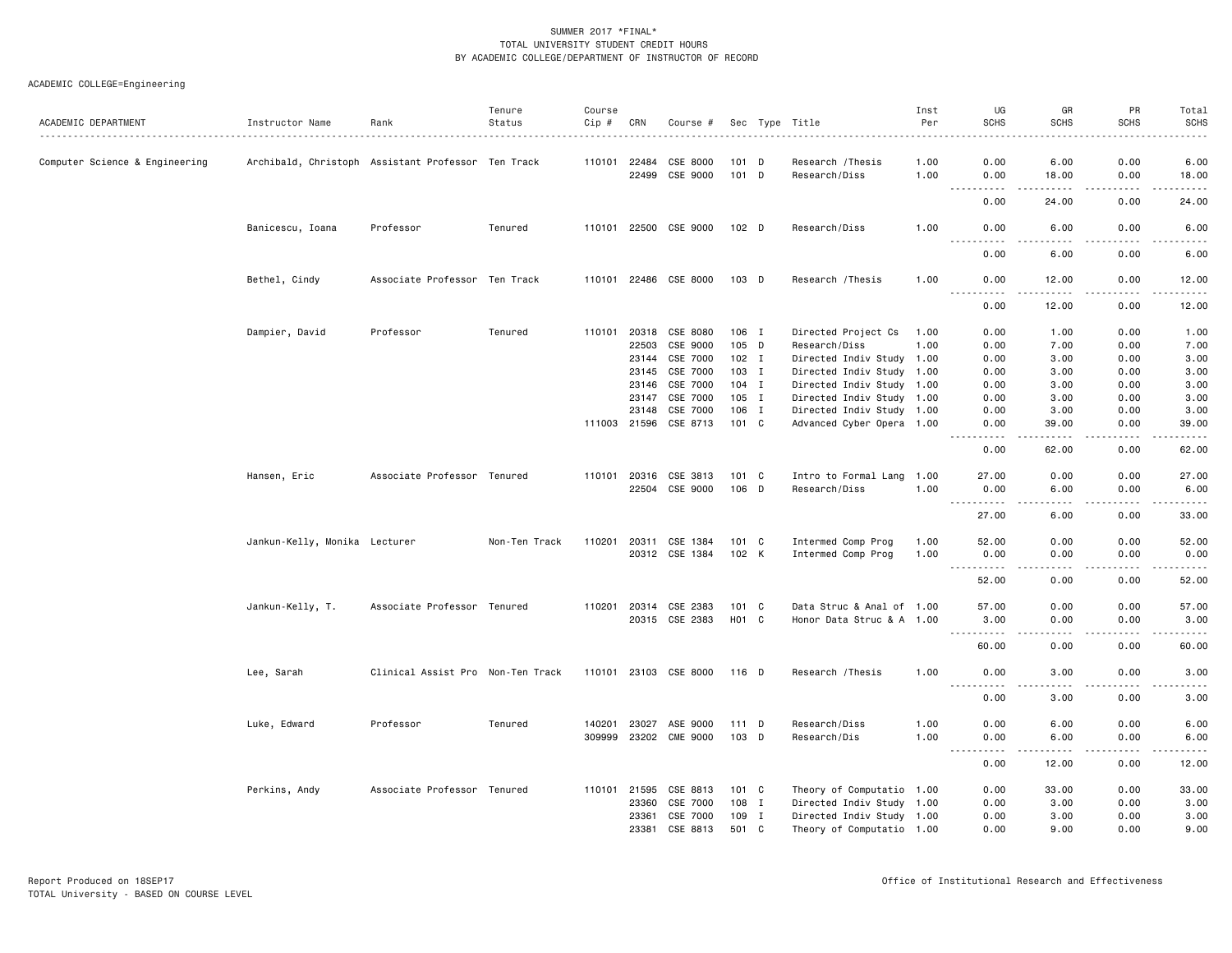| ACADEMIC DEPARTMENT            | Instructor Name                                    | Rank                              | Tenure<br>Status | Course<br>Cip # | CRN   | Course #              |                  |   | Sec Type Title            | Inst<br>Per | UG<br><b>SCHS</b>                                                                                                                                                                                               | GR<br><b>SCHS</b>  | PR<br><b>SCHS</b> | Total<br><b>SCHS</b>                                                                                                                                         |
|--------------------------------|----------------------------------------------------|-----------------------------------|------------------|-----------------|-------|-----------------------|------------------|---|---------------------------|-------------|-----------------------------------------------------------------------------------------------------------------------------------------------------------------------------------------------------------------|--------------------|-------------------|--------------------------------------------------------------------------------------------------------------------------------------------------------------|
|                                |                                                    |                                   |                  |                 |       |                       |                  |   |                           |             |                                                                                                                                                                                                                 |                    |                   | -----                                                                                                                                                        |
| Computer Science & Engineering | Archibald, Christoph Assistant Professor Ten Track |                                   |                  | 110101          | 22484 | CSE 8000              | $101$ D          |   | Research / Thesis         | 1.00        | 0.00                                                                                                                                                                                                            | 6.00               | 0.00              | 6.00                                                                                                                                                         |
|                                |                                                    |                                   |                  |                 | 22499 | CSE 9000              | 101 D            |   | Research/Diss             | 1.00        | 0.00                                                                                                                                                                                                            | 18.00              | 0.00              | 18.00                                                                                                                                                        |
|                                |                                                    |                                   |                  |                 |       |                       |                  |   |                           |             | .<br>$- - -$<br>0.00                                                                                                                                                                                            | .<br>24.00         | $- - - -$<br>0.00 | .<br>24.00                                                                                                                                                   |
|                                | Banicescu, Ioana                                   | Professor                         | Tenured          |                 |       | 110101 22500 CSE 9000 | 102 <sub>D</sub> |   | Research/Diss             | 1.00        | 0.00                                                                                                                                                                                                            | 6.00               | 0.00              | 6.00                                                                                                                                                         |
|                                |                                                    |                                   |                  |                 |       |                       |                  |   |                           |             | 0.00                                                                                                                                                                                                            | 6.00               | 0.00              | -----<br>6.00                                                                                                                                                |
|                                | Bethel, Cindy                                      | Associate Professor Ten Track     |                  |                 |       | 110101 22486 CSE 8000 | $103$ D          |   | Research / Thesis         | 1.00        | 0.00                                                                                                                                                                                                            | 12.00              | 0.00              | 12.00<br><u>.</u>                                                                                                                                            |
|                                |                                                    |                                   |                  |                 |       |                       |                  |   |                           |             | 0.00                                                                                                                                                                                                            | 12.00              | 0.00              | 12.00                                                                                                                                                        |
|                                | Dampier, David                                     | Professor                         | Tenured          | 110101          |       | 20318 CSE 8080        | 106 I            |   | Directed Project Cs       | 1.00        | 0.00                                                                                                                                                                                                            | 1.00               | 0.00              | 1.00                                                                                                                                                         |
|                                |                                                    |                                   |                  |                 | 22503 | CSE 9000              | $105$ D          |   | Research/Diss             | 1.00        | 0.00                                                                                                                                                                                                            | 7.00               | 0.00              | 7.00                                                                                                                                                         |
|                                |                                                    |                                   |                  |                 | 23144 | CSE 7000              | $102$ I          |   | Directed Indiv Study 1.00 |             | 0.00                                                                                                                                                                                                            | 3.00               | 0.00              | 3.00                                                                                                                                                         |
|                                |                                                    |                                   |                  |                 | 23145 | CSE 7000              | 103 I            |   | Directed Indiv Study 1.00 |             | 0.00                                                                                                                                                                                                            | 3.00               | 0.00              | 3.00                                                                                                                                                         |
|                                |                                                    |                                   |                  |                 | 23146 | CSE 7000              | $104$ I          |   | Directed Indiv Study 1.00 |             | 0.00                                                                                                                                                                                                            | 3.00               | 0.00              | 3.00                                                                                                                                                         |
|                                |                                                    |                                   |                  |                 | 23147 | CSE 7000              | 105 I            |   | Directed Indiv Study 1.00 |             | 0.00                                                                                                                                                                                                            | 3.00               | 0.00              | 3.00                                                                                                                                                         |
|                                |                                                    |                                   |                  |                 | 23148 | CSE 7000              | 106 I            |   | Directed Indiv Study 1.00 |             | 0.00                                                                                                                                                                                                            | 3,00               | 0.00              | 3.00                                                                                                                                                         |
|                                |                                                    |                                   |                  | 111003 21596    |       | CSE 8713              | 101 C            |   | Advanced Cyber Opera 1.00 |             | 0.00                                                                                                                                                                                                            | 39.00              | 0.00              | 39.00                                                                                                                                                        |
|                                |                                                    |                                   |                  |                 |       |                       |                  |   |                           |             | .<br>0.00                                                                                                                                                                                                       | $- - - -$<br>62.00 | .<br>0.00         | .<br>62.00                                                                                                                                                   |
|                                | Hansen, Eric                                       | Associate Professor Tenured       |                  | 110101          | 20316 | CSE 3813              | 101 C            |   | Intro to Formal Lang 1.00 |             | 27.00                                                                                                                                                                                                           | 0.00               | 0.00              | 27.00                                                                                                                                                        |
|                                |                                                    |                                   |                  |                 | 22504 | CSE 9000              | 106 D            |   | Research/Diss             | 1.00        | 0.00<br><u>.</u>                                                                                                                                                                                                | 6.00<br>.          | 0.00<br>.         | 6.00<br>.                                                                                                                                                    |
|                                |                                                    |                                   |                  |                 |       |                       |                  |   |                           |             | 27.00                                                                                                                                                                                                           | 6.00               | 0.00              | 33.00                                                                                                                                                        |
|                                | Jankun-Kelly, Monika Lecturer                      |                                   | Non-Ten Track    | 110201          |       | 20311 CSE 1384        | 101 C            |   | Intermed Comp Prog        | 1.00        | 52.00                                                                                                                                                                                                           | 0.00               | 0.00              | 52.00                                                                                                                                                        |
|                                |                                                    |                                   |                  |                 |       | 20312 CSE 1384        | 102 K            |   | Intermed Comp Prog        | 1.00        | 0.00<br>$\sim$ $\sim$ $\sim$<br>$\frac{1}{2} \left( \frac{1}{2} \right) \left( \frac{1}{2} \right) \left( \frac{1}{2} \right) \left( \frac{1}{2} \right) \left( \frac{1}{2} \right) \left( \frac{1}{2} \right)$ | 0.00               | 0.00<br>$- - -$   | 0.00<br>$\frac{1}{2} \left( \frac{1}{2} \right) \left( \frac{1}{2} \right) \left( \frac{1}{2} \right) \left( \frac{1}{2} \right) \left( \frac{1}{2} \right)$ |
|                                |                                                    |                                   |                  |                 |       |                       |                  |   |                           |             | 52.00                                                                                                                                                                                                           | 0.00               | 0.00              | 52.00                                                                                                                                                        |
|                                | Jankun-Kelly, T.                                   | Associate Professor Tenured       |                  | 110201          |       | 20314 CSE 2383        | 101 C            |   | Data Struc & Anal of 1.00 |             | 57.00                                                                                                                                                                                                           | 0.00               | 0.00              | 57.00                                                                                                                                                        |
|                                |                                                    |                                   |                  |                 |       | 20315 CSE 2383        | H01 C            |   | Honor Data Struc & A 1.00 |             | 3.00<br>$\frac{1}{2} \left( \frac{1}{2} \right) \left( \frac{1}{2} \right) \left( \frac{1}{2} \right) \left( \frac{1}{2} \right) \left( \frac{1}{2} \right)$                                                    | 0.00<br>الدامات ب  | 0.00<br>.         | 3.00<br>.                                                                                                                                                    |
|                                |                                                    |                                   |                  |                 |       |                       |                  |   |                           |             | 60.00                                                                                                                                                                                                           | 0.00               | 0.00              | 60.00                                                                                                                                                        |
|                                | Lee, Sarah                                         | Clinical Assist Pro Non-Ten Track |                  |                 |       | 110101 23103 CSE 8000 | 116 D            |   | Research / Thesis         | 1.00        | 0.00<br>$\sim$ $\sim$ $\sim$                                                                                                                                                                                    | 3.00<br>.          | 0.00<br>.         | 3.00<br>-----                                                                                                                                                |
|                                |                                                    |                                   |                  |                 |       |                       |                  |   |                           |             | .<br>0.00                                                                                                                                                                                                       | 3.00               | 0.00              | 3.00                                                                                                                                                         |
|                                | Luke, Edward                                       | Professor                         | Tenured          | 140201          | 23027 | ASE 9000              | 111 D            |   | Research/Diss             | 1.00        | 0.00                                                                                                                                                                                                            | 6.00               | 0.00              | 6.00                                                                                                                                                         |
|                                |                                                    |                                   |                  | 309999          |       | 23202 CME 9000        | 103 D            |   | Research/Dis              | 1.00        | 0.00                                                                                                                                                                                                            | 6.00               | 0.00              | 6.00                                                                                                                                                         |
|                                |                                                    |                                   |                  |                 |       |                       |                  |   |                           |             | .<br>0.00                                                                                                                                                                                                       | -----<br>12.00     | .<br>0.00         | .<br>12.00                                                                                                                                                   |
|                                | Perkins, Andy                                      | Associate Professor Tenured       |                  | 110101          | 21595 | CSE 8813              | $101 \quad C$    |   | Theory of Computatio 1.00 |             | 0.00                                                                                                                                                                                                            | 33.00              | 0.00              | 33.00                                                                                                                                                        |
|                                |                                                    |                                   |                  |                 | 23360 | CSE 7000              | 108 I            |   | Directed Indiv Study 1.00 |             | 0.00                                                                                                                                                                                                            | 3.00               | 0.00              | 3.00                                                                                                                                                         |
|                                |                                                    |                                   |                  |                 | 23361 | CSE 7000              | 109 I            |   | Directed Indiv Study 1.00 |             | 0.00                                                                                                                                                                                                            | 3.00               | 0.00              | 3.00                                                                                                                                                         |
|                                |                                                    |                                   |                  |                 | 23381 | CSE 8813              | 501              | C | Theory of Computatio 1.00 |             | 0.00                                                                                                                                                                                                            | 9.00               | 0.00              | 9.00                                                                                                                                                         |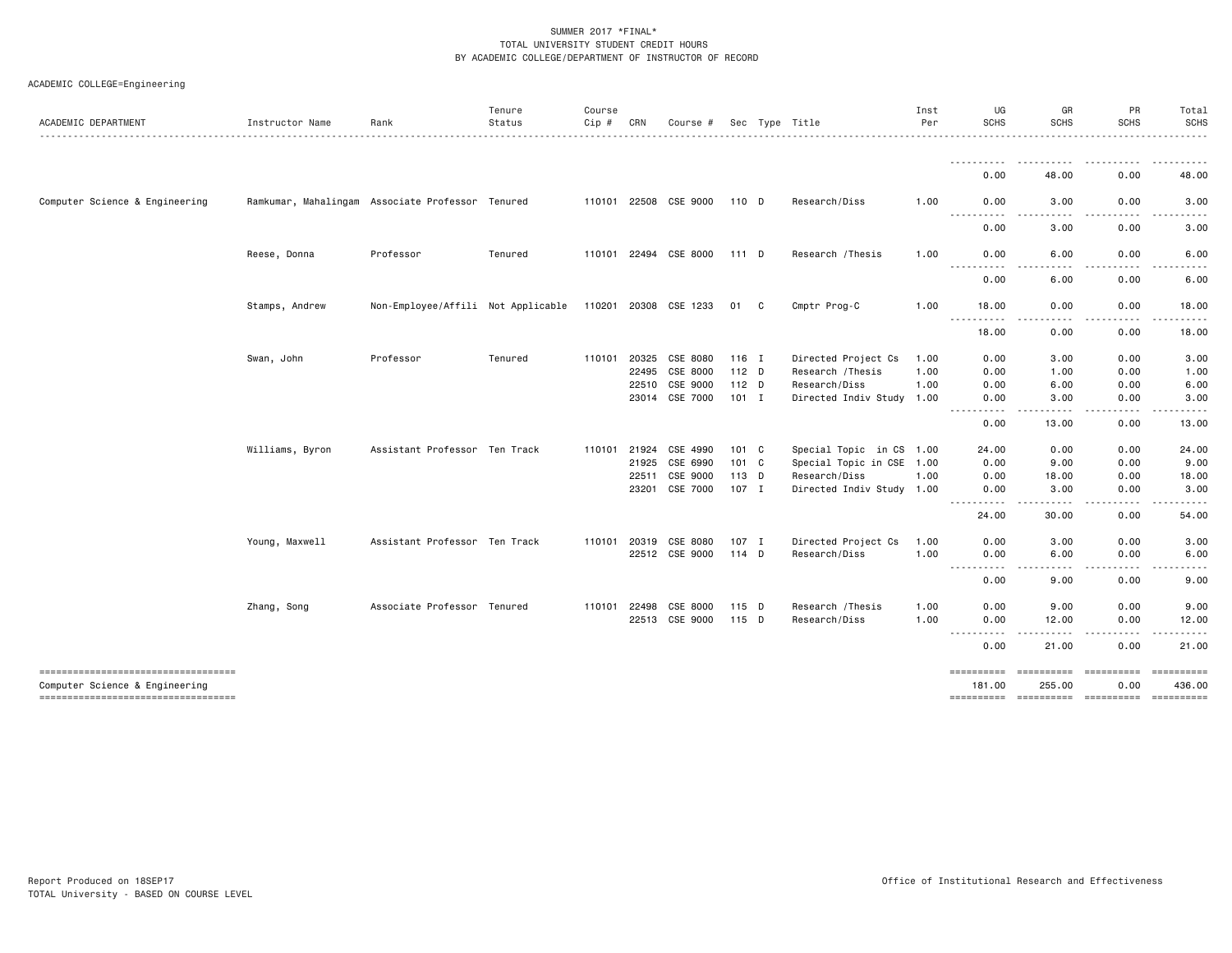|  |  | ACADEMIC COLLEGE=Engineering |
|--|--|------------------------------|
|--|--|------------------------------|

| ACADEMIC DEPARTMENT                                                      | Instructor Name | Rank                                             | Tenure<br>Status | Course<br>Cip # | CRN   | Course #              |         | Sec Type Title            | Inst<br>Per | UG<br><b>SCHS</b>                                                                                                                                                                                                                                    | GR<br><b>SCHS</b>      | PR<br><b>SCHS</b>     | Total<br><b>SCHS</b>  |
|--------------------------------------------------------------------------|-----------------|--------------------------------------------------|------------------|-----------------|-------|-----------------------|---------|---------------------------|-------------|------------------------------------------------------------------------------------------------------------------------------------------------------------------------------------------------------------------------------------------------------|------------------------|-----------------------|-----------------------|
|                                                                          |                 |                                                  |                  |                 |       |                       |         |                           |             | .                                                                                                                                                                                                                                                    | $- - - - -$            |                       |                       |
|                                                                          |                 |                                                  |                  |                 |       |                       |         |                           |             | 0.00                                                                                                                                                                                                                                                 | 48.00                  | 0.00                  | 48.00                 |
| Computer Science & Engineering                                           |                 | Ramkumar, Mahalingam Associate Professor Tenured |                  |                 |       | 110101 22508 CSE 9000 | 110 D   | Research/Diss             | 1.00        | 0.00<br>$\sim$ $\sim$ $\sim$                                                                                                                                                                                                                         | 3.00                   | 0.00                  | 3.00                  |
|                                                                          |                 |                                                  |                  |                 |       |                       |         |                           |             | 0.00                                                                                                                                                                                                                                                 | 3.00                   | 0.00                  | 3.00                  |
|                                                                          | Reese, Donna    | Professor                                        | Tenured          |                 |       | 110101 22494 CSE 8000 | 111 D   | Research / Thesis         | 1.00        | 0.00<br>.                                                                                                                                                                                                                                            | 6.00<br>$\frac{1}{2}$  | 0.00<br>.             | 6.00<br>$\frac{1}{2}$ |
|                                                                          |                 |                                                  |                  |                 |       |                       |         |                           |             | 0.00                                                                                                                                                                                                                                                 | 6.00                   | 0.00                  | 6.00                  |
|                                                                          | Stamps, Andrew  | Non-Employee/Affili Not Applicable               |                  |                 |       | 110201 20308 CSE 1233 | 01 C    | Cmptr Prog-C              | 1.00        | 18.00<br>.                                                                                                                                                                                                                                           | 0.00<br>الدامات ما     | 0.00<br>-----         | 18.00<br>.            |
|                                                                          |                 |                                                  |                  |                 |       |                       |         |                           |             | 18.00                                                                                                                                                                                                                                                | 0.00                   | 0.00                  | 18.00                 |
|                                                                          | Swan, John      | Professor                                        | Tenured          | 110101          | 20325 | CSE 8080              | 116 I   | Directed Project Cs       | 1.00        | 0.00                                                                                                                                                                                                                                                 | 3.00                   | 0.00                  | 3.00                  |
|                                                                          |                 |                                                  |                  |                 | 22495 | CSE 8000              | 112 D   | Research / Thesis         | 1.00        | 0.00                                                                                                                                                                                                                                                 | 1.00                   | 0.00                  | 1.00                  |
|                                                                          |                 |                                                  |                  |                 | 22510 | CSE 9000              | 112 D   | Research/Diss             | 1.00        | 0.00                                                                                                                                                                                                                                                 | 6.00                   | 0.00                  | 6.00                  |
|                                                                          |                 |                                                  |                  |                 |       | 23014 CSE 7000        | $101$ I | Directed Indiv Study 1.00 |             | 0.00<br>$\begin{array}{cccccccccccccc} \bullet & \bullet & \bullet & \bullet & \bullet & \bullet & \bullet \end{array}$<br>$\frac{1}{2} \left( \frac{1}{2} \right) \left( \frac{1}{2} \right) \left( \frac{1}{2} \right) \left( \frac{1}{2} \right)$ | 3.00<br>.              | 0.00<br>-----         | 3.00<br>.             |
|                                                                          |                 |                                                  |                  |                 |       |                       |         |                           |             | 0.00                                                                                                                                                                                                                                                 | 13.00                  | 0.00                  | 13.00                 |
|                                                                          | Williams, Byron | Assistant Professor Ten Track                    |                  | 110101          | 21924 | CSE 4990              | 101 C   | Special Topic in CS 1.00  |             | 24.00                                                                                                                                                                                                                                                | 0.00                   | 0.00                  | 24.00                 |
|                                                                          |                 |                                                  |                  |                 | 21925 | CSE 6990              | 101 C   | Special Topic in CSE 1.00 |             | 0.00                                                                                                                                                                                                                                                 | 9.00                   | 0.00                  | 9.00                  |
|                                                                          |                 |                                                  |                  |                 | 22511 | CSE 9000              | 113 D   | Research/Diss             | 1.00        | 0.00                                                                                                                                                                                                                                                 | 18.00                  | 0.00                  | 18.00                 |
|                                                                          |                 |                                                  |                  |                 | 23201 | CSE 7000              | 107 I   | Directed Indiv Study 1.00 |             | 0.00                                                                                                                                                                                                                                                 | 3.00                   | 0.00                  | 3.00                  |
|                                                                          |                 |                                                  |                  |                 |       |                       |         |                           |             | <b></b><br>24.00                                                                                                                                                                                                                                     | $- - - - -$<br>30.00   | <u>.</u><br>0.00      | . <u>.</u> .<br>54.00 |
|                                                                          | Young, Maxwell  | Assistant Professor Ten Track                    |                  | 110101          | 20319 | CSE 8080              | $107$ I | Directed Project Cs       | 1.00        | 0.00                                                                                                                                                                                                                                                 | 3.00                   | 0.00                  | 3.00                  |
|                                                                          |                 |                                                  |                  |                 |       | 22512 CSE 9000        | 114 D   | Research/Diss             | 1.00        | 0.00<br>----------                                                                                                                                                                                                                                   | 6.00<br>.              | 0.00<br>$\frac{1}{2}$ | 6.00<br>.             |
|                                                                          |                 |                                                  |                  |                 |       |                       |         |                           |             | 0.00                                                                                                                                                                                                                                                 | 9.00                   | 0.00                  | 9.00                  |
|                                                                          | Zhang, Song     | Associate Professor Tenured                      |                  | 110101          | 22498 | CSE 8000              | 115 D   | Research / Thesis         | 1.00        | 0.00                                                                                                                                                                                                                                                 | 9.00                   | 0.00                  | 9.00                  |
|                                                                          |                 |                                                  |                  |                 |       | 22513 CSE 9000        | 115 D   | Research/Diss             | 1.00        | 0.00<br>----------                                                                                                                                                                                                                                   | 12.00<br>$\frac{1}{2}$ | 0.00<br>-----         | 12.00<br><u>.</u>     |
|                                                                          |                 |                                                  |                  |                 |       |                       |         |                           |             | 0.00                                                                                                                                                                                                                                                 | 21.00                  | 0.00                  | 21.00                 |
| ----------------------------------                                       |                 |                                                  |                  |                 |       |                       |         |                           |             | ==========                                                                                                                                                                                                                                           | ==========             | ==========            | ==========            |
| Computer Science & Engineering<br>====================================== |                 |                                                  |                  |                 |       |                       |         |                           |             | 181.00                                                                                                                                                                                                                                               | 255.00                 | 0.00                  | 436.00                |
|                                                                          |                 |                                                  |                  |                 |       |                       |         |                           |             |                                                                                                                                                                                                                                                      |                        |                       |                       |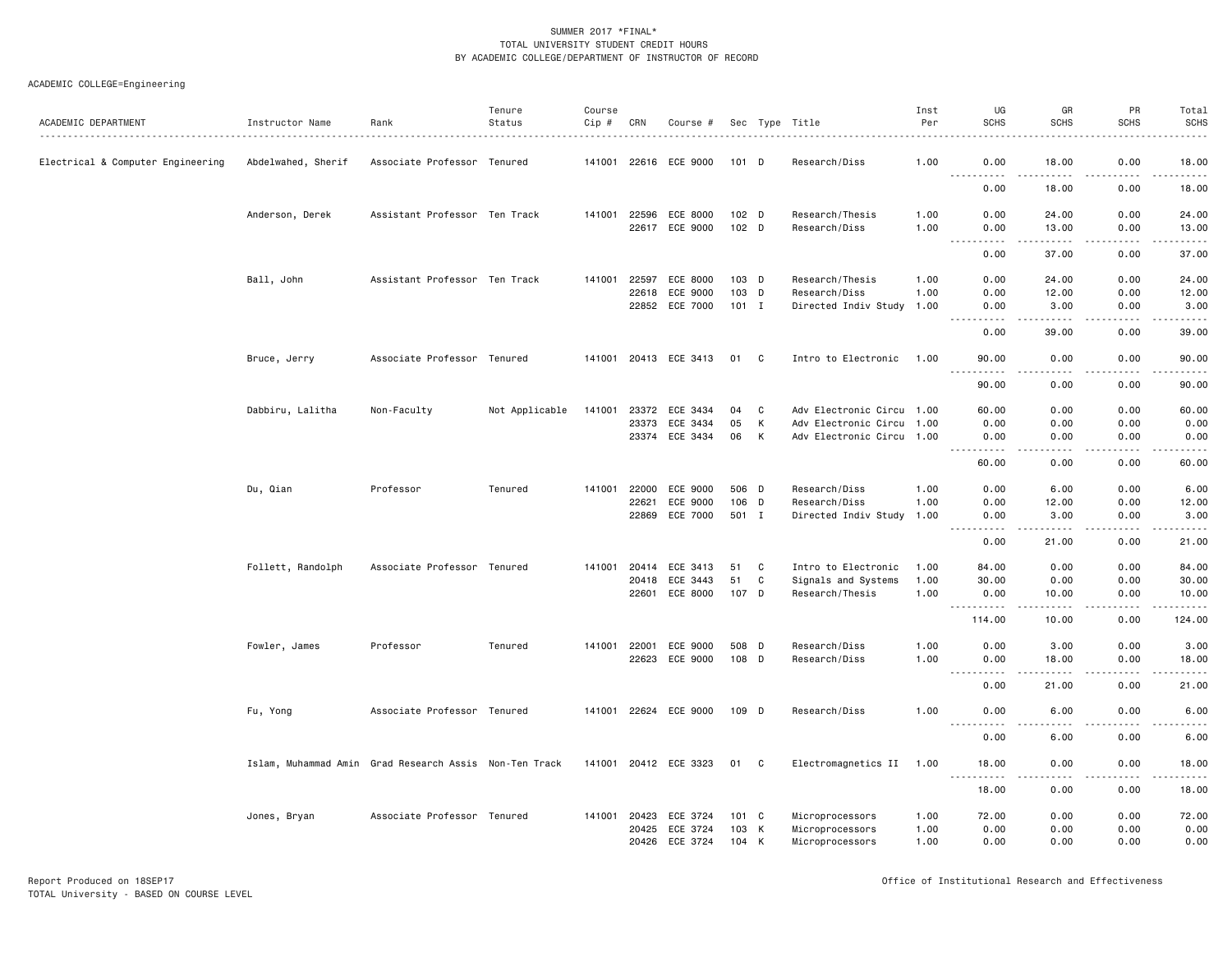| ACADEMIC DEPARTMENT               | Instructor Name                                        | Rank                          | Tenure<br>Status | Course<br>Cip # | CRN   | Course #                          |                           |              | Sec Type Title                        | Inst<br>Per  | UG<br><b>SCHS</b>                                                                                                                                                                                               | GR<br><b>SCHS</b>                                                                                                                                             | PR<br><b>SCHS</b>      | Total<br><b>SCHS</b> |
|-----------------------------------|--------------------------------------------------------|-------------------------------|------------------|-----------------|-------|-----------------------------------|---------------------------|--------------|---------------------------------------|--------------|-----------------------------------------------------------------------------------------------------------------------------------------------------------------------------------------------------------------|---------------------------------------------------------------------------------------------------------------------------------------------------------------|------------------------|----------------------|
| Electrical & Computer Engineering | Abdelwahed, Sherif                                     | Associate Professor Tenured   |                  |                 |       | 141001 22616 ECE 9000             | 101 D                     |              | Research/Diss                         | 1.00         | 0.00<br>.                                                                                                                                                                                                       | 18.00<br>.                                                                                                                                                    | 0.00<br>.<br>$- - - -$ | 18.00<br>.           |
|                                   |                                                        |                               |                  |                 |       |                                   |                           |              |                                       |              | 0.00                                                                                                                                                                                                            | 18.00                                                                                                                                                         | 0.00                   | 18.00                |
|                                   | Anderson, Derek                                        | Assistant Professor Ten Track |                  |                 | 22617 | 141001 22596 ECE 8000<br>ECE 9000 | 102 D<br>102 <sub>D</sub> |              | Research/Thesis<br>Research/Diss      | 1.00<br>1.00 | 0.00<br>0.00                                                                                                                                                                                                    | 24.00<br>13.00                                                                                                                                                | 0.00<br>0.00           | 24.00<br>13.00       |
|                                   |                                                        |                               |                  |                 |       |                                   |                           |              |                                       |              | $\sim$ $\sim$ $\sim$<br>$\frac{1}{2} \left( \frac{1}{2} \right) \left( \frac{1}{2} \right) \left( \frac{1}{2} \right) \left( \frac{1}{2} \right) \left( \frac{1}{2} \right) \left( \frac{1}{2} \right)$<br>0.00 | .<br>37.00                                                                                                                                                    | .<br>0.00              | .<br>37.00           |
|                                   | Ball, John                                             | Assistant Professor Ten Track |                  | 141001          | 22597 | ECE 8000                          | $103$ D                   |              | Research/Thesis                       | 1.00         | 0.00                                                                                                                                                                                                            | 24.00                                                                                                                                                         | 0.00                   | 24.00                |
|                                   |                                                        |                               |                  |                 | 22618 | ECE 9000<br>22852 ECE 7000        | 103 D<br>$101$ I          |              | Research/Diss<br>Directed Indiv Study | 1.00<br>1.00 | 0.00<br>0.00                                                                                                                                                                                                    | 12.00<br>3.00                                                                                                                                                 | 0.00<br>0.00           | 12.00<br>3.00        |
|                                   |                                                        |                               |                  |                 |       |                                   |                           |              |                                       |              | .<br>$\sim$ $\sim$ $\sim$<br>0.00                                                                                                                                                                               | $\frac{1}{2} \left( \frac{1}{2} \right) \left( \frac{1}{2} \right) \left( \frac{1}{2} \right) \left( \frac{1}{2} \right) \left( \frac{1}{2} \right)$<br>39.00 | .<br>0.00              | .<br>39.00           |
|                                   | Bruce, Jerry                                           | Associate Professor Tenured   |                  |                 |       | 141001 20413 ECE 3413             | 01                        | C            | Intro to Electronic                   | 1.00         | 90.00                                                                                                                                                                                                           | 0.00                                                                                                                                                          | 0.00                   | 90.00                |
|                                   |                                                        |                               |                  |                 |       |                                   |                           |              |                                       |              | 90.00                                                                                                                                                                                                           | 0.00                                                                                                                                                          | 0.00                   | $    -$<br>90.00     |
|                                   | Dabbiru, Lalitha                                       | Non-Faculty                   | Not Applicable   | 141001          | 23372 | ECE 3434                          | 04                        | C            | Adv Electronic Circu 1.00             |              | 60.00                                                                                                                                                                                                           | 0.00                                                                                                                                                          | 0.00                   | 60.00                |
|                                   |                                                        |                               |                  |                 | 23373 | ECE 3434                          | 05                        | к            | Adv Electronic Circu                  | 1.00         | 0.00                                                                                                                                                                                                            | 0.00                                                                                                                                                          | 0.00                   | 0.00                 |
|                                   |                                                        |                               |                  |                 | 23374 | ECE 3434                          | 06                        | $\mathsf{K}$ | Adv Electronic Circu 1.00             |              | 0.00<br>$\frac{1}{2} \left( \frac{1}{2} \right) \left( \frac{1}{2} \right) \left( \frac{1}{2} \right)$                                                                                                          | 0.00<br>.                                                                                                                                                     | 0.00<br>.              | 0.00<br>.            |
|                                   |                                                        |                               |                  |                 |       |                                   |                           |              |                                       |              | 60.00                                                                                                                                                                                                           | 0.00                                                                                                                                                          | 0.00                   | 60.00                |
|                                   | Du, Qian                                               | Professor                     | Tenured          | 141001          | 22000 | ECE 9000                          | 506 D                     |              | Research/Diss                         | 1.00         | 0.00                                                                                                                                                                                                            | 6.00                                                                                                                                                          | 0.00                   | 6.00                 |
|                                   |                                                        |                               |                  |                 | 22621 | ECE 9000                          | 106 D                     |              | Research/Diss                         | 1.00         | 0.00                                                                                                                                                                                                            | 12.00                                                                                                                                                         | 0.00                   | 12.00                |
|                                   |                                                        |                               |                  |                 | 22869 | ECE 7000                          | 501 I                     |              | Directed Indiv Study                  | 1.00         | 0.00<br>.<br>$\sim$ $\sim$ $\sim$                                                                                                                                                                               | 3.00<br>$\frac{1}{2} \left( \frac{1}{2} \right) \left( \frac{1}{2} \right) \left( \frac{1}{2} \right) \left( \frac{1}{2} \right) \left( \frac{1}{2} \right)$  | 0.00<br>.              | 3.00<br>.            |
|                                   |                                                        |                               |                  |                 |       |                                   |                           |              |                                       |              | 0.00                                                                                                                                                                                                            | 21.00                                                                                                                                                         | 0.00                   | 21.00                |
|                                   | Follett, Randolph                                      | Associate Professor Tenured   |                  | 141001          | 20414 | ECE 3413                          | 51                        | C            | Intro to Electronic                   | 1.00         | 84.00                                                                                                                                                                                                           | 0.00                                                                                                                                                          | 0.00                   | 84.00                |
|                                   |                                                        |                               |                  |                 | 20418 | ECE 3443                          | 51                        | C            | Signals and Systems                   | 1.00         | 30.00                                                                                                                                                                                                           | 0.00                                                                                                                                                          | 0.00                   | 30.00                |
|                                   |                                                        |                               |                  |                 |       | 22601 ECE 8000                    | 107 D                     |              | Research/Thesis                       | 1.00         | 0.00                                                                                                                                                                                                            | 10.00                                                                                                                                                         | 0.00                   | 10.00                |
|                                   |                                                        |                               |                  |                 |       |                                   |                           |              |                                       |              | <u> - - - - - - - - - -</u><br>114.00                                                                                                                                                                           | $\cdots$<br>10.00                                                                                                                                             | .<br>0.00              | .<br>124.00          |
|                                   | Fowler, James                                          | Professor                     | Tenured          | 141001          | 22001 | ECE 9000                          | 508 D                     |              | Research/Diss                         | 1.00         | 0.00                                                                                                                                                                                                            | 3.00                                                                                                                                                          | 0.00                   | 3.00                 |
|                                   |                                                        |                               |                  |                 | 22623 | ECE 9000                          | 108 D                     |              | Research/Diss                         | 1.00         | 0.00                                                                                                                                                                                                            | 18.00                                                                                                                                                         | 0.00                   | 18.00                |
|                                   |                                                        |                               |                  |                 |       |                                   |                           |              |                                       |              | 0.00                                                                                                                                                                                                            | 21.00                                                                                                                                                         | 0.00                   | .<br>21.00           |
|                                   | Fu, Yong                                               | Associate Professor Tenured   |                  |                 |       | 141001 22624 ECE 9000             | 109 D                     |              | Research/Diss                         | 1.00         | 0.00<br>$\frac{1}{2}$                                                                                                                                                                                           | 6.00<br>.                                                                                                                                                     | 0.00<br>$\cdots$       | 6.00<br>.            |
|                                   |                                                        |                               |                  |                 |       |                                   |                           |              |                                       |              | 0.00                                                                                                                                                                                                            | 6.00                                                                                                                                                          | 0.00                   | 6.00                 |
|                                   | Islam, Muhammad Amin Grad Research Assis Non-Ten Track |                               |                  |                 |       | 141001 20412 ECE 3323             | 01 C                      |              | Electromagnetics II                   | 1.00         | 18.00<br>$\sim$ $\sim$ $\sim$<br>. <u>.</u>                                                                                                                                                                     | 0.00<br>. <u>.</u> .                                                                                                                                          | 0.00<br>.              | 18.00<br>.           |
|                                   |                                                        |                               |                  |                 |       |                                   |                           |              |                                       |              | 18.00                                                                                                                                                                                                           | 0.00                                                                                                                                                          | 0.00                   | 18.00                |
|                                   | Jones, Bryan                                           | Associate Professor Tenured   |                  | 141001          | 20423 | ECE 3724                          | 101 C                     |              | Microprocessors                       | 1.00         | 72.00                                                                                                                                                                                                           | 0.00                                                                                                                                                          | 0.00                   | 72.00                |
|                                   |                                                        |                               |                  |                 | 20425 | ECE 3724                          | 103 K                     |              | Microprocessors                       | 1.00         | 0.00                                                                                                                                                                                                            | 0.00                                                                                                                                                          | 0.00                   | 0.00                 |
|                                   |                                                        |                               |                  |                 | 20426 | ECE 3724                          | 104 K                     |              | Microprocessors                       | 1.00         | 0.00                                                                                                                                                                                                            | 0.00                                                                                                                                                          | 0.00                   | 0.00                 |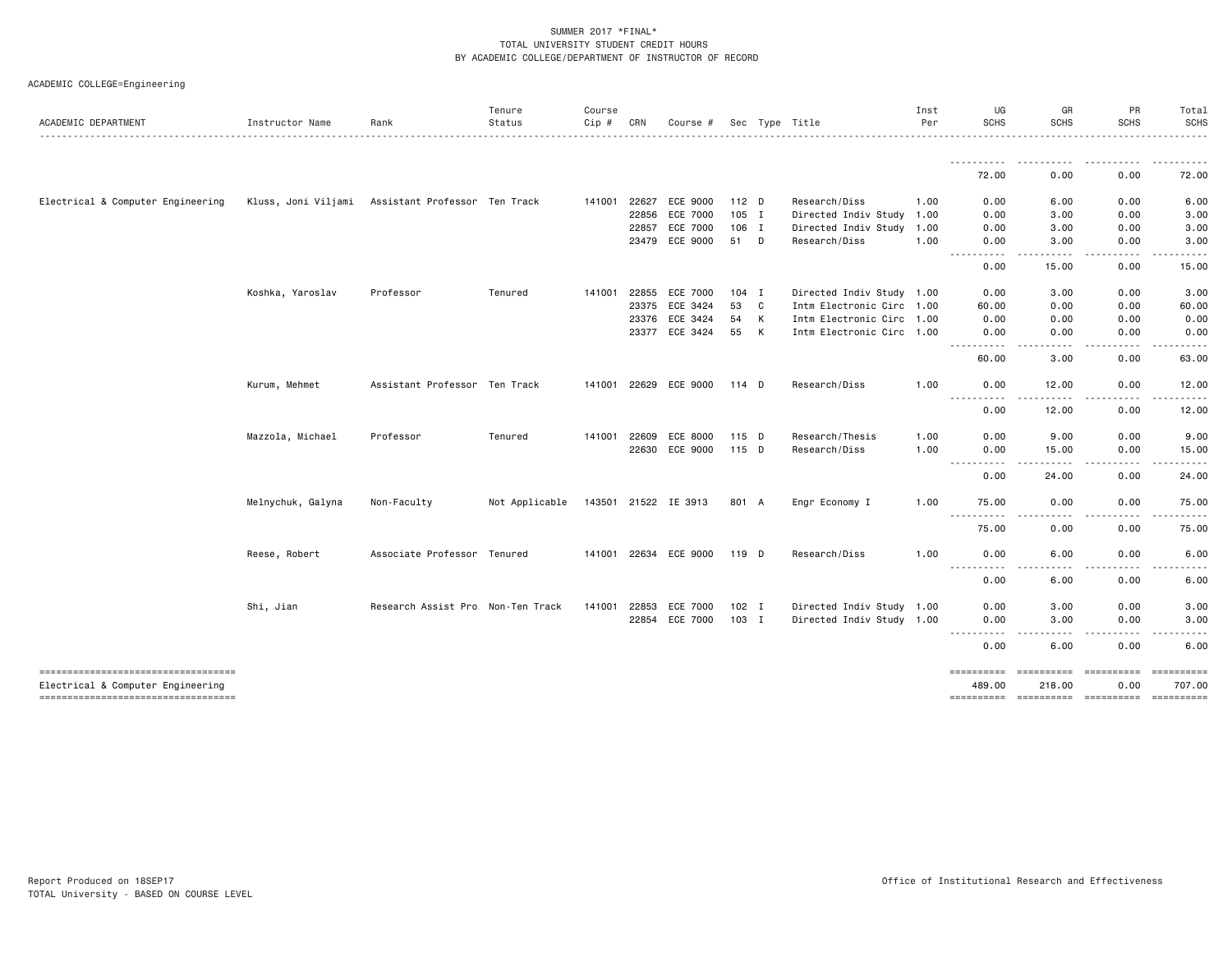| ACADEMIC COLLEGE=Engineering |  |  |  |  |
|------------------------------|--|--|--|--|
|------------------------------|--|--|--|--|

| ACADEMIC DEPARTMENT                                                     | Instructor Name   | Rank                                              | Tenure<br>Status | Course<br>$Cip \#$ | CRN          | Course #              |         |              | Sec Type Title            | Inst<br>Per | UG<br><b>SCHS</b>                                                                                                                                                                                                                       | GR<br><b>SCHS</b>      | PR<br><b>SCHS</b> | Total<br><b>SCHS</b> |
|-------------------------------------------------------------------------|-------------------|---------------------------------------------------|------------------|--------------------|--------------|-----------------------|---------|--------------|---------------------------|-------------|-----------------------------------------------------------------------------------------------------------------------------------------------------------------------------------------------------------------------------------------|------------------------|-------------------|----------------------|
|                                                                         |                   |                                                   |                  |                    |              |                       |         |              |                           |             | -----------                                                                                                                                                                                                                             |                        |                   |                      |
|                                                                         |                   |                                                   |                  |                    |              |                       |         |              |                           |             | 72.00                                                                                                                                                                                                                                   | 0.00                   | 0.00              | 72.00                |
| Electrical & Computer Engineering                                       |                   | Kluss, Joni Viljami Assistant Professor Ten Track |                  |                    | 141001 22627 | ECE 9000              | $112$ D |              | Research/Diss             | 1.00        | 0.00                                                                                                                                                                                                                                    | 6.00                   | 0.00              | 6.00                 |
|                                                                         |                   |                                                   |                  |                    | 22856        | ECE 7000              | 105 I   |              | Directed Indiv Study      | 1.00        | 0.00                                                                                                                                                                                                                                    | 3.00                   | 0.00              | 3.00                 |
|                                                                         |                   |                                                   |                  |                    | 22857        | ECE 7000              | 106 I   |              | Directed Indiv Study      | 1.00        | 0.00                                                                                                                                                                                                                                    | 3.00                   | 0.00              | 3.00                 |
|                                                                         |                   |                                                   |                  |                    |              | 23479 ECE 9000        | 51 D    |              | Research/Diss             | 1.00        | 0.00                                                                                                                                                                                                                                    | 3.00                   | 0.00              | 3.00                 |
|                                                                         |                   |                                                   |                  |                    |              |                       |         |              |                           |             | $\frac{1}{2}$<br>$  -$<br>0.00                                                                                                                                                                                                          | $\frac{1}{2}$<br>15.00 | بالمستعاد<br>0.00 | 15.00                |
|                                                                         | Koshka, Yaroslav  | Professor                                         | Tenured          | 141001             | 22855        | <b>ECE 7000</b>       | $104$ I |              | Directed Indiv Study 1.00 |             | 0.00                                                                                                                                                                                                                                    | 3.00                   | 0.00              | 3.00                 |
|                                                                         |                   |                                                   |                  |                    |              | 23375 ECE 3424        | 53      | $\mathbf{C}$ | Intm Electronic Circ 1.00 |             | 60.00                                                                                                                                                                                                                                   | 0.00                   | 0.00              | 60.00                |
|                                                                         |                   |                                                   |                  |                    | 23376        | ECE 3424              | 54      | K            | Intm Electronic Circ 1.00 |             | 0.00                                                                                                                                                                                                                                    | 0.00                   | 0.00              | 0.00                 |
|                                                                         |                   |                                                   |                  |                    |              | 23377 ECE 3424        | 55      | K            | Intm Electronic Circ 1.00 |             | 0.00<br>$\frac{1}{2}$                                                                                                                                                                                                                   | 0.00                   | 0.00              | 0.00                 |
|                                                                         |                   |                                                   |                  |                    |              |                       |         |              |                           |             | 60.00                                                                                                                                                                                                                                   | 3.00                   | 0.00              | 63.00                |
|                                                                         | Kurum, Mehmet     | Assistant Professor Ten Track                     |                  |                    |              | 141001 22629 ECE 9000 | 114 D   |              | Research/Diss             | 1.00        | 0.00                                                                                                                                                                                                                                    | 12.00                  | 0.00              | 12.00                |
|                                                                         |                   |                                                   |                  |                    |              |                       |         |              |                           |             | $\frac{1}{2}$<br>$\cdots$<br>0.00                                                                                                                                                                                                       | 12.00                  | 0.00              | 12.00                |
|                                                                         | Mazzola, Michael  | Professor                                         | Tenured          |                    | 141001 22609 | ECE 8000              | 115 D   |              | Research/Thesis           | 1.00        | 0.00                                                                                                                                                                                                                                    | 9.00                   | 0.00              | 9.00                 |
|                                                                         |                   |                                                   |                  |                    |              | 22630 ECE 9000        | $115$ D |              | Research/Diss             | 1.00        | 0.00                                                                                                                                                                                                                                    | 15.00                  | 0.00              | 15.00                |
|                                                                         |                   |                                                   |                  |                    |              |                       |         |              |                           |             | $\frac{1}{2} \left( \frac{1}{2} \right) \left( \frac{1}{2} \right) \left( \frac{1}{2} \right)$<br>$\frac{1}{2} \left( \frac{1}{2} \right) \left( \frac{1}{2} \right) \left( \frac{1}{2} \right) \left( \frac{1}{2} \right)$<br>0.00     | 24.00                  | 0.00              | 24.00                |
|                                                                         | Melnychuk, Galyna | Non-Faculty                                       | Not Applicable   |                    |              | 143501 21522 IE 3913  | 801 A   |              | Engr Economy I            | 1.00        | 75.00                                                                                                                                                                                                                                   | 0.00                   | 0.00              | 75.00                |
|                                                                         |                   |                                                   |                  |                    |              |                       |         |              |                           |             | $\frac{1}{2} \left( \frac{1}{2} \right) \left( \frac{1}{2} \right) \left( \frac{1}{2} \right) \left( \frac{1}{2} \right)$<br>$\frac{1}{2} \frac{1}{2} \frac{1}{2} \frac{1}{2} \frac{1}{2} \frac{1}{2} \frac{1}{2} \frac{1}{2}$<br>75.00 | 0.00                   | 0.00              | 75.00                |
|                                                                         | Reese, Robert     | Associate Professor Tenured                       |                  |                    |              | 141001 22634 ECE 9000 | 119 D   |              | Research/Diss             | 1.00        | 0.00                                                                                                                                                                                                                                    | 6.00                   | 0.00              | 6.00                 |
|                                                                         |                   |                                                   |                  |                    |              |                       |         |              |                           |             | 0.00                                                                                                                                                                                                                                    | 6.00                   | 0.00              | 6.00                 |
|                                                                         | Shi, Jian         | Research Assist Pro Non-Ten Track                 |                  | 141001             | 22853        | ECE 7000              | $102$ I |              | Directed Indiv Study 1.00 |             | 0.00                                                                                                                                                                                                                                    | 3.00                   | 0.00              | 3.00                 |
|                                                                         |                   |                                                   |                  |                    | 22854        | ECE 7000              | 103 I   |              | Directed Indiv Study 1.00 |             | 0.00                                                                                                                                                                                                                                    | 3.00                   | 0.00              | 3.00                 |
|                                                                         |                   |                                                   |                  |                    |              |                       |         |              |                           |             | $\frac{1}{2} \left( \frac{1}{2} \right) \left( \frac{1}{2} \right) \left( \frac{1}{2} \right) \left( \frac{1}{2} \right) \left( \frac{1}{2} \right)$<br>$- - - -$<br>0.00                                                               | 6.00                   | 0.00              | 6.00                 |
| ----------------------------------                                      |                   |                                                   |                  |                    |              |                       |         |              |                           |             | ==========                                                                                                                                                                                                                              |                        |                   |                      |
| Electrical & Computer Engineering<br>---------------------------------- |                   |                                                   |                  |                    |              |                       |         |              |                           |             | 489,00                                                                                                                                                                                                                                  | 218.00                 | 0.00              | 707.00               |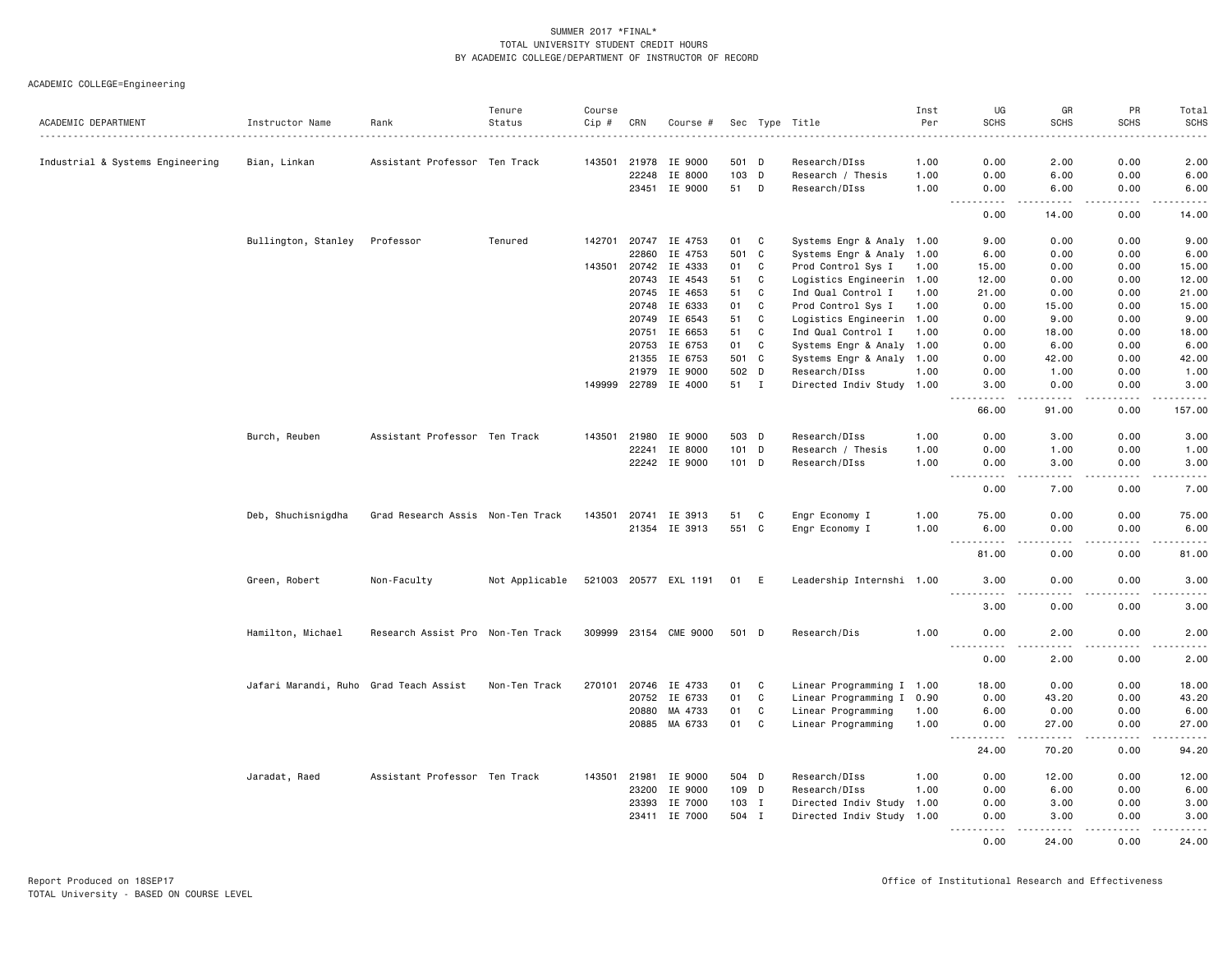|                                  |                                        |                                   | Tenure         | Course |              |                       |         |   |                           | Inst | UG                                           | GR                   | PR                 | Total                                                                                                                             |
|----------------------------------|----------------------------------------|-----------------------------------|----------------|--------|--------------|-----------------------|---------|---|---------------------------|------|----------------------------------------------|----------------------|--------------------|-----------------------------------------------------------------------------------------------------------------------------------|
| ACADEMIC DEPARTMENT              | Instructor Name                        | Rank                              | Status         | Cip #  | CRN          | Course #              |         |   | Sec Type Title            | Per  | <b>SCHS</b>                                  | <b>SCHS</b>          | <b>SCHS</b>        | <b>SCHS</b><br>$- - - - -$                                                                                                        |
|                                  |                                        |                                   |                |        |              |                       |         |   |                           |      |                                              |                      |                    |                                                                                                                                   |
| Industrial & Systems Engineering | Bian, Linkan                           | Assistant Professor Ten Track     |                |        | 143501 21978 | IE 9000               | 501 D   |   | Research/DIss             | 1.00 | 0.00                                         | 2.00                 | 0.00               | 2.00                                                                                                                              |
|                                  |                                        |                                   |                |        | 22248        | IE 8000               | 103 D   |   | Research / Thesis         | 1.00 | 0.00                                         | 6.00                 | 0.00               | 6.00                                                                                                                              |
|                                  |                                        |                                   |                |        | 23451        | IE 9000               | 51      | D | Research/DIss             | 1.00 | 0.00<br>المتمامين<br>$\sim 100$ km s $^{-1}$ | 6.00<br>.            | 0.00<br>.          | 6.00<br>.                                                                                                                         |
|                                  |                                        |                                   |                |        |              |                       |         |   |                           |      | 0.00                                         | 14.00                | 0.00               | 14.00                                                                                                                             |
|                                  | Bullington, Stanley                    | Professor                         | Tenured        |        |              | 142701 20747 IE 4753  | 01      | C | Systems Engr & Analy 1.00 |      | 9.00                                         | 0.00                 | 0.00               | 9.00                                                                                                                              |
|                                  |                                        |                                   |                |        | 22860        | IE 4753               | 501     | C | Systems Engr & Analy 1.00 |      | 6.00                                         | 0.00                 | 0.00               | 6.00                                                                                                                              |
|                                  |                                        |                                   |                |        | 143501 20742 | IE 4333               | 01      | C | Prod Control Sys I        | 1.00 | 15.00                                        | 0.00                 | 0.00               | 15.00                                                                                                                             |
|                                  |                                        |                                   |                |        |              | 20743 IE 4543         | 51      | C | Logistics Engineerin 1.00 |      | 12.00                                        | 0.00                 | 0.00               | 12.00                                                                                                                             |
|                                  |                                        |                                   |                |        | 20745        | IE 4653               | 51      | C | Ind Qual Control I        | 1.00 | 21.00                                        | 0.00                 | 0.00               | 21.00                                                                                                                             |
|                                  |                                        |                                   |                |        | 20748        | IE 6333               | 01      | C | Prod Control Sys I        | 1.00 | 0.00                                         | 15.00                | 0.00               | 15.00                                                                                                                             |
|                                  |                                        |                                   |                |        | 20749        | IE 6543               | 51      | C | Logistics Engineerin 1.00 |      | 0.00                                         | 9.00                 | 0.00               | 9.00                                                                                                                              |
|                                  |                                        |                                   |                |        |              | 20751 IE 6653         | 51      | C | Ind Qual Control I        | 1.00 | 0.00                                         | 18.00                | 0.00               | 18.00                                                                                                                             |
|                                  |                                        |                                   |                |        | 20753        | IE 6753               | 01      | C | Systems Engr & Analy 1.00 |      | 0.00                                         | 6.00                 | 0.00               | 6.00                                                                                                                              |
|                                  |                                        |                                   |                |        | 21355        | IE 6753               | 501     | C | Systems Engr & Analy      | 1.00 | 0.00                                         | 42.00                | 0.00               | 42.00                                                                                                                             |
|                                  |                                        |                                   |                |        | 21979        | IE 9000               | 502 D   |   | Research/DIss             | 1.00 | 0.00                                         | 1.00                 | 0.00               | 1.00                                                                                                                              |
|                                  |                                        |                                   |                |        |              | 149999 22789 IE 4000  | 51 I    |   | Directed Indiv Study 1.00 |      | 3.00                                         | 0.00                 | 0.00               | 3.00                                                                                                                              |
|                                  |                                        |                                   |                |        |              |                       |         |   |                           |      | .<br>66.00                                   | $- - - - -$<br>91.00 | -----<br>0.00      | .<br>157.00                                                                                                                       |
|                                  | Burch, Reuben                          | Assistant Professor Ten Track     |                |        | 143501 21980 | IE 9000               | 503 D   |   | Research/DIss             | 1.00 | 0.00                                         | 3.00                 | 0.00               | 3.00                                                                                                                              |
|                                  |                                        |                                   |                |        | 22241        | IE 8000               | 101 D   |   | Research / Thesis         | 1.00 | 0.00                                         | 1.00                 | 0.00               | 1.00                                                                                                                              |
|                                  |                                        |                                   |                |        |              | 22242 IE 9000         | $101$ D |   | Research/DIss             | 1.00 | 0.00                                         | 3.00                 | 0.00               | 3.00                                                                                                                              |
|                                  |                                        |                                   |                |        |              |                       |         |   |                           |      | $\sim$ $\sim$<br>.<br>0.00                   | 7.00                 | .<br>0.00          | 7.00                                                                                                                              |
|                                  | Deb, Shuchisnigdha                     | Grad Research Assis Non-Ten Track |                |        |              | 143501 20741 IE 3913  | 51      | C | Engr Economy I            | 1.00 | 75.00                                        | 0.00                 | 0.00               | 75.00                                                                                                                             |
|                                  |                                        |                                   |                |        |              | 21354 IE 3913         | 551 C   |   | Engr Economy I            | 1.00 | 6.00                                         | 0.00                 | 0.00               | 6.00                                                                                                                              |
|                                  |                                        |                                   |                |        |              |                       |         |   |                           |      | $\frac{1}{2}$<br>-----                       | .                    | .                  | . <b>.</b> .                                                                                                                      |
|                                  |                                        |                                   |                |        |              |                       |         |   |                           |      | 81.00                                        | 0.00                 | 0.00               | 81.00                                                                                                                             |
|                                  | Green, Robert                          | Non-Faculty                       | Not Applicable |        |              | 521003 20577 EXL 1191 | 01 E    |   | Leadership Internshi 1.00 |      | 3.00<br>.                                    | 0.00<br>.            | 0.00<br>.          | 3.00<br>$\sim$ $\sim$ $\sim$ $\sim$ $\sim$                                                                                        |
|                                  |                                        |                                   |                |        |              |                       |         |   |                           |      | 3.00                                         | 0.00                 | 0.00               | 3.00                                                                                                                              |
|                                  | Hamilton, Michael                      | Research Assist Pro Non-Ten Track |                |        |              | 309999 23154 CME 9000 | 501 D   |   | Research/Dis              | 1.00 | 0.00<br>$- - - -$<br>.                       | 2.00<br>.            | 0.00<br>.          | 2.00<br>$\frac{1}{2} \left( \frac{1}{2} \right) \left( \frac{1}{2} \right) \left( \frac{1}{2} \right) \left( \frac{1}{2} \right)$ |
|                                  |                                        |                                   |                |        |              |                       |         |   |                           |      | 0.00                                         | 2.00                 | 0.00               | 2.00                                                                                                                              |
|                                  | Jafari Marandi, Ruho Grad Teach Assist |                                   | Non-Ten Track  | 270101 |              | 20746 IE 4733         | 01      | C | Linear Programming I 1.00 |      | 18.00                                        | 0.00                 | 0.00               | 18.00                                                                                                                             |
|                                  |                                        |                                   |                |        | 20752        | IE 6733               | 01      | C | Linear Programming I 0.90 |      | 0.00                                         | 43.20                | 0.00               | 43.20                                                                                                                             |
|                                  |                                        |                                   |                |        | 20880        | MA 4733               | 01      | C | Linear Programming        | 1.00 | 6.00                                         | 0.00                 | 0.00               | 6.00                                                                                                                              |
|                                  |                                        |                                   |                |        |              | 20885 MA 6733         | 01      | C | Linear Programming        | 1.00 | 0.00                                         | 27.00                | 0.00               | 27.00                                                                                                                             |
|                                  |                                        |                                   |                |        |              |                       |         |   |                           |      | المتمامين<br>$\sim$ $\sim$ $\sim$<br>24.00   | .<br>70.20           | .<br>0.00          | .<br>94.20                                                                                                                        |
|                                  | Jaradat, Raed                          | Assistant Professor Ten Track     |                | 143501 | 21981        | IE 9000               | 504 D   |   | Research/DIss             | 1.00 | 0.00                                         | 12.00                | 0.00               | 12.00                                                                                                                             |
|                                  |                                        |                                   |                |        | 23200        | IE 9000               | 109 D   |   | Research/DIss             | 1.00 | 0.00                                         | 6.00                 | 0.00               | 6.00                                                                                                                              |
|                                  |                                        |                                   |                |        | 23393        | IE 7000               | 103 I   |   | Directed Indiv Study 1.00 |      | 0.00                                         | 3.00                 | 0.00               | 3.00                                                                                                                              |
|                                  |                                        |                                   |                |        | 23411        | IE 7000               | 504 I   |   | Directed Indiv Study      | 1.00 | 0.00                                         | 3.00                 | 0.00               | 3.00                                                                                                                              |
|                                  |                                        |                                   |                |        |              |                       |         |   |                           |      | .<br>0.00                                    | .<br>24.00           | . <b>.</b><br>0.00 | .<br>24.00                                                                                                                        |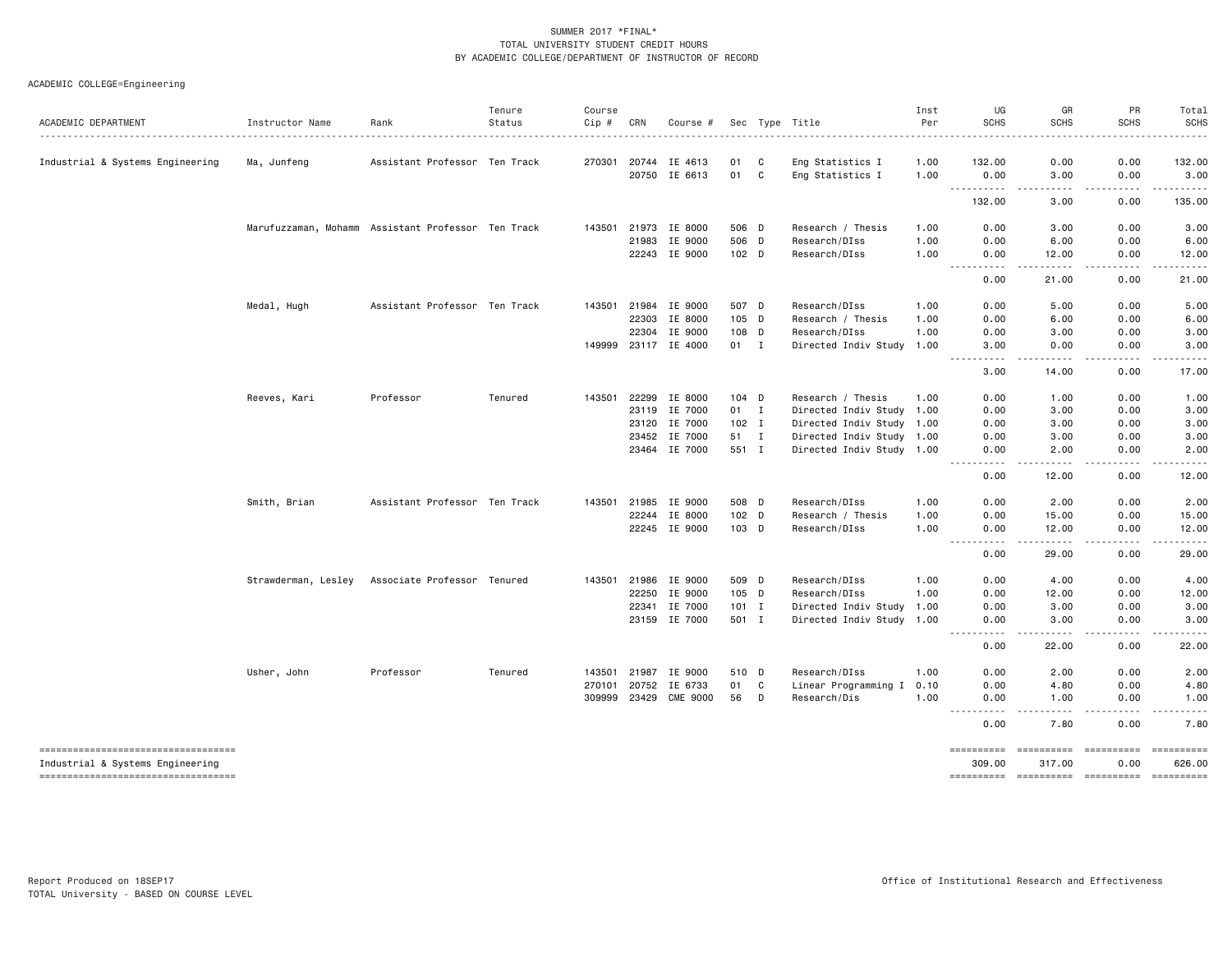| ACADEMIC DEPARTMENT                                                    | Instructor Name     | Rank                                               | Tenure<br>Status | Course<br>$Cip$ # | CRN          | Course #             |                  |   | Sec Type Title            | Inst<br>Per | UG<br><b>SCHS</b>                                                                                                                      | GR<br><b>SCHS</b>                                                                                                                                                                                                                                                                                                                                                                                                                      | PR<br><b>SCHS</b>   | Total<br><b>SCHS</b>                                                                                                                                                                                                                                                                                                                                                                                                                                                                             |
|------------------------------------------------------------------------|---------------------|----------------------------------------------------|------------------|-------------------|--------------|----------------------|------------------|---|---------------------------|-------------|----------------------------------------------------------------------------------------------------------------------------------------|----------------------------------------------------------------------------------------------------------------------------------------------------------------------------------------------------------------------------------------------------------------------------------------------------------------------------------------------------------------------------------------------------------------------------------------|---------------------|--------------------------------------------------------------------------------------------------------------------------------------------------------------------------------------------------------------------------------------------------------------------------------------------------------------------------------------------------------------------------------------------------------------------------------------------------------------------------------------------------|
|                                                                        | .                   |                                                    |                  |                   |              |                      |                  |   |                           |             |                                                                                                                                        |                                                                                                                                                                                                                                                                                                                                                                                                                                        |                     | .                                                                                                                                                                                                                                                                                                                                                                                                                                                                                                |
| Industrial & Systems Engineering                                       | Ma, Junfeng         | Assistant Professor Ten Track                      |                  |                   | 270301 20744 | IE 4613              | 01               | C | Eng Statistics I          | 1.00        | 132,00                                                                                                                                 | 0.00                                                                                                                                                                                                                                                                                                                                                                                                                                   | 0.00                | 132.00                                                                                                                                                                                                                                                                                                                                                                                                                                                                                           |
|                                                                        |                     |                                                    |                  |                   |              | 20750 IE 6613        | 01               | C | Eng Statistics I          | 1.00        | 0.00<br>----------                                                                                                                     | 3.00<br>.                                                                                                                                                                                                                                                                                                                                                                                                                              | 0.00<br>$- - - - -$ | 3.00<br>.                                                                                                                                                                                                                                                                                                                                                                                                                                                                                        |
|                                                                        |                     |                                                    |                  |                   |              |                      |                  |   |                           |             | 132.00                                                                                                                                 | 3.00                                                                                                                                                                                                                                                                                                                                                                                                                                   | 0.00                | 135.00                                                                                                                                                                                                                                                                                                                                                                                                                                                                                           |
|                                                                        |                     | Marufuzzaman, Mohamm Assistant Professor Ten Track |                  | 143501            | 21973        | IE 8000              | 506 D            |   | Research / Thesis         | 1.00        | 0.00                                                                                                                                   | 3.00                                                                                                                                                                                                                                                                                                                                                                                                                                   | 0.00                | 3.00                                                                                                                                                                                                                                                                                                                                                                                                                                                                                             |
|                                                                        |                     |                                                    |                  |                   | 21983        | IE 9000              | 506 D            |   | Research/DIss             | 1.00        | 0.00                                                                                                                                   | 6.00                                                                                                                                                                                                                                                                                                                                                                                                                                   | 0.00                | 6.00                                                                                                                                                                                                                                                                                                                                                                                                                                                                                             |
|                                                                        |                     |                                                    |                  |                   |              | 22243 IE 9000        | 102 <sub>D</sub> |   | Research/DIss             | 1.00        | 0.00<br>$\sim$ $\sim$ $\sim$<br>.                                                                                                      | 12.00<br>$\frac{1}{2} \left( \frac{1}{2} \right) \left( \frac{1}{2} \right) \left( \frac{1}{2} \right) \left( \frac{1}{2} \right) \left( \frac{1}{2} \right)$                                                                                                                                                                                                                                                                          | 0.00                | 12.00                                                                                                                                                                                                                                                                                                                                                                                                                                                                                            |
|                                                                        |                     |                                                    |                  |                   |              |                      |                  |   |                           |             | 0.00                                                                                                                                   | 21.00                                                                                                                                                                                                                                                                                                                                                                                                                                  | 0.00                | 21.00                                                                                                                                                                                                                                                                                                                                                                                                                                                                                            |
|                                                                        | Medal, Hugh         | Assistant Professor Ten Track                      |                  | 143501            | 21984        | IE 9000              | 507 D            |   | Research/DIss             | 1.00        | 0.00                                                                                                                                   | 5.00                                                                                                                                                                                                                                                                                                                                                                                                                                   | 0.00                | 5.00                                                                                                                                                                                                                                                                                                                                                                                                                                                                                             |
|                                                                        |                     |                                                    |                  |                   | 22303        | IE 8000              | $105$ D          |   | Research / Thesis         | 1.00        | 0.00                                                                                                                                   | 6.00                                                                                                                                                                                                                                                                                                                                                                                                                                   | 0.00                | 6.00                                                                                                                                                                                                                                                                                                                                                                                                                                                                                             |
|                                                                        |                     |                                                    |                  |                   | 22304        | IE 9000              | 108 D            |   | Research/DIss             | 1.00        | 0.00                                                                                                                                   | 3.00                                                                                                                                                                                                                                                                                                                                                                                                                                   | 0.00                | 3.00                                                                                                                                                                                                                                                                                                                                                                                                                                                                                             |
|                                                                        |                     |                                                    |                  |                   |              | 149999 23117 IE 4000 | 01 I             |   | Directed Indiv Study 1.00 |             | 3.00                                                                                                                                   | 0.00                                                                                                                                                                                                                                                                                                                                                                                                                                   | 0.00                | 3.00                                                                                                                                                                                                                                                                                                                                                                                                                                                                                             |
|                                                                        |                     |                                                    |                  |                   |              |                      |                  |   |                           |             | .<br>3.00                                                                                                                              | -----<br>14.00                                                                                                                                                                                                                                                                                                                                                                                                                         | .<br>0.00           | . <b>.</b> .<br>17.00                                                                                                                                                                                                                                                                                                                                                                                                                                                                            |
|                                                                        | Reeves, Kari        | Professor                                          | Tenured          | 143501            | 22299        | IE 8000              | $104$ D          |   | Research / Thesis         | 1.00        | 0.00                                                                                                                                   | 1.00                                                                                                                                                                                                                                                                                                                                                                                                                                   | 0.00                | 1.00                                                                                                                                                                                                                                                                                                                                                                                                                                                                                             |
|                                                                        |                     |                                                    |                  |                   | 23119        | IE 7000              | 01 I             |   | Directed Indiv Study 1.00 |             | 0.00                                                                                                                                   | 3.00                                                                                                                                                                                                                                                                                                                                                                                                                                   | 0.00                | 3.00                                                                                                                                                                                                                                                                                                                                                                                                                                                                                             |
|                                                                        |                     |                                                    |                  |                   | 23120        | IE 7000              | $102$ I          |   | Directed Indiv Study 1.00 |             | 0.00                                                                                                                                   | 3.00                                                                                                                                                                                                                                                                                                                                                                                                                                   | 0.00                | 3.00                                                                                                                                                                                                                                                                                                                                                                                                                                                                                             |
|                                                                        |                     |                                                    |                  |                   |              | 23452 IE 7000        | 51 I             |   | Directed Indiv Study 1.00 |             | 0.00                                                                                                                                   | 3.00                                                                                                                                                                                                                                                                                                                                                                                                                                   | 0.00                | 3.00                                                                                                                                                                                                                                                                                                                                                                                                                                                                                             |
|                                                                        |                     |                                                    |                  |                   |              | 23464 IE 7000        | 551 I            |   | Directed Indiv Study 1.00 |             | 0.00                                                                                                                                   | 2.00                                                                                                                                                                                                                                                                                                                                                                                                                                   | 0.00                | 2.00                                                                                                                                                                                                                                                                                                                                                                                                                                                                                             |
|                                                                        |                     |                                                    |                  |                   |              |                      |                  |   |                           |             | ----------<br>0.00                                                                                                                     | .<br>12.00                                                                                                                                                                                                                                                                                                                                                                                                                             | .<br>0.00           | .<br>12.00                                                                                                                                                                                                                                                                                                                                                                                                                                                                                       |
|                                                                        | Smith, Brian        | Assistant Professor Ten Track                      |                  | 143501            | 21985        | IE 9000              | 508 D            |   | Research/DIss             | 1.00        | 0.00                                                                                                                                   | 2.00                                                                                                                                                                                                                                                                                                                                                                                                                                   | 0.00                | 2.00                                                                                                                                                                                                                                                                                                                                                                                                                                                                                             |
|                                                                        |                     |                                                    |                  |                   | 22244        | IE 8000              | 102 <sub>D</sub> |   | Research / Thesis         | 1.00        | 0.00                                                                                                                                   | 15.00                                                                                                                                                                                                                                                                                                                                                                                                                                  | 0.00                | 15.00                                                                                                                                                                                                                                                                                                                                                                                                                                                                                            |
|                                                                        |                     |                                                    |                  |                   |              | 22245 IE 9000        | 103 D            |   | Research/DIss             | 1.00        | 0.00                                                                                                                                   | 12.00                                                                                                                                                                                                                                                                                                                                                                                                                                  | 0.00                | 12.00                                                                                                                                                                                                                                                                                                                                                                                                                                                                                            |
|                                                                        |                     |                                                    |                  |                   |              |                      |                  |   |                           |             | .<br>0.00                                                                                                                              | 29.00                                                                                                                                                                                                                                                                                                                                                                                                                                  | 0.00                | 29.00                                                                                                                                                                                                                                                                                                                                                                                                                                                                                            |
|                                                                        | Strawderman, Lesley | Associate Professor Tenured                        |                  | 143501            | 21986        | IE 9000              | 509 D            |   | Research/DIss             | 1.00        | 0.00                                                                                                                                   | 4.00                                                                                                                                                                                                                                                                                                                                                                                                                                   | 0.00                | 4.00                                                                                                                                                                                                                                                                                                                                                                                                                                                                                             |
|                                                                        |                     |                                                    |                  |                   | 22250        | IE 9000              | 105 D            |   | Research/DIss             | 1.00        | 0.00                                                                                                                                   | 12.00                                                                                                                                                                                                                                                                                                                                                                                                                                  | 0.00                | 12.00                                                                                                                                                                                                                                                                                                                                                                                                                                                                                            |
|                                                                        |                     |                                                    |                  |                   | 22341        | IE 7000              | $101$ I          |   | Directed Indiv Study 1.00 |             | 0.00                                                                                                                                   | 3.00                                                                                                                                                                                                                                                                                                                                                                                                                                   | 0.00                | 3.00                                                                                                                                                                                                                                                                                                                                                                                                                                                                                             |
|                                                                        |                     |                                                    |                  |                   |              | 23159 IE 7000        | 501 I            |   | Directed Indiv Study 1.00 |             | 0.00                                                                                                                                   | 3.00                                                                                                                                                                                                                                                                                                                                                                                                                                   | 0.00                | 3.00                                                                                                                                                                                                                                                                                                                                                                                                                                                                                             |
|                                                                        |                     |                                                    |                  |                   |              |                      |                  |   |                           |             | 0.00                                                                                                                                   | 22.00                                                                                                                                                                                                                                                                                                                                                                                                                                  | 0.00                | 22.00                                                                                                                                                                                                                                                                                                                                                                                                                                                                                            |
|                                                                        | Usher, John         | Professor                                          | Tenured          | 143501            | 21987        | IE 9000              | 510 D            |   | Research/DIss             | 1.00        | 0.00                                                                                                                                   | 2.00                                                                                                                                                                                                                                                                                                                                                                                                                                   | 0.00                | 2.00                                                                                                                                                                                                                                                                                                                                                                                                                                                                                             |
|                                                                        |                     |                                                    |                  | 270101            | 20752        | IE 6733              | 01               | C | Linear Programming I 0.10 |             | 0.00                                                                                                                                   | 4.80                                                                                                                                                                                                                                                                                                                                                                                                                                   | 0.00                | 4.80                                                                                                                                                                                                                                                                                                                                                                                                                                                                                             |
|                                                                        |                     |                                                    |                  | 309999            | 23429        | <b>CME 9000</b>      | 56               | D | Research/Dis              | 1.00        | 0.00                                                                                                                                   | 1.00                                                                                                                                                                                                                                                                                                                                                                                                                                   | 0.00                | 1.00                                                                                                                                                                                                                                                                                                                                                                                                                                                                                             |
|                                                                        |                     |                                                    |                  |                   |              |                      |                  |   |                           |             | .<br>$\frac{1}{2} \left( \frac{1}{2} \right) \left( \frac{1}{2} \right) \left( \frac{1}{2} \right) \left( \frac{1}{2} \right)$<br>0.00 | 7.80                                                                                                                                                                                                                                                                                                                                                                                                                                   | 0.00                | 7.80                                                                                                                                                                                                                                                                                                                                                                                                                                                                                             |
| ======================================                                 |                     |                                                    |                  |                   |              |                      |                  |   |                           |             | ==========                                                                                                                             | ==========                                                                                                                                                                                                                                                                                                                                                                                                                             | ==========          | <b>Expressed</b>                                                                                                                                                                                                                                                                                                                                                                                                                                                                                 |
| Industrial & Systems Engineering<br>---------------------------------- |                     |                                                    |                  |                   |              |                      |                  |   |                           |             | 309.00<br>==========                                                                                                                   | 317.00<br>$\begin{minipage}{0.9\linewidth} \hspace*{-0.2cm} \textbf{1} & \textbf{2} & \textbf{3} & \textbf{5} & \textbf{6} & \textbf{7} \\ \textbf{5} & \textbf{6} & \textbf{7} & \textbf{8} & \textbf{8} & \textbf{9} & \textbf{10} \\ \textbf{6} & \textbf{8} & \textbf{8} & \textbf{8} & \textbf{9} & \textbf{10} & \textbf{10} \\ \textbf{7} & \textbf{9} & \textbf{10} & \textbf{10} & \textbf{10} & \textbf{10} & \textbf{10} &$ | 0.00<br>==========  | 626.00<br>$\begin{array}{cccccccccc} \multicolumn{2}{c}{} & \multicolumn{2}{c}{} & \multicolumn{2}{c}{} & \multicolumn{2}{c}{} & \multicolumn{2}{c}{} & \multicolumn{2}{c}{} & \multicolumn{2}{c}{} & \multicolumn{2}{c}{} & \multicolumn{2}{c}{} & \multicolumn{2}{c}{} & \multicolumn{2}{c}{} & \multicolumn{2}{c}{} & \multicolumn{2}{c}{} & \multicolumn{2}{c}{} & \multicolumn{2}{c}{} & \multicolumn{2}{c}{} & \multicolumn{2}{c}{} & \multicolumn{2}{c}{} & \multicolumn{2}{c}{} & \mult$ |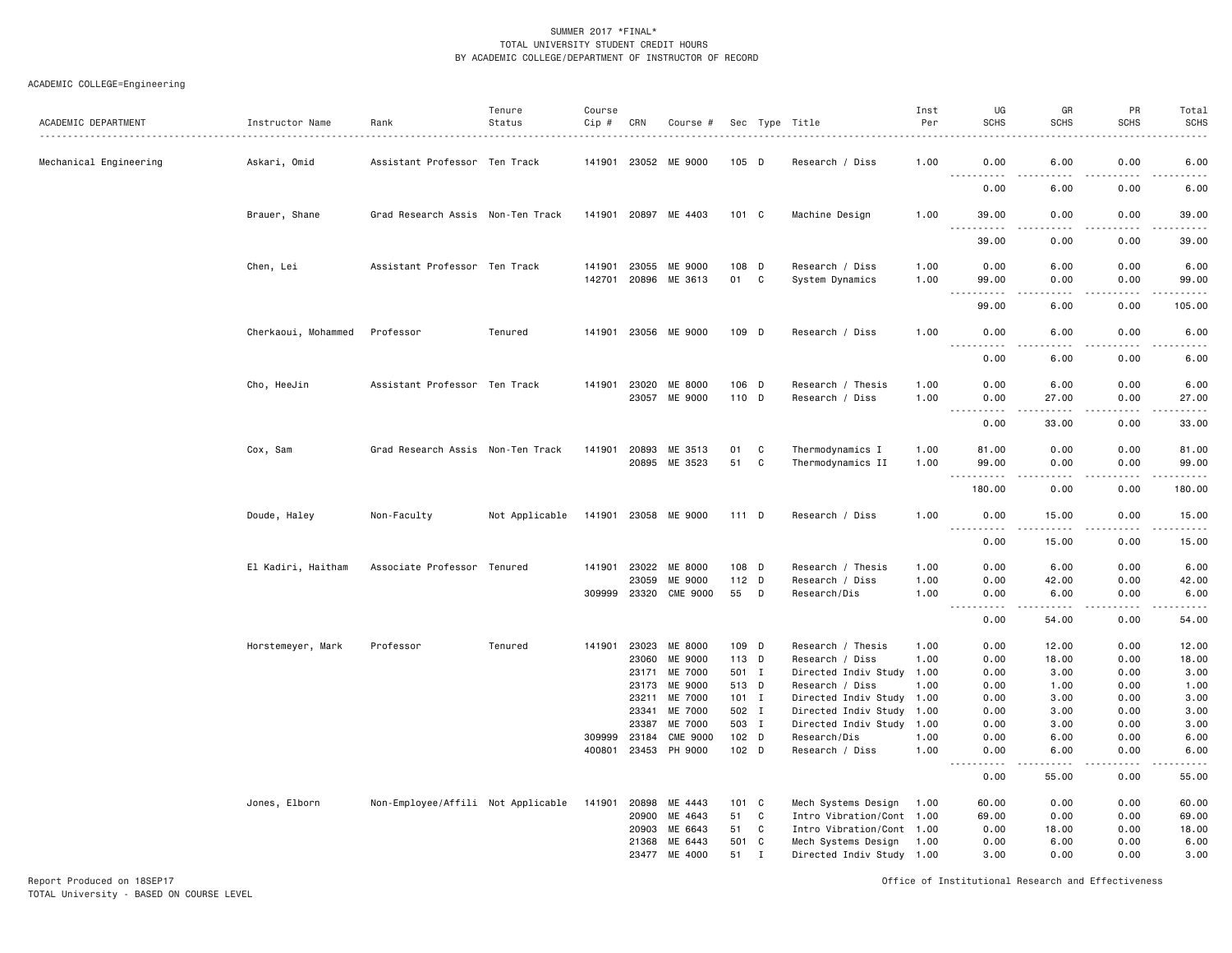# ACADEMIC COLLEGE=Engineering

| ACADEMIC DEPARTMENT    | Instructor Name     | Rank                               | Tenure<br>Status | Course<br>Cip # | CRN            | Course #                   |                |             | Sec Type Title                          | Inst<br>Per<br>. | UG<br><b>SCHS</b>                                                                                                                                            | GR<br><b>SCHS</b>  | PR<br><b>SCHS</b> | Total<br><b>SCHS</b><br>.                                                                                                                                     |
|------------------------|---------------------|------------------------------------|------------------|-----------------|----------------|----------------------------|----------------|-------------|-----------------------------------------|------------------|--------------------------------------------------------------------------------------------------------------------------------------------------------------|--------------------|-------------------|---------------------------------------------------------------------------------------------------------------------------------------------------------------|
| Mechanical Engineering | Askari, Omid        | Assistant Professor Ten Track      |                  |                 |                | 141901 23052 ME 9000       | $105$ D        |             | Research / Diss                         | 1.00             | 0.00                                                                                                                                                         | 6.00               | 0.00              | 6.00<br>-----                                                                                                                                                 |
|                        |                     |                                    |                  |                 |                |                            |                |             |                                         |                  | 0.00                                                                                                                                                         | 6.00               | 0.00              | 6.00                                                                                                                                                          |
|                        | Brauer, Shane       | Grad Research Assis Non-Ten Track  |                  | 141901          |                | 20897 ME 4403              | 101 C          |             | Machine Design                          | 1.00             | 39.00                                                                                                                                                        | 0.00               | 0.00              | 39.00<br>$\frac{1}{2} \left( \frac{1}{2} \right) \left( \frac{1}{2} \right) \left( \frac{1}{2} \right) \left( \frac{1}{2} \right) \left( \frac{1}{2} \right)$ |
|                        |                     |                                    |                  |                 |                |                            |                |             |                                         |                  | 39.00                                                                                                                                                        | 0.00               | 0.00              | 39.00                                                                                                                                                         |
|                        | Chen, Lei           | Assistant Professor Ten Track      |                  | 141901          | 23055          | ME 9000                    | 108 D          |             | Research / Diss                         | 1.00             | 0.00                                                                                                                                                         | 6.00               | 0.00              | 6.00                                                                                                                                                          |
|                        |                     |                                    |                  | 142701          | 20896          | ME 3613                    | 01             | C           | System Dynamics                         | 1.00             | 99.00<br>.                                                                                                                                                   | 0.00<br>$  -$      | 0.00<br>.         | 99.00<br>.                                                                                                                                                    |
|                        |                     |                                    |                  |                 |                |                            |                |             |                                         |                  | 99.00                                                                                                                                                        | 6.00               | 0.00              | 105.00                                                                                                                                                        |
|                        | Cherkaoui, Mohammed | Professor                          | Tenured          | 141901          |                | 23056 ME 9000              | 109 D          |             | Research / Diss                         | 1.00             | 0.00<br>$\frac{1}{2} \left( \frac{1}{2} \right) \left( \frac{1}{2} \right) \left( \frac{1}{2} \right) \left( \frac{1}{2} \right) \left( \frac{1}{2} \right)$ | 6.00<br>.          | 0.00<br>.         | 6.00<br>$\frac{1}{2} \left( \frac{1}{2} \right) \left( \frac{1}{2} \right) \left( \frac{1}{2} \right) \left( \frac{1}{2} \right) \left( \frac{1}{2} \right)$  |
|                        |                     |                                    |                  |                 |                |                            |                |             |                                         |                  | 0.00                                                                                                                                                         | 6.00               | 0.00              | 6.00                                                                                                                                                          |
|                        | Cho, HeeJin         | Assistant Professor Ten Track      |                  | 141901          | 23020          | ME 8000                    | 106 D          |             | Research / Thesis                       | 1.00             | 0.00                                                                                                                                                         | 6.00               | 0.00              | 6.00                                                                                                                                                          |
|                        |                     |                                    |                  |                 | 23057          | ME 9000                    | 110 D          |             | Research / Diss                         | 1.00             | 0.00<br>$\omega_{\rm{c}}$ and $\omega_{\rm{c}}$<br>22222                                                                                                     | 27.00<br>المتمالين | 0.00<br>.         | 27.00<br>.                                                                                                                                                    |
|                        |                     |                                    |                  |                 |                |                            |                |             |                                         |                  | 0.00                                                                                                                                                         | 33.00              | 0.00              | 33.00                                                                                                                                                         |
|                        | Cox, Sam            | Grad Research Assis Non-Ten Track  |                  | 141901          | 20893          | ME 3513                    | 01             | C           | Thermodynamics I                        | 1.00             | 81.00                                                                                                                                                        | 0.00               | 0.00              | 81.00                                                                                                                                                         |
|                        |                     |                                    |                  |                 | 20895          | ME 3523                    | 51             | C           | Thermodynamics II                       | 1.00             | 99.00<br>.                                                                                                                                                   | 0.00<br>.          | 0.00<br>.         | 99.00<br>.                                                                                                                                                    |
|                        |                     |                                    |                  |                 |                |                            |                |             |                                         |                  | 180.00                                                                                                                                                       | 0.00               | 0.00              | 180.00                                                                                                                                                        |
|                        | Doude, Haley        | Non-Faculty                        | Not Applicable   | 141901          |                | 23058 ME 9000              | 111D           |             | Research / Diss                         | 1.00             | 0.00<br>.                                                                                                                                                    | 15.00<br>د د د د د | 0.00<br>.         | 15.00<br>.                                                                                                                                                    |
|                        |                     |                                    |                  |                 |                |                            |                |             |                                         |                  | 0.00                                                                                                                                                         | 15.00              | 0.00              | 15.00                                                                                                                                                         |
|                        | El Kadiri, Haitham  | Associate Professor Tenured        |                  | 141901          | 23022          | ME 8000                    | 108 D          |             | Research / Thesis                       | 1.00             | 0.00                                                                                                                                                         | 6.00               | 0.00              | 6.00                                                                                                                                                          |
|                        |                     |                                    |                  | 309999          | 23059<br>23320 | ME 9000<br><b>CME 9000</b> | 112 D<br>55    | D           | Research / Diss<br>Research/Dis         | 1.00<br>1.00     | 0.00<br>0.00                                                                                                                                                 | 42.00<br>6.00      | 0.00<br>0.00      | 42.00<br>6.00                                                                                                                                                 |
|                        |                     |                                    |                  |                 |                |                            |                |             |                                         |                  | $\sim$ $\sim$ $\sim$<br>$\sim$ $\sim$ $\sim$ $\sim$<br>0.00                                                                                                  | 54.00              | .<br>0.00         | $\frac{1}{2} \left( \frac{1}{2} \right) \left( \frac{1}{2} \right) \left( \frac{1}{2} \right) \left( \frac{1}{2} \right) \left( \frac{1}{2} \right)$<br>54.00 |
|                        |                     |                                    |                  |                 |                |                            |                |             |                                         |                  |                                                                                                                                                              |                    |                   |                                                                                                                                                               |
|                        | Horstemeyer, Mark   | Professor                          | Tenured          | 141901          |                | 23023 ME 8000              | 109 D          |             | Research / Thesis                       | 1.00             | 0.00                                                                                                                                                         | 12.00              | 0.00              | 12.00                                                                                                                                                         |
|                        |                     |                                    |                  |                 | 23060<br>23171 | ME 9000<br>ME 7000         | 113 D<br>501 I |             | Research / Diss<br>Directed Indiv Study | 1.00<br>1.00     | 0.00                                                                                                                                                         | 18.00<br>3.00      | 0.00<br>0.00      | 18.00<br>3.00                                                                                                                                                 |
|                        |                     |                                    |                  |                 | 23173          | ME 9000                    | 513 D          |             | Research / Diss                         | 1.00             | 0.00<br>0.00                                                                                                                                                 | 1.00               | 0.00              | 1.00                                                                                                                                                          |
|                        |                     |                                    |                  |                 | 23211          | ME 7000                    | $101$ I        |             | Directed Indiv Study 1.00               |                  | 0.00                                                                                                                                                         | 3.00               | 0.00              | 3.00                                                                                                                                                          |
|                        |                     |                                    |                  |                 | 23341          | ME 7000                    | 502 I          |             | Directed Indiv Study                    | 1.00             | 0.00                                                                                                                                                         | 3.00               | 0.00              | 3.00                                                                                                                                                          |
|                        |                     |                                    |                  |                 | 23387          | ME 7000                    | 503 I          |             | Directed Indiv Study 1.00               |                  | 0.00                                                                                                                                                         | 3.00               | 0.00              | 3.00                                                                                                                                                          |
|                        |                     |                                    |                  | 309999          | 23184          | <b>CME 9000</b>            | 102 D          |             | Research/Dis                            | 1.00             | 0.00                                                                                                                                                         | 6.00               | 0.00              | 6.00                                                                                                                                                          |
|                        |                     |                                    |                  | 400801          | 23453          | PH 9000                    | 102 D          |             | Research / Diss                         | 1.00             | 0.00<br>.                                                                                                                                                    | 6.00<br>.          | 0.00<br>.         | 6.00<br>$- - - - -$                                                                                                                                           |
|                        |                     |                                    |                  |                 |                |                            |                |             |                                         |                  | 0.00                                                                                                                                                         | 55.00              | 0.00              | 55.00                                                                                                                                                         |
|                        | Jones, Elborn       | Non-Employee/Affili Not Applicable |                  | 141901          | 20898          | ME 4443                    | 101 C          |             | Mech Systems Design                     | 1.00             | 60.00                                                                                                                                                        | 0.00               | 0.00              | 60.00                                                                                                                                                         |
|                        |                     |                                    |                  |                 | 20900          | ME 4643                    | 51             | C           | Intro Vibration/Cont 1.00               |                  | 69.00                                                                                                                                                        | 0.00               | 0.00              | 69.00                                                                                                                                                         |
|                        |                     |                                    |                  |                 | 20903          | ME 6643                    | 51             | C           | Intro Vibration/Cont 1.00               |                  | 0.00                                                                                                                                                         | 18.00              | 0.00              | 18.00                                                                                                                                                         |
|                        |                     |                                    |                  |                 | 21368          | ME 6443                    | 501            | C           | Mech Systems Design                     | 1.00             | 0.00                                                                                                                                                         | 6.00               | 0.00              | 6.00                                                                                                                                                          |
|                        |                     |                                    |                  |                 | 23477          | ME 4000                    | 51             | $\mathbf I$ | Directed Indiv Study 1.00               |                  | 3.00                                                                                                                                                         | 0.00               | 0.00              | 3.00                                                                                                                                                          |

Report Produced on 18SEP17 Office of Institutional Research and Effectiveness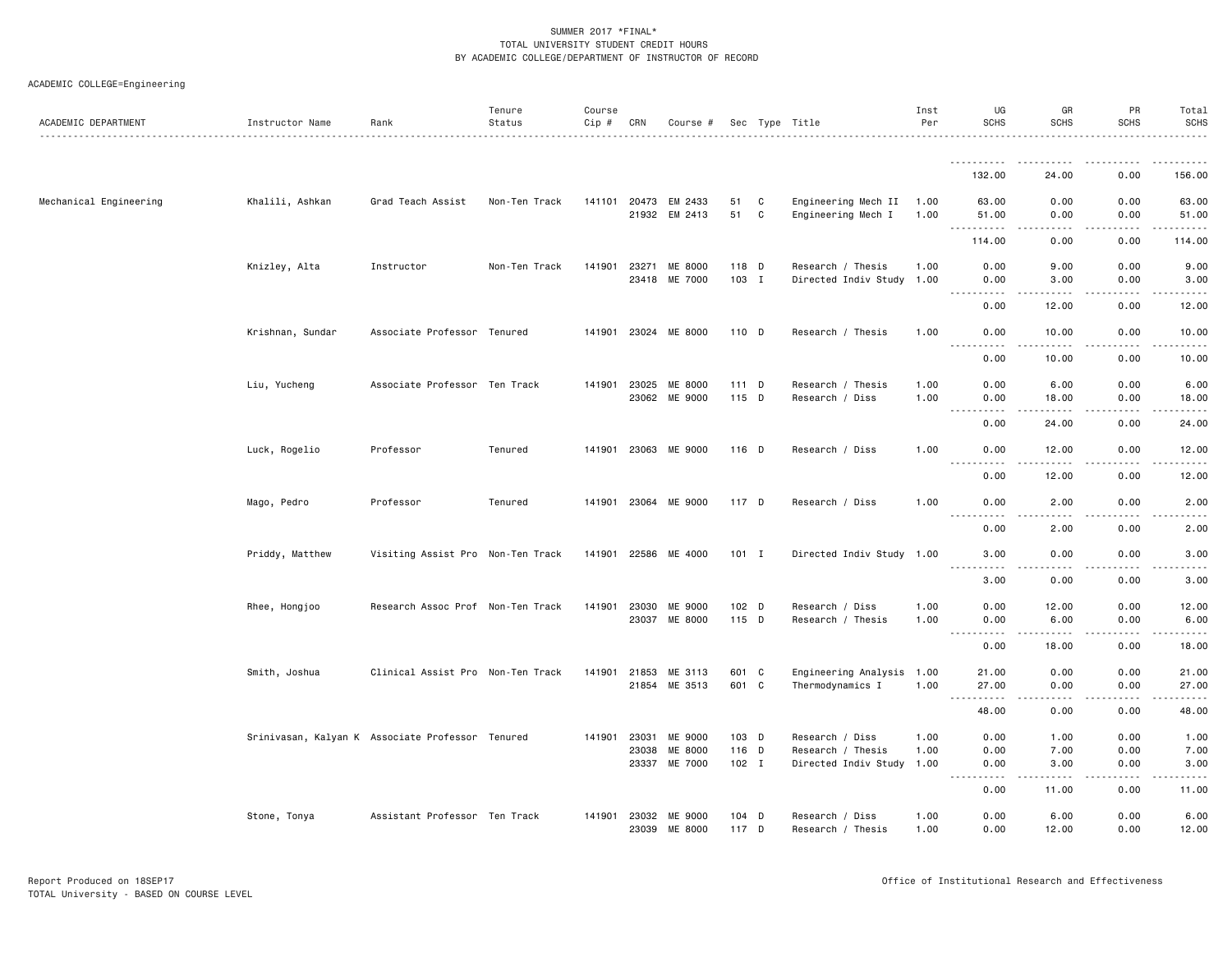|                        |                  |                                                  | Tenure        | Course |                       |                           |                |   |                                      | Inst         | UG                                                                                                                                                                    | GR                                          | <b>PR</b>    | Total                                                                                                                             |
|------------------------|------------------|--------------------------------------------------|---------------|--------|-----------------------|---------------------------|----------------|---|--------------------------------------|--------------|-----------------------------------------------------------------------------------------------------------------------------------------------------------------------|---------------------------------------------|--------------|-----------------------------------------------------------------------------------------------------------------------------------|
| ACADEMIC DEPARTMENT    | Instructor Name  | Rank                                             | Status        | Cip #  | CRN                   | Course #                  |                |   | Sec Type Title                       | Per          | <b>SCHS</b>                                                                                                                                                           | <b>SCHS</b>                                 | <b>SCHS</b>  | <b>SCHS</b>                                                                                                                       |
|                        |                  |                                                  |               |        |                       |                           |                |   |                                      |              | 132.00                                                                                                                                                                | 24.00                                       | 0.00         | 156.00                                                                                                                            |
| Mechanical Engineering | Khalili, Ashkan  | Grad Teach Assist                                | Non-Ten Track | 141101 | 20473                 | EM 2433                   | 51             | C | Engineering Mech II                  | 1.00         | 63.00                                                                                                                                                                 | 0.00                                        | 0.00         | 63.00                                                                                                                             |
|                        |                  |                                                  |               |        |                       | 21932 EM 2413             | 51             | C | Engineering Mech I                   | 1.00         | 51.00<br>.                                                                                                                                                            | 0.00                                        | 0.00         | 51.00<br>.                                                                                                                        |
|                        |                  |                                                  |               |        |                       |                           |                |   |                                      |              | 114.00                                                                                                                                                                | 0.00                                        | 0.00         | 114.00                                                                                                                            |
|                        | Knizley, Alta    | Instructor                                       | Non-Ten Track | 141901 | 23271                 | ME 8000                   | 118 D          |   | Research / Thesis                    | 1.00         | 0.00                                                                                                                                                                  | 9.00                                        | 0.00         | 9.00                                                                                                                              |
|                        |                  |                                                  |               |        | 23418                 | ME 7000                   | 103 I          |   | Directed Indiv Study                 | 1.00         | 0.00<br>-----<br>.                                                                                                                                                    | 3.00<br>د د د د                             | 0.00<br>.    | 3.00<br>$    -$                                                                                                                   |
|                        |                  |                                                  |               |        |                       |                           |                |   |                                      |              | 0.00                                                                                                                                                                  | 12.00                                       | 0.00         | 12.00                                                                                                                             |
|                        | Krishnan, Sundar | Associate Professor Tenured                      |               |        |                       | 141901 23024 ME 8000      | 110 D          |   | Research / Thesis                    | 1.00         | 0.00<br>.                                                                                                                                                             | 10.00<br>$\sim$ $\sim$ $\sim$ $\sim$ $\sim$ | 0.00<br>.    | 10.00<br>.                                                                                                                        |
|                        |                  |                                                  |               |        |                       |                           |                |   |                                      |              | 0.00                                                                                                                                                                  | 10.00                                       | 0.00         | 10.00                                                                                                                             |
|                        | Liu, Yucheng     | Associate Professor Ten Track                    |               |        | 141901 23025          | ME 8000                   | 111 D          |   | Research / Thesis                    | 1.00         | 0.00                                                                                                                                                                  | 6.00                                        | 0.00         | 6.00                                                                                                                              |
|                        |                  |                                                  |               |        | 23062                 | ME 9000                   | 115 D          |   | Research / Diss                      | 1.00         | 0.00<br>.                                                                                                                                                             | 18.00<br>-----                              | 0.00<br>.    | 18.00<br>.                                                                                                                        |
|                        |                  |                                                  |               |        |                       |                           |                |   |                                      |              | 0.00                                                                                                                                                                  | 24.00                                       | 0.00         | 24.00                                                                                                                             |
|                        | Luck, Rogelio    | Professor                                        | Tenured       |        |                       | 141901 23063 ME 9000      | 116 D          |   | Research / Diss                      | 1.00         | 0.00<br><u>.</u>                                                                                                                                                      | 12.00                                       | 0.00         | 12.00                                                                                                                             |
|                        |                  |                                                  |               |        |                       |                           |                |   |                                      |              | 0.00                                                                                                                                                                  | 12.00                                       | 0.00         | 12.00                                                                                                                             |
|                        | Mago, Pedro      | Professor                                        | Tenured       |        |                       | 141901 23064 ME 9000      | 117 D          |   | Research / Diss                      | 1.00         | 0.00<br>$\sim$ $\sim$ $\sim$                                                                                                                                          | 2.00                                        | 0.00         | 2.00                                                                                                                              |
|                        |                  |                                                  |               |        |                       |                           |                |   |                                      |              | 0.00                                                                                                                                                                  | 2.00                                        | 0.00         | 2.00                                                                                                                              |
|                        | Priddy, Matthew  | Visiting Assist Pro Non-Ten Track                |               |        |                       | 141901 22586 ME 4000      | $101$ I        |   | Directed Indiv Study 1.00            |              | 3.00<br>$\frac{1}{2} \left( \frac{1}{2} \right) \left( \frac{1}{2} \right) \left( \frac{1}{2} \right) \left( \frac{1}{2} \right) \left( \frac{1}{2} \right)$<br>$  -$ | 0.00<br>$\sim$ $\sim$ $\sim$ $\sim$         | 0.00         | 3.00<br>$\frac{1}{2} \left( \frac{1}{2} \right) \left( \frac{1}{2} \right) \left( \frac{1}{2} \right) \left( \frac{1}{2} \right)$ |
|                        |                  |                                                  |               |        |                       |                           |                |   |                                      |              | 3.00                                                                                                                                                                  | 0.00                                        | 0.00         | 3.00                                                                                                                              |
|                        | Rhee, Hongjoo    | Research Assoc Prof Non-Ten Track                |               | 141901 | 23030                 | ME 9000                   | 102 D          |   | Research / Diss                      | 1.00         | 0.00                                                                                                                                                                  | 12.00                                       | 0.00         | 12.00                                                                                                                             |
|                        |                  |                                                  |               |        |                       | 23037 ME 8000             | 115 D          |   | Research / Thesis                    | 1.00         | 0.00<br>$ -$<br>.                                                                                                                                                     | 6.00<br>.                                   | 0.00<br>.    | 6.00<br>$    -$                                                                                                                   |
|                        |                  |                                                  |               |        |                       |                           |                |   |                                      |              | 0.00                                                                                                                                                                  | 18.00                                       | 0.00         | 18.00                                                                                                                             |
|                        | Smith, Joshua    | Clinical Assist Pro Non-Ten Track                |               | 141901 | 21853                 | ME 3113                   | 601 C          |   | Engineering Analysis 1.00            |              | 21.00                                                                                                                                                                 | 0.00                                        | 0.00         | 21.00                                                                                                                             |
|                        |                  |                                                  |               |        |                       | 21854 ME 3513             | 601 C          |   | Thermodynamics I                     | 1.00         | 27.00<br>$\sim$ $\sim$ $\sim$<br>.                                                                                                                                    | 0.00                                        | 0.00         | 27.00                                                                                                                             |
|                        |                  |                                                  |               |        |                       |                           |                |   |                                      |              | 48.00                                                                                                                                                                 | 0.00                                        | 0.00         | 48.00                                                                                                                             |
|                        |                  | Srinivasan, Kalyan K Associate Professor Tenured |               |        | 141901 23031<br>23038 | ME 9000<br><b>ME 8000</b> | 103 D<br>116 D |   | Research / Diss<br>Research / Thesis | 1.00<br>1.00 | 0.00<br>0.00                                                                                                                                                          | 1.00<br>7.00                                | 0.00<br>0.00 | 1.00<br>7.00                                                                                                                      |
|                        |                  |                                                  |               |        | 23337                 | ME 7000                   | $102$ I        |   | Directed Indiv Study                 | 1.00         | 0.00                                                                                                                                                                  | 3.00                                        | 0.00         | 3.00                                                                                                                              |
|                        |                  |                                                  |               |        |                       |                           |                |   |                                      |              | 0.00                                                                                                                                                                  | 11.00                                       | 0.00         | 11.00                                                                                                                             |
|                        | Stone, Tonya     | Assistant Professor Ten Track                    |               |        |                       | 141901 23032 ME 9000      | 104 D          |   | Research / Diss                      | 1.00         | 0.00                                                                                                                                                                  | 6.00                                        | 0.00         | 6.00                                                                                                                              |
|                        |                  |                                                  |               |        | 23039                 | ME 8000                   | 117 D          |   | Research / Thesis                    | 1.00         | 0.00                                                                                                                                                                  | 12.00                                       | 0.00         | 12.00                                                                                                                             |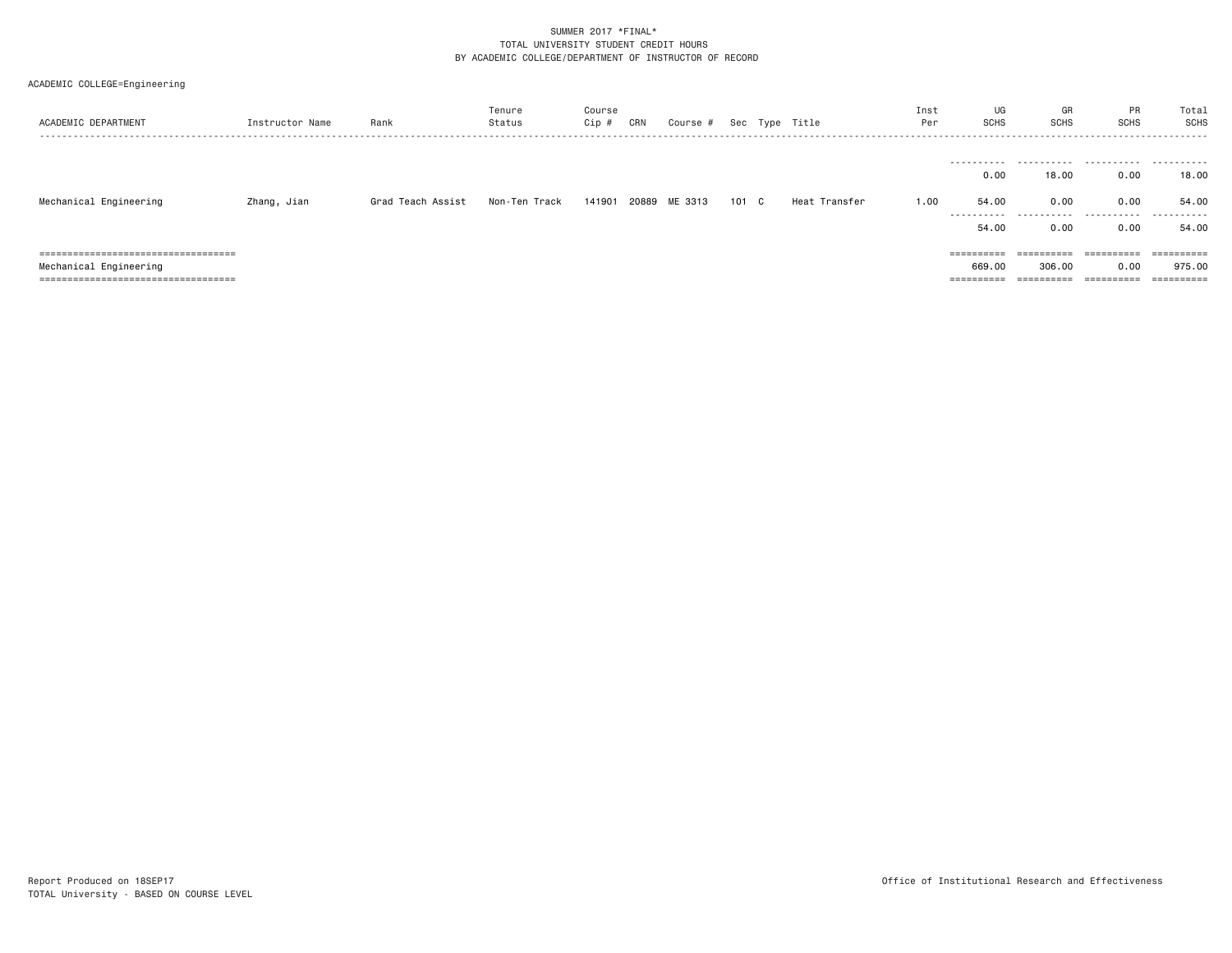|  | ACADEMIC COLLEGE=Engineering |  |
|--|------------------------------|--|
|--|------------------------------|--|

| ACADEMIC DEPARTMENT                    | Instructor Name | Rank              | Tenure<br>Status | Course<br>Cip # | CRN   | Course # |       | Sec Type Title | Inst<br>Per | UG<br><b>SCHS</b>    | GR<br><b>SCHS</b> | <b>PR</b><br><b>SCHS</b> | Total<br><b>SCHS</b> |
|----------------------------------------|-----------------|-------------------|------------------|-----------------|-------|----------|-------|----------------|-------------|----------------------|-------------------|--------------------------|----------------------|
|                                        |                 |                   |                  |                 |       |          |       |                |             |                      |                   |                          |                      |
|                                        |                 |                   |                  |                 |       |          |       |                |             | 0.00                 | 18,00             | 0.00                     | 18.00                |
| Mechanical Engineering                 | Zhang, Jian     | Grad Teach Assist | Non-Ten Track    | 141901          | 20889 | ME 3313  | 101 C | Heat Transfer  | 1.00        | 54.00                | 0.00              | 0.00                     | 54.00                |
|                                        |                 |                   |                  |                 |       |          |       |                |             | -----------<br>54.00 | .<br>0.00         | .<br>0.00                | .<br>54.00           |
| =====================================  |                 |                   |                  |                 |       |          |       |                |             |                      | ==========        | ==========               |                      |
| Mechanical Engineering                 |                 |                   |                  |                 |       |          |       |                |             | 669.00               | 306,00            | 0.00                     | 975.00               |
| ====================================== |                 |                   |                  |                 |       |          |       |                |             | ==========           | ==========        | ==========               |                      |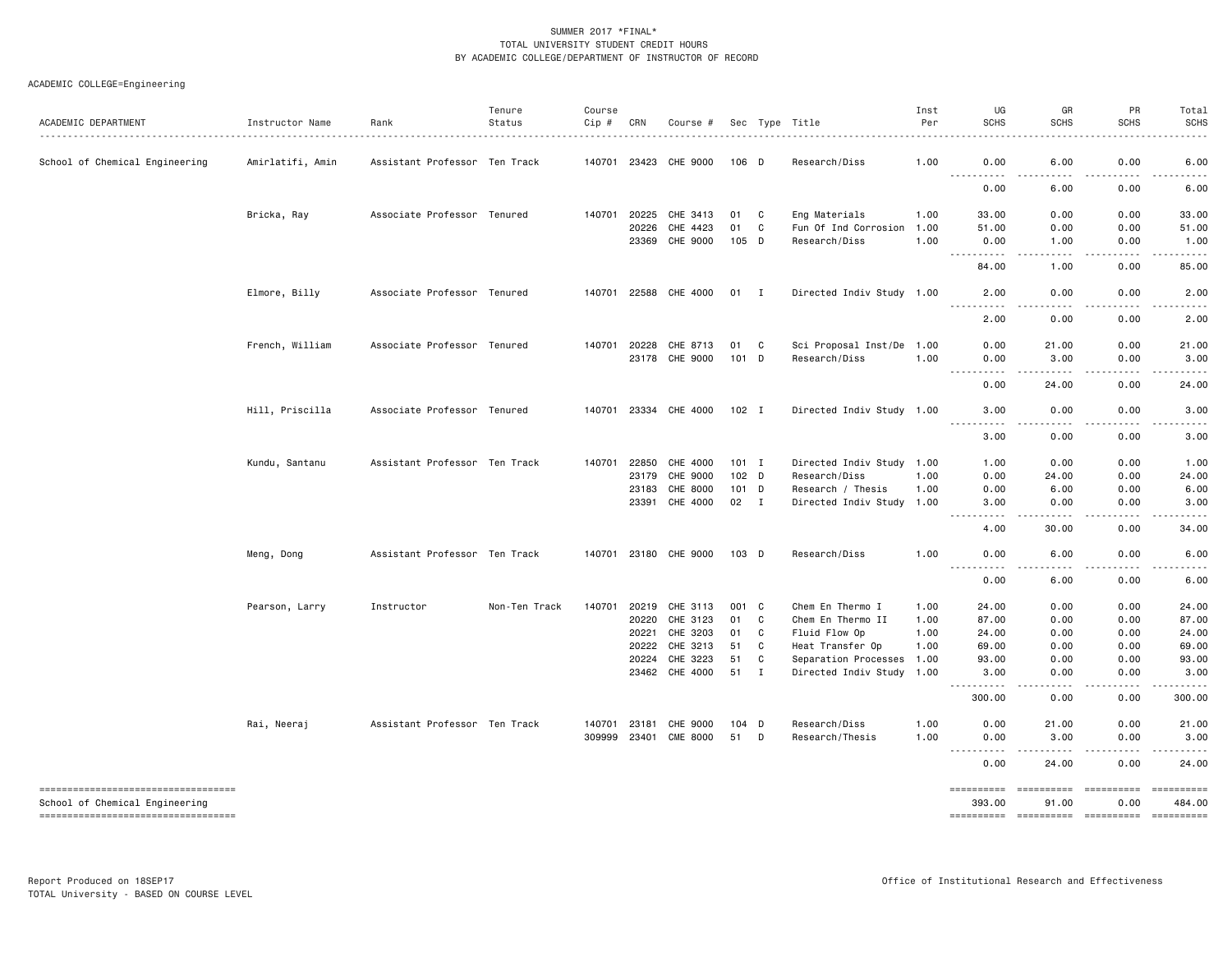| ACADEMIC DEPARTMENT                                                    | Instructor Name<br>. | Rank                          | Tenure<br>Status | Course<br>Cip # | CRN          | Course #              |                  |              | Sec Type Title            | Inst<br>Per | UG<br><b>SCHS</b>                                                                                                                 | GR<br><b>SCHS</b>                                                                                                                                             | PR<br><b>SCHS</b>                                                                                                                                            | Total<br>SCHS |
|------------------------------------------------------------------------|----------------------|-------------------------------|------------------|-----------------|--------------|-----------------------|------------------|--------------|---------------------------|-------------|-----------------------------------------------------------------------------------------------------------------------------------|---------------------------------------------------------------------------------------------------------------------------------------------------------------|--------------------------------------------------------------------------------------------------------------------------------------------------------------|---------------|
| School of Chemical Engineering                                         | Amirlatifi, Amin     | Assistant Professor Ten Track |                  |                 |              | 140701 23423 CHE 9000 | 106 D            |              | Research/Diss             | 1.00        | 0.00<br>$\sim$ $\sim$ $\sim$ $\sim$                                                                                               | 6.00<br>.                                                                                                                                                     | 0.00                                                                                                                                                         | 6.00          |
|                                                                        |                      |                               |                  |                 |              |                       |                  |              |                           |             | 0.00                                                                                                                              | 6.00                                                                                                                                                          | 0.00                                                                                                                                                         | 6.00          |
|                                                                        | Bricka, Ray          | Associate Professor Tenured   |                  |                 | 140701 20225 | CHE 3413              | 01               | C            | Eng Materials             | 1.00        | 33.00                                                                                                                             | 0.00                                                                                                                                                          | 0.00                                                                                                                                                         | 33.00         |
|                                                                        |                      |                               |                  |                 | 20226        | CHE 4423              | 01               | C            | Fun Of Ind Corrosion      | 1.00        | 51.00                                                                                                                             | 0.00                                                                                                                                                          | 0.00                                                                                                                                                         | 51.00         |
|                                                                        |                      |                               |                  |                 |              | 23369 CHE 9000        | 105 D            |              | Research/Diss             | 1.00        | 0.00<br>----------                                                                                                                | 1.00<br>.                                                                                                                                                     | 0.00<br>.                                                                                                                                                    | 1.00<br>.     |
|                                                                        |                      |                               |                  |                 |              |                       |                  |              |                           |             | 84.00                                                                                                                             | 1.00                                                                                                                                                          | 0.00                                                                                                                                                         | 85.00         |
|                                                                        | Elmore, Billy        | Associate Professor Tenured   |                  |                 | 140701 22588 | CHE 4000              | $01$ I           |              | Directed Indiv Study 1.00 |             | 2.00<br>.                                                                                                                         | 0.00                                                                                                                                                          | 0.00                                                                                                                                                         | 2.00          |
|                                                                        |                      |                               |                  |                 |              |                       |                  |              |                           |             | 2.00                                                                                                                              | 0.00                                                                                                                                                          | 0.00                                                                                                                                                         | 2.00          |
|                                                                        | French, William      | Associate Professor Tenured   |                  |                 | 140701 20228 | CHE 8713              | 01               | C.           | Sci Proposal Inst/De 1.00 |             | 0.00                                                                                                                              | 21.00                                                                                                                                                         | 0.00                                                                                                                                                         | 21.00         |
|                                                                        |                      |                               |                  |                 |              | 23178 CHE 9000        | $101$ D          |              | Research/Diss             | 1.00        | 0.00                                                                                                                              | 3.00                                                                                                                                                          | 0.00                                                                                                                                                         | 3.00          |
|                                                                        |                      |                               |                  |                 |              |                       |                  |              |                           |             | .<br>0.00                                                                                                                         | $\frac{1}{2} \left( \frac{1}{2} \right) \left( \frac{1}{2} \right) \left( \frac{1}{2} \right) \left( \frac{1}{2} \right) \left( \frac{1}{2} \right)$<br>24.00 | $\frac{1}{2} \left( \frac{1}{2} \right) \left( \frac{1}{2} \right) \left( \frac{1}{2} \right) \left( \frac{1}{2} \right) \left( \frac{1}{2} \right)$<br>0.00 | .<br>24.00    |
|                                                                        | Hill, Priscilla      | Associate Professor Tenured   |                  |                 |              | 140701 23334 CHE 4000 | $102$ I          |              | Directed Indiv Study 1.00 |             | 3.00                                                                                                                              | 0.00                                                                                                                                                          | 0.00                                                                                                                                                         | 3.00          |
|                                                                        |                      |                               |                  |                 |              |                       |                  |              |                           |             | .<br>3.00                                                                                                                         | 0.00                                                                                                                                                          | 0.00                                                                                                                                                         | 3.00          |
|                                                                        |                      |                               |                  |                 |              |                       |                  |              |                           |             |                                                                                                                                   |                                                                                                                                                               |                                                                                                                                                              |               |
|                                                                        | Kundu, Santanu       | Assistant Professor Ten Track |                  |                 | 140701 22850 | CHE 4000              | $101$ I          |              | Directed Indiv Study 1.00 |             | 1.00                                                                                                                              | 0.00                                                                                                                                                          | 0.00                                                                                                                                                         | 1.00          |
|                                                                        |                      |                               |                  |                 | 23179        | CHE 9000              | 102 <sub>D</sub> |              | Research/Diss             | 1.00        | 0.00                                                                                                                              | 24.00                                                                                                                                                         | 0.00                                                                                                                                                         | 24.00         |
|                                                                        |                      |                               |                  |                 | 23183        | CHE 8000              | $101$ D          |              | Research / Thesis         | 1.00        | 0.00                                                                                                                              | 6.00                                                                                                                                                          | 0.00                                                                                                                                                         | 6.00          |
|                                                                        |                      |                               |                  |                 | 23391        | CHE 4000              | 02 I             |              | Directed Indiv Study 1.00 |             | 3.00<br>$\frac{1}{2} \left( \frac{1}{2} \right) \left( \frac{1}{2} \right) \left( \frac{1}{2} \right) \left( \frac{1}{2} \right)$ | 0.00<br>.                                                                                                                                                     | 0.00<br>.                                                                                                                                                    | 3.00          |
|                                                                        |                      |                               |                  |                 |              |                       |                  |              |                           |             | 4.00                                                                                                                              | 30.00                                                                                                                                                         | 0.00                                                                                                                                                         | 34.00         |
|                                                                        | Meng, Dong           | Assistant Professor Ten Track |                  |                 |              | 140701 23180 CHE 9000 | $103$ D          |              | Research/Diss             | 1.00        | 0.00<br>.<br>$\frac{1}{2}$                                                                                                        | 6.00<br>.                                                                                                                                                     | 0.00<br>.                                                                                                                                                    | 6.00<br>.     |
|                                                                        |                      |                               |                  |                 |              |                       |                  |              |                           |             | 0.00                                                                                                                              | 6.00                                                                                                                                                          | 0.00                                                                                                                                                         | 6.00          |
|                                                                        | Pearson, Larry       | Instructor                    | Non-Ten Track    | 140701          | 20219        | CHE 3113              | 001              | $\mathbf{C}$ | Chem En Thermo I          | 1.00        | 24.00                                                                                                                             | 0.00                                                                                                                                                          | 0.00                                                                                                                                                         | 24.00         |
|                                                                        |                      |                               |                  |                 | 20220        | CHE 3123              | 01               | C            | Chem En Thermo II         | 1.00        | 87.00                                                                                                                             | 0.00                                                                                                                                                          | 0.00                                                                                                                                                         | 87.00         |
|                                                                        |                      |                               |                  |                 | 20221        | CHE 3203              | 01               | C            | Fluid Flow Op             | 1.00        | 24.00                                                                                                                             | 0.00                                                                                                                                                          | 0.00                                                                                                                                                         | 24.00         |
|                                                                        |                      |                               |                  |                 | 20222        | CHE 3213              | 51               | C            | Heat Transfer Op          | 1.00        | 69.00                                                                                                                             | 0.00                                                                                                                                                          | 0.00                                                                                                                                                         | 69.00         |
|                                                                        |                      |                               |                  |                 | 20224        | CHE 3223              | 51               | C            | Separation Processes 1.00 |             | 93.00                                                                                                                             | 0.00                                                                                                                                                          | 0.00                                                                                                                                                         | 93.00         |
|                                                                        |                      |                               |                  |                 | 23462        | CHE 4000              | 51               | Ι.           | Directed Indiv Study 1.00 |             | 3.00                                                                                                                              | 0.00                                                                                                                                                          | 0.00                                                                                                                                                         | 3.00          |
|                                                                        |                      |                               |                  |                 |              |                       |                  |              |                           |             | 300.00                                                                                                                            | 0.00                                                                                                                                                          | 0.00                                                                                                                                                         | 300.00        |
|                                                                        | Rai, Neeraj          | Assistant Professor Ten Track |                  |                 | 140701 23181 | CHE 9000              | 104 D            |              | Research/Diss             | 1.00        | 0.00                                                                                                                              | 21.00                                                                                                                                                         | 0.00                                                                                                                                                         | 21.00         |
|                                                                        |                      |                               |                  |                 |              | 309999 23401 CME 8000 | 51               | D            | Research/Thesis           | 1.00        | 0.00<br>.                                                                                                                         | 3.00<br>.                                                                                                                                                     | 0.00<br>.                                                                                                                                                    | 3.00<br>.     |
|                                                                        |                      |                               |                  |                 |              |                       |                  |              |                           |             | 0.00                                                                                                                              | 24.00                                                                                                                                                         | 0.00                                                                                                                                                         | 24.00         |
| -----------------------------------                                    |                      |                               |                  |                 |              |                       |                  |              |                           |             | ==========                                                                                                                        | ==========                                                                                                                                                    | ==========                                                                                                                                                   | ==========    |
| School of Chemical Engineering<br>------------------------------------ |                      |                               |                  |                 |              |                       |                  |              |                           |             | 393.00                                                                                                                            | 91.00                                                                                                                                                         | 0.00                                                                                                                                                         | 484.00        |
|                                                                        |                      |                               |                  |                 |              |                       |                  |              |                           |             |                                                                                                                                   |                                                                                                                                                               |                                                                                                                                                              |               |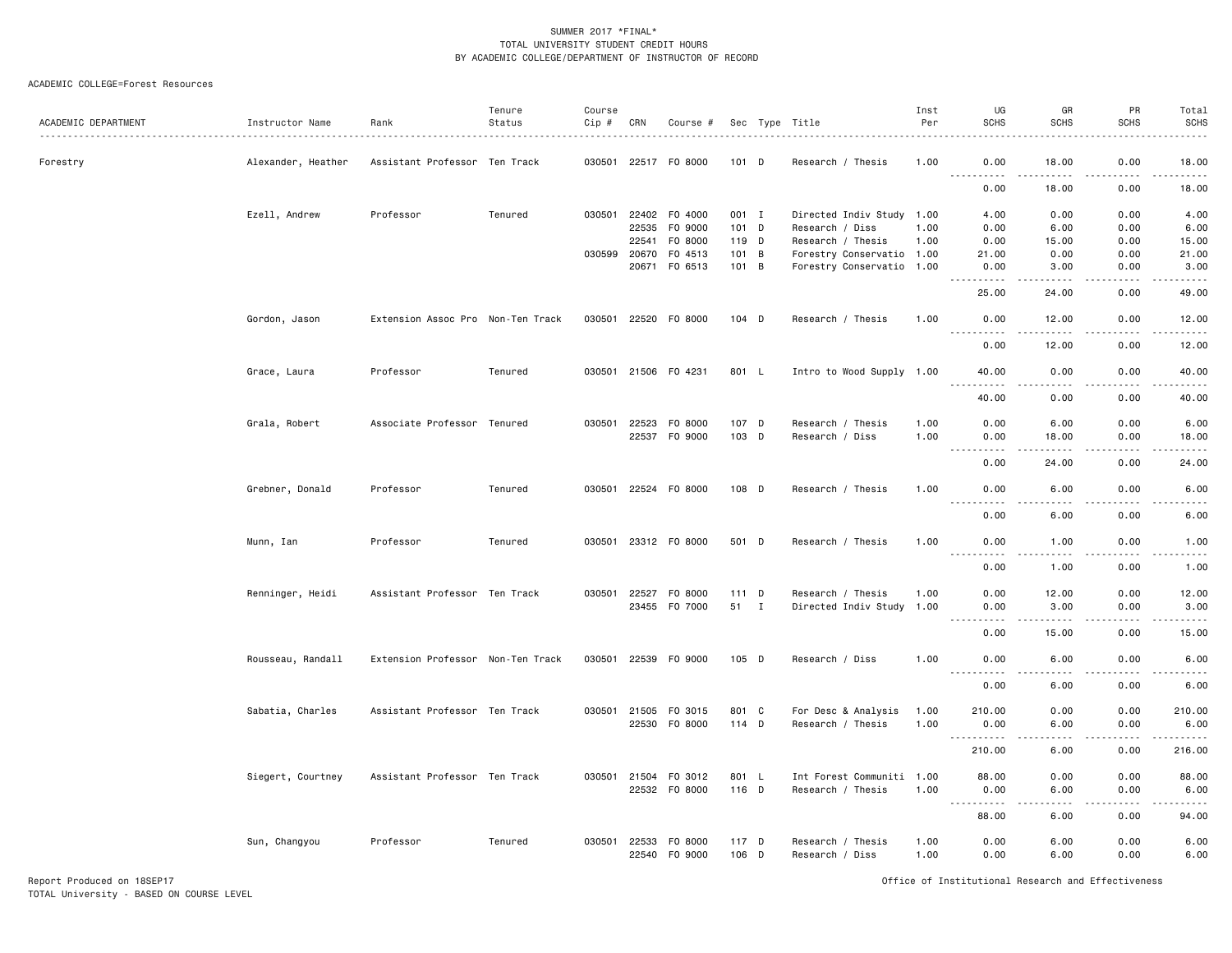#### ACADEMIC COLLEGE=Forest Resources

|                     |                    |                                   | Tenure  | Course       |                |                      |                |                                      | Inst         | UG                                    | GR                                                                                                                                                           | PR                | Total             |
|---------------------|--------------------|-----------------------------------|---------|--------------|----------------|----------------------|----------------|--------------------------------------|--------------|---------------------------------------|--------------------------------------------------------------------------------------------------------------------------------------------------------------|-------------------|-------------------|
| ACADEMIC DEPARTMENT | Instructor Name    | Rank                              | Status  | Cip #        | CRN            | Course #             |                | Sec Type Title                       | Per          | <b>SCHS</b>                           | <b>SCHS</b>                                                                                                                                                  | <b>SCHS</b>       | <b>SCHS</b>       |
| Forestry            | Alexander, Heather | Assistant Professor Ten Track     |         |              |                | 030501 22517 F0 8000 | $101$ D        | Research / Thesis                    | 1.00         | 0.00<br>$\sim$ $\sim$ $\sim$          | 18.00                                                                                                                                                        | 0.00<br>$- - - -$ | 18.00             |
|                     |                    |                                   |         |              |                |                      |                |                                      |              | 0.00                                  | 18.00                                                                                                                                                        | 0.00              | المستما<br>18.00  |
|                     | Ezell, Andrew      | Professor                         | Tenured | 030501       | 22402          | F0 4000              | 001 I          | Directed Indiv Study 1.00            |              | 4.00                                  | 0.00                                                                                                                                                         | 0.00              | 4.00              |
|                     |                    |                                   |         |              | 22535          | F0 9000              | 101 D          | Research / Diss                      | 1.00         | 0.00                                  | 6.00                                                                                                                                                         | 0.00              | 6.00              |
|                     |                    |                                   |         |              | 22541          | F0 8000              | 119 D          | Research / Thesis                    | 1.00         | 0.00                                  | 15.00                                                                                                                                                        | 0.00              | 15.00             |
|                     |                    |                                   |         | 030599       | 20670          | F0 4513              | 101 B          | Forestry Conservatio 1.00            |              | 21.00                                 | 0.00                                                                                                                                                         | 0.00              | 21.00             |
|                     |                    |                                   |         |              | 20671          | FO 6513              | 101 B          | Forestry Conservatio 1.00            |              | 0.00<br>.                             | 3.00<br>$\frac{1}{2} \left( \frac{1}{2} \right) \left( \frac{1}{2} \right) \left( \frac{1}{2} \right) \left( \frac{1}{2} \right) \left( \frac{1}{2} \right)$ | 0.00<br>.         | 3.00<br>د د د د د |
|                     |                    |                                   |         |              |                |                      |                |                                      |              | 25.00                                 | 24.00                                                                                                                                                        | 0.00              | 49.00             |
|                     | Gordon, Jason      | Extension Assoc Pro Non-Ten Track |         | 030501       | 22520          | F0 8000              | $104$ D        | Research / Thesis                    | 1.00         | 0.00<br>$\frac{1}{2}$<br>.            | 12.00<br><u>.</u>                                                                                                                                            | 0.00<br>.         | 12.00<br>.        |
|                     |                    |                                   |         |              |                |                      |                |                                      |              | 0.00                                  | 12.00                                                                                                                                                        | 0.00              | 12.00             |
|                     | Grace, Laura       | Professor                         | Tenured |              |                | 030501 21506 F0 4231 | 801 L          | Intro to Wood Supply 1.00            |              | 40.00<br>$\sim$ $\sim$ $\sim$<br>.    | 0.00<br>.                                                                                                                                                    | 0.00<br>-----     | 40.00<br>.        |
|                     |                    |                                   |         |              |                |                      |                |                                      |              | 40.00                                 | 0.00                                                                                                                                                         | 0.00              | 40.00             |
|                     | Grala, Robert      | Associate Professor Tenured       |         | 030501 22523 |                | F0 8000              | 107 D          | Research / Thesis                    | 1.00         | 0.00                                  | 6.00                                                                                                                                                         | 0.00              | 6.00              |
|                     |                    |                                   |         |              | 22537          | F0 9000              | 103 D          | Research / Diss                      | 1.00         | 0.00                                  | 18.00                                                                                                                                                        | 0.00              | 18.00             |
|                     |                    |                                   |         |              |                |                      |                |                                      |              | $\sim$ $\sim$ $\sim$<br>0.00          | $   -$<br>24.00                                                                                                                                              | .<br>0.00         | .<br>24.00        |
|                     | Grebner, Donald    | Professor                         | Tenured |              |                | 030501 22524 F0 8000 | 108 D          | Research / Thesis                    | 1.00         | 0.00                                  | 6.00                                                                                                                                                         | 0.00              | 6.00              |
|                     |                    |                                   |         |              |                |                      |                |                                      |              | <u>.</u><br>0.00                      | 6.00                                                                                                                                                         | 0.00              | 6.00              |
|                     | Munn, Ian          | Professor                         | Tenured |              |                | 030501 23312 F0 8000 | 501 D          | Research / Thesis                    | 1.00         | 0.00                                  | 1.00                                                                                                                                                         | 0.00              | 1.00              |
|                     |                    |                                   |         |              |                |                      |                |                                      |              | $\sim$ $\sim$ $\sim$ $\sim$<br>0.00   | $\frac{1}{2}$<br>1.00                                                                                                                                        | 0.00              | .<br>1.00         |
|                     |                    |                                   |         |              |                |                      |                |                                      |              |                                       |                                                                                                                                                              |                   |                   |
|                     | Renninger, Heidi   | Assistant Professor Ten Track     |         | 030501       | 22527          | F0 8000              | $111$ D        | Research / Thesis                    | 1.00         | 0.00                                  | 12.00                                                                                                                                                        | 0.00              | 12.00             |
|                     |                    |                                   |         |              |                | 23455 F0 7000        | 51 I           | Directed Indiv Study 1.00            |              | 0.00<br>$\sim$ $\sim$ $\sim$<br>----- | 3.00<br>$- - - - -$                                                                                                                                          | 0.00<br>.         | 3.00<br>.         |
|                     |                    |                                   |         |              |                |                      |                |                                      |              | 0.00                                  | 15.00                                                                                                                                                        | 0.00              | 15.00             |
|                     | Rousseau, Randall  | Extension Professor Non-Ten Track |         | 030501       | 22539          | F0 9000              | $105$ D        | Research / Diss                      | 1.00         | 0.00<br>.                             | 6.00<br>د د د د                                                                                                                                              | 0.00<br>.         | 6.00<br>$    -$   |
|                     |                    |                                   |         |              |                |                      |                |                                      |              | 0.00                                  | 6.00                                                                                                                                                         | 0.00              | 6.00              |
|                     | Sabatia, Charles   | Assistant Professor Ten Track     |         | 030501       |                | 21505 FO 3015        | 801 C          | For Desc & Analysis                  | 1.00         | 210.00                                | 0.00                                                                                                                                                         | 0.00              | 210.00            |
|                     |                    |                                   |         |              |                | 22530 F0 8000        | 114 D          | Research / Thesis                    | 1.00         | 0.00                                  | 6.00                                                                                                                                                         | 0.00              | 6.00              |
|                     |                    |                                   |         |              |                |                      |                |                                      |              | <u>----------</u><br>210.00           | .<br>6.00                                                                                                                                                    | .<br>0.00         | .<br>216.00       |
|                     | Siegert, Courtney  | Assistant Professor Ten Track     |         |              |                | 030501 21504 F0 3012 | 801 L          | Int Forest Communiti 1.00            |              | 88.00                                 | 0.00                                                                                                                                                         | 0.00              | 88.00             |
|                     |                    |                                   |         |              |                | 22532 F0 8000        | 116 D          | Research / Thesis                    | 1.00         | 0.00                                  | 6.00                                                                                                                                                         | 0.00              | 6.00              |
|                     |                    |                                   |         |              |                |                      |                |                                      |              | $\sim$ $\sim$ $\sim$<br>.             | .                                                                                                                                                            | -----             | .                 |
|                     |                    |                                   |         |              |                |                      |                |                                      |              | 88.00                                 | 6.00                                                                                                                                                         | 0.00              | 94.00             |
|                     | Sun, Changyou      | Professor                         | Tenured | 030501       | 22533<br>22540 | F0 8000<br>F0 9000   | 117 D<br>106 D | Research / Thesis<br>Research / Diss | 1.00<br>1.00 | 0.00<br>0.00                          | 6.00<br>6.00                                                                                                                                                 | 0.00<br>0.00      | 6.00<br>6.00      |

Report Produced on 18SEP17 Office of Institutional Research and Effectiveness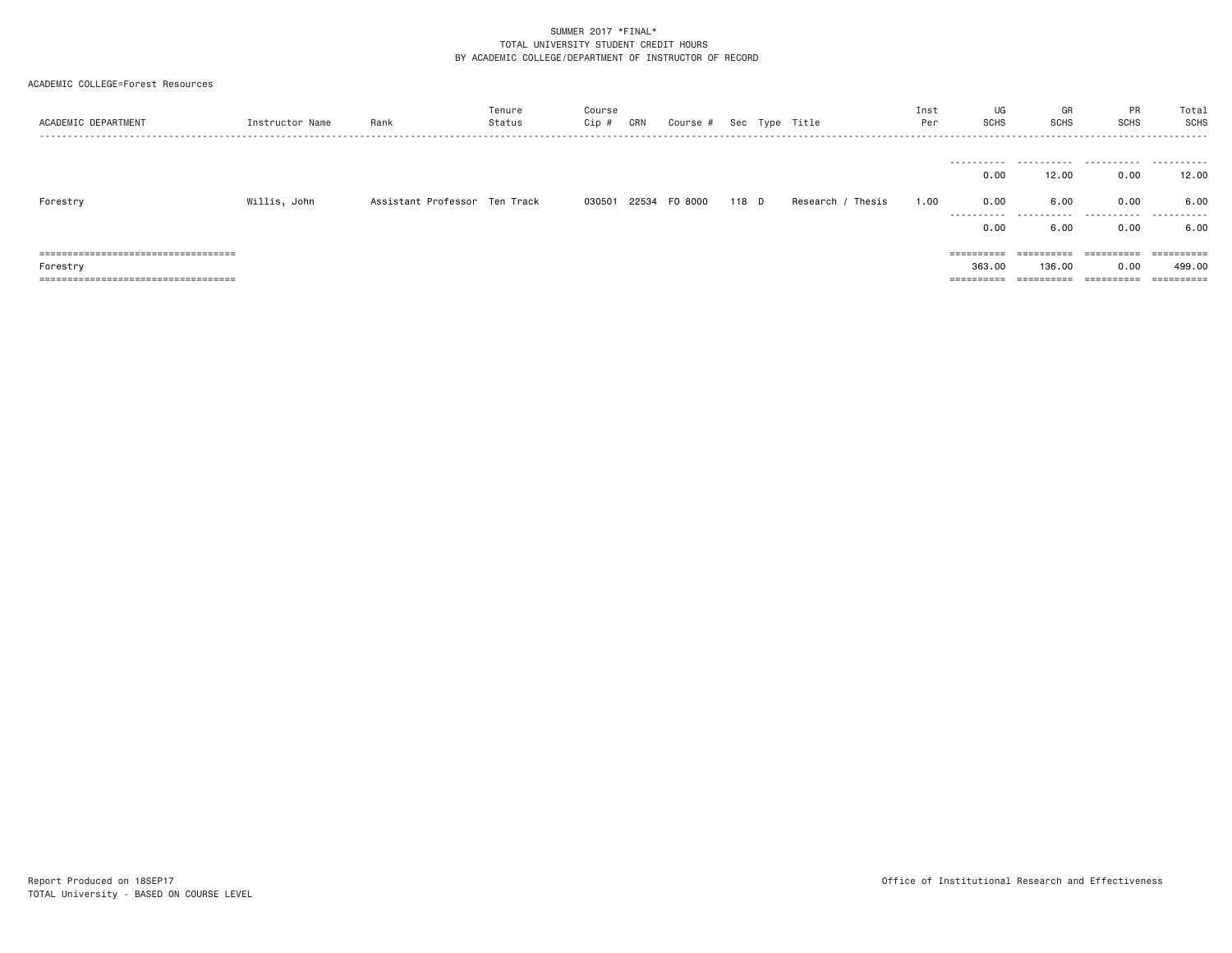#### ACADEMIC COLLEGE=Forest Resources

| ACADEMIC DEPARTMENT                   | Instructor Name | Rank                          | Tenure<br>Status | Course<br>$Cip$ # | CRN | Course #      |       | Sec Type Title    | Inst<br>Per | UG<br><b>SCHS</b>       | GR<br><b>SCHS</b> | PR<br><b>SCHS</b>        | Total<br>SCHS |
|---------------------------------------|-----------------|-------------------------------|------------------|-------------------|-----|---------------|-------|-------------------|-------------|-------------------------|-------------------|--------------------------|---------------|
|                                       |                 |                               |                  |                   |     |               |       |                   |             |                         |                   |                          |               |
|                                       |                 |                               |                  |                   |     |               |       |                   |             | 0.00                    | 12.00             | 0.00                     | 12.00         |
| Forestry                              | Willis, John    | Assistant Professor Ten Track |                  | 030501            |     | 22534 FO 8000 | 118 D | Research / Thesis | 1.00        | 0.00                    | 6.00              | 0.00                     | 6.00          |
|                                       |                 |                               |                  |                   |     |               |       |                   |             | .<br>0.00               | <br>6.00          | 0.00                     | 6.00          |
| ===================================== |                 |                               |                  |                   |     |               |       |                   |             |                         | ==========        | $=$ = = = = = = = = $=$  | ==========    |
| Forestry                              |                 |                               |                  |                   |     |               |       |                   |             | 363,00                  | 136.00            | 0.00                     | 499.00        |
| ===================================== |                 |                               |                  |                   |     |               |       |                   |             | _________<br>---------- | ==========        | __________<br>---------- | ==========    |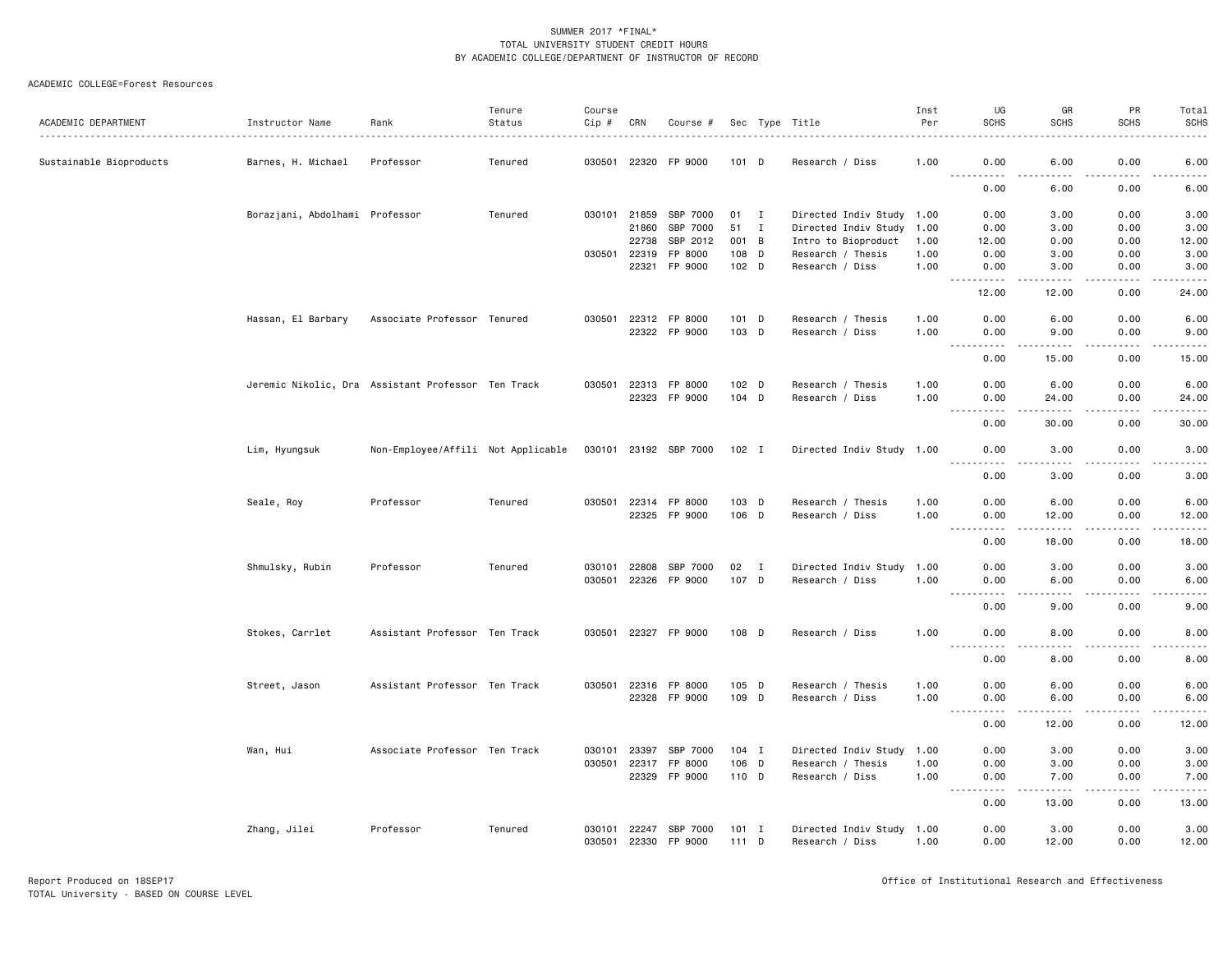#### ACADEMIC COLLEGE=Forest Resources

|                         |                                |                                                    | Tenure  | Course |              |                       |         |              |                           | Inst | UG                                  | GR                                                                                                                                                            | PR          | Total                 |
|-------------------------|--------------------------------|----------------------------------------------------|---------|--------|--------------|-----------------------|---------|--------------|---------------------------|------|-------------------------------------|---------------------------------------------------------------------------------------------------------------------------------------------------------------|-------------|-----------------------|
| ACADEMIC DEPARTMENT     | Instructor Name                | Rank                                               | Status  | Cip #  | CRN          | Course #              |         |              | Sec Type Title            | Per  | <b>SCHS</b>                         | <b>SCHS</b>                                                                                                                                                   | <b>SCHS</b> | <b>SCHS</b>           |
| Sustainable Bioproducts | Barnes, H. Michael             | Professor                                          | Tenured |        | 030501 22320 | FP 9000               | $101$ D |              | Research / Diss           | 1.00 | 0.00                                | 6.00                                                                                                                                                          | 0.00        | 6.00                  |
|                         |                                |                                                    |         |        |              |                       |         |              |                           |      | $\sim$ $\sim$ $\sim$ $\sim$<br>0.00 | 6.00                                                                                                                                                          | 0.00        | 6.00                  |
|                         | Borazjani, Abdolhami Professor |                                                    | Tenured |        | 030101 21859 | SBP 7000              | 01      | $\mathbf{I}$ | Directed Indiv Study 1.00 |      | 0.00                                | 3.00                                                                                                                                                          | 0.00        | 3.00                  |
|                         |                                |                                                    |         |        | 21860        | SBP 7000              | 51      | $\mathbf{I}$ | Directed Indiv Study 1.00 |      | 0.00                                | 3.00                                                                                                                                                          | 0.00        | 3.00                  |
|                         |                                |                                                    |         |        | 22738        | SBP 2012              | 001 B   |              | Intro to Bioproduct       | 1.00 | 12.00                               | 0.00                                                                                                                                                          | 0.00        | 12.00                 |
|                         |                                |                                                    |         | 030501 | 22319        | FP 8000               | 108 D   |              | Research / Thesis         | 1.00 | 0.00                                | 3.00                                                                                                                                                          | 0.00        | 3.00                  |
|                         |                                |                                                    |         |        | 22321        | FP 9000               | 102 D   |              | Research / Diss           | 1.00 | 0.00<br><u>.</u>                    | 3.00<br><u>.</u>                                                                                                                                              | 0.00<br>.   | 3.00<br>.             |
|                         |                                |                                                    |         |        |              |                       |         |              |                           |      | 12.00                               | 12.00                                                                                                                                                         | 0.00        | 24.00                 |
|                         | Hassan, El Barbary             | Associate Professor Tenured                        |         | 030501 |              | 22312 FP 8000         | 101 D   |              | Research / Thesis         | 1.00 | 0.00                                | 6.00                                                                                                                                                          | 0.00        | 6.00                  |
|                         |                                |                                                    |         |        |              | 22322 FP 9000         | 103 D   |              | Research / Diss           | 1.00 | 0.00                                | 9.00<br>.                                                                                                                                                     | 0.00<br>.   | 9.00<br>.             |
|                         |                                |                                                    |         |        |              |                       |         |              |                           |      | 0.00                                | 15.00                                                                                                                                                         | 0.00        | 15.00                 |
|                         |                                | Jeremic Nikolic, Dra Assistant Professor Ten Track |         | 030501 | 22313        | FP 8000               | 102 D   |              | Research / Thesis         | 1.00 | 0.00                                | 6.00                                                                                                                                                          | 0.00        | 6.00                  |
|                         |                                |                                                    |         |        | 22323        | FP 9000               | 104 D   |              | Research / Diss           | 1.00 | 0.00<br>د د د د                     | 24.00<br>$\frac{1}{2} \left( \frac{1}{2} \right) \left( \frac{1}{2} \right) \left( \frac{1}{2} \right) \left( \frac{1}{2} \right) \left( \frac{1}{2} \right)$ | 0.00<br>.   | 24.00<br>$    -$      |
|                         |                                |                                                    |         |        |              |                       |         |              |                           |      | 0.00                                | 30.00                                                                                                                                                         | 0.00        | 30.00                 |
|                         | Lim, Hyungsuk                  | Non-Employee/Affili Not Applicable                 |         |        |              | 030101 23192 SBP 7000 | 102 I   |              | Directed Indiv Study 1.00 |      | 0.00                                | 3.00                                                                                                                                                          | 0.00        | 3.00                  |
|                         |                                |                                                    |         |        |              |                       |         |              |                           |      | $\sim$ $\sim$ $\sim$<br>0.00        | .<br>3,00                                                                                                                                                     | .<br>0.00   | $\frac{1}{2}$<br>3.00 |
|                         | Seale, Roy                     | Professor                                          | Tenured | 030501 | 22314        | FP 8000               | 103 D   |              | Research / Thesis         | 1.00 | 0.00                                | 6.00                                                                                                                                                          | 0.00        | 6.00                  |
|                         |                                |                                                    |         |        |              | 22325 FP 9000         | 106 D   |              | Research / Diss           | 1.00 | 0.00                                | 12.00                                                                                                                                                         | 0.00        | 12.00                 |
|                         |                                |                                                    |         |        |              |                       |         |              |                           |      | $\sim$ $\sim$<br>----<br>0.00       | .<br>18.00                                                                                                                                                    | .<br>0.00   | .<br>18.00            |
|                         | Shmulsky, Rubin                | Professor                                          | Tenured | 030101 | 22808        | SBP 7000              | 02      | $\mathbf{I}$ | Directed Indiv Study 1.00 |      | 0.00                                | 3.00                                                                                                                                                          | 0.00        | 3.00                  |
|                         |                                |                                                    |         | 030501 | 22326        | FP 9000               | 107 D   |              | Research / Diss           | 1.00 | 0.00                                | 6.00                                                                                                                                                          | 0.00        | 6.00                  |
|                         |                                |                                                    |         |        |              |                       |         |              |                           |      | 0.00                                | 9.00                                                                                                                                                          | 0.00        | 9.00                  |
|                         | Stokes, Carrlet                | Assistant Professor Ten Track                      |         |        |              | 030501 22327 FP 9000  | 108 D   |              | Research / Diss           | 1.00 | 0.00                                | 8.00                                                                                                                                                          | 0.00        | 8.00                  |
|                         |                                |                                                    |         |        |              |                       |         |              |                           |      | ----<br>0.00                        | 8.00                                                                                                                                                          | 0.00        | .<br>8.00             |
|                         | Street, Jason                  | Assistant Professor Ten Track                      |         | 030501 | 22316        | FP 8000               | 105 D   |              | Research / Thesis         | 1.00 | 0.00                                | 6.00                                                                                                                                                          | 0.00        | 6.00                  |
|                         |                                |                                                    |         |        | 22328        | FP 9000               | 109 D   |              | Research / Diss           | 1.00 | 0.00<br>.                           | 6.00<br>.                                                                                                                                                     | 0.00<br>.   | 6.00<br>.             |
|                         |                                |                                                    |         |        |              |                       |         |              |                           |      | 0.00                                | 12.00                                                                                                                                                         | 0.00        | 12.00                 |
|                         | Wan, Hui                       | Associate Professor Ten Track                      |         | 030101 | 23397        | SBP 7000              | $104$ I |              | Directed Indiv Study      | 1.00 | 0.00                                | 3.00                                                                                                                                                          | 0.00        | 3.00                  |
|                         |                                |                                                    |         | 030501 | 22317        | FP 8000               | 106 D   |              | Research / Thesis         | 1.00 | 0.00                                | 3.00                                                                                                                                                          | 0.00        | 3.00                  |
|                         |                                |                                                    |         |        | 22329        | FP 9000               | 110 D   |              | Research / Diss           | 1.00 | 0.00                                | 7.00<br>.                                                                                                                                                     | 0.00<br>.   | 7.00<br>$- - - - -$   |
|                         |                                |                                                    |         |        |              |                       |         |              |                           |      | 0.00                                | 13.00                                                                                                                                                         | 0.00        | 13.00                 |
|                         | Zhang, Jilei                   | Professor                                          | Tenured | 030101 | 22247        | SBP 7000              | $101$ I |              | Directed Indiv Study 1.00 |      | 0.00                                | 3.00                                                                                                                                                          | 0.00        | 3.00                  |
|                         |                                |                                                    |         | 030501 | 22330        | FP 9000               | 111 D   |              | Research / Diss           | 1.00 | 0.00                                | 12.00                                                                                                                                                         | 0.00        | 12.00                 |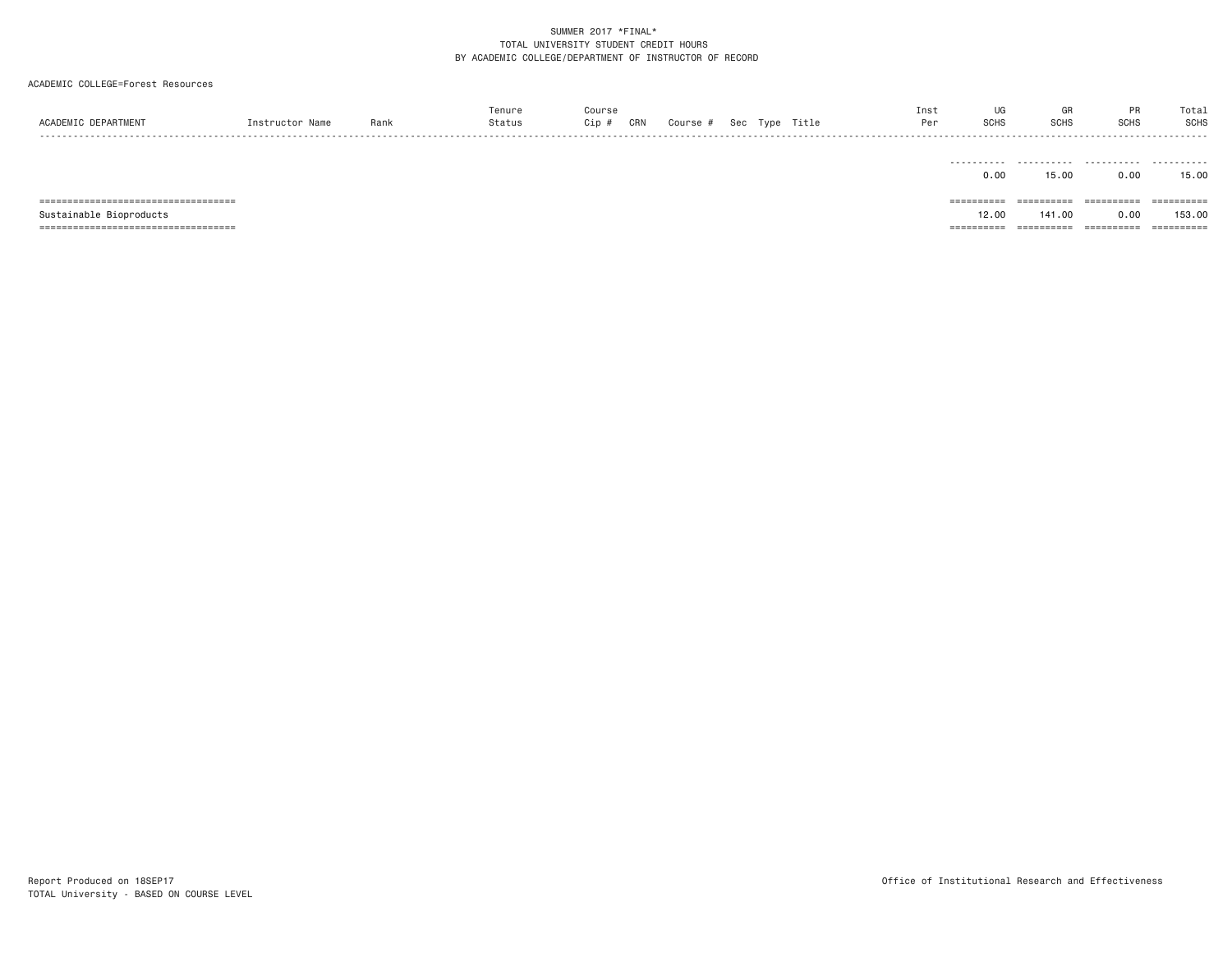#### ACADEMIC COLLEGE=Forest Resources

| ACADEMIC DEPARTMENT                                             | Instructor Name | Rank | Tenure<br>Status | Course<br>Cip # | CRN | Course # |  | Sec Type Title | Inst<br>Per | UG<br><b>SCHS</b>   | GR<br><b>SCHS</b>    | PR<br><b>SCHS</b>  | Total<br><b>SCHS</b>            |
|-----------------------------------------------------------------|-----------------|------|------------------|-----------------|-----|----------|--|----------------|-------------|---------------------|----------------------|--------------------|---------------------------------|
|                                                                 |                 |      |                  |                 |     |          |  |                |             | 0.00                | 15.00                | 0.00               | 15.00                           |
| ====================================<br>Sustainable Bioproducts |                 |      |                  |                 |     |          |  |                |             | ==========<br>12.00 | ==========<br>141.00 | ==========<br>0.00 | $=$ = = = = = = = = =<br>153,00 |
| ======================================                          |                 |      |                  |                 |     |          |  |                |             | -----------         | ==========           | ==========         | ==========                      |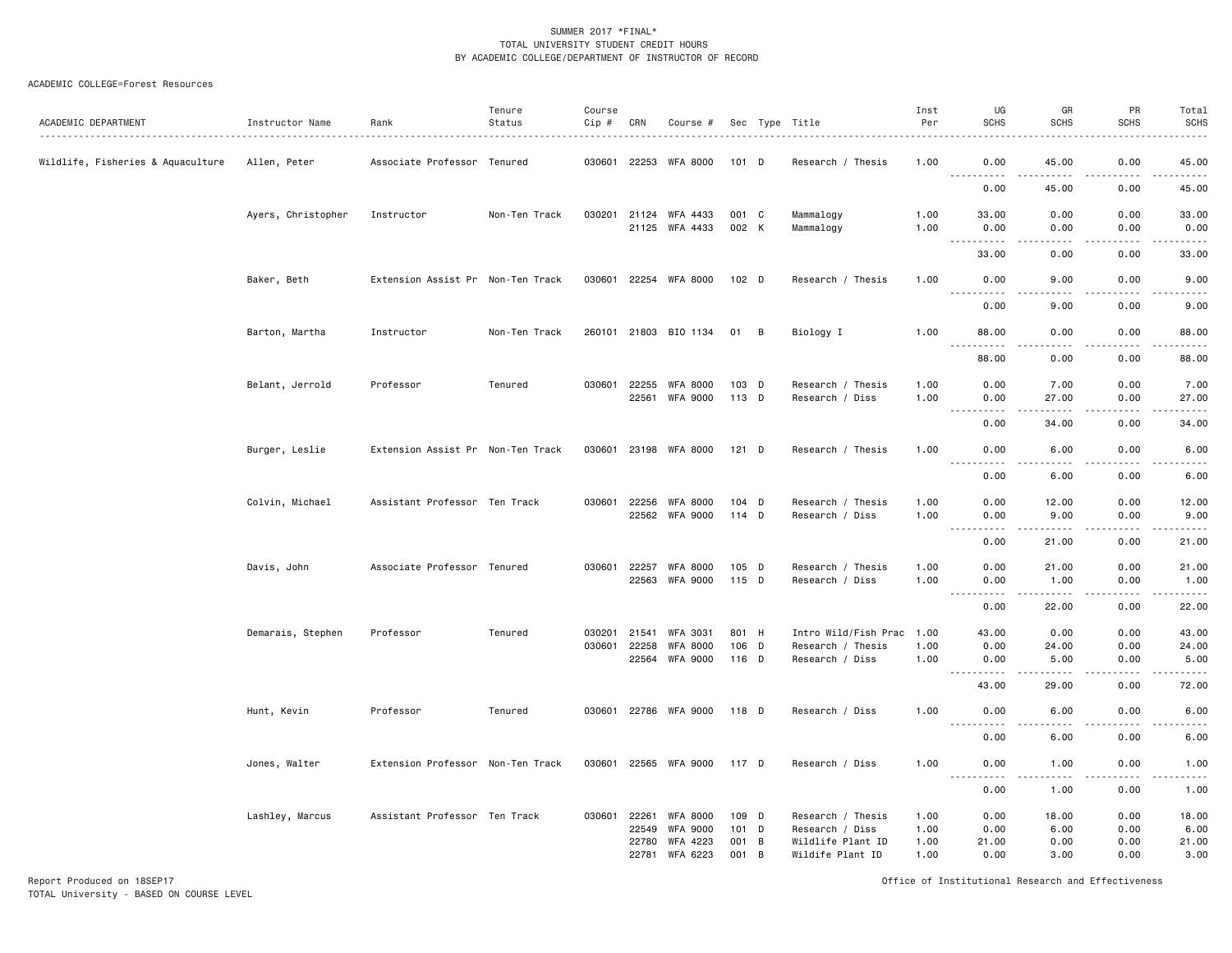#### ACADEMIC COLLEGE=Forest Resources

| ACADEMIC DEPARTMENT               | Instructor Name    | Rank                              | Tenure<br>Status | Course<br>$Cip$ # | CRN            | Course #                    |                  |   | Sec Type Title                            | Inst<br>Per  | UG<br><b>SCHS</b>                                                                                                                         | GR<br><b>SCHS</b>   | PR<br><b>SCHS</b> | Total<br>SCHS         |
|-----------------------------------|--------------------|-----------------------------------|------------------|-------------------|----------------|-----------------------------|------------------|---|-------------------------------------------|--------------|-------------------------------------------------------------------------------------------------------------------------------------------|---------------------|-------------------|-----------------------|
| Wildlife, Fisheries & Aquaculture | Allen, Peter       | Associate Professor Tenured       |                  |                   |                | 030601 22253 WFA 8000       | 101 D            |   | Research / Thesis                         | 1.00         | 0.00                                                                                                                                      | 45.00               | 0.00              | 45.00                 |
|                                   |                    |                                   |                  |                   |                |                             |                  |   |                                           |              | <u> - - - - - - - - - -</u><br>0.00                                                                                                       | 45.00               | .<br>0.00         | .<br>45.00            |
|                                   | Ayers, Christopher | Instructor                        | Non-Ten Track    | 030201            |                | 21124 WFA 4433              | 001 C            |   | Mammalogy                                 | 1.00         | 33.00                                                                                                                                     | 0.00                | 0.00              | 33.00                 |
|                                   |                    |                                   |                  |                   |                | 21125 WFA 4433              | 002 K            |   | Mammalogy                                 | 1.00         | 0.00<br>.                                                                                                                                 | 0.00                | 0.00              | 0.00<br>-----         |
|                                   |                    |                                   |                  |                   |                |                             |                  |   |                                           |              | 33.00                                                                                                                                     | 0.00                | 0.00              | 33.00                 |
|                                   | Baker, Beth        | Extension Assist Pr Non-Ten Track |                  |                   |                | 030601 22254 WFA 8000       | 102 D            |   | Research / Thesis                         | 1.00         | 0.00<br>.                                                                                                                                 | 9.00<br>.           | 0.00<br>.         | 9.00<br>$\frac{1}{2}$ |
|                                   |                    |                                   |                  |                   |                |                             |                  |   |                                           |              | 0.00                                                                                                                                      | 9.00                | 0.00              | 9.00                  |
|                                   | Barton, Martha     | Instructor                        | Non-Ten Track    |                   |                | 260101 21803 BIO 1134       | 01 B             |   | Biology I                                 | 1.00         | 88.00<br>1.1.1.1.1<br>$\sim$ $\sim$ $\sim$                                                                                                | 0.00<br>.           | 0.00<br>.         | 88.00<br>.            |
|                                   |                    |                                   |                  |                   |                |                             |                  |   |                                           |              | 88.00                                                                                                                                     | 0.00                | 0.00              | 88.00                 |
|                                   | Belant, Jerrold    | Professor                         | Tenured          | 030601            | 22561          | 22255 WFA 8000<br>WFA 9000  | $103$ D<br>113 D |   | Research / Thesis<br>Research / Diss      | 1.00<br>1.00 | 0.00<br>0.00                                                                                                                              | 7.00<br>27.00       | 0.00<br>0.00      | 7.00<br>27.00         |
|                                   |                    |                                   |                  |                   |                |                             |                  |   |                                           |              | $\frac{1}{2} \left( \frac{1}{2} \right) \left( \frac{1}{2} \right) \left( \frac{1}{2} \right) \left( \frac{1}{2} \right)$<br>.<br>0.00    | .<br>34.00          | .<br>0.00         | .<br>34.00            |
|                                   | Burger, Leslie     | Extension Assist Pr Non-Ten Track |                  |                   |                | 030601 23198 WFA 8000       | $121$ D          |   | Research / Thesis                         | 1.00         | 0.00                                                                                                                                      | 6.00                | 0.00              | 6.00                  |
|                                   |                    |                                   |                  |                   |                |                             |                  |   |                                           |              | .<br>0.00                                                                                                                                 | 6.00                | 0.00              | .<br>6.00             |
|                                   | Colvin, Michael    | Assistant Professor Ten Track     |                  | 030601            |                | 22256 WFA 8000              | $104$ D          |   | Research / Thesis                         | 1.00         | 0.00                                                                                                                                      | 12.00               | 0.00              | 12.00                 |
|                                   |                    |                                   |                  |                   |                | 22562 WFA 9000              | 114 D            |   | Research / Diss                           | 1.00         | 0.00<br>$  -$<br><u>.</u>                                                                                                                 | 9.00<br>$- - - - -$ | 0.00<br>.         | 9.00<br>$- - - - -$   |
|                                   |                    |                                   |                  |                   |                |                             |                  |   |                                           |              | 0.00                                                                                                                                      | 21.00               | 0.00              | 21.00                 |
|                                   | Davis, John        | Associate Professor Tenured       |                  | 030601            | 22257          | WFA 8000                    | 105 D            |   | Research / Thesis                         | 1.00         | 0.00                                                                                                                                      | 21.00               | 0.00              | 21.00                 |
|                                   |                    |                                   |                  |                   | 22563          | WFA 9000                    | 115 D            |   | Research / Diss                           | 1.00         | 0.00<br>$ -$<br>$\frac{1}{2} \left( \frac{1}{2} \right) \left( \frac{1}{2} \right) \left( \frac{1}{2} \right) \left( \frac{1}{2} \right)$ | 1.00<br><u>.</u>    | 0.00<br>.         | 1.00<br>.             |
|                                   |                    |                                   |                  |                   |                |                             |                  |   |                                           |              | 0.00                                                                                                                                      | 22.00               | 0.00              | 22.00                 |
|                                   | Demarais, Stephen  | Professor                         | Tenured          | 030201<br>030601  | 21541<br>22258 | WFA 3031<br><b>WFA 8000</b> | 801 H<br>106 D   |   | Intro Wild/Fish Prac<br>Research / Thesis | 1.00<br>1.00 | 43.00<br>0.00                                                                                                                             | 0.00<br>24.00       | 0.00<br>0.00      | 43.00<br>24.00        |
|                                   |                    |                                   |                  |                   | 22564          | WFA 9000                    | $116$ D          |   | Research / Diss                           | 1.00         | 0.00                                                                                                                                      | 5.00                | 0.00              | 5.00                  |
|                                   |                    |                                   |                  |                   |                |                             |                  |   |                                           |              | <u>.</u><br>43.00                                                                                                                         | .<br>29.00          | .<br>0.00         | .<br>72.00            |
|                                   | Hunt, Kevin        | Professor                         | Tenured          | 030601            |                | 22786 WFA 9000              | 118 D            |   | Research / Diss                           | 1.00         | 0.00                                                                                                                                      | 6.00                | 0.00              | 6.00                  |
|                                   |                    |                                   |                  |                   |                |                             |                  |   |                                           |              | -----<br>0.00                                                                                                                             | $- - - -$<br>6.00   | $  -$<br>0.00     | .<br>6.00             |
|                                   | Jones, Walter      | Extension Professor Non-Ten Track |                  | 030601            |                | 22565 WFA 9000              | 117 D            |   | Research / Diss                           | 1.00         | 0.00                                                                                                                                      | 1.00                | 0.00              | 1.00                  |
|                                   |                    |                                   |                  |                   |                |                             |                  |   |                                           |              | 0.00                                                                                                                                      | 1.00                | 0.00              | 1.00                  |
|                                   | Lashley, Marcus    | Assistant Professor Ten Track     |                  | 030601            | 22261          | <b>WFA 8000</b>             | 109 D            |   | Research / Thesis                         | 1.00         | 0.00                                                                                                                                      | 18.00               | 0.00              | 18.00                 |
|                                   |                    |                                   |                  |                   | 22549          | <b>WFA 9000</b>             | 101 D            |   | Research / Diss                           | 1.00         | 0.00                                                                                                                                      | 6.00                | 0.00              | 6.00                  |
|                                   |                    |                                   |                  |                   | 22780<br>22781 | WFA 4223<br>WFA 6223        | 001<br>001 B     | B | Wildlife Plant ID<br>Wildife Plant ID     | 1.00<br>1.00 | 21.00<br>0.00                                                                                                                             | 0.00<br>3.00        | 0.00<br>0.00      | 21.00<br>3.00         |

Report Produced on 18SEP17 Office of Institutional Research and Effectiveness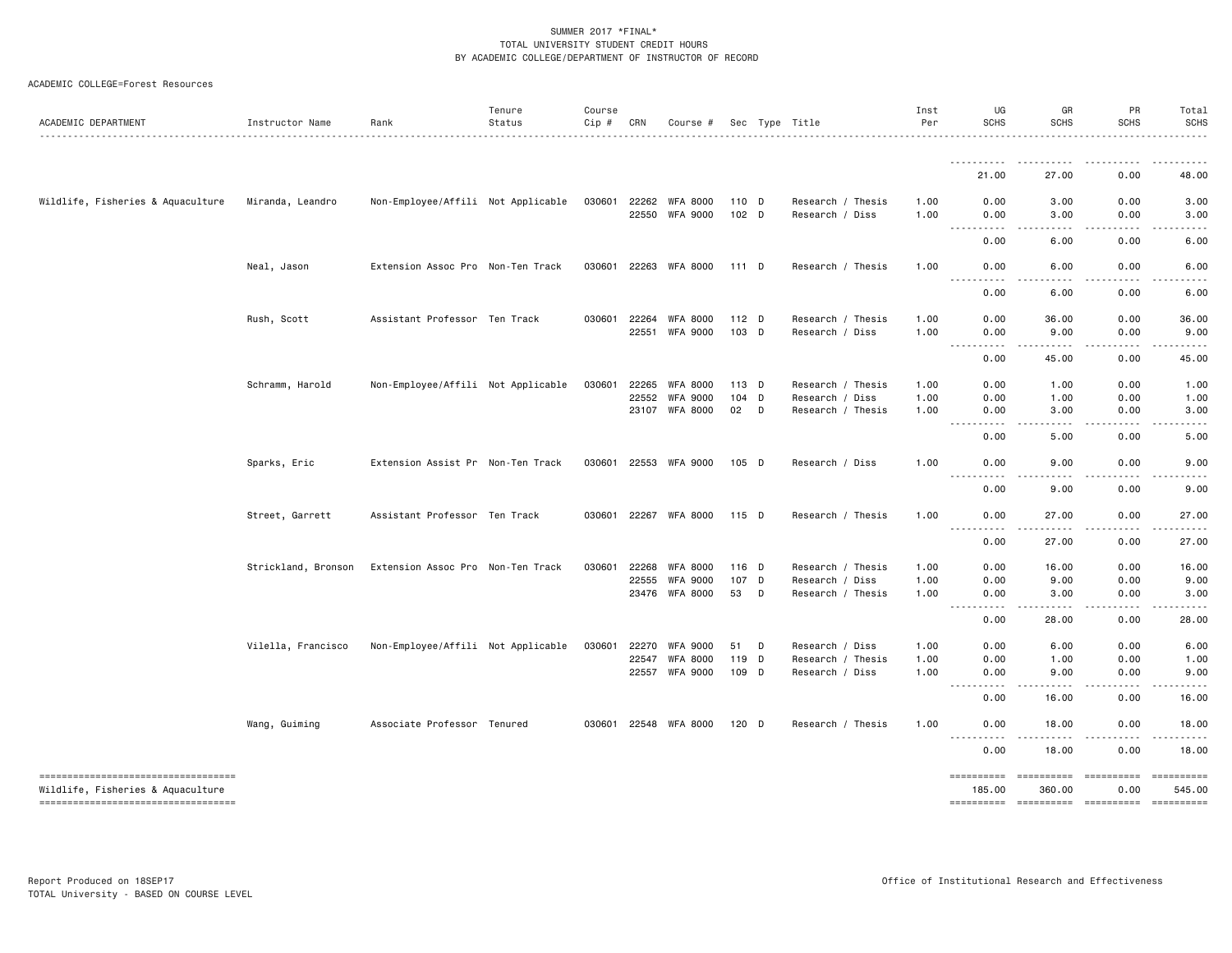| ACADEMIC DEPARTMENT               | Instructor Name     | Rank                               | Tenure<br>Status | Course<br>Cip # | CRN          | Course #              |                  |   | Sec Type Title    | Inst<br>Per | UG<br><b>SCHS</b>                                                                                                                                                                                                                                                                         | GR<br><b>SCHS</b>      | PR<br><b>SCHS</b>                                                                                                                                            | Total<br><b>SCHS</b> |
|-----------------------------------|---------------------|------------------------------------|------------------|-----------------|--------------|-----------------------|------------------|---|-------------------|-------------|-------------------------------------------------------------------------------------------------------------------------------------------------------------------------------------------------------------------------------------------------------------------------------------------|------------------------|--------------------------------------------------------------------------------------------------------------------------------------------------------------|----------------------|
|                                   |                     |                                    |                  |                 |              |                       |                  |   |                   |             |                                                                                                                                                                                                                                                                                           |                        |                                                                                                                                                              |                      |
|                                   |                     |                                    |                  |                 |              |                       |                  |   |                   |             | .<br>21.00                                                                                                                                                                                                                                                                                | $\frac{1}{2}$<br>27.00 | -----<br>0.00                                                                                                                                                | 48.00                |
| Wildlife, Fisheries & Aquaculture | Miranda, Leandro    | Non-Employee/Affili Not Applicable |                  | 030601          | 22262        | WFA 8000              | 110 D            |   | Research / Thesis | 1.00        | 0.00                                                                                                                                                                                                                                                                                      | 3.00                   | 0.00                                                                                                                                                         | 3.00                 |
|                                   |                     |                                    |                  |                 |              | 22550 WFA 9000        | 102 <sub>D</sub> |   | Research / Diss   | 1.00        | 0.00<br><b></b>                                                                                                                                                                                                                                                                           | 3.00<br>.              | 0.00<br>.                                                                                                                                                    | 3.00<br>.            |
|                                   |                     |                                    |                  |                 |              |                       |                  |   |                   |             | 0.00                                                                                                                                                                                                                                                                                      | 6.00                   | 0.00                                                                                                                                                         | 6.00                 |
|                                   | Neal, Jason         | Extension Assoc Pro Non-Ten Track  |                  |                 |              | 030601 22263 WFA 8000 | 111 D            |   | Research / Thesis | 1.00        | 0.00                                                                                                                                                                                                                                                                                      | 6.00                   | 0.00                                                                                                                                                         | 6.00                 |
|                                   |                     |                                    |                  |                 |              |                       |                  |   |                   |             | $\frac{1}{2}$<br>.<br>0.00                                                                                                                                                                                                                                                                | 6.00                   | 0.00                                                                                                                                                         | 6.00                 |
|                                   | Rush, Scott         | Assistant Professor Ten Track      |                  |                 | 030601 22264 | <b>WFA 8000</b>       | 112 D            |   | Research / Thesis | 1.00        | 0.00                                                                                                                                                                                                                                                                                      | 36.00                  | 0.00                                                                                                                                                         | 36.00                |
|                                   |                     |                                    |                  |                 | 22551        | WFA 9000              | $103$ D          |   | Research / Diss   | 1.00        | 0.00<br>$\frac{1}{2} \left( \frac{1}{2} \right) \left( \frac{1}{2} \right) \left( \frac{1}{2} \right) \left( \frac{1}{2} \right)$<br>.                                                                                                                                                    | 9.00<br><u>.</u>       | 0.00                                                                                                                                                         | 9.00                 |
|                                   |                     |                                    |                  |                 |              |                       |                  |   |                   |             | 0.00                                                                                                                                                                                                                                                                                      | 45.00                  | 0.00                                                                                                                                                         | 45.00                |
|                                   | Schramm, Harold     | Non-Employee/Affili Not Applicable |                  | 030601          | 22265        | WFA 8000              | $113$ D          |   | Research / Thesis | 1.00        | 0.00                                                                                                                                                                                                                                                                                      | 1.00                   | 0.00                                                                                                                                                         | 1.00                 |
|                                   |                     |                                    |                  |                 | 22552        | <b>WFA 9000</b>       | 104 D            |   | Research / Diss   | 1.00        | 0.00                                                                                                                                                                                                                                                                                      | 1.00                   | 0.00                                                                                                                                                         | 1.00                 |
|                                   |                     |                                    |                  |                 |              | 23107 WFA 8000        | $02$ D           |   | Research / Thesis | 1.00        | 0.00<br>.                                                                                                                                                                                                                                                                                 | 3.00                   | 0.00                                                                                                                                                         | 3.00                 |
|                                   |                     |                                    |                  |                 |              |                       |                  |   |                   |             | 0.00                                                                                                                                                                                                                                                                                      | 5.00                   | 0.00                                                                                                                                                         | 5.00                 |
|                                   | Sparks, Eric        | Extension Assist Pr Non-Ten Track  |                  | 030601          |              | 22553 WFA 9000        | 105 D            |   | Research / Diss   | 1.00        | 0.00<br>$\frac{1}{2}$<br>$- - -$                                                                                                                                                                                                                                                          | 9.00                   | 0.00                                                                                                                                                         | 9.00                 |
|                                   |                     |                                    |                  |                 |              |                       |                  |   |                   |             | 0.00                                                                                                                                                                                                                                                                                      | 9.00                   | 0.00                                                                                                                                                         | 9.00                 |
|                                   | Street, Garrett     | Assistant Professor Ten Track      |                  |                 |              | 030601 22267 WFA 8000 | 115 D            |   | Research / Thesis | 1.00        | 0.00<br>$\frac{1}{2} \left( \frac{1}{2} \right) \left( \frac{1}{2} \right) \left( \frac{1}{2} \right) \left( \frac{1}{2} \right)$<br>.                                                                                                                                                    | 27.00<br>.             | 0.00<br>$\frac{1}{2} \left( \frac{1}{2} \right) \left( \frac{1}{2} \right) \left( \frac{1}{2} \right) \left( \frac{1}{2} \right) \left( \frac{1}{2} \right)$ | 27.00<br>.           |
|                                   |                     |                                    |                  |                 |              |                       |                  |   |                   |             | 0.00                                                                                                                                                                                                                                                                                      | 27.00                  | 0.00                                                                                                                                                         | 27.00                |
|                                   | Strickland, Bronson | Extension Assoc Pro Non-Ten Track  |                  | 030601 22268    |              | <b>WFA 8000</b>       | 116 D            |   | Research / Thesis | 1.00        | 0.00                                                                                                                                                                                                                                                                                      | 16.00                  | 0.00                                                                                                                                                         | 16.00                |
|                                   |                     |                                    |                  |                 | 22555        | WFA 9000              | 107 D            |   | Research / Diss   | 1.00        | 0.00                                                                                                                                                                                                                                                                                      | 9.00                   | 0.00                                                                                                                                                         | 9.00                 |
|                                   |                     |                                    |                  |                 |              | 23476 WFA 8000        | 53               | D | Research / Thesis | 1.00        | 0.00<br>$\frac{1}{2} \left( \frac{1}{2} \right) \left( \frac{1}{2} \right) \left( \frac{1}{2} \right) \left( \frac{1}{2} \right)$<br>$\cdots$                                                                                                                                             | 3.00<br>.              | 0.00                                                                                                                                                         | 3.00                 |
|                                   |                     |                                    |                  |                 |              |                       |                  |   |                   |             | 0.00                                                                                                                                                                                                                                                                                      | 28.00                  | 0.00                                                                                                                                                         | 28.00                |
|                                   | Vilella, Francisco  | Non-Employee/Affili Not Applicable |                  | 030601 22270    |              | <b>WFA 9000</b>       | 51               | D | Research / Diss   | 1.00        | 0.00                                                                                                                                                                                                                                                                                      | 6.00                   | 0.00                                                                                                                                                         | 6.00                 |
|                                   |                     |                                    |                  |                 | 22547        | <b>WFA 8000</b>       | 119 D            |   | Research / Thesis | 1.00        | 0.00                                                                                                                                                                                                                                                                                      | 1.00                   | 0.00                                                                                                                                                         | 1.00                 |
|                                   |                     |                                    |                  |                 |              | 22557 WFA 9000        | 109 D            |   | Research / Diss   | 1.00        | 0.00<br>د د د د<br>$\frac{1}{2} \left( \frac{1}{2} \right) \left( \frac{1}{2} \right) \left( \frac{1}{2} \right) \left( \frac{1}{2} \right)$                                                                                                                                              | 9.00<br><u>.</u>       | 0.00<br>-----                                                                                                                                                | 9.00                 |
|                                   |                     |                                    |                  |                 |              |                       |                  |   |                   |             | 0.00                                                                                                                                                                                                                                                                                      | 16.00                  | 0.00                                                                                                                                                         | 16.00                |
|                                   | Wang, Guiming       | Associate Professor Tenured        |                  |                 |              | 030601 22548 WFA 8000 | $120$ D          |   | Research / Thesis | 1.00        | 0.00<br>$\frac{1}{2} \left( \frac{1}{2} \right) \left( \frac{1}{2} \right) \left( \frac{1}{2} \right) \left( \frac{1}{2} \right) \left( \frac{1}{2} \right)$<br>$\frac{1}{2} \left( \frac{1}{2} \right) \left( \frac{1}{2} \right) \left( \frac{1}{2} \right) \left( \frac{1}{2} \right)$ | 18.00                  | 0.00                                                                                                                                                         | 18.00                |
|                                   |                     |                                    |                  |                 |              |                       |                  |   |                   |             | 0.00                                                                                                                                                                                                                                                                                      | 18.00                  | 0.00                                                                                                                                                         | 18.00                |
| Wildlife, Fisheries & Aquaculture |                     |                                    |                  |                 |              |                       |                  |   |                   |             | ==========<br>185.00                                                                                                                                                                                                                                                                      | ==========<br>360.00   | ==========<br>0.00                                                                                                                                           | ==========<br>545.00 |

=================================== ========== ========== ========== ==========

ACADEMIC COLLEGE=Forest Resources

SCHS

48.00

 $3.00$  $6.00$ 

 $6.00$ 

45.00

27.00

28.00

1.00

 $9.00$ 16.00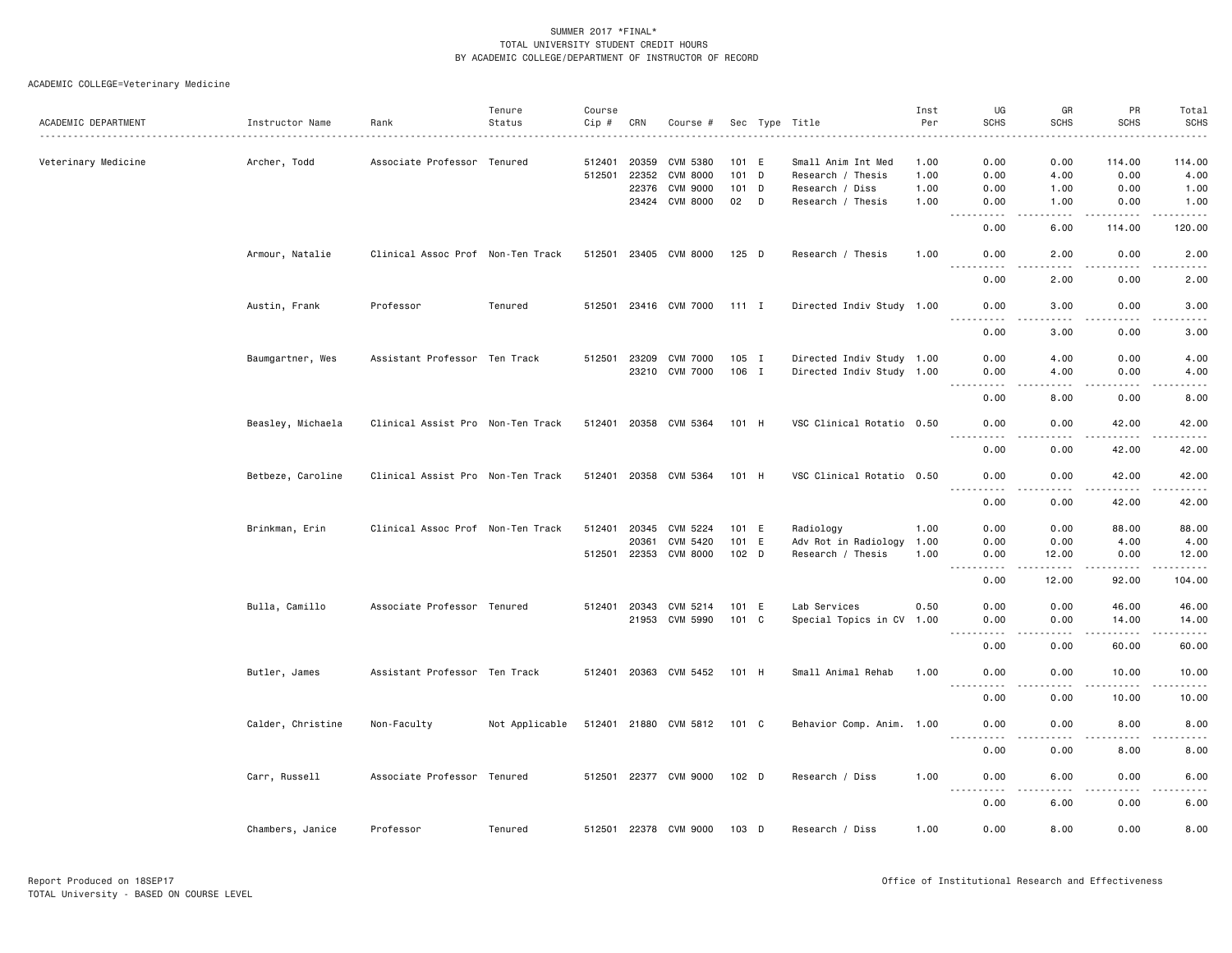|                     |                   |                                   | Tenure         | Course     |       |                             |       |                           | Inst | UG                                                                                                          | GR                                   | PR                                                                                                                                                                                      | Total                                                                                                                                                |
|---------------------|-------------------|-----------------------------------|----------------|------------|-------|-----------------------------|-------|---------------------------|------|-------------------------------------------------------------------------------------------------------------|--------------------------------------|-----------------------------------------------------------------------------------------------------------------------------------------------------------------------------------------|------------------------------------------------------------------------------------------------------------------------------------------------------|
| ACADEMIC DEPARTMENT | Instructor Name   | Rank                              | Status         | Cip #<br>. | CRN   | Course #                    |       | Sec Type Title            | Per  | <b>SCHS</b>                                                                                                 | <b>SCHS</b>                          | <b>SCHS</b>                                                                                                                                                                             | <b>SCHS</b><br>.                                                                                                                                     |
|                     |                   |                                   |                | 512401     | 20359 | CVM 5380                    | 101 E |                           | 1.00 | 0.00                                                                                                        |                                      | 114.00                                                                                                                                                                                  |                                                                                                                                                      |
| Veterinary Medicine | Archer, Todd      | Associate Professor Tenured       |                | 512501     | 22352 | <b>CVM 8000</b>             | 101 D | Small Anim Int Med        | 1.00 | 0.00                                                                                                        | 0.00<br>4.00                         | 0.00                                                                                                                                                                                    | 114.00<br>4.00                                                                                                                                       |
|                     |                   |                                   |                |            |       |                             |       | Research / Thesis         |      |                                                                                                             |                                      |                                                                                                                                                                                         |                                                                                                                                                      |
|                     |                   |                                   |                |            | 22376 | CVM 9000                    | 101 D | Research / Diss           | 1.00 | 0.00                                                                                                        | 1.00                                 | 0.00                                                                                                                                                                                    | 1.00                                                                                                                                                 |
|                     |                   |                                   |                |            | 23424 | <b>CVM 8000</b>             | 02 D  | Research / Thesis         | 1.00 | 0.00<br>.                                                                                                   | 1.00<br>.                            | 0.00<br>$\frac{1}{2} \left( \frac{1}{2} \right) \left( \frac{1}{2} \right) \left( \frac{1}{2} \right) \left( \frac{1}{2} \right) \left( \frac{1}{2} \right) \left( \frac{1}{2} \right)$ | 1.00<br>.                                                                                                                                            |
|                     |                   |                                   |                |            |       |                             |       |                           |      | 0.00                                                                                                        | 6.00                                 | 114.00                                                                                                                                                                                  | 120.00                                                                                                                                               |
|                     | Armour, Natalie   | Clinical Assoc Prof Non-Ten Track |                |            |       | 512501 23405 CVM 8000       | 125 D | Research / Thesis         | 1.00 | 0.00<br>. <u>. .</u>                                                                                        | 2.00<br>$\frac{1}{2}$                | 0.00<br>.                                                                                                                                                                               | 2.00<br>$- - - - -$                                                                                                                                  |
|                     |                   |                                   |                |            |       |                             |       |                           |      | 0.00                                                                                                        | 2.00                                 | 0.00                                                                                                                                                                                    | 2.00                                                                                                                                                 |
|                     | Austin, Frank     | Professor                         | Tenured        |            |       | 512501 23416 CVM 7000 111 I |       | Directed Indiv Study 1.00 |      | 0.00                                                                                                        | 3,00                                 | 0.00                                                                                                                                                                                    | 3.00                                                                                                                                                 |
|                     |                   |                                   |                |            |       |                             |       |                           |      | $- - - - -$<br>0.00                                                                                         | $\sim$ $\sim$ $\sim$ $\sim$<br>3.00  | .<br>0.00                                                                                                                                                                               | $\frac{1}{2}$<br>3.00                                                                                                                                |
|                     | Baumgartner, Wes  | Assistant Professor Ten Track     |                | 512501     | 23209 | CVM 7000                    | 105 I | Directed Indiv Study 1.00 |      | 0.00                                                                                                        | 4.00                                 | 0.00                                                                                                                                                                                    | 4.00                                                                                                                                                 |
|                     |                   |                                   |                |            |       | 23210 CVM 7000              | 106 I | Directed Indiv Study 1.00 |      | 0.00                                                                                                        | 4.00                                 | 0.00                                                                                                                                                                                    | 4.00                                                                                                                                                 |
|                     |                   |                                   |                |            |       |                             |       |                           |      | -----                                                                                                       | .                                    | .                                                                                                                                                                                       | $\frac{1}{2} \left( \frac{1}{2} \right) \left( \frac{1}{2} \right) \left( \frac{1}{2} \right) \left( \frac{1}{2} \right) \left( \frac{1}{2} \right)$ |
|                     |                   |                                   |                |            |       |                             |       |                           |      | 0.00                                                                                                        | 8.00                                 | 0.00                                                                                                                                                                                    | 8.00                                                                                                                                                 |
|                     | Beasley, Michaela | Clinical Assist Pro Non-Ten Track |                |            |       | 512401 20358 CVM 5364       | 101 H | VSC Clinical Rotatio 0.50 |      | 0.00                                                                                                        | 0.00                                 | 42.00                                                                                                                                                                                   | 42.00                                                                                                                                                |
|                     |                   |                                   |                |            |       |                             |       |                           |      | .<br>0.00                                                                                                   | $- - - -$<br>0.00                    | . <u>.</u><br>42.00                                                                                                                                                                     | . <u>.</u><br>42.00                                                                                                                                  |
|                     | Betbeze, Caroline | Clinical Assist Pro Non-Ten Track |                |            |       | 512401 20358 CVM 5364       | 101 H | VSC Clinical Rotatio 0.50 |      | 0.00                                                                                                        | 0.00                                 | 42.00                                                                                                                                                                                   | 42.00                                                                                                                                                |
|                     |                   |                                   |                |            |       |                             |       |                           |      | <u>.</u><br>0.00                                                                                            | 0.00                                 | .<br>42.00                                                                                                                                                                              | .<br>42.00                                                                                                                                           |
|                     | Brinkman, Erin    | Clinical Assoc Prof Non-Ten Track |                | 512401     |       | 20345 CVM 5224              | 101 E | Radiology                 | 1.00 | 0.00                                                                                                        | 0.00                                 | 88.00                                                                                                                                                                                   | 88.00                                                                                                                                                |
|                     |                   |                                   |                |            | 20361 | CVM 5420                    | 101 E | Adv Rot in Radiology      | 1.00 | 0.00                                                                                                        | 0.00                                 | 4.00                                                                                                                                                                                    | 4.00                                                                                                                                                 |
|                     |                   |                                   |                |            |       | <b>CVM 8000</b>             | 102 D |                           |      | 0.00                                                                                                        |                                      | 0.00                                                                                                                                                                                    |                                                                                                                                                      |
|                     |                   |                                   |                | 512501     | 22353 |                             |       | Research / Thesis         | 1.00 | ----------                                                                                                  | 12.00<br>$\sim$ $\sim$ $\sim$ $\sim$ | .                                                                                                                                                                                       | 12.00<br>.                                                                                                                                           |
|                     |                   |                                   |                |            |       |                             |       |                           |      | 0.00                                                                                                        | 12.00                                | 92.00                                                                                                                                                                                   | 104.00                                                                                                                                               |
|                     |                   | Associate Professor Tenured       |                |            |       | 512401 20343 CVM 5214       | 101 E | Lab Services              | 0.50 | 0.00                                                                                                        | 0.00                                 | 46.00                                                                                                                                                                                   | 46.00                                                                                                                                                |
|                     | Bulla, Camillo    |                                   |                |            |       |                             |       |                           |      |                                                                                                             |                                      |                                                                                                                                                                                         |                                                                                                                                                      |
|                     |                   |                                   |                |            |       | 21953 CVM 5990              | 101 C | Special Topics in CV 1.00 |      | 0.00<br>.<br>$\frac{1}{2} \left( \frac{1}{2} \right) \left( \frac{1}{2} \right) \left( \frac{1}{2} \right)$ | 0.00<br>$- - - -$                    | 14.00<br>.                                                                                                                                                                              | 14.00<br>.                                                                                                                                           |
|                     |                   |                                   |                |            |       |                             |       |                           |      | 0.00                                                                                                        | 0.00                                 | 60.00                                                                                                                                                                                   | 60.00                                                                                                                                                |
|                     | Butler, James     | Assistant Professor Ten Track     |                |            |       | 512401 20363 CVM 5452       | 101 H | Small Animal Rehab        | 1.00 | 0.00                                                                                                        | 0.00                                 | 10.00                                                                                                                                                                                   | 10.00                                                                                                                                                |
|                     |                   |                                   |                |            |       |                             |       |                           |      | <u>.</u><br>0.00                                                                                            | 0.00                                 | .<br>10.00                                                                                                                                                                              | .<br>10.00                                                                                                                                           |
|                     | Calder, Christine | Non-Faculty                       | Not Applicable |            |       | 512401 21880 CVM 5812       | 101 C | Behavior Comp. Anim. 1.00 |      | 0.00                                                                                                        | 0.00                                 | 8.00                                                                                                                                                                                    | 8.00                                                                                                                                                 |
|                     |                   |                                   |                |            |       |                             |       |                           |      | .<br>0.00                                                                                                   | د د د د<br>0.00                      | .<br>8.00                                                                                                                                                                               | -----<br>8.00                                                                                                                                        |
|                     | Carr, Russell     | Associate Professor Tenured       |                |            |       | 512501 22377 CVM 9000       | 102 D | Research / Diss           | 1.00 | 0.00                                                                                                        | 6.00                                 | 0.00                                                                                                                                                                                    | 6.00                                                                                                                                                 |
|                     |                   |                                   |                |            |       |                             |       |                           |      | $\frac{1}{2}$                                                                                               | $\frac{1}{2}$                        | .                                                                                                                                                                                       | $\frac{1}{2}$                                                                                                                                        |
|                     |                   |                                   |                |            |       |                             |       |                           |      | 0.00                                                                                                        | 6.00                                 | 0.00                                                                                                                                                                                    | 6.00                                                                                                                                                 |
|                     | Chambers, Janice  | Professor                         | Tenured        |            |       | 512501 22378 CVM 9000       | 103 D | Research / Diss           | 1.00 | 0.00                                                                                                        | 8.00                                 | 0.00                                                                                                                                                                                    | 8.00                                                                                                                                                 |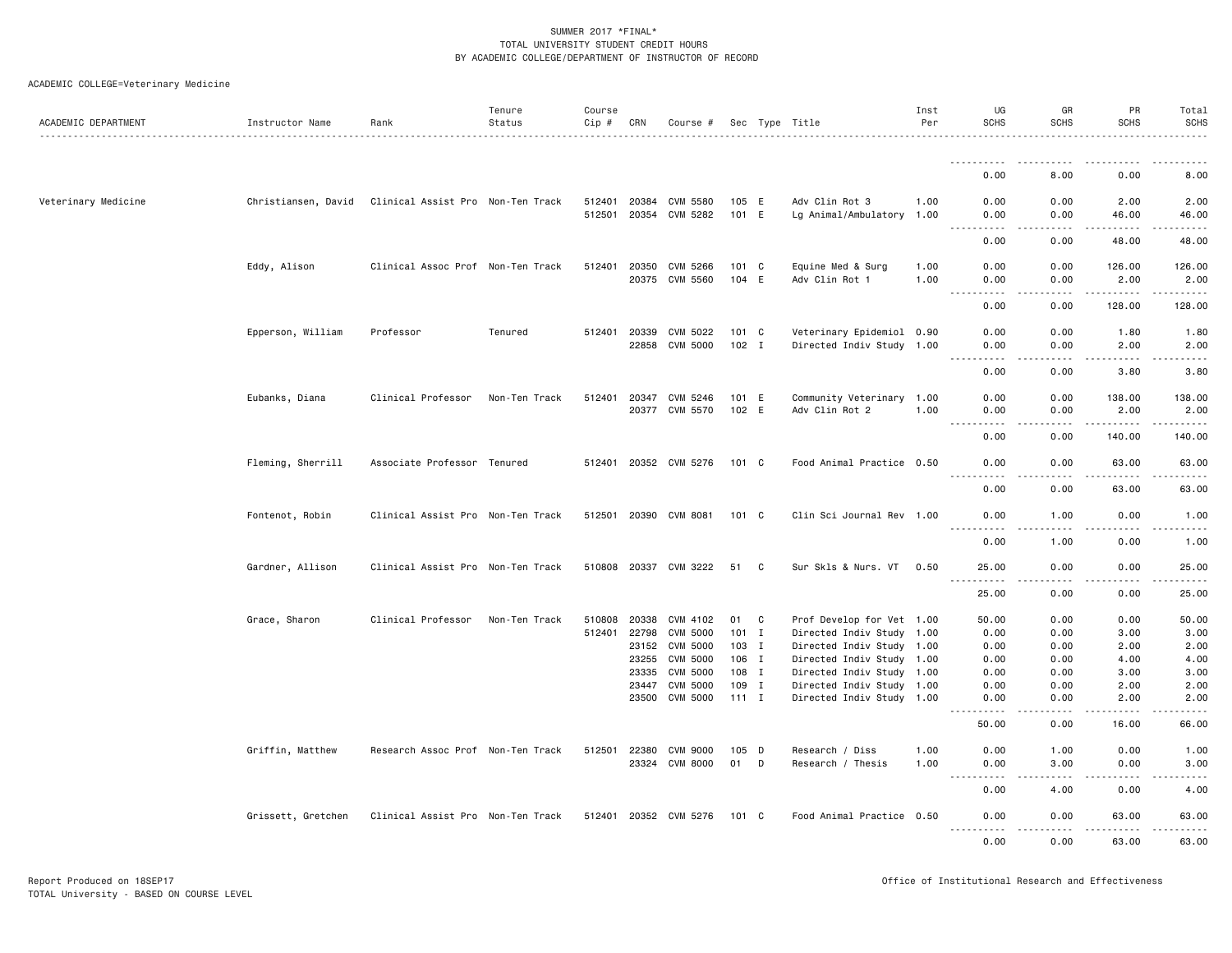| ACADEMIC DEPARTMENT | Instructor Name     | Rank                              | Tenure<br>Status | Course<br>Cip # | CRN   | Course #                   |                |   | Sec Type Title                              | Inst<br>Per | UG<br><b>SCHS</b>   | GR<br><b>SCHS</b>     | PR<br><b>SCHS</b> | Total<br><b>SCHS</b><br>.                                                                                               |
|---------------------|---------------------|-----------------------------------|------------------|-----------------|-------|----------------------------|----------------|---|---------------------------------------------|-------------|---------------------|-----------------------|-------------------|-------------------------------------------------------------------------------------------------------------------------|
|                     |                     |                                   |                  |                 |       |                            |                |   |                                             |             |                     |                       |                   |                                                                                                                         |
|                     |                     |                                   |                  |                 |       |                            |                |   |                                             |             | 0.00                | 8.00                  | 0.00              | 8,00                                                                                                                    |
| Veterinary Medicine | Christiansen, David | Clinical Assist Pro Non-Ten Track |                  | 512401          | 20384 | CVM 5580                   | 105 E          |   | Adv Clin Rot 3                              | 1.00        | 0.00                | 0.00                  | 2.00              | 2.00                                                                                                                    |
|                     |                     |                                   |                  | 512501          |       | 20354 CVM 5282             | 101 E          |   | Lg Animal/Ambulatory 1.00                   |             | 0.00                | 0.00                  | 46.00<br>.        | 46.00<br>$\sim$ $\sim$ $\sim$ $\sim$                                                                                    |
|                     |                     |                                   |                  |                 |       |                            |                |   |                                             |             | 0.00                | 0.00                  | 48.00             | 48.00                                                                                                                   |
|                     | Eddy, Alison        | Clinical Assoc Prof Non-Ten Track |                  | 512401          | 20350 | CVM 5266                   | $101 \quad C$  |   | Equine Med & Surg                           | 1.00        | 0.00                | 0.00                  | 126.00            | 126.00                                                                                                                  |
|                     |                     |                                   |                  |                 | 20375 | CVM 5560                   | 104 E          |   | Adv Clin Rot 1                              | 1.00        | 0.00                | 0.00                  | 2.00              | 2.00<br>.                                                                                                               |
|                     |                     |                                   |                  |                 |       |                            |                |   |                                             |             | 0.00                | 0.00                  | 128.00            | 128.00                                                                                                                  |
|                     | Epperson, William   | Professor                         | Tenured          | 512401          | 20339 | CVM 5022                   | 101 C          |   | Veterinary Epidemiol 0.90                   |             | 0.00                | 0.00                  | 1.80              | 1.80                                                                                                                    |
|                     |                     |                                   |                  |                 |       | 22858 CVM 5000             | $102$ I        |   | Directed Indiv Study 1.00                   |             | 0.00                | 0.00                  | 2.00              | 2.00                                                                                                                    |
|                     |                     |                                   |                  |                 |       |                            |                |   |                                             |             | .<br>0.00           | .<br>0.00             | .<br>3.80         | $\begin{array}{cccccccccccccc} \bullet & \bullet & \bullet & \bullet & \bullet & \bullet & \bullet \end{array}$<br>3.80 |
|                     |                     |                                   |                  |                 |       |                            |                |   |                                             |             |                     |                       |                   |                                                                                                                         |
|                     | Eubanks, Diana      | Clinical Professor                | Non-Ten Track    | 512401          | 20347 | CVM 5246<br>20377 CVM 5570 | 101 E<br>102 E |   | Community Veterinary 1.00<br>Adv Clin Rot 2 | 1.00        | 0.00<br>0.00        | 0.00<br>0.00          | 138.00<br>2.00    | 138.00<br>2.00                                                                                                          |
|                     |                     |                                   |                  |                 |       |                            |                |   |                                             |             | $  -$               |                       | .                 | .                                                                                                                       |
|                     |                     |                                   |                  |                 |       |                            |                |   |                                             |             | 0.00                | 0.00                  | 140.00            | 140.00                                                                                                                  |
|                     | Fleming, Sherrill   | Associate Professor Tenured       |                  |                 |       | 512401 20352 CVM 5276      | 101 C          |   | Food Animal Practice 0.50                   |             | 0.00<br><u>.</u>    | 0.00<br>$\frac{1}{2}$ | 63.00<br>.        | 63.00<br>. <u>.</u> .                                                                                                   |
|                     |                     |                                   |                  |                 |       |                            |                |   |                                             |             | 0.00                | 0.00                  | 63.00             | 63.00                                                                                                                   |
|                     | Fontenot, Robin     | Clinical Assist Pro Non-Ten Track |                  |                 |       | 512501 20390 CVM 8081      | 101 C          |   | Clin Sci Journal Rev 1.00                   |             | 0.00                | 1.00<br>$\frac{1}{2}$ | 0.00<br>.         | 1.00<br>$\frac{1}{2}$                                                                                                   |
|                     |                     |                                   |                  |                 |       |                            |                |   |                                             |             | 0.00                | 1.00                  | 0.00              | 1.00                                                                                                                    |
|                     | Gardner, Allison    | Clinical Assist Pro Non-Ten Track |                  |                 |       | 510808 20337 CVM 3222      | 51             | C | Sur Skls & Nurs. VT                         | 0.50        | 25.00               | 0.00                  | 0.00              | 25.00                                                                                                                   |
|                     |                     |                                   |                  |                 |       |                            |                |   |                                             |             | . <u>.</u><br>25.00 | $   -$<br>0.00        | .<br>0.00         | .<br>25.00                                                                                                              |
|                     | Grace, Sharon       | Clinical Professor                | Non-Ten Track    | 510808          | 20338 | CVM 4102                   | 01             | C | Prof Develop for Vet 1.00                   |             | 50.00               | 0.00                  | 0.00              | 50.00                                                                                                                   |
|                     |                     |                                   |                  | 512401          | 22798 | <b>CVM 5000</b>            | $101$ I        |   | Directed Indiv Study 1.00                   |             | 0.00                | 0.00                  | 3.00              | 3.00                                                                                                                    |
|                     |                     |                                   |                  |                 | 23152 | CVM 5000                   | 103 I          |   | Directed Indiv Study 1.00                   |             | 0.00                | 0.00                  | 2.00              | 2.00                                                                                                                    |
|                     |                     |                                   |                  |                 | 23255 | <b>CVM 5000</b>            | 106 I          |   | Directed Indiv Study 1.00                   |             | 0.00                | 0.00                  | 4.00              | 4.00                                                                                                                    |
|                     |                     |                                   |                  |                 | 23335 | CVM 5000                   | 108 I          |   | Directed Indiv Study 1.00                   |             | 0.00                | 0.00                  | 3.00              | 3.00                                                                                                                    |
|                     |                     |                                   |                  |                 | 23447 | <b>CVM 5000</b>            | 109 I          |   | Directed Indiv Study 1.00                   |             | 0.00                | 0.00                  | 2.00              | 2.00                                                                                                                    |
|                     |                     |                                   |                  |                 | 23500 | CVM 5000                   | 111 $I$        |   | Directed Indiv Study 1.00                   |             | 0.00<br><u>.</u>    | 0.00<br>$\frac{1}{2}$ | 2.00<br>.         | 2.00<br>$    -$                                                                                                         |
|                     |                     |                                   |                  |                 |       |                            |                |   |                                             |             | 50.00               | 0.00                  | 16.00             | 66.00                                                                                                                   |
|                     | Griffin, Matthew    | Research Assoc Prof Non-Ten Track |                  | 512501          | 22380 | CVM 9000                   | $105$ D        |   | Research / Diss                             | 1.00        | 0.00                | 1.00                  | 0.00              | 1.00                                                                                                                    |
|                     |                     |                                   |                  |                 |       | 23324 CVM 8000             | 01             | D | Research / Thesis                           | 1.00        | 0.00<br>.           | 3.00<br>- - - -       | 0.00<br>د د د د   | 3.00<br>.                                                                                                               |
|                     |                     |                                   |                  |                 |       |                            |                |   |                                             |             | 0.00                | 4.00                  | 0.00              | 4.00                                                                                                                    |
|                     | Grissett, Gretchen  | Clinical Assist Pro Non-Ten Track |                  |                 |       | 512401 20352 CVM 5276      | 101 C          |   | Food Animal Practice 0.50                   |             | 0.00<br><u>.</u>    | 0.00<br>.             | 63.00<br>.        | 63.00<br>.                                                                                                              |
|                     |                     |                                   |                  |                 |       |                            |                |   |                                             |             | 0.00                | 0.00                  | 63.00             | 63.00                                                                                                                   |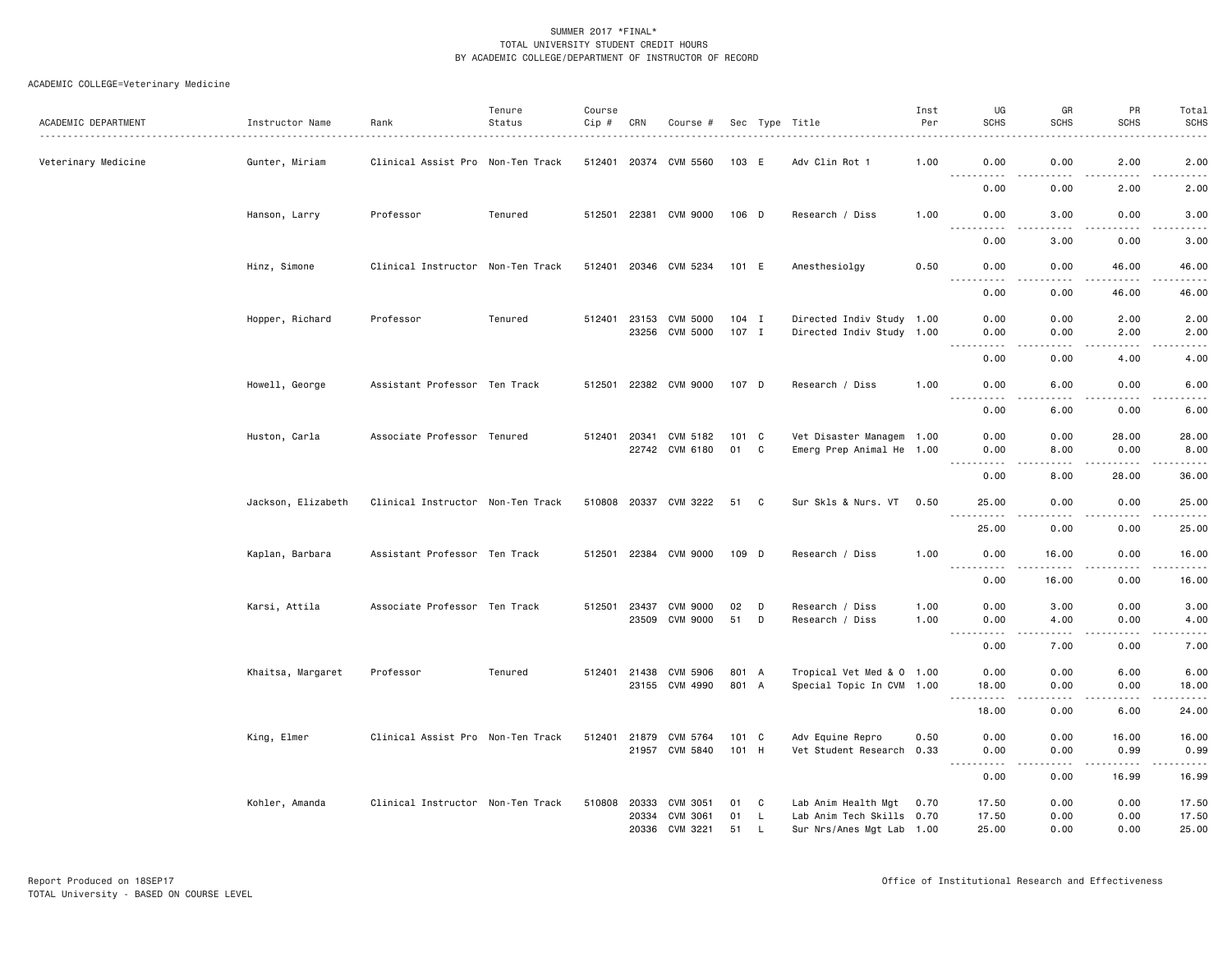| ACADEMIC DEPARTMENT | Instructor Name    | Rank                              | Tenure<br>Status | Course<br>Cip # | CRN          | Course #                                |                  |         | Sec Type Title                                         | Inst<br>Per | UG<br><b>SCHS</b>        | GR<br><b>SCHS</b>                                                                                                                 | PR<br><b>SCHS</b>                                                                                                                                             | Total<br><b>SCHS</b><br>$\frac{1}{2}$                                                                                                                        |
|---------------------|--------------------|-----------------------------------|------------------|-----------------|--------------|-----------------------------------------|------------------|---------|--------------------------------------------------------|-------------|--------------------------|-----------------------------------------------------------------------------------------------------------------------------------|---------------------------------------------------------------------------------------------------------------------------------------------------------------|--------------------------------------------------------------------------------------------------------------------------------------------------------------|
| Veterinary Medicine | Gunter, Miriam     | Clinical Assist Pro Non-Ten Track |                  |                 |              | 512401 20374 CVM 5560                   | 103 E            |         | Adv Clin Rot 1                                         | 1.00        | 0.00<br>.                | 0.00<br>.                                                                                                                         | 2.00<br>.                                                                                                                                                     | 2.00<br>$\frac{1}{2} \left( \frac{1}{2} \right) \left( \frac{1}{2} \right) \left( \frac{1}{2} \right) \left( \frac{1}{2} \right) \left( \frac{1}{2} \right)$ |
|                     |                    |                                   |                  |                 |              |                                         |                  |         |                                                        |             | 0.00                     | 0.00                                                                                                                              | 2.00                                                                                                                                                          | 2.00                                                                                                                                                         |
|                     | Hanson, Larry      | Professor                         | Tenured          | 512501 22381    |              | CVM 9000                                | 106 D            |         | Research / Diss                                        | 1.00        | 0.00                     | 3.00                                                                                                                              | 0.00                                                                                                                                                          | 3.00                                                                                                                                                         |
|                     |                    |                                   |                  |                 |              |                                         |                  |         |                                                        |             | $- - -$<br>.<br>0.00     | .<br>3.00                                                                                                                         | .<br>0.00                                                                                                                                                     | وبالمستريث<br>3.00                                                                                                                                           |
|                     | Hinz, Simone       | Clinical Instructor Non-Ten Track |                  |                 |              | 512401 20346 CVM 5234                   | 101 E            |         | Anesthesiolgy                                          | 0.50        | 0.00<br>$- - -$<br>----- | 0.00<br>$\frac{1}{2} \left( \frac{1}{2} \right) \left( \frac{1}{2} \right) \left( \frac{1}{2} \right) \left( \frac{1}{2} \right)$ | 46.00<br>.                                                                                                                                                    | 46.00<br>.                                                                                                                                                   |
|                     |                    |                                   |                  |                 |              |                                         |                  |         |                                                        |             | 0.00                     | 0.00                                                                                                                              | 46.00                                                                                                                                                         | 46.00                                                                                                                                                        |
|                     | Hopper, Richard    | Professor                         | Tenured          |                 |              | 512401 23153 CVM 5000<br>23256 CVM 5000 | $104$ I<br>107 I |         | Directed Indiv Study 1.00<br>Directed Indiv Study 1.00 |             | 0.00<br>0.00             | 0.00<br>0.00                                                                                                                      | 2.00<br>2.00                                                                                                                                                  | 2.00<br>2.00                                                                                                                                                 |
|                     |                    |                                   |                  |                 |              |                                         |                  |         |                                                        |             | .<br>0.00                | .<br>0.00                                                                                                                         | .<br>4.00                                                                                                                                                     | د د د د د<br>4.00                                                                                                                                            |
|                     |                    | Assistant Professor Ten Track     |                  | 512501          |              | 22382 CVM 9000                          | 107 D            |         | Research / Diss                                        | 1.00        | 0.00                     | 6.00                                                                                                                              | 0.00                                                                                                                                                          | 6.00                                                                                                                                                         |
|                     | Howell, George     |                                   |                  |                 |              |                                         |                  |         |                                                        |             | 0.00                     | 6.00                                                                                                                              | $\frac{1}{2}$<br>0.00                                                                                                                                         | <u>.</u><br>6.00                                                                                                                                             |
|                     |                    |                                   |                  |                 |              |                                         |                  |         |                                                        |             |                          |                                                                                                                                   |                                                                                                                                                               |                                                                                                                                                              |
|                     | Huston, Carla      | Associate Professor Tenured       |                  | 512401          | 20341        | CVM 5182<br>22742 CVM 6180              | 101 C<br>01 C    |         | Vet Disaster Managem 1.00<br>Emerg Prep Animal He 1.00 |             | 0.00<br>0.00             | 0.00<br>8.00                                                                                                                      | 28.00<br>0.00                                                                                                                                                 | 28.00<br>8.00                                                                                                                                                |
|                     |                    |                                   |                  |                 |              |                                         |                  |         |                                                        |             | -----<br>0.00            | .<br>8.00                                                                                                                         | $\frac{1}{2} \left( \frac{1}{2} \right) \left( \frac{1}{2} \right) \left( \frac{1}{2} \right) \left( \frac{1}{2} \right) \left( \frac{1}{2} \right)$<br>28.00 | .<br>36.00                                                                                                                                                   |
|                     | Jackson, Elizabeth | Clinical Instructor Non-Ten Track |                  |                 |              | 510808 20337 CVM 3222                   | 51 C             |         | Sur Skls & Nurs. VT                                    | 0.50        | 25.00                    | 0.00                                                                                                                              | 0.00                                                                                                                                                          | 25.00                                                                                                                                                        |
|                     |                    |                                   |                  |                 |              |                                         |                  |         |                                                        |             | .<br>25.00               | - - - -<br>0.00                                                                                                                   | $\frac{1}{2}$<br>0.00                                                                                                                                         | $- - - - -$<br>25.00                                                                                                                                         |
|                     | Kaplan, Barbara    | Assistant Professor Ten Track     |                  |                 |              | 512501 22384 CVM 9000                   | 109 D            |         | Research / Diss                                        | 1.00        | 0.00                     | 16.00                                                                                                                             | 0.00                                                                                                                                                          | 16.00                                                                                                                                                        |
|                     |                    |                                   |                  |                 |              |                                         |                  |         |                                                        |             | . <b>.</b><br>0.00       | 16.00                                                                                                                             | 0.00                                                                                                                                                          | .<br>16.00                                                                                                                                                   |
|                     | Karsi, Attila      | Associate Professor Ten Track     |                  |                 | 512501 23437 | CVM 9000                                | 02               | D       | Research / Diss                                        | 1.00        | 0.00                     | 3.00                                                                                                                              | 0.00                                                                                                                                                          | 3.00                                                                                                                                                         |
|                     |                    |                                   |                  |                 | 23509        | <b>CVM 9000</b>                         | 51               | D       | Research / Diss                                        | 1.00        | 0.00<br>.                | 4.00<br>.                                                                                                                         | 0.00<br>.                                                                                                                                                     | 4.00<br>$- - - - -$                                                                                                                                          |
|                     |                    |                                   |                  |                 |              |                                         |                  |         |                                                        |             | 0.00                     | 7.00                                                                                                                              | 0.00                                                                                                                                                          | 7.00                                                                                                                                                         |
|                     | Khaitsa, Margaret  | Professor                         | Tenured          |                 | 512401 21438 | CVM 5906<br>23155 CVM 4990              | 801 A<br>801 A   |         | Tropical Vet Med & 0 1.00<br>Special Topic In CVM 1.00 |             | 0.00<br>18.00            | 0.00<br>0.00                                                                                                                      | 6.00<br>0.00                                                                                                                                                  | 6.00<br>18.00                                                                                                                                                |
|                     |                    |                                   |                  |                 |              |                                         |                  |         |                                                        |             | -----<br>18.00           | $\frac{1}{2} \left( \frac{1}{2} \right) \left( \frac{1}{2} \right) \left( \frac{1}{2} \right) \left( \frac{1}{2} \right)$<br>0.00 | .<br>6.00                                                                                                                                                     | د د د د د<br>24.00                                                                                                                                           |
|                     | King, Elmer        | Clinical Assist Pro Non-Ten Track |                  |                 | 512401 21879 | CVM 5764                                | 101 C            |         | Adv Equine Repro                                       | 0.50        | 0.00                     | 0.00                                                                                                                              | 16.00                                                                                                                                                         | 16.00                                                                                                                                                        |
|                     |                    |                                   |                  |                 |              | 21957 CVM 5840                          | 101 H            |         | Vet Student Research 0.33                              |             | 0.00                     | 0.00<br>بالمستعاد                                                                                                                 | 0.99                                                                                                                                                          | 0.99<br>$    -$                                                                                                                                              |
|                     |                    |                                   |                  |                 |              |                                         |                  |         |                                                        |             | 0.00                     | 0.00                                                                                                                              | 16.99                                                                                                                                                         | 16.99                                                                                                                                                        |
|                     | Kohler, Amanda     | Clinical Instructor Non-Ten Track |                  | 510808          | 20333        | CVM 3051                                | 01               | C       | Lab Anim Health Mgt                                    | 0.70        | 17.50                    | 0.00                                                                                                                              | 0.00                                                                                                                                                          | 17.50                                                                                                                                                        |
|                     |                    |                                   |                  |                 | 20334        | CVM 3061<br>20336 CVM 3221              | 01<br>51         | L<br>L. | Lab Anim Tech Skills 0.70<br>Sur Nrs/Anes Mgt Lab 1.00 |             | 17.50<br>25.00           | 0.00<br>0.00                                                                                                                      | 0.00<br>0.00                                                                                                                                                  | 17.50<br>25.00                                                                                                                                               |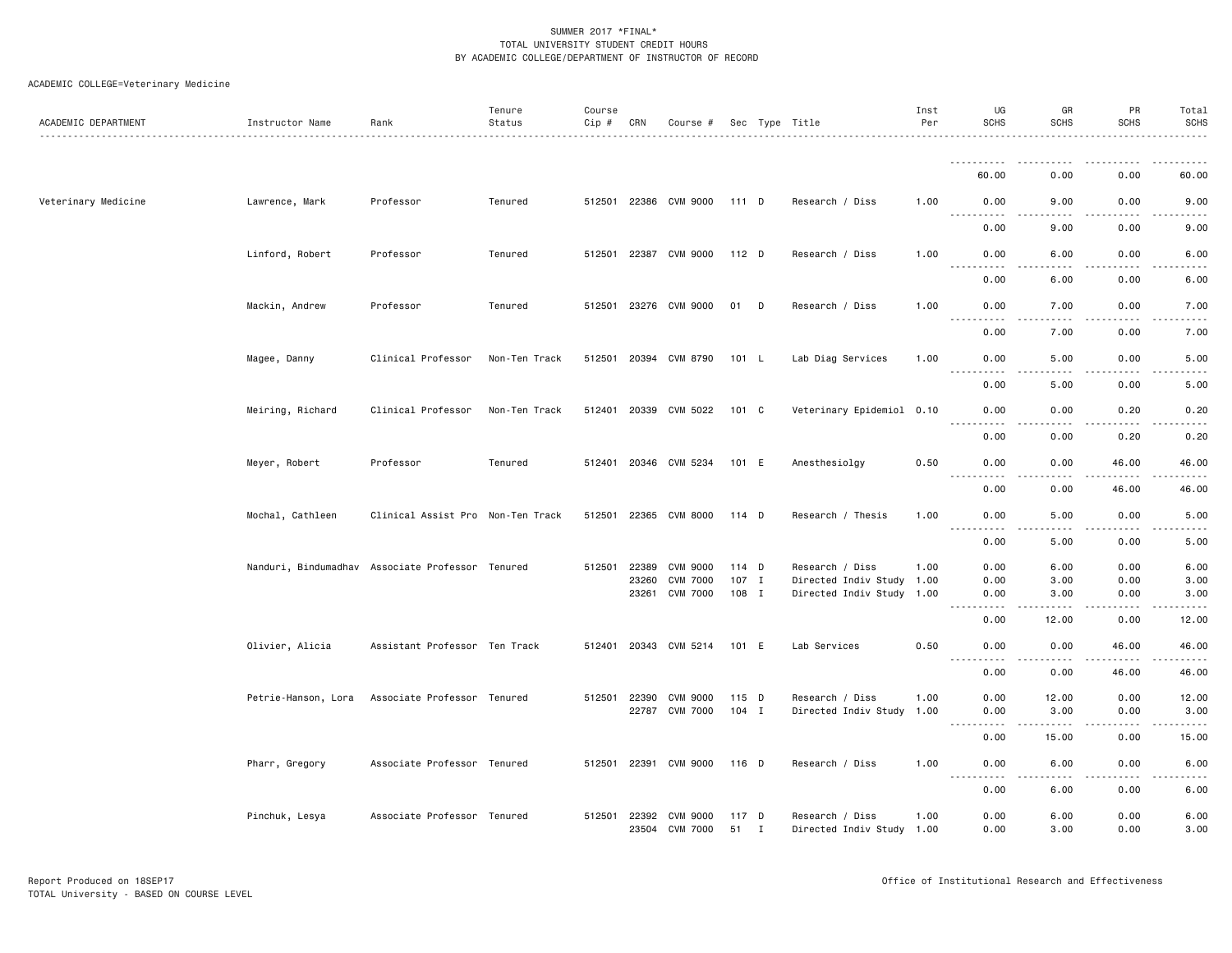| ACADEMIC DEPARTMENT | Instructor Name  | Rank                                             | Tenure<br>Status | Course<br>Cip # | CRN            | Course #                    |             |   | Sec Type Title                               | Inst<br>Per | UG<br><b>SCHS</b>                 | GR<br><b>SCHS</b> | PR<br><b>SCHS</b>                                                                                                                 | Total<br>SCHS                                                                                                                                                |
|---------------------|------------------|--------------------------------------------------|------------------|-----------------|----------------|-----------------------------|-------------|---|----------------------------------------------|-------------|-----------------------------------|-------------------|-----------------------------------------------------------------------------------------------------------------------------------|--------------------------------------------------------------------------------------------------------------------------------------------------------------|
|                     |                  |                                                  |                  |                 |                |                             |             |   |                                              |             |                                   |                   |                                                                                                                                   |                                                                                                                                                              |
|                     |                  |                                                  |                  |                 |                |                             |             |   |                                              |             | 60.00                             | 0.00              | 0.00                                                                                                                              | 60.00                                                                                                                                                        |
| Veterinary Medicine | Lawrence, Mark   | Professor                                        | Tenured          |                 |                | 512501 22386 CVM 9000 111 D |             |   | Research / Diss                              | 1.00        | 0.00                              | 9.00              | 0.00                                                                                                                              | 9.00                                                                                                                                                         |
|                     |                  |                                                  |                  |                 |                |                             |             |   |                                              |             | 0.00                              | 9.00              | 0.00                                                                                                                              | .<br>9.00                                                                                                                                                    |
|                     | Linford, Robert  | Professor                                        | Tenured          |                 |                | 512501 22387 CVM 9000       | 112 D       |   | Research / Diss                              | 1.00        | 0.00<br>$\sim$ $\sim$ $\sim$      | 6.00              | 0.00<br>. <u>.</u> .                                                                                                              | 6.00<br>.                                                                                                                                                    |
|                     |                  |                                                  |                  |                 |                |                             |             |   |                                              |             | 0.00                              | 6.00              | 0.00                                                                                                                              | 6.00                                                                                                                                                         |
|                     | Mackin, Andrew   | Professor                                        | Tenured          |                 |                | 512501 23276 CVM 9000       | 01 D        |   | Research / Diss                              | 1.00        | 0.00<br>.<br>$- - -$              | 7.00<br>$   -$    | 0.00<br>.                                                                                                                         | 7.00<br>.                                                                                                                                                    |
|                     |                  |                                                  |                  |                 |                |                             |             |   |                                              |             | 0.00                              | 7.00              | 0.00                                                                                                                              | 7.00                                                                                                                                                         |
|                     | Magee, Danny     | Clinical Professor                               | Non-Ten Track    |                 |                | 512501 20394 CVM 8790       | 101 L       |   | Lab Diag Services                            | 1.00        | 0.00                              | 5.00              | 0.00                                                                                                                              | 5.00                                                                                                                                                         |
|                     |                  |                                                  |                  |                 |                |                             |             |   |                                              |             | 0.00                              | 5.00              | 0.00                                                                                                                              | 5.00                                                                                                                                                         |
|                     | Meiring, Richard | Clinical Professor                               | Non-Ten Track    |                 |                | 512401 20339 CVM 5022       | 101 C       |   | Veterinary Epidemiol 0.10                    |             | 0.00                              | 0.00              | 0.20                                                                                                                              | 0.20                                                                                                                                                         |
|                     |                  |                                                  |                  |                 |                |                             |             |   |                                              |             | 0.00                              | 0.00              | 0.20                                                                                                                              | 0.20                                                                                                                                                         |
|                     | Meyer, Robert    | Professor                                        | Tenured          |                 |                | 512401 20346 CVM 5234       | 101 E       |   | Anesthesiolgy                                | 0.50        | 0.00<br>-----                     | 0.00<br>الدامات ب | 46.00<br>د د د د د                                                                                                                | 46.00<br>$    -$                                                                                                                                             |
|                     |                  |                                                  |                  |                 |                |                             |             |   |                                              |             | 0.00                              | 0.00              | 46.00                                                                                                                             | 46.00                                                                                                                                                        |
|                     | Mochal, Cathleen | Clinical Assist Pro Non-Ten Track                |                  |                 |                | 512501 22365 CVM 8000       | 114 D       |   | Research / Thesis                            | 1.00        | 0.00<br>$- - -$<br>$\frac{1}{2}$  | 5.00              | 0.00                                                                                                                              | 5.00<br>$- - - - -$                                                                                                                                          |
|                     |                  |                                                  |                  |                 |                |                             |             |   |                                              |             | 0.00                              | 5.00              | 0.00                                                                                                                              | 5.00                                                                                                                                                         |
|                     |                  | Nanduri, Bindumadhav Associate Professor Tenured |                  | 512501          | 22389          | CVM 9000                    | 114 D       |   | Research / Diss                              | 1.00        | 0.00                              | 6.00              | 0.00                                                                                                                              | 6.00                                                                                                                                                         |
|                     |                  |                                                  |                  |                 | 23260          | <b>CVM 7000</b>             | 107 I       |   | Directed Indiv Study 1.00                    |             | 0.00                              | 3.00              | 0.00                                                                                                                              | 3.00                                                                                                                                                         |
|                     |                  |                                                  |                  |                 | 23261          | <b>CVM 7000</b>             | 108 I       |   | Directed Indiv Study 1.00                    |             | 0.00                              | 3.00              | 0.00                                                                                                                              | 3.00<br>$- - - - -$                                                                                                                                          |
|                     |                  |                                                  |                  |                 |                |                             |             |   |                                              |             | 0.00                              | 12.00             | 0.00                                                                                                                              | 12.00                                                                                                                                                        |
|                     | Olivier, Alicia  | Assistant Professor Ten Track                    |                  |                 |                | 512401 20343 CVM 5214       | 101 E       |   | Lab Services                                 | 0.50        | 0.00<br>$\sim$ $\sim$ $\sim$<br>. | 0.00<br>.         | 46.00<br>.                                                                                                                        | 46.00<br>د د د د د                                                                                                                                           |
|                     |                  |                                                  |                  |                 |                |                             |             |   |                                              |             | 0.00                              | 0.00              | 46.00                                                                                                                             | 46.00                                                                                                                                                        |
|                     |                  | Petrie-Hanson, Lora Associate Professor Tenured  |                  | 512501          | 22390          | CVM 9000                    | 115 D       |   | Research / Diss                              | 1.00        | 0.00                              | 12.00             | 0.00                                                                                                                              | 12.00                                                                                                                                                        |
|                     |                  |                                                  |                  |                 | 22787          | <b>CVM 7000</b>             | $104$ I     |   | Directed Indiv Study                         | 1.00        | 0.00                              | 3.00              | 0.00                                                                                                                              | 3.00<br>$\frac{1}{2} \left( \frac{1}{2} \right) \left( \frac{1}{2} \right) \left( \frac{1}{2} \right) \left( \frac{1}{2} \right) \left( \frac{1}{2} \right)$ |
|                     |                  |                                                  |                  |                 |                |                             |             |   |                                              |             | 0.00                              | 15.00             | 0.00                                                                                                                              | 15.00                                                                                                                                                        |
|                     | Pharr, Gregory   | Associate Professor Tenured                      |                  | 512501 22391    |                | CVM 9000                    | 116 D       |   | Research / Diss                              | 1.00        | 0.00<br>$\frac{1}{2}$             | 6.00<br>.         | 0.00<br>$\frac{1}{2} \left( \frac{1}{2} \right) \left( \frac{1}{2} \right) \left( \frac{1}{2} \right) \left( \frac{1}{2} \right)$ | 6.00<br>.                                                                                                                                                    |
|                     |                  |                                                  |                  |                 |                |                             |             |   |                                              |             | 0.00                              | 6.00              | 0.00                                                                                                                              | 6.00                                                                                                                                                         |
|                     | Pinchuk, Lesya   | Associate Professor Tenured                      |                  | 512501          | 22392<br>23504 | CVM 9000<br>CVM 7000        | 117 D<br>51 | I | Research / Diss<br>Directed Indiv Study 1.00 | 1.00        | 0.00<br>0.00                      | 6.00<br>3.00      | 0.00<br>0.00                                                                                                                      | 6.00<br>3.00                                                                                                                                                 |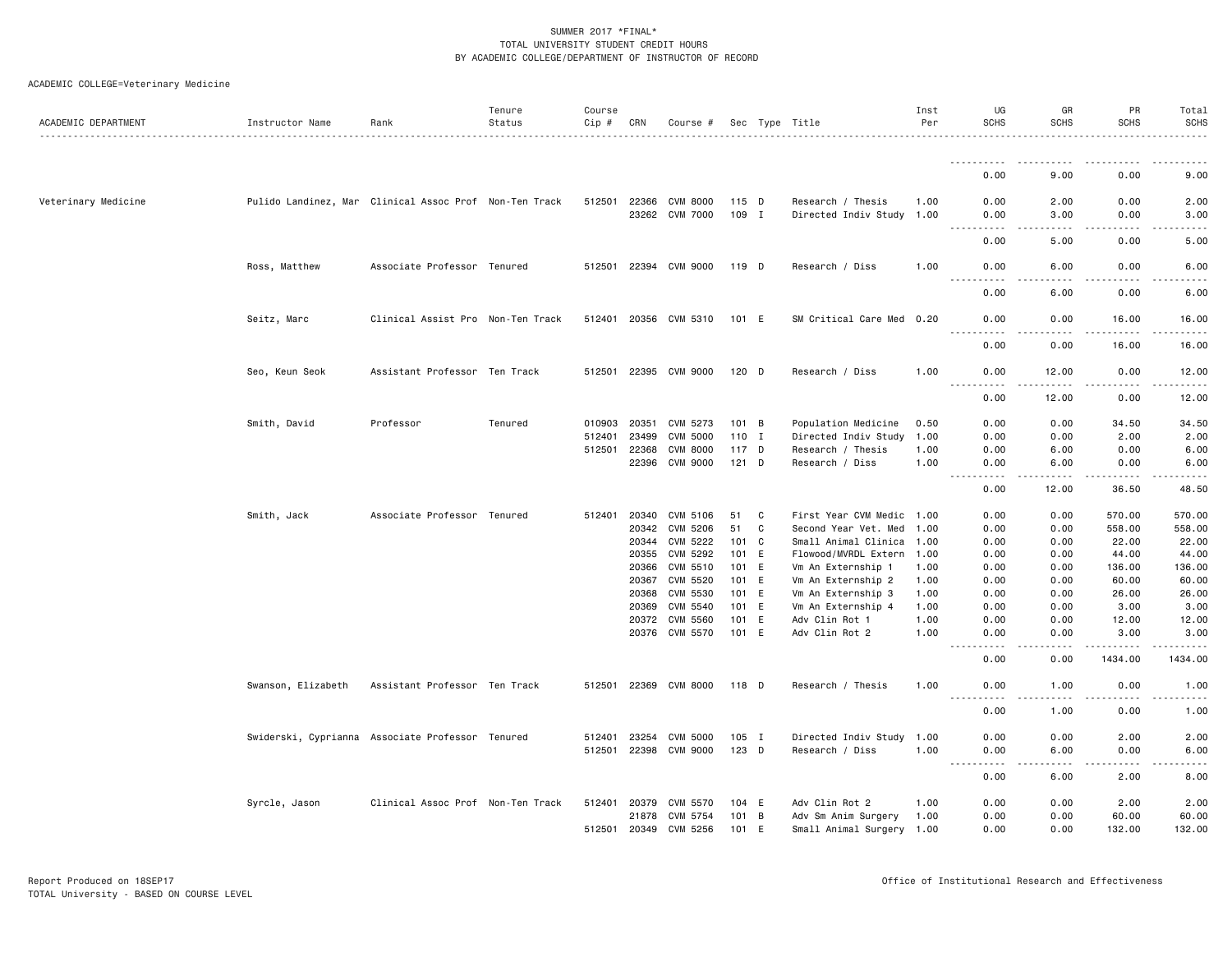| ACADEMIC DEPARTMENT | Instructor Name                                        | Rank                              | Tenure<br>Status | Course<br>$Cip$ # | CRN            | Course #                    |                |   | Sec Type Title                               | Inst<br>Per  | UG<br><b>SCHS</b>                   | GR<br><b>SCHS</b>                                                                                                                                            | PR<br><b>SCHS</b> | Total<br><b>SCHS</b>                                                                                                                                          |
|---------------------|--------------------------------------------------------|-----------------------------------|------------------|-------------------|----------------|-----------------------------|----------------|---|----------------------------------------------|--------------|-------------------------------------|--------------------------------------------------------------------------------------------------------------------------------------------------------------|-------------------|---------------------------------------------------------------------------------------------------------------------------------------------------------------|
|                     |                                                        |                                   |                  |                   |                |                             |                |   |                                              |              |                                     |                                                                                                                                                              |                   |                                                                                                                                                               |
|                     |                                                        |                                   |                  |                   |                |                             |                |   |                                              |              | 0.00                                | 9.00                                                                                                                                                         | 0.00              | 9.00                                                                                                                                                          |
| Veterinary Medicine | Pulido Landinez, Mar Clinical Assoc Prof Non-Ten Track |                                   |                  |                   |                | 512501 22366 CVM 8000       | 115 D          |   | Research / Thesis                            | 1.00         | 0.00                                | 2.00                                                                                                                                                         | 0.00              | 2.00                                                                                                                                                          |
|                     |                                                        |                                   |                  |                   |                | 23262 CVM 7000              | 109 I          |   | Directed Indiv Study 1.00                    |              | 0.00<br>.<br>$\sim$ $\sim$ $\sim$   | 3.00<br>.                                                                                                                                                    | 0.00<br>.         | 3.00<br>$\frac{1}{2} \left( \frac{1}{2} \right) \left( \frac{1}{2} \right) \left( \frac{1}{2} \right) \left( \frac{1}{2} \right)$                             |
|                     |                                                        |                                   |                  |                   |                |                             |                |   |                                              |              | 0.00                                | 5.00                                                                                                                                                         | 0.00              | 5.00                                                                                                                                                          |
|                     | Ross, Matthew                                          | Associate Professor Tenured       |                  |                   |                | 512501 22394 CVM 9000       | 119 D          |   | Research / Diss                              | 1.00         | 0.00                                | 6.00                                                                                                                                                         | 0.00              | 6.00                                                                                                                                                          |
|                     |                                                        |                                   |                  |                   |                |                             |                |   |                                              |              | 0.00                                | 6.00                                                                                                                                                         | 0.00              | 6.00                                                                                                                                                          |
|                     | Seitz, Marc                                            | Clinical Assist Pro Non-Ten Track |                  |                   |                | 512401 20356 CVM 5310       | 101 E          |   | SM Critical Care Med 0.20                    |              | 0.00<br>.                           | 0.00<br>.<br>.                                                                                                                                               | 16.00<br>.        | 16.00<br>$\frac{1}{2} \left( \frac{1}{2} \right) \left( \frac{1}{2} \right) \left( \frac{1}{2} \right) \left( \frac{1}{2} \right) \left( \frac{1}{2} \right)$ |
|                     |                                                        |                                   |                  |                   |                |                             |                |   |                                              |              | 0.00                                | 0.00                                                                                                                                                         | 16.00             | 16.00                                                                                                                                                         |
|                     | Seo, Keun Seok                                         | Assistant Professor Ten Track     |                  |                   |                | 512501 22395 CVM 9000       | 120 D          |   | Research / Diss                              | 1.00         | 0.00<br>.                           | 12.00<br><u>.</u>                                                                                                                                            | 0.00<br>.         | 12.00<br>.                                                                                                                                                    |
|                     |                                                        |                                   |                  |                   |                |                             |                |   |                                              |              | 0.00                                | 12.00                                                                                                                                                        | 0.00              | 12.00                                                                                                                                                         |
|                     | Smith, David                                           | Professor                         | Tenured          | 010903            | 20351          | CVM 5273                    | 101 B          |   | Population Medicine                          | 0.50         | 0.00                                | 0.00                                                                                                                                                         | 34.50             | 34.50                                                                                                                                                         |
|                     |                                                        |                                   |                  | 512401            | 23499          | <b>CVM 5000</b>             | 110 I          |   | Directed Indiv Study                         | 1.00         | 0.00                                | 0.00                                                                                                                                                         | 2.00              | 2.00                                                                                                                                                          |
|                     |                                                        |                                   |                  |                   | 512501 22368   | <b>CVM 8000</b>             | 117 D          |   | Research / Thesis                            | 1.00         | 0.00                                | 6.00                                                                                                                                                         | 0.00              | 6.00                                                                                                                                                          |
|                     |                                                        |                                   |                  |                   |                | 22396 CVM 9000              | $121$ D        |   | Research / Diss                              | 1.00         | 0.00<br><b>.</b> .<br>$\frac{1}{2}$ | 6.00<br>$\frac{1}{2} \left( \frac{1}{2} \right) \left( \frac{1}{2} \right) \left( \frac{1}{2} \right) \left( \frac{1}{2} \right) \left( \frac{1}{2} \right)$ | 0.00<br>المتمامين | 6.00<br>.                                                                                                                                                     |
|                     |                                                        |                                   |                  |                   |                |                             |                |   |                                              |              | 0.00                                | 12.00                                                                                                                                                        | 36.50             | 48.50                                                                                                                                                         |
|                     | Smith, Jack                                            | Associate Professor Tenured       |                  | 512401            | 20340          | CVM 5106                    | 51             | C | First Year CVM Medic 1.00                    |              | 0.00                                | 0.00                                                                                                                                                         | 570.00            | 570.00                                                                                                                                                        |
|                     |                                                        |                                   |                  |                   | 20342          | CVM 5206                    | 51             | C | Second Year Vet. Med                         | 1.00         | 0.00                                | 0.00                                                                                                                                                         | 558.00            | 558.00                                                                                                                                                        |
|                     |                                                        |                                   |                  |                   | 20344          | CVM 5222                    | 101 C          |   | Small Animal Clinica 1.00                    |              | 0.00                                | 0.00                                                                                                                                                         | 22.00             | 22.00                                                                                                                                                         |
|                     |                                                        |                                   |                  |                   | 20355          | CVM 5292                    | 101 E          |   | Flowood/MVRDL Extern                         | 1.00         | 0.00                                | 0.00                                                                                                                                                         | 44.00             | 44.00                                                                                                                                                         |
|                     |                                                        |                                   |                  |                   |                | 20366 CVM 5510              | 101 E          |   | Vm An Externship 1                           | 1.00         | 0.00                                | 0.00                                                                                                                                                         | 136.00            | 136.00                                                                                                                                                        |
|                     |                                                        |                                   |                  |                   | 20367          | CVM 5520                    | 101 E          |   | Vm An Externship 2                           | 1.00         | 0.00                                | 0.00                                                                                                                                                         | 60.00             | 60.00                                                                                                                                                         |
|                     |                                                        |                                   |                  |                   | 20368          | CVM 5530                    | 101 E          |   | Vm An Externship 3                           | 1.00         | 0.00                                | 0.00                                                                                                                                                         | 26.00             | 26.00                                                                                                                                                         |
|                     |                                                        |                                   |                  |                   | 20369          | CVM 5540                    | 101 E          |   | Vm An Externship 4                           | 1.00         | 0.00                                | 0.00                                                                                                                                                         | 3.00              | 3.00                                                                                                                                                          |
|                     |                                                        |                                   |                  |                   | 20372<br>20376 | CVM 5560<br>CVM 5570        | 101 E<br>101 E |   | Adv Clin Rot 1<br>Adv Clin Rot 2             | 1.00<br>1.00 | 0.00<br>0.00                        | 0.00<br>0.00                                                                                                                                                 | 12.00<br>3.00     | 12.00<br>3.00                                                                                                                                                 |
|                     |                                                        |                                   |                  |                   |                |                             |                |   |                                              |              | $- - -$<br><u>.</u><br>0.00         | .<br>0.00                                                                                                                                                    | .<br>1434.00      | .<br>1434.00                                                                                                                                                  |
|                     | Swanson, Elizabeth                                     | Assistant Professor Ten Track     |                  |                   |                | 512501 22369 CVM 8000       | 118 D          |   | Research / Thesis                            | 1.00         | 0.00                                | 1.00                                                                                                                                                         | 0.00              | 1.00                                                                                                                                                          |
|                     |                                                        |                                   |                  |                   |                |                             |                |   |                                              |              | $\sim$ $\sim$ $\sim$<br>0.00        | $\frac{1}{2}$<br>1.00                                                                                                                                        | .<br>0.00         | .<br>1.00                                                                                                                                                     |
|                     |                                                        |                                   |                  |                   |                |                             |                |   |                                              |              |                                     |                                                                                                                                                              |                   |                                                                                                                                                               |
|                     | Swiderski, Cyprianna Associate Professor Tenured       |                                   |                  | 512401<br>512501  | 23254<br>22398 | <b>CVM 5000</b><br>CVM 9000 | 105 I<br>123   | D | Directed Indiv Study 1.00<br>Research / Diss | 1.00         | 0.00<br>0.00                        | 0.00<br>6.00                                                                                                                                                 | 2.00<br>0.00      | 2.00<br>6.00                                                                                                                                                  |
|                     |                                                        |                                   |                  |                   |                |                             |                |   |                                              |              | $\sim$ $\sim$ $\sim$<br>0.00        | $\sim$ $\sim$ $\sim$ $\sim$<br>6.00                                                                                                                          | .<br>2.00         | 8.00                                                                                                                                                          |
|                     | Syrcle, Jason                                          | Clinical Assoc Prof Non-Ten Track |                  |                   | 512401 20379   | CVM 5570                    | 104 E          |   | Adv Clin Rot 2                               | 1.00         | 0.00                                | 0.00                                                                                                                                                         | 2.00              | 2.00                                                                                                                                                          |
|                     |                                                        |                                   |                  |                   | 21878          | CVM 5754                    | 101 B          |   | Adv Sm Anim Surgery                          | 1.00         | 0.00                                | 0.00                                                                                                                                                         | 60.00             | 60.00                                                                                                                                                         |
|                     |                                                        |                                   |                  |                   | 512501 20349   | CVM 5256                    | 101 E          |   | Small Animal Surgery 1.00                    |              | 0.00                                | 0.00                                                                                                                                                         | 132.00            | 132.00                                                                                                                                                        |